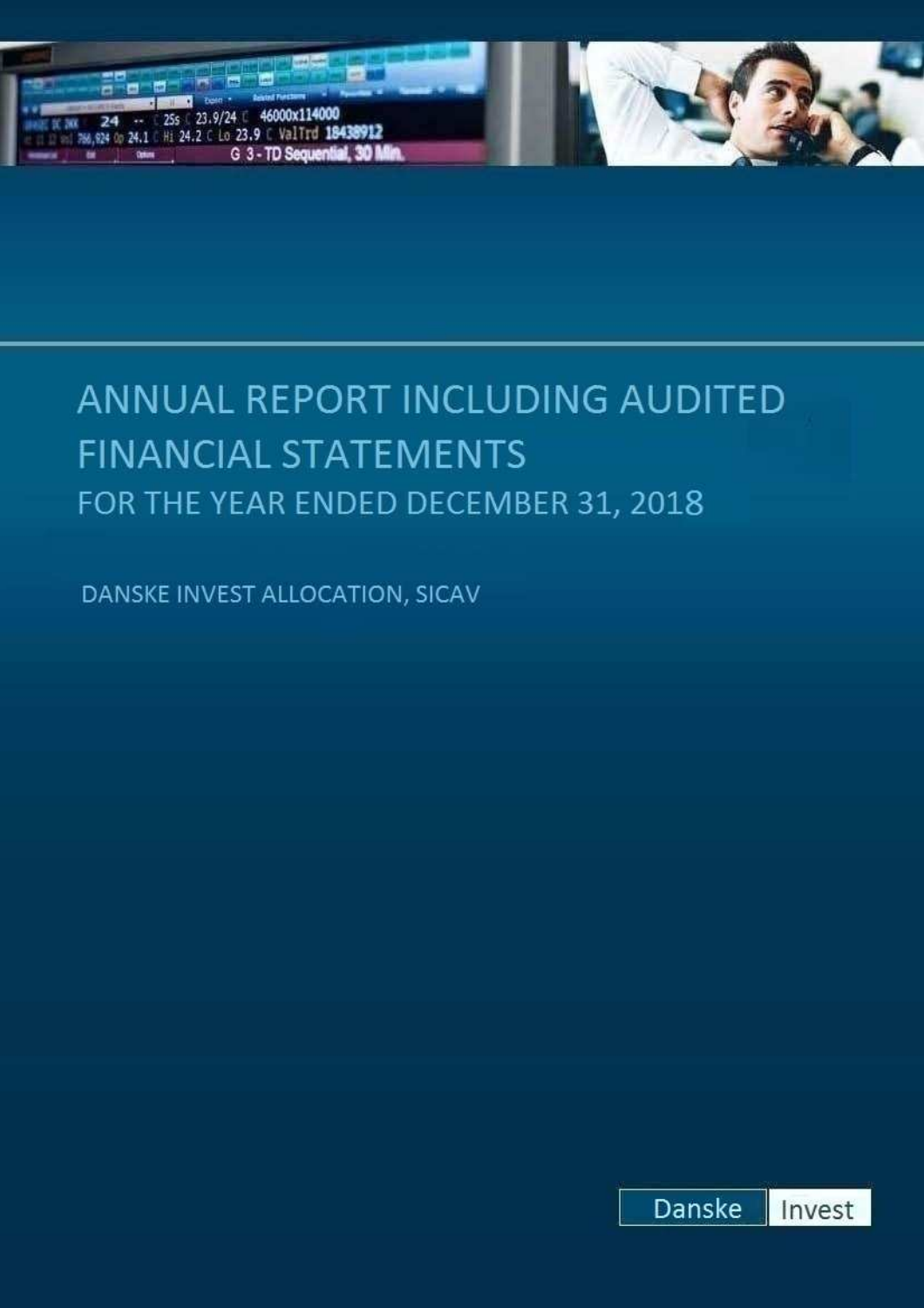

# ANNUAL REPORT INCLUDING AUDITED **FINANCIAL STATEMENTS** FOR THE YEAR ENDED DECEMBER 31, 2018

DANSKE INVEST ALLOCATION, SICAV

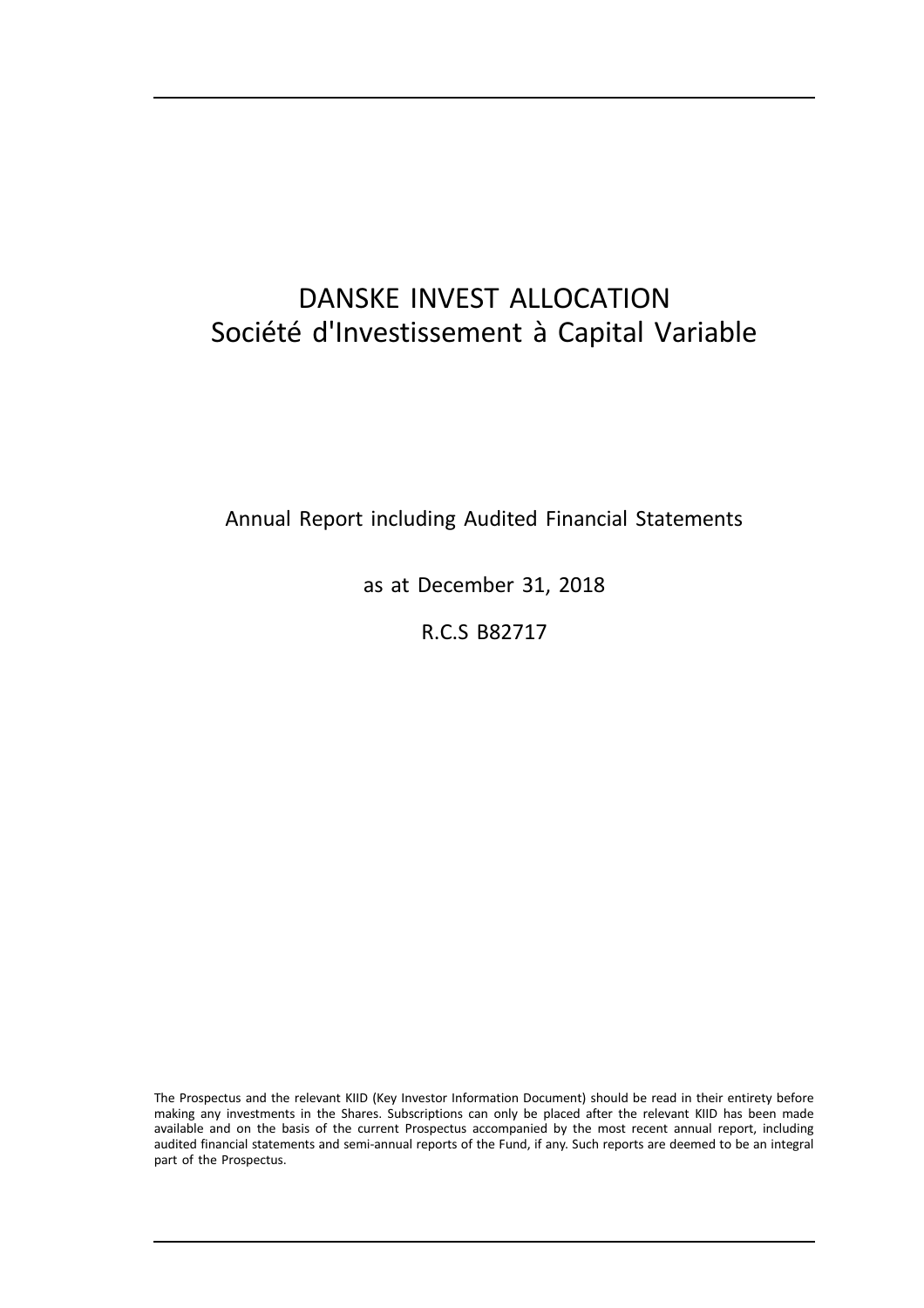## DANSKE INVEST ALLOCATION Société d'Investissement à Capital Variable

Annual Report including Audited Financial Statements

as at December 31, 2018

R.C.S B82717

The Prospectus and the relevant KIID (Key Investor Information Document) should be read in their entirety before making any investments in the Shares. Subscriptions can only be placed after the relevant KIID has been made available and on the basis of the current Prospectus accompanied by the most recent annual report, including audited financial statements and semi-annual reports of the Fund, if any. Such reports are deemed to be an integral part of the Prospectus.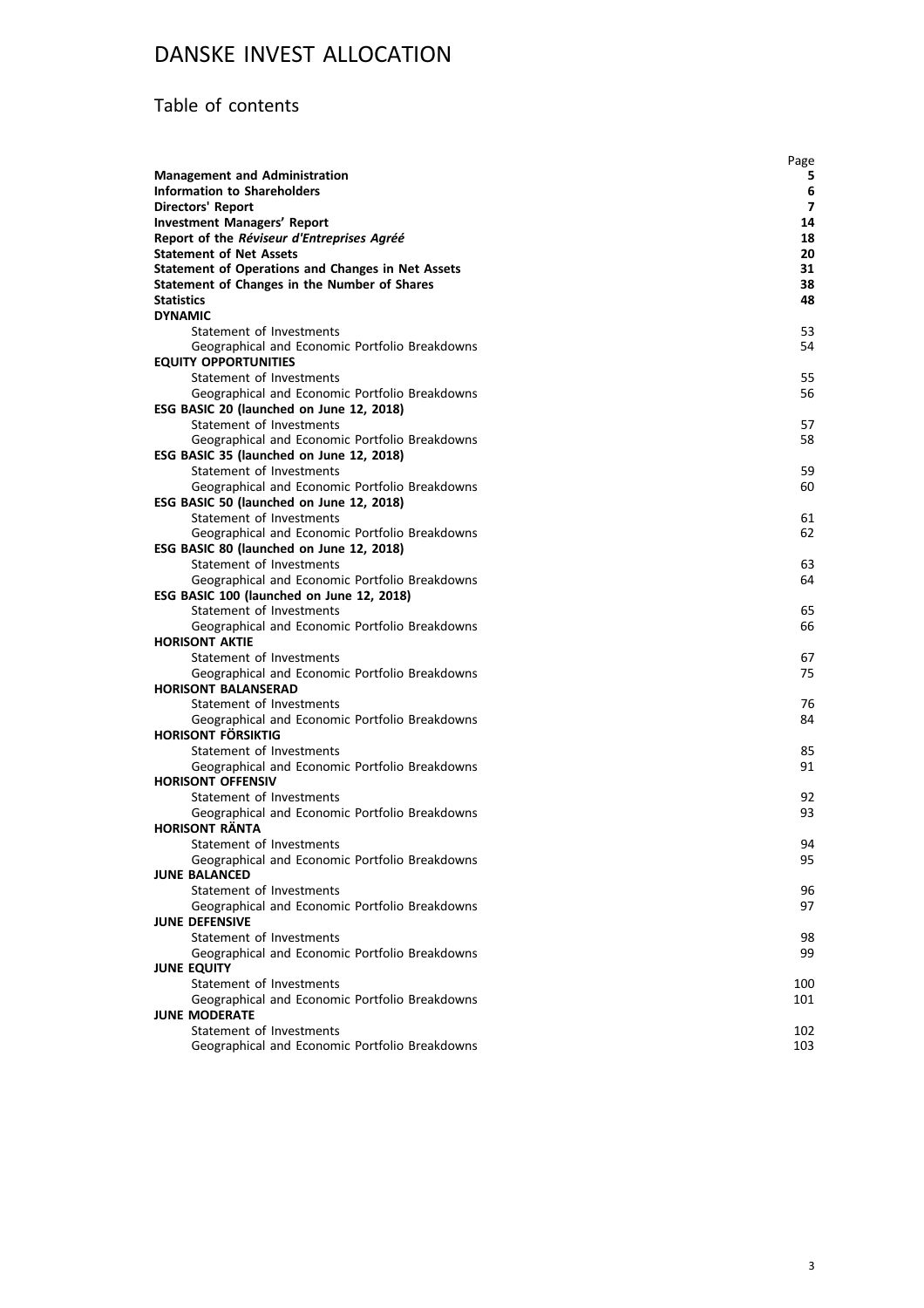### Table of contents

|                                                                                            | Page     |
|--------------------------------------------------------------------------------------------|----------|
| <b>Management and Administration</b>                                                       | 5        |
| <b>Information to Shareholders</b>                                                         | 6        |
| <b>Directors' Report</b>                                                                   | 7        |
| <b>Investment Managers' Report</b>                                                         | 14       |
| Report of the Réviseur d'Entreprises Agréé                                                 | 18       |
| <b>Statement of Net Assets</b>                                                             | 20       |
| <b>Statement of Operations and Changes in Net Assets</b>                                   | 31       |
| Statement of Changes in the Number of Shares                                               | 38       |
| <b>Statistics</b>                                                                          | 48       |
| <b>DYNAMIC</b>                                                                             |          |
| Statement of Investments                                                                   | 53       |
| Geographical and Economic Portfolio Breakdowns                                             | 54       |
| <b>EQUITY OPPORTUNITIES</b>                                                                |          |
| Statement of Investments                                                                   | 55       |
| Geographical and Economic Portfolio Breakdowns                                             | 56       |
| ESG BASIC 20 (launched on June 12, 2018)                                                   |          |
| Statement of Investments                                                                   | 57       |
| Geographical and Economic Portfolio Breakdowns                                             | 58       |
| ESG BASIC 35 (launched on June 12, 2018)                                                   |          |
| Statement of Investments                                                                   | 59       |
| Geographical and Economic Portfolio Breakdowns                                             | 60       |
| ESG BASIC 50 (launched on June 12, 2018)                                                   |          |
| Statement of Investments                                                                   | 61<br>62 |
| Geographical and Economic Portfolio Breakdowns<br>ESG BASIC 80 (launched on June 12, 2018) |          |
| Statement of Investments                                                                   | 63       |
| Geographical and Economic Portfolio Breakdowns                                             | 64       |
| ESG BASIC 100 (launched on June 12, 2018)                                                  |          |
| Statement of Investments                                                                   | 65       |
| Geographical and Economic Portfolio Breakdowns                                             | 66       |
| <b>HORISONT AKTIE</b>                                                                      |          |
| Statement of Investments                                                                   | 67       |
| Geographical and Economic Portfolio Breakdowns                                             | 75       |
| <b>HORISONT BALANSERAD</b>                                                                 |          |
| Statement of Investments                                                                   | 76       |
| Geographical and Economic Portfolio Breakdowns                                             | 84       |
| HORISONT FÖRSIKTIG                                                                         |          |
| Statement of Investments                                                                   | 85       |
| Geographical and Economic Portfolio Breakdowns                                             | 91       |
| <b>HORISONT OFFENSIV</b>                                                                   |          |
| Statement of Investments                                                                   | 92       |
| Geographical and Economic Portfolio Breakdowns                                             | 93       |
| <b>HORISONT RÄNTA</b>                                                                      |          |
| Statement of Investments                                                                   | 94       |
| Geographical and Economic Portfolio Breakdowns                                             | 95       |
| <b>JUNE BALANCED</b>                                                                       |          |
| Statement of Investments                                                                   | 96       |
| Geographical and Economic Portfolio Breakdowns                                             | 97       |
| <b>JUNE DEFENSIVE</b>                                                                      |          |
| Statement of Investments                                                                   | 98       |
| Geographical and Economic Portfolio Breakdowns                                             | 99       |
| <b>JUNE EQUITY</b>                                                                         |          |
| Statement of Investments                                                                   | 100      |
| Geographical and Economic Portfolio Breakdowns                                             | 101      |
| <b>JUNE MODERATE</b>                                                                       |          |
| Statement of Investments                                                                   | 102      |
| Geographical and Economic Portfolio Breakdowns                                             | 103      |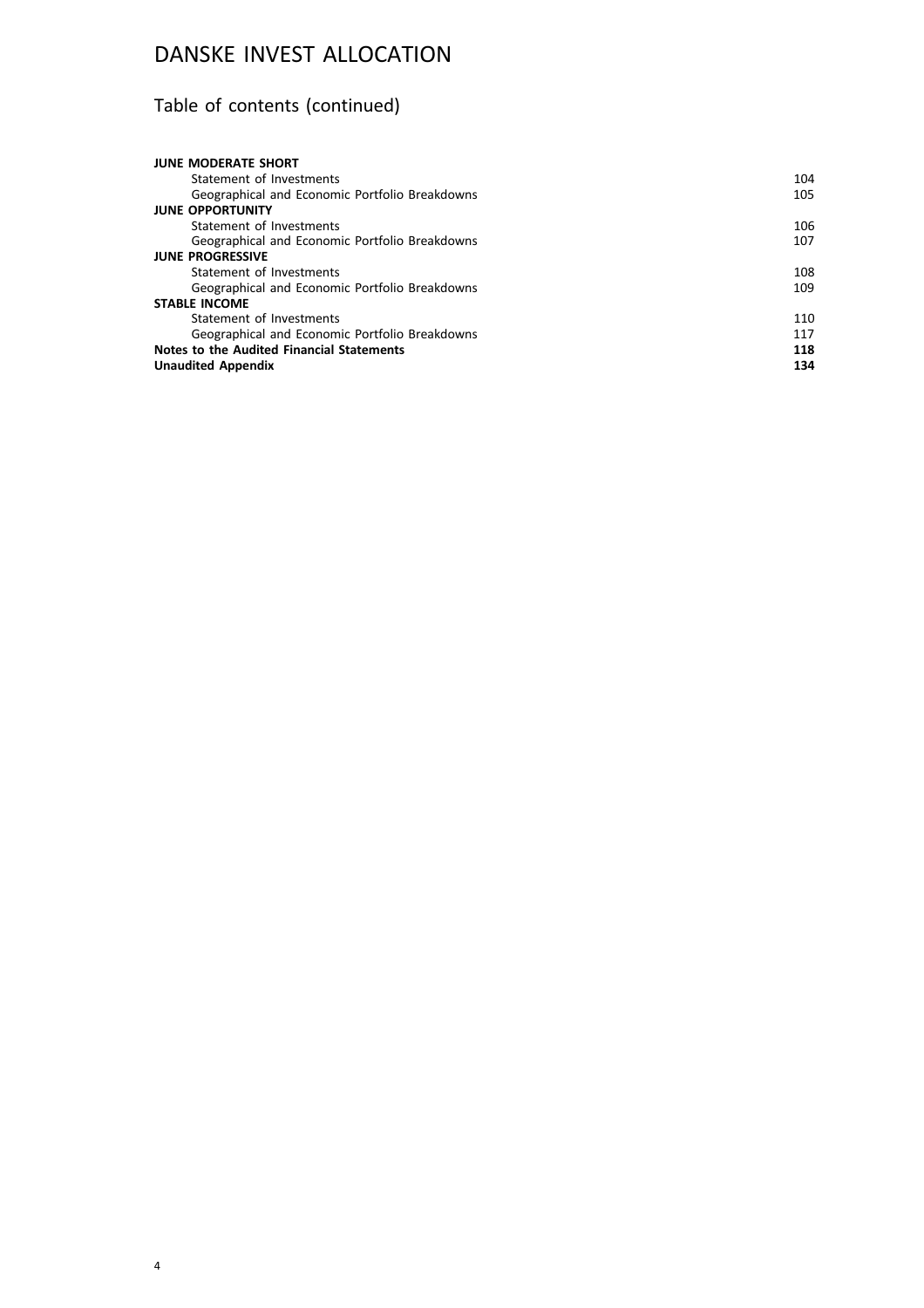## Table of contents (continued)

| <b>JUNE MODERATE SHORT</b>                     |     |
|------------------------------------------------|-----|
| Statement of Investments                       | 104 |
| Geographical and Economic Portfolio Breakdowns | 105 |
| <b>JUNE OPPORTUNITY</b>                        |     |
| Statement of Investments                       | 106 |
| Geographical and Economic Portfolio Breakdowns | 107 |
| <b>JUNE PROGRESSIVE</b>                        |     |
| Statement of Investments                       | 108 |
| Geographical and Economic Portfolio Breakdowns | 109 |
| <b>STABLE INCOME</b>                           |     |
| Statement of Investments                       | 110 |
| Geographical and Economic Portfolio Breakdowns | 117 |
| Notes to the Audited Financial Statements      | 118 |
| <b>Unaudited Appendix</b>                      | 134 |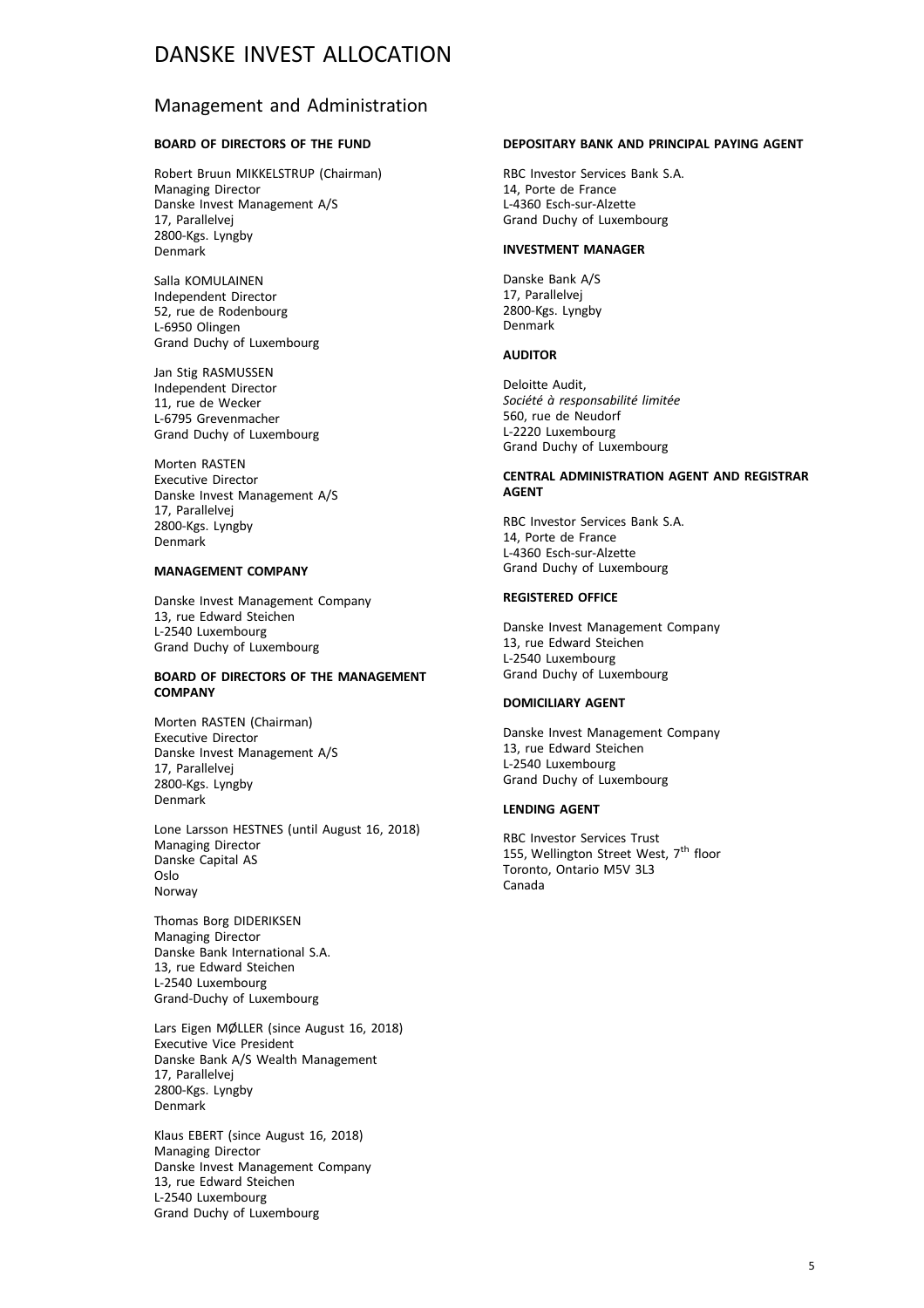### Management and Administration

#### **BOARD OF DIRECTORS OF THE FUND**

Robert Bruun MIKKELSTRUP (Chairman) Managing Director Danske Invest Management A/S 17, Parallelvej 2800-Kgs. Lyngby Denmark

Salla KOMULAINEN Independent Director 52, rue de Rodenbourg L-6950 Olingen Grand Duchy of Luxembourg

Jan Stig RASMUSSEN Independent Director 11, rue de Wecker L-6795 Grevenmacher Grand Duchy of Luxembourg

Morten RASTEN Executive Director Danske Invest Management A/S 17, Parallelvej 2800-Kgs. Lyngby Denmark

#### **MANAGEMENT COMPANY**

Danske Invest Management Company 13, rue Edward Steichen L-2540 Luxembourg Grand Duchy of Luxembourg

#### **BOARD OF DIRECTORS OF THE MANAGEMENT COMPANY**

Morten RASTEN (Chairman) Executive Director Danske Invest Management A/S 17, Parallelvej 2800-Kgs. Lyngby Denmark

Lone Larsson HESTNES (until August 16, 2018) Managing Director Danske Capital AS Oslo Norway

Thomas Borg DIDERIKSEN Managing Director Danske Bank International S.A. 13, rue Edward Steichen L-2540 Luxembourg Grand-Duchy of Luxembourg

Lars Eigen MØLLER (since August 16, 2018) Executive Vice President Danske Bank A/S Wealth Management 17, Parallelvej 2800-Kgs. Lyngby Denmark

Klaus EBERT (since August 16, 2018) Managing Director Danske Invest Management Company 13, rue Edward Steichen L-2540 Luxembourg Grand Duchy of Luxembourg

#### **DEPOSITARY BANK AND PRINCIPAL PAYING AGENT**

RBC Investor Services Bank S.A. 14, Porte de France L-4360 Esch-sur-Alzette Grand Duchy of Luxembourg

#### **INVESTMENT MANAGER**

Danske Bank A/S 17, Parallelvej 2800-Kgs. Lyngby Denmark

#### **AUDITOR**

Deloitte Audit, *Société à responsabilité limitée* 560, rue de Neudorf L-2220 Luxembourg Grand Duchy of Luxembourg

#### **CENTRAL ADMINISTRATION AGENT AND REGISTRAR AGENT**

RBC Investor Services Bank S.A. 14, Porte de France L-4360 Esch-sur-Alzette Grand Duchy of Luxembourg

#### **REGISTERED OFFICE**

Danske Invest Management Company 13, rue Edward Steichen L-2540 Luxembourg Grand Duchy of Luxembourg

#### **DOMICILIARY AGENT**

Danske Invest Management Company 13, rue Edward Steichen L-2540 Luxembourg Grand Duchy of Luxembourg

#### **LENDING AGENT**

RBC Investor Services Trust 155, Wellington Street West,  $7^{\text{th}}$  floor Toronto, Ontario M5V 3L3 Canada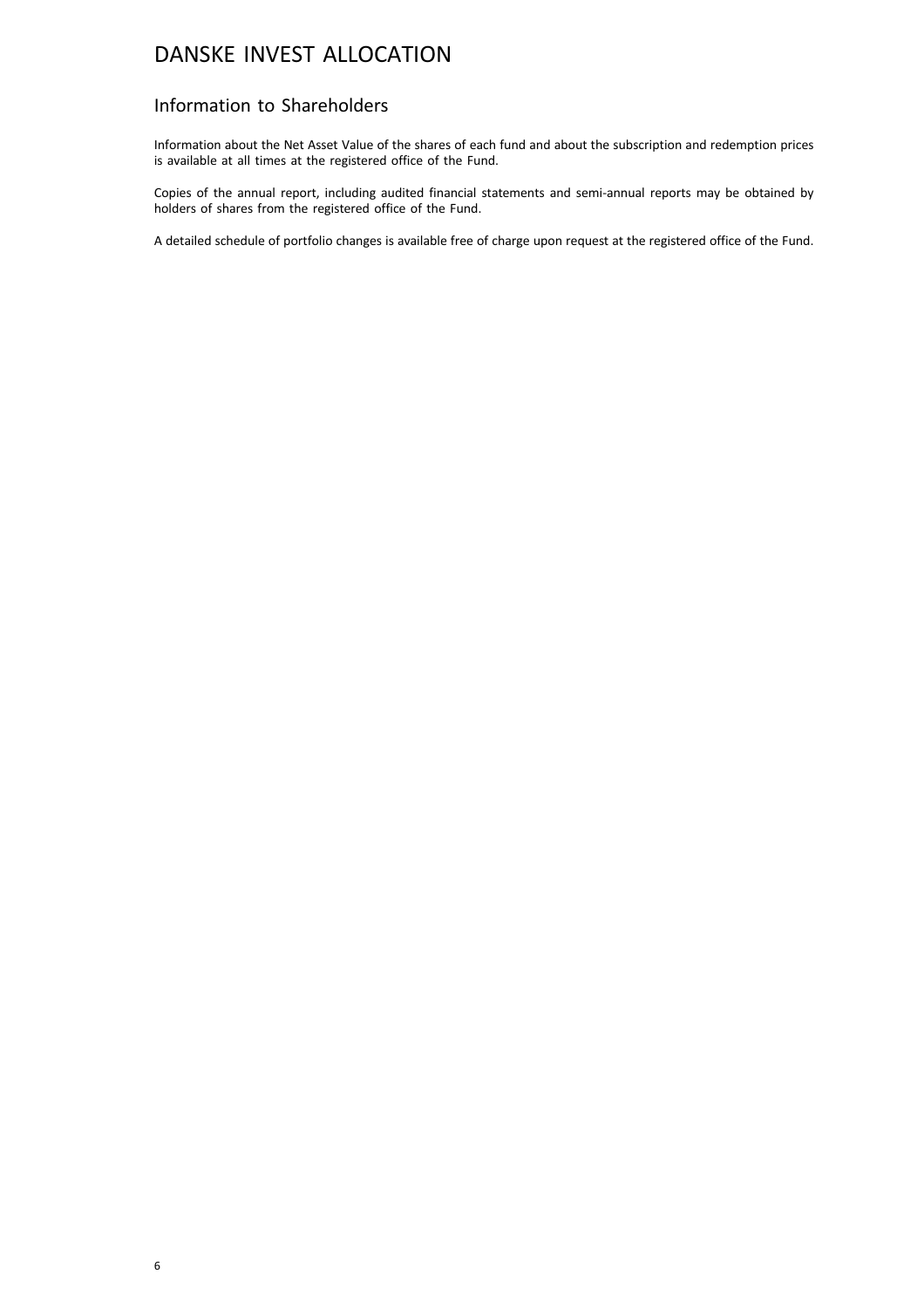### Information to Shareholders

Information about the Net Asset Value of the shares of each fund and about the subscription and redemption prices is available at all times at the registered office of the Fund.

Copies of the annual report, including audited financial statements and semi-annual reports may be obtained by holders of shares from the registered office of the Fund.

A detailed schedule of portfolio changes is available free of charge upon request at the registered office of the Fund.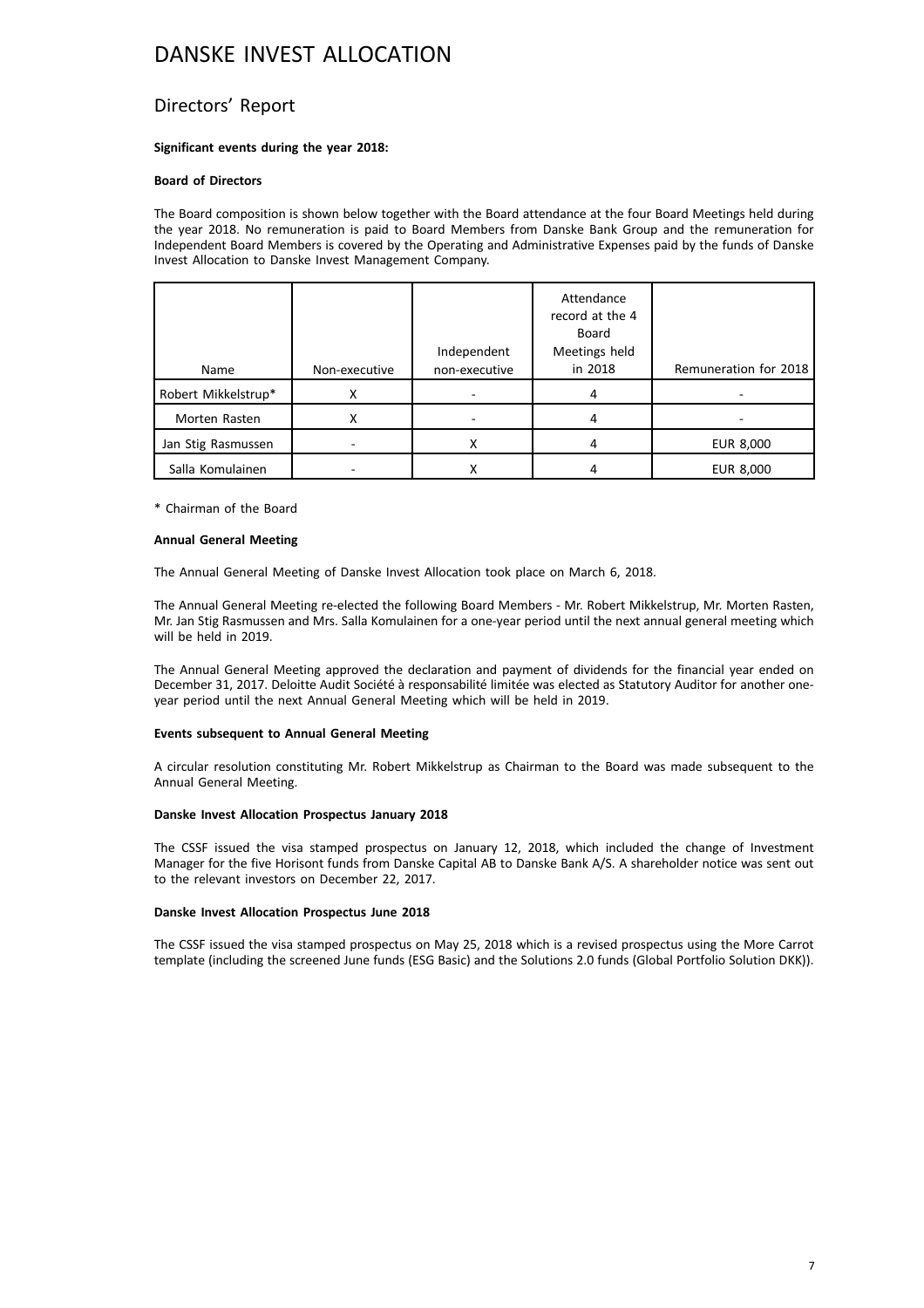### Directors' Report

#### **Significant events during the year 2018:**

#### **Board of Directors**

The Board composition is shown below together with the Board attendance at the four Board Meetings held during the year 2018. No remuneration is paid to Board Members from Danske Bank Group and the remuneration for Independent Board Members is covered by the Operating and Administrative Expenses paid by the funds of Danske Invest Allocation to Danske Invest Management Company.

|                     |               | Independent   | Attendance<br>record at the 4<br>Board<br>Meetings held |                       |
|---------------------|---------------|---------------|---------------------------------------------------------|-----------------------|
| Name                | Non-executive | non-executive | in 2018                                                 | Remuneration for 2018 |
| Robert Mikkelstrup* | Χ             |               | 4                                                       |                       |
| Morten Rasten       | x             |               | 4                                                       |                       |
| Jan Stig Rasmussen  |               | х             |                                                         | EUR 8,000             |
| Salla Komulainen    |               | х             |                                                         | EUR 8,000             |

\* Chairman of the Board

#### **Annual General Meeting**

The Annual General Meeting of Danske Invest Allocation took place on March 6, 2018.

The Annual General Meeting re-elected the following Board Members - Mr. Robert Mikkelstrup, Mr. Morten Rasten, Mr. Jan Stig Rasmussen and Mrs. Salla Komulainen for a one-year period until the next annual general meeting which will be held in 2019.

The Annual General Meeting approved the declaration and payment of dividends for the financial year ended on December 31, 2017. Deloitte Audit Société à responsabilité limitée was elected as Statutory Auditor for another oneyear period until the next Annual General Meeting which will be held in 2019.

#### **Events subsequent to Annual General Meeting**

A circular resolution constituting Mr. Robert Mikkelstrup as Chairman to the Board was made subsequent to the Annual General Meeting.

#### **Danske Invest Allocation Prospectus January 2018**

The CSSF issued the visa stamped prospectus on January 12, 2018, which included the change of Investment Manager for the five Horisont funds from Danske Capital AB to Danske Bank A/S. A shareholder notice was sent out to the relevant investors on December 22, 2017.

#### **Danske Invest Allocation Prospectus June 2018**

The CSSF issued the visa stamped prospectus on May 25, 2018 which is a revised prospectus using the More Carrot template (including the screened June funds (ESG Basic) and the Solutions 2.0 funds (Global Portfolio Solution DKK)).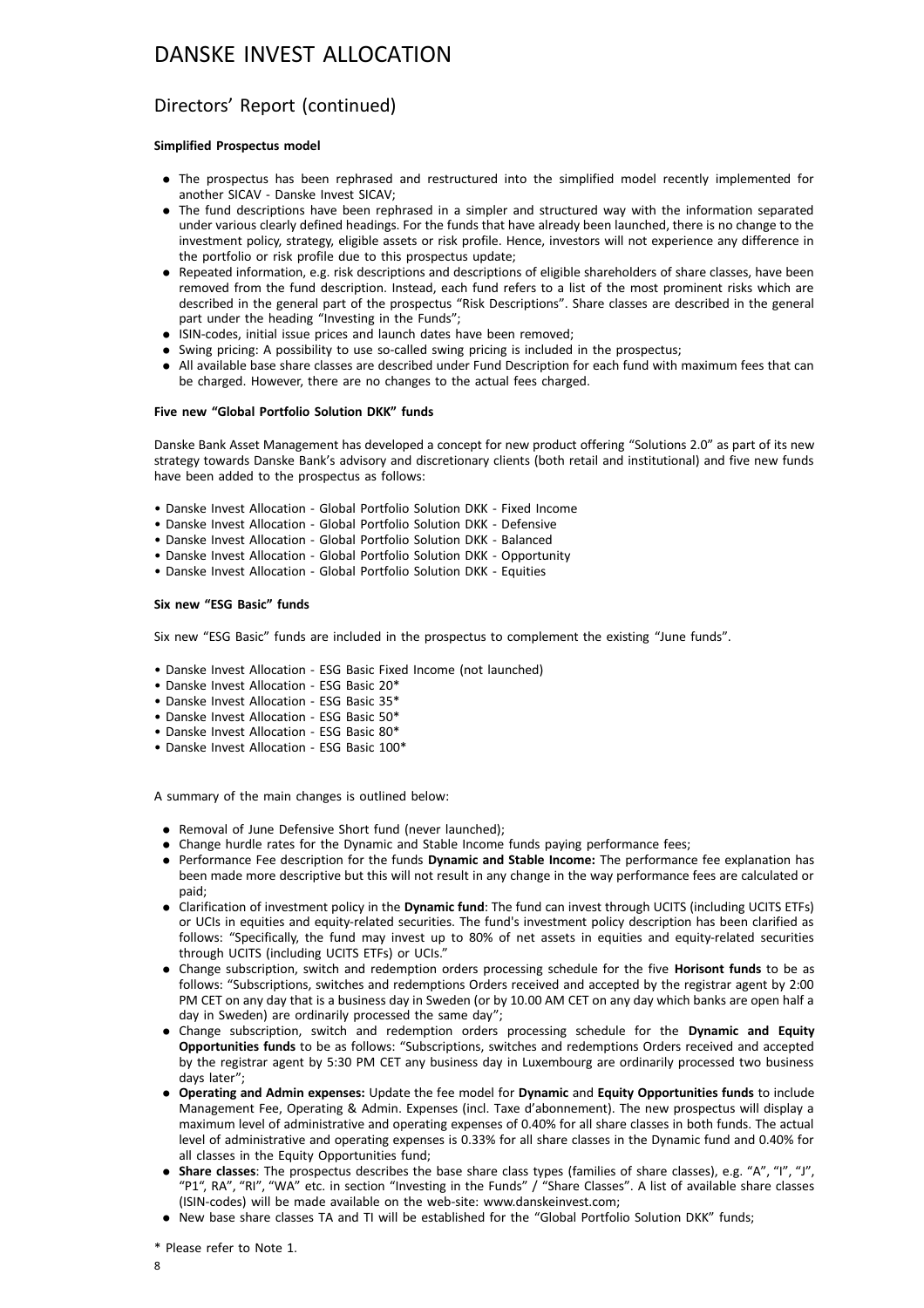### Directors' Report (continued)

#### **Simplified Prospectus model**

- . The prospectus has been rephrased and restructured into the simplified model recently implemented for another SICAV - Danske Invest SICAV;
- . The fund descriptions have been rephrased in a simpler and structured way with the information separated under various clearly defined headings. For the funds that have already been launched, there is no change to the investment policy, strategy, eligible assets or risk profile. Hence, investors will not experience any difference in the portfolio or risk profile due to this prospectus update;
- . Repeated information, e.g. risk descriptions and descriptions of eligible shareholders of share classes, have been removed from the fund description. Instead, each fund refers to a list of the most prominent risks which are described in the general part of the prospectus "Risk Descriptions". Share classes are described in the general part under the heading "Investing in the Funds";
- . ISIN-codes, initial issue prices and launch dates have been removed;
- . Swing pricing: A possibility to use so-called swing pricing is included in the prospectus;
- . All available base share classes are described under Fund Description for each fund with maximum fees that can be charged. However, there are no changes to the actual fees charged.

#### **Five new "Global Portfolio Solution DKK" funds**

Danske Bank Asset Management has developed a concept for new product offering "Solutions 2.0" as part of its new strategy towards Danske Bank's advisory and discretionary clients (both retail and institutional) and five new funds have been added to the prospectus as follows:

- Danske Invest Allocation Global Portfolio Solution DKK Fixed Income
- Danske Invest Allocation Global Portfolio Solution DKK Defensive
- Danske Invest Allocation Global Portfolio Solution DKK Balanced
- Danske Invest Allocation Global Portfolio Solution DKK Opportunity
- Danske Invest Allocation Global Portfolio Solution DKK Equities

#### **Six new "ESG Basic" funds**

Six new "ESG Basic" funds are included in the prospectus to complement the existing "June funds".

- Danske Invest Allocation ESG Basic Fixed Income (not launched)
- Danske Invest Allocation ESG Basic 20\*
- Danske Invest Allocation ESG Basic 35\*
- Danske Invest Allocation ESG Basic 50\*
- Danske Invest Allocation ESG Basic 80\*
- Danske Invest Allocation ESG Basic 100\*

A summary of the main changes is outlined below:

- . Removal of June Defensive Short fund (never launched);
- . Change hurdle rates for the Dynamic and Stable Income funds paying performance fees;
- . Performance Fee description for the funds **Dynamic and Stable Income:** The performance fee explanation has been made more descriptive but this will not result in any change in the way performance fees are calculated or paid;
- . Clarification of investment policy in the **Dynamic fund**: The fund can invest through UCITS (including UCITS ETFs) or UCIs in equities and equity-related securities. The fund's investment policy description has been clarified as follows: "Specifically, the fund may invest up to 80% of net assets in equities and equity-related securities through UCITS (including UCITS ETFs) or UCIs."
- . Change subscription, switch and redemption orders processing schedule for the five **Horisont funds** to be as follows: "Subscriptions, switches and redemptions Orders received and accepted by the registrar agent by 2:00 PM CET on any day that is a business day in Sweden (or by 10.00 AM CET on any day which banks are open half a day in Sweden) are ordinarily processed the same day";
- . Change subscription, switch and redemption orders processing schedule for the **Dynamic and Equity Opportunities funds** to be as follows: "Subscriptions, switches and redemptions Orders received and accepted by the registrar agent by 5:30 PM CET any business day in Luxembourg are ordinarily processed two business days later";
- . **Operating and Admin expenses:** Update the fee model for **Dynamic** and **Equity Opportunities funds** to include Management Fee, Operating & Admin. Expenses (incl. Taxe d'abonnement). The new prospectus will display a maximum level of administrative and operating expenses of 0.40% for all share classes in both funds. The actual level of administrative and operating expenses is 0.33% for all share classes in the Dynamic fund and 0.40% for all classes in the Equity Opportunities fund;
- . **Share classes**: The prospectus describes the base share class types (families of share classes), e.g. "A", "I", "J", "P1", RA", "RI", "WA" etc. in section "Investing in the Funds" / "Share Classes". A list of available share classes (ISIN-codes) will be made available on the web-site: www.danskeinvest.com;
- . New base share classes TA and TI will be established for the "Global Portfolio Solution DKK" funds;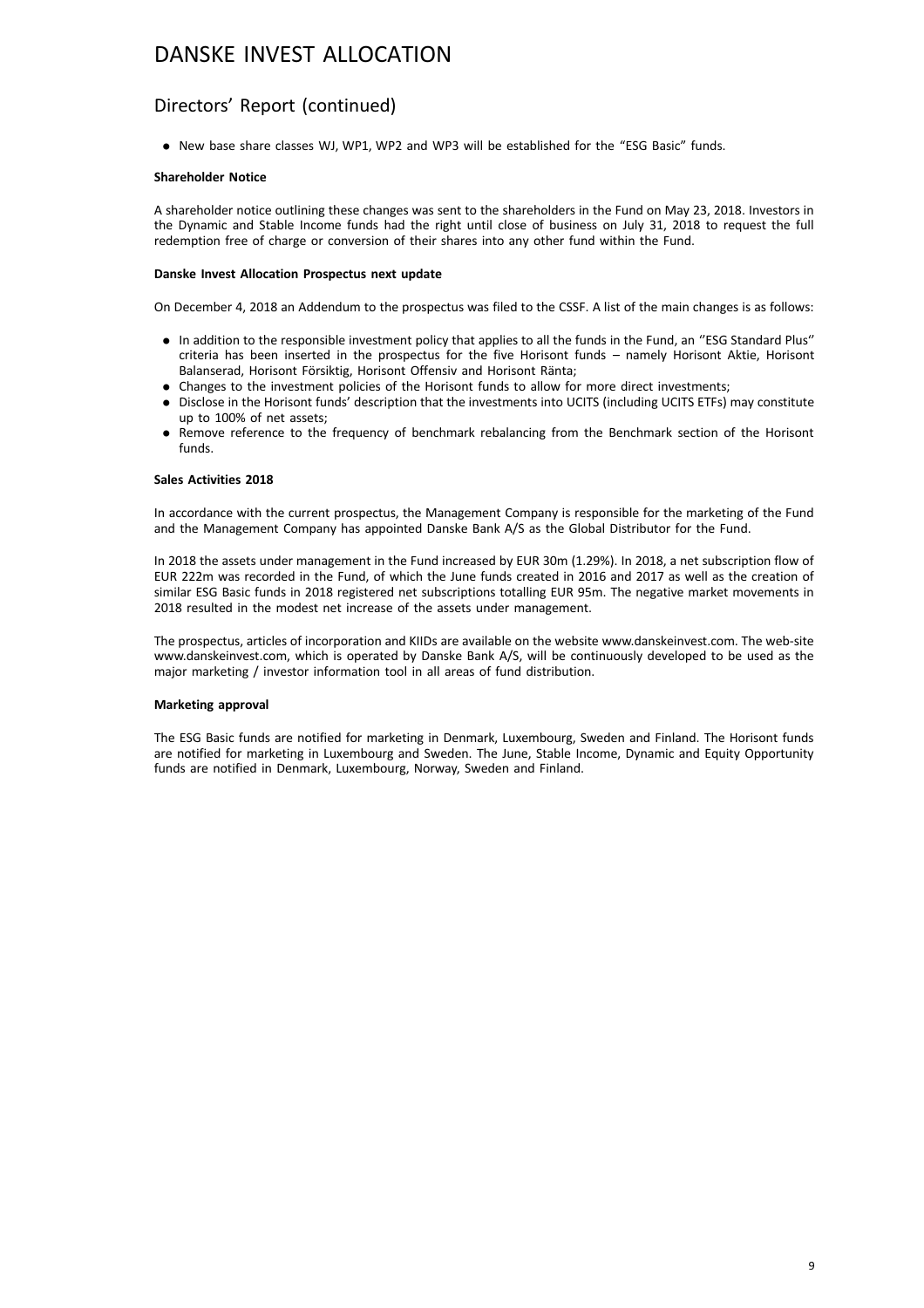### Directors' Report (continued)

. New base share classes WJ, WP1, WP2 and WP3 will be established for the "ESG Basic" funds.

#### **Shareholder Notice**

A shareholder notice outlining these changes was sent to the shareholders in the Fund on May 23, 2018. Investors in the Dynamic and Stable Income funds had the right until close of business on July 31, 2018 to request the full redemption free of charge or conversion of their shares into any other fund within the Fund.

#### **Danske Invest Allocation Prospectus next update**

On December 4, 2018 an Addendum to the prospectus was filed to the CSSF. A list of the main changes is as follows:

- . In addition to the responsible investment policy that applies to all the funds in the Fund, an ''ESG Standard Plus'' criteria has been inserted in the prospectus for the five Horisont funds – namely Horisont Aktie, Horisont Balanserad, Horisont Försiktig, Horisont Offensiv and Horisont Ränta;
- . Changes to the investment policies of the Horisont funds to allow for more direct investments;
- . Disclose in the Horisont funds' description that the investments into UCITS (including UCITS ETFs) may constitute up to 100% of net assets;
- . Remove reference to the frequency of benchmark rebalancing from the Benchmark section of the Horisont funds.

#### **Sales Activities 2018**

In accordance with the current prospectus, the Management Company is responsible for the marketing of the Fund and the Management Company has appointed Danske Bank A/S as the Global Distributor for the Fund.

In 2018 the assets under management in the Fund increased by EUR 30m (1.29%). In 2018, a net subscription flow of EUR 222m was recorded in the Fund, of which the June funds created in 2016 and 2017 as well as the creation of similar ESG Basic funds in 2018 registered net subscriptions totalling EUR 95m. The negative market movements in 2018 resulted in the modest net increase of the assets under management.

The prospectus, articles of incorporation and KIIDs are available on the website www.danskeinvest.com. The web-site www.danskeinvest.com, which is operated by Danske Bank A/S, will be continuously developed to be used as the major marketing / investor information tool in all areas of fund distribution.

#### **Marketing approval**

The ESG Basic funds are notified for marketing in Denmark, Luxembourg, Sweden and Finland. The Horisont funds are notified for marketing in Luxembourg and Sweden. The June, Stable Income, Dynamic and Equity Opportunity funds are notified in Denmark, Luxembourg, Norway, Sweden and Finland.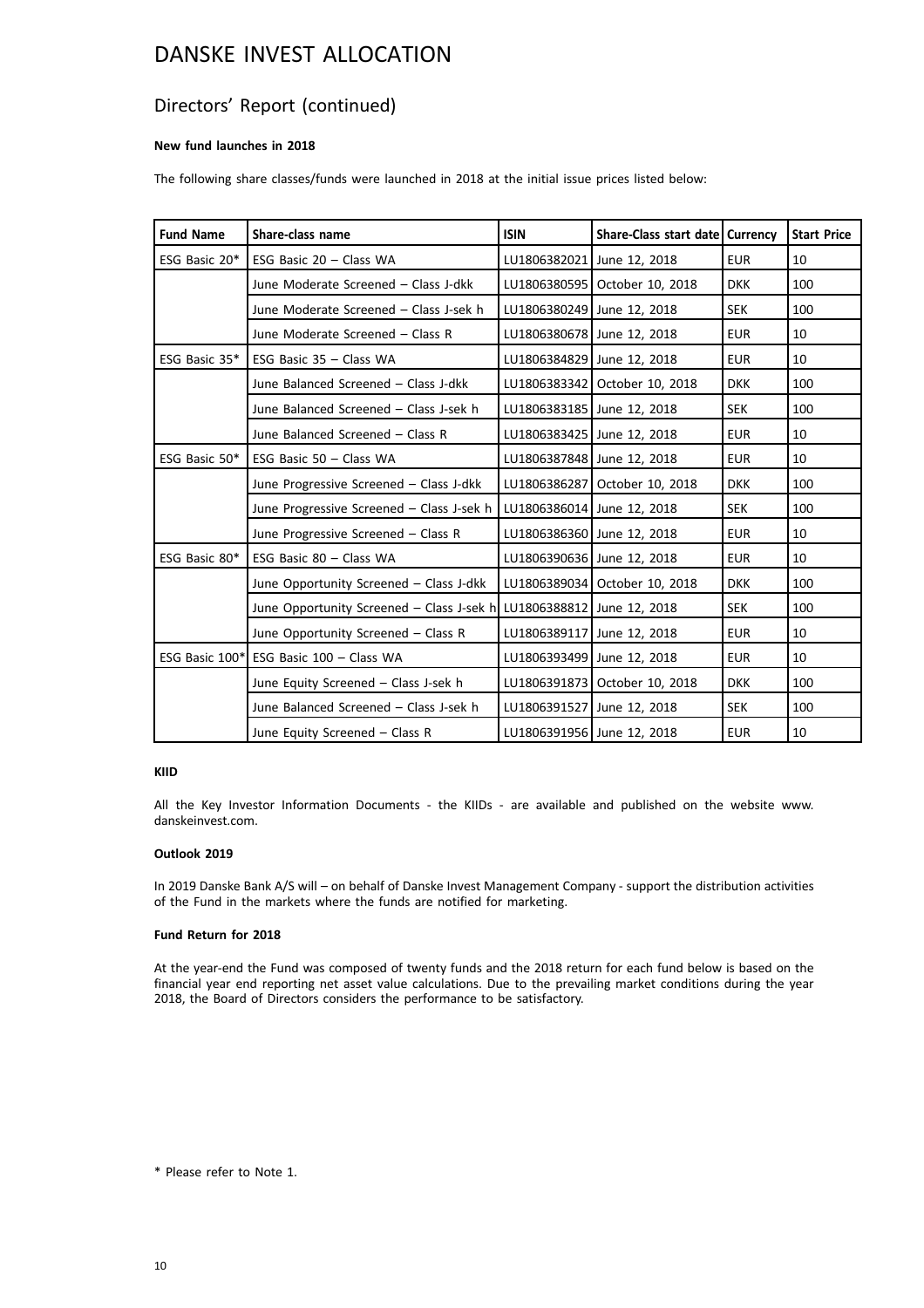### Directors' Report (continued)

#### **New fund launches in 2018**

The following share classes/funds were launched in 2018 at the initial issue prices listed below:

| <b>Fund Name</b> | Share-class name                                                     | <b>ISIN</b>                | Share-Class start date   Currency |            | <b>Start Price</b> |
|------------------|----------------------------------------------------------------------|----------------------------|-----------------------------------|------------|--------------------|
| ESG Basic 20*    | ESG Basic $20 - Class WA$                                            | LU1806382021 June 12, 2018 |                                   | <b>EUR</b> | 10                 |
|                  | June Moderate Screened - Class J-dkk                                 |                            | LU1806380595   October 10, 2018   | <b>DKK</b> | 100                |
|                  | June Moderate Screened - Class J-sek h                               | LU1806380249 June 12, 2018 |                                   | <b>SEK</b> | 100                |
|                  | June Moderate Screened - Class R                                     | LU1806380678 June 12, 2018 |                                   | <b>EUR</b> | 10                 |
| ESG Basic 35*    | ESG Basic $35 - Class WA$                                            | LU1806384829 June 12, 2018 |                                   | <b>EUR</b> | 10                 |
|                  | June Balanced Screened - Class J-dkk                                 |                            | LU1806383342   October 10, 2018   | <b>DKK</b> | 100                |
|                  | June Balanced Screened - Class J-sek h                               | LU1806383185 June 12, 2018 |                                   | <b>SEK</b> | 100                |
|                  | June Balanced Screened - Class R                                     |                            | LU1806383425 June 12, 2018        | <b>EUR</b> | 10                 |
| ESG Basic 50*    | ESG Basic $50 - Class WA$                                            | LU1806387848 June 12, 2018 |                                   | <b>EUR</b> | 10                 |
|                  | June Progressive Screened - Class J-dkk                              |                            | LU1806386287   October 10, 2018   | <b>DKK</b> | 100                |
|                  | June Progressive Screened - Class J-sek h                            | LU1806386014 June 12, 2018 |                                   | <b>SEK</b> | 100                |
|                  | June Progressive Screened - Class R                                  | LU1806386360 June 12, 2018 |                                   | <b>EUR</b> | 10                 |
| ESG Basic 80*    | ESG Basic 80 - Class WA                                              | LU1806390636 June 12, 2018 |                                   | <b>EUR</b> | 10                 |
|                  | June Opportunity Screened - Class J-dkk                              |                            | LU1806389034 October 10, 2018     | <b>DKK</b> | 100                |
|                  | June Opportunity Screened – Class J-sek h LU1806388812 June 12, 2018 |                            |                                   | <b>SEK</b> | 100                |
|                  | June Opportunity Screened - Class R                                  |                            | LU1806389117 June 12, 2018        | <b>EUR</b> | 10                 |
|                  | ESG Basic 100* ESG Basic 100 - Class WA                              | LU1806393499 June 12, 2018 |                                   | <b>EUR</b> | 10                 |
|                  | June Equity Screened - Class J-sek h                                 |                            | LU1806391873   October 10, 2018   | <b>DKK</b> | 100                |
|                  | June Balanced Screened - Class J-sek h                               | LU1806391527 June 12, 2018 |                                   | <b>SEK</b> | 100                |
|                  | June Equity Screened - Class R                                       | LU1806391956 June 12, 2018 |                                   | <b>EUR</b> | 10                 |

#### **KIID**

All the Key Investor Information Documents - the KIIDs - are available and published on the website www. danskeinvest.com.

#### **Outlook 2019**

In 2019 Danske Bank A/S will – on behalf of Danske Invest Management Company - support the distribution activities of the Fund in the markets where the funds are notified for marketing.

#### **Fund Return for 2018**

At the year-end the Fund was composed of twenty funds and the 2018 return for each fund below is based on the financial year end reporting net asset value calculations. Due to the prevailing market conditions during the year 2018, the Board of Directors considers the performance to be satisfactory.

\* Please refer to Note 1.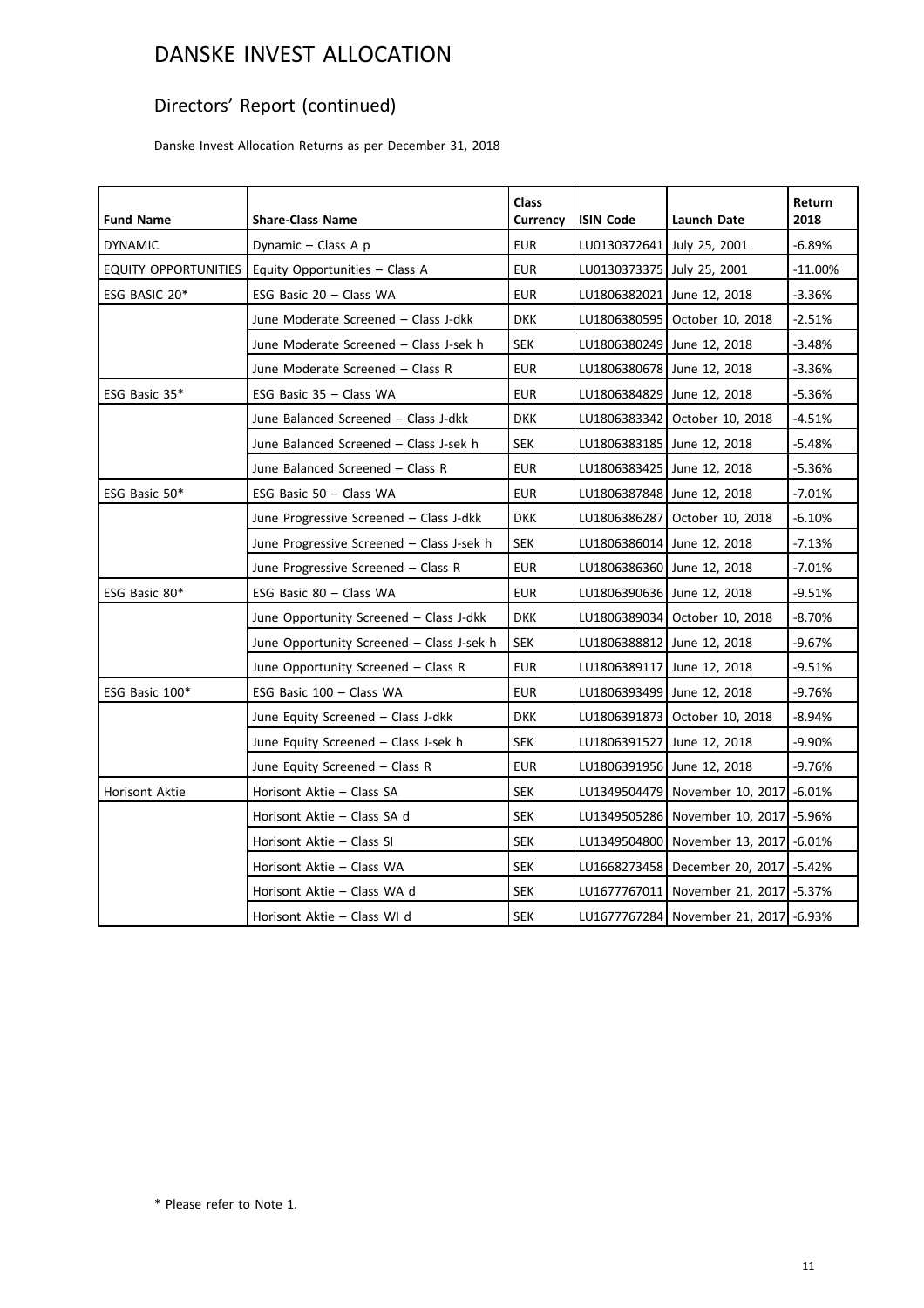## Directors' Report (continued)

Danske Invest Allocation Returns as per December 31, 2018

| <b>Fund Name</b>     | <b>Share-Class Name</b>                   | <b>Class</b><br><b>Currency</b> | <b>ISIN Code</b>           | <b>Launch Date</b>                        | Return<br>2018 |
|----------------------|-------------------------------------------|---------------------------------|----------------------------|-------------------------------------------|----------------|
| <b>DYNAMIC</b>       | Dynamic - Class A p                       | <b>EUR</b>                      | LU0130372641 July 25, 2001 |                                           | $-6.89%$       |
| EQUITY OPPORTUNITIES | Equity Opportunities - Class A            | <b>EUR</b>                      | LU0130373375 July 25, 2001 |                                           | $-11.00\%$     |
| ESG BASIC 20*        | ESG Basic 20 - Class WA                   | <b>EUR</b>                      |                            | LU1806382021 June 12, 2018                | $-3.36%$       |
|                      | June Moderate Screened - Class J-dkk      | <b>DKK</b>                      |                            | LU1806380595   October 10, 2018           | -2.51%         |
|                      | June Moderate Screened - Class J-sek h    | <b>SEK</b>                      | LU1806380249 June 12, 2018 |                                           | -3.48%         |
|                      | June Moderate Screened - Class R          | <b>EUR</b>                      | LU1806380678 June 12, 2018 |                                           | $-3.36%$       |
| ESG Basic 35*        | ESG Basic 35 - Class WA                   | <b>EUR</b>                      |                            | LU1806384829 June 12, 2018                | -5.36%         |
|                      | June Balanced Screened - Class J-dkk      | <b>DKK</b>                      |                            | LU1806383342   October 10, 2018           | $-4.51%$       |
|                      | June Balanced Screened - Class J-sek h    | <b>SEK</b>                      | LU1806383185 June 12, 2018 |                                           | $-5.48%$       |
|                      | June Balanced Screened - Class R          | <b>EUR</b>                      | LU1806383425 June 12, 2018 |                                           | $-5.36%$       |
| ESG Basic 50*        | ESG Basic 50 - Class WA                   | <b>EUR</b>                      |                            | LU1806387848 June 12, 2018                | $-7.01%$       |
|                      | June Progressive Screened - Class J-dkk   | <b>DKK</b>                      |                            | LU1806386287   October 10, 2018           | $-6.10%$       |
|                      | June Progressive Screened - Class J-sek h | <b>SEK</b>                      | LU1806386014 June 12, 2018 |                                           | $-7.13%$       |
|                      | June Progressive Screened - Class R       | <b>EUR</b>                      | LU1806386360 June 12, 2018 |                                           | $-7.01%$       |
| ESG Basic 80*        | ESG Basic 80 - Class WA                   | <b>EUR</b>                      |                            | LU1806390636 June 12, 2018                | $-9.51%$       |
|                      | June Opportunity Screened - Class J-dkk   | <b>DKK</b>                      |                            | LU1806389034 October 10, 2018             | $-8.70\%$      |
|                      | June Opportunity Screened - Class J-sek h | <b>SEK</b>                      |                            | LU1806388812   June 12, 2018              | $-9.67%$       |
|                      | June Opportunity Screened - Class R       | <b>EUR</b>                      | LU1806389117 June 12, 2018 |                                           | $-9.51%$       |
| ESG Basic 100*       | ESG Basic 100 - Class WA                  | <b>EUR</b>                      |                            | LU1806393499 June 12, 2018                | -9.76%         |
|                      | June Equity Screened - Class J-dkk        | <b>DKK</b>                      |                            | LU1806391873   October 10, 2018           | $-8.94\%$      |
|                      | June Equity Screened - Class J-sek h      | <b>SEK</b>                      |                            | LU1806391527 June 12, 2018                | -9.90%         |
|                      | June Equity Screened - Class R            | <b>EUR</b>                      | LU1806391956 June 12, 2018 |                                           | $-9.76%$       |
| Horisont Aktie       | Horisont Aktie - Class SA                 | <b>SEK</b>                      |                            | LU1349504479   November 10, 2017  -6.01%  |                |
|                      | Horisont Aktie - Class SA d               | <b>SEK</b>                      |                            | LU1349505286   November 10, 2017  -5.96%  |                |
|                      | Horisont Aktie - Class SI                 | <b>SEK</b>                      |                            | LU1349504800   November 13, 2017          | $-6.01%$       |
|                      | Horisont Aktie - Class WA                 | <b>SEK</b>                      |                            | LU1668273458   December 20, 2017   -5.42% |                |
|                      | Horisont Aktie - Class WA d               | <b>SEK</b>                      | LU1677767011               | November 21, 2017 - 5.37%                 |                |
|                      | Horisont Aktie - Class WI d               | <b>SEK</b>                      |                            | LU1677767284 November 21, 2017 - 6.93%    |                |

\* Please refer to Note 1.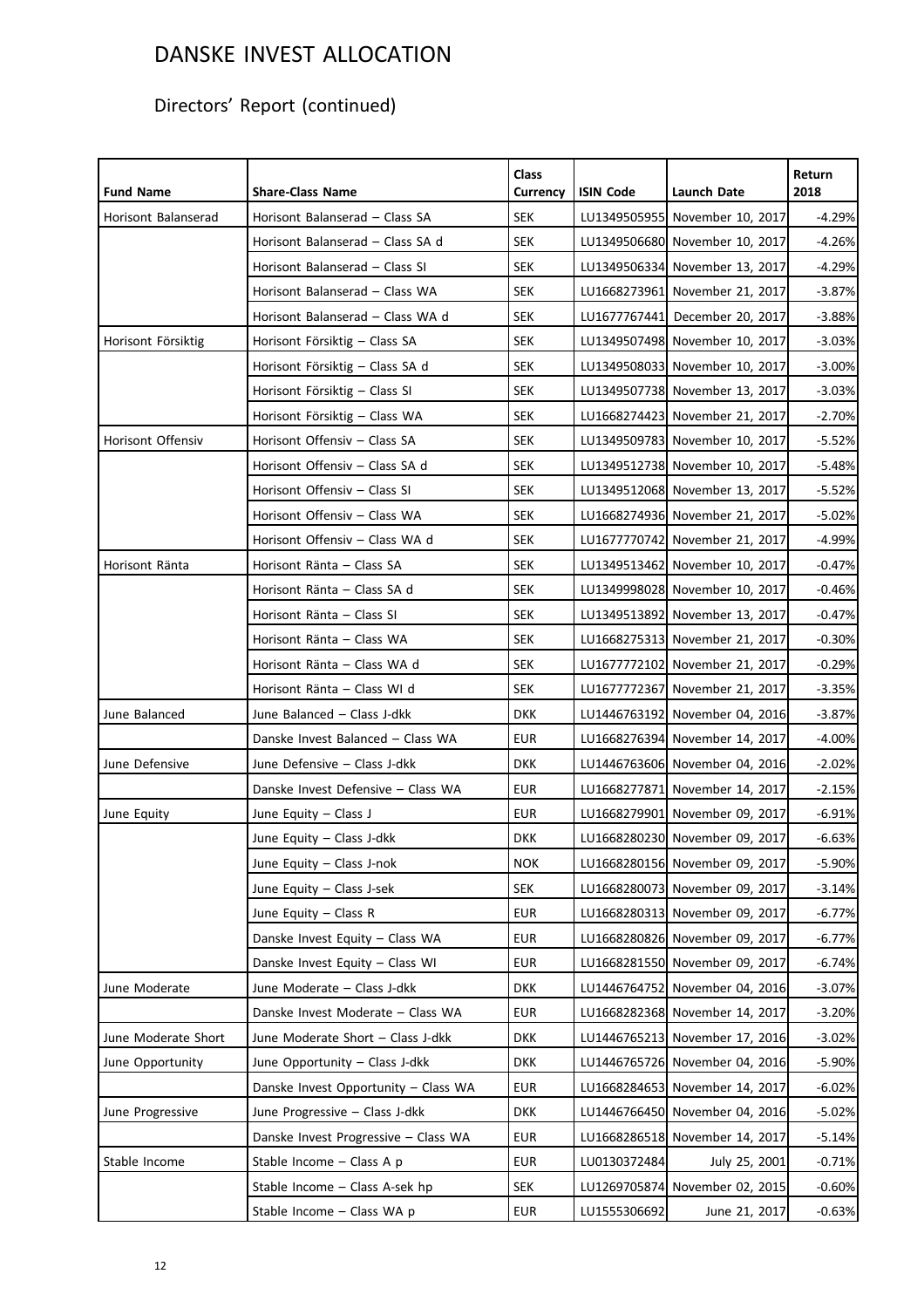## Directors' Report (continued)

| <b>Fund Name</b>    | <b>Share-Class Name</b>              | <b>Class</b><br>Currency | <b>ISIN Code</b> | <b>Launch Date</b>             | Return<br>2018 |
|---------------------|--------------------------------------|--------------------------|------------------|--------------------------------|----------------|
| Horisont Balanserad | Horisont Balanserad - Class SA       | <b>SEK</b>               |                  | LU1349505955 November 10, 2017 | $-4.29%$       |
|                     | Horisont Balanserad - Class SA d     | <b>SEK</b>               |                  | LU1349506680 November 10, 2017 | $-4.26%$       |
|                     | Horisont Balanserad - Class SI       | <b>SEK</b>               |                  | LU1349506334 November 13, 2017 | $-4.29%$       |
|                     | Horisont Balanserad - Class WA       | <b>SEK</b>               |                  | LU1668273961 November 21, 2017 | $-3.87%$       |
|                     | Horisont Balanserad - Class WA d     | SEK                      |                  | LU1677767441 December 20, 2017 | $-3.88%$       |
| Horisont Försiktig  | Horisont Försiktig - Class SA        | <b>SEK</b>               |                  | LU1349507498 November 10, 2017 | $-3.03%$       |
|                     | Horisont Försiktig – Class SA d      | SEK                      |                  | LU1349508033 November 10, 2017 | $-3.00%$       |
|                     | Horisont Försiktig - Class SI        | SEK                      |                  | LU1349507738 November 13, 2017 | $-3.03%$       |
|                     | Horisont Försiktig - Class WA        | <b>SEK</b>               |                  | LU1668274423 November 21, 2017 | $-2.70%$       |
| Horisont Offensiv   | Horisont Offensiv - Class SA         | <b>SEK</b>               |                  | LU1349509783 November 10, 2017 | $-5.52%$       |
|                     | Horisont Offensiv - Class SA d       | <b>SEK</b>               |                  | LU1349512738 November 10, 2017 | $-5.48%$       |
|                     | Horisont Offensiv - Class SI         | <b>SEK</b>               |                  | LU1349512068 November 13, 2017 | $-5.52%$       |
|                     | Horisont Offensiv - Class WA         | <b>SEK</b>               |                  | LU1668274936 November 21, 2017 | $-5.02%$       |
|                     | Horisont Offensiv - Class WA d       | SEK                      |                  | LU1677770742 November 21, 2017 | $-4.99%$       |
| Horisont Ränta      | Horisont Ränta - Class SA            | <b>SEK</b>               |                  | LU1349513462 November 10, 2017 | $-0.47%$       |
|                     | Horisont Ränta - Class SA d          | <b>SEK</b>               |                  | LU1349998028 November 10, 2017 | $-0.46%$       |
|                     | Horisont Ränta - Class SI            | SEK                      |                  | LU1349513892 November 13, 2017 | $-0.47%$       |
|                     | Horisont Ränta - Class WA            | <b>SEK</b>               |                  | LU1668275313 November 21, 2017 | $-0.30%$       |
|                     | Horisont Ränta - Class WA d          | <b>SEK</b>               |                  | LU1677772102 November 21, 2017 | $-0.29%$       |
|                     | Horisont Ränta - Class WI d          | SEK                      |                  | LU1677772367 November 21, 2017 | $-3.35%$       |
| June Balanced       | June Balanced - Class J-dkk          | <b>DKK</b>               |                  | LU1446763192 November 04, 2016 | $-3.87%$       |
|                     | Danske Invest Balanced - Class WA    | <b>EUR</b>               |                  | LU1668276394 November 14, 2017 | $-4.00%$       |
| June Defensive      | June Defensive - Class J-dkk         | DKK                      |                  | LU1446763606 November 04, 2016 | $-2.02%$       |
|                     | Danske Invest Defensive - Class WA   | <b>EUR</b>               |                  | LU1668277871 November 14, 2017 | $-2.15%$       |
| June Equity         | June Equity - Class J                | <b>EUR</b>               |                  | LU1668279901 November 09, 2017 | $-6.91%$       |
|                     | June Equity - Class J-dkk            | <b>DKK</b>               |                  | LU1668280230 November 09, 2017 | $-6.63%$       |
|                     | June Equity - Class J-nok            | <b>NOK</b>               |                  | LU1668280156 November 09, 2017 | $-5.90%$       |
|                     | June Equity - Class J-sek            | <b>SEK</b>               |                  | LU1668280073 November 09, 2017 | $-3.14%$       |
|                     | June Equity - Class R                | <b>EUR</b>               |                  | LU1668280313 November 09, 2017 | -6.77%         |
|                     | Danske Invest Equity - Class WA      | <b>EUR</b>               |                  | LU1668280826 November 09, 2017 | $-6.77%$       |
|                     | Danske Invest Equity - Class WI      | <b>EUR</b>               |                  | LU1668281550 November 09, 2017 | $-6.74%$       |
| June Moderate       | June Moderate - Class J-dkk          | <b>DKK</b>               |                  | LU1446764752 November 04, 2016 | $-3.07%$       |
|                     | Danske Invest Moderate - Class WA    | <b>EUR</b>               |                  | LU1668282368 November 14, 2017 | $-3.20%$       |
| June Moderate Short | June Moderate Short - Class J-dkk    | <b>DKK</b>               |                  | LU1446765213 November 17, 2016 | $-3.02%$       |
| June Opportunity    | June Opportunity - Class J-dkk       | <b>DKK</b>               |                  | LU1446765726 November 04, 2016 | $-5.90\%$      |
|                     | Danske Invest Opportunity - Class WA | <b>EUR</b>               |                  | LU1668284653 November 14, 2017 | $-6.02%$       |
| June Progressive    | June Progressive - Class J-dkk       | <b>DKK</b>               |                  | LU1446766450 November 04, 2016 | $-5.02%$       |
|                     | Danske Invest Progressive - Class WA | <b>EUR</b>               |                  | LU1668286518 November 14, 2017 | -5.14%         |
| Stable Income       | Stable Income - Class A p            | <b>EUR</b>               | LU0130372484     | July 25, 2001                  | $-0.71%$       |
|                     | Stable Income - Class A-sek hp       | <b>SEK</b>               |                  | LU1269705874 November 02, 2015 | $-0.60%$       |
|                     | Stable Income - Class WA p           | <b>EUR</b>               | LU1555306692     | June 21, 2017                  | $-0.63%$       |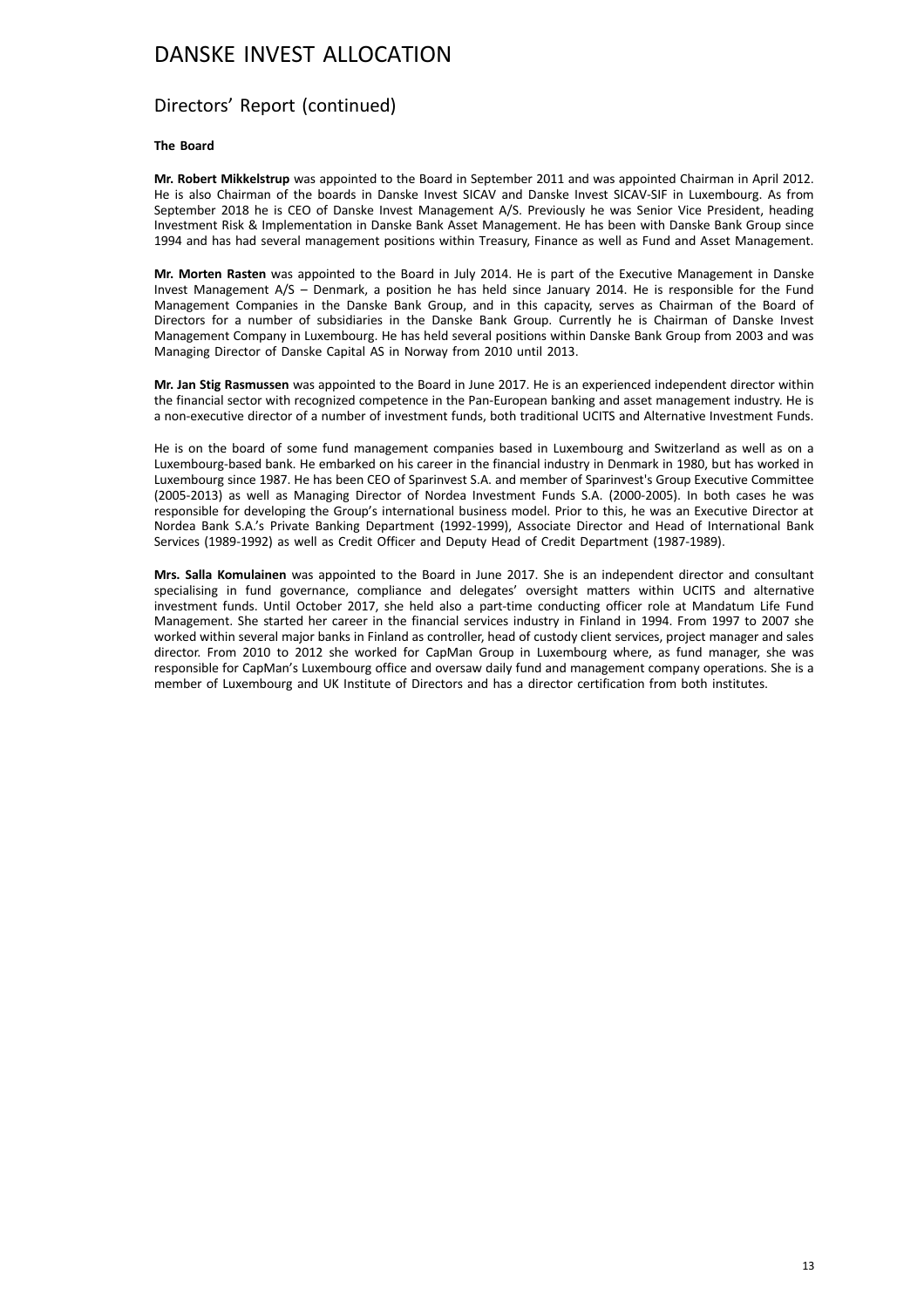### Directors' Report (continued)

#### **The Board**

**Mr. Robert Mikkelstrup** was appointed to the Board in September 2011 and was appointed Chairman in April 2012. He is also Chairman of the boards in Danske Invest SICAV and Danske Invest SICAV-SIF in Luxembourg. As from September 2018 he is CEO of Danske Invest Management A/S. Previously he was Senior Vice President, heading Investment Risk & Implementation in Danske Bank Asset Management. He has been with Danske Bank Group since 1994 and has had several management positions within Treasury, Finance as well as Fund and Asset Management.

**Mr. Morten Rasten** was appointed to the Board in July 2014. He is part of the Executive Management in Danske Invest Management A/S – Denmark, a position he has held since January 2014. He is responsible for the Fund Management Companies in the Danske Bank Group, and in this capacity, serves as Chairman of the Board of Directors for a number of subsidiaries in the Danske Bank Group. Currently he is Chairman of Danske Invest Management Company in Luxembourg. He has held several positions within Danske Bank Group from 2003 and was Managing Director of Danske Capital AS in Norway from 2010 until 2013.

**Mr. Jan Stig Rasmussen** was appointed to the Board in June 2017. He is an experienced independent director within the financial sector with recognized competence in the Pan-European banking and asset management industry. He is a non-executive director of a number of investment funds, both traditional UCITS and Alternative Investment Funds.

He is on the board of some fund management companies based in Luxembourg and Switzerland as well as on a Luxembourg-based bank. He embarked on his career in the financial industry in Denmark in 1980, but has worked in Luxembourg since 1987. He has been CEO of Sparinvest S.A. and member of Sparinvest's Group Executive Committee (2005-2013) as well as Managing Director of Nordea Investment Funds S.A. (2000-2005). In both cases he was responsible for developing the Group's international business model. Prior to this, he was an Executive Director at Nordea Bank S.A.'s Private Banking Department (1992-1999), Associate Director and Head of International Bank Services (1989-1992) as well as Credit Officer and Deputy Head of Credit Department (1987-1989).

**Mrs. Salla Komulainen** was appointed to the Board in June 2017. She is an independent director and consultant specialising in fund governance, compliance and delegates' oversight matters within UCITS and alternative investment funds. Until October 2017, she held also a part-time conducting officer role at Mandatum Life Fund Management. She started her career in the financial services industry in Finland in 1994. From 1997 to 2007 she worked within several major banks in Finland as controller, head of custody client services, project manager and sales director. From 2010 to 2012 she worked for CapMan Group in Luxembourg where, as fund manager, she was responsible for CapMan's Luxembourg office and oversaw daily fund and management company operations. She is a member of Luxembourg and UK Institute of Directors and has a director certification from both institutes.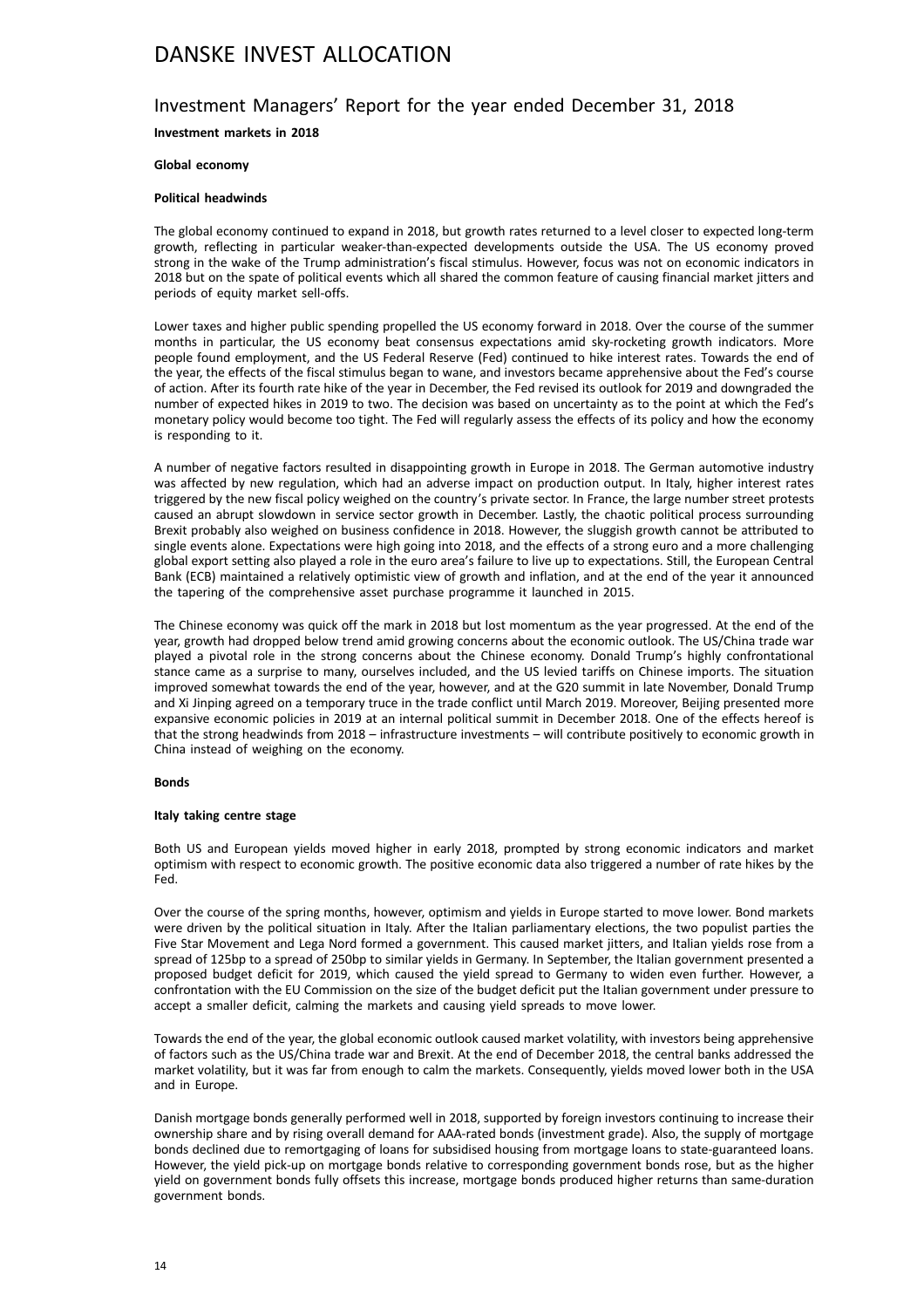## Investment Managers' Report for the year ended December 31, 2018

**Investment markets in 2018**

#### **Global economy**

#### **Political headwinds**

The global economy continued to expand in 2018, but growth rates returned to a level closer to expected long-term growth, reflecting in particular weaker-than-expected developments outside the USA. The US economy proved strong in the wake of the Trump administration's fiscal stimulus. However, focus was not on economic indicators in 2018 but on the spate of political events which all shared the common feature of causing financial market jitters and periods of equity market sell-offs.

Lower taxes and higher public spending propelled the US economy forward in 2018. Over the course of the summer months in particular, the US economy beat consensus expectations amid sky-rocketing growth indicators. More people found employment, and the US Federal Reserve (Fed) continued to hike interest rates. Towards the end of the year, the effects of the fiscal stimulus began to wane, and investors became apprehensive about the Fed's course of action. After its fourth rate hike of the year in December, the Fed revised its outlook for 2019 and downgraded the number of expected hikes in 2019 to two. The decision was based on uncertainty as to the point at which the Fed's monetary policy would become too tight. The Fed will regularly assess the effects of its policy and how the economy is responding to it.

A number of negative factors resulted in disappointing growth in Europe in 2018. The German automotive industry was affected by new regulation, which had an adverse impact on production output. In Italy, higher interest rates triggered by the new fiscal policy weighed on the country's private sector. In France, the large number street protests caused an abrupt slowdown in service sector growth in December. Lastly, the chaotic political process surrounding Brexit probably also weighed on business confidence in 2018. However, the sluggish growth cannot be attributed to single events alone. Expectations were high going into 2018, and the effects of a strong euro and a more challenging global export setting also played a role in the euro area's failure to live up to expectations. Still, the European Central Bank (ECB) maintained a relatively optimistic view of growth and inflation, and at the end of the year it announced the tapering of the comprehensive asset purchase programme it launched in 2015.

The Chinese economy was quick off the mark in 2018 but lost momentum as the year progressed. At the end of the year, growth had dropped below trend amid growing concerns about the economic outlook. The US/China trade war played a pivotal role in the strong concerns about the Chinese economy. Donald Trump's highly confrontational stance came as a surprise to many, ourselves included, and the US levied tariffs on Chinese imports. The situation improved somewhat towards the end of the year, however, and at the G20 summit in late November, Donald Trump and Xi Jinping agreed on a temporary truce in the trade conflict until March 2019. Moreover, Beijing presented more expansive economic policies in 2019 at an internal political summit in December 2018. One of the effects hereof is that the strong headwinds from 2018 – infrastructure investments – will contribute positively to economic growth in China instead of weighing on the economy.

#### **Bonds**

#### **Italy taking centre stage**

Both US and European yields moved higher in early 2018, prompted by strong economic indicators and market optimism with respect to economic growth. The positive economic data also triggered a number of rate hikes by the Fed.

Over the course of the spring months, however, optimism and yields in Europe started to move lower. Bond markets were driven by the political situation in Italy. After the Italian parliamentary elections, the two populist parties the Five Star Movement and Lega Nord formed a government. This caused market jitters, and Italian yields rose from a spread of 125bp to a spread of 250bp to similar yields in Germany. In September, the Italian government presented a proposed budget deficit for 2019, which caused the yield spread to Germany to widen even further. However, a confrontation with the EU Commission on the size of the budget deficit put the Italian government under pressure to accept a smaller deficit, calming the markets and causing yield spreads to move lower.

Towards the end of the year, the global economic outlook caused market volatility, with investors being apprehensive of factors such as the US/China trade war and Brexit. At the end of December 2018, the central banks addressed the market volatility, but it was far from enough to calm the markets. Consequently, yields moved lower both in the USA and in Europe.

Danish mortgage bonds generally performed well in 2018, supported by foreign investors continuing to increase their ownership share and by rising overall demand for AAA-rated bonds (investment grade). Also, the supply of mortgage bonds declined due to remortgaging of loans for subsidised housing from mortgage loans to state-guaranteed loans. However, the yield pick-up on mortgage bonds relative to corresponding government bonds rose, but as the higher yield on government bonds fully offsets this increase, mortgage bonds produced higher returns than same-duration government bonds.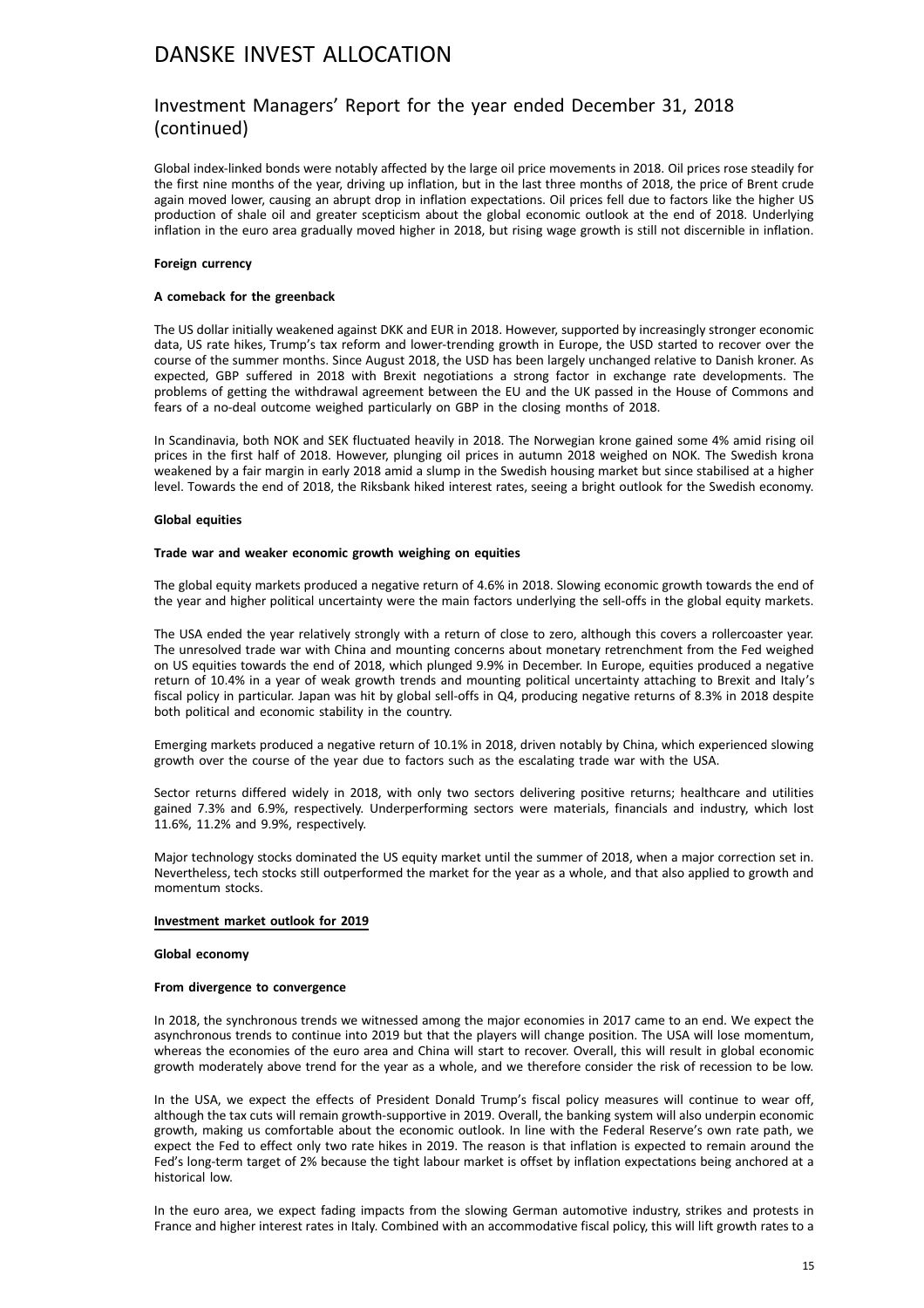### Investment Managers' Report for the year ended December 31, 2018 (continued)

Global index-linked bonds were notably affected by the large oil price movements in 2018. Oil prices rose steadily for the first nine months of the year, driving up inflation, but in the last three months of 2018, the price of Brent crude again moved lower, causing an abrupt drop in inflation expectations. Oil prices fell due to factors like the higher US production of shale oil and greater scepticism about the global economic outlook at the end of 2018. Underlying inflation in the euro area gradually moved higher in 2018, but rising wage growth is still not discernible in inflation.

#### **Foreign currency**

#### **A comeback for the greenback**

The US dollar initially weakened against DKK and EUR in 2018. However, supported by increasingly stronger economic data, US rate hikes, Trump's tax reform and lower-trending growth in Europe, the USD started to recover over the course of the summer months. Since August 2018, the USD has been largely unchanged relative to Danish kroner. As expected, GBP suffered in 2018 with Brexit negotiations a strong factor in exchange rate developments. The problems of getting the withdrawal agreement between the EU and the UK passed in the House of Commons and fears of a no-deal outcome weighed particularly on GBP in the closing months of 2018.

In Scandinavia, both NOK and SEK fluctuated heavily in 2018. The Norwegian krone gained some 4% amid rising oil prices in the first half of 2018. However, plunging oil prices in autumn 2018 weighed on NOK. The Swedish krona weakened by a fair margin in early 2018 amid a slump in the Swedish housing market but since stabilised at a higher level. Towards the end of 2018, the Riksbank hiked interest rates, seeing a bright outlook for the Swedish economy.

#### **Global equities**

#### **Trade war and weaker economic growth weighing on equities**

The global equity markets produced a negative return of 4.6% in 2018. Slowing economic growth towards the end of the year and higher political uncertainty were the main factors underlying the sell-offs in the global equity markets.

The USA ended the year relatively strongly with a return of close to zero, although this covers a rollercoaster year. The unresolved trade war with China and mounting concerns about monetary retrenchment from the Fed weighed on US equities towards the end of 2018, which plunged 9.9% in December. In Europe, equities produced a negative return of 10.4% in a year of weak growth trends and mounting political uncertainty attaching to Brexit and Italy's fiscal policy in particular. Japan was hit by global sell-offs in Q4, producing negative returns of 8.3% in 2018 despite both political and economic stability in the country.

Emerging markets produced a negative return of 10.1% in 2018, driven notably by China, which experienced slowing growth over the course of the year due to factors such as the escalating trade war with the USA.

Sector returns differed widely in 2018, with only two sectors delivering positive returns; healthcare and utilities gained 7.3% and 6.9%, respectively. Underperforming sectors were materials, financials and industry, which lost 11.6%, 11.2% and 9.9%, respectively.

Major technology stocks dominated the US equity market until the summer of 2018, when a major correction set in. Nevertheless, tech stocks still outperformed the market for the year as a whole, and that also applied to growth and momentum stocks.

#### **Investment market outlook for 2019**

#### **Global economy**

#### **From divergence to convergence**

In 2018, the synchronous trends we witnessed among the major economies in 2017 came to an end. We expect the asynchronous trends to continue into 2019 but that the players will change position. The USA will lose momentum, whereas the economies of the euro area and China will start to recover. Overall, this will result in global economic growth moderately above trend for the year as a whole, and we therefore consider the risk of recession to be low.

In the USA, we expect the effects of President Donald Trump's fiscal policy measures will continue to wear off, although the tax cuts will remain growth-supportive in 2019. Overall, the banking system will also underpin economic growth, making us comfortable about the economic outlook. In line with the Federal Reserve's own rate path, we expect the Fed to effect only two rate hikes in 2019. The reason is that inflation is expected to remain around the Fed's long-term target of 2% because the tight labour market is offset by inflation expectations being anchored at a historical low.

In the euro area, we expect fading impacts from the slowing German automotive industry, strikes and protests in France and higher interest rates in Italy. Combined with an accommodative fiscal policy, this will lift growth rates to a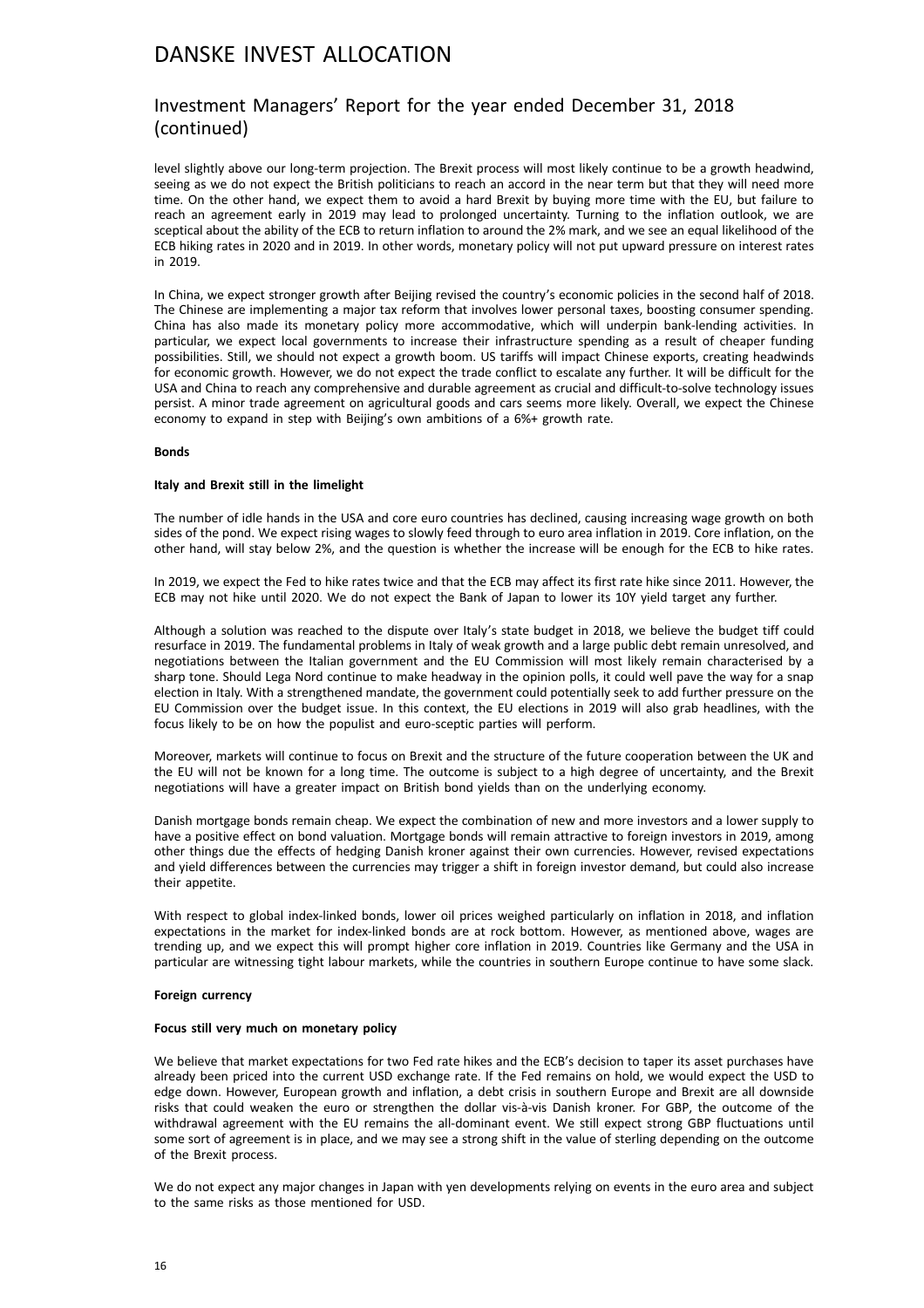### Investment Managers' Report for the year ended December 31, 2018 (continued)

level slightly above our long-term projection. The Brexit process will most likely continue to be a growth headwind, seeing as we do not expect the British politicians to reach an accord in the near term but that they will need more time. On the other hand, we expect them to avoid a hard Brexit by buying more time with the EU, but failure to reach an agreement early in 2019 may lead to prolonged uncertainty. Turning to the inflation outlook, we are sceptical about the ability of the ECB to return inflation to around the 2% mark, and we see an equal likelihood of the ECB hiking rates in 2020 and in 2019. In other words, monetary policy will not put upward pressure on interest rates in 2019.

In China, we expect stronger growth after Beijing revised the country's economic policies in the second half of 2018. The Chinese are implementing a major tax reform that involves lower personal taxes, boosting consumer spending. China has also made its monetary policy more accommodative, which will underpin bank-lending activities. In particular, we expect local governments to increase their infrastructure spending as a result of cheaper funding possibilities. Still, we should not expect a growth boom. US tariffs will impact Chinese exports, creating headwinds for economic growth. However, we do not expect the trade conflict to escalate any further. It will be difficult for the USA and China to reach any comprehensive and durable agreement as crucial and difficult-to-solve technology issues persist. A minor trade agreement on agricultural goods and cars seems more likely. Overall, we expect the Chinese economy to expand in step with Beijing's own ambitions of a 6%+ growth rate.

#### **Bonds**

#### **Italy and Brexit still in the limelight**

The number of idle hands in the USA and core euro countries has declined, causing increasing wage growth on both sides of the pond. We expect rising wages to slowly feed through to euro area inflation in 2019. Core inflation, on the other hand, will stay below 2%, and the question is whether the increase will be enough for the ECB to hike rates.

In 2019, we expect the Fed to hike rates twice and that the ECB may affect its first rate hike since 2011. However, the ECB may not hike until 2020. We do not expect the Bank of Japan to lower its 10Y yield target any further.

Although a solution was reached to the dispute over Italy's state budget in 2018, we believe the budget tiff could resurface in 2019. The fundamental problems in Italy of weak growth and a large public debt remain unresolved, and negotiations between the Italian government and the EU Commission will most likely remain characterised by a sharp tone. Should Lega Nord continue to make headway in the opinion polls, it could well pave the way for a snap election in Italy. With a strengthened mandate, the government could potentially seek to add further pressure on the EU Commission over the budget issue. In this context, the EU elections in 2019 will also grab headlines, with the focus likely to be on how the populist and euro-sceptic parties will perform.

Moreover, markets will continue to focus on Brexit and the structure of the future cooperation between the UK and the EU will not be known for a long time. The outcome is subject to a high degree of uncertainty, and the Brexit negotiations will have a greater impact on British bond yields than on the underlying economy.

Danish mortgage bonds remain cheap. We expect the combination of new and more investors and a lower supply to have a positive effect on bond valuation. Mortgage bonds will remain attractive to foreign investors in 2019, among other things due the effects of hedging Danish kroner against their own currencies. However, revised expectations and yield differences between the currencies may trigger a shift in foreign investor demand, but could also increase their appetite.

With respect to global index-linked bonds, lower oil prices weighed particularly on inflation in 2018, and inflation expectations in the market for index-linked bonds are at rock bottom. However, as mentioned above, wages are trending up, and we expect this will prompt higher core inflation in 2019. Countries like Germany and the USA in particular are witnessing tight labour markets, while the countries in southern Europe continue to have some slack.

#### **Foreign currency**

#### **Focus still very much on monetary policy**

We believe that market expectations for two Fed rate hikes and the ECB's decision to taper its asset purchases have already been priced into the current USD exchange rate. If the Fed remains on hold, we would expect the USD to edge down. However, European growth and inflation, a debt crisis in southern Europe and Brexit are all downside risks that could weaken the euro or strengthen the dollar vis-à-vis Danish kroner. For GBP, the outcome of the withdrawal agreement with the EU remains the all-dominant event. We still expect strong GBP fluctuations until some sort of agreement is in place, and we may see a strong shift in the value of sterling depending on the outcome of the Brexit process.

We do not expect any major changes in Japan with yen developments relying on events in the euro area and subject to the same risks as those mentioned for USD.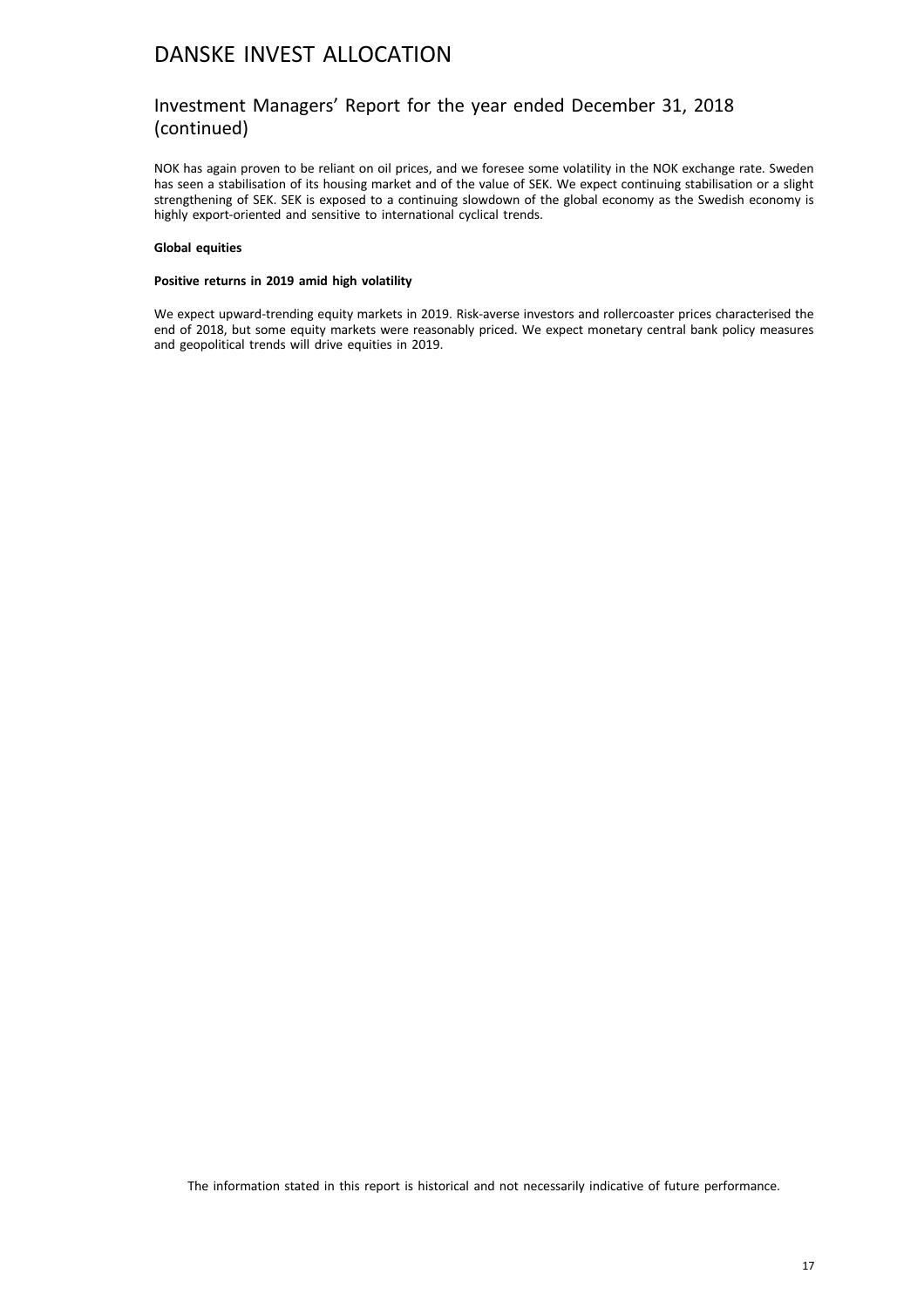### Investment Managers' Report for the year ended December 31, 2018 (continued)

NOK has again proven to be reliant on oil prices, and we foresee some volatility in the NOK exchange rate. Sweden has seen a stabilisation of its housing market and of the value of SEK. We expect continuing stabilisation or a slight strengthening of SEK. SEK is exposed to a continuing slowdown of the global economy as the Swedish economy is highly export-oriented and sensitive to international cyclical trends.

#### **Global equities**

#### **Positive returns in 2019 amid high volatility**

We expect upward-trending equity markets in 2019. Risk-averse investors and rollercoaster prices characterised the end of 2018, but some equity markets were reasonably priced. We expect monetary central bank policy measures and geopolitical trends will drive equities in 2019.

The information stated in this report is historical and not necessarily indicative of future performance.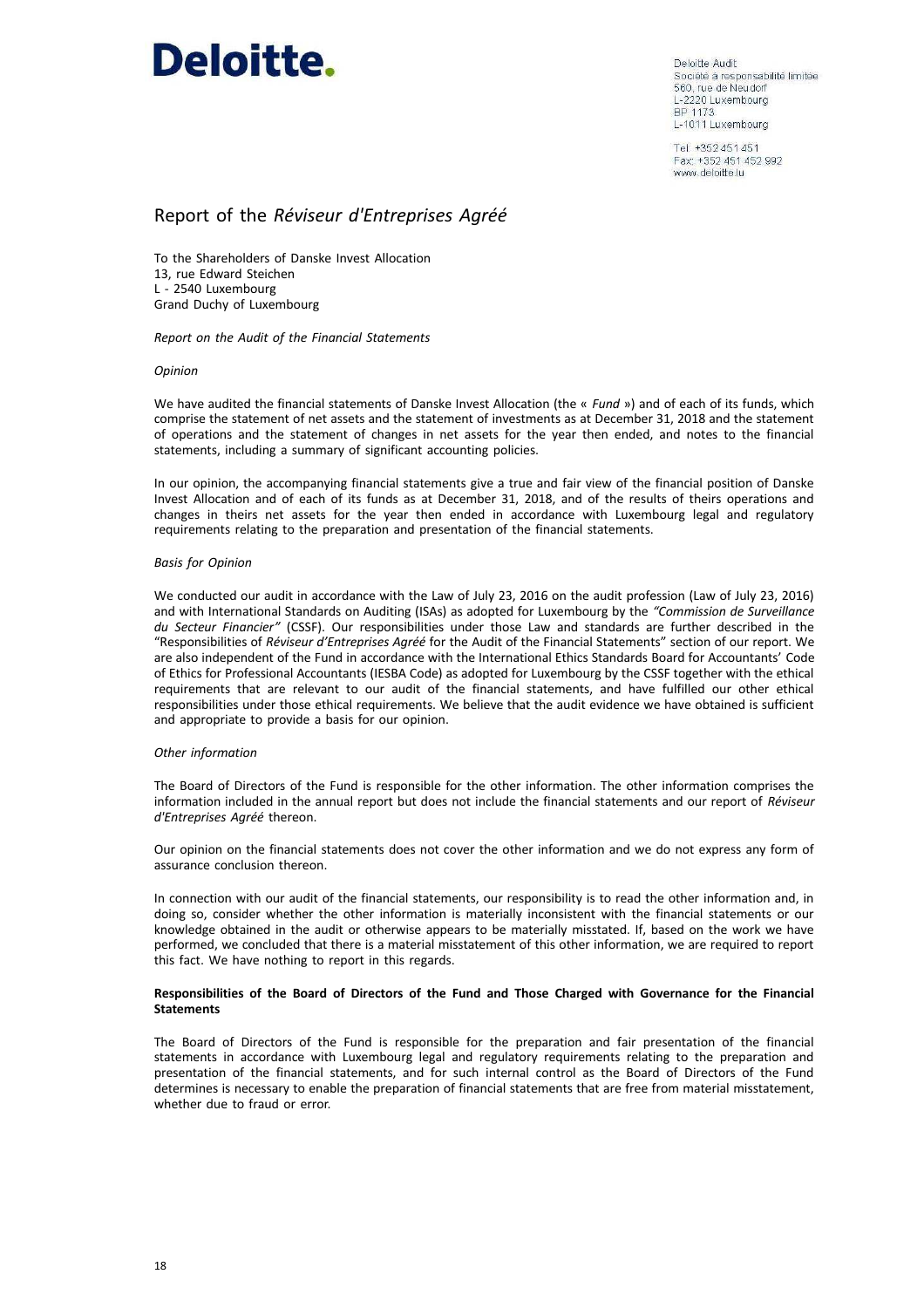

Deloitte Audit Société à responsabilité limitée 560, rue de Neudorf L-2220 Luxembourg BP 1173 L-1011 Luxembourg

Tel: +352 451 451 Fax: +352 451 452 992 www.deloitte.lu

### Report of the *Réviseur d'Entreprises Agréé*

To the Shareholders of Danske Invest Allocation 13, rue Edward Steichen L - 2540 Luxembourg Grand Duchy of Luxembourg

*Report on the Audit of the Financial Statements*

#### *Opinion*

We have audited the financial statements of Danske Invest Allocation (the « *Fund* ») and of each of its funds, which comprise the statement of net assets and the statement of investments as at December 31, 2018 and the statement of operations and the statement of changes in net assets for the year then ended, and notes to the financial statements, including a summary of significant accounting policies.

In our opinion, the accompanying financial statements give a true and fair view of the financial position of Danske Invest Allocation and of each of its funds as at December 31, 2018, and of the results of theirs operations and changes in theirs net assets for the year then ended in accordance with Luxembourg legal and regulatory requirements relating to the preparation and presentation of the financial statements.

#### *Basis for Opinion*

We conducted our audit in accordance with the Law of July 23, 2016 on the audit profession (Law of July 23, 2016) and with International Standards on Auditing (ISAs) as adopted for Luxembourg by the *"Commission de Surveillance du Secteur Financier"* (CSSF). Our responsibilities under those Law and standards are further described in the "Responsibilities of *Réviseur d'Entreprises Agréé* for the Audit of the Financial Statements" section of our report. We are also independent of the Fund in accordance with the International Ethics Standards Board for Accountants' Code of Ethics for Professional Accountants (IESBA Code) as adopted for Luxembourg by the CSSF together with the ethical requirements that are relevant to our audit of the financial statements, and have fulfilled our other ethical responsibilities under those ethical requirements. We believe that the audit evidence we have obtained is sufficient and appropriate to provide a basis for our opinion.

#### *Other information*

The Board of Directors of the Fund is responsible for the other information. The other information comprises the information included in the annual report but does not include the financial statements and our report of *Réviseur d'Entreprises Agréé* thereon.

Our opinion on the financial statements does not cover the other information and we do not express any form of assurance conclusion thereon.

In connection with our audit of the financial statements, our responsibility is to read the other information and, in doing so, consider whether the other information is materially inconsistent with the financial statements or our knowledge obtained in the audit or otherwise appears to be materially misstated. If, based on the work we have performed, we concluded that there is a material misstatement of this other information, we are required to report this fact. We have nothing to report in this regards.

#### **Responsibilities of the Board of Directors of the Fund and Those Charged with Governance for the Financial Statements**

The Board of Directors of the Fund is responsible for the preparation and fair presentation of the financial statements in accordance with Luxembourg legal and regulatory requirements relating to the preparation and presentation of the financial statements, and for such internal control as the Board of Directors of the Fund determines is necessary to enable the preparation of financial statements that are free from material misstatement, whether due to fraud or error.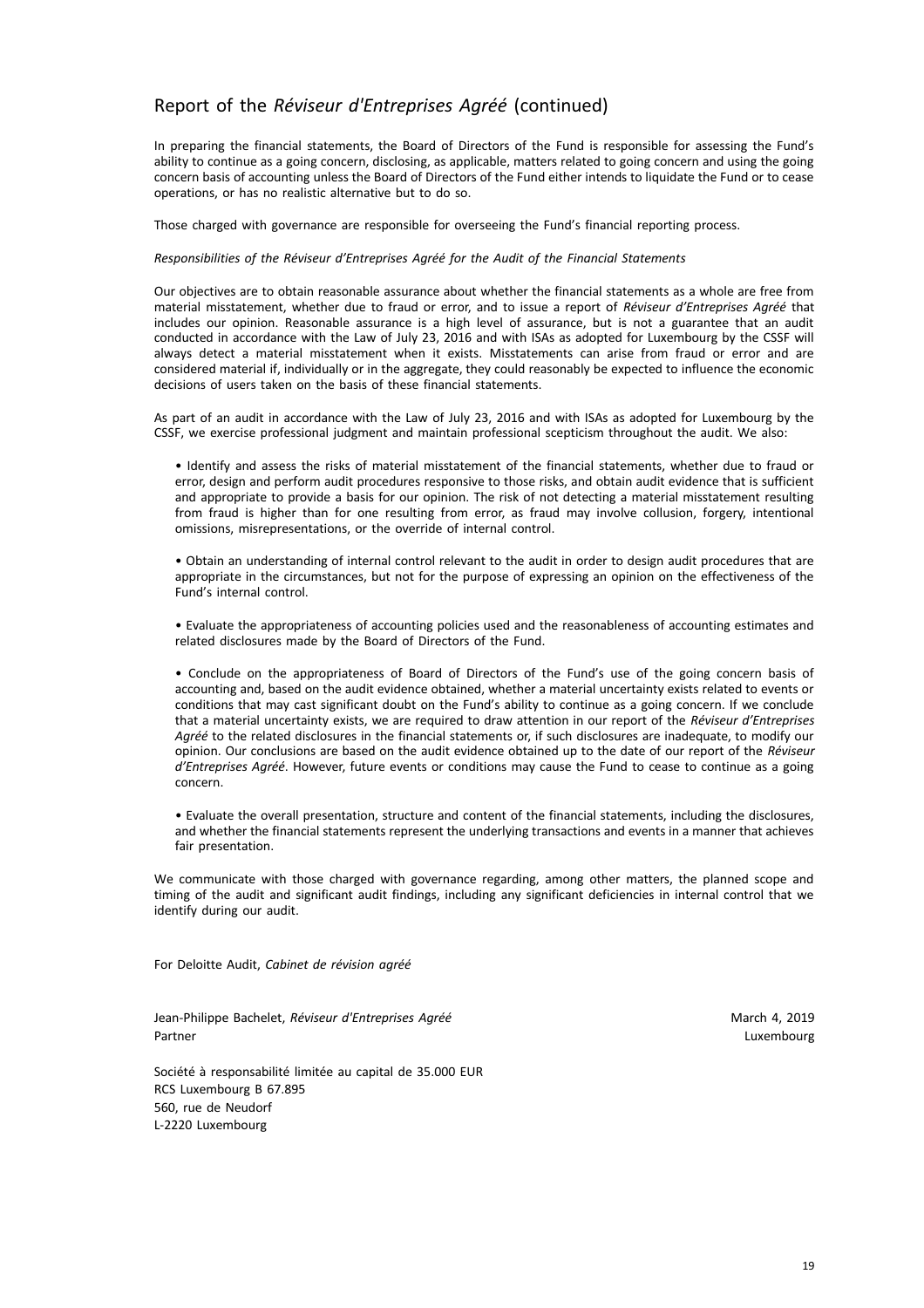### Report of the *Réviseur d'Entreprises Agréé* (continued)

In preparing the financial statements, the Board of Directors of the Fund is responsible for assessing the Fund's ability to continue as a going concern, disclosing, as applicable, matters related to going concern and using the going concern basis of accounting unless the Board of Directors of the Fund either intends to liquidate the Fund or to cease operations, or has no realistic alternative but to do so.

Those charged with governance are responsible for overseeing the Fund's financial reporting process.

#### *Responsibilities of the Réviseur d'Entreprises Agréé for the Audit of the Financial Statements*

Our objectives are to obtain reasonable assurance about whether the financial statements as a whole are free from material misstatement, whether due to fraud or error, and to issue a report of *Réviseur d'Entreprises Agréé* that includes our opinion. Reasonable assurance is a high level of assurance, but is not a guarantee that an audit conducted in accordance with the Law of July 23, 2016 and with ISAs as adopted for Luxembourg by the CSSF will always detect a material misstatement when it exists. Misstatements can arise from fraud or error and are considered material if, individually or in the aggregate, they could reasonably be expected to influence the economic decisions of users taken on the basis of these financial statements.

As part of an audit in accordance with the Law of July 23, 2016 and with ISAs as adopted for Luxembourg by the CSSF, we exercise professional judgment and maintain professional scepticism throughout the audit. We also:

• Identify and assess the risks of material misstatement of the financial statements, whether due to fraud or error, design and perform audit procedures responsive to those risks, and obtain audit evidence that is sufficient and appropriate to provide a basis for our opinion. The risk of not detecting a material misstatement resulting from fraud is higher than for one resulting from error, as fraud may involve collusion, forgery, intentional omissions, misrepresentations, or the override of internal control.

• Obtain an understanding of internal control relevant to the audit in order to design audit procedures that are appropriate in the circumstances, but not for the purpose of expressing an opinion on the effectiveness of the Fund's internal control.

• Evaluate the appropriateness of accounting policies used and the reasonableness of accounting estimates and related disclosures made by the Board of Directors of the Fund.

• Conclude on the appropriateness of Board of Directors of the Fund's use of the going concern basis of accounting and, based on the audit evidence obtained, whether a material uncertainty exists related to events or conditions that may cast significant doubt on the Fund's ability to continue as a going concern. If we conclude that a material uncertainty exists, we are required to draw attention in our report of the *Réviseur d'Entreprises Agréé* to the related disclosures in the financial statements or, if such disclosures are inadequate, to modify our opinion. Our conclusions are based on the audit evidence obtained up to the date of our report of the *Réviseur d'Entreprises Agréé*. However, future events or conditions may cause the Fund to cease to continue as a going concern.

• Evaluate the overall presentation, structure and content of the financial statements, including the disclosures, and whether the financial statements represent the underlying transactions and events in a manner that achieves fair presentation.

We communicate with those charged with governance regarding, among other matters, the planned scope and timing of the audit and significant audit findings, including any significant deficiencies in internal control that we identify during our audit.

For Deloitte Audit, *Cabinet de révision agréé*

Jean-Philippe Bachelet, *Réviseur d'Entreprises Agréé* March 2019 (March 4, 2019) Partner Luxembourg (United States of the United States of the United States of the United States of the United

Société à responsabilité limitée au capital de 35.000 EUR RCS Luxembourg B 67.895 560, rue de Neudorf L-2220 Luxembourg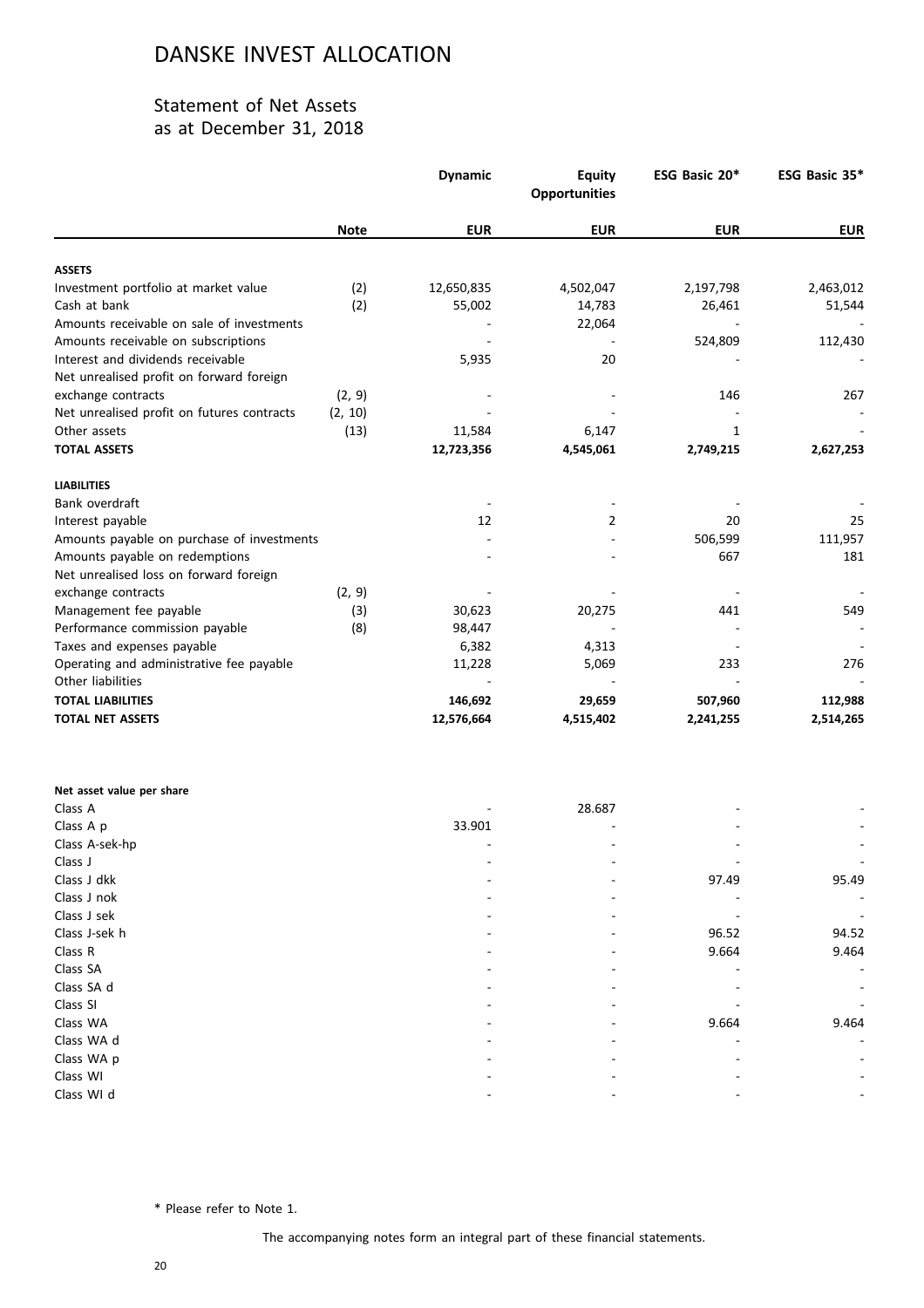### Statement of Net Assets as at December 31, 2018

|                                            |             | <b>Dynamic</b> | <b>Equity</b><br><b>Opportunities</b> | ESG Basic 20* | ESG Basic 35* |
|--------------------------------------------|-------------|----------------|---------------------------------------|---------------|---------------|
|                                            | <b>Note</b> | <b>EUR</b>     | <b>EUR</b>                            | <b>EUR</b>    | <b>EUR</b>    |
| <b>ASSETS</b>                              |             |                |                                       |               |               |
| Investment portfolio at market value       | (2)         | 12,650,835     | 4,502,047                             | 2,197,798     | 2,463,012     |
| Cash at bank                               | (2)         | 55,002         | 14,783                                | 26,461        | 51,544        |
| Amounts receivable on sale of investments  |             |                | 22,064                                |               |               |
| Amounts receivable on subscriptions        |             |                |                                       | 524,809       | 112,430       |
| Interest and dividends receivable          |             | 5,935          | 20                                    |               |               |
| Net unrealised profit on forward foreign   |             |                |                                       |               |               |
| exchange contracts                         | (2, 9)      |                |                                       | 146           | 267           |
| Net unrealised profit on futures contracts | (2, 10)     |                |                                       |               |               |
| Other assets                               | (13)        | 11,584         | 6,147                                 | 1             |               |
| <b>TOTAL ASSETS</b>                        |             | 12,723,356     | 4,545,061                             | 2,749,215     | 2,627,253     |
| <b>LIABILITIES</b>                         |             |                |                                       |               |               |
| Bank overdraft                             |             |                |                                       |               |               |
| Interest payable                           |             | 12             | 2                                     | 20            | 25            |
| Amounts payable on purchase of investments |             |                |                                       | 506,599       | 111,957       |
| Amounts payable on redemptions             |             |                |                                       | 667           | 181           |
| Net unrealised loss on forward foreign     |             |                |                                       |               |               |
| exchange contracts                         | (2, 9)      |                |                                       |               |               |
| Management fee payable                     | (3)         | 30,623         | 20,275                                | 441           | 549           |
| Performance commission payable             | (8)         | 98,447         |                                       |               |               |
| Taxes and expenses payable                 |             | 6,382          | 4,313                                 |               |               |
| Operating and administrative fee payable   |             | 11,228         | 5,069                                 | 233           | 276           |
| Other liabilities                          |             |                |                                       |               |               |
| <b>TOTAL LIABILITIES</b>                   |             | 146,692        | 29,659                                | 507,960       | 112,988       |
| <b>TOTAL NET ASSETS</b>                    |             | 12,576,664     | 4,515,402                             | 2,241,255     | 2,514,265     |
|                                            |             |                |                                       |               |               |

| Net asset value per share |        |        |       |                          |
|---------------------------|--------|--------|-------|--------------------------|
| Class A                   |        | 28.687 |       |                          |
| Class A p                 | 33.901 |        |       | $\overline{\phantom{a}}$ |
| Class A-sek-hp            |        |        |       | $\sim$                   |
| Class J                   |        |        |       |                          |
| Class J dkk               |        |        | 97.49 | 95.49                    |
| Class J nok               |        |        |       |                          |
| Class J sek               |        |        |       |                          |
| Class J-sek h             |        | ۰      | 96.52 | 94.52                    |
| Class R                   |        |        | 9.664 | 9.464                    |
| Class SA                  |        |        |       | $\overline{\phantom{a}}$ |
| Class SA d                |        |        |       |                          |
| Class SI                  |        |        |       |                          |
| Class WA                  |        |        | 9.664 | 9.464                    |
| Class WA d                |        |        |       |                          |
| Class WA p                |        |        |       |                          |
| Class WI                  |        |        |       |                          |
| Class WI d                |        |        |       |                          |
|                           |        |        |       |                          |

\* Please refer to Note 1.

The accompanying notes form an integral part of these financial statements.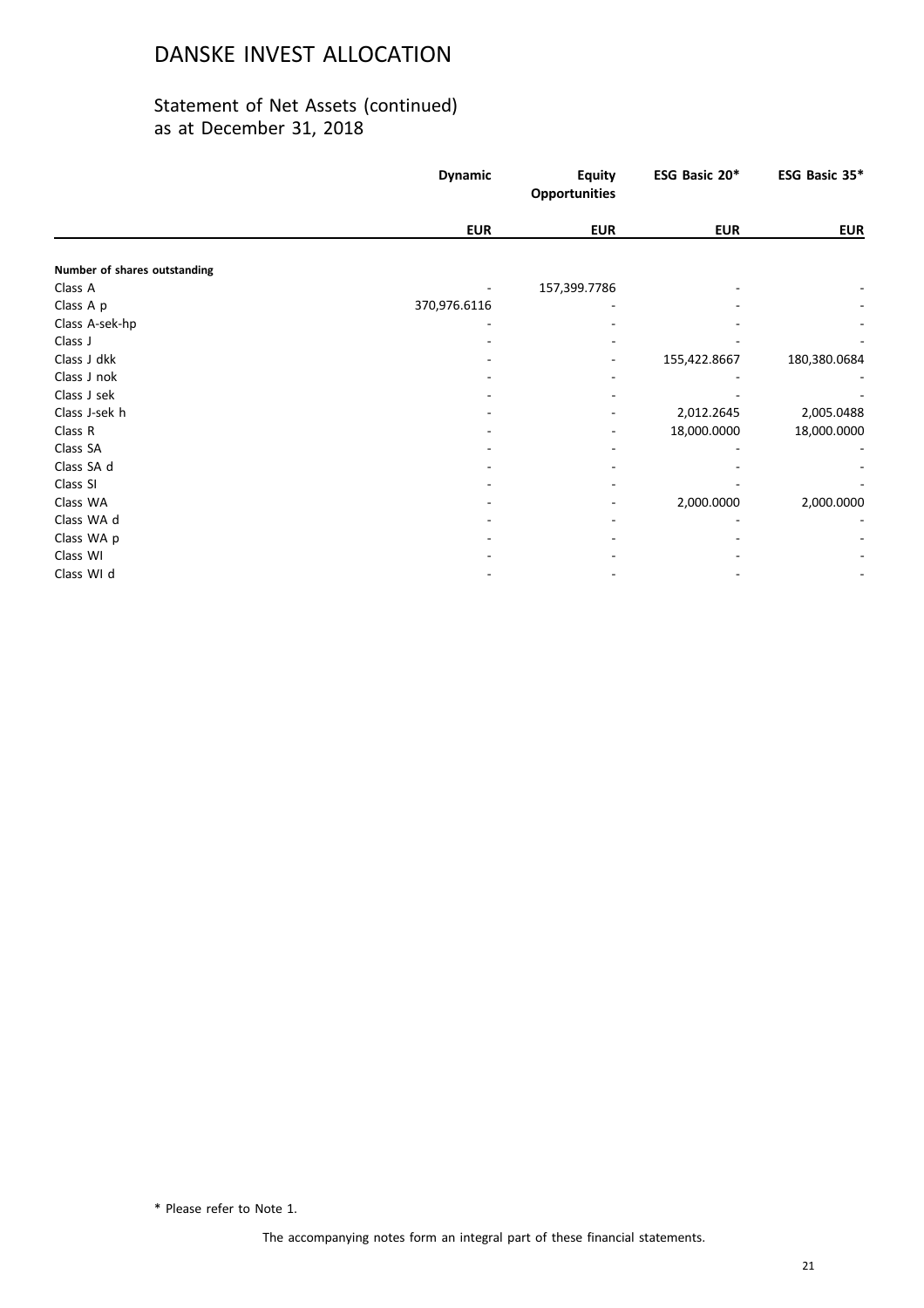### Statement of Net Assets (continued) as at December 31, 2018

|                              | <b>Dynamic</b> | <b>Equity</b><br><b>Opportunities</b> | ESG Basic 20* | ESG Basic 35* |
|------------------------------|----------------|---------------------------------------|---------------|---------------|
|                              | <b>EUR</b>     | <b>EUR</b>                            | <b>EUR</b>    | <b>EUR</b>    |
| Number of shares outstanding |                |                                       |               |               |
| Class A                      |                | 157,399.7786                          |               |               |
| Class A p                    | 370,976.6116   |                                       |               |               |
| Class A-sek-hp               |                |                                       |               |               |
| Class J                      |                |                                       |               |               |
| Class J dkk                  |                |                                       | 155,422.8667  | 180,380.0684  |
| Class J nok                  |                |                                       |               |               |
| Class J sek                  |                |                                       |               |               |
| Class J-sek h                |                |                                       | 2,012.2645    | 2,005.0488    |
| Class R                      |                |                                       | 18,000.0000   | 18,000.0000   |
| Class SA                     |                |                                       |               |               |
| Class SA d                   |                |                                       |               |               |
| Class SI                     |                |                                       |               |               |
| Class WA                     |                |                                       | 2,000.0000    | 2,000.0000    |
| Class WA d                   |                |                                       |               |               |
| Class WA p                   |                |                                       |               |               |
| Class WI                     |                |                                       |               |               |
| Class WI d                   |                |                                       |               |               |

\* Please refer to Note 1.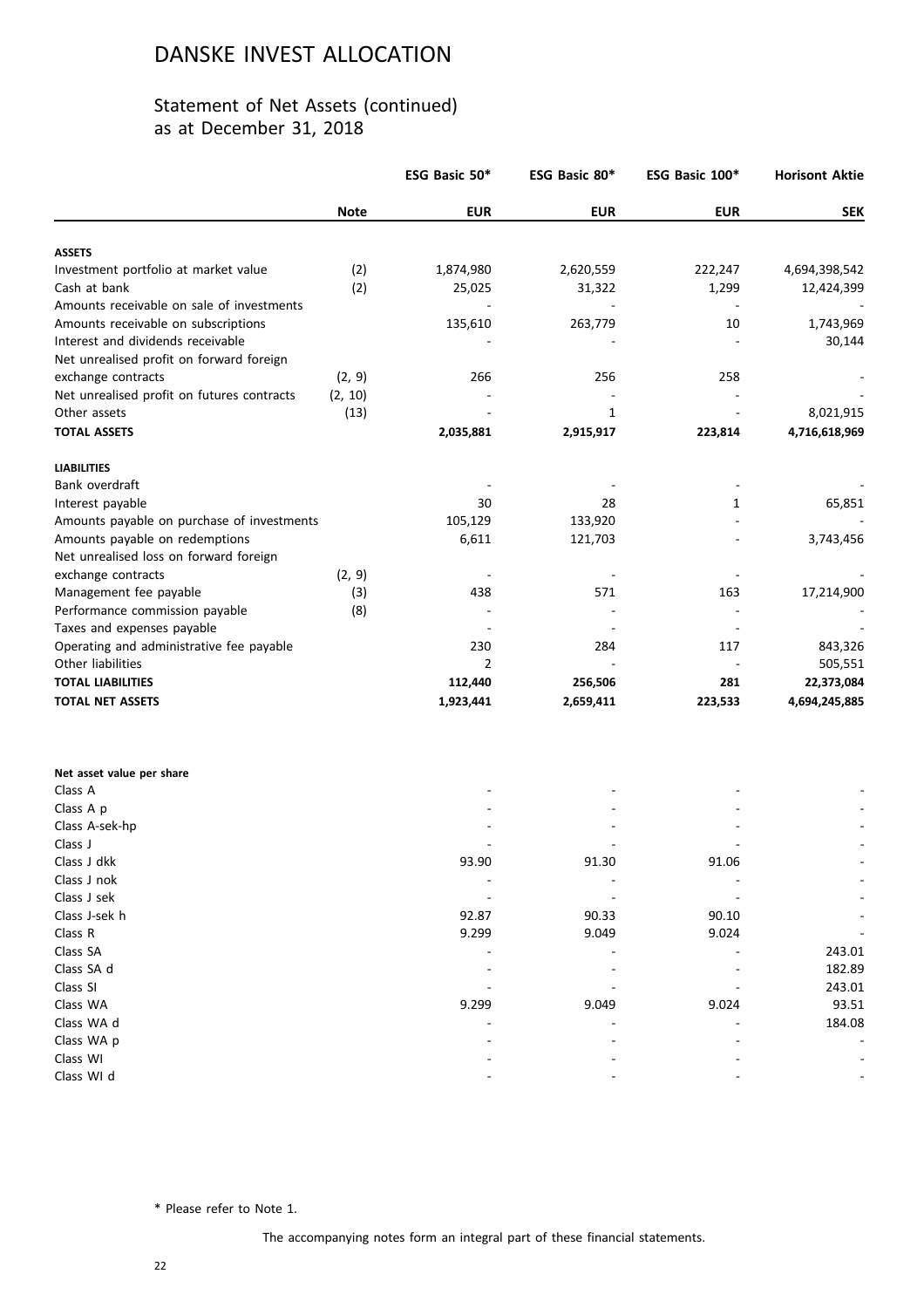### Statement of Net Assets (continued) as at December 31, 2018

|                                            |             | ESG Basic 50*  | ESG Basic 80* | ESG Basic 100* | <b>Horisont Aktie</b> |
|--------------------------------------------|-------------|----------------|---------------|----------------|-----------------------|
|                                            | <b>Note</b> | <b>EUR</b>     | <b>EUR</b>    | <b>EUR</b>     | <b>SEK</b>            |
| <b>ASSETS</b>                              |             |                |               |                |                       |
| Investment portfolio at market value       | (2)         | 1,874,980      | 2,620,559     | 222,247        | 4,694,398,542         |
| Cash at bank                               | (2)         | 25,025         | 31,322        | 1,299          | 12,424,399            |
| Amounts receivable on sale of investments  |             |                |               |                |                       |
| Amounts receivable on subscriptions        |             | 135,610        | 263,779       | 10             | 1,743,969             |
| Interest and dividends receivable          |             |                |               |                | 30,144                |
| Net unrealised profit on forward foreign   |             |                |               |                |                       |
| exchange contracts                         | (2, 9)      | 266            | 256           | 258            |                       |
| Net unrealised profit on futures contracts | (2, 10)     |                |               |                |                       |
| Other assets                               | (13)        |                | $\mathbf{1}$  |                | 8,021,915             |
| <b>TOTAL ASSETS</b>                        |             | 2,035,881      | 2,915,917     | 223,814        | 4,716,618,969         |
| <b>LIABILITIES</b>                         |             |                |               |                |                       |
| Bank overdraft                             |             |                |               |                |                       |
| Interest payable                           |             | 30             | 28            | 1              | 65,851                |
| Amounts payable on purchase of investments |             | 105,129        | 133,920       |                |                       |
| Amounts payable on redemptions             |             | 6,611          | 121,703       |                | 3,743,456             |
| Net unrealised loss on forward foreign     |             |                |               |                |                       |
| exchange contracts                         | (2, 9)      |                |               |                |                       |
| Management fee payable                     | (3)         | 438            | 571           | 163            | 17,214,900            |
| Performance commission payable             | (8)         |                |               |                |                       |
| Taxes and expenses payable                 |             |                |               |                |                       |
| Operating and administrative fee payable   |             | 230            | 284           | 117            | 843,326               |
| Other liabilities                          |             | $\overline{2}$ |               |                | 505,551               |
| <b>TOTAL LIABILITIES</b>                   |             | 112,440        | 256,506       | 281            | 22,373,084            |
| <b>TOTAL NET ASSETS</b>                    |             | 1,923,441      | 2,659,411     | 223,533        | 4,694,245,885         |
|                                            |             |                |               |                |                       |
| Net asset value per share                  |             |                |               |                |                       |
| Class A                                    |             |                |               |                |                       |
| Class A p                                  |             |                |               |                |                       |
| Class A-sek-hp                             |             |                |               |                |                       |
| Class J<br>Class J dkk                     |             |                |               |                |                       |
|                                            |             | 93.90          | 91.30         | 91.06          |                       |
| Class J nok                                |             |                |               |                |                       |
| Class J sek                                |             | 92.87          |               |                |                       |
| Class J-sek h<br>Class R                   |             | 9.299          | 90.33         | 90.10<br>9.024 |                       |
| Class SA                                   |             |                | 9.049         |                |                       |
| Class SA d                                 |             |                |               |                | 243.01                |
| Class SI                                   |             |                |               |                | 182.89<br>243.01      |
|                                            |             |                |               |                |                       |
| Class WA<br>Class WA d                     |             | 9.299          | 9.049         | 9.024          | 93.51<br>184.08       |
| Class WA p                                 |             |                |               |                |                       |
| Class WI                                   |             |                |               |                |                       |
| Class WI d                                 |             |                |               |                |                       |
|                                            |             |                |               |                |                       |

\* Please refer to Note 1.

The accompanying notes form an integral part of these financial statements.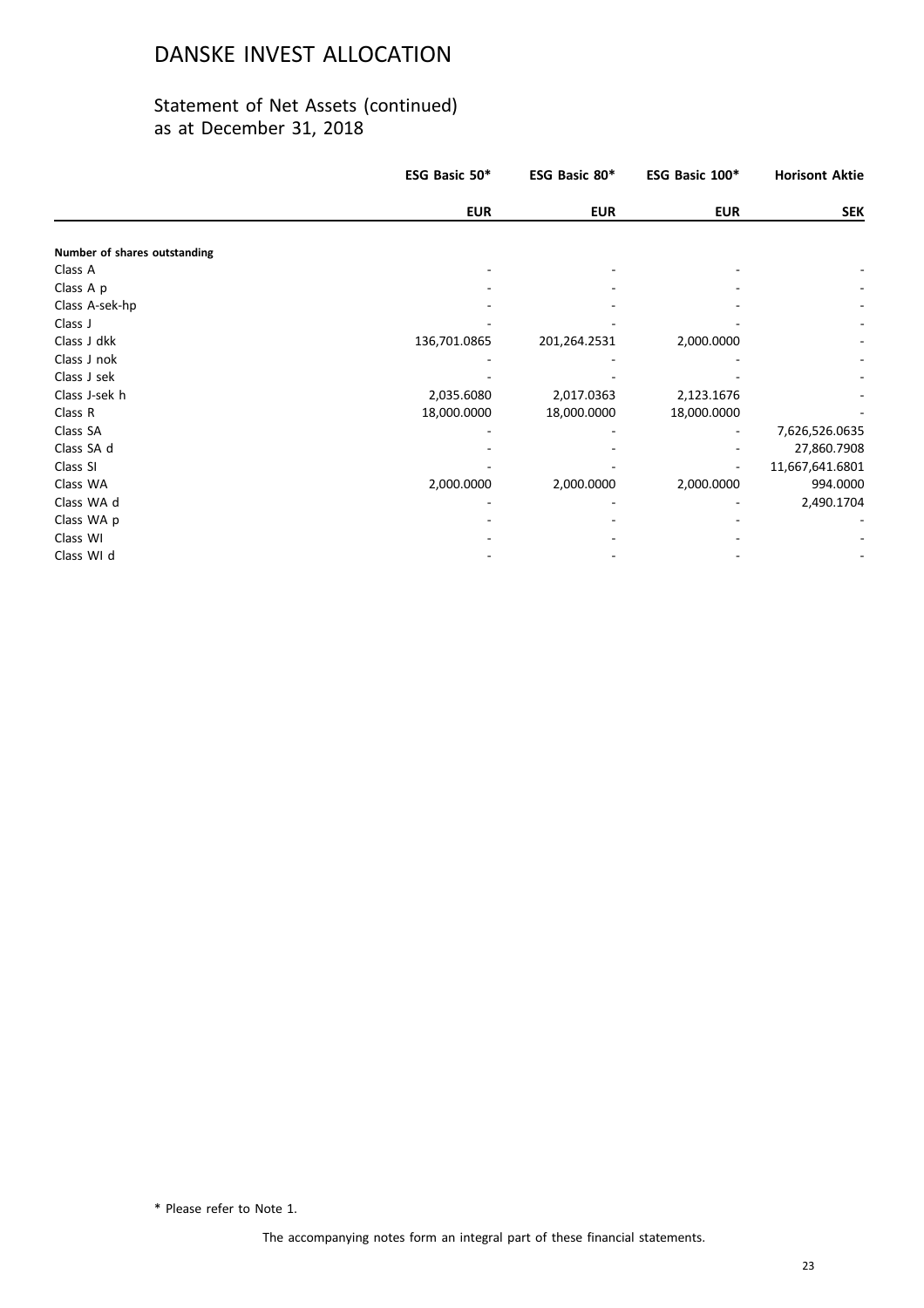### Statement of Net Assets (continued) as at December 31, 2018

|                              | ESG Basic 50* | ESG Basic 80* | ESG Basic 100* | <b>Horisont Aktie</b>    |
|------------------------------|---------------|---------------|----------------|--------------------------|
|                              | <b>EUR</b>    | <b>EUR</b>    | <b>EUR</b>     | <b>SEK</b>               |
|                              |               |               |                |                          |
| Number of shares outstanding |               |               |                |                          |
| Class A                      |               |               |                |                          |
| Class A p                    |               |               |                |                          |
| Class A-sek-hp               |               |               |                |                          |
| Class J                      |               |               |                | $\overline{\phantom{a}}$ |
| Class J dkk                  | 136,701.0865  | 201,264.2531  | 2,000.0000     |                          |
| Class J nok                  |               |               |                |                          |
| Class J sek                  |               |               |                |                          |
| Class J-sek h                | 2,035.6080    | 2,017.0363    | 2,123.1676     |                          |
| Class R                      | 18,000.0000   | 18,000.0000   | 18,000.0000    |                          |
| Class SA                     |               |               |                | 7,626,526.0635           |
| Class SA d                   |               |               |                | 27,860.7908              |
| Class SI                     |               |               |                | 11,667,641.6801          |
| Class WA                     | 2,000.0000    | 2,000.0000    | 2,000.0000     | 994.0000                 |
| Class WA d                   |               |               |                | 2,490.1704               |
| Class WA p                   |               |               |                |                          |
| Class WI                     |               |               |                |                          |
| Class WI d                   |               |               |                |                          |

\* Please refer to Note 1.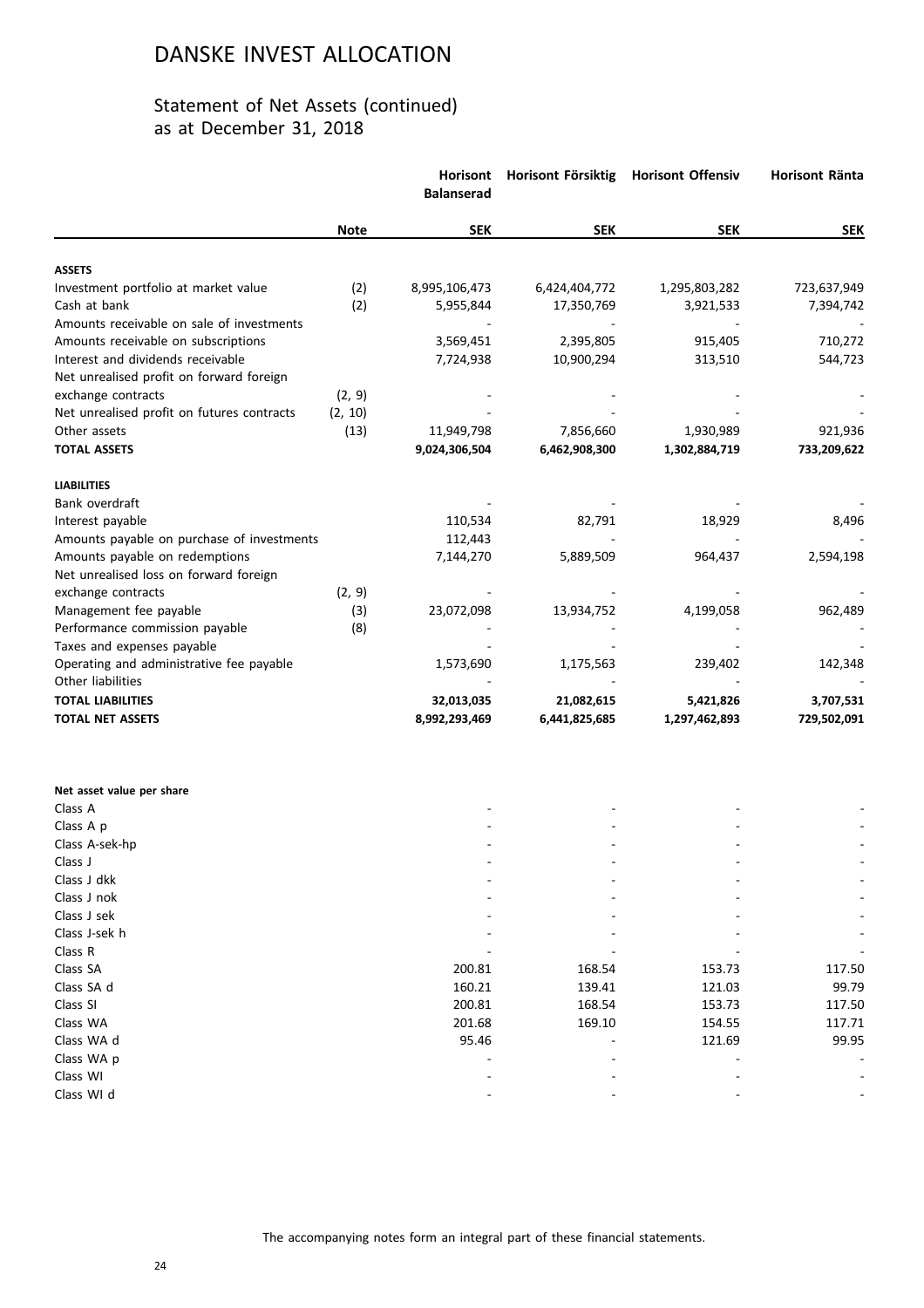|                                            |             | Horisont<br><b>Balanserad</b> | Horisont Försiktig | <b>Horisont Offensiv</b> | <b>Horisont Ränta</b> |
|--------------------------------------------|-------------|-------------------------------|--------------------|--------------------------|-----------------------|
|                                            | <b>Note</b> | <b>SEK</b>                    | <b>SEK</b>         | <b>SEK</b>               | <b>SEK</b>            |
| <b>ASSETS</b>                              |             |                               |                    |                          |                       |
| Investment portfolio at market value       | (2)         | 8,995,106,473                 | 6,424,404,772      | 1,295,803,282            | 723,637,949           |
| Cash at bank                               | (2)         | 5,955,844                     | 17,350,769         | 3,921,533                | 7,394,742             |
| Amounts receivable on sale of investments  |             |                               |                    |                          |                       |
| Amounts receivable on subscriptions        |             | 3,569,451                     | 2,395,805          | 915,405                  | 710,272               |
| Interest and dividends receivable          |             | 7,724,938                     | 10,900,294         | 313,510                  | 544,723               |
| Net unrealised profit on forward foreign   |             |                               |                    |                          |                       |
| exchange contracts                         | (2, 9)      |                               |                    |                          |                       |
| Net unrealised profit on futures contracts | (2, 10)     |                               |                    |                          |                       |
| Other assets                               | (13)        | 11,949,798                    | 7,856,660          | 1,930,989                | 921,936               |
| <b>TOTAL ASSETS</b>                        |             | 9,024,306,504                 | 6,462,908,300      | 1,302,884,719            | 733,209,622           |
| <b>LIABILITIES</b>                         |             |                               |                    |                          |                       |
| Bank overdraft                             |             |                               |                    |                          |                       |
| Interest payable                           |             | 110,534                       | 82,791             | 18,929                   | 8,496                 |
| Amounts payable on purchase of investments |             | 112,443                       |                    |                          |                       |
| Amounts payable on redemptions             |             | 7,144,270                     | 5,889,509          | 964,437                  | 2,594,198             |
| Net unrealised loss on forward foreign     |             |                               |                    |                          |                       |
| exchange contracts                         | (2, 9)      |                               |                    |                          |                       |
| Management fee payable                     | (3)         | 23,072,098                    | 13,934,752         | 4,199,058                | 962,489               |
| Performance commission payable             | (8)         |                               |                    |                          |                       |
| Taxes and expenses payable                 |             |                               |                    |                          |                       |
| Operating and administrative fee payable   |             | 1,573,690                     | 1,175,563          | 239,402                  | 142,348               |
| Other liabilities                          |             |                               |                    |                          |                       |
| <b>TOTAL LIABILITIES</b>                   |             | 32,013,035                    | 21,082,615         | 5,421,826                | 3,707,531             |
| <b>TOTAL NET ASSETS</b>                    |             | 8,992,293,469                 | 6,441,825,685      | 1,297,462,893            | 729,502,091           |
| Net asset value per share                  |             |                               |                    |                          |                       |
| Class A                                    |             |                               |                    |                          |                       |
| Class A p                                  |             |                               |                    |                          |                       |
| Class A-sek-hp                             |             |                               |                    |                          |                       |
| Class J                                    |             |                               |                    |                          |                       |
| Class J dkk                                |             |                               |                    |                          |                       |
| Class J nok                                |             |                               |                    |                          |                       |
| Class J sek                                |             |                               |                    |                          |                       |
| Class J-sek h                              |             |                               |                    |                          |                       |
| Class R                                    |             |                               |                    |                          |                       |
| Class SA                                   |             | 200.81                        | 168.54             | 153.73                   | 117.50                |
| Class SA d                                 |             | 160.21                        | 139.41             | 121.03                   | 99.79                 |
| Class SI                                   |             | 200.81                        | 168.54             | 153.73                   | 117.50                |
| Class WA                                   |             | 201.68                        | 169.10             | 154.55                   | 117.71                |
| Class WA d                                 |             | 95.46                         |                    | 121.69                   | 99.95                 |
| Class WA p                                 |             |                               |                    |                          |                       |
| Class WI                                   |             |                               |                    |                          |                       |
| Class WI d                                 |             |                               |                    |                          |                       |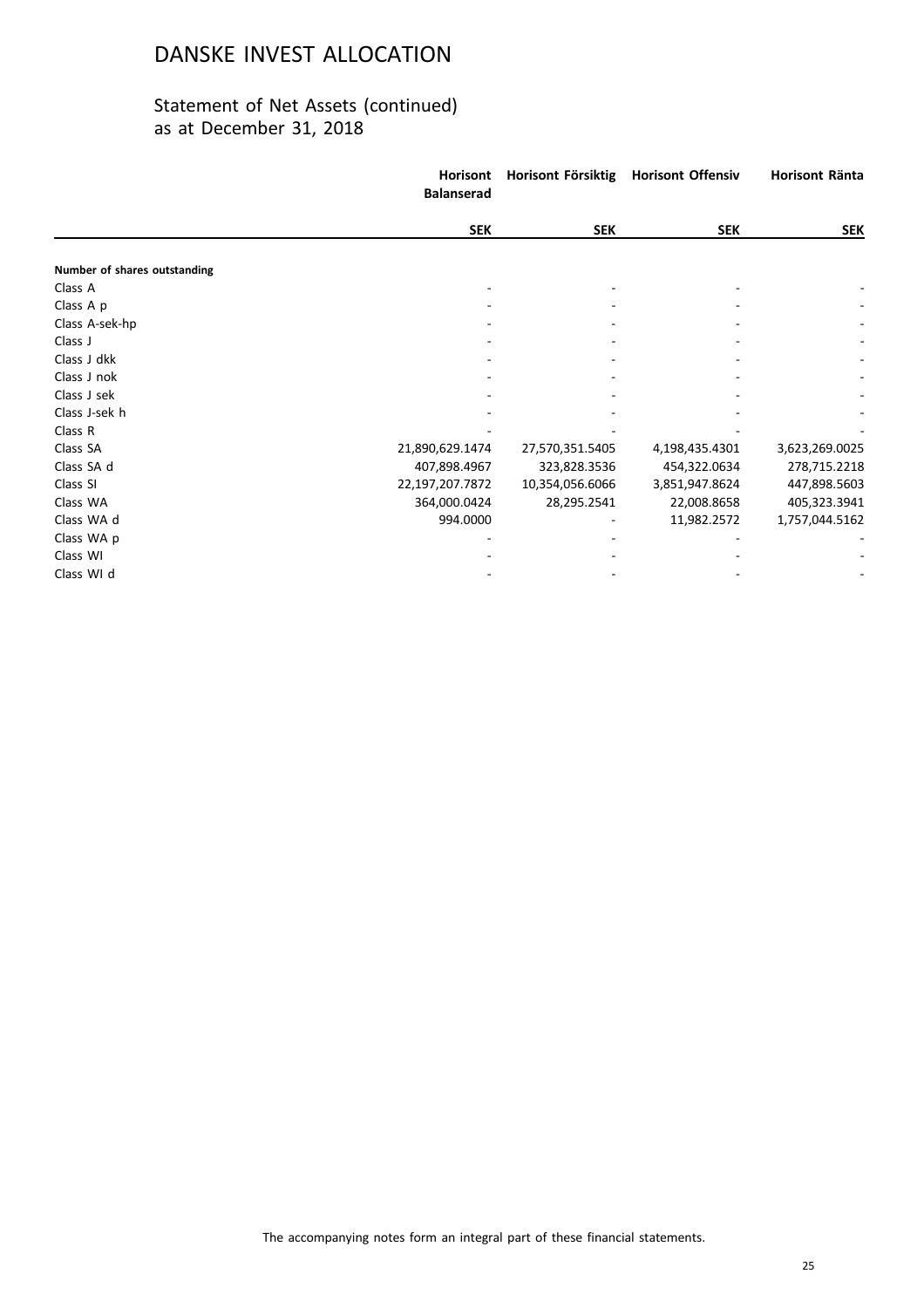|                              | <b>Horisont</b><br><b>Balanserad</b> | Horisont Försiktig | <b>Horisont Offensiv</b> | Horisont Ränta |
|------------------------------|--------------------------------------|--------------------|--------------------------|----------------|
|                              | <b>SEK</b>                           | <b>SEK</b>         | <b>SEK</b>               | <b>SEK</b>     |
| Number of shares outstanding |                                      |                    |                          |                |
| Class A                      |                                      |                    |                          |                |
| Class A p                    |                                      |                    |                          |                |
| Class A-sek-hp               |                                      |                    |                          |                |
| Class J                      |                                      |                    |                          |                |
| Class J dkk                  |                                      |                    |                          |                |
| Class J nok                  |                                      |                    |                          |                |
| Class J sek                  |                                      |                    |                          |                |
| Class J-sek h                |                                      |                    |                          |                |
| Class R                      |                                      |                    |                          |                |
| Class SA                     | 21,890,629.1474                      | 27,570,351.5405    | 4,198,435.4301           | 3,623,269.0025 |
| Class SA d                   | 407,898.4967                         | 323,828.3536       | 454,322.0634             | 278,715.2218   |
| Class SI                     | 22,197,207.7872                      | 10,354,056.6066    | 3,851,947.8624           | 447,898.5603   |
| Class WA                     | 364,000.0424                         | 28,295.2541        | 22,008.8658              | 405,323.3941   |
| Class WA d                   | 994.0000                             |                    | 11,982.2572              | 1,757,044.5162 |
| Class WA p                   |                                      |                    |                          |                |
| Class WI                     |                                      |                    |                          |                |
| Class WI d                   |                                      |                    |                          |                |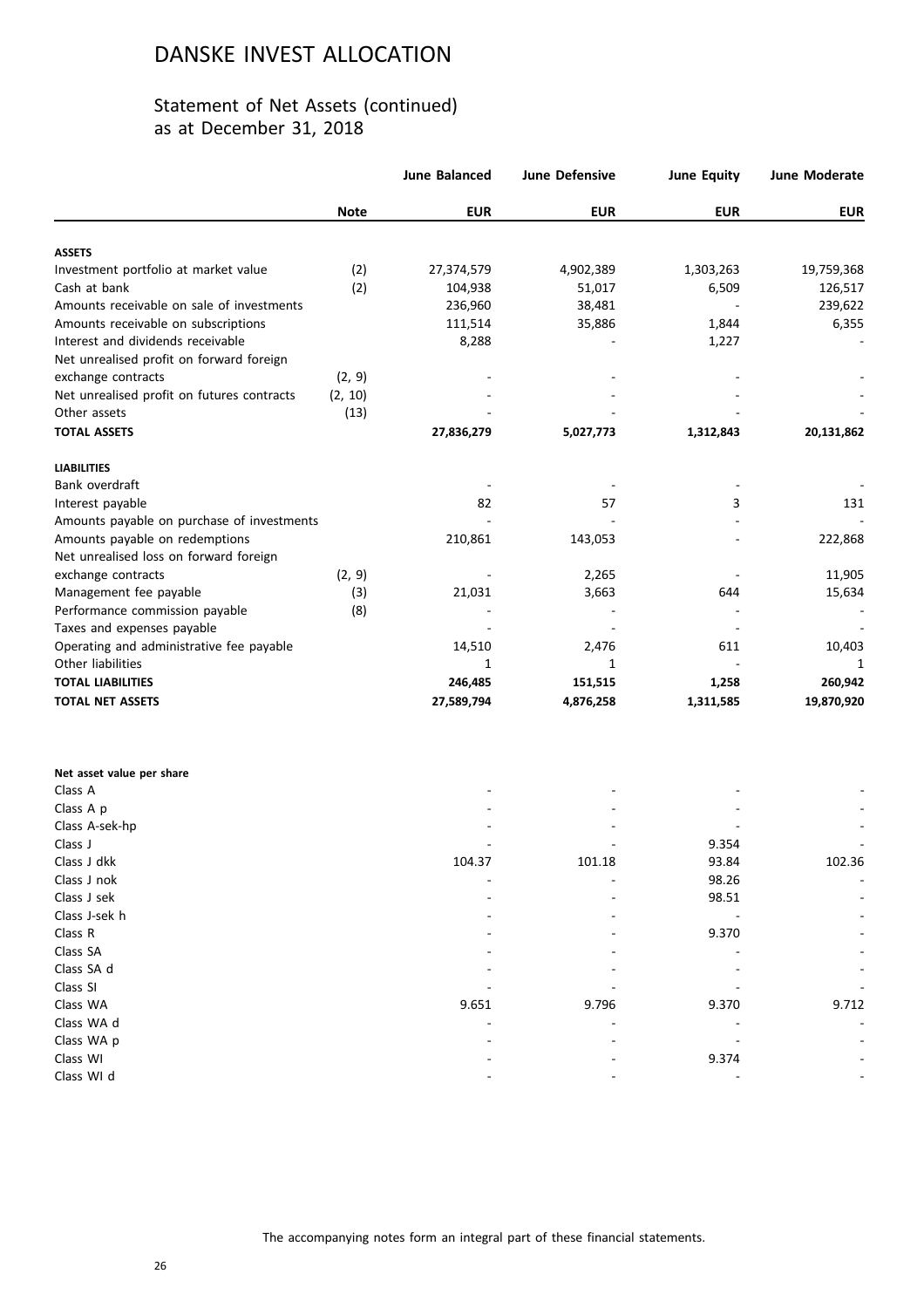### Statement of Net Assets (continued) as at December 31, 2018

|                                            |             | <b>June Balanced</b> | <b>June Defensive</b> | <b>June Equity</b> | June Moderate |
|--------------------------------------------|-------------|----------------------|-----------------------|--------------------|---------------|
|                                            | <b>Note</b> | <b>EUR</b>           | <b>EUR</b>            | <b>EUR</b>         | <b>EUR</b>    |
| <b>ASSETS</b>                              |             |                      |                       |                    |               |
| Investment portfolio at market value       | (2)         | 27,374,579           | 4,902,389             | 1,303,263          | 19,759,368    |
| Cash at bank                               | (2)         | 104,938              | 51,017                | 6,509              | 126,517       |
| Amounts receivable on sale of investments  |             | 236,960              | 38,481                |                    | 239,622       |
| Amounts receivable on subscriptions        |             |                      |                       |                    |               |
| Interest and dividends receivable          |             | 111,514              | 35,886                | 1,844              | 6,355         |
|                                            |             | 8,288                |                       | 1,227              |               |
| Net unrealised profit on forward foreign   |             |                      |                       |                    |               |
| exchange contracts                         | (2, 9)      |                      |                       |                    |               |
| Net unrealised profit on futures contracts | (2, 10)     |                      |                       |                    |               |
| Other assets                               | (13)        |                      |                       |                    |               |
| <b>TOTAL ASSETS</b>                        |             | 27,836,279           | 5,027,773             | 1,312,843          | 20,131,862    |
| <b>LIABILITIES</b>                         |             |                      |                       |                    |               |
| Bank overdraft                             |             |                      |                       |                    |               |
| Interest payable                           |             | 82                   | 57                    | 3                  | 131           |
| Amounts payable on purchase of investments |             |                      |                       |                    |               |
| Amounts payable on redemptions             |             | 210,861              | 143,053               |                    | 222,868       |
| Net unrealised loss on forward foreign     |             |                      |                       |                    |               |
| exchange contracts                         | (2, 9)      |                      | 2,265                 |                    | 11,905        |
| Management fee payable                     | (3)         | 21,031               | 3,663                 | 644                | 15,634        |
| Performance commission payable             | (8)         |                      |                       |                    |               |
| Taxes and expenses payable                 |             |                      |                       |                    |               |
| Operating and administrative fee payable   |             | 14,510               | 2,476                 | 611                | 10,403        |
| Other liabilities                          |             | 1                    | 1                     |                    | 1             |
|                                            |             |                      |                       |                    |               |
| <b>TOTAL LIABILITIES</b>                   |             | 246,485              | 151,515               | 1,258              | 260,942       |
| <b>TOTAL NET ASSETS</b>                    |             | 27,589,794           | 4,876,258             | 1,311,585          | 19,870,920    |
| Net asset value per share                  |             |                      |                       |                    |               |
| Class A                                    |             |                      |                       |                    |               |
| Class A p                                  |             |                      |                       |                    |               |
| Class A-sek-hp                             |             |                      |                       |                    |               |
| Class J                                    |             |                      |                       | 9.354              |               |
| Class J dkk                                |             | 104.37               | 101.18                | 93.84              | 102.36        |
| Class J nok                                |             |                      |                       | 98.26              |               |
| Class J sek                                |             |                      |                       | 98.51              |               |
| Class J-sek h                              |             |                      |                       |                    |               |
| Class R                                    |             |                      |                       | 9.370              |               |
| Class SA                                   |             |                      |                       |                    |               |
| Class SA d                                 |             |                      |                       |                    |               |
| Class SI                                   |             |                      |                       |                    |               |
| Class WA                                   |             | 9.651                | 9.796                 | 9.370              | 9.712         |
| Class WA d                                 |             |                      |                       |                    |               |
|                                            |             |                      |                       |                    |               |

Class WA p - - - - Class WI - - 9.374 - Class WI d - - - -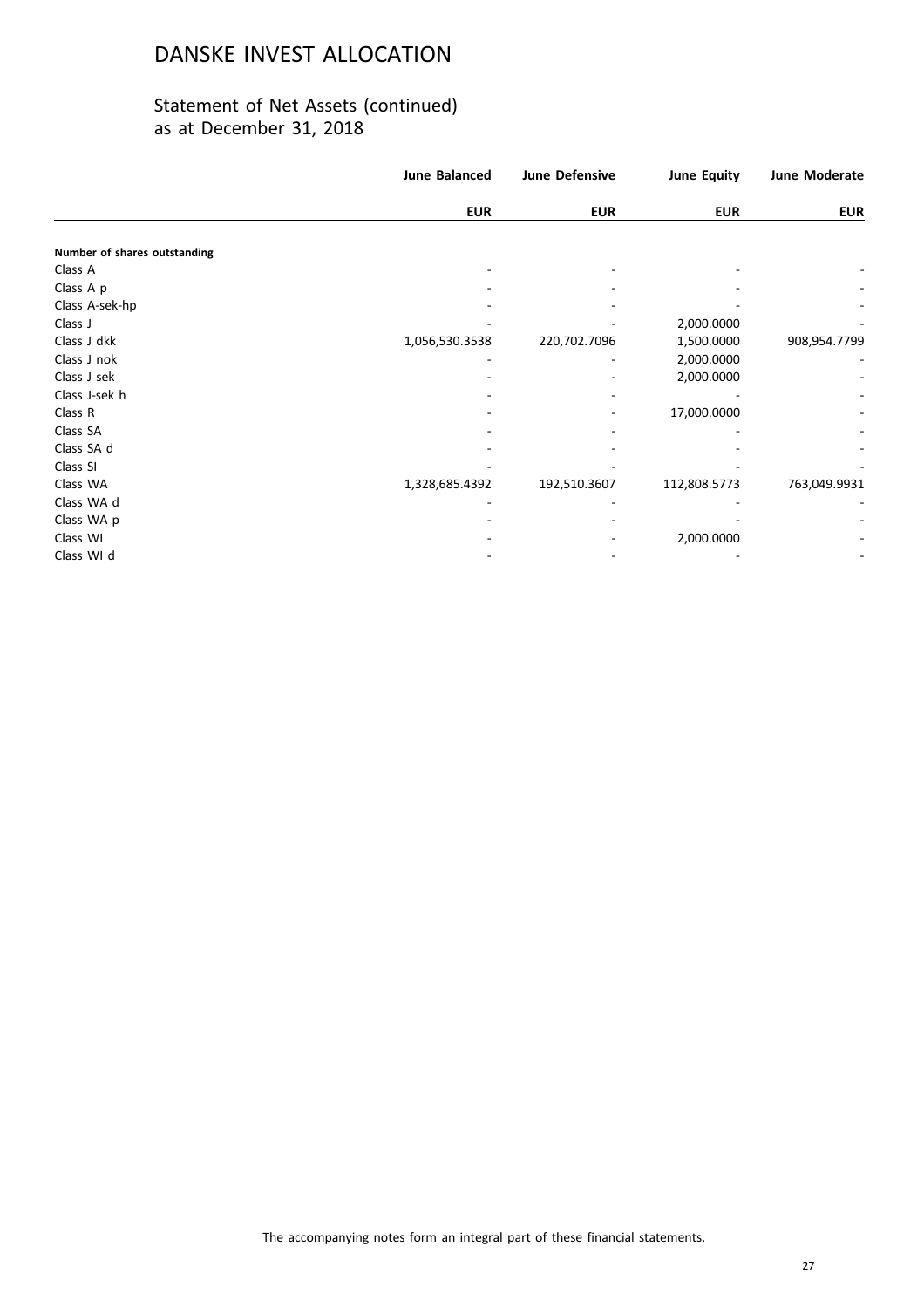|                              | <b>June Balanced</b> | <b>June Defensive</b> | <b>June Equity</b> | June Moderate |
|------------------------------|----------------------|-----------------------|--------------------|---------------|
|                              | <b>EUR</b>           | <b>EUR</b>            | <b>EUR</b>         | <b>EUR</b>    |
| Number of shares outstanding |                      |                       |                    |               |
| Class A                      |                      |                       |                    |               |
| Class A p                    |                      |                       |                    |               |
| Class A-sek-hp               |                      |                       |                    |               |
| Class J                      |                      |                       | 2,000.0000         |               |
| Class J dkk                  | 1,056,530.3538       | 220,702.7096          | 1,500.0000         | 908,954.7799  |
| Class J nok                  |                      |                       | 2,000.0000         |               |
| Class J sek                  |                      |                       | 2,000.0000         |               |
| Class J-sek h                |                      |                       |                    |               |
| Class R                      |                      |                       | 17,000.0000        |               |
| Class SA                     |                      |                       |                    |               |
| Class SA d                   |                      |                       |                    |               |
| Class SI                     |                      |                       |                    |               |
| Class WA                     | 1,328,685.4392       | 192,510.3607          | 112,808.5773       | 763,049.9931  |
| Class WA d                   |                      |                       |                    |               |
| Class WA p                   |                      |                       |                    |               |
| Class WI                     |                      |                       | 2,000.0000         |               |
| Class WI d                   |                      |                       |                    |               |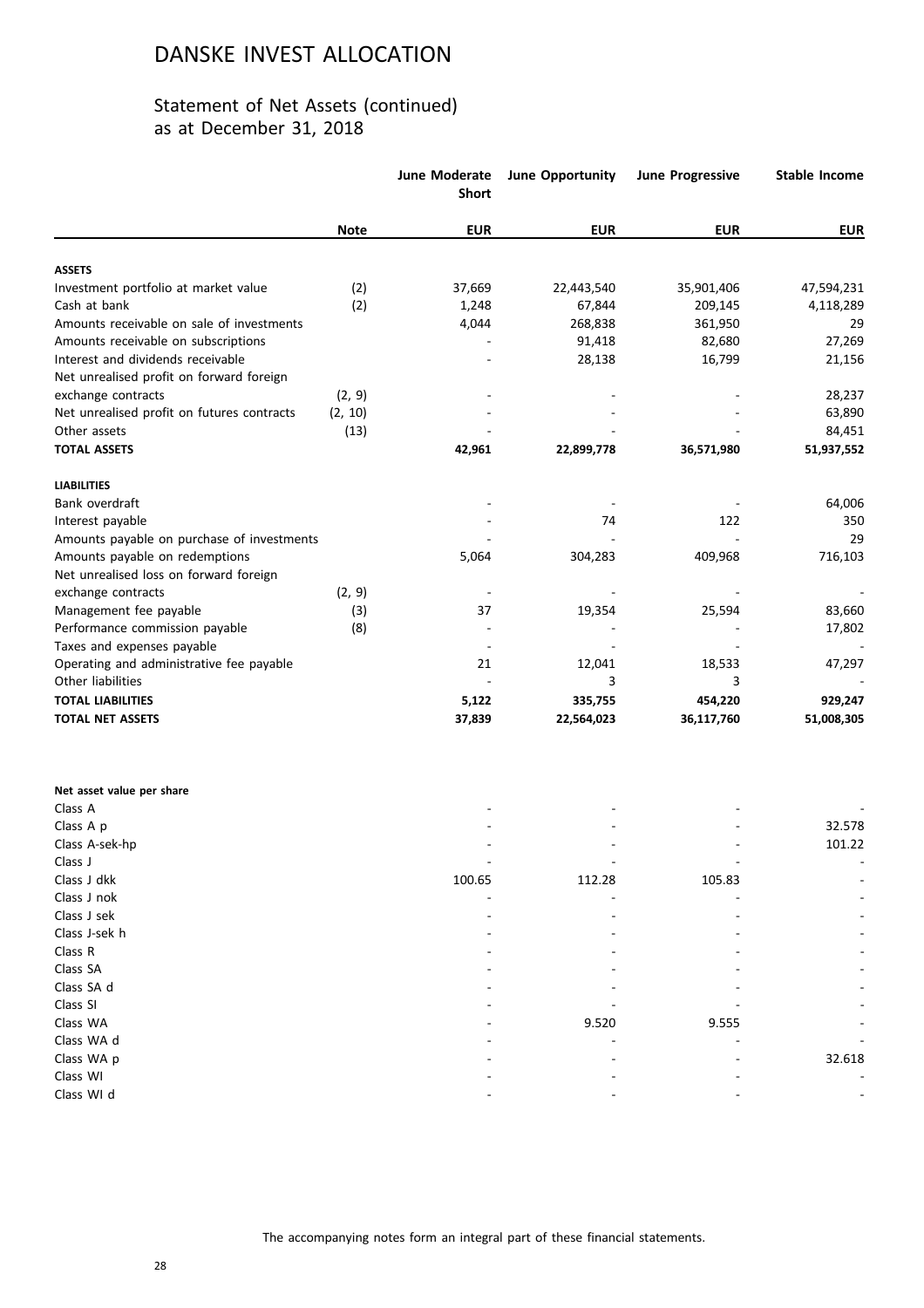|                                            |             | June Moderate<br><b>Short</b> | June Opportunity | <b>June Progressive</b> | <b>Stable Income</b> |
|--------------------------------------------|-------------|-------------------------------|------------------|-------------------------|----------------------|
|                                            | <b>Note</b> | <b>EUR</b>                    | <b>EUR</b>       | <b>EUR</b>              | <b>EUR</b>           |
| <b>ASSETS</b>                              |             |                               |                  |                         |                      |
| Investment portfolio at market value       | (2)         | 37,669                        | 22,443,540       | 35,901,406              | 47,594,231           |
| Cash at bank                               | (2)         | 1,248                         | 67,844           | 209,145                 | 4,118,289            |
| Amounts receivable on sale of investments  |             | 4,044                         | 268,838          | 361,950                 | 29                   |
| Amounts receivable on subscriptions        |             |                               | 91,418           | 82,680                  | 27,269               |
| Interest and dividends receivable          |             |                               | 28,138           | 16,799                  | 21,156               |
| Net unrealised profit on forward foreign   |             |                               |                  |                         |                      |
| exchange contracts                         | (2, 9)      |                               |                  |                         | 28,237               |
| Net unrealised profit on futures contracts | (2, 10)     |                               |                  |                         | 63,890               |
| Other assets                               | (13)        |                               |                  |                         | 84,451               |
| <b>TOTAL ASSETS</b>                        |             | 42,961                        | 22,899,778       | 36,571,980              | 51,937,552           |
| <b>LIABILITIES</b>                         |             |                               |                  |                         |                      |
| Bank overdraft                             |             |                               |                  |                         | 64,006               |
| Interest payable                           |             |                               | 74               | 122                     | 350                  |
| Amounts payable on purchase of investments |             |                               |                  |                         | 29                   |
| Amounts payable on redemptions             |             | 5,064                         | 304,283          | 409,968                 | 716,103              |
| Net unrealised loss on forward foreign     |             |                               |                  |                         |                      |
| exchange contracts                         | (2, 9)      |                               |                  |                         |                      |
| Management fee payable                     | (3)         | 37                            | 19,354           | 25,594                  | 83,660               |
| Performance commission payable             | (8)         |                               |                  |                         | 17,802               |
| Taxes and expenses payable                 |             |                               |                  |                         |                      |
| Operating and administrative fee payable   |             | 21                            | 12,041           | 18,533                  | 47,297               |
| Other liabilities                          |             |                               | 3                | 3                       |                      |
| <b>TOTAL LIABILITIES</b>                   |             | 5,122                         | 335,755          | 454,220                 | 929,247              |
| <b>TOTAL NET ASSETS</b>                    |             | 37,839                        | 22,564,023       | 36,117,760              | 51,008,305           |
|                                            |             |                               |                  |                         |                      |
| Net asset value per share                  |             |                               |                  |                         |                      |
| Class A                                    |             |                               |                  |                         |                      |

| <b>CIASS A</b> |        |        |        |                          |
|----------------|--------|--------|--------|--------------------------|
| Class A p      |        |        |        | 32.578                   |
| Class A-sek-hp |        |        |        | 101.22                   |
| Class J        |        |        |        | $\overline{\phantom{a}}$ |
| Class J dkk    | 100.65 | 112.28 | 105.83 |                          |
| Class J nok    |        |        |        |                          |
| Class J sek    |        |        |        |                          |
| Class J-sek h  |        |        |        | $\sim$                   |
| Class R        |        |        |        |                          |
| Class SA       |        |        |        |                          |
| Class SA d     |        |        |        |                          |
| Class SI       |        |        |        | $\overline{\phantom{a}}$ |
| Class WA       |        | 9.520  | 9.555  |                          |
| Class WA d     |        |        |        |                          |
| Class WA p     |        |        |        | 32.618                   |
| Class WI       |        |        |        |                          |
| Class WI d     |        |        |        |                          |
|                |        |        |        |                          |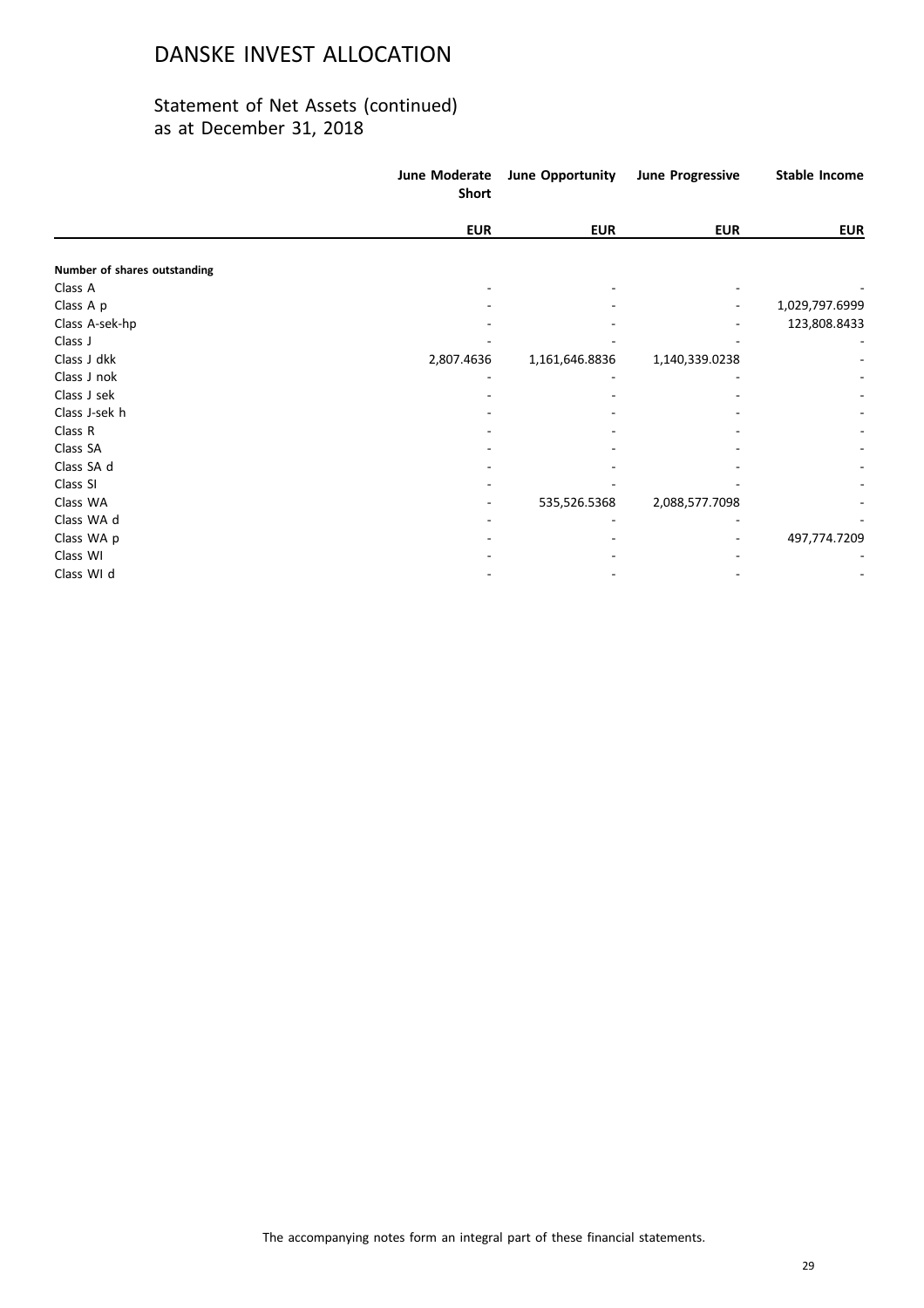|                              | June Moderate<br>Short | June Opportunity | <b>June Progressive</b> | <b>Stable Income</b> |
|------------------------------|------------------------|------------------|-------------------------|----------------------|
|                              | <b>EUR</b>             | <b>EUR</b>       | <b>EUR</b>              | <b>EUR</b>           |
| Number of shares outstanding |                        |                  |                         |                      |
| Class A                      |                        |                  |                         |                      |
| Class A p                    |                        |                  |                         | 1,029,797.6999       |
| Class A-sek-hp               |                        |                  |                         | 123,808.8433         |
| Class J                      |                        |                  |                         |                      |
| Class J dkk                  | 2,807.4636             | 1,161,646.8836   | 1,140,339.0238          |                      |
| Class J nok                  |                        |                  |                         |                      |
| Class J sek                  |                        |                  |                         |                      |
| Class J-sek h                |                        |                  |                         |                      |
| Class R                      |                        |                  |                         |                      |
| Class SA                     |                        |                  |                         |                      |
| Class SA d                   |                        |                  |                         |                      |
| Class SI                     |                        |                  |                         |                      |
| Class WA                     |                        | 535,526.5368     | 2,088,577.7098          |                      |
| Class WA d                   |                        |                  |                         |                      |
| Class WA p                   |                        |                  |                         | 497,774.7209         |
| Class WI                     |                        |                  |                         |                      |
| Class WI d                   |                        |                  |                         |                      |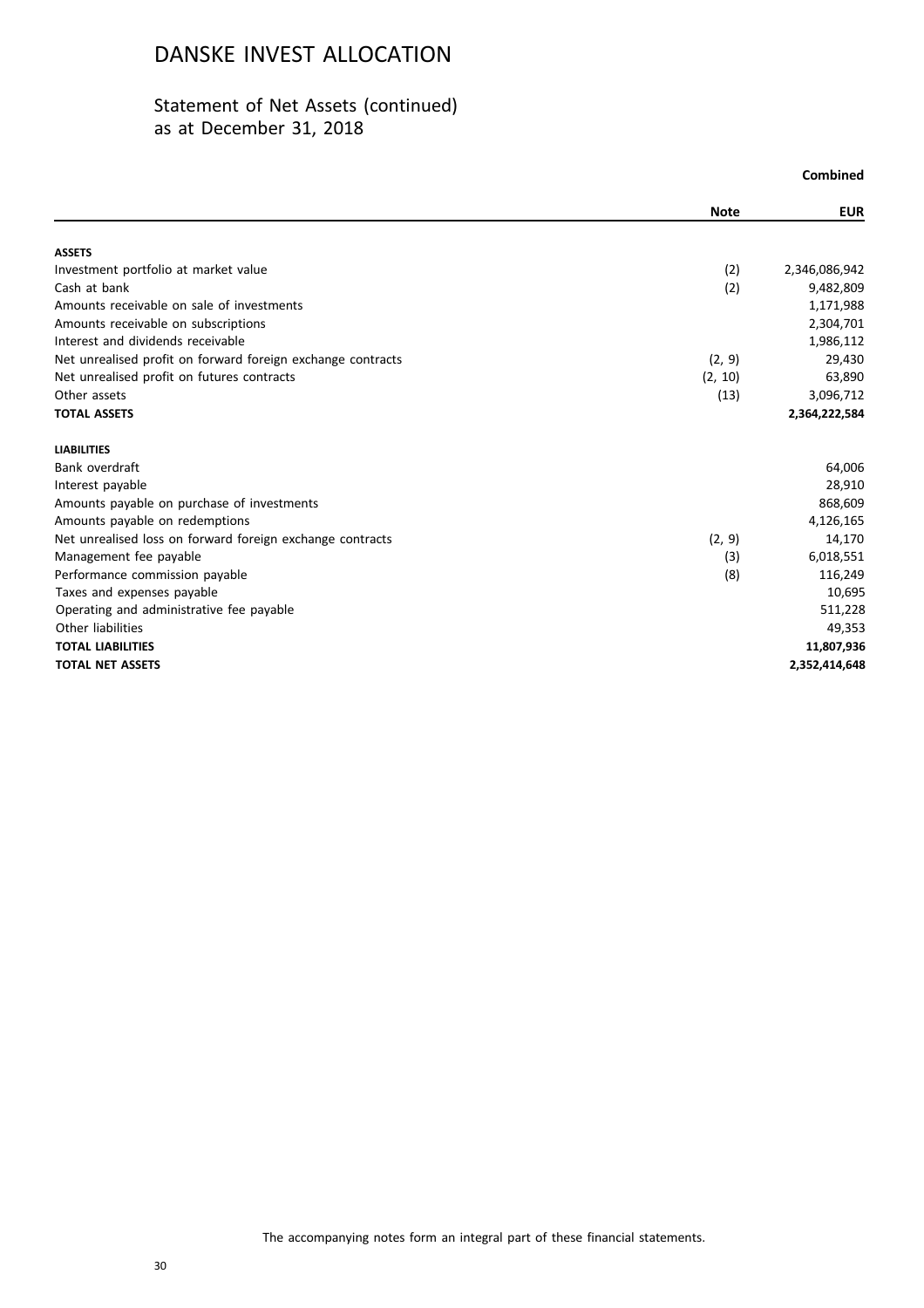|                                                             |             | Combined      |
|-------------------------------------------------------------|-------------|---------------|
|                                                             | <b>Note</b> | <b>EUR</b>    |
| <b>ASSETS</b>                                               |             |               |
| Investment portfolio at market value                        | (2)         | 2,346,086,942 |
| Cash at bank                                                | (2)         | 9,482,809     |
| Amounts receivable on sale of investments                   |             | 1,171,988     |
| Amounts receivable on subscriptions                         |             | 2,304,701     |
| Interest and dividends receivable                           |             | 1,986,112     |
| Net unrealised profit on forward foreign exchange contracts | (2, 9)      | 29,430        |
| Net unrealised profit on futures contracts                  | (2, 10)     | 63,890        |
| Other assets                                                | (13)        | 3,096,712     |
| <b>TOTAL ASSETS</b>                                         |             | 2,364,222,584 |
| <b>LIABILITIES</b>                                          |             |               |
| Bank overdraft                                              |             | 64,006        |
| Interest payable                                            |             | 28,910        |
| Amounts payable on purchase of investments                  |             | 868,609       |
| Amounts payable on redemptions                              |             | 4,126,165     |
| Net unrealised loss on forward foreign exchange contracts   | (2, 9)      | 14,170        |
| Management fee payable                                      | (3)         | 6,018,551     |
| Performance commission payable                              | (8)         | 116,249       |
| Taxes and expenses payable                                  |             | 10,695        |
| Operating and administrative fee payable                    |             | 511,228       |
| Other liabilities                                           |             | 49,353        |
| <b>TOTAL LIABILITIES</b>                                    |             | 11,807,936    |
| <b>TOTAL NET ASSETS</b>                                     |             | 2,352,414,648 |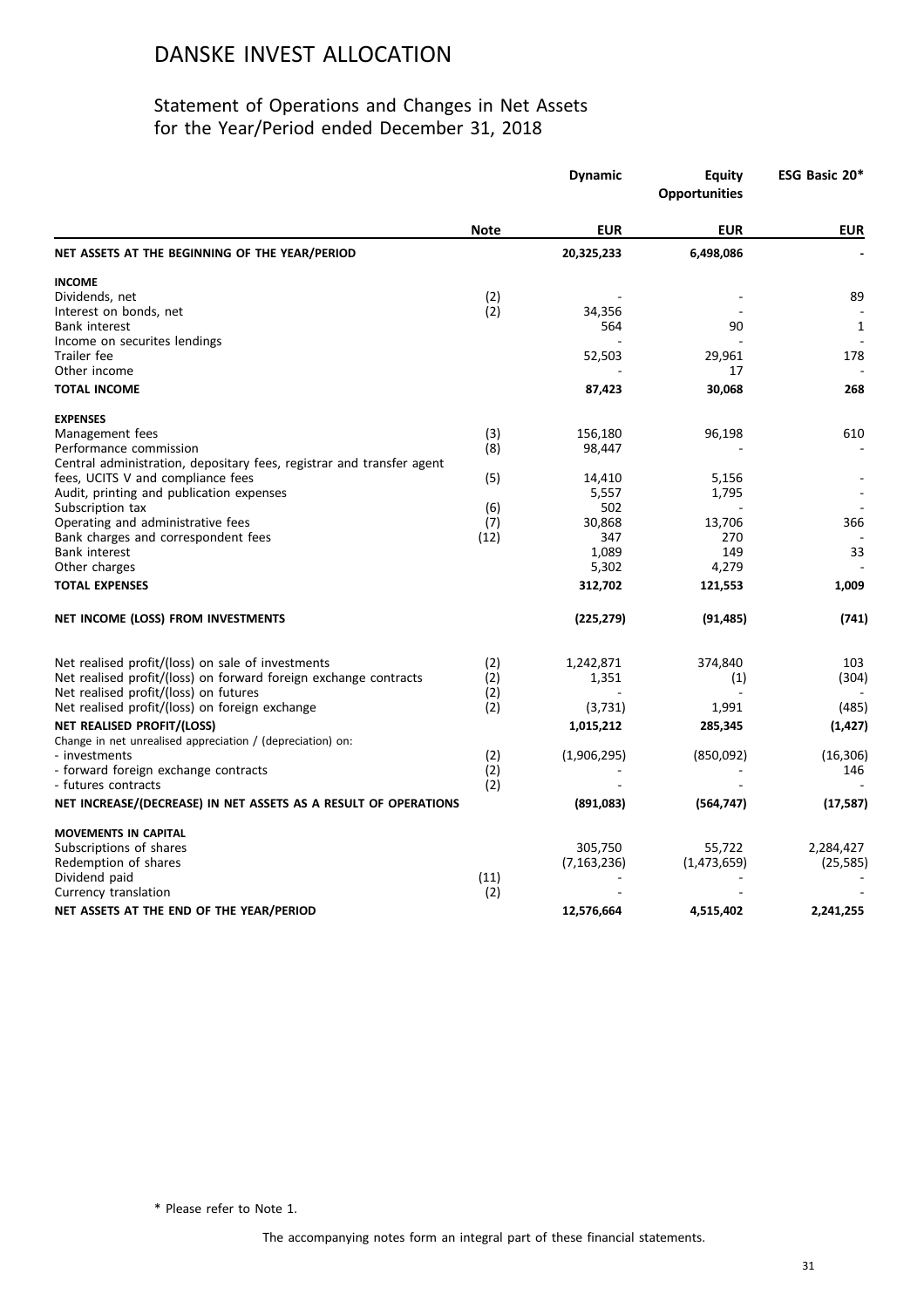### Statement of Operations and Changes in Net Assets for the Year/Period ended December 31, 2018

|                                                                       |             | <b>Dynamic</b><br><b>Equity</b><br><b>Opportunities</b> |               | ESG Basic 20* |  |
|-----------------------------------------------------------------------|-------------|---------------------------------------------------------|---------------|---------------|--|
|                                                                       | <b>Note</b> | <b>EUR</b>                                              | <b>EUR</b>    | <b>EUR</b>    |  |
| NET ASSETS AT THE BEGINNING OF THE YEAR/PERIOD                        |             | 20,325,233                                              | 6,498,086     |               |  |
| <b>INCOME</b>                                                         |             |                                                         |               |               |  |
| Dividends, net                                                        | (2)         |                                                         |               | 89            |  |
| Interest on bonds, net                                                | (2)         | 34,356                                                  |               |               |  |
| <b>Bank interest</b>                                                  |             | 564                                                     | 90            | 1             |  |
| Income on securites lendings                                          |             |                                                         |               |               |  |
| Trailer fee                                                           |             | 52,503                                                  | 29,961        | 178           |  |
| Other income                                                          |             |                                                         | 17            |               |  |
| <b>TOTAL INCOME</b>                                                   |             | 87,423                                                  | 30,068        | 268           |  |
| <b>EXPENSES</b>                                                       |             |                                                         |               |               |  |
| Management fees                                                       | (3)         | 156,180                                                 | 96,198        | 610           |  |
| Performance commission                                                | (8)         | 98,447                                                  |               |               |  |
| Central administration, depositary fees, registrar and transfer agent |             |                                                         |               |               |  |
| fees, UCITS V and compliance fees                                     | (5)         | 14,410                                                  | 5,156         |               |  |
| Audit, printing and publication expenses                              |             | 5,557                                                   | 1,795         |               |  |
| Subscription tax                                                      | (6)         | 502                                                     |               |               |  |
| Operating and administrative fees                                     | (7)         | 30,868<br>347                                           | 13,706<br>270 | 366           |  |
| Bank charges and correspondent fees<br>Bank interest                  | (12)        | 1,089                                                   | 149           | 33            |  |
| Other charges                                                         |             | 5,302                                                   | 4,279         |               |  |
|                                                                       |             |                                                         |               |               |  |
| <b>TOTAL EXPENSES</b>                                                 |             | 312,702                                                 | 121,553       | 1,009         |  |
| NET INCOME (LOSS) FROM INVESTMENTS                                    |             | (225, 279)                                              | (91, 485)     | (741)         |  |
| Net realised profit/(loss) on sale of investments                     | (2)         | 1,242,871                                               | 374,840       | 103           |  |
| Net realised profit/(loss) on forward foreign exchange contracts      | (2)         | 1,351                                                   | (1)           | (304)         |  |
| Net realised profit/(loss) on futures                                 | (2)         |                                                         |               |               |  |
| Net realised profit/(loss) on foreign exchange                        | (2)         | (3,731)                                                 | 1,991         | (485)         |  |
| <b>NET REALISED PROFIT/(LOSS)</b>                                     |             | 1,015,212                                               | 285,345       | (1, 427)      |  |
| Change in net unrealised appreciation / (depreciation) on:            |             |                                                         |               |               |  |
| - investments                                                         | (2)         | (1,906,295)                                             | (850,092)     | (16, 306)     |  |
| - forward foreign exchange contracts                                  | (2)         |                                                         |               | 146           |  |
| - futures contracts                                                   | (2)         |                                                         |               |               |  |
| NET INCREASE/(DECREASE) IN NET ASSETS AS A RESULT OF OPERATIONS       |             | (891,083)                                               | (564, 747)    | (17, 587)     |  |
| <b>MOVEMENTS IN CAPITAL</b>                                           |             |                                                         |               |               |  |
| Subscriptions of shares                                               |             | 305,750                                                 | 55,722        | 2,284,427     |  |
| Redemption of shares                                                  |             | (7, 163, 236)                                           | (1,473,659)   | (25, 585)     |  |
| Dividend paid                                                         | (11)        |                                                         |               |               |  |
| Currency translation                                                  | (2)         |                                                         |               |               |  |
| NET ASSETS AT THE END OF THE YEAR/PERIOD                              |             | 12,576,664                                              | 4,515,402     | 2,241,255     |  |
|                                                                       |             |                                                         |               |               |  |

\* Please refer to Note 1.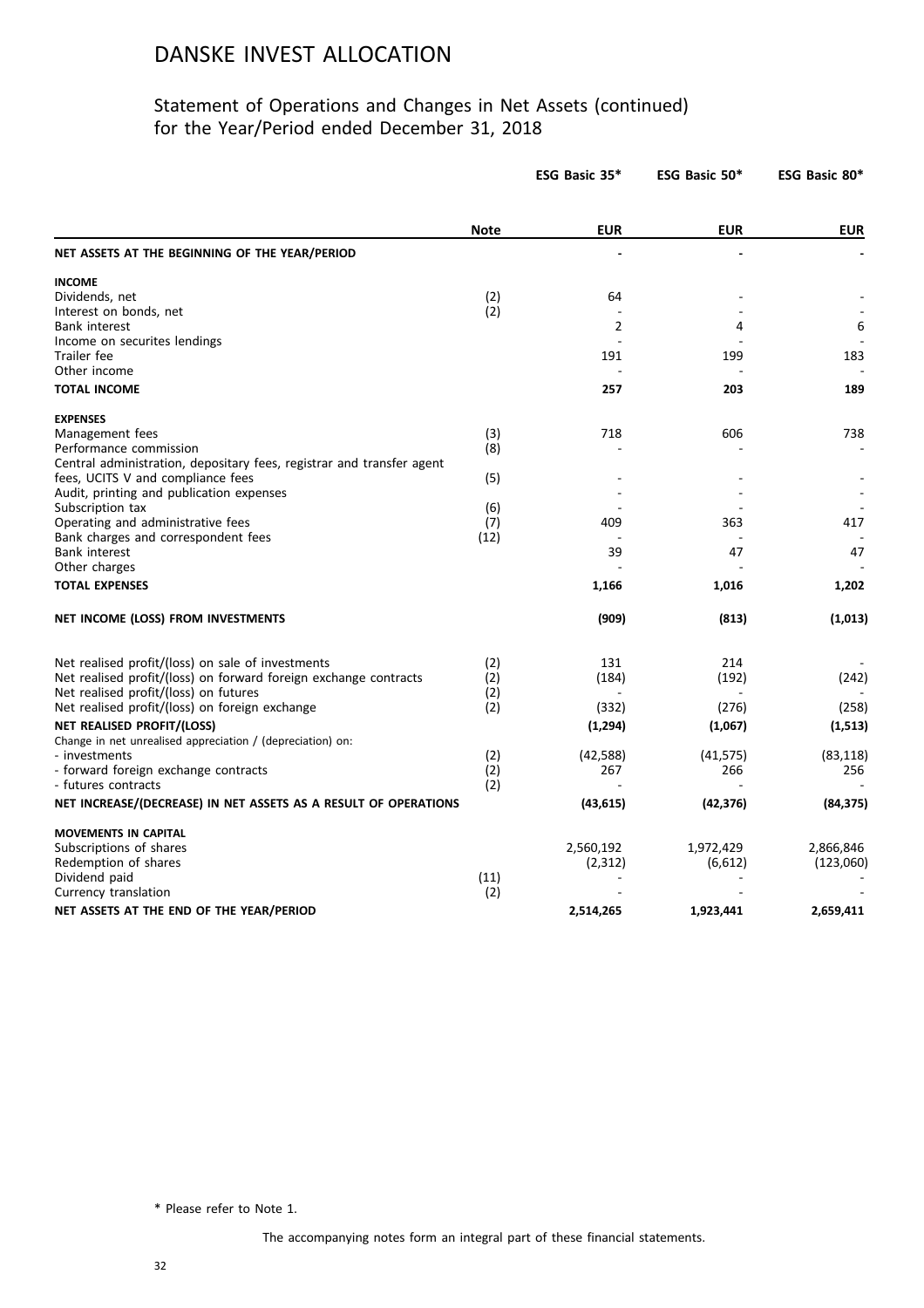### Statement of Operations and Changes in Net Assets (continued) for the Year/Period ended December 31, 2018

|                                                                               |             | ESG Basic 35*  | ESG Basic 50* | ESG Basic 80* |
|-------------------------------------------------------------------------------|-------------|----------------|---------------|---------------|
|                                                                               | <b>Note</b> | <b>EUR</b>     | <b>EUR</b>    | <b>EUR</b>    |
| NET ASSETS AT THE BEGINNING OF THE YEAR/PERIOD                                |             |                |               |               |
| <b>INCOME</b>                                                                 |             |                |               |               |
| Dividends, net                                                                | (2)         | 64             |               |               |
| Interest on bonds, net                                                        | (2)         |                |               |               |
| <b>Bank interest</b>                                                          |             | $\overline{2}$ | 4             | 6             |
| Income on securites lendings                                                  |             |                |               |               |
| Trailer fee                                                                   |             | 191            | 199           | 183           |
| Other income                                                                  |             |                |               |               |
| <b>TOTAL INCOME</b>                                                           |             | 257            | 203           | 189           |
| <b>EXPENSES</b>                                                               |             |                |               |               |
| Management fees                                                               | (3)         | 718            | 606           | 738           |
| Performance commission                                                        | (8)         |                |               |               |
| Central administration, depositary fees, registrar and transfer agent         |             |                |               |               |
| fees, UCITS V and compliance fees<br>Audit, printing and publication expenses | (5)         |                |               |               |
| Subscription tax                                                              | (6)         |                |               |               |
| Operating and administrative fees                                             | (7)         | 409            | 363           | 417           |
| Bank charges and correspondent fees                                           | (12)        |                |               |               |
| <b>Bank interest</b>                                                          |             | 39             | 47            | 47            |
| Other charges                                                                 |             |                |               |               |
| <b>TOTAL EXPENSES</b>                                                         |             | 1,166          | 1,016         | 1,202         |
| NET INCOME (LOSS) FROM INVESTMENTS                                            |             | (909)          | (813)         | (1,013)       |
| Net realised profit/(loss) on sale of investments                             | (2)         | 131            | 214           |               |
| Net realised profit/(loss) on forward foreign exchange contracts              | (2)         | (184)          | (192)         | (242)         |
| Net realised profit/(loss) on futures                                         | (2)         |                |               |               |
| Net realised profit/(loss) on foreign exchange                                | (2)         | (332)          | (276)         | (258)         |
| NET REALISED PROFIT/(LOSS)                                                    |             | (1, 294)       | (1,067)       | (1, 513)      |
| Change in net unrealised appreciation / (depreciation) on:                    |             |                |               |               |
| - investments                                                                 | (2)         | (42, 588)      | (41, 575)     | (83, 118)     |
| - forward foreign exchange contracts                                          | (2)         | 267            | 266           | 256           |
| - futures contracts                                                           | (2)         |                |               |               |
| NET INCREASE/(DECREASE) IN NET ASSETS AS A RESULT OF OPERATIONS               |             | (43, 615)      | (42, 376)     | (84, 375)     |
| <b>MOVEMENTS IN CAPITAL</b>                                                   |             |                |               |               |
| Subscriptions of shares                                                       |             | 2,560,192      | 1,972,429     | 2,866,846     |
| Redemption of shares                                                          |             | (2,312)        | (6,612)       | (123,060)     |
| Dividend paid                                                                 | (11)        |                |               |               |
| Currency translation                                                          | (2)         |                |               |               |
| NET ASSETS AT THE END OF THE YEAR/PERIOD                                      |             | 2,514,265      | 1,923,441     | 2,659,411     |
|                                                                               |             |                |               |               |

\* Please refer to Note 1.

The accompanying notes form an integral part of these financial statements.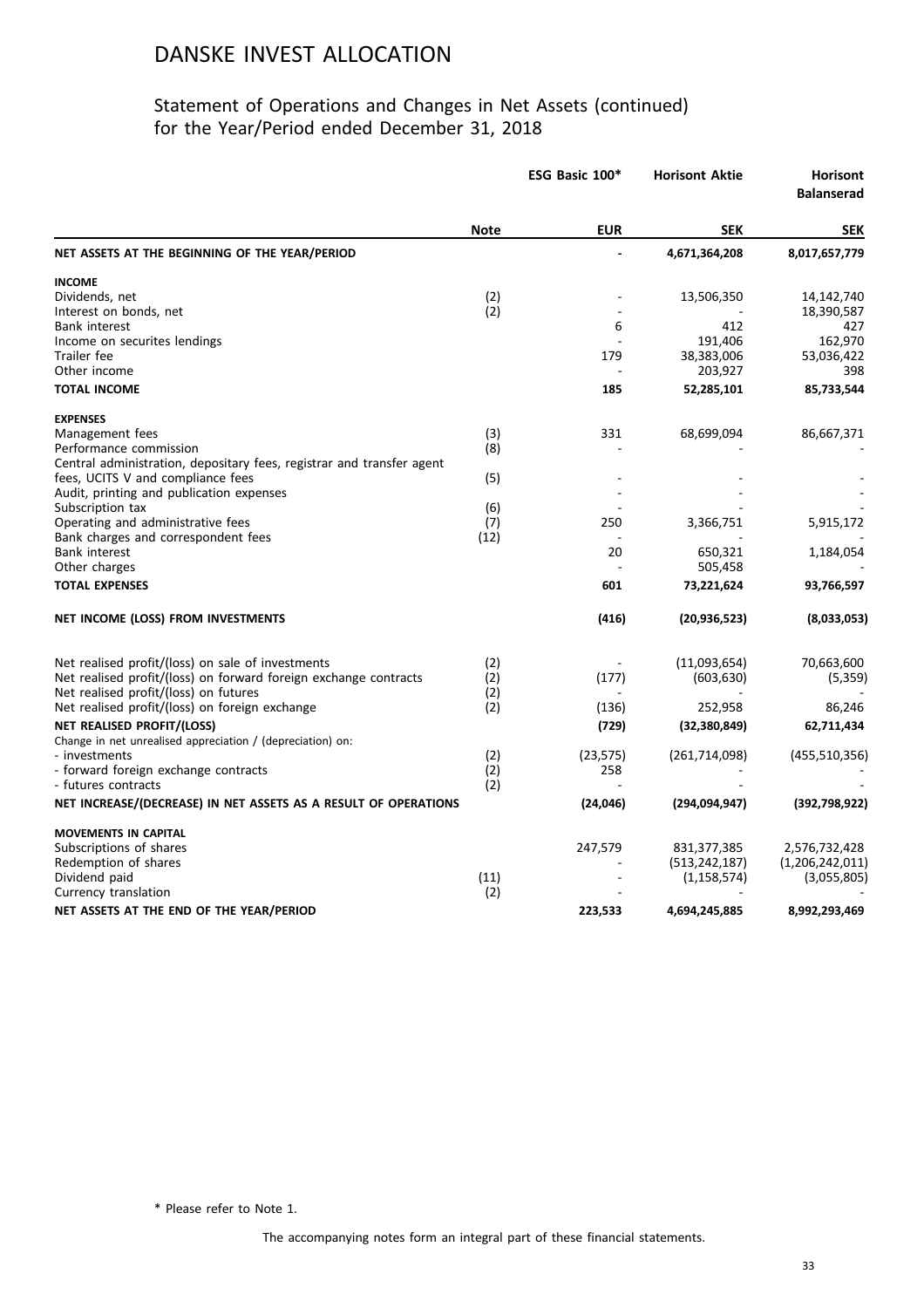### Statement of Operations and Changes in Net Assets (continued) for the Year/Period ended December 31, 2018

|                                                                       | ESG Basic 100* | <b>Horisont Aktie</b> | <b>Horisont</b><br><b>Balanserad</b> |                 |
|-----------------------------------------------------------------------|----------------|-----------------------|--------------------------------------|-----------------|
|                                                                       | <b>Note</b>    | <b>EUR</b>            | <b>SEK</b>                           | <b>SEK</b>      |
| NET ASSETS AT THE BEGINNING OF THE YEAR/PERIOD                        |                |                       | 4,671,364,208                        | 8,017,657,779   |
| <b>INCOME</b>                                                         |                |                       |                                      |                 |
| Dividends, net                                                        | (2)            |                       | 13,506,350                           | 14,142,740      |
| Interest on bonds, net                                                | (2)            |                       |                                      | 18,390,587      |
| <b>Bank interest</b>                                                  |                | 6                     | 412                                  | 427             |
| Income on securites lendings                                          |                |                       | 191,406                              | 162,970         |
| Trailer fee                                                           |                | 179                   | 38,383,006                           | 53,036,422      |
| Other income                                                          |                |                       | 203,927                              | 398             |
| <b>TOTAL INCOME</b>                                                   |                | 185                   | 52,285,101                           | 85,733,544      |
| <b>EXPENSES</b>                                                       |                |                       |                                      |                 |
| Management fees                                                       | (3)            | 331                   | 68,699,094                           | 86,667,371      |
| Performance commission                                                | (8)            |                       |                                      |                 |
| Central administration, depositary fees, registrar and transfer agent |                |                       |                                      |                 |
| fees, UCITS V and compliance fees                                     | (5)            |                       |                                      |                 |
| Audit, printing and publication expenses                              |                |                       |                                      |                 |
| Subscription tax                                                      | (6)            |                       |                                      |                 |
| Operating and administrative fees                                     | (7)            | 250                   | 3,366,751                            | 5,915,172       |
| Bank charges and correspondent fees                                   | (12)           |                       |                                      |                 |
| Bank interest                                                         |                | 20                    | 650,321                              | 1,184,054       |
| Other charges                                                         |                |                       | 505,458                              |                 |
| <b>TOTAL EXPENSES</b>                                                 |                | 601                   | 73,221,624                           | 93,766,597      |
| NET INCOME (LOSS) FROM INVESTMENTS                                    |                | (416)                 | (20, 936, 523)                       | (8,033,053)     |
| Net realised profit/(loss) on sale of investments                     | (2)            |                       | (11,093,654)                         | 70,663,600      |
| Net realised profit/(loss) on forward foreign exchange contracts      | (2)            | (177)                 | (603, 630)                           | (5,359)         |
| Net realised profit/(loss) on futures                                 | (2)            |                       |                                      |                 |
| Net realised profit/(loss) on foreign exchange                        | (2)            | (136)                 | 252,958                              | 86,246          |
| NET REALISED PROFIT/(LOSS)                                            |                | (729)                 | (32, 380, 849)                       | 62,711,434      |
| Change in net unrealised appreciation / (depreciation) on:            |                |                       |                                      |                 |
| - investments                                                         | (2)            | (23, 575)             | (261, 714, 098)                      | (455, 510, 356) |
| - forward foreign exchange contracts                                  | (2)            | 258                   |                                      |                 |
| - futures contracts                                                   | (2)            |                       |                                      |                 |
| NET INCREASE/(DECREASE) IN NET ASSETS AS A RESULT OF OPERATIONS       |                | (24,046)              | (294,094,947)                        | (392, 798, 922) |
| <b>MOVEMENTS IN CAPITAL</b>                                           |                |                       |                                      |                 |
| Subscriptions of shares                                               |                | 247,579               | 831, 377, 385                        | 2,576,732,428   |
| Redemption of shares                                                  |                |                       | (513, 242, 187)                      | (1,206,242,011) |
| Dividend paid                                                         | (11)           |                       | (1, 158, 574)                        | (3,055,805)     |
| Currency translation                                                  | (2)            |                       |                                      |                 |
| NET ASSETS AT THE END OF THE YEAR/PERIOD                              |                | 223,533               | 4,694,245,885                        | 8,992,293,469   |
|                                                                       |                |                       |                                      |                 |

\* Please refer to Note 1.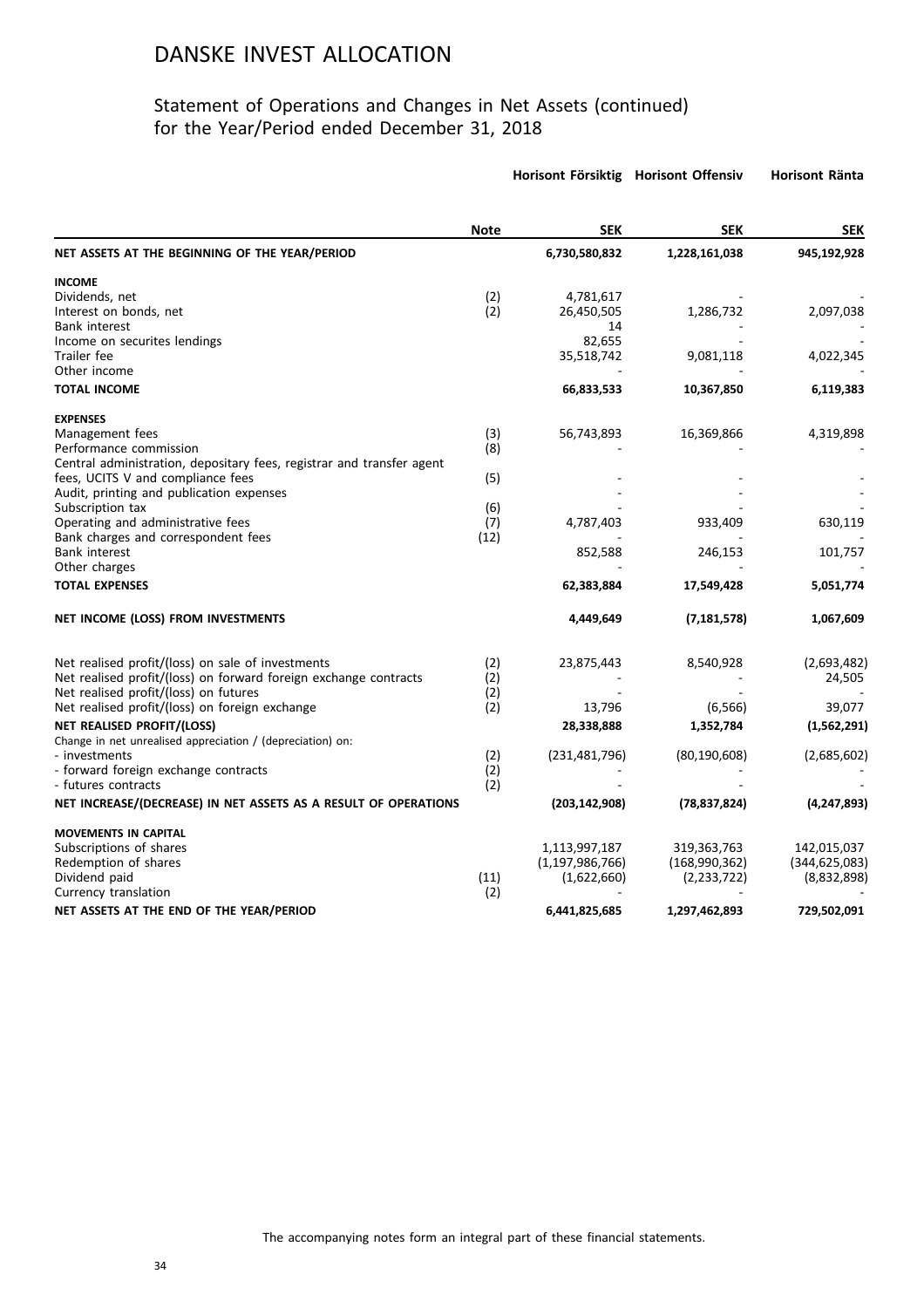### Statement of Operations and Changes in Net Assets (continued) for the Year/Period ended December 31, 2018

|                                                                                                 |             | Horisont Försiktig Horisont Offensiv |                | Horisont Ränta  |
|-------------------------------------------------------------------------------------------------|-------------|--------------------------------------|----------------|-----------------|
|                                                                                                 | <b>Note</b> | <b>SEK</b>                           | <b>SEK</b>     | <b>SEK</b>      |
| NET ASSETS AT THE BEGINNING OF THE YEAR/PERIOD                                                  |             | 6,730,580,832                        | 1,228,161,038  | 945,192,928     |
| <b>INCOME</b>                                                                                   |             |                                      |                |                 |
| Dividends, net                                                                                  | (2)         | 4,781,617                            |                |                 |
| Interest on bonds, net                                                                          | (2)         | 26,450,505                           | 1,286,732      | 2,097,038       |
| <b>Bank interest</b>                                                                            |             | 14                                   |                |                 |
| Income on securites lendings                                                                    |             | 82,655                               |                |                 |
| Trailer fee                                                                                     |             | 35,518,742                           | 9,081,118      | 4,022,345       |
| Other income                                                                                    |             |                                      |                |                 |
| <b>TOTAL INCOME</b>                                                                             |             | 66,833,533                           | 10,367,850     | 6,119,383       |
| <b>EXPENSES</b>                                                                                 |             |                                      |                |                 |
| Management fees                                                                                 | (3)         | 56,743,893                           | 16,369,866     | 4,319,898       |
| Performance commission                                                                          | (8)         |                                      |                |                 |
| Central administration, depositary fees, registrar and transfer agent                           |             |                                      |                |                 |
| fees, UCITS V and compliance fees                                                               | (5)         |                                      |                |                 |
| Audit, printing and publication expenses                                                        |             |                                      |                |                 |
| Subscription tax                                                                                | (6)         |                                      |                |                 |
| Operating and administrative fees                                                               | (7)         | 4,787,403                            | 933,409        | 630,119         |
| Bank charges and correspondent fees                                                             | (12)        |                                      |                |                 |
| <b>Bank interest</b>                                                                            |             | 852,588                              | 246,153        | 101,757         |
| Other charges                                                                                   |             |                                      |                |                 |
| <b>TOTAL EXPENSES</b>                                                                           |             | 62,383,884                           | 17,549,428     | 5,051,774       |
| NET INCOME (LOSS) FROM INVESTMENTS                                                              |             | 4,449,649                            | (7, 181, 578)  | 1,067,609       |
|                                                                                                 |             |                                      |                |                 |
| Net realised profit/(loss) on sale of investments                                               | (2)         | 23,875,443                           | 8,540,928      | (2,693,482)     |
| Net realised profit/(loss) on forward foreign exchange contracts                                | (2)         |                                      |                | 24,505          |
| Net realised profit/(loss) on futures                                                           | (2)         |                                      |                |                 |
| Net realised profit/(loss) on foreign exchange                                                  | (2)         | 13,796                               | (6, 566)       | 39,077          |
| <b>NET REALISED PROFIT/(LOSS)</b><br>Change in net unrealised appreciation / (depreciation) on: |             | 28,338,888                           | 1,352,784      | (1,562,291)     |
| - investments                                                                                   | (2)         | (231, 481, 796)                      | (80, 190, 608) | (2,685,602)     |
| - forward foreign exchange contracts                                                            | (2)         |                                      |                |                 |
| - futures contracts                                                                             | (2)         |                                      |                |                 |
| NET INCREASE/(DECREASE) IN NET ASSETS AS A RESULT OF OPERATIONS                                 |             | (203, 142, 908)                      | (78, 837, 824) | (4, 247, 893)   |
| <b>MOVEMENTS IN CAPITAL</b>                                                                     |             |                                      |                |                 |
| Subscriptions of shares                                                                         |             | 1,113,997,187                        | 319,363,763    | 142,015,037     |
| Redemption of shares                                                                            |             | (1, 197, 986, 766)                   | (168,990,362)  | (344, 625, 083) |
| Dividend paid                                                                                   | (11)        | (1,622,660)                          | (2,233,722)    | (8,832,898)     |
| Currency translation                                                                            | (2)         |                                      |                |                 |
| NET ASSETS AT THE END OF THE YEAR/PERIOD                                                        |             | 6,441,825,685                        | 1,297,462,893  | 729,502,091     |
|                                                                                                 |             |                                      |                |                 |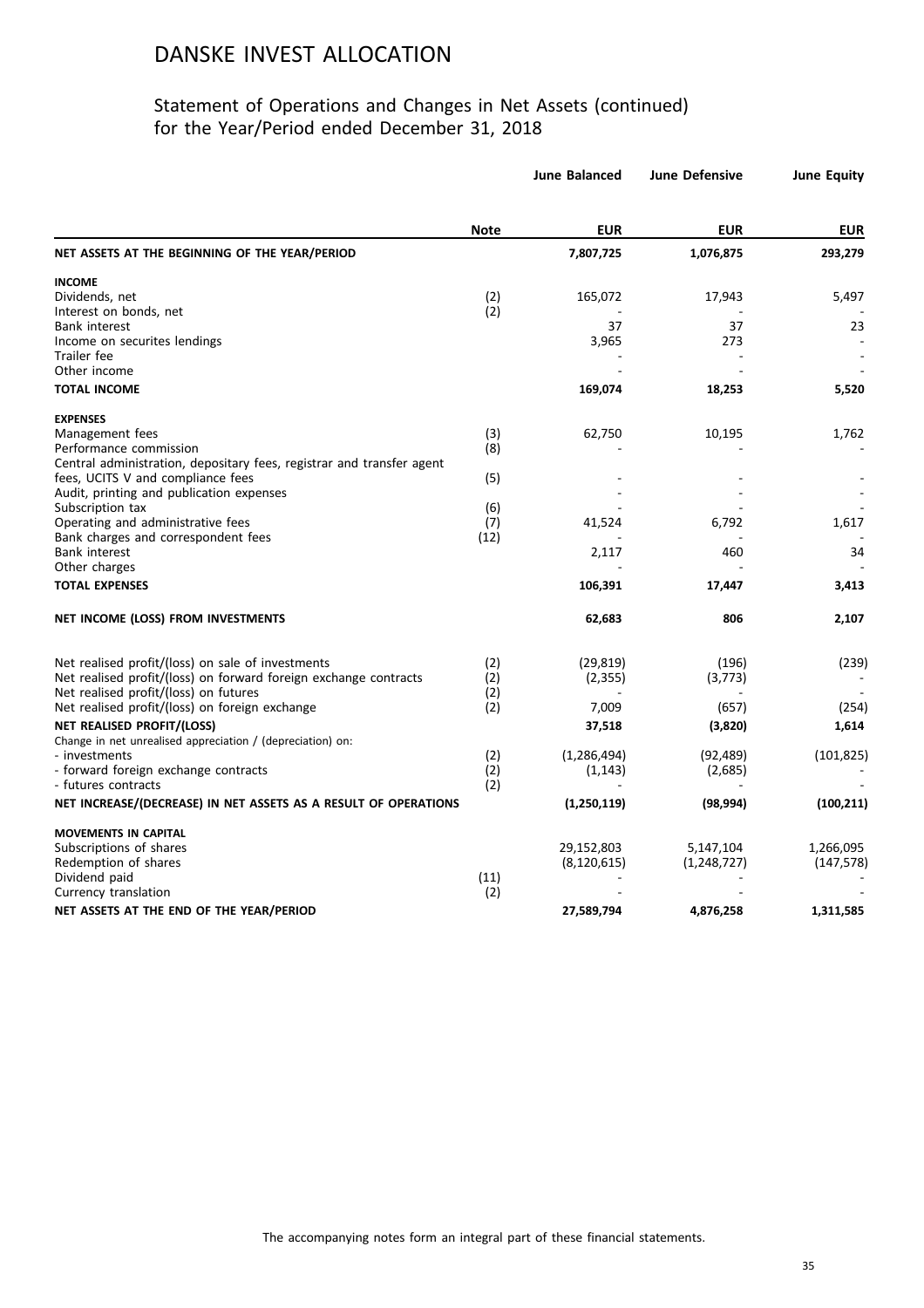### Statement of Operations and Changes in Net Assets (continued) for the Year/Period ended December 31, 2018

|                                                                          |             | <b>June Balanced</b> | <b>June Defensive</b> | <b>June Equity</b> |
|--------------------------------------------------------------------------|-------------|----------------------|-----------------------|--------------------|
|                                                                          | <b>Note</b> | <b>EUR</b>           | <b>EUR</b>            | <b>EUR</b>         |
| NET ASSETS AT THE BEGINNING OF THE YEAR/PERIOD                           |             | 7,807,725            | 1,076,875             | 293,279            |
| <b>INCOME</b>                                                            |             |                      |                       |                    |
| Dividends, net                                                           | (2)         | 165,072              | 17,943                | 5,497              |
| Interest on bonds, net                                                   | (2)         |                      |                       |                    |
| <b>Bank interest</b>                                                     |             | 37                   | 37                    | 23                 |
| Income on securites lendings                                             |             | 3,965                | 273                   |                    |
| Trailer fee                                                              |             |                      |                       |                    |
| Other income                                                             |             |                      |                       |                    |
| <b>TOTAL INCOME</b>                                                      |             | 169,074              | 18,253                | 5,520              |
| <b>EXPENSES</b>                                                          |             |                      |                       |                    |
| Management fees                                                          | (3)         | 62,750               | 10,195                | 1,762              |
| Performance commission                                                   | (8)         |                      |                       |                    |
| Central administration, depositary fees, registrar and transfer agent    |             |                      |                       |                    |
| fees, UCITS V and compliance fees                                        | (5)         |                      |                       |                    |
| Audit, printing and publication expenses                                 |             |                      |                       |                    |
| Subscription tax                                                         | (6)         |                      |                       |                    |
| Operating and administrative fees<br>Bank charges and correspondent fees | (7)<br>(12) | 41,524               | 6,792                 | 1,617              |
| <b>Bank interest</b>                                                     |             | 2,117                | 460                   | 34                 |
| Other charges                                                            |             |                      |                       |                    |
| <b>TOTAL EXPENSES</b>                                                    |             | 106,391              | 17,447                | 3,413              |
|                                                                          |             |                      |                       |                    |
| NET INCOME (LOSS) FROM INVESTMENTS                                       |             | 62,683               | 806                   | 2,107              |
| Net realised profit/(loss) on sale of investments                        | (2)         | (29, 819)            | (196)                 | (239)              |
| Net realised profit/(loss) on forward foreign exchange contracts         | (2)         | (2, 355)             | (3,773)               |                    |
| Net realised profit/(loss) on futures                                    | (2)         |                      |                       |                    |
| Net realised profit/(loss) on foreign exchange                           | (2)         | 7,009                | (657)                 | (254)              |
| <b>NET REALISED PROFIT/(LOSS)</b>                                        |             | 37,518               | (3,820)               | 1,614              |
| Change in net unrealised appreciation / (depreciation) on:               |             |                      |                       |                    |
| - investments                                                            | (2)         | (1, 286, 494)        | (92, 489)             | (101, 825)         |
| - forward foreign exchange contracts                                     | (2)         | (1, 143)             | (2,685)               |                    |
| - futures contracts                                                      | (2)         |                      |                       |                    |
| NET INCREASE/(DECREASE) IN NET ASSETS AS A RESULT OF OPERATIONS          |             | (1,250,119)          | (98, 994)             | (100, 211)         |
| <b>MOVEMENTS IN CAPITAL</b>                                              |             |                      |                       |                    |
| Subscriptions of shares                                                  |             | 29,152,803           | 5,147,104             | 1,266,095          |
| Redemption of shares                                                     |             | (8, 120, 615)        | (1,248,727)           | (147, 578)         |
| Dividend paid                                                            | (11)        |                      |                       |                    |
| Currency translation                                                     | (2)         |                      |                       |                    |
| NET ASSETS AT THE END OF THE YEAR/PERIOD                                 |             | 27,589,794           | 4,876,258             | 1,311,585          |
|                                                                          |             |                      |                       |                    |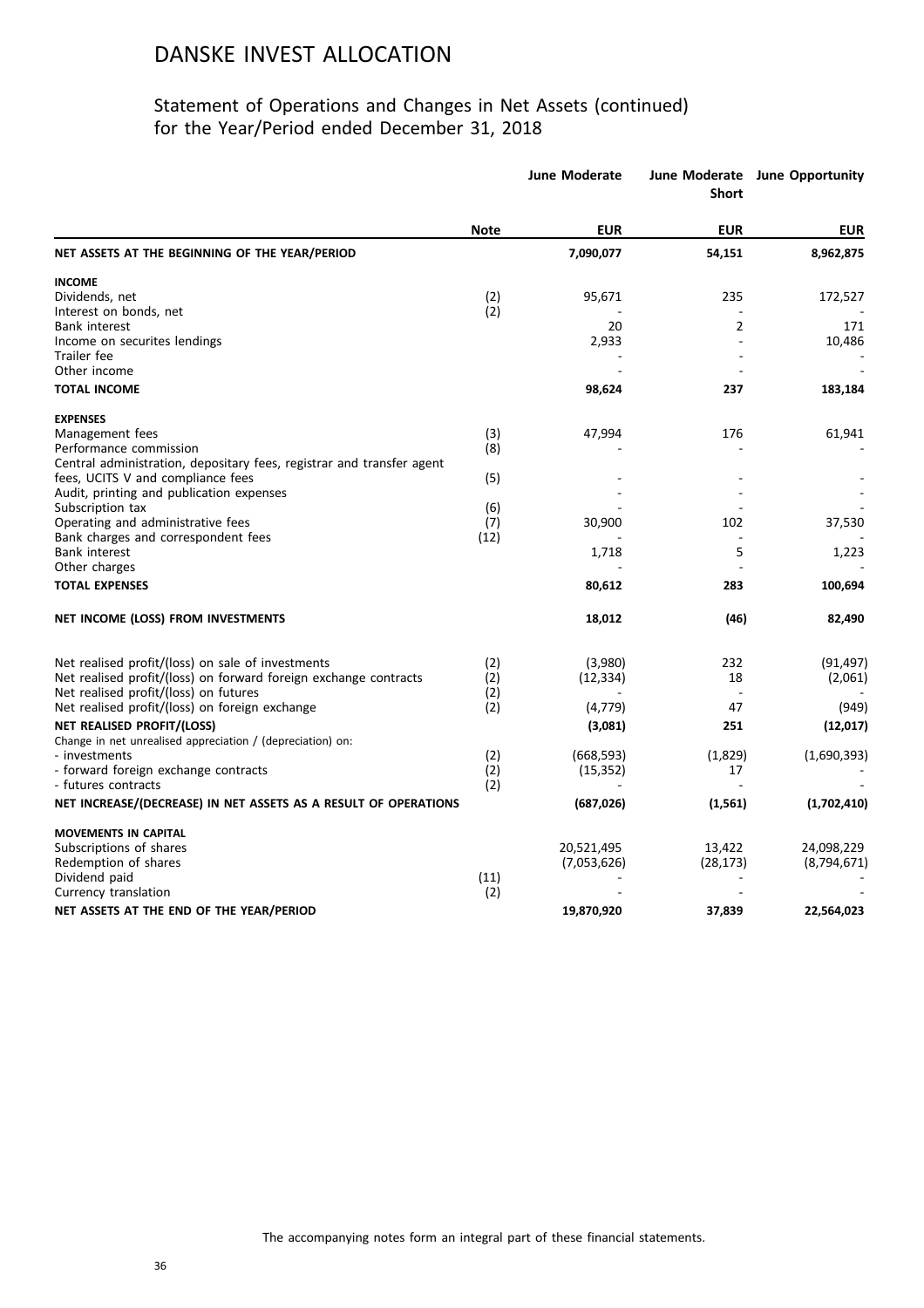### Statement of Operations and Changes in Net Assets (continued) for the Year/Period ended December 31, 2018

|                                                                       |             | <b>June Moderate</b> | <b>Short</b>   | June Moderate June Opportunity |
|-----------------------------------------------------------------------|-------------|----------------------|----------------|--------------------------------|
|                                                                       | <b>Note</b> | <b>EUR</b>           | <b>EUR</b>     | <b>EUR</b>                     |
| NET ASSETS AT THE BEGINNING OF THE YEAR/PERIOD                        |             | 7,090,077            | 54,151         | 8,962,875                      |
| <b>INCOME</b>                                                         |             |                      |                |                                |
| Dividends, net                                                        | (2)         | 95,671               | 235            | 172,527                        |
| Interest on bonds, net                                                | (2)         |                      |                |                                |
| <b>Bank interest</b>                                                  |             | 20                   | $\overline{2}$ | 171                            |
| Income on securites lendings<br>Trailer fee                           |             | 2,933                |                | 10,486                         |
| Other income                                                          |             |                      |                |                                |
| <b>TOTAL INCOME</b>                                                   |             | 98,624               | 237            | 183,184                        |
| <b>EXPENSES</b>                                                       |             |                      |                |                                |
| Management fees                                                       | (3)         | 47,994               | 176            | 61,941                         |
| Performance commission                                                | (8)         |                      |                |                                |
| Central administration, depositary fees, registrar and transfer agent |             |                      |                |                                |
| fees, UCITS V and compliance fees                                     | (5)         |                      |                |                                |
| Audit, printing and publication expenses                              |             |                      |                |                                |
| Subscription tax                                                      | (6)         |                      |                |                                |
| Operating and administrative fees                                     | (7)         | 30,900               | 102            | 37,530                         |
| Bank charges and correspondent fees                                   | (12)        |                      |                |                                |
| <b>Bank interest</b>                                                  |             | 1,718                | 5              | 1,223                          |
| Other charges                                                         |             |                      |                |                                |
| <b>TOTAL EXPENSES</b>                                                 |             | 80,612               | 283            | 100,694                        |
| NET INCOME (LOSS) FROM INVESTMENTS                                    |             | 18,012               | (46)           | 82,490                         |
| Net realised profit/(loss) on sale of investments                     | (2)         | (3,980)              | 232            | (91, 497)                      |
| Net realised profit/(loss) on forward foreign exchange contracts      | (2)         | (12, 334)            | 18             | (2,061)                        |
| Net realised profit/(loss) on futures                                 | (2)         |                      |                |                                |
| Net realised profit/(loss) on foreign exchange                        | (2)         | (4, 779)             | 47             | (949)                          |
| <b>NET REALISED PROFIT/(LOSS)</b>                                     |             | (3,081)              | 251            | (12, 017)                      |
| Change in net unrealised appreciation / (depreciation) on:            |             |                      |                |                                |
| - investments                                                         | (2)         | (668, 593)           | (1,829)        | (1,690,393)                    |
| - forward foreign exchange contracts                                  | (2)         | (15, 352)            | 17             |                                |
| - futures contracts                                                   | (2)         |                      |                |                                |
| NET INCREASE/(DECREASE) IN NET ASSETS AS A RESULT OF OPERATIONS       |             | (687, 026)           | (1, 561)       | (1,702,410)                    |
| <b>MOVEMENTS IN CAPITAL</b>                                           |             |                      |                |                                |
| Subscriptions of shares                                               |             | 20,521,495           | 13,422         | 24,098,229                     |
| Redemption of shares                                                  |             | (7,053,626)          | (28, 173)      | (8,794,671)                    |
| Dividend paid                                                         | (11)        |                      |                |                                |
| Currency translation                                                  | (2)         |                      |                |                                |
| NET ASSETS AT THE END OF THE YEAR/PERIOD                              |             | 19,870,920           | 37,839         | 22,564,023                     |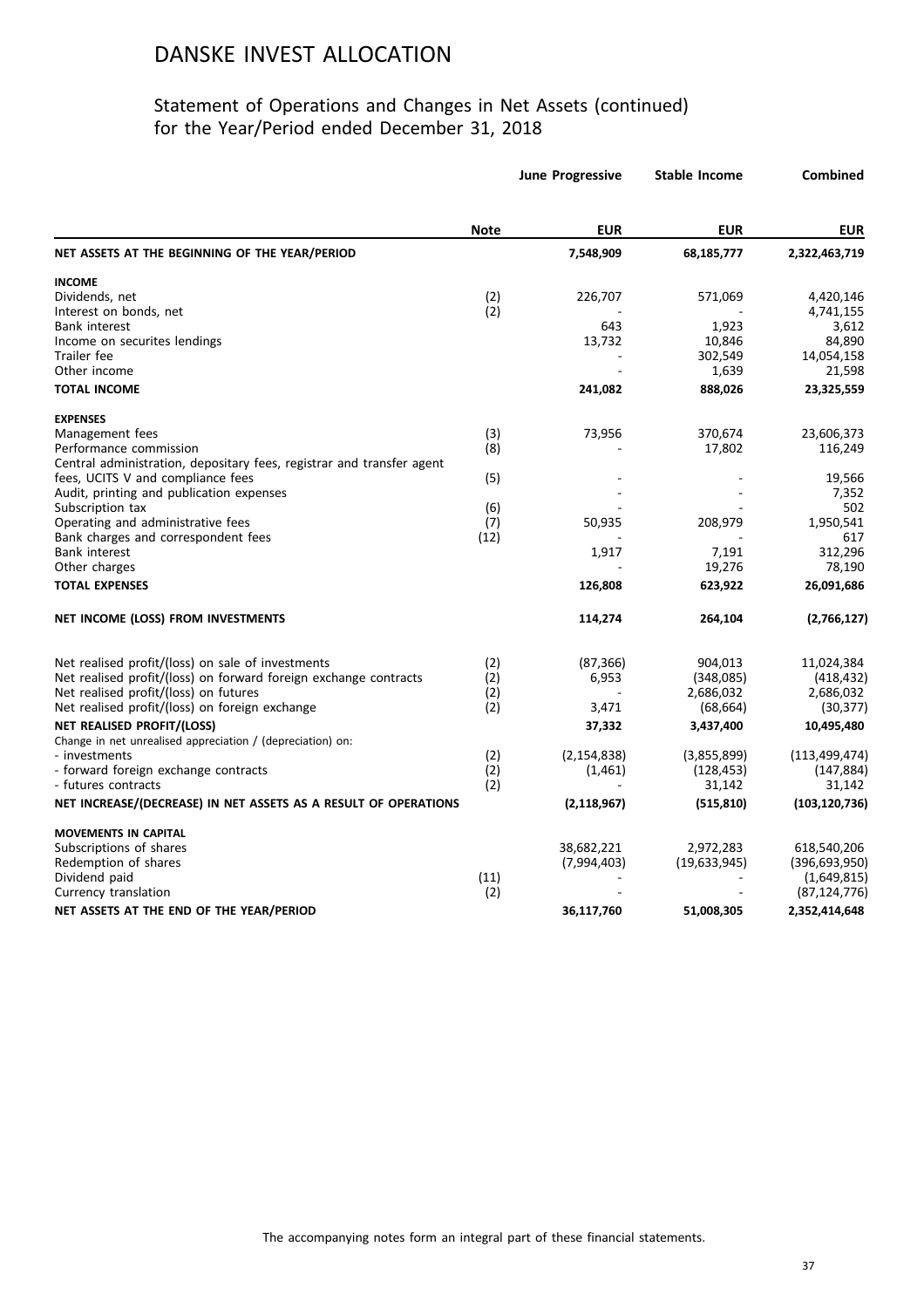#### Statement of Operations and Changes in Net Assets (continued) for the Year/Period ended December 31, 2018

|                                                                             |             | <b>June Progressive</b> | <b>Stable Income</b> | Combined        |
|-----------------------------------------------------------------------------|-------------|-------------------------|----------------------|-----------------|
|                                                                             | <b>Note</b> | <b>EUR</b>              | <b>EUR</b>           | <b>EUR</b>      |
| NET ASSETS AT THE BEGINNING OF THE YEAR/PERIOD                              |             | 7,548,909               | 68,185,777           | 2,322,463,719   |
| <b>INCOME</b>                                                               |             |                         |                      |                 |
| Dividends, net                                                              | (2)         | 226,707                 | 571,069              | 4,420,146       |
| Interest on bonds, net                                                      | (2)         |                         |                      | 4,741,155       |
| <b>Bank interest</b>                                                        |             | 643                     | 1,923                | 3,612           |
| Income on securites lendings                                                |             | 13,732                  | 10,846               | 84,890          |
| Trailer fee                                                                 |             |                         | 302,549              | 14,054,158      |
| Other income                                                                |             |                         | 1,639                | 21,598          |
| <b>TOTAL INCOME</b>                                                         |             | 241,082                 | 888,026              | 23,325,559      |
| <b>EXPENSES</b>                                                             |             |                         |                      |                 |
| Management fees                                                             | (3)         | 73,956                  | 370,674              | 23,606,373      |
| Performance commission                                                      | (8)         |                         | 17,802               | 116,249         |
| Central administration, depositary fees, registrar and transfer agent       |             |                         |                      |                 |
| fees, UCITS V and compliance fees                                           | (5)         |                         |                      | 19,566          |
| Audit, printing and publication expenses                                    |             |                         |                      | 7,352           |
| Subscription tax                                                            | (6)         |                         |                      | 502             |
| Operating and administrative fees                                           | (7)         | 50,935                  | 208,979              | 1,950,541       |
| Bank charges and correspondent fees                                         | (12)        |                         |                      | 617             |
| <b>Bank interest</b>                                                        |             | 1,917                   | 7,191                | 312,296         |
| Other charges                                                               |             |                         | 19,276               | 78,190          |
| <b>TOTAL EXPENSES</b>                                                       |             | 126,808                 | 623,922              | 26,091,686      |
| NET INCOME (LOSS) FROM INVESTMENTS                                          |             | 114,274                 | 264,104              | (2,766,127)     |
| Net realised profit/(loss) on sale of investments                           | (2)         | (87, 366)               | 904,013              | 11,024,384      |
| Net realised profit/(loss) on forward foreign exchange contracts            | (2)         | 6,953                   | (348,085)            | (418, 432)      |
| Net realised profit/(loss) on futures                                       | (2)         |                         | 2,686,032            | 2,686,032       |
| Net realised profit/(loss) on foreign exchange                              | (2)         | 3,471                   | (68, 664)            | (30, 377)       |
|                                                                             |             |                         |                      |                 |
| <b>NET REALISED PROFIT/(LOSS)</b>                                           |             | 37,332                  | 3,437,400            | 10,495,480      |
| Change in net unrealised appreciation / (depreciation) on:<br>- investments |             | (2, 154, 838)           | (3,855,899)          | (113, 499, 474) |
| - forward foreign exchange contracts                                        | (2)<br>(2)  | (1,461)                 | (128, 453)           | (147, 884)      |
| - futures contracts                                                         | (2)         |                         | 31,142               | 31,142          |
| NET INCREASE/(DECREASE) IN NET ASSETS AS A RESULT OF OPERATIONS             |             | (2, 118, 967)           | (515, 810)           | (103, 120, 736) |
|                                                                             |             |                         |                      |                 |
| <b>MOVEMENTS IN CAPITAL</b>                                                 |             |                         |                      |                 |
| Subscriptions of shares                                                     |             | 38,682,221              | 2,972,283            | 618,540,206     |
| Redemption of shares                                                        |             | (7,994,403)             | (19, 633, 945)       | (396, 693, 950) |
| Dividend paid                                                               | (11)        |                         |                      | (1,649,815)     |
| Currency translation                                                        | (2)         |                         |                      | (87, 124, 776)  |
| NET ASSETS AT THE END OF THE YEAR/PERIOD                                    |             | 36,117,760              | 51,008,305           | 2,352,414,648   |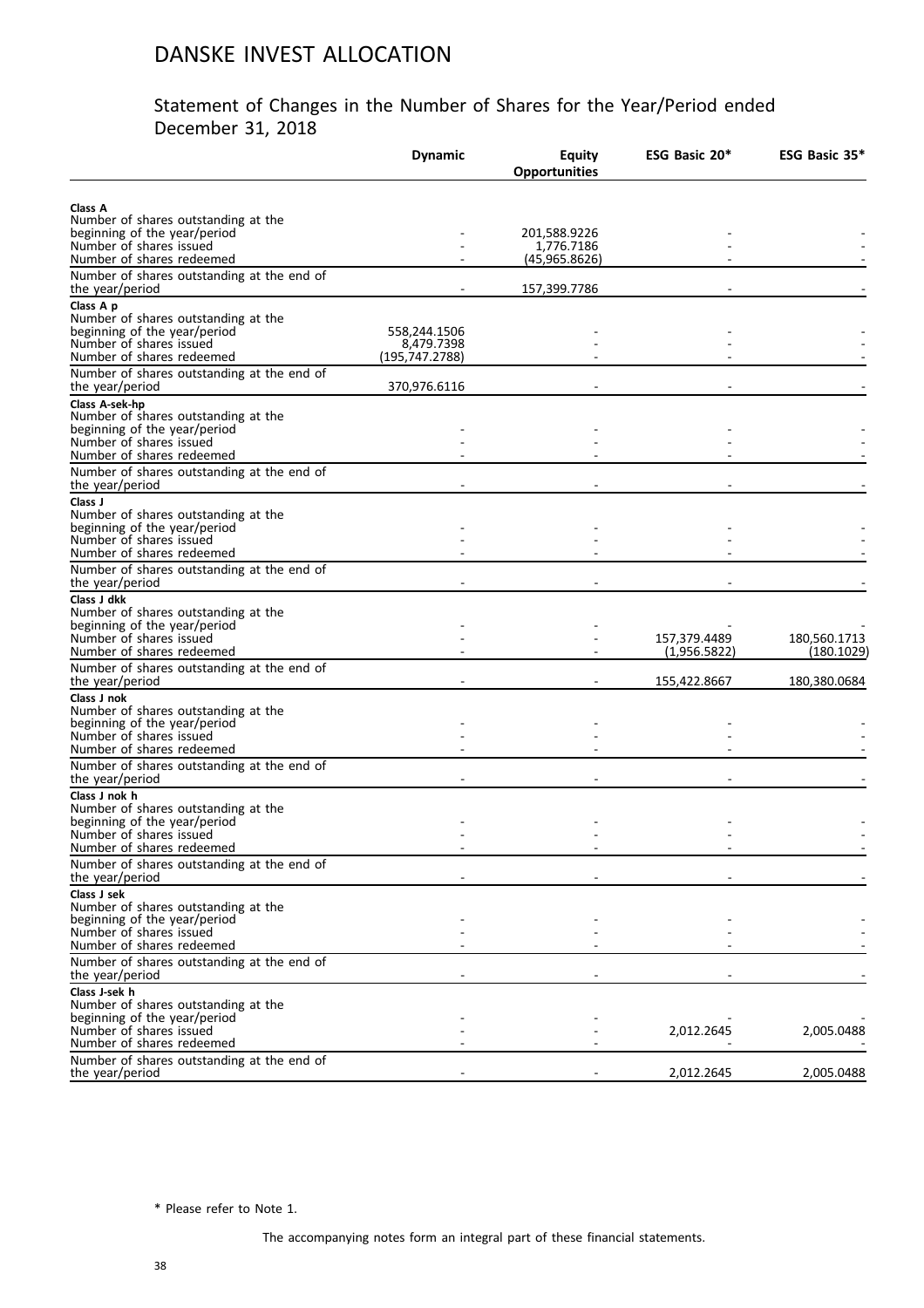#### Statement of Changes in the Number of Shares for the Year/Period ended December 31, 2018

|                                                                                                                                                           | <b>Dynamic</b>                               | <b>Equity</b><br><b>Opportunities</b> | ESG Basic 20*                | ESG Basic 35*              |
|-----------------------------------------------------------------------------------------------------------------------------------------------------------|----------------------------------------------|---------------------------------------|------------------------------|----------------------------|
| Class A<br>Number of shares outstanding at the<br>beginning of the year/period                                                                            |                                              | 201,588.9226                          |                              |                            |
| Number of shares issued<br>Number of shares redeemed                                                                                                      |                                              | 1,776.7186<br>(45,965.8626)           |                              |                            |
| Number of shares outstanding at the end of<br>the year/period                                                                                             |                                              | 157,399.7786                          |                              |                            |
| Class A p<br>Number of shares outstanding at the<br>beginning of the year/period<br>Number of shares issued<br>Number of shares redeemed                  | 558,244.1506<br>8,479.7398<br>(195,747.2788) |                                       |                              |                            |
| Number of shares outstanding at the end of<br>the year/period                                                                                             | 370,976.6116                                 |                                       |                              |                            |
| Class A-sek-hp<br>Number of shares outstanding at the<br>beginning of the year/period<br>Number of shares issued                                          |                                              |                                       |                              |                            |
| Number of shares redeemed<br>Number of shares outstanding at the end of                                                                                   |                                              |                                       |                              |                            |
| the year/period<br>Class J<br>Number of shares outstanding at the<br>beginning of the year/period<br>Number of shares issued<br>Number of shares redeemed |                                              |                                       |                              |                            |
| Number of shares outstanding at the end of<br>the year/period                                                                                             |                                              |                                       |                              |                            |
| Class J dkk<br>Number of shares outstanding at the<br>beginning of the year/period<br>Number of shares issued<br>Number of shares redeemed                |                                              |                                       | 157,379.4489<br>(1,956.5822) | 180,560.1713<br>(180.1029) |
| Number of shares outstanding at the end of<br>the year/period                                                                                             |                                              |                                       | 155,422.8667                 | 180,380.0684               |
| Class J nok<br>Number of shares outstanding at the<br>beginning of the year/period<br>Number of shares issued<br>Number of shares redeemed                |                                              |                                       |                              |                            |
| Number of shares outstanding at the end of<br>the year/period                                                                                             |                                              |                                       |                              |                            |
| Class J nok h<br>Number of shares outstanding at the<br>beginning of the year/period<br>Number of shares issued<br>Number of shares redeemed              |                                              |                                       |                              |                            |
| Number of shares outstanding at the end of<br>the year/period                                                                                             |                                              |                                       |                              |                            |
| Class J sek<br>Number of shares outstanding at the<br>beginning of the year/period<br>Number of shares issued<br>Number of shares redeemed                |                                              |                                       |                              |                            |
| Number of shares outstanding at the end of<br>the year/period                                                                                             |                                              |                                       |                              |                            |
| Class J-sek h<br>Number of shares outstanding at the<br>beginning of the year/period<br>Number of shares issued<br>Number of shares redeemed              |                                              |                                       | 2,012.2645                   | 2,005.0488                 |
| Number of shares outstanding at the end of<br>the year/period                                                                                             |                                              |                                       | 2,012.2645                   | 2,005.0488                 |

\* Please refer to Note 1.

The accompanying notes form an integral part of these financial statements.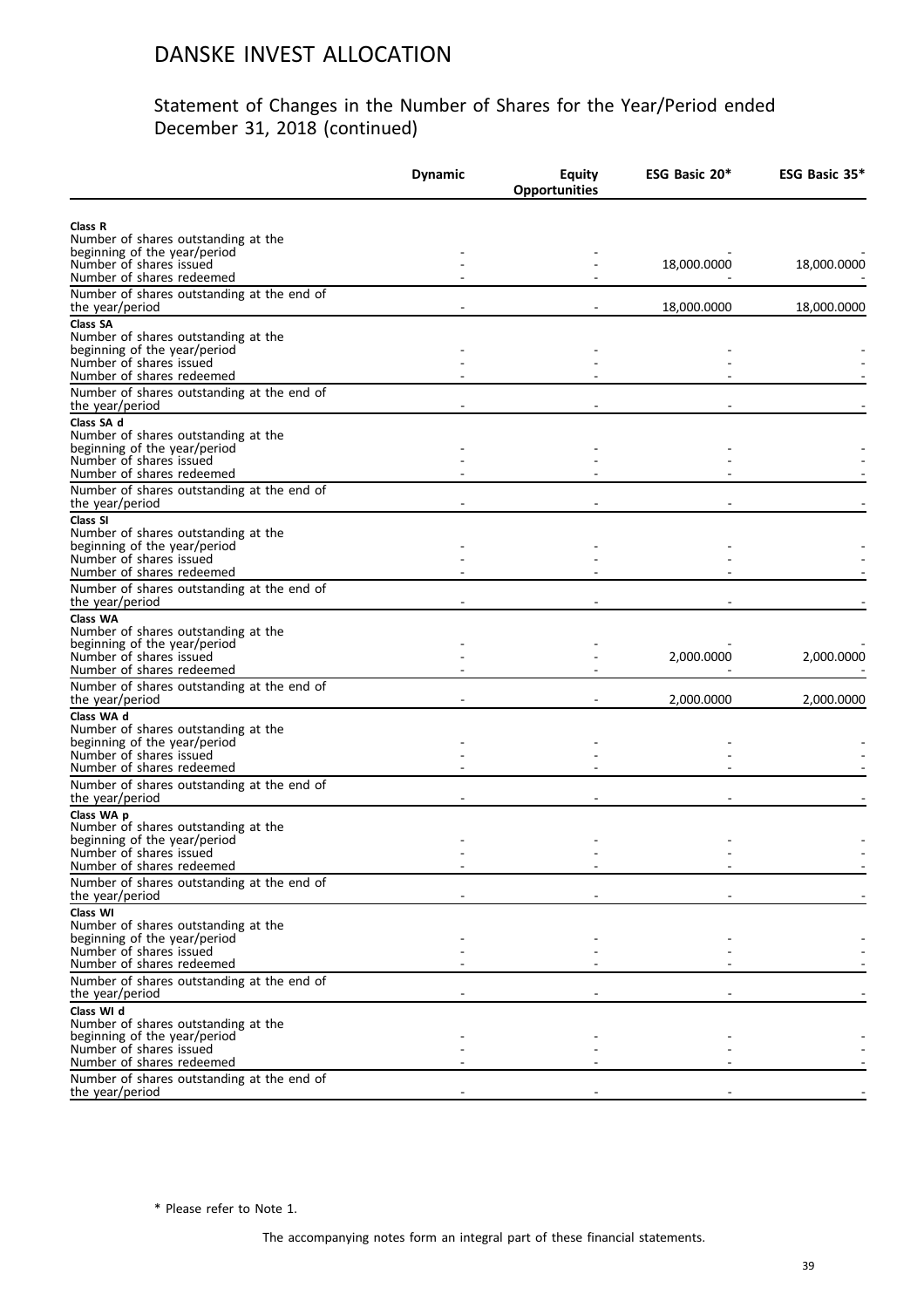#### Statement of Changes in the Number of Shares for the Year/Period ended December 31, 2018 (continued)

|                                                                                                                                                                                       | <b>Dynamic</b> | <b>Equity</b><br><b>Opportunities</b> | ESG Basic 20* | ESG Basic 35* |
|---------------------------------------------------------------------------------------------------------------------------------------------------------------------------------------|----------------|---------------------------------------|---------------|---------------|
| Class R<br>Number of shares outstanding at the<br>beginning of the year/period                                                                                                        |                |                                       |               |               |
| Number of shares issued<br>Number of shares redeemed                                                                                                                                  |                |                                       | 18,000.0000   | 18,000.0000   |
| Number of shares outstanding at the end of<br>the year/period                                                                                                                         |                |                                       | 18,000.0000   | 18,000.0000   |
| Class SA<br>Number of shares outstanding at the<br>beginning of the year/period<br>Number of shares issued<br>Number of shares redeemed                                               |                |                                       |               |               |
| Number of shares outstanding at the end of<br>the year/period                                                                                                                         |                |                                       |               |               |
| Class SA d<br>Number of shares outstanding at the<br>beginning of the year/period<br>Number of shares issued<br>Number of shares redeemed                                             |                |                                       |               |               |
| Number of shares outstanding at the end of<br>the year/period                                                                                                                         |                |                                       |               |               |
| Class SI<br>Number of shares outstanding at the<br>beginning of the year/period<br>Number of shares issued<br>Number of shares redeemed<br>Number of shares outstanding at the end of |                |                                       |               |               |
| the year/period<br>Class WA                                                                                                                                                           |                |                                       |               |               |
| Number of shares outstanding at the<br>beginning of the year/period<br>Number of shares issued<br>Number of shares redeemed                                                           |                |                                       | 2,000.0000    | 2,000.0000    |
| Number of shares outstanding at the end of<br>the year/period                                                                                                                         |                |                                       | 2,000.0000    | 2,000.0000    |
| Class WA d<br>Number of shares outstanding at the<br>beginning of the year/period<br>Number of shares issued<br>Number of shares redeemed                                             |                |                                       |               |               |
| Number of shares outstanding at the end of<br>the year/period                                                                                                                         |                |                                       |               |               |
| Class WA p<br>Number of shares outstanding at the<br>beginning of the year/period<br>Number of shares issued<br>Number of shares redeemed                                             |                |                                       |               |               |
| Number of shares outstanding at the end of<br>the year/period                                                                                                                         |                |                                       |               |               |
| Class WI<br>Number of shares outstanding at the<br>beginning of the year/period<br>Number of shares issued<br>Number of shares redeemed                                               |                |                                       |               |               |
| Number of shares outstanding at the end of<br>the year/period                                                                                                                         |                |                                       |               |               |
| Class WI d<br>Number of shares outstanding at the<br>beginning of the year/period<br>Number of shares issued<br>Number of shares redeemed                                             |                |                                       |               |               |
| Number of shares outstanding at the end of<br>the year/period                                                                                                                         |                |                                       |               |               |

\* Please refer to Note 1.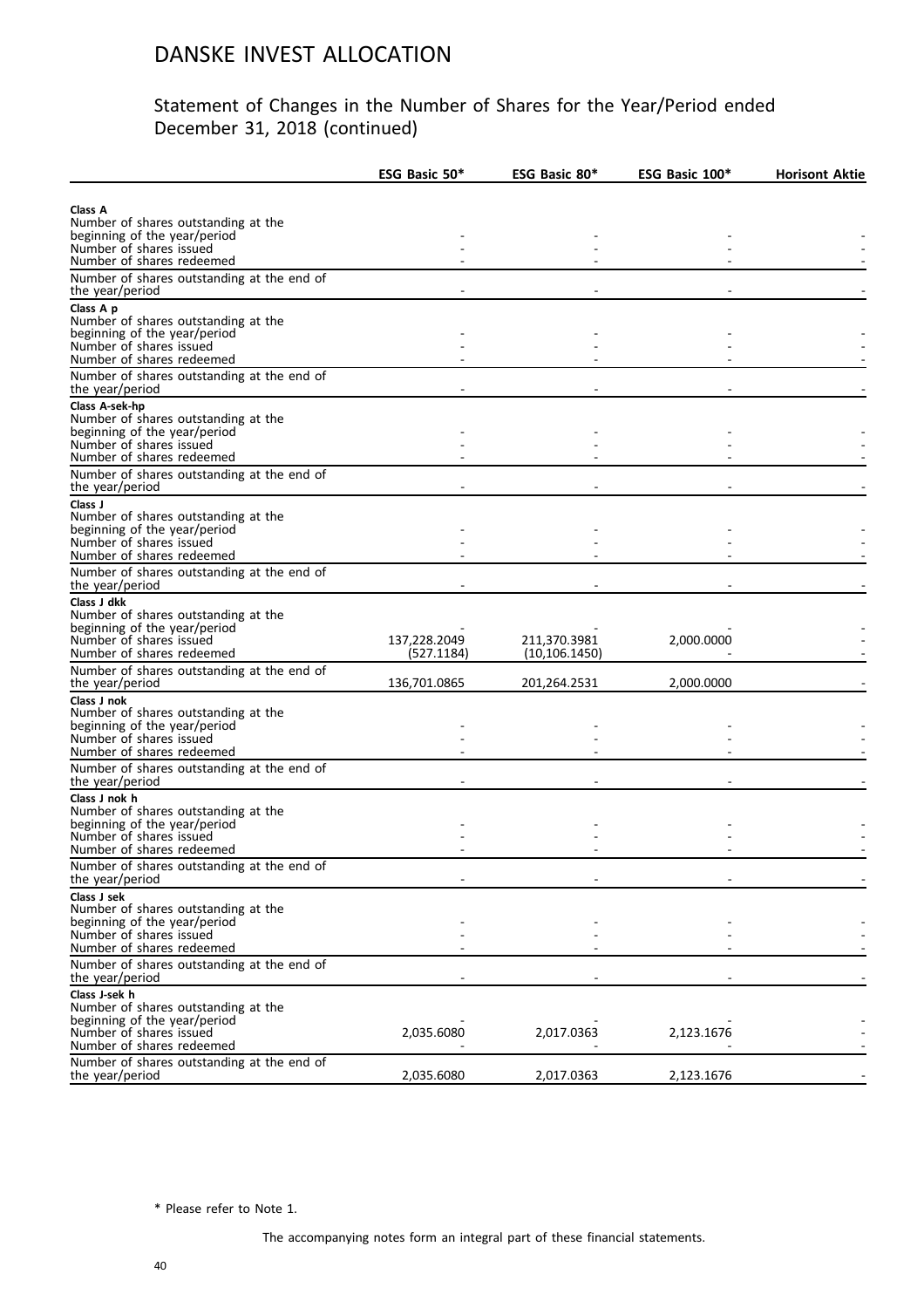#### Statement of Changes in the Number of Shares for the Year/Period ended December 31, 2018 (continued)

|                                                                     | ESG Basic 50* | ESG Basic 80*  | ESG Basic 100* | <b>Horisont Aktie</b> |
|---------------------------------------------------------------------|---------------|----------------|----------------|-----------------------|
|                                                                     |               |                |                |                       |
| Class A                                                             |               |                |                |                       |
| Number of shares outstanding at the<br>beginning of the year/period |               |                |                |                       |
| Number of shares issued                                             |               |                |                |                       |
| Number of shares redeemed                                           |               |                |                |                       |
| Number of shares outstanding at the end of<br>the year/period       |               |                |                |                       |
| Class A p                                                           |               |                |                |                       |
| Number of shares outstanding at the                                 |               |                |                |                       |
| beginning of the year/period                                        |               |                |                |                       |
| Number of shares issued<br>Number of shares redeemed                |               |                |                |                       |
| Number of shares outstanding at the end of                          |               |                |                |                       |
| the year/period                                                     |               |                |                |                       |
| Class A-sek-hp                                                      |               |                |                |                       |
| Number of shares outstanding at the                                 |               |                |                |                       |
| beginning of the year/period                                        |               |                |                |                       |
| Number of shares issued                                             |               |                |                |                       |
| Number of shares redeemed                                           |               |                |                |                       |
| Number of shares outstanding at the end of<br>the year/period       |               |                |                |                       |
| Class J                                                             |               |                |                |                       |
| Number of shares outstanding at the                                 |               |                |                |                       |
| beginning of the year/period                                        |               |                |                |                       |
| Number of shares issued                                             |               |                |                |                       |
| Number of shares redeemed                                           |               |                |                |                       |
| Number of shares outstanding at the end of                          |               |                |                |                       |
| the year/period                                                     |               |                |                |                       |
| Class J dkk<br>Number of shares outstanding at the                  |               |                |                |                       |
| beginning of the year/period                                        |               |                |                |                       |
| Number of shares issued                                             | 137,228.2049  | 211,370.3981   | 2,000.0000     |                       |
| Number of shares redeemed                                           | (527.1184)    | (10, 106.1450) |                |                       |
| Number of shares outstanding at the end of                          |               |                |                |                       |
| the year/period                                                     | 136,701.0865  | 201,264.2531   | 2,000.0000     |                       |
| Class J nok                                                         |               |                |                |                       |
| Number of shares outstanding at the<br>beginning of the year/period |               |                |                |                       |
| Number of shares issued                                             |               |                |                |                       |
| Number of shares redeemed                                           |               |                |                |                       |
| Number of shares outstanding at the end of                          |               |                |                |                       |
| the year/period                                                     |               |                |                |                       |
| Class J nok h                                                       |               |                |                |                       |
| Number of shares outstanding at the                                 |               |                |                |                       |
| beginning of the year/period<br>Number of shares issued             |               |                |                |                       |
| Number of shares redeemed                                           |               |                |                |                       |
| Number of shares outstanding at the end of                          |               |                |                |                       |
| the year/period                                                     |               |                |                |                       |
| Class J sek                                                         |               |                |                |                       |
| Number of shares outstanding at the                                 |               |                |                |                       |
| beginning of the year/period<br>Number of shares issued             |               |                |                |                       |
| Number of shares redeemed                                           |               |                |                |                       |
| Number of shares outstanding at the end of                          |               |                |                |                       |
| the year/period                                                     |               |                |                |                       |
| Class J-sek h                                                       |               |                |                |                       |
| Number of shares outstanding at the                                 |               |                |                |                       |
| beginning of the year/period                                        |               |                |                |                       |
| Number of shares issued<br>Number of shares redeemed                | 2,035.6080    | 2,017.0363     | 2,123.1676     |                       |
| Number of shares outstanding at the end of                          |               |                |                |                       |
| the year/period                                                     | 2,035.6080    | 2,017.0363     | 2,123.1676     |                       |

\* Please refer to Note 1.

The accompanying notes form an integral part of these financial statements.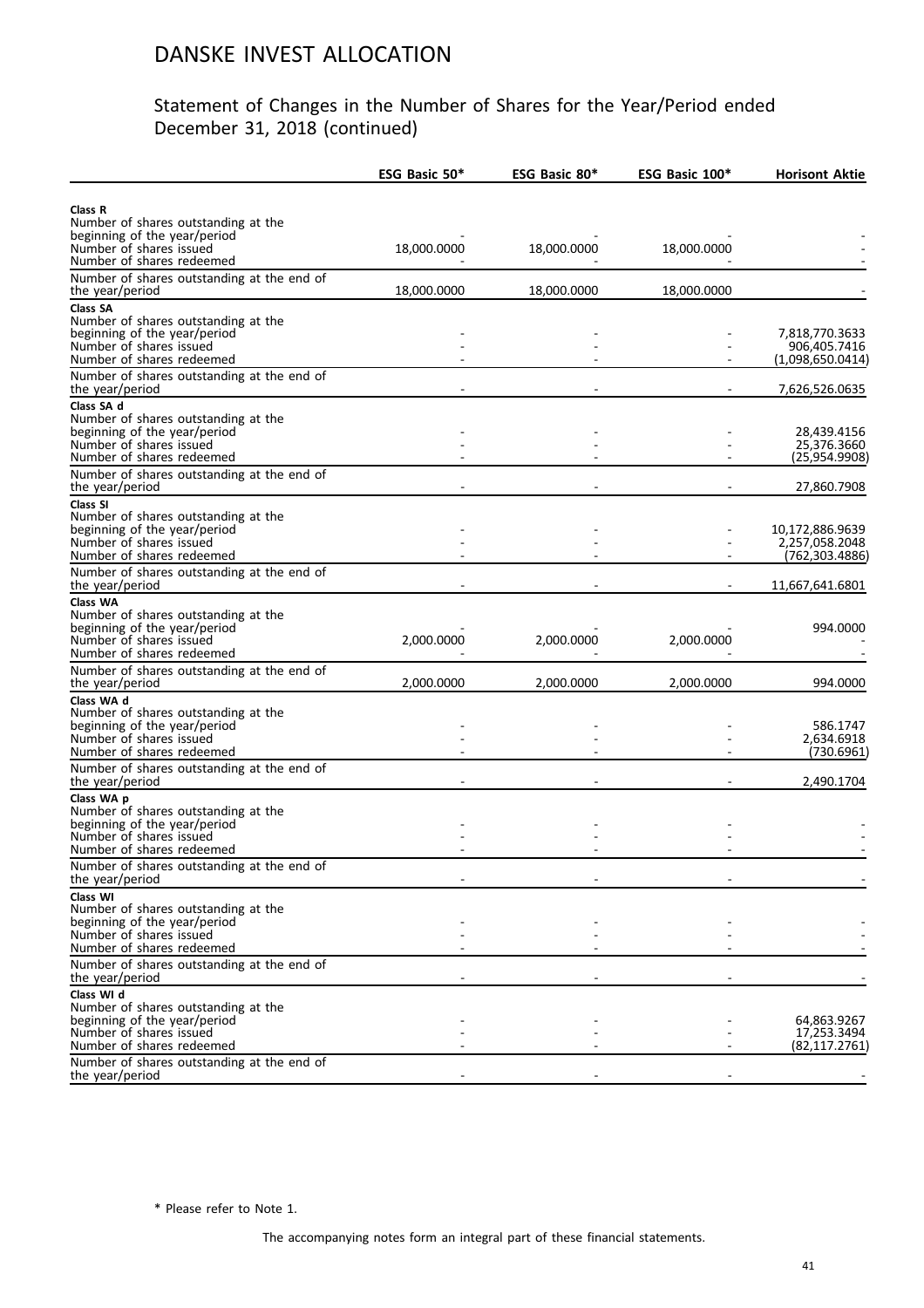#### Statement of Changes in the Number of Shares for the Year/Period ended December 31, 2018 (continued)

|                                                                                                                                                                                         | ESG Basic 50* | ESG Basic 80* | ESG Basic 100* | <b>Horisont Aktie</b>                                |
|-----------------------------------------------------------------------------------------------------------------------------------------------------------------------------------------|---------------|---------------|----------------|------------------------------------------------------|
| Class R<br>Number of shares outstanding at the                                                                                                                                          |               |               |                |                                                      |
| beginning of the year/period<br>Number of shares issued<br>Number of shares redeemed                                                                                                    | 18,000.0000   | 18,000.0000   | 18,000.0000    |                                                      |
| Number of shares outstanding at the end of<br>the year/period                                                                                                                           | 18,000.0000   | 18,000.0000   | 18,000.0000    |                                                      |
| <b>Class SA</b><br>Number of shares outstanding at the<br>beginning of the year/period<br>Number of shares issued<br>Number of shares redeemed                                          |               |               |                | 7,818,770.3633<br>906,405.7416<br>(1,098,650.0414)   |
| Number of shares outstanding at the end of<br>the year/period                                                                                                                           |               |               |                | 7,626,526.0635                                       |
| Class SA d<br>Number of shares outstanding at the<br>beginning of the year/period<br>Number of shares issued<br>Number of shares redeemed                                               |               |               |                | 28,439.4156<br>25,376.3660<br>(25,954.9908)          |
| Number of shares outstanding at the end of<br>the year/period                                                                                                                           |               |               |                | 27,860.7908                                          |
| Class SI<br>Number of shares outstanding at the<br>beginning of the year/period<br>Number of shares issued<br>Number of shares redeemed                                                 |               |               |                | 10,172,886.9639<br>2,257,058.2048<br>(762, 303.4886) |
| Number of shares outstanding at the end of<br>the year/period                                                                                                                           |               |               |                | 11,667,641.6801                                      |
| Class WA<br>Number of shares outstanding at the<br>beginning of the year/period<br>Number of shares issued<br>Number of shares redeemed                                                 | 2,000.0000    | 2,000.0000    | 2,000.0000     | 994.0000                                             |
| Number of shares outstanding at the end of<br>the year/period                                                                                                                           | 2,000.0000    | 2,000.0000    | 2,000.0000     | 994.0000                                             |
| Class WA d<br>Number of shares outstanding at the<br>beginning of the year/period<br>Number of shares issued<br>Number of shares redeemed<br>Number of shares outstanding at the end of |               |               |                | 586.1747<br>2,634.6918<br>(730.6961)                 |
| the year/period<br>Class WA p                                                                                                                                                           |               |               |                | 2,490.1704                                           |
| Number of shares outstanding at the<br>beginning of the year/period<br>Number of shares issued<br>Number of shares redeemed                                                             |               |               |                |                                                      |
| Number of shares outstanding at the end of<br>the year/period                                                                                                                           |               |               |                |                                                      |
| Class WI<br>Number of shares outstanding at the<br>beginning of the year/period<br>Number of shares issued<br>Number of shares redeemed                                                 |               |               |                |                                                      |
| Number of shares outstanding at the end of<br>the year/period                                                                                                                           |               |               |                |                                                      |
| Class WI d<br>Number of shares outstanding at the<br>beginning of the year/period<br>Number of shares issued<br>Number of shares redeemed<br>Number of shares outstanding at the end of |               |               |                | 64,863.9267<br>17,253.3494<br>(82, 117.2761)         |
| the year/period                                                                                                                                                                         |               |               |                |                                                      |

\* Please refer to Note 1.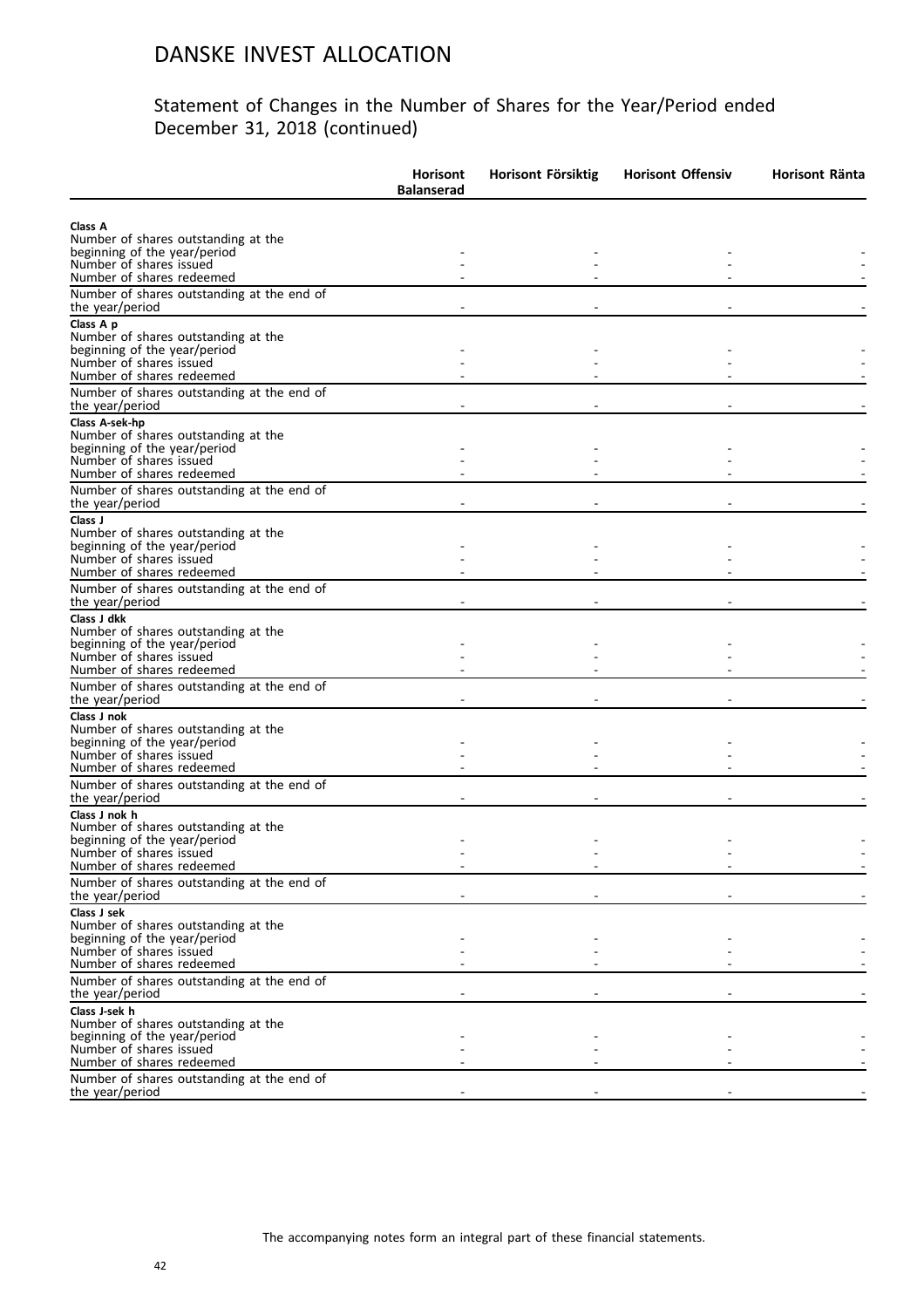|                                                                                                                                               | <b>Horisont</b><br><b>Balanserad</b> | Horisont Försiktig | <b>Horisont Offensiv</b> | Horisont Ränta |
|-----------------------------------------------------------------------------------------------------------------------------------------------|--------------------------------------|--------------------|--------------------------|----------------|
| Class A<br>Number of shares outstanding at the<br>beginning of the year/period<br>Number of shares issued<br>Number of shares redeemed        |                                      |                    |                          |                |
| Number of shares outstanding at the end of<br>the year/period                                                                                 |                                      |                    |                          |                |
| Class A p<br>Number of shares outstanding at the<br>beginning of the year/period<br>Number of shares issued<br>Number of shares redeemed      |                                      |                    |                          |                |
| Number of shares outstanding at the end of<br>the year/period                                                                                 |                                      |                    |                          |                |
| Class A-sek-hp<br>Number of shares outstanding at the<br>beginning of the year/period<br>Number of shares issued<br>Number of shares redeemed |                                      |                    |                          |                |
| Number of shares outstanding at the end of<br>the year/period                                                                                 |                                      |                    |                          |                |
| Class J<br>Number of shares outstanding at the<br>beginning of the year/period<br>Number of shares issued<br>Number of shares redeemed        |                                      |                    |                          |                |
| Number of shares outstanding at the end of<br>the year/period                                                                                 |                                      |                    |                          |                |
| Class J dkk<br>Number of shares outstanding at the<br>beginning of the year/period<br>Number of shares issued<br>Number of shares redeemed    |                                      |                    |                          |                |
| Number of shares outstanding at the end of<br>the year/period                                                                                 |                                      |                    |                          |                |
| Class J nok<br>Number of shares outstanding at the<br>beginning of the year/period<br>Number of shares issued<br>Number of shares redeemed    |                                      |                    |                          |                |
| Number of shares outstanding at the end of<br>the year/period                                                                                 |                                      |                    |                          |                |
| Class J nok h<br>Number of shares outstanding at the<br>beginning of the year/period<br>Number of shares issued<br>Number of shares redeemed  |                                      |                    |                          |                |
| Number of shares outstanding at the end of<br>the year/period                                                                                 |                                      |                    |                          |                |
| Class J sek<br>Number of shares outstanding at the<br>beginning of the year/period<br>Number of shares issued<br>Number of shares redeemed    |                                      |                    |                          |                |
| Number of shares outstanding at the end of<br>the year/period                                                                                 |                                      |                    |                          |                |
| Class J-sek h<br>Number of shares outstanding at the<br>beginning of the year/period<br>Number of shares issued<br>Number of shares redeemed  |                                      |                    |                          |                |
| Number of shares outstanding at the end of<br>the year/period                                                                                 |                                      |                    |                          |                |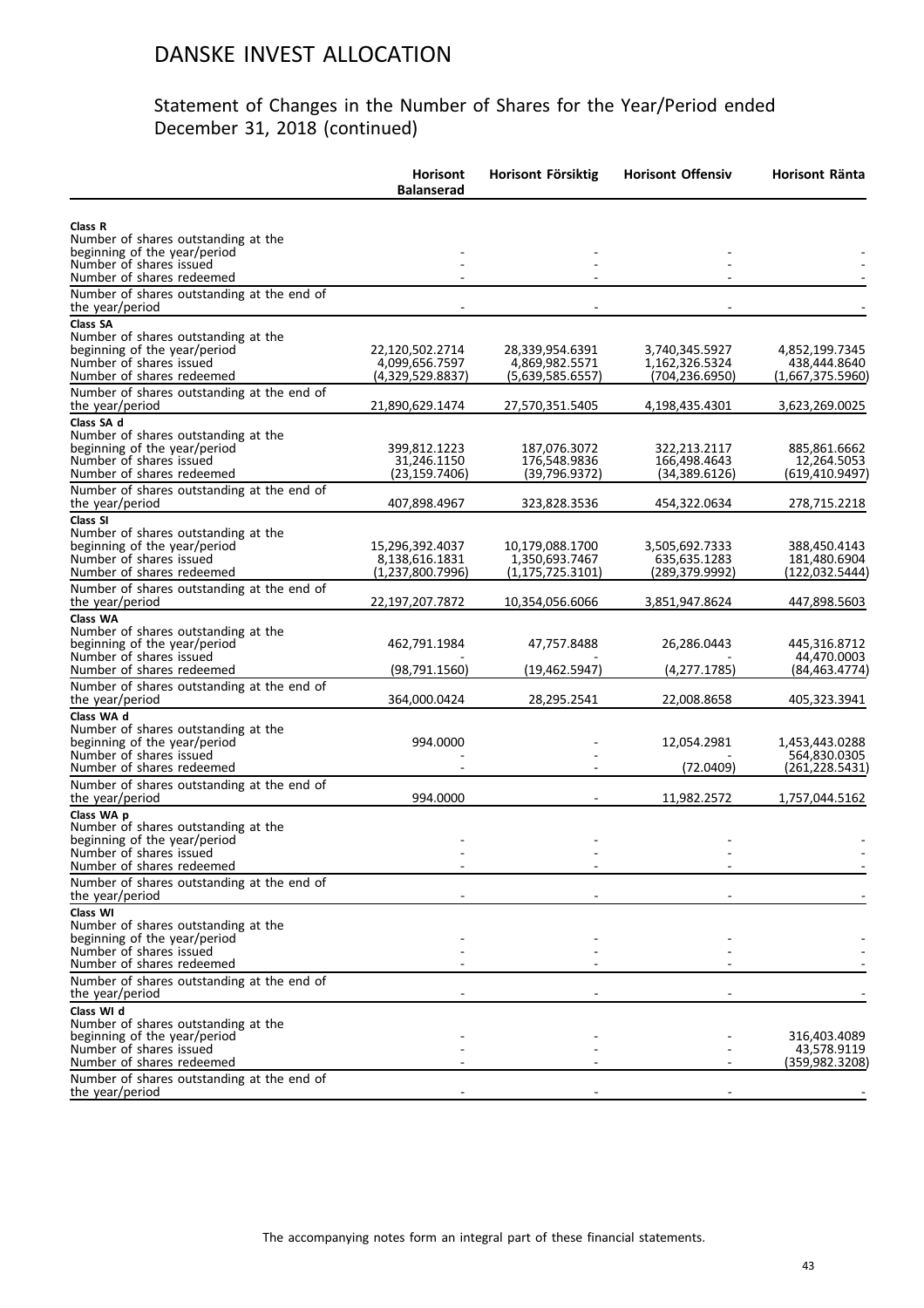|                                                                                                                                                                                         | <b>Horisont</b><br><b>Balanserad</b>                  | Horisont Försiktig                                      | <b>Horisont Offensiv</b>                            | Horisont Ränta                                     |
|-----------------------------------------------------------------------------------------------------------------------------------------------------------------------------------------|-------------------------------------------------------|---------------------------------------------------------|-----------------------------------------------------|----------------------------------------------------|
| Class R<br>Number of shares outstanding at the<br>beginning of the year/period<br>Number of shares issued                                                                               |                                                       |                                                         |                                                     |                                                    |
| Number of shares redeemed                                                                                                                                                               |                                                       |                                                         |                                                     |                                                    |
| Number of shares outstanding at the end of<br>the year/period                                                                                                                           |                                                       |                                                         |                                                     |                                                    |
| Class SA<br>Number of shares outstanding at the<br>beginning of the year/period<br>Number of shares issued<br>Number of shares redeemed                                                 | 22,120,502.2714<br>4.099.656.7597<br>(4,329,529.8837) | 28,339,954.6391<br>4,869,982.5571<br>(5,639,585.6557)   | 3,740,345.5927<br>1,162,326.5324<br>(704, 236.6950) | 4,852,199.7345<br>438,444.8640<br>(1,667,375.5960) |
| Number of shares outstanding at the end of<br>the year/period                                                                                                                           | 21,890,629.1474                                       | 27,570,351.5405                                         | 4,198,435.4301                                      | 3,623,269.0025                                     |
| Class SA d<br>Number of shares outstanding at the<br>beginning of the year/period<br>Number of shares issued<br>Number of shares redeemed<br>Number of shares outstanding at the end of | 399,812.1223<br>31,246.1150<br>(23, 159.7406)         | 187,076.3072<br>176,548.9836<br>(39,796.9372)           | 322,213.2117<br>166,498.4643<br>(34, 389.6126)      | 885,861.6662<br>12,264.5053<br>(619,410.9497)      |
| the year/period                                                                                                                                                                         | 407,898.4967                                          | 323,828.3536                                            | 454,322.0634                                        | 278,715.2218                                       |
| Class SI<br>Number of shares outstanding at the<br>beginning of the year/period<br>Number of shares issued<br>Number of shares redeemed                                                 | 15,296,392.4037<br>8,138,616.1831<br>(1,237,800.7996) | 10,179,088.1700<br>1,350,693.7467<br>(1, 175, 725.3101) | 3,505,692.7333<br>635,635.1283<br>(289,379.9992)    | 388,450.4143<br>181,480.6904<br>(122,032.5444)     |
| Number of shares outstanding at the end of<br>the year/period                                                                                                                           | 22,197,207.7872                                       | 10,354,056.6066                                         | 3,851,947.8624                                      | 447,898.5603                                       |
| Class WA<br>Number of shares outstanding at the<br>beginning of the year/period<br>Number of shares issued<br>Number of shares redeemed                                                 | 462,791.1984<br>(98, 791.1560)                        | 47,757.8488<br>(19,462.5947)                            | 26,286.0443<br>(4, 277.1785)                        | 445,316.8712<br>44,470.0003<br>(84, 463.4774)      |
| Number of shares outstanding at the end of<br>the year/period                                                                                                                           | 364,000.0424                                          | 28,295.2541                                             | 22,008.8658                                         | 405,323.3941                                       |
| Class WA d<br>Number of shares outstanding at the<br>beginning of the year/period<br>Number of shares issued<br>Number of shares redeemed                                               | 994.0000                                              |                                                         | 12,054.2981<br>(72.0409)                            | 1,453,443.0288<br>564,830.0305<br>(261, 228.5431)  |
| Number of shares outstanding at the end of                                                                                                                                              | 994.0000                                              |                                                         |                                                     |                                                    |
| the year/period<br>Class WA p<br>Number of shares outstanding at the<br>beginning of the year/period<br>Number of shares issued<br>Number of shares redeemed                            |                                                       |                                                         | 11,982.2572                                         | 1,757,044.5162                                     |
| Number of shares outstanding at the end of<br>the year/period                                                                                                                           |                                                       |                                                         |                                                     |                                                    |
| Class WI<br>Number of shares outstanding at the<br>beginning of the year/period<br>Number of shares issued<br>Number of shares redeemed                                                 |                                                       |                                                         |                                                     |                                                    |
| Number of shares outstanding at the end of<br>the year/period                                                                                                                           |                                                       |                                                         |                                                     |                                                    |
| Class WI d<br>Number of shares outstanding at the<br>beginning of the year/period<br>Number of shares issued<br>Number of shares redeemed<br>Number of shares outstanding at the end of |                                                       |                                                         |                                                     | 316,403.4089<br>43,578.9119<br>(359,982.3208)      |
| the year/period                                                                                                                                                                         |                                                       |                                                         |                                                     |                                                    |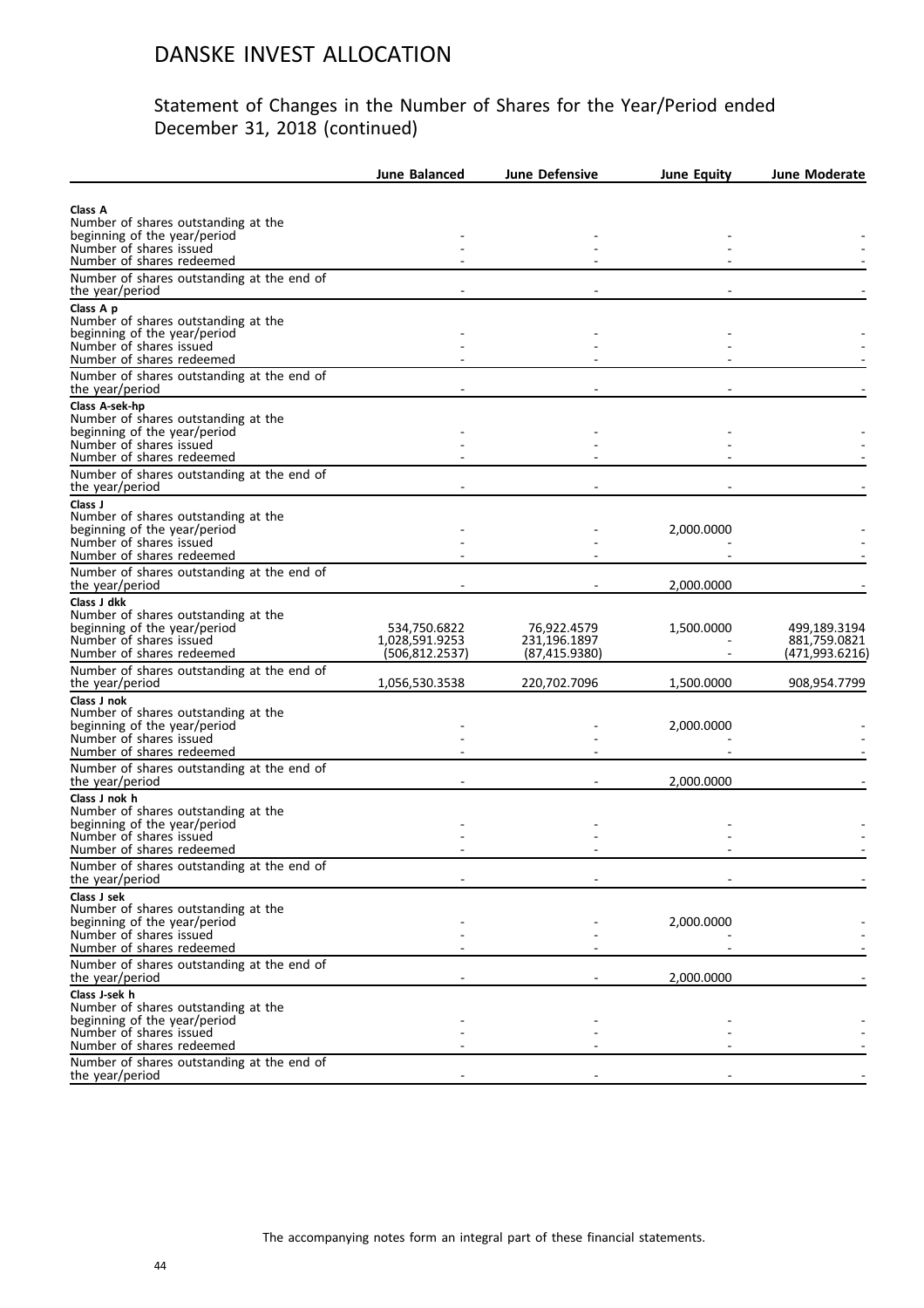|                                                                     | <b>June Balanced</b>           | <b>June Defensive</b>       | <b>June Equity</b> | <b>June Moderate</b>         |
|---------------------------------------------------------------------|--------------------------------|-----------------------------|--------------------|------------------------------|
|                                                                     |                                |                             |                    |                              |
| Class A<br>Number of shares outstanding at the                      |                                |                             |                    |                              |
| beginning of the year/period                                        |                                |                             |                    |                              |
| Number of shares issued                                             |                                |                             |                    |                              |
| Number of shares redeemed                                           |                                |                             |                    |                              |
| Number of shares outstanding at the end of<br>the year/period       |                                |                             |                    |                              |
| Class A p                                                           |                                |                             |                    |                              |
| Number of shares outstanding at the<br>beginning of the year/period |                                |                             |                    |                              |
| Number of shares issued                                             |                                |                             |                    |                              |
| Number of shares redeemed                                           |                                |                             |                    |                              |
| Number of shares outstanding at the end of<br>the year/period       |                                |                             |                    |                              |
| Class A-sek-hp                                                      |                                |                             |                    |                              |
| Number of shares outstanding at the                                 |                                |                             |                    |                              |
| beginning of the year/period                                        |                                |                             |                    |                              |
| Number of shares issued<br>Number of shares redeemed                |                                |                             |                    |                              |
|                                                                     |                                |                             |                    |                              |
| Number of shares outstanding at the end of<br>the year/period       |                                |                             |                    |                              |
| Class J                                                             |                                |                             |                    |                              |
| Number of shares outstanding at the<br>beginning of the year/period |                                |                             | 2,000.0000         |                              |
| Number of shares issued                                             |                                |                             |                    |                              |
| Number of shares redeemed                                           |                                |                             |                    |                              |
| Number of shares outstanding at the end of                          |                                |                             |                    |                              |
| the year/period                                                     |                                |                             | 2,000.0000         |                              |
| Class J dkk                                                         |                                |                             |                    |                              |
| Number of shares outstanding at the                                 |                                |                             |                    |                              |
| beginning of the year/period<br>Number of shares issued             | 534,750.6822<br>1,028,591.9253 | 76,922.4579<br>231,196.1897 | 1,500.0000         | 499,189.3194<br>881,759.0821 |
| Number of shares redeemed                                           | (506, 812.2537)                | (87, 415.9380)              |                    | (471,993.6216)               |
| Number of shares outstanding at the end of                          |                                |                             |                    |                              |
| the year/period                                                     | 1,056,530.3538                 | 220,702.7096                | 1,500.0000         | 908,954.7799                 |
| Class J nok                                                         |                                |                             |                    |                              |
| Number of shares outstanding at the                                 |                                |                             |                    |                              |
| beginning of the year/period<br>Number of shares issued             |                                |                             | 2,000.0000         |                              |
| Number of shares redeemed                                           |                                |                             |                    |                              |
| Number of shares outstanding at the end of                          |                                |                             |                    |                              |
| the year/period                                                     |                                |                             | 2,000.0000         |                              |
| Class J nok h                                                       |                                |                             |                    |                              |
| Number of shares outstanding at the                                 |                                |                             |                    |                              |
| beginning of the year/period<br>Number of shares issued             |                                |                             |                    |                              |
| Number of shares redeemed                                           |                                |                             |                    |                              |
| Number of shares outstanding at the end of                          |                                |                             |                    |                              |
| the year/period                                                     |                                |                             |                    |                              |
| Class J sek                                                         |                                |                             |                    |                              |
| Number of shares outstanding at the                                 |                                |                             |                    |                              |
| beginning of the year/period<br>Number of shares issued             |                                |                             | 2,000.0000         |                              |
| Number of shares redeemed                                           |                                |                             |                    |                              |
| Number of shares outstanding at the end of                          |                                |                             |                    |                              |
| the year/period                                                     |                                |                             | 2,000.0000         |                              |
| Class J-sek h                                                       |                                |                             |                    |                              |
| Number of shares outstanding at the<br>beginning of the year/period |                                |                             |                    |                              |
| Number of shares issued                                             |                                |                             |                    |                              |
| Number of shares redeemed                                           |                                |                             |                    |                              |
| Number of shares outstanding at the end of                          |                                |                             |                    |                              |
| the year/period                                                     |                                |                             |                    |                              |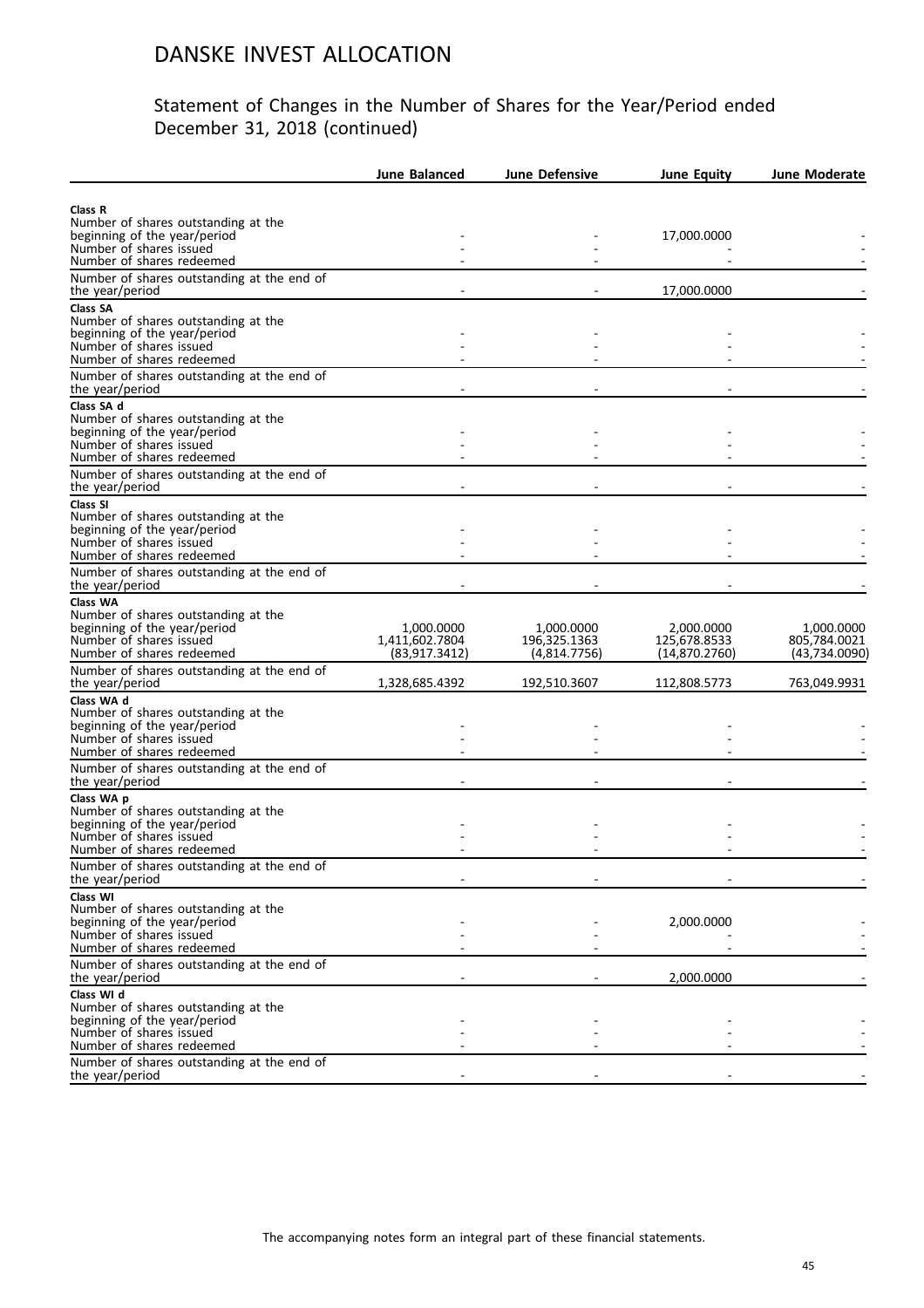|                                                                     | <b>June Balanced</b>            | <b>June Defensive</b>        | June Equity                   | <b>June Moderate</b>           |
|---------------------------------------------------------------------|---------------------------------|------------------------------|-------------------------------|--------------------------------|
|                                                                     |                                 |                              |                               |                                |
| Class R                                                             |                                 |                              |                               |                                |
| Number of shares outstanding at the<br>beginning of the year/period |                                 |                              | 17,000.0000                   |                                |
| Number of shares issued                                             |                                 |                              |                               |                                |
| Number of shares redeemed                                           |                                 |                              |                               |                                |
| Number of shares outstanding at the end of<br>the year/period       |                                 |                              | 17,000.0000                   |                                |
| <b>Class SA</b>                                                     |                                 |                              |                               |                                |
| Number of shares outstanding at the                                 |                                 |                              |                               |                                |
| beginning of the year/period                                        |                                 |                              |                               |                                |
| Number of shares issued<br>Number of shares redeemed                |                                 |                              |                               |                                |
|                                                                     |                                 |                              |                               |                                |
| Number of shares outstanding at the end of<br>the year/period       |                                 |                              |                               |                                |
| Class SA d                                                          |                                 |                              |                               |                                |
| Number of shares outstanding at the                                 |                                 |                              |                               |                                |
| beginning of the year/period                                        |                                 |                              |                               |                                |
| Number of shares issued                                             |                                 |                              |                               |                                |
| Number of shares redeemed                                           |                                 |                              |                               |                                |
| Number of shares outstanding at the end of                          |                                 |                              |                               |                                |
| the year/period                                                     |                                 |                              |                               |                                |
| Class SI<br>Number of shares outstanding at the                     |                                 |                              |                               |                                |
| beginning of the year/period                                        |                                 |                              |                               |                                |
| Number of shares issued                                             |                                 |                              |                               |                                |
| Number of shares redeemed                                           |                                 |                              |                               |                                |
| Number of shares outstanding at the end of                          |                                 |                              |                               |                                |
| the year/period                                                     |                                 |                              |                               |                                |
| Class WA                                                            |                                 |                              |                               |                                |
| Number of shares outstanding at the                                 |                                 |                              |                               |                                |
| beginning of the year/period                                        | 1,000.0000                      | 1,000.0000                   | 2,000.0000                    | 1,000.0000                     |
| Number of shares issued<br>Number of shares redeemed                | 1,411,602.7804<br>(83,917.3412) | 196,325.1363<br>(4,814.7756) | 125,678.8533<br>(14,870.2760) | 805,784.0021<br>(43, 734.0090) |
| Number of shares outstanding at the end of                          |                                 |                              |                               |                                |
| the year/period                                                     | 1,328,685.4392                  | 192,510.3607                 | 112,808.5773                  | 763,049.9931                   |
| Class WA d                                                          |                                 |                              |                               |                                |
| Number of shares outstanding at the                                 |                                 |                              |                               |                                |
| beginning of the year/period                                        |                                 |                              |                               |                                |
| Number of shares issued                                             |                                 |                              |                               |                                |
| Number of shares redeemed                                           |                                 |                              |                               |                                |
| Number of shares outstanding at the end of                          |                                 |                              |                               |                                |
| the year/period                                                     |                                 |                              |                               |                                |
| Class WA p                                                          |                                 |                              |                               |                                |
| Number of shares outstanding at the<br>beginning of the year/period |                                 |                              |                               |                                |
| Number of shares issued                                             |                                 |                              |                               |                                |
| Number of shares redeemed                                           |                                 |                              |                               |                                |
| Number of shares outstanding at the end of                          |                                 |                              |                               |                                |
| the year/period                                                     |                                 |                              |                               |                                |
| Class WI                                                            |                                 |                              |                               |                                |
| Number of shares outstanding at the                                 |                                 |                              |                               |                                |
| beginning of the year/period                                        |                                 |                              | 2,000.0000                    |                                |
| Number of shares issued                                             |                                 |                              |                               |                                |
| Number of shares redeemed                                           |                                 |                              |                               |                                |
| Number of shares outstanding at the end of<br>the year/period       |                                 |                              | 2,000.0000                    |                                |
| Class WI d                                                          |                                 |                              |                               |                                |
| Number of shares outstanding at the                                 |                                 |                              |                               |                                |
| beginning of the year/period                                        |                                 |                              |                               |                                |
| Number of shares issued                                             |                                 |                              |                               |                                |
| Number of shares redeemed                                           |                                 |                              |                               |                                |
| Number of shares outstanding at the end of                          |                                 |                              |                               |                                |
| the year/period                                                     |                                 |                              |                               |                                |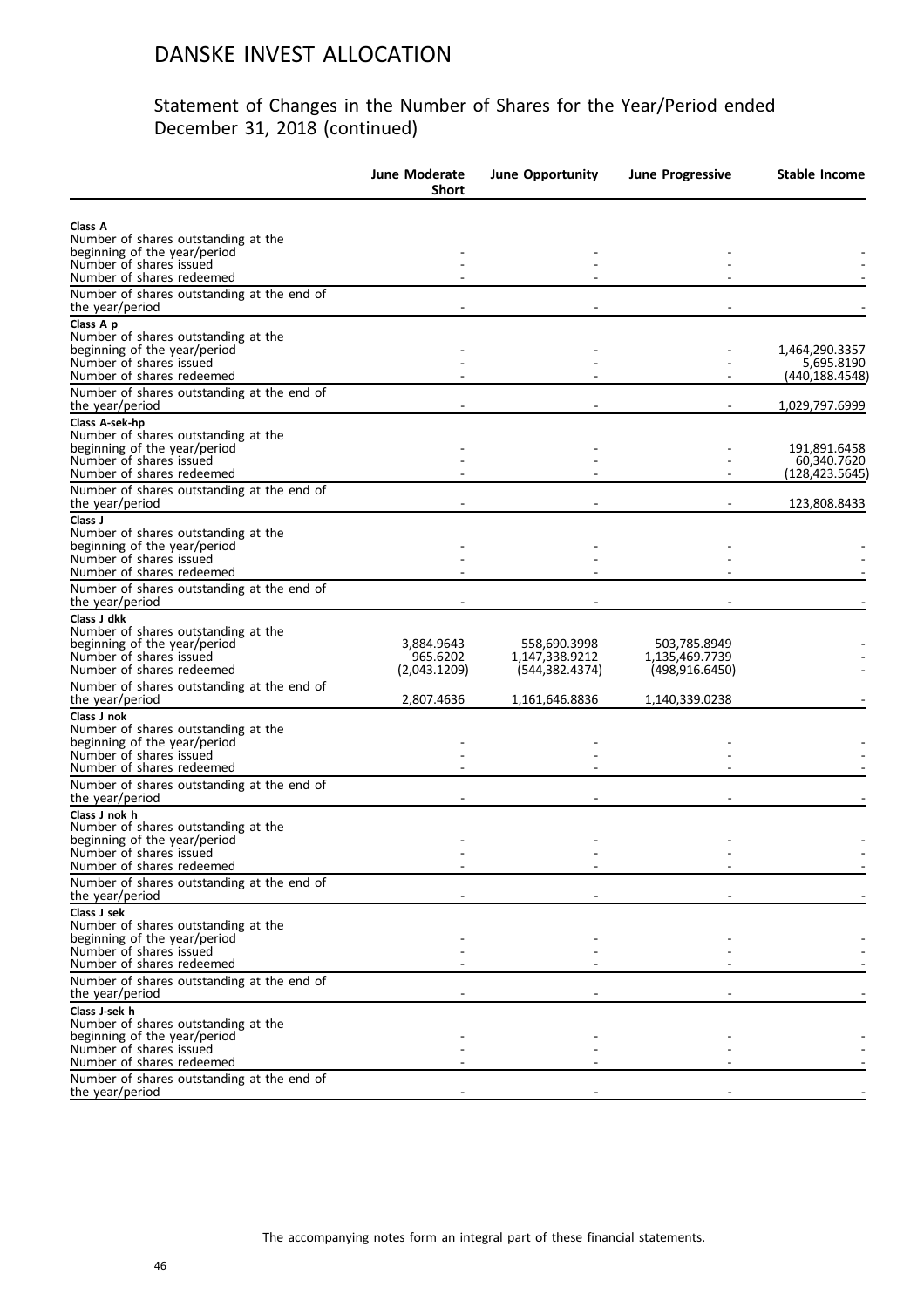|                                                                                                | June Moderate<br><b>Short</b> | <b>June Opportunity</b>        | <b>June Progressive</b>        | Stable Income                |
|------------------------------------------------------------------------------------------------|-------------------------------|--------------------------------|--------------------------------|------------------------------|
| Class A<br>Number of shares outstanding at the<br>beginning of the year/period                 |                               |                                |                                |                              |
| Number of shares issued                                                                        |                               |                                |                                |                              |
| Number of shares redeemed<br>Number of shares outstanding at the end of                        |                               |                                |                                |                              |
| the year/period                                                                                |                               |                                |                                |                              |
| Class A p<br>Number of shares outstanding at the                                               |                               |                                |                                |                              |
| beginning of the year/period<br>Number of shares issued                                        |                               |                                |                                | 1,464,290.3357<br>5,695.8190 |
| Number of shares redeemed                                                                      |                               |                                |                                | (440, 188.4548)              |
| Number of shares outstanding at the end of<br>the year/period                                  |                               |                                |                                | 1,029,797.6999               |
| Class A-sek-hp                                                                                 |                               |                                |                                |                              |
| Number of shares outstanding at the<br>beginning of the year/period                            |                               |                                |                                | 191,891.6458                 |
| Number of shares issued                                                                        |                               |                                |                                | 60,340.7620                  |
| Number of shares redeemed<br>Number of shares outstanding at the end of                        |                               |                                |                                | (128, 423.5645)              |
| the year/period                                                                                |                               |                                |                                | 123,808.8433                 |
| Class J<br>Number of shares outstanding at the                                                 |                               |                                |                                |                              |
| beginning of the year/period                                                                   |                               |                                |                                |                              |
| Number of shares issued<br>Number of shares redeemed                                           |                               |                                |                                |                              |
| Number of shares outstanding at the end of<br>the year/period                                  |                               |                                |                                |                              |
| Class J dkk                                                                                    |                               |                                |                                |                              |
| Number of shares outstanding at the<br>beginning of the year/period<br>Number of shares issued | 3,884.9643<br>965.6202        | 558,690.3998<br>1,147,338.9212 | 503,785.8949<br>1,135,469.7739 |                              |
| Number of shares redeemed<br>Number of shares outstanding at the end of                        | (2,043.1209)                  | (544, 382.4374)                | (498,916.6450)                 |                              |
| the year/period                                                                                | 2,807.4636                    | 1,161,646.8836                 | 1,140,339.0238                 |                              |
| Class J nok<br>Number of shares outstanding at the                                             |                               |                                |                                |                              |
| beginning of the year/period<br>Number of shares issued                                        |                               |                                |                                |                              |
| Number of shares redeemed                                                                      |                               |                                |                                |                              |
| Number of shares outstanding at the end of<br>the year/period                                  |                               |                                |                                |                              |
| Class J nok h                                                                                  |                               |                                |                                |                              |
| Number of shares outstanding at the<br>beginning of the year/period                            |                               |                                |                                |                              |
| Number of shares issued                                                                        |                               |                                |                                |                              |
| Number of shares redeemed<br>Number of shares outstanding at the end of                        |                               |                                |                                |                              |
| the year/period                                                                                |                               |                                |                                |                              |
| Class J sek<br>Number of shares outstanding at the                                             |                               |                                |                                |                              |
| beginning of the year/period<br>Number of shares issued                                        |                               |                                |                                |                              |
| Number of shares redeemed                                                                      |                               |                                |                                |                              |
| Number of shares outstanding at the end of<br>the year/period                                  |                               |                                |                                |                              |
| Class J-sek h                                                                                  |                               |                                |                                |                              |
| Number of shares outstanding at the<br>beginning of the year/period                            |                               |                                |                                |                              |
| Number of shares issued                                                                        |                               |                                |                                |                              |
| Number of shares redeemed<br>Number of shares outstanding at the end of                        |                               |                                |                                |                              |
| the year/period                                                                                |                               |                                |                                |                              |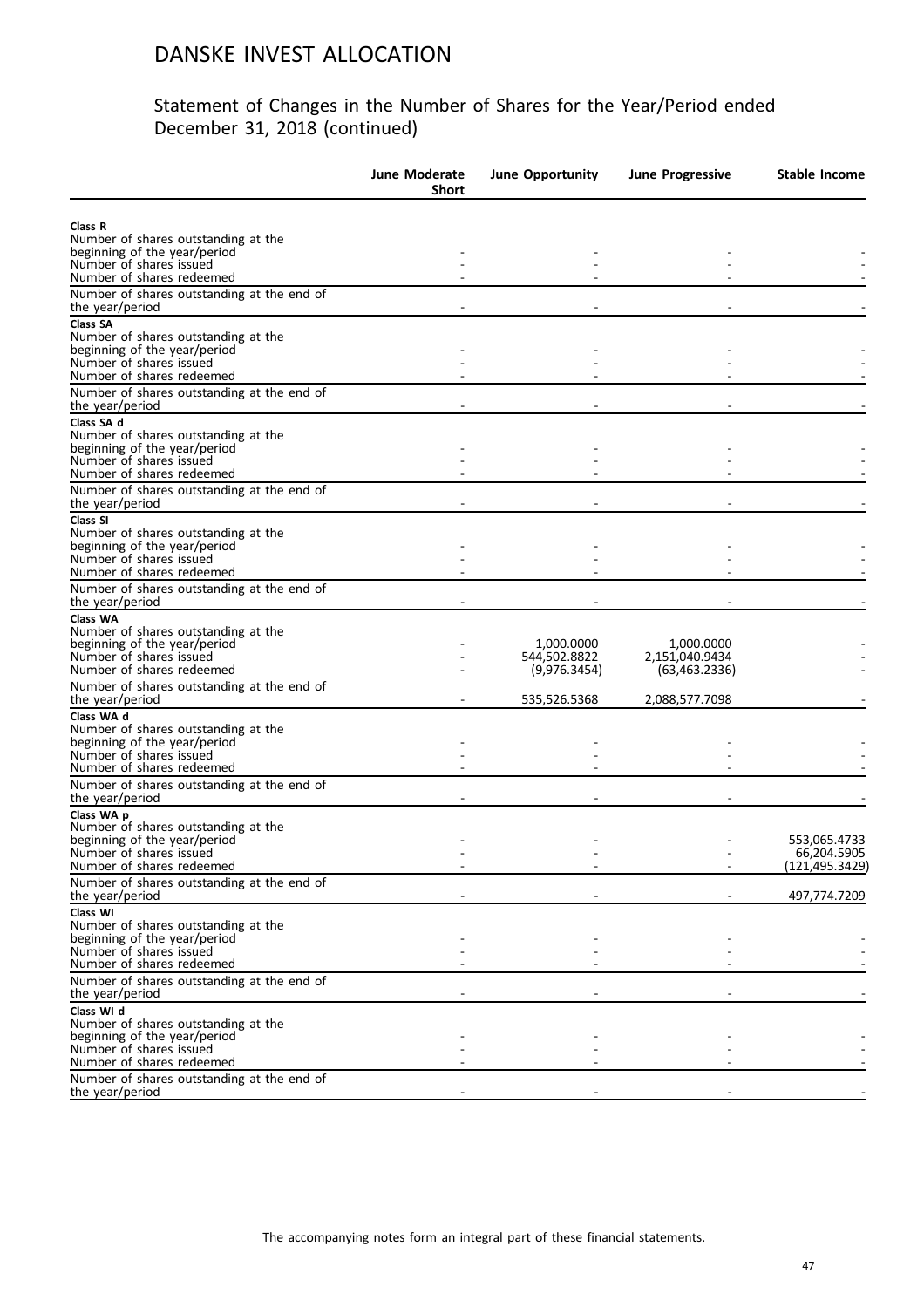|                                                                                                                                                                                         | <b>June Moderate</b><br><b>Short</b> | <b>June Opportunity</b>                    | <b>June Progressive</b>                       | Stable Income                                 |
|-----------------------------------------------------------------------------------------------------------------------------------------------------------------------------------------|--------------------------------------|--------------------------------------------|-----------------------------------------------|-----------------------------------------------|
| Class R<br>Number of shares outstanding at the<br>beginning of the year/period                                                                                                          |                                      |                                            |                                               |                                               |
| Number of shares issued<br>Number of shares redeemed                                                                                                                                    |                                      |                                            |                                               |                                               |
| Number of shares outstanding at the end of<br>the year/period                                                                                                                           |                                      |                                            |                                               |                                               |
| Class SA<br>Number of shares outstanding at the<br>beginning of the year/period<br>Number of shares issued<br>Number of shares redeemed                                                 |                                      |                                            |                                               |                                               |
| Number of shares outstanding at the end of<br>the year/period                                                                                                                           |                                      |                                            |                                               |                                               |
| Class SA d<br>Number of shares outstanding at the<br>beginning of the year/period<br>Number of shares issued<br>Number of shares redeemed<br>Number of shares outstanding at the end of |                                      |                                            |                                               |                                               |
| the year/period                                                                                                                                                                         |                                      |                                            |                                               |                                               |
| Class SI<br>Number of shares outstanding at the<br>beginning of the year/period<br>Number of shares issued<br>Number of shares redeemed                                                 |                                      |                                            |                                               |                                               |
| Number of shares outstanding at the end of<br>the year/period                                                                                                                           |                                      |                                            |                                               |                                               |
| <b>Class WA</b><br>Number of shares outstanding at the<br>beginning of the year/period<br>Number of shares issued<br>Number of shares redeemed                                          |                                      | 1,000.0000<br>544,502.8822<br>(9,976.3454) | 1,000.0000<br>2,151,040.9434<br>(63,463.2336) |                                               |
| Number of shares outstanding at the end of<br>the year/period                                                                                                                           |                                      | 535,526.5368                               | 2,088,577.7098                                |                                               |
| Class WA d<br>Number of shares outstanding at the<br>beginning of the year/period<br>Number of shares issued<br>Number of shares redeemed                                               |                                      |                                            |                                               |                                               |
| Number of shares outstanding at the end of<br>the year/period                                                                                                                           |                                      |                                            |                                               |                                               |
| Class WA p<br>Number of shares outstanding at the<br>beginning of the year/period<br>Number of shares issued<br>Number of shares redeemed                                               |                                      |                                            |                                               | 553,065.4733<br>66,204.5905<br>(121,495.3429) |
| Number of shares outstanding at the end of<br>the year/period                                                                                                                           |                                      |                                            |                                               | 497,774.7209                                  |
| Class WI<br>Number of shares outstanding at the<br>beginning of the year/period<br>Number of shares issued<br>Number of shares redeemed                                                 |                                      |                                            |                                               |                                               |
| Number of shares outstanding at the end of<br>the year/period                                                                                                                           |                                      |                                            |                                               |                                               |
| Class WI d<br>Number of shares outstanding at the<br>beginning of the year/period<br>Number of shares issued<br>Number of shares redeemed                                               |                                      |                                            |                                               |                                               |
| Number of shares outstanding at the end of<br>the year/period                                                                                                                           |                                      |                                            |                                               |                                               |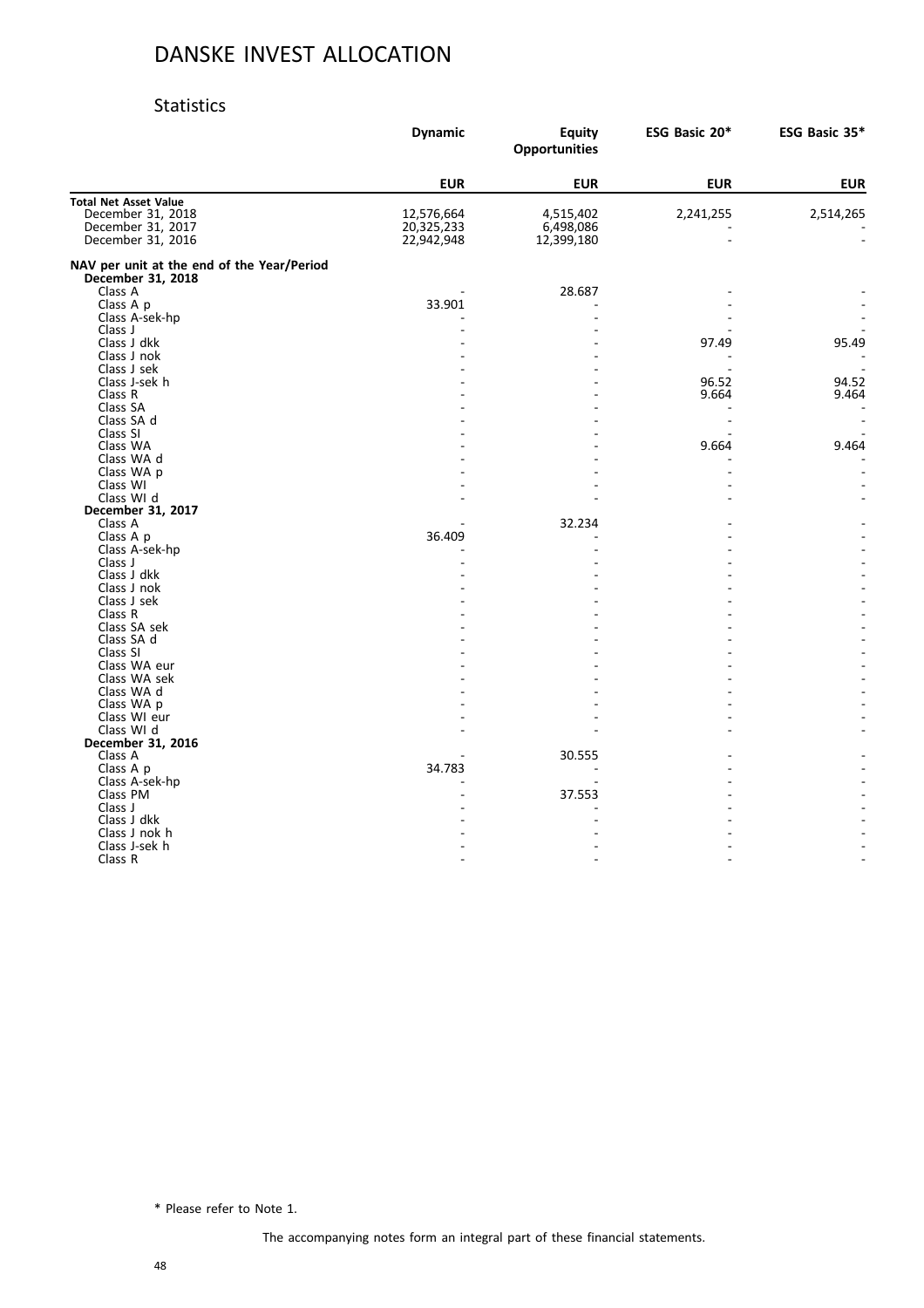#### Statistics

|                                                                 | <b>Dynamic</b> | <b>Equity</b><br><b>Opportunities</b> | ESG Basic 20* | ESG Basic 35* |
|-----------------------------------------------------------------|----------------|---------------------------------------|---------------|---------------|
|                                                                 | <b>EUR</b>     | <b>EUR</b>                            | <b>EUR</b>    | <b>EUR</b>    |
| <b>Total Net Asset Value</b>                                    |                |                                       |               |               |
| December 31, 2018                                               | 12,576,664     | 4,515,402                             | 2,241,255     | 2,514,265     |
| December 31, 2017                                               | 20,325,233     | 6,498,086                             |               |               |
| December 31, 2016                                               | 22,942,948     | 12,399,180                            |               |               |
| NAV per unit at the end of the Year/Period<br>December 31, 2018 |                |                                       |               |               |
| Class A                                                         |                | 28.687                                |               |               |
| Class A p                                                       | 33.901         |                                       |               |               |
| Class A-sek-hp                                                  |                |                                       |               |               |
| Class J                                                         |                |                                       |               |               |
| Class J dkk                                                     |                |                                       | 97.49         | 95.49         |
| Class J nok                                                     |                |                                       |               |               |
| Class J sek                                                     |                |                                       |               |               |
| Class J-sek h                                                   |                |                                       | 96.52         | 94.52         |
| Class R                                                         |                |                                       | 9.664         | 9.464         |
| Class SA                                                        |                |                                       |               |               |
| Class SA d                                                      |                |                                       |               |               |
| Class SI                                                        |                |                                       |               |               |
| Class WA                                                        |                |                                       | 9.664         | 9.464         |
| Class WA d                                                      |                |                                       |               |               |
| Class WA p                                                      |                |                                       |               |               |
| Class WI                                                        |                |                                       |               |               |
| Class WI d                                                      |                |                                       |               |               |
| December 31, 2017                                               |                |                                       |               |               |
| Class A                                                         |                | 32.234                                |               |               |
| Class A p                                                       | 36.409         |                                       |               |               |
| Class A-sek-hp                                                  |                |                                       |               |               |
| Class J                                                         |                |                                       |               |               |
| Class J dkk                                                     |                |                                       |               |               |
| Class J nok                                                     |                |                                       |               |               |
| Class J sek                                                     |                |                                       |               |               |
| Class R                                                         |                |                                       |               |               |
| Class SA sek                                                    |                |                                       |               |               |
| Class SA d                                                      |                |                                       |               |               |
| Class SI                                                        |                |                                       |               |               |
| Class WA eur                                                    |                |                                       |               |               |
| Class WA sek                                                    |                |                                       |               |               |
| Class WA d                                                      |                |                                       |               |               |
| Class WA p                                                      |                |                                       |               |               |
| Class WI eur                                                    |                |                                       |               |               |
| Class WI d                                                      |                |                                       |               |               |
| December 31, 2016                                               |                |                                       |               |               |
| Class A                                                         |                | 30.555                                |               |               |
| Class A p                                                       | 34.783         |                                       |               |               |
| Class A-sek-hp                                                  |                |                                       |               |               |
| Class PM                                                        |                | 37.553                                |               |               |
| Class J                                                         |                |                                       |               |               |
| Class J dkk                                                     |                |                                       |               |               |
| Class J nok h                                                   |                |                                       |               |               |
| Class J-sek h                                                   |                |                                       |               |               |
| Class R                                                         |                |                                       |               |               |

\* Please refer to Note 1.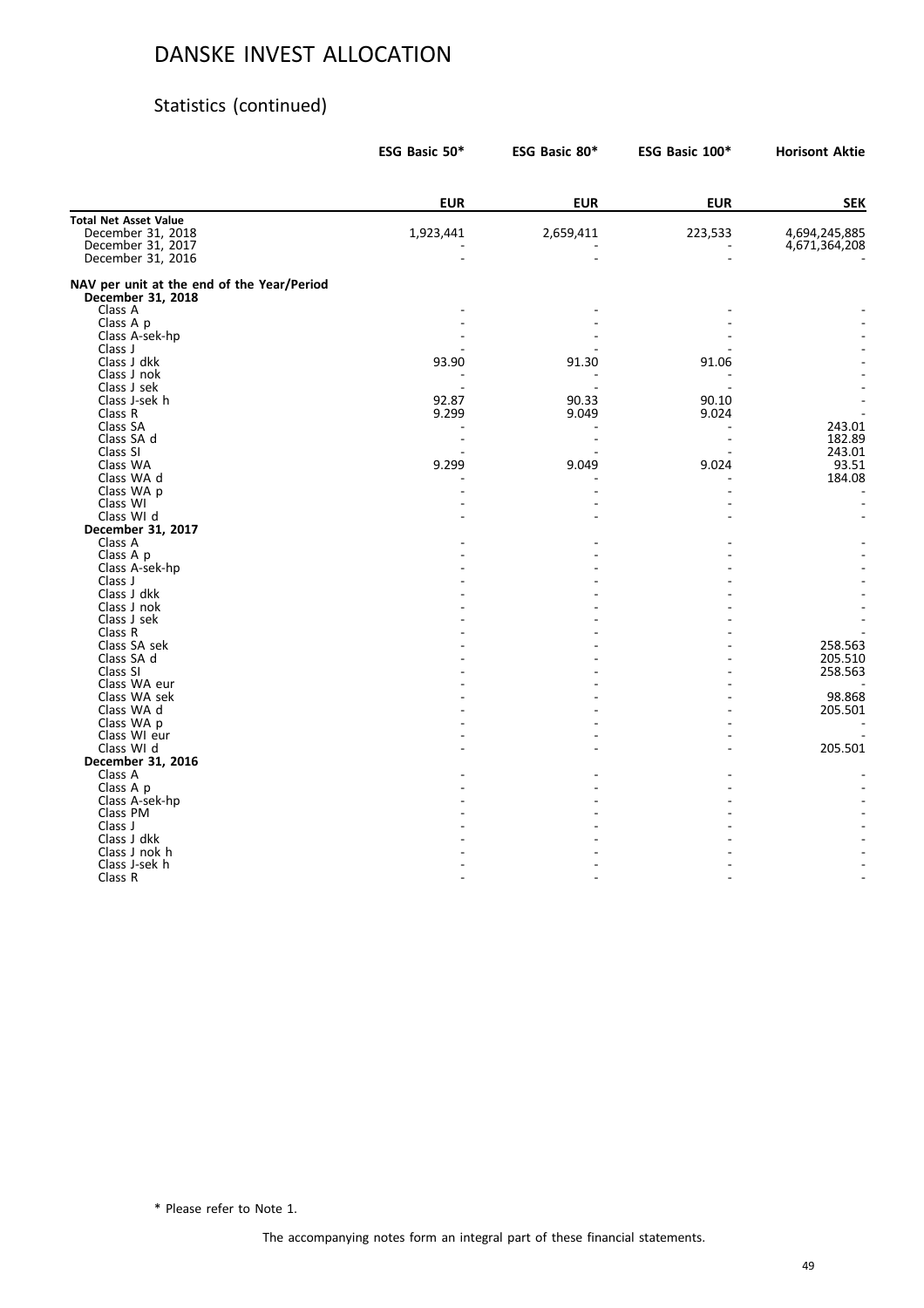### Statistics (continued)

|                                                                 | ESG Basic 50* | ESG Basic 80* | ESG Basic 100* | <b>Horisont Aktie</b> |
|-----------------------------------------------------------------|---------------|---------------|----------------|-----------------------|
|                                                                 | <b>EUR</b>    | <b>EUR</b>    | <b>EUR</b>     | <b>SEK</b>            |
| <b>Total Net Asset Value</b>                                    |               |               |                |                       |
| December 31, 2018                                               | 1,923,441     | 2,659,411     | 223,533        | 4,694,245,885         |
| December 31, 2017                                               |               |               |                | 4,671,364,208         |
| December 31, 2016                                               |               |               |                |                       |
| NAV per unit at the end of the Year/Period<br>December 31, 2018 |               |               |                |                       |
| Class A                                                         |               |               |                |                       |
| Class A p                                                       |               |               |                |                       |
| Class A-sek-hp                                                  |               |               |                |                       |
| Class J                                                         |               |               |                |                       |
| Class J dkk                                                     | 93.90         | 91.30         | 91.06          |                       |
| Class J nok                                                     |               |               |                |                       |
| Class J sek                                                     |               |               |                |                       |
| Class J-sek h                                                   | 92.87         | 90.33         | 90.10          |                       |
| Class R                                                         | 9.299         | 9.049         | 9.024          |                       |
| Class SA                                                        |               |               |                | 243.01                |
| Class SA d                                                      |               |               |                | 182.89                |
| Class SI                                                        |               |               |                | 243.01                |
| Class WA                                                        | 9.299         | 9.049         | 9.024          | 93.51                 |
| Class WA d                                                      |               |               |                | 184.08                |
| Class WA p                                                      |               |               |                |                       |
| Class WI                                                        |               |               |                |                       |
| Class WI d                                                      |               |               |                |                       |
| December 31, 2017                                               |               |               |                |                       |
| Class A                                                         |               |               |                |                       |
| Class A p                                                       |               |               |                |                       |
| Class A-sek-hp                                                  |               |               |                |                       |
| Class J                                                         |               |               |                |                       |
| Class J dkk                                                     |               |               |                |                       |
| Class J nok                                                     |               |               |                |                       |
| Class J sek                                                     |               |               |                |                       |
| Class R                                                         |               |               |                |                       |
| Class SA sek                                                    |               |               |                | 258.563               |
| Class SA d<br>Class SI                                          |               |               |                | 205.510               |
|                                                                 |               |               |                | 258.563               |
| Class WA eur                                                    |               |               |                |                       |
| Class WA sek<br>Class WA d                                      |               |               |                | 98.868<br>205.501     |
|                                                                 |               |               |                |                       |
| Class WA p                                                      |               |               |                |                       |
| Class WI eur                                                    |               |               |                |                       |
| Class WI d                                                      |               |               |                | 205.501               |
| December 31, 2016<br>Class A                                    |               |               |                |                       |
|                                                                 |               |               |                |                       |
| Class A p                                                       |               |               |                |                       |
| Class A-sek-hp<br>Class PM                                      |               |               |                |                       |
|                                                                 |               |               |                |                       |
| Class J<br>Class J dkk                                          |               |               |                |                       |
|                                                                 |               |               |                |                       |
| Class J nok h                                                   |               |               |                |                       |
| Class J-sek h                                                   |               |               |                |                       |
| Class R                                                         |               |               |                |                       |

\* Please refer to Note 1.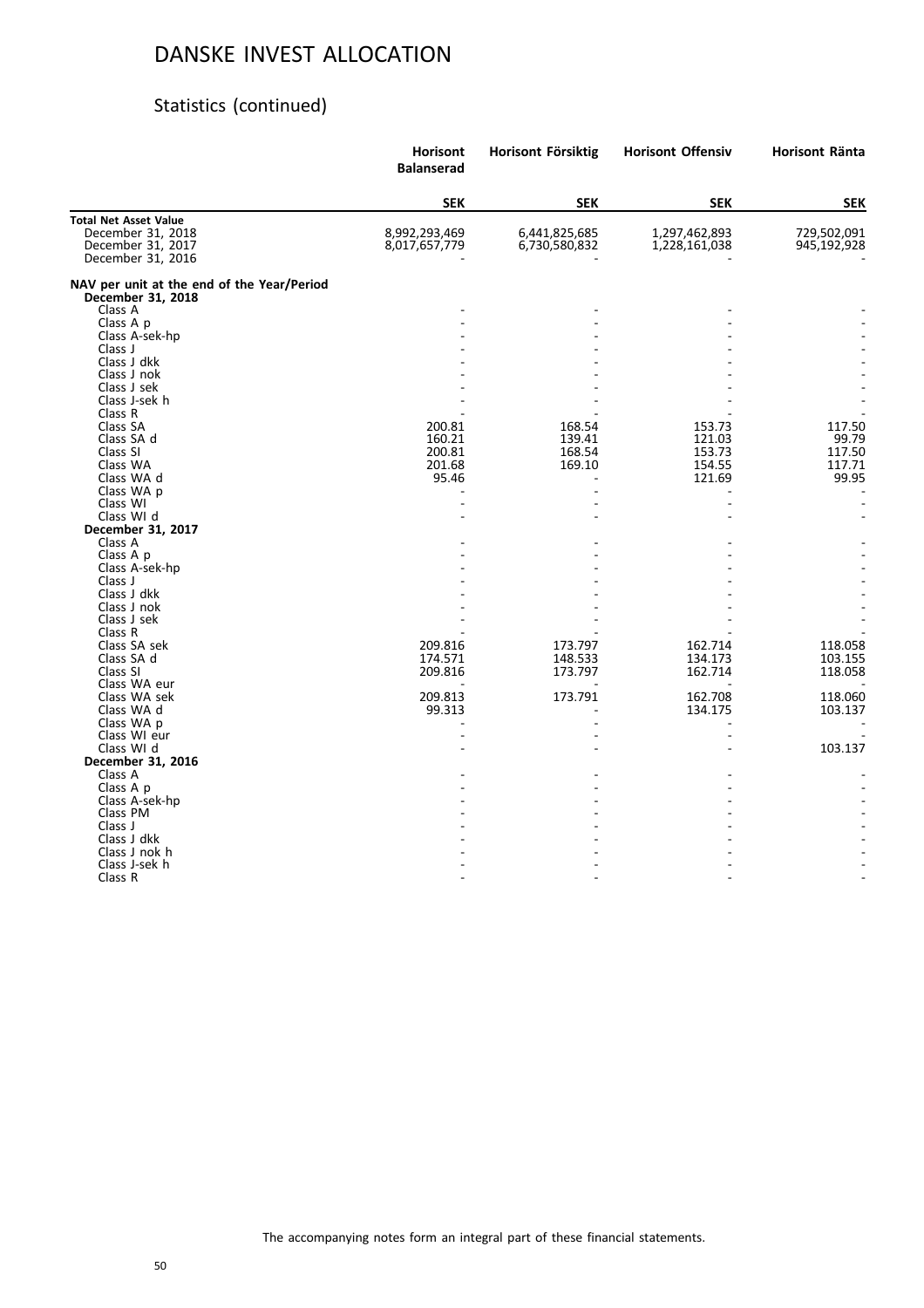### Statistics (continued)

|                                                                 | <b>Horisont</b><br><b>Balanserad</b> | Horisont Försiktig | <b>Horisont Offensiv</b> | Horisont Ränta |
|-----------------------------------------------------------------|--------------------------------------|--------------------|--------------------------|----------------|
|                                                                 | <b>SEK</b>                           | <b>SEK</b>         | <b>SEK</b>               | <b>SEK</b>     |
| <b>Total Net Asset Value</b>                                    |                                      |                    |                          |                |
| December 31, 2018                                               | 8,992,293,469                        | 6,441,825,685      | 1,297,462,893            | 729,502,091    |
| December 31, 2017                                               | 8,017,657,779                        | 6,730,580,832      | 1,228,161,038            | 945,192,928    |
| December 31, 2016                                               |                                      |                    |                          |                |
| NAV per unit at the end of the Year/Period<br>December 31, 2018 |                                      |                    |                          |                |
| Class A                                                         |                                      |                    |                          |                |
| Class A p                                                       |                                      |                    |                          |                |
| Class A-sek-hp                                                  |                                      |                    |                          |                |
| Class J                                                         |                                      |                    |                          |                |
| Class J dkk                                                     |                                      |                    |                          |                |
| Class J nok                                                     |                                      |                    |                          |                |
| Class J sek                                                     |                                      |                    |                          |                |
| Class J-sek h                                                   |                                      |                    |                          |                |
| Class R                                                         |                                      |                    |                          |                |
| Class SA                                                        | 200.81                               | 168.54             | 153.73                   | 117.50         |
| Class SA d                                                      | 160.21                               | 139.41             | 121.03                   | 99.79          |
| Class SI                                                        | 200.81                               | 168.54             | 153.73                   | 117.50         |
| Class WA                                                        | 201.68                               | 169.10             | 154.55                   | 117.71         |
| Class WA d                                                      | 95.46                                |                    | 121.69                   | 99.95          |
| Class WA p                                                      |                                      |                    |                          |                |
| Class WI                                                        |                                      |                    |                          |                |
| Class WI d                                                      |                                      |                    |                          |                |
| December 31, 2017                                               |                                      |                    |                          |                |
| Class A                                                         |                                      |                    |                          |                |
| Class A p                                                       |                                      |                    |                          |                |
| Class A-sek-hp<br>Class J                                       |                                      |                    |                          |                |
| Class J dkk                                                     |                                      |                    |                          |                |
| Class J nok                                                     |                                      |                    |                          |                |
| Class J sek                                                     |                                      |                    |                          |                |
| Class R                                                         |                                      |                    |                          |                |
| Class SA sek                                                    | 209.816                              | 173.797            | 162.714                  | 118.058        |
| Class SA d                                                      | 174.571                              | 148.533            | 134.173                  | 103.155        |
| Class SI                                                        | 209.816                              | 173.797            | 162.714                  | 118.058        |
| Class WA eur                                                    |                                      |                    |                          |                |
| Class WA sek                                                    | 209.813                              | 173.791            | 162.708                  | 118.060        |
| Class WA d                                                      | 99.313                               |                    | 134.175                  | 103.137        |
| Class WA p                                                      |                                      |                    |                          |                |
| Class WI eur                                                    |                                      |                    |                          |                |
| Class WI d                                                      |                                      |                    |                          | 103.137        |
| December 31, 2016                                               |                                      |                    |                          |                |
| Class A                                                         |                                      |                    |                          |                |
| Class A p                                                       |                                      |                    |                          |                |
| Class A-sek-hp                                                  |                                      |                    |                          |                |
| Class PM                                                        |                                      |                    |                          |                |
| Class J                                                         |                                      |                    |                          |                |
| Class J dkk                                                     |                                      |                    |                          |                |
| Class J nok h                                                   |                                      |                    |                          |                |
| Class J-sek h                                                   |                                      |                    |                          |                |
| Class R                                                         |                                      |                    |                          |                |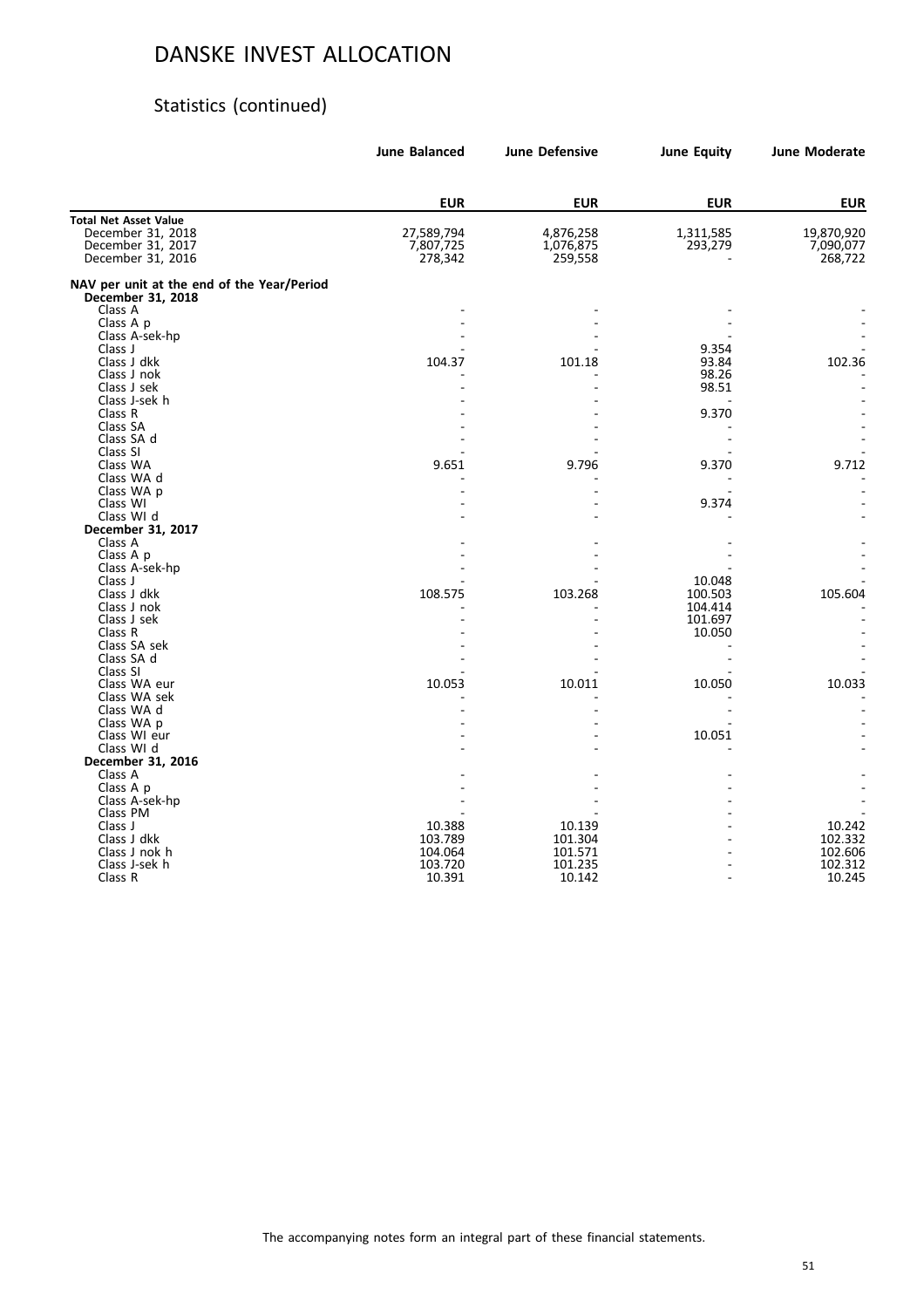# Statistics (continued)

| <b>EUR</b><br><b>EUR</b><br><b>EUR</b><br><b>EUR</b><br><b>Total Net Asset Value</b><br>December 31, 2018<br>27,589,794<br>4,876,258<br>1,311,585<br>19,870,920<br>December 31, 2017<br>7,807,725<br>1,076,875<br>293,279<br>7,090,077<br>December 31, 2016<br>278,342<br>259,558<br>268,722<br>NAV per unit at the end of the Year/Period<br>December 31, 2018<br>Class A<br>Class A p<br>Class A-sek-hp<br>Class J<br>9.354<br>Class J dkk<br>104.37<br>101.18<br>93.84<br>102.36<br>98.26<br>Class J nok<br>98.51<br>Class J sek<br>Class J-sek h<br>9.370<br>Class R<br>Class SA<br>Class SA d<br>Class SI<br>9.712<br>Class WA<br>9.651<br>9.796<br>9.370<br>Class WA d<br>Class WA p<br>Class WI<br>9.374<br>Class WI d<br>December 31, 2017<br>Class A<br>Class A p<br>Class A-sek-hp<br>Class J<br>10.048<br>Class J dkk<br>105.604<br>108.575<br>103.268<br>100.503<br>Class J nok<br>104.414<br>Class J sek<br>101.697<br>Class R<br>10.050<br>Class SA sek<br>Class SA d<br>Class SI<br>Class WA eur<br>10.033<br>10.053<br>10.011<br>10.050<br>Class WA sek<br>Class WA d<br>Class WA p<br>Class WI eur<br>10.051<br>Class WI d<br>December 31, 2016<br>Class A<br>Class A p<br>Class A-sek-hp<br>Class PM<br>Class J<br>10.242<br>10.388<br>10.139<br>Class J dkk<br>101.304<br>102.332<br>103.789<br>Class J nok h<br>104.064<br>101.571<br>102.606<br>Class J-sek h<br>103.720<br>101.235<br>102.312<br>Class R<br>10.391<br>10.245<br>10.142 | <b>June Balanced</b> | <b>June Defensive</b> | <b>June Equity</b> | <b>June Moderate</b> |
|--------------------------------------------------------------------------------------------------------------------------------------------------------------------------------------------------------------------------------------------------------------------------------------------------------------------------------------------------------------------------------------------------------------------------------------------------------------------------------------------------------------------------------------------------------------------------------------------------------------------------------------------------------------------------------------------------------------------------------------------------------------------------------------------------------------------------------------------------------------------------------------------------------------------------------------------------------------------------------------------------------------------------------------------------------------------------------------------------------------------------------------------------------------------------------------------------------------------------------------------------------------------------------------------------------------------------------------------------------------------------------------------------------------------------------------------------------------|----------------------|-----------------------|--------------------|----------------------|
|                                                                                                                                                                                                                                                                                                                                                                                                                                                                                                                                                                                                                                                                                                                                                                                                                                                                                                                                                                                                                                                                                                                                                                                                                                                                                                                                                                                                                                                              |                      |                       |                    |                      |
|                                                                                                                                                                                                                                                                                                                                                                                                                                                                                                                                                                                                                                                                                                                                                                                                                                                                                                                                                                                                                                                                                                                                                                                                                                                                                                                                                                                                                                                              |                      |                       |                    |                      |
|                                                                                                                                                                                                                                                                                                                                                                                                                                                                                                                                                                                                                                                                                                                                                                                                                                                                                                                                                                                                                                                                                                                                                                                                                                                                                                                                                                                                                                                              |                      |                       |                    |                      |
|                                                                                                                                                                                                                                                                                                                                                                                                                                                                                                                                                                                                                                                                                                                                                                                                                                                                                                                                                                                                                                                                                                                                                                                                                                                                                                                                                                                                                                                              |                      |                       |                    |                      |
|                                                                                                                                                                                                                                                                                                                                                                                                                                                                                                                                                                                                                                                                                                                                                                                                                                                                                                                                                                                                                                                                                                                                                                                                                                                                                                                                                                                                                                                              |                      |                       |                    |                      |
|                                                                                                                                                                                                                                                                                                                                                                                                                                                                                                                                                                                                                                                                                                                                                                                                                                                                                                                                                                                                                                                                                                                                                                                                                                                                                                                                                                                                                                                              |                      |                       |                    |                      |
|                                                                                                                                                                                                                                                                                                                                                                                                                                                                                                                                                                                                                                                                                                                                                                                                                                                                                                                                                                                                                                                                                                                                                                                                                                                                                                                                                                                                                                                              |                      |                       |                    |                      |
|                                                                                                                                                                                                                                                                                                                                                                                                                                                                                                                                                                                                                                                                                                                                                                                                                                                                                                                                                                                                                                                                                                                                                                                                                                                                                                                                                                                                                                                              |                      |                       |                    |                      |
|                                                                                                                                                                                                                                                                                                                                                                                                                                                                                                                                                                                                                                                                                                                                                                                                                                                                                                                                                                                                                                                                                                                                                                                                                                                                                                                                                                                                                                                              |                      |                       |                    |                      |
|                                                                                                                                                                                                                                                                                                                                                                                                                                                                                                                                                                                                                                                                                                                                                                                                                                                                                                                                                                                                                                                                                                                                                                                                                                                                                                                                                                                                                                                              |                      |                       |                    |                      |
|                                                                                                                                                                                                                                                                                                                                                                                                                                                                                                                                                                                                                                                                                                                                                                                                                                                                                                                                                                                                                                                                                                                                                                                                                                                                                                                                                                                                                                                              |                      |                       |                    |                      |
|                                                                                                                                                                                                                                                                                                                                                                                                                                                                                                                                                                                                                                                                                                                                                                                                                                                                                                                                                                                                                                                                                                                                                                                                                                                                                                                                                                                                                                                              |                      |                       |                    |                      |
|                                                                                                                                                                                                                                                                                                                                                                                                                                                                                                                                                                                                                                                                                                                                                                                                                                                                                                                                                                                                                                                                                                                                                                                                                                                                                                                                                                                                                                                              |                      |                       |                    |                      |
|                                                                                                                                                                                                                                                                                                                                                                                                                                                                                                                                                                                                                                                                                                                                                                                                                                                                                                                                                                                                                                                                                                                                                                                                                                                                                                                                                                                                                                                              |                      |                       |                    |                      |
|                                                                                                                                                                                                                                                                                                                                                                                                                                                                                                                                                                                                                                                                                                                                                                                                                                                                                                                                                                                                                                                                                                                                                                                                                                                                                                                                                                                                                                                              |                      |                       |                    |                      |
|                                                                                                                                                                                                                                                                                                                                                                                                                                                                                                                                                                                                                                                                                                                                                                                                                                                                                                                                                                                                                                                                                                                                                                                                                                                                                                                                                                                                                                                              |                      |                       |                    |                      |
|                                                                                                                                                                                                                                                                                                                                                                                                                                                                                                                                                                                                                                                                                                                                                                                                                                                                                                                                                                                                                                                                                                                                                                                                                                                                                                                                                                                                                                                              |                      |                       |                    |                      |
|                                                                                                                                                                                                                                                                                                                                                                                                                                                                                                                                                                                                                                                                                                                                                                                                                                                                                                                                                                                                                                                                                                                                                                                                                                                                                                                                                                                                                                                              |                      |                       |                    |                      |
|                                                                                                                                                                                                                                                                                                                                                                                                                                                                                                                                                                                                                                                                                                                                                                                                                                                                                                                                                                                                                                                                                                                                                                                                                                                                                                                                                                                                                                                              |                      |                       |                    |                      |
|                                                                                                                                                                                                                                                                                                                                                                                                                                                                                                                                                                                                                                                                                                                                                                                                                                                                                                                                                                                                                                                                                                                                                                                                                                                                                                                                                                                                                                                              |                      |                       |                    |                      |
|                                                                                                                                                                                                                                                                                                                                                                                                                                                                                                                                                                                                                                                                                                                                                                                                                                                                                                                                                                                                                                                                                                                                                                                                                                                                                                                                                                                                                                                              |                      |                       |                    |                      |
|                                                                                                                                                                                                                                                                                                                                                                                                                                                                                                                                                                                                                                                                                                                                                                                                                                                                                                                                                                                                                                                                                                                                                                                                                                                                                                                                                                                                                                                              |                      |                       |                    |                      |
|                                                                                                                                                                                                                                                                                                                                                                                                                                                                                                                                                                                                                                                                                                                                                                                                                                                                                                                                                                                                                                                                                                                                                                                                                                                                                                                                                                                                                                                              |                      |                       |                    |                      |
|                                                                                                                                                                                                                                                                                                                                                                                                                                                                                                                                                                                                                                                                                                                                                                                                                                                                                                                                                                                                                                                                                                                                                                                                                                                                                                                                                                                                                                                              |                      |                       |                    |                      |
|                                                                                                                                                                                                                                                                                                                                                                                                                                                                                                                                                                                                                                                                                                                                                                                                                                                                                                                                                                                                                                                                                                                                                                                                                                                                                                                                                                                                                                                              |                      |                       |                    |                      |
|                                                                                                                                                                                                                                                                                                                                                                                                                                                                                                                                                                                                                                                                                                                                                                                                                                                                                                                                                                                                                                                                                                                                                                                                                                                                                                                                                                                                                                                              |                      |                       |                    |                      |
|                                                                                                                                                                                                                                                                                                                                                                                                                                                                                                                                                                                                                                                                                                                                                                                                                                                                                                                                                                                                                                                                                                                                                                                                                                                                                                                                                                                                                                                              |                      |                       |                    |                      |
|                                                                                                                                                                                                                                                                                                                                                                                                                                                                                                                                                                                                                                                                                                                                                                                                                                                                                                                                                                                                                                                                                                                                                                                                                                                                                                                                                                                                                                                              |                      |                       |                    |                      |
|                                                                                                                                                                                                                                                                                                                                                                                                                                                                                                                                                                                                                                                                                                                                                                                                                                                                                                                                                                                                                                                                                                                                                                                                                                                                                                                                                                                                                                                              |                      |                       |                    |                      |
|                                                                                                                                                                                                                                                                                                                                                                                                                                                                                                                                                                                                                                                                                                                                                                                                                                                                                                                                                                                                                                                                                                                                                                                                                                                                                                                                                                                                                                                              |                      |                       |                    |                      |
|                                                                                                                                                                                                                                                                                                                                                                                                                                                                                                                                                                                                                                                                                                                                                                                                                                                                                                                                                                                                                                                                                                                                                                                                                                                                                                                                                                                                                                                              |                      |                       |                    |                      |
|                                                                                                                                                                                                                                                                                                                                                                                                                                                                                                                                                                                                                                                                                                                                                                                                                                                                                                                                                                                                                                                                                                                                                                                                                                                                                                                                                                                                                                                              |                      |                       |                    |                      |
|                                                                                                                                                                                                                                                                                                                                                                                                                                                                                                                                                                                                                                                                                                                                                                                                                                                                                                                                                                                                                                                                                                                                                                                                                                                                                                                                                                                                                                                              |                      |                       |                    |                      |
|                                                                                                                                                                                                                                                                                                                                                                                                                                                                                                                                                                                                                                                                                                                                                                                                                                                                                                                                                                                                                                                                                                                                                                                                                                                                                                                                                                                                                                                              |                      |                       |                    |                      |
|                                                                                                                                                                                                                                                                                                                                                                                                                                                                                                                                                                                                                                                                                                                                                                                                                                                                                                                                                                                                                                                                                                                                                                                                                                                                                                                                                                                                                                                              |                      |                       |                    |                      |
|                                                                                                                                                                                                                                                                                                                                                                                                                                                                                                                                                                                                                                                                                                                                                                                                                                                                                                                                                                                                                                                                                                                                                                                                                                                                                                                                                                                                                                                              |                      |                       |                    |                      |
|                                                                                                                                                                                                                                                                                                                                                                                                                                                                                                                                                                                                                                                                                                                                                                                                                                                                                                                                                                                                                                                                                                                                                                                                                                                                                                                                                                                                                                                              |                      |                       |                    |                      |
|                                                                                                                                                                                                                                                                                                                                                                                                                                                                                                                                                                                                                                                                                                                                                                                                                                                                                                                                                                                                                                                                                                                                                                                                                                                                                                                                                                                                                                                              |                      |                       |                    |                      |
|                                                                                                                                                                                                                                                                                                                                                                                                                                                                                                                                                                                                                                                                                                                                                                                                                                                                                                                                                                                                                                                                                                                                                                                                                                                                                                                                                                                                                                                              |                      |                       |                    |                      |
|                                                                                                                                                                                                                                                                                                                                                                                                                                                                                                                                                                                                                                                                                                                                                                                                                                                                                                                                                                                                                                                                                                                                                                                                                                                                                                                                                                                                                                                              |                      |                       |                    |                      |
|                                                                                                                                                                                                                                                                                                                                                                                                                                                                                                                                                                                                                                                                                                                                                                                                                                                                                                                                                                                                                                                                                                                                                                                                                                                                                                                                                                                                                                                              |                      |                       |                    |                      |
|                                                                                                                                                                                                                                                                                                                                                                                                                                                                                                                                                                                                                                                                                                                                                                                                                                                                                                                                                                                                                                                                                                                                                                                                                                                                                                                                                                                                                                                              |                      |                       |                    |                      |
|                                                                                                                                                                                                                                                                                                                                                                                                                                                                                                                                                                                                                                                                                                                                                                                                                                                                                                                                                                                                                                                                                                                                                                                                                                                                                                                                                                                                                                                              |                      |                       |                    |                      |
|                                                                                                                                                                                                                                                                                                                                                                                                                                                                                                                                                                                                                                                                                                                                                                                                                                                                                                                                                                                                                                                                                                                                                                                                                                                                                                                                                                                                                                                              |                      |                       |                    |                      |
|                                                                                                                                                                                                                                                                                                                                                                                                                                                                                                                                                                                                                                                                                                                                                                                                                                                                                                                                                                                                                                                                                                                                                                                                                                                                                                                                                                                                                                                              |                      |                       |                    |                      |
|                                                                                                                                                                                                                                                                                                                                                                                                                                                                                                                                                                                                                                                                                                                                                                                                                                                                                                                                                                                                                                                                                                                                                                                                                                                                                                                                                                                                                                                              |                      |                       |                    |                      |
|                                                                                                                                                                                                                                                                                                                                                                                                                                                                                                                                                                                                                                                                                                                                                                                                                                                                                                                                                                                                                                                                                                                                                                                                                                                                                                                                                                                                                                                              |                      |                       |                    |                      |
|                                                                                                                                                                                                                                                                                                                                                                                                                                                                                                                                                                                                                                                                                                                                                                                                                                                                                                                                                                                                                                                                                                                                                                                                                                                                                                                                                                                                                                                              |                      |                       |                    |                      |
|                                                                                                                                                                                                                                                                                                                                                                                                                                                                                                                                                                                                                                                                                                                                                                                                                                                                                                                                                                                                                                                                                                                                                                                                                                                                                                                                                                                                                                                              |                      |                       |                    |                      |
|                                                                                                                                                                                                                                                                                                                                                                                                                                                                                                                                                                                                                                                                                                                                                                                                                                                                                                                                                                                                                                                                                                                                                                                                                                                                                                                                                                                                                                                              |                      |                       |                    |                      |
|                                                                                                                                                                                                                                                                                                                                                                                                                                                                                                                                                                                                                                                                                                                                                                                                                                                                                                                                                                                                                                                                                                                                                                                                                                                                                                                                                                                                                                                              |                      |                       |                    |                      |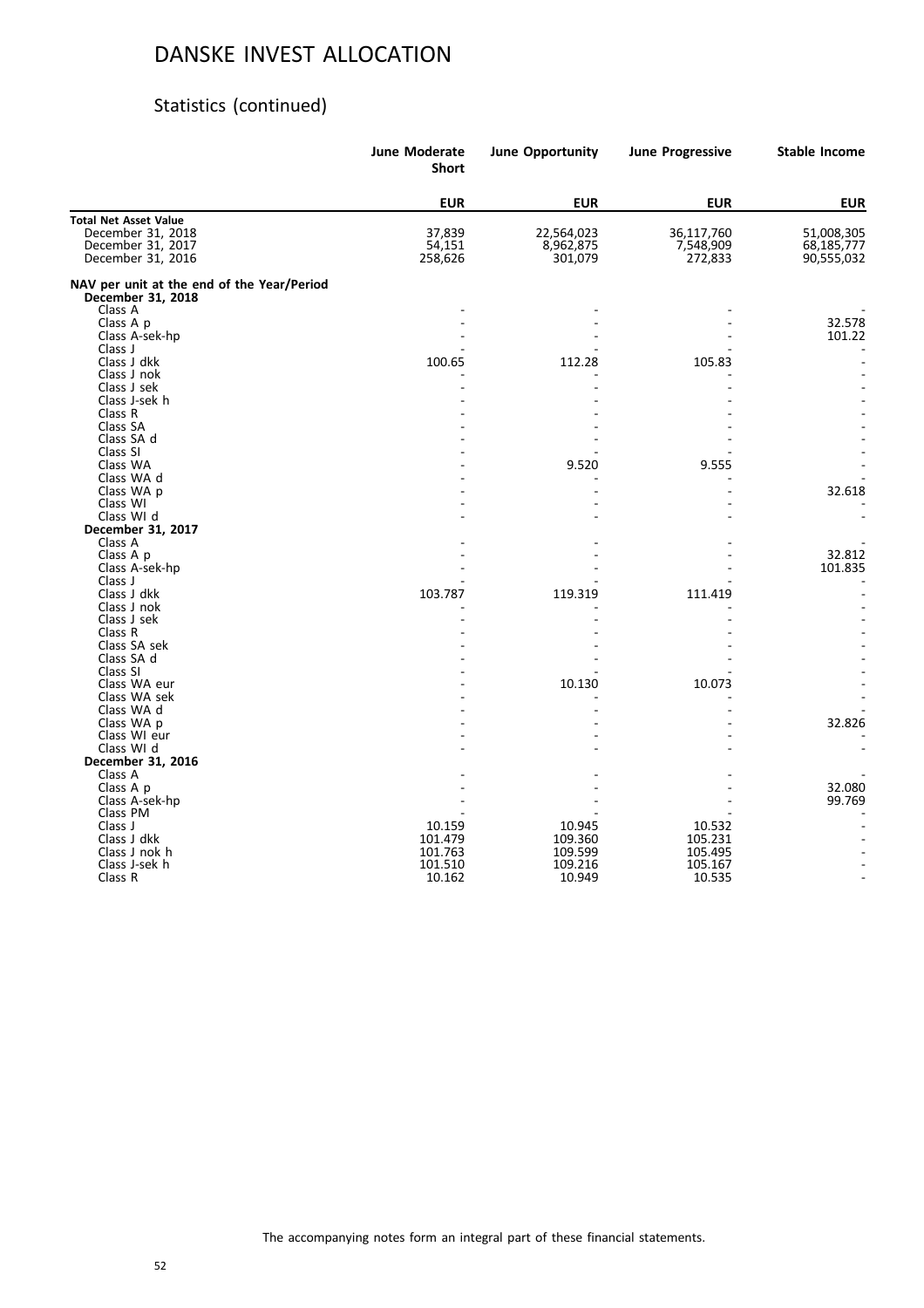### Statistics (continued)

|                                                                 | <b>June Moderate</b><br><b>Short</b> | <b>June Opportunity</b> | <b>June Progressive</b> | <b>Stable Income</b> |
|-----------------------------------------------------------------|--------------------------------------|-------------------------|-------------------------|----------------------|
|                                                                 | <b>EUR</b>                           | <b>EUR</b>              | <b>EUR</b>              | <b>EUR</b>           |
| <b>Total Net Asset Value</b>                                    |                                      |                         |                         |                      |
| December 31, 2018                                               | 37,839                               | 22,564,023              | 36,117,760              | 51,008,305           |
| December 31, 2017                                               | 54,151                               | 8,962,875               | 7,548,909               | 68,185,777           |
| December 31, 2016                                               | 258,626                              | 301,079                 | 272,833                 | 90,555,032           |
| NAV per unit at the end of the Year/Period<br>December 31, 2018 |                                      |                         |                         |                      |
| Class A                                                         |                                      |                         |                         |                      |
| Class A p                                                       |                                      |                         |                         | 32.578               |
| Class A-sek-hp                                                  |                                      |                         |                         | 101.22               |
| Class J                                                         |                                      |                         |                         |                      |
| Class J dkk                                                     | 100.65                               | 112.28                  | 105.83                  |                      |
| Class J nok                                                     |                                      |                         |                         |                      |
| Class J sek                                                     |                                      |                         |                         |                      |
| Class J-sek h                                                   |                                      |                         |                         |                      |
| Class R                                                         |                                      |                         |                         |                      |
| Class SA                                                        |                                      |                         |                         |                      |
| Class SA d<br>Class SI                                          |                                      |                         |                         |                      |
| Class WA                                                        |                                      | 9.520                   | 9.555                   |                      |
| Class WA d                                                      |                                      |                         |                         |                      |
| Class WA p                                                      |                                      |                         |                         | 32.618               |
| Class WI                                                        |                                      |                         |                         |                      |
| Class WI d                                                      |                                      |                         |                         |                      |
| December 31, 2017                                               |                                      |                         |                         |                      |
| Class A                                                         |                                      |                         |                         |                      |
| Class A p                                                       |                                      |                         |                         | 32.812               |
| Class A-sek-hp                                                  |                                      |                         |                         | 101.835              |
| Class J                                                         |                                      |                         |                         |                      |
| Class J dkk                                                     | 103.787                              | 119.319                 | 111.419                 |                      |
| Class J nok                                                     |                                      |                         |                         |                      |
| Class J sek                                                     |                                      |                         |                         |                      |
| Class R                                                         |                                      |                         |                         |                      |
| Class SA sek                                                    |                                      |                         |                         |                      |
| Class SA d                                                      |                                      |                         |                         |                      |
| Class SI                                                        |                                      |                         |                         |                      |
| Class WA eur                                                    |                                      | 10.130                  | 10.073                  |                      |
| Class WA sek                                                    |                                      |                         |                         |                      |
| Class WA d                                                      |                                      |                         |                         |                      |
| Class WA p                                                      |                                      |                         |                         | 32.826               |
| Class WI eur                                                    |                                      |                         |                         |                      |
| Class WI d                                                      |                                      |                         |                         |                      |
| December 31, 2016                                               |                                      |                         |                         |                      |
| Class A                                                         |                                      |                         |                         | 32.080               |
| Class A p<br>Class A-sek-hp                                     |                                      |                         |                         | 99.769               |
| Class PM                                                        |                                      |                         |                         |                      |
| Class J                                                         | 10.159                               | 10.945                  | 10.532                  |                      |
| Class J dkk                                                     | 101.479                              | 109.360                 | 105.231                 |                      |
| Class J nok h                                                   | 101.763                              | 109.599                 | 105.495                 |                      |
| Class J-sek h                                                   | 101.510                              | 109.216                 | 105.167                 |                      |
| Class R                                                         | 10.162                               | 10.949                  | 10.535                  |                      |
|                                                                 |                                      |                         |                         |                      |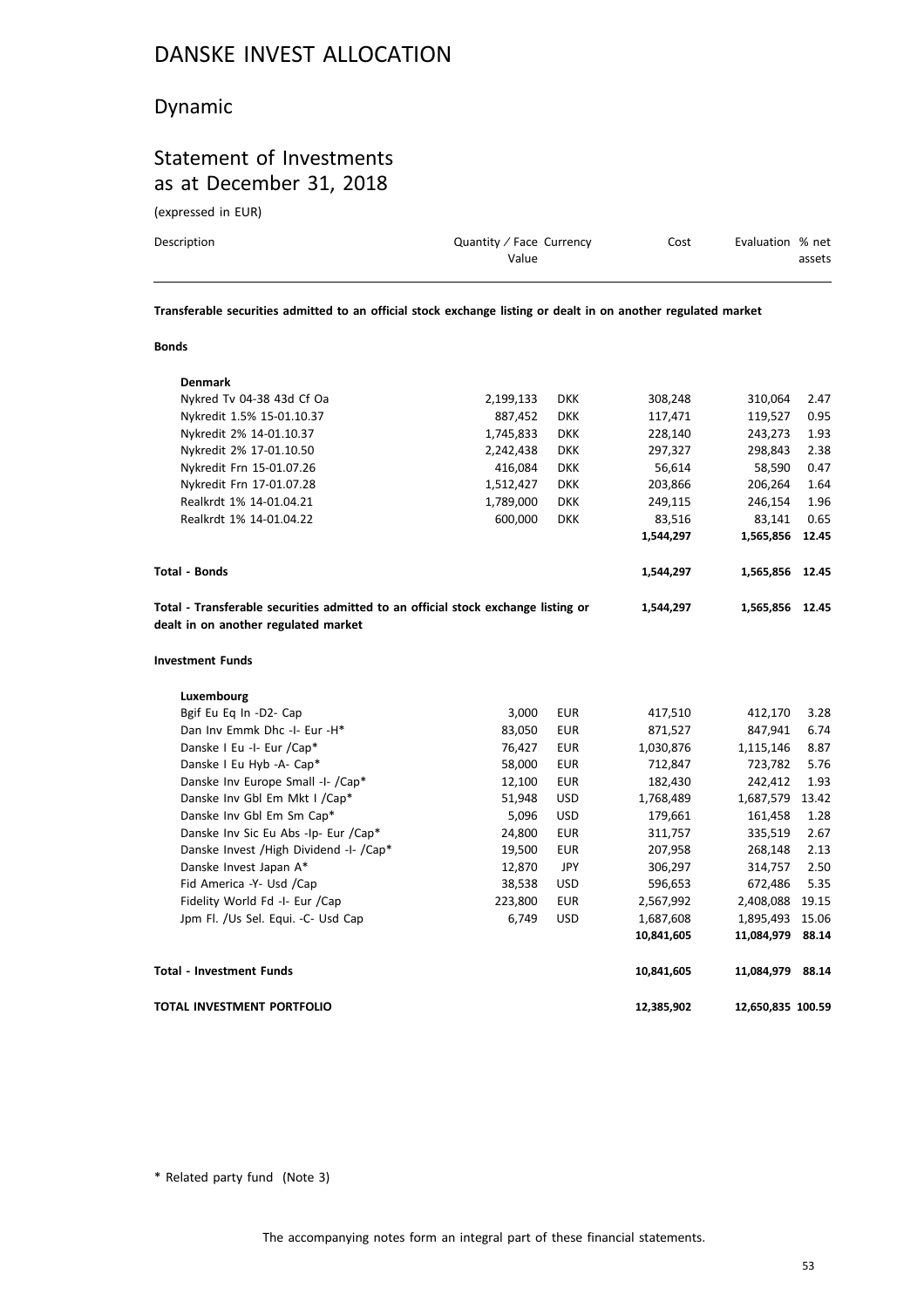### Dynamic

### Statement of Investments as at December 31, 2018

(expressed in EUR)

| Description | Quantity / Face Currency<br>Value | Cost | Evaluation % net | assets |
|-------------|-----------------------------------|------|------------------|--------|
|             |                                   |      |                  |        |

**Transferable securities admitted to an official stock exchange listing or dealt in on another regulated market**

#### **Bonds**

| <b>Denmark</b>                                                                                                            |           |            |            |                   |       |
|---------------------------------------------------------------------------------------------------------------------------|-----------|------------|------------|-------------------|-------|
| Nykred Tv 04-38 43d Cf Oa                                                                                                 | 2,199,133 | <b>DKK</b> | 308,248    | 310,064           | 2.47  |
| Nykredit 1.5% 15-01.10.37                                                                                                 | 887,452   | <b>DKK</b> | 117,471    | 119,527           | 0.95  |
| Nykredit 2% 14-01.10.37                                                                                                   | 1,745,833 | <b>DKK</b> | 228,140    | 243,273           | 1.93  |
| Nykredit 2% 17-01.10.50                                                                                                   | 2,242,438 | <b>DKK</b> | 297,327    | 298,843           | 2.38  |
| Nykredit Frn 15-01.07.26                                                                                                  | 416,084   | <b>DKK</b> | 56,614     | 58,590            | 0.47  |
| Nykredit Frn 17-01.07.28                                                                                                  | 1,512,427 | <b>DKK</b> | 203,866    | 206,264           | 1.64  |
| Realkrdt 1% 14-01.04.21                                                                                                   | 1,789,000 | <b>DKK</b> | 249,115    | 246,154           | 1.96  |
| Realkrdt 1% 14-01.04.22                                                                                                   | 600,000   | <b>DKK</b> | 83,516     | 83,141            | 0.65  |
|                                                                                                                           |           |            | 1,544,297  | 1,565,856         | 12.45 |
| <b>Total - Bonds</b>                                                                                                      |           |            | 1,544,297  | 1,565,856         | 12.45 |
| Total - Transferable securities admitted to an official stock exchange listing or<br>dealt in on another regulated market |           |            | 1,544,297  | 1,565,856         | 12.45 |
| <b>Investment Funds</b>                                                                                                   |           |            |            |                   |       |
| Luxembourg                                                                                                                |           |            |            |                   |       |
| Bgif Eu Eq In -D2- Cap                                                                                                    | 3,000     | <b>EUR</b> | 417,510    | 412,170           | 3.28  |
| Dan Inv Emmk Dhc -I- Eur -H*                                                                                              | 83,050    | <b>EUR</b> | 871,527    | 847,941           | 6.74  |
| Danske I Eu -I- Eur /Cap*                                                                                                 | 76,427    | <b>EUR</b> | 1,030,876  | 1,115,146         | 8.87  |
| Danske I Eu Hyb -A- Cap*                                                                                                  | 58,000    | <b>EUR</b> | 712,847    | 723,782           | 5.76  |
| Danske Inv Europe Small -I- /Cap*                                                                                         | 12,100    | <b>EUR</b> | 182,430    | 242,412           | 1.93  |
| Danske Inv Gbl Em Mkt I / Cap*                                                                                            | 51,948    | <b>USD</b> | 1,768,489  | 1,687,579         | 13.42 |
| Danske Inv Gbl Em Sm Cap*                                                                                                 | 5,096     | <b>USD</b> | 179,661    | 161,458           | 1.28  |
| Danske Inv Sic Eu Abs -Ip- Eur /Cap*                                                                                      | 24,800    | <b>EUR</b> | 311,757    | 335,519           | 2.67  |
| Danske Invest / High Dividend -I- / Cap*                                                                                  | 19,500    | <b>EUR</b> | 207,958    | 268,148           | 2.13  |
| Danske Invest Japan A*                                                                                                    | 12,870    | JPY        | 306,297    | 314,757           | 2.50  |
| Fid America -Y- Usd /Cap                                                                                                  | 38,538    | <b>USD</b> | 596,653    | 672,486           | 5.35  |
| Fidelity World Fd -I- Eur /Cap                                                                                            | 223,800   | <b>EUR</b> | 2,567,992  | 2,408,088         | 19.15 |
| Jpm Fl. /Us Sel. Equi. -C- Usd Cap                                                                                        | 6,749     | <b>USD</b> | 1,687,608  | 1,895,493         | 15.06 |
|                                                                                                                           |           |            | 10,841,605 | 11,084,979        | 88.14 |
| Total - Investment Funds                                                                                                  |           |            | 10,841,605 | 11,084,979        | 88.14 |
| TOTAL INVESTMENT PORTFOLIO                                                                                                |           |            | 12,385,902 | 12,650,835 100.59 |       |

\* Related party fund (Note 3)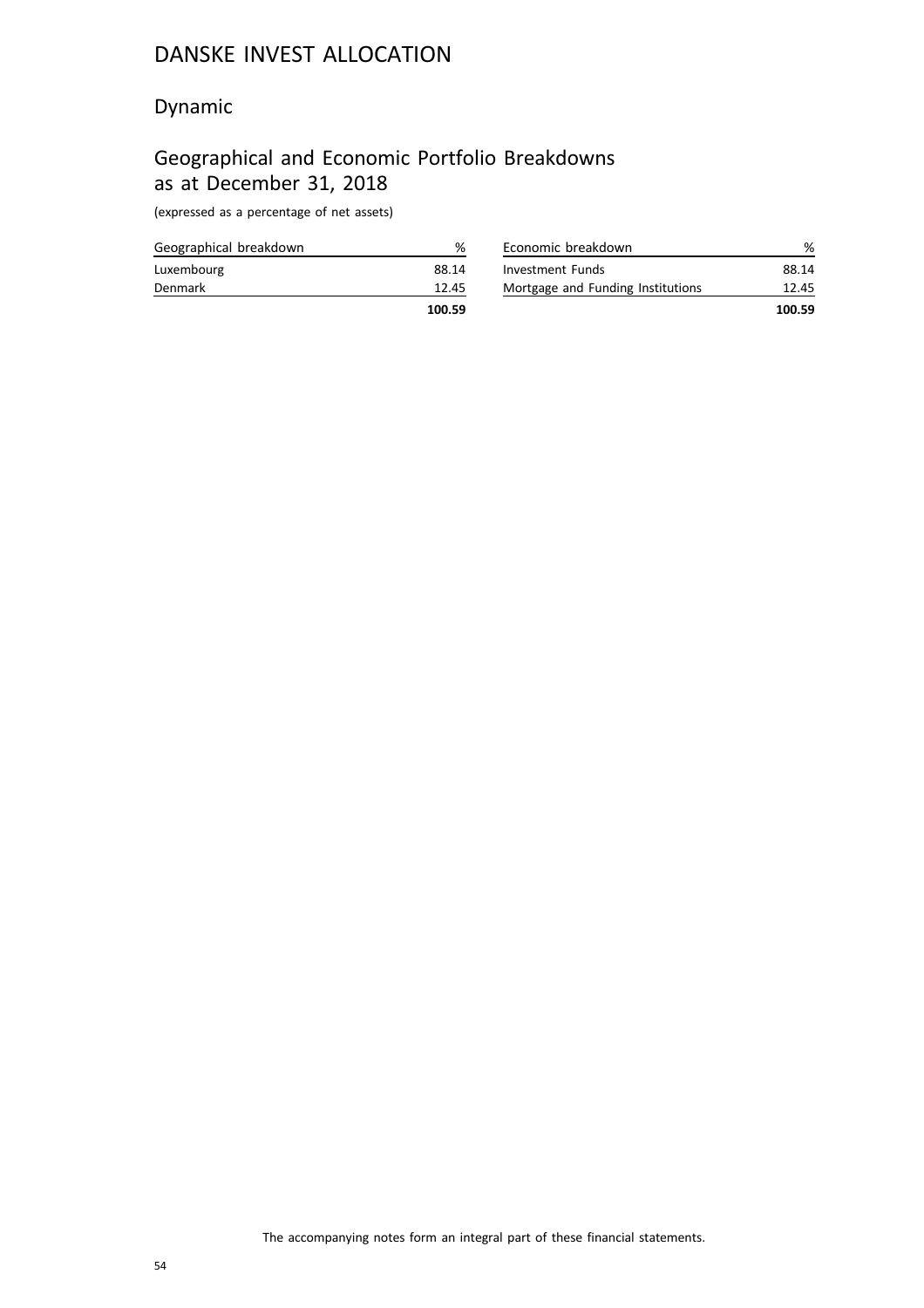### Dynamic

# Geographical and Economic Portfolio Breakdowns as at December 31, 2018

(expressed as a percentage of net assets)

| Geographical breakdown | %      |
|------------------------|--------|
| Luxembourg             | 88.14  |
| Denmark                | 12.45  |
|                        | 100.59 |

| Economic breakdown                |        |
|-----------------------------------|--------|
| Investment Funds                  | 88.14  |
| Mortgage and Funding Institutions | 12.45  |
|                                   | 100.59 |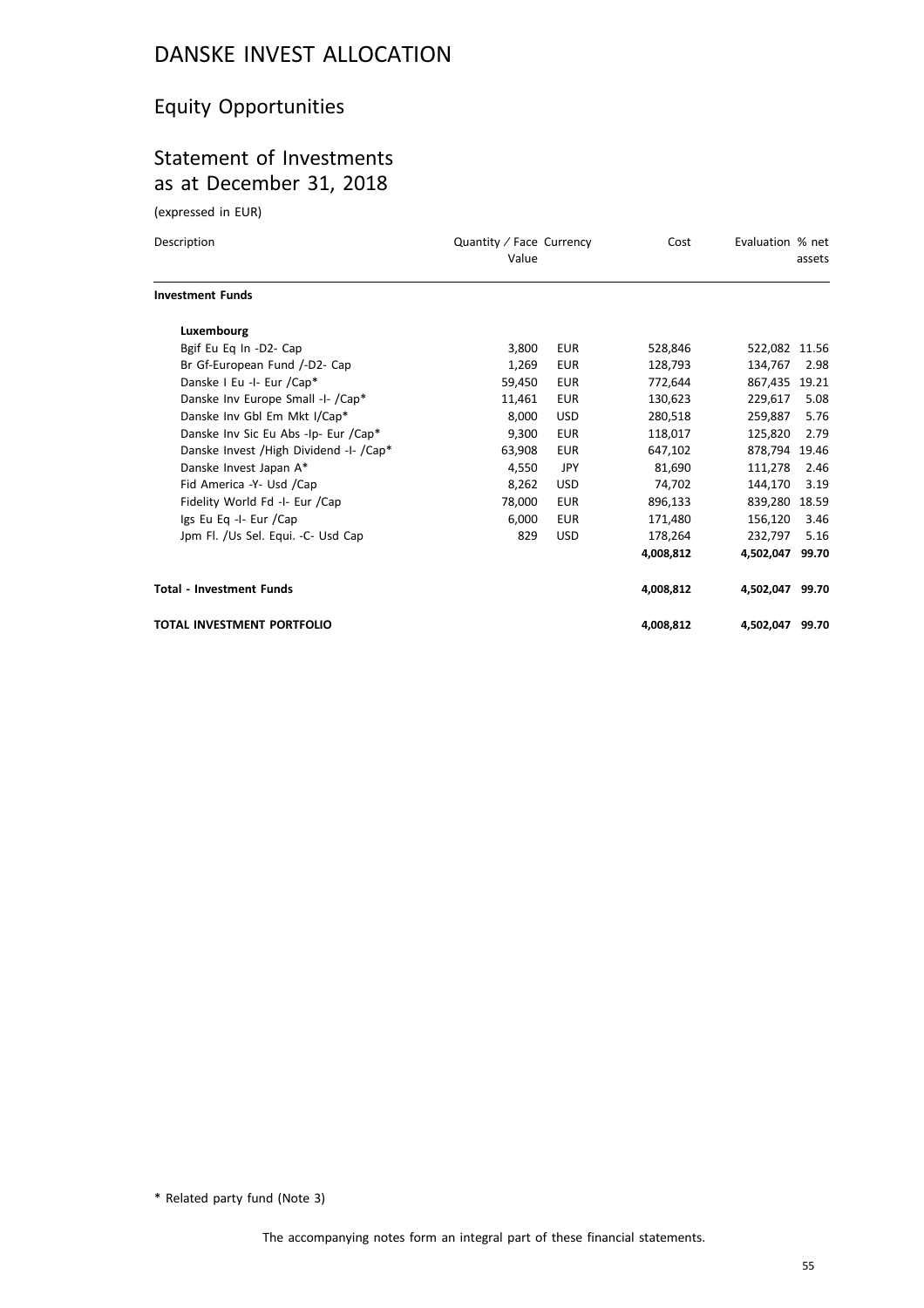# Equity Opportunities

### Statement of Investments as at December 31, 2018

(expressed in EUR)

| Description                              | Quantity / Face Currency<br>Value |            | Cost      | Evaluation % net | assets |
|------------------------------------------|-----------------------------------|------------|-----------|------------------|--------|
| <b>Investment Funds</b>                  |                                   |            |           |                  |        |
| Luxembourg                               |                                   |            |           |                  |        |
| Bgif Eu Eq In -D2- Cap                   | 3,800                             | <b>EUR</b> | 528,846   | 522,082 11.56    |        |
| Br Gf-European Fund /-D2- Cap            | 1,269                             | <b>EUR</b> | 128,793   | 134.767          | 2.98   |
| Danske I Eu -I- Eur /Cap*                | 59,450                            | <b>EUR</b> | 772,644   | 867,435 19.21    |        |
| Danske Inv Europe Small -I- /Cap*        | 11,461                            | <b>EUR</b> | 130,623   | 229,617          | 5.08   |
| Danske Inv Gbl Em Mkt I/Cap*             | 8,000                             | <b>USD</b> | 280,518   | 259,887          | 5.76   |
| Danske Inv Sic Eu Abs -Ip- Eur /Cap*     | 9,300                             | <b>EUR</b> | 118,017   | 125,820          | 2.79   |
| Danske Invest / High Dividend -I- / Cap* | 63,908                            | <b>EUR</b> | 647,102   | 878,794 19.46    |        |
| Danske Invest Japan A*                   | 4,550                             | <b>JPY</b> | 81,690    | 111,278          | 2.46   |
| Fid America -Y- Usd /Cap                 | 8,262                             | <b>USD</b> | 74,702    | 144,170          | 3.19   |
| Fidelity World Fd -I- Eur /Cap           | 78,000                            | <b>EUR</b> | 896,133   | 839,280 18.59    |        |
| Igs Eu Eq -I- Eur /Cap                   | 6,000                             | EUR        | 171,480   | 156,120          | 3.46   |
| Jpm Fl. /Us Sel. Equi. -C- Usd Cap       | 829                               | <b>USD</b> | 178,264   | 232,797          | 5.16   |
|                                          |                                   |            | 4,008,812 | 4,502,047 99.70  |        |
| <b>Total - Investment Funds</b>          |                                   |            | 4.008.812 | 4,502,047 99.70  |        |
| <b>TOTAL INVESTMENT PORTFOLIO</b>        |                                   |            | 4,008,812 | 4,502,047        | 99.70  |

\* Related party fund (Note 3)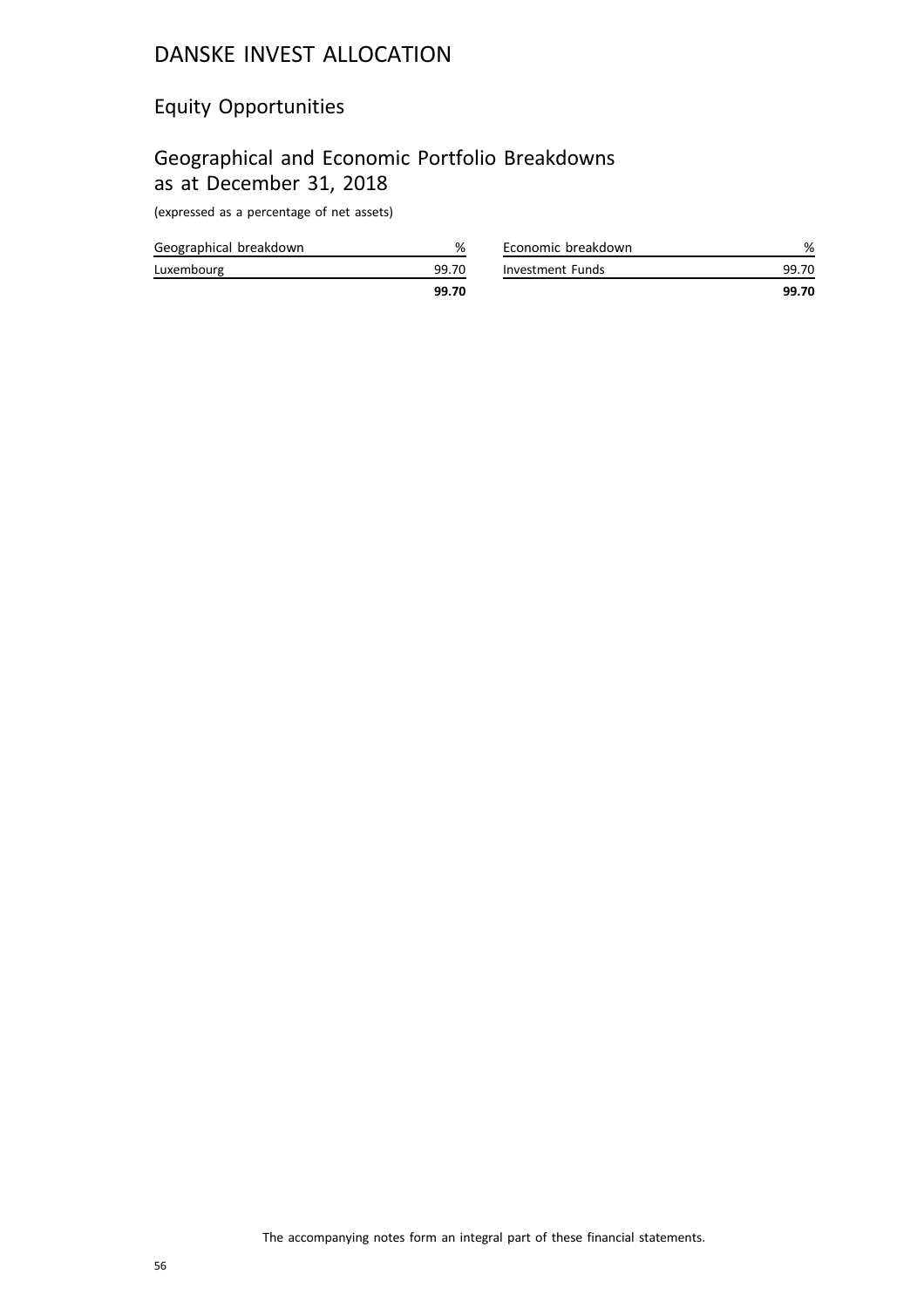### Equity Opportunities

# Geographical and Economic Portfolio Breakdowns as at December 31, 2018

(expressed as a percentage of net assets)

|                        | 99.70 |
|------------------------|-------|
| Luxembourg             | 99.70 |
| Geographical breakdown | %     |

|                    | 99.70 |
|--------------------|-------|
| Investment Funds   | 99.70 |
| Economic breakdown | %     |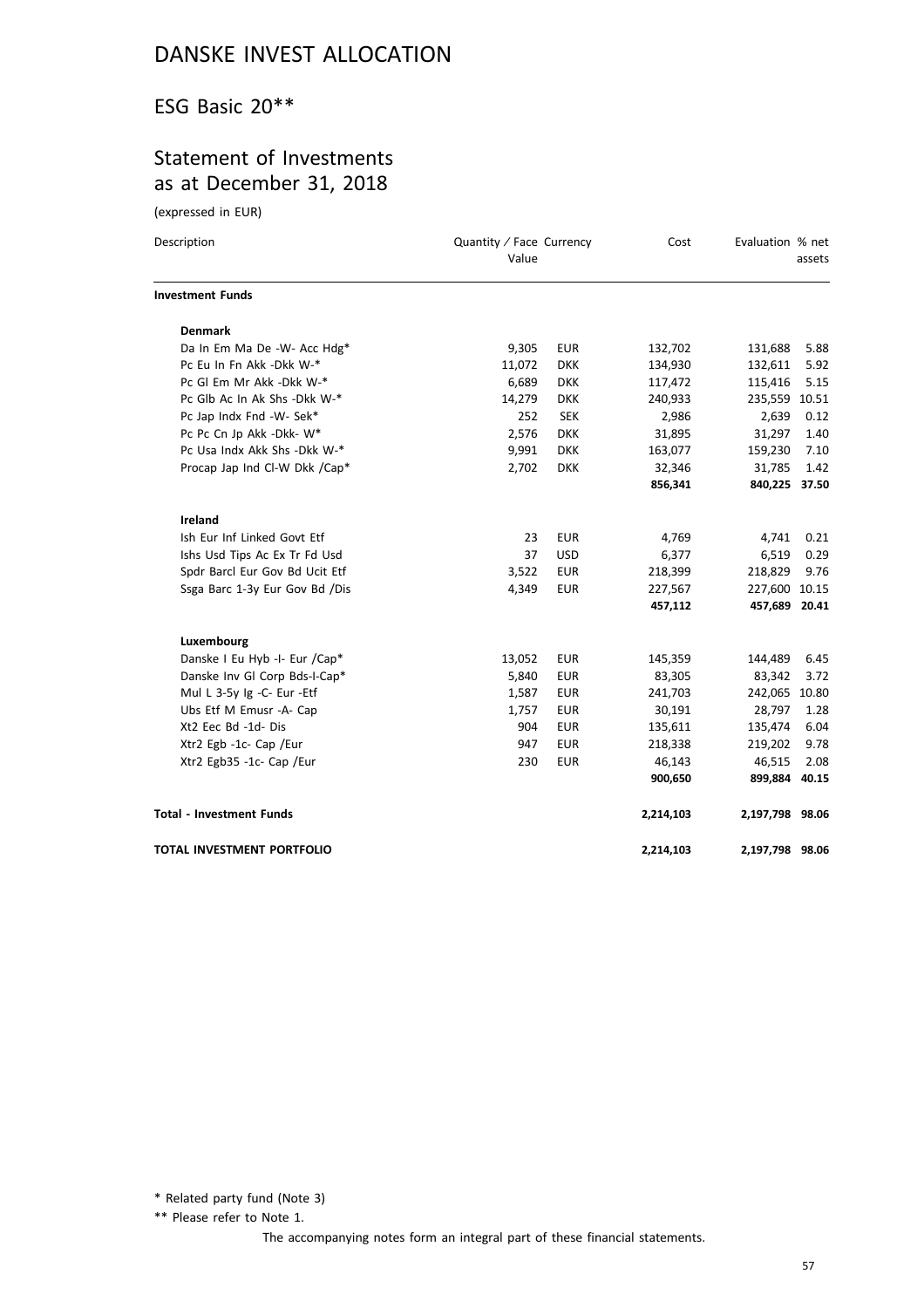### ESG Basic 20\*\*

### Statement of Investments as at December 31, 2018

(expressed in EUR)

| Description<br>Value            |        | Quantity / Face Currency |           | Evaluation % net | assets |
|---------------------------------|--------|--------------------------|-----------|------------------|--------|
| <b>Investment Funds</b>         |        |                          |           |                  |        |
| <b>Denmark</b>                  |        |                          |           |                  |        |
| Da In Em Ma De -W- Acc Hdg*     | 9,305  | <b>EUR</b>               | 132,702   | 131,688          | 5.88   |
| Pc Eu In Fn Akk -Dkk W-*        | 11,072 | <b>DKK</b>               | 134,930   | 132,611          | 5.92   |
| Pc Gl Em Mr Akk -Dkk W-*        | 6,689  | <b>DKK</b>               | 117,472   | 115,416          | 5.15   |
| Pc Glb Ac In Ak Shs -Dkk W-*    | 14,279 | <b>DKK</b>               | 240,933   | 235,559 10.51    |        |
| Pc Jap Indx Fnd -W- Sek*        | 252    | <b>SEK</b>               | 2,986     | 2,639            | 0.12   |
| Pc Pc Cn Jp Akk -Dkk- W*        | 2,576  | <b>DKK</b>               | 31,895    | 31,297           | 1.40   |
| Pc Usa Indx Akk Shs - Dkk W-*   | 9,991  | <b>DKK</b>               | 163,077   | 159,230          | 7.10   |
| Procap Jap Ind Cl-W Dkk /Cap*   | 2,702  | <b>DKK</b>               | 32,346    | 31,785           | 1.42   |
|                                 |        |                          | 856,341   | 840,225 37.50    |        |
| <b>Ireland</b>                  |        |                          |           |                  |        |
| Ish Eur Inf Linked Govt Etf     | 23     | <b>EUR</b>               | 4,769     | 4,741            | 0.21   |
| Ishs Usd Tips Ac Ex Tr Fd Usd   | 37     | <b>USD</b>               | 6,377     | 6,519            | 0.29   |
| Spdr Barcl Eur Gov Bd Ucit Etf  | 3,522  | <b>EUR</b>               | 218,399   | 218,829          | 9.76   |
| Ssga Barc 1-3y Eur Gov Bd /Dis  | 4,349  | <b>EUR</b>               | 227,567   | 227,600 10.15    |        |
|                                 |        |                          | 457,112   | 457,689 20.41    |        |
| Luxembourg                      |        |                          |           |                  |        |
| Danske I Eu Hyb -I- Eur /Cap*   | 13,052 | <b>EUR</b>               | 145,359   | 144,489          | 6.45   |
| Danske Inv Gl Corp Bds-I-Cap*   | 5,840  | <b>EUR</b>               | 83,305    | 83,342           | 3.72   |
| Mul L 3-5y Ig -C- Eur -Etf      | 1,587  | <b>EUR</b>               | 241,703   | 242,065 10.80    |        |
| Ubs Etf M Emusr -A- Cap         | 1,757  | <b>EUR</b>               | 30,191    | 28,797           | 1.28   |
| Xt2 Eec Bd -1d- Dis             | 904    | <b>EUR</b>               | 135,611   | 135,474          | 6.04   |
| Xtr2 Egb -1c- Cap /Eur          | 947    | <b>EUR</b>               | 218,338   | 219,202          | 9.78   |
| Xtr2 Egb35 -1c- Cap /Eur        | 230    | <b>EUR</b>               | 46,143    | 46,515           | 2.08   |
|                                 |        |                          | 900,650   | 899,884          | 40.15  |
| <b>Total - Investment Funds</b> |        |                          | 2,214,103 | 2,197,798 98.06  |        |
| TOTAL INVESTMENT PORTFOLIO      |        |                          | 2,214,103 | 2,197,798 98.06  |        |

\* Related party fund (Note 3)

\*\* Please refer to Note 1.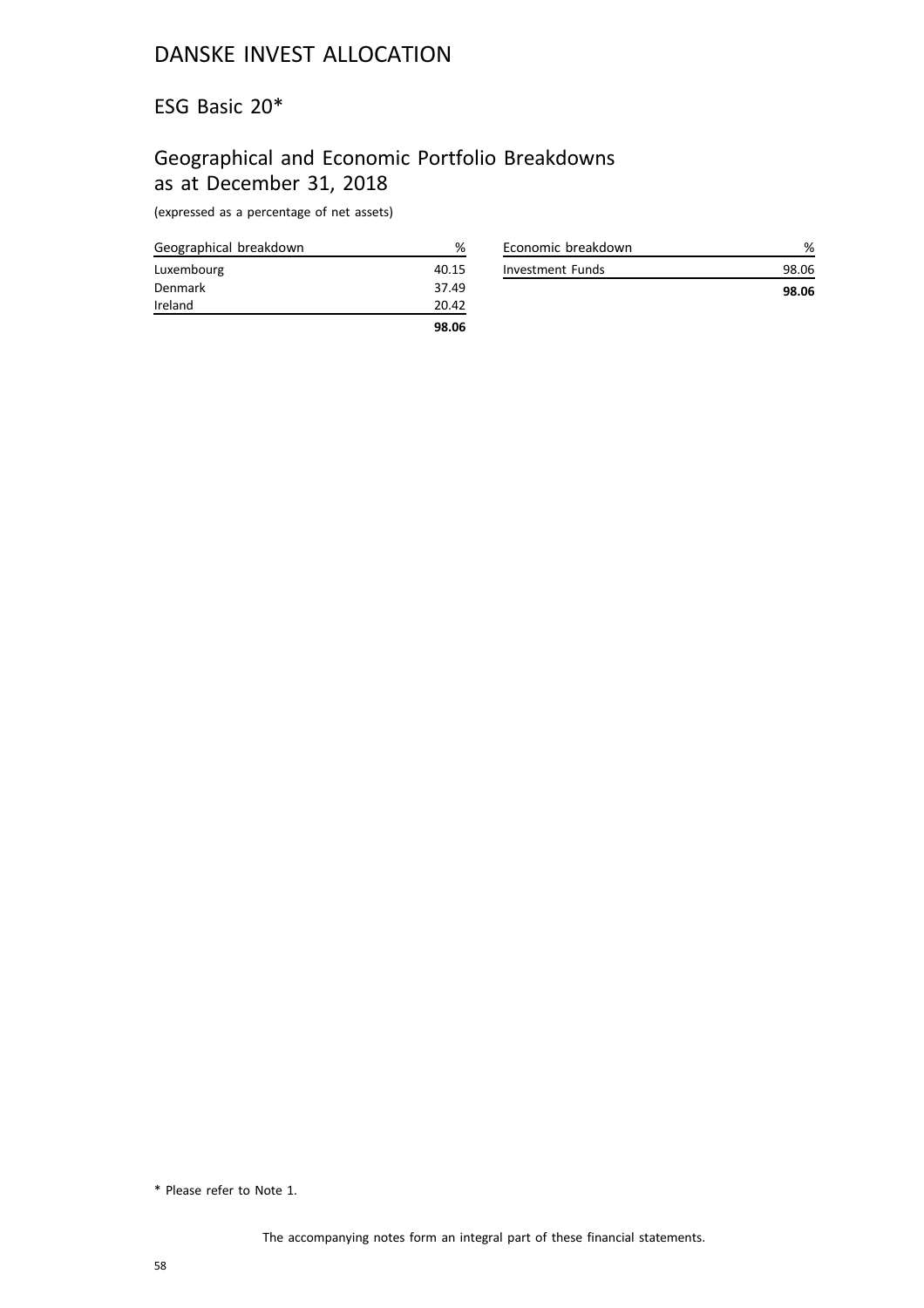#### ESG Basic 20\*

# Geographical and Economic Portfolio Breakdowns as at December 31, 2018

(expressed as a percentage of net assets)

| Geographical breakdown | ℅     |
|------------------------|-------|
| Luxembourg             | 40.15 |
| Denmark                | 37.49 |
| Ireland                | 20.42 |
|                        | 98.06 |

| Economic breakdown |       |
|--------------------|-------|
| Investment Funds   | 98.06 |
|                    | 98.06 |

<sup>\*</sup> Please refer to Note 1.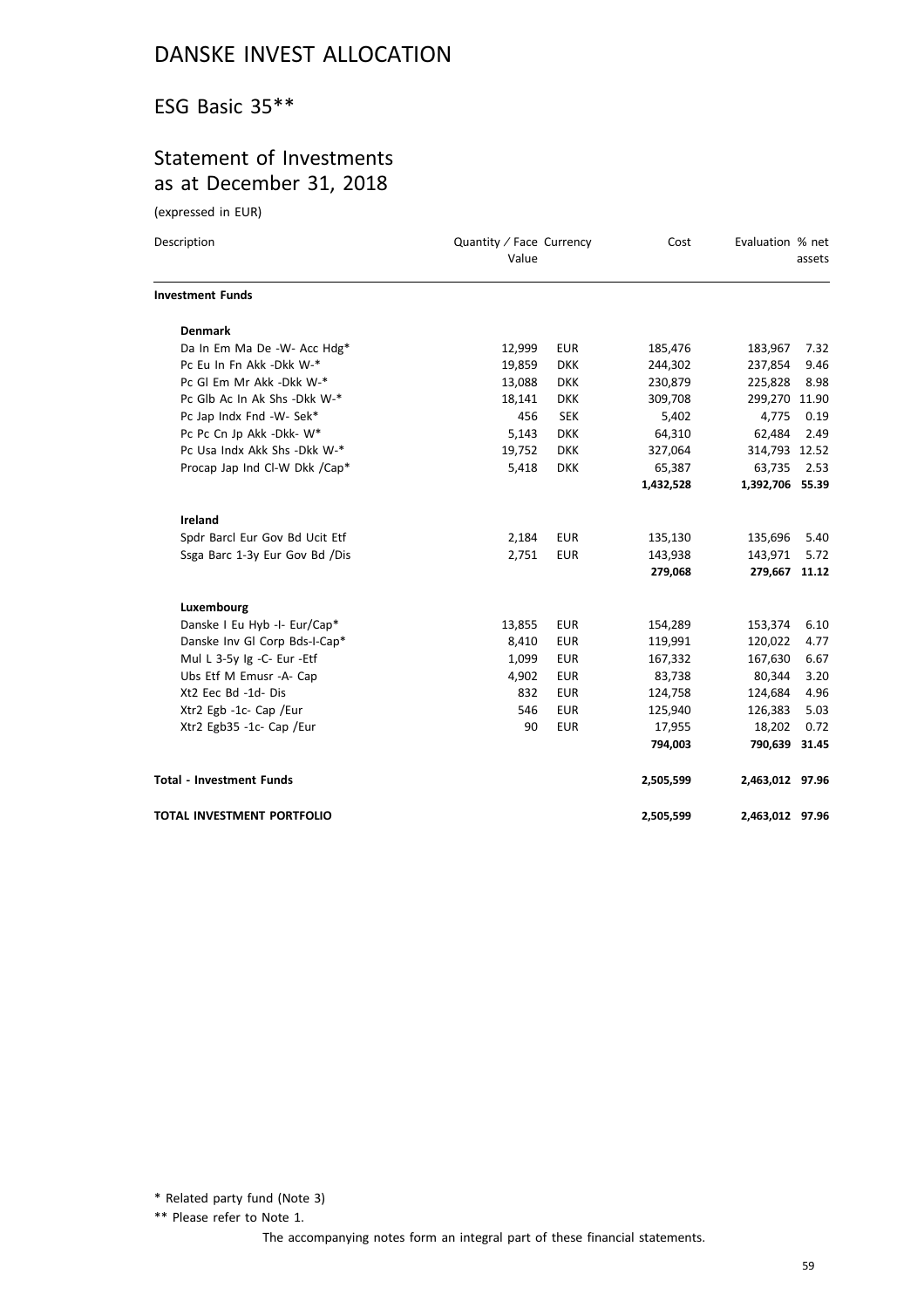### ESG Basic 35\*\*

### Statement of Investments as at December 31, 2018

(expressed in EUR)

| Description                       | Quantity / Face Currency<br>Value |            | Cost      | Evaluation % net | assets |
|-----------------------------------|-----------------------------------|------------|-----------|------------------|--------|
| <b>Investment Funds</b>           |                                   |            |           |                  |        |
| <b>Denmark</b>                    |                                   |            |           |                  |        |
| Da In Em Ma De -W- Acc Hdg*       | 12,999                            | <b>EUR</b> | 185,476   | 183,967          | 7.32   |
| Pc Eu In Fn Akk -Dkk W-*          | 19,859                            | <b>DKK</b> | 244,302   | 237,854          | 9.46   |
| Pc GI Em Mr Akk -Dkk W-*          | 13,088                            | <b>DKK</b> | 230,879   | 225,828          | 8.98   |
| Pc Glb Ac In Ak Shs -Dkk W-*      | 18,141                            | <b>DKK</b> | 309,708   | 299,270 11.90    |        |
| Pc Jap Indx Fnd -W- Sek*          | 456                               | <b>SEK</b> | 5,402     | 4,775            | 0.19   |
| Pc Pc Cn Jp Akk -Dkk- W*          | 5,143                             | <b>DKK</b> | 64,310    | 62,484           | 2.49   |
| Pc Usa Indx Akk Shs - Dkk W-*     | 19,752                            | <b>DKK</b> | 327,064   | 314,793 12.52    |        |
| Procap Jap Ind Cl-W Dkk /Cap*     | 5,418                             | <b>DKK</b> | 65,387    | 63,735           | 2.53   |
|                                   |                                   |            | 1,432,528 | 1,392,706 55.39  |        |
| Ireland                           |                                   |            |           |                  |        |
| Spdr Barcl Eur Gov Bd Ucit Etf    | 2,184                             | <b>EUR</b> | 135,130   | 135,696          | 5.40   |
| Ssga Barc 1-3y Eur Gov Bd /Dis    | 2,751                             | <b>EUR</b> | 143,938   | 143,971          | 5.72   |
|                                   |                                   |            | 279,068   | 279,667 11.12    |        |
| Luxembourg                        |                                   |            |           |                  |        |
| Danske I Eu Hyb -I- Eur/Cap*      | 13,855                            | <b>EUR</b> | 154,289   | 153,374          | 6.10   |
| Danske Inv Gl Corp Bds-I-Cap*     | 8,410                             | <b>EUR</b> | 119,991   | 120,022          | 4.77   |
| Mul L 3-5y Ig -C- Eur -Etf        | 1,099                             | <b>EUR</b> | 167,332   | 167,630          | 6.67   |
| Ubs Etf M Emusr -A- Cap           | 4,902                             | <b>EUR</b> | 83,738    | 80,344           | 3.20   |
| Xt2 Eec Bd -1d- Dis               | 832                               | <b>EUR</b> | 124,758   | 124,684          | 4.96   |
| Xtr2 Egb -1c- Cap /Eur            | 546                               | <b>EUR</b> | 125,940   | 126,383          | 5.03   |
| Xtr2 Egb35 -1c- Cap /Eur          | 90                                | <b>EUR</b> | 17,955    | 18,202           | 0.72   |
|                                   |                                   |            | 794,003   | 790,639 31.45    |        |
| <b>Total - Investment Funds</b>   |                                   |            | 2,505,599 | 2,463,012 97.96  |        |
| <b>TOTAL INVESTMENT PORTFOLIO</b> |                                   |            | 2,505,599 | 2,463,012 97.96  |        |

\* Related party fund (Note 3)

\*\* Please refer to Note 1.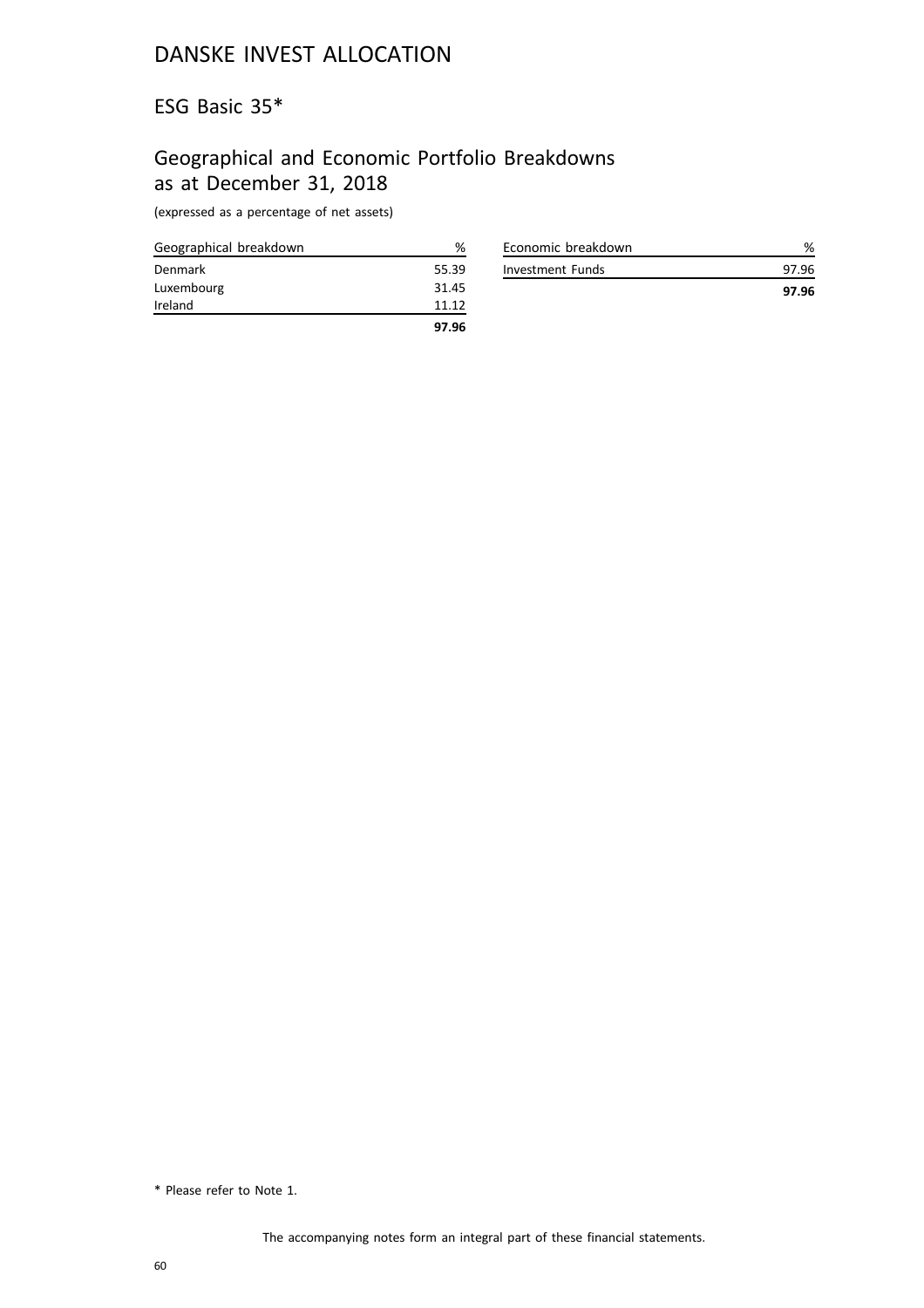ESG Basic 35\*

# Geographical and Economic Portfolio Breakdowns as at December 31, 2018

(expressed as a percentage of net assets)

| Geographical breakdown | %     |
|------------------------|-------|
| Denmark                | 55.39 |
| Luxembourg             | 31.45 |
| Ireland                | 11.12 |
|                        | 97.96 |

| Economic breakdown |       |
|--------------------|-------|
| Investment Funds   | 97 96 |
|                    | 97.96 |

<sup>\*</sup> Please refer to Note 1.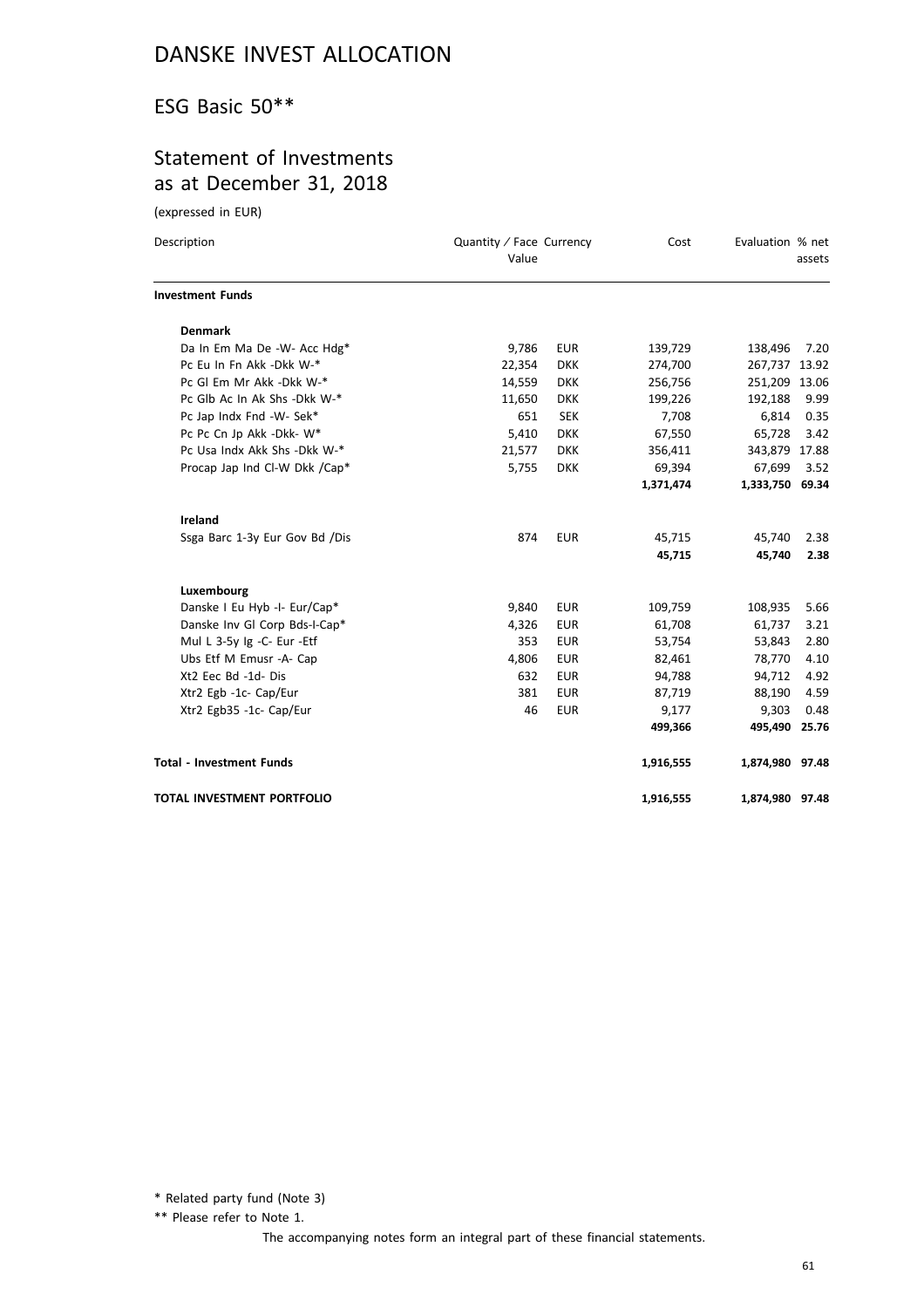### ESG Basic 50\*\*

### Statement of Investments as at December 31, 2018

(expressed in EUR)

| Description                     | Quantity / Face Currency<br>Value |            | Cost      | Evaluation % net | assets |
|---------------------------------|-----------------------------------|------------|-----------|------------------|--------|
| <b>Investment Funds</b>         |                                   |            |           |                  |        |
| <b>Denmark</b>                  |                                   |            |           |                  |        |
| Da In Em Ma De -W- Acc Hdg*     | 9,786                             | <b>EUR</b> | 139,729   | 138,496          | 7.20   |
| Pc Eu In Fn Akk -Dkk W-*        | 22,354                            | <b>DKK</b> | 274,700   | 267,737 13.92    |        |
| Pc GI Em Mr Akk -Dkk W-*        | 14,559                            | <b>DKK</b> | 256,756   | 251,209 13.06    |        |
| Pc Glb Ac In Ak Shs -Dkk W-*    | 11,650                            | <b>DKK</b> | 199,226   | 192,188          | 9.99   |
| Pc Jap Indx Fnd -W- Sek*        | 651                               | <b>SEK</b> | 7,708     | 6,814            | 0.35   |
| Pc Pc Cn Jp Akk -Dkk- W*        | 5,410                             | <b>DKK</b> | 67,550    | 65,728           | 3.42   |
| Pc Usa Indx Akk Shs - Dkk W-*   | 21,577                            | <b>DKK</b> | 356,411   | 343,879 17.88    |        |
| Procap Jap Ind Cl-W Dkk /Cap*   | 5,755                             | <b>DKK</b> | 69,394    | 67,699           | 3.52   |
|                                 |                                   |            | 1,371,474 | 1,333,750 69.34  |        |
| <b>Ireland</b>                  |                                   |            |           |                  |        |
| Ssga Barc 1-3y Eur Gov Bd /Dis  | 874                               | <b>EUR</b> | 45,715    | 45,740           | 2.38   |
|                                 |                                   |            | 45,715    | 45,740           | 2.38   |
| Luxembourg                      |                                   |            |           |                  |        |
| Danske I Eu Hyb -I- Eur/Cap*    | 9,840                             | <b>EUR</b> | 109,759   | 108,935          | 5.66   |
| Danske Inv Gl Corp Bds-I-Cap*   | 4,326                             | <b>EUR</b> | 61,708    | 61,737           | 3.21   |
| Mul L 3-5y Ig -C- Eur -Etf      | 353                               | <b>EUR</b> | 53,754    | 53,843           | 2.80   |
| Ubs Etf M Emusr -A- Cap         | 4,806                             | <b>EUR</b> | 82,461    | 78,770           | 4.10   |
| Xt2 Eec Bd -1d- Dis             | 632                               | <b>EUR</b> | 94,788    | 94,712           | 4.92   |
| Xtr2 Egb -1c- Cap/Eur           | 381                               | <b>EUR</b> | 87,719    | 88,190           | 4.59   |
| Xtr2 Egb35 -1c- Cap/Eur         | 46                                | <b>EUR</b> | 9,177     | 9,303            | 0.48   |
|                                 |                                   |            | 499,366   | 495,490 25.76    |        |
| <b>Total - Investment Funds</b> |                                   |            | 1,916,555 | 1,874,980 97.48  |        |
| TOTAL INVESTMENT PORTFOLIO      |                                   |            | 1,916,555 | 1,874,980 97.48  |        |

\* Related party fund (Note 3)

\*\* Please refer to Note 1.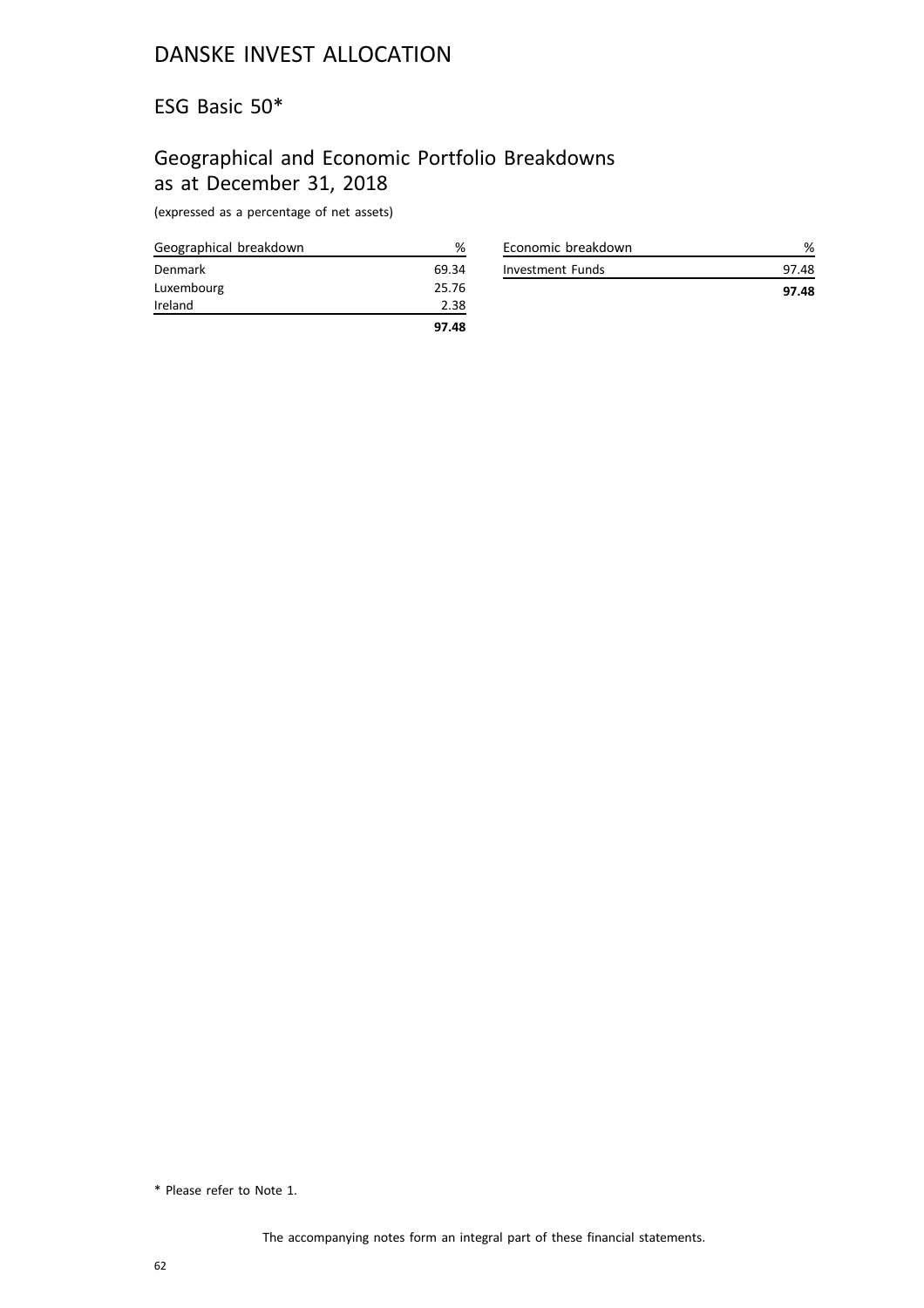#### ESG Basic 50\*

### Geographical and Economic Portfolio Breakdowns as at December 31, 2018

(expressed as a percentage of net assets)

| Geographical breakdown | %     |
|------------------------|-------|
| Denmark                | 69.34 |
| Luxembourg             | 25.76 |
| Ireland                | 2.38  |
|                        | 97.48 |

| Economic breakdown |       |
|--------------------|-------|
| Investment Funds   | 97 48 |
|                    | 97.48 |

<sup>\*</sup> Please refer to Note 1.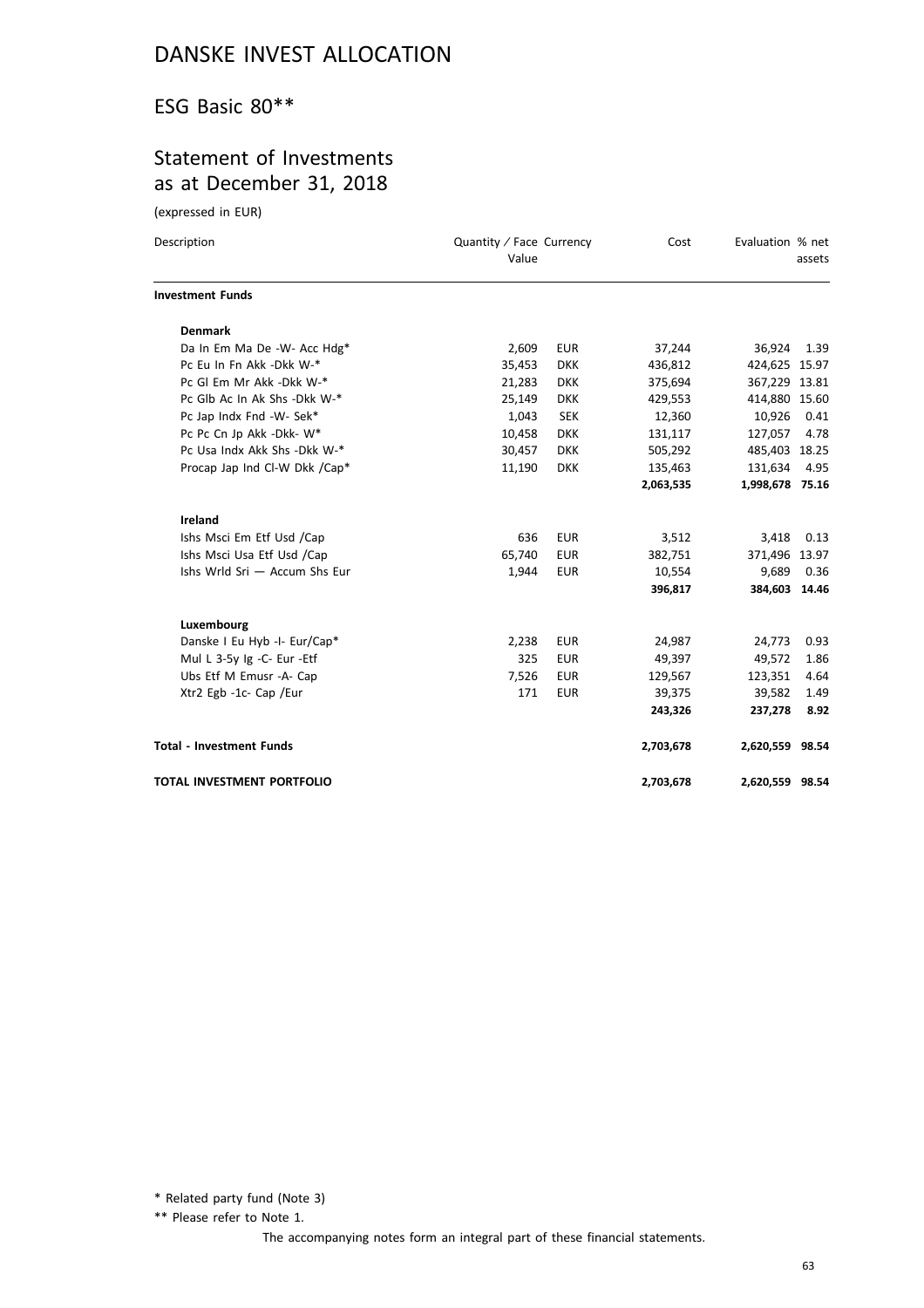### ESG Basic 80\*\*

### Statement of Investments as at December 31, 2018

(expressed in EUR)

| Description                       | Quantity / Face Currency<br>Value |            | Cost      | Evaluation % net | assets |
|-----------------------------------|-----------------------------------|------------|-----------|------------------|--------|
| <b>Investment Funds</b>           |                                   |            |           |                  |        |
| <b>Denmark</b>                    |                                   |            |           |                  |        |
| Da In Em Ma De -W- Acc Hdg*       | 2,609                             | <b>EUR</b> | 37,244    | 36,924           | 1.39   |
| Pc Eu In Fn Akk -Dkk W-*          | 35,453                            | <b>DKK</b> | 436,812   | 424,625 15.97    |        |
| Pc GI Em Mr Akk -Dkk W-*          | 21,283                            | <b>DKK</b> | 375,694   | 367,229 13.81    |        |
| Pc Glb Ac In Ak Shs -Dkk W-*      | 25,149                            | <b>DKK</b> | 429,553   | 414,880 15.60    |        |
| Pc Jap Indx Fnd -W- Sek*          | 1,043                             | <b>SEK</b> | 12,360    | 10,926           | 0.41   |
| Pc Pc Cn Jp Akk -Dkk- W*          | 10,458                            | <b>DKK</b> | 131,117   | 127,057          | 4.78   |
| Pc Usa Indx Akk Shs - Dkk W-*     | 30,457                            | <b>DKK</b> | 505,292   | 485,403 18.25    |        |
| Procap Jap Ind Cl-W Dkk /Cap*     | 11,190                            | <b>DKK</b> | 135,463   | 131,634          | 4.95   |
|                                   |                                   |            | 2,063,535 | 1,998,678 75.16  |        |
| Ireland                           |                                   |            |           |                  |        |
| Ishs Msci Em Etf Usd /Cap         | 636                               | <b>EUR</b> | 3,512     | 3,418            | 0.13   |
| Ishs Msci Usa Etf Usd /Cap        | 65,740                            | <b>EUR</b> | 382,751   | 371,496 13.97    |        |
| Ishs Wrld Sri - Accum Shs Eur     | 1,944                             | <b>EUR</b> | 10,554    | 9,689            | 0.36   |
|                                   |                                   |            | 396,817   | 384,603 14.46    |        |
| Luxembourg                        |                                   |            |           |                  |        |
| Danske I Eu Hyb -I- Eur/Cap*      | 2,238                             | <b>EUR</b> | 24,987    | 24,773           | 0.93   |
| Mul L 3-5y Ig -C- Eur -Etf        | 325                               | <b>EUR</b> | 49,397    | 49,572           | 1.86   |
| Ubs Etf M Emusr -A- Cap           | 7,526                             | <b>EUR</b> | 129,567   | 123,351          | 4.64   |
| Xtr2 Egb -1c- Cap /Eur            | 171                               | <b>EUR</b> | 39,375    | 39,582           | 1.49   |
|                                   |                                   |            | 243,326   | 237,278          | 8.92   |
| <b>Total - Investment Funds</b>   |                                   |            | 2,703,678 | 2,620,559 98.54  |        |
| <b>TOTAL INVESTMENT PORTFOLIO</b> |                                   |            | 2,703,678 | 2,620,559 98.54  |        |

\* Related party fund (Note 3)

\*\* Please refer to Note 1.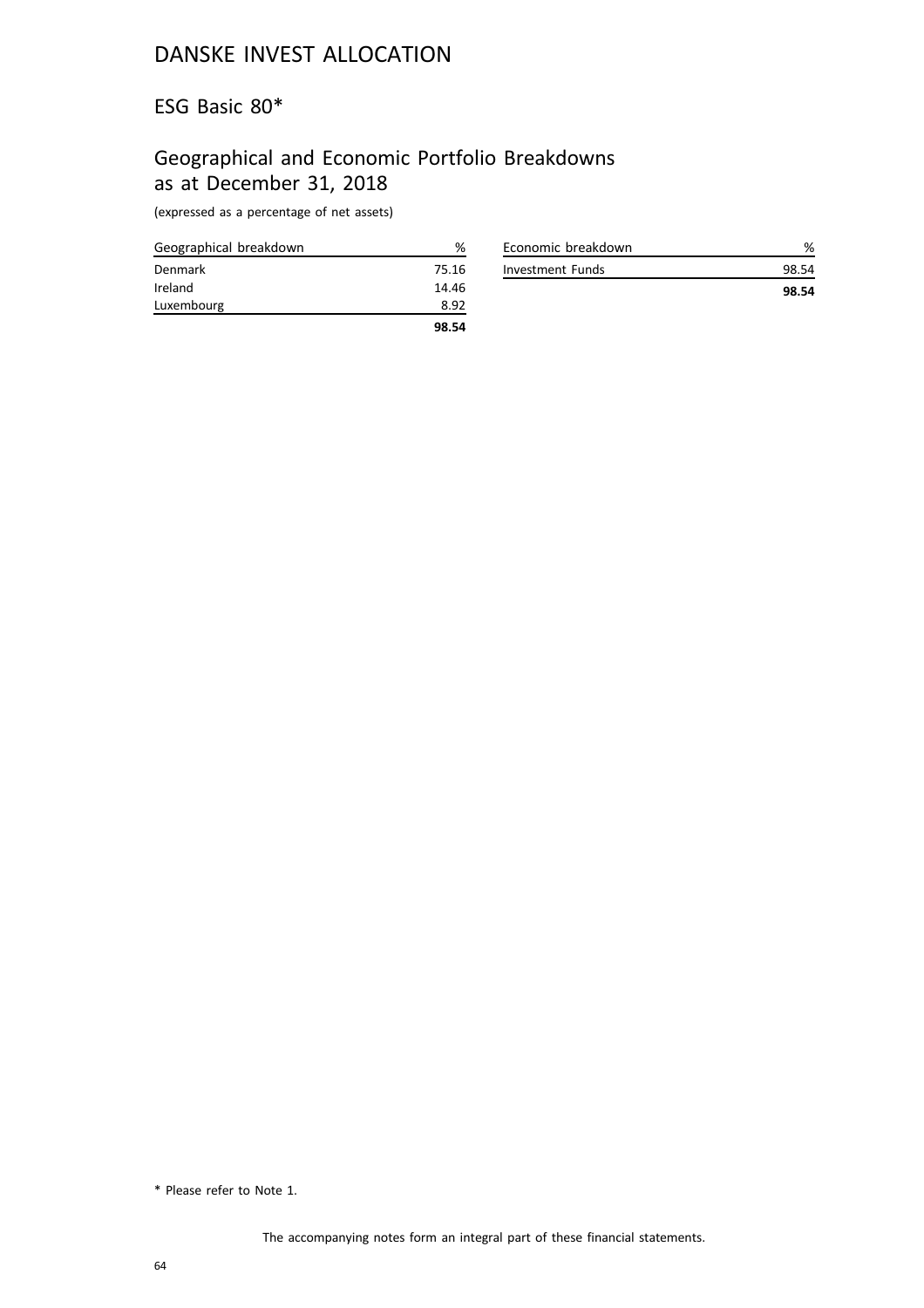#### ESG Basic 80\*

# Geographical and Economic Portfolio Breakdowns as at December 31, 2018

(expressed as a percentage of net assets)

| Geographical breakdown | %     |
|------------------------|-------|
| Denmark                | 75.16 |
| Ireland                | 14.46 |
| Luxembourg             | 8.92  |
|                        | 98.54 |

| Economic breakdown |       |
|--------------------|-------|
| Investment Funds   | 98.54 |
|                    | 98.54 |

<sup>\*</sup> Please refer to Note 1.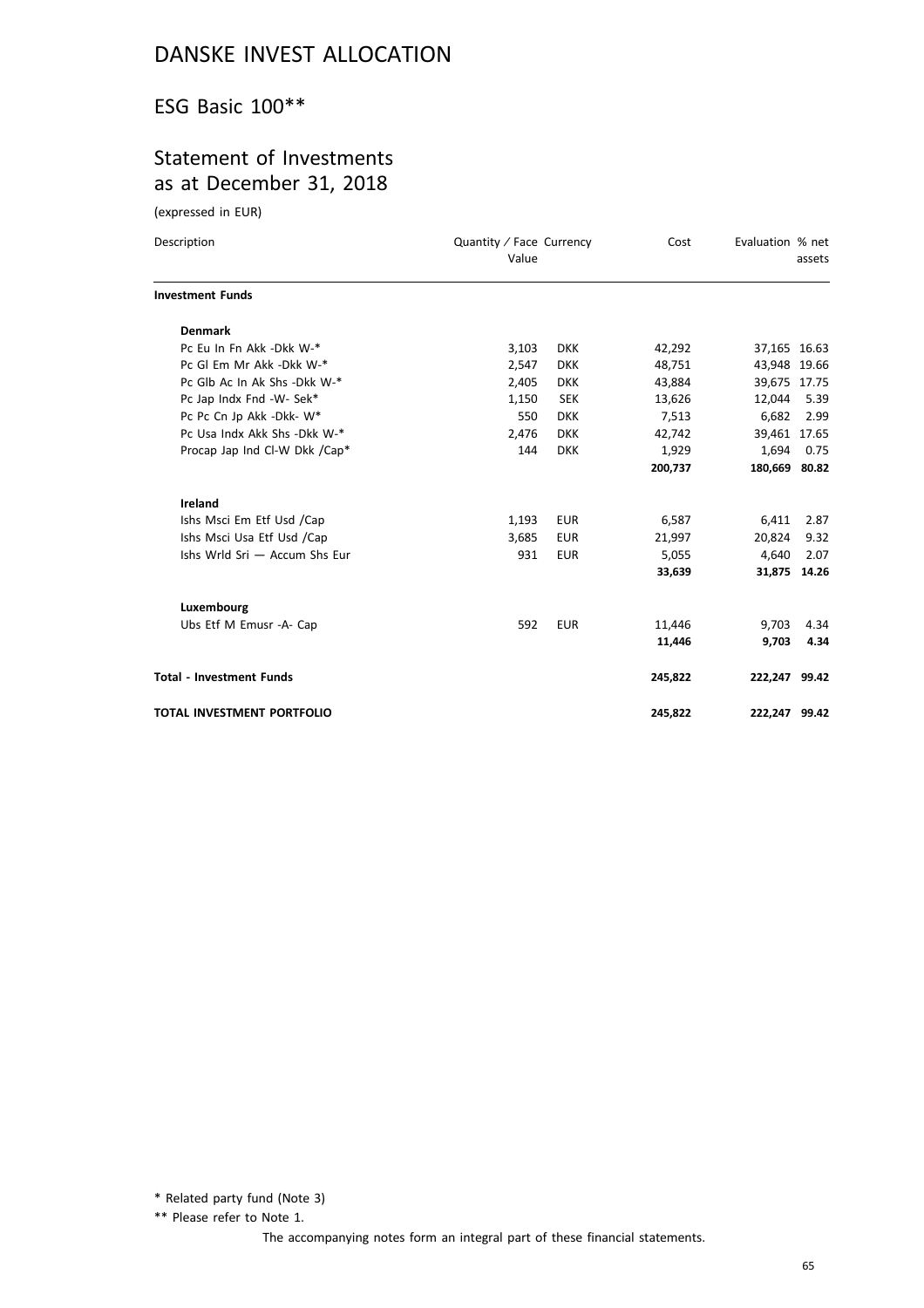#### ESG Basic 100\*\*

### Statement of Investments as at December 31, 2018

(expressed in EUR)

| Description                       | Quantity / Face Currency<br>Value |            | Cost    | Evaluation % net | assets       |
|-----------------------------------|-----------------------------------|------------|---------|------------------|--------------|
| <b>Investment Funds</b>           |                                   |            |         |                  |              |
| <b>Denmark</b>                    |                                   |            |         |                  |              |
| Pc Eu In Fn Akk -Dkk W-*          | 3,103                             | <b>DKK</b> | 42,292  | 37,165 16.63     |              |
| Pc GI Em Mr Akk -Dkk W-*          | 2,547                             | <b>DKK</b> | 48,751  | 43,948 19.66     |              |
| Pc Glb Ac In Ak Shs -Dkk W-*      | 2,405                             | <b>DKK</b> | 43,884  | 39,675 17.75     |              |
| Pc Jap Indx Fnd -W- Sek*          | 1,150                             | <b>SEK</b> | 13,626  | 12,044           | 5.39         |
| Pc Pc Cn Jp Akk -Dkk- W*          | 550                               | <b>DKK</b> | 7,513   | 6,682            | 2.99         |
| Pc Usa Indx Akk Shs - Dkk W-*     | 2,476                             | <b>DKK</b> | 42,742  | 39,461 17.65     |              |
| Procap Jap Ind Cl-W Dkk /Cap*     | 144                               | <b>DKK</b> | 1,929   | 1,694            | 0.75         |
|                                   |                                   |            | 200,737 | 180,669 80.82    |              |
| <b>Ireland</b>                    |                                   |            |         |                  |              |
| Ishs Msci Em Etf Usd /Cap         | 1,193                             | <b>EUR</b> | 6,587   | 6,411            | 2.87         |
| Ishs Msci Usa Etf Usd /Cap        | 3,685                             | <b>EUR</b> | 21,997  | 20,824           | 9.32         |
| Ishs Wrld Sri - Accum Shs Eur     | 931                               | <b>EUR</b> | 5,055   | 4,640            | 2.07         |
|                                   |                                   |            | 33,639  |                  | 31,875 14.26 |
| Luxembourg                        |                                   |            |         |                  |              |
| Ubs Etf M Emusr -A- Cap           | 592                               | <b>EUR</b> | 11,446  | 9,703            | 4.34         |
|                                   |                                   |            | 11,446  | 9,703            | 4.34         |
| <b>Total - Investment Funds</b>   |                                   |            | 245,822 | 222,247 99.42    |              |
| <b>TOTAL INVESTMENT PORTFOLIO</b> |                                   |            | 245,822 | 222,247 99.42    |              |

\* Related party fund (Note 3)

\*\* Please refer to Note 1.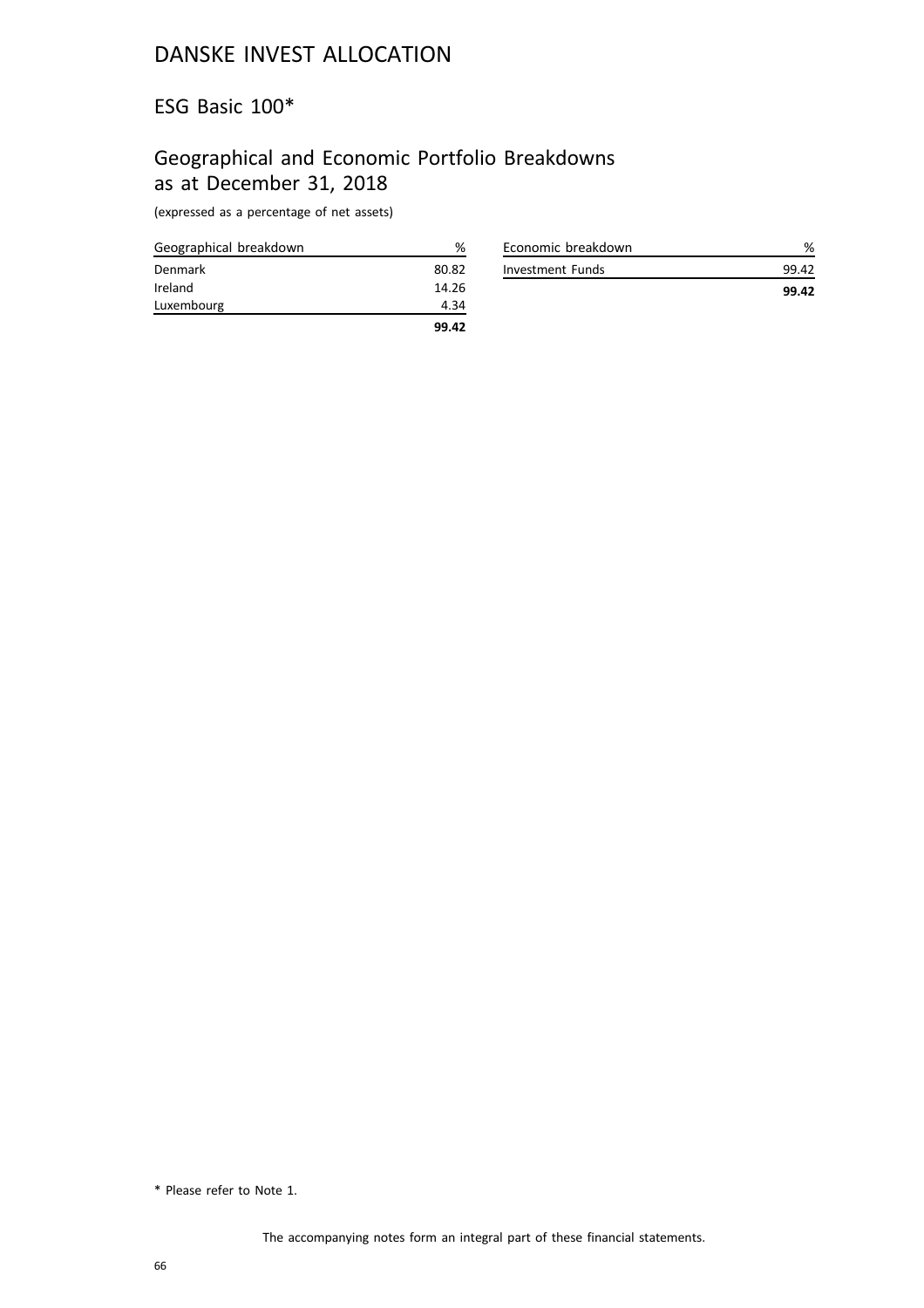#### ESG Basic 100\*

# Geographical and Economic Portfolio Breakdowns as at December 31, 2018

(expressed as a percentage of net assets)

| Geographical breakdown | ℅     |
|------------------------|-------|
| Denmark                | 80.82 |
| Ireland                | 14.26 |
| Luxembourg             | 4.34  |
|                        | 99.42 |

| Economic breakdown |       |
|--------------------|-------|
| Investment Funds   | 99.42 |
|                    | 99.42 |

<sup>\*</sup> Please refer to Note 1.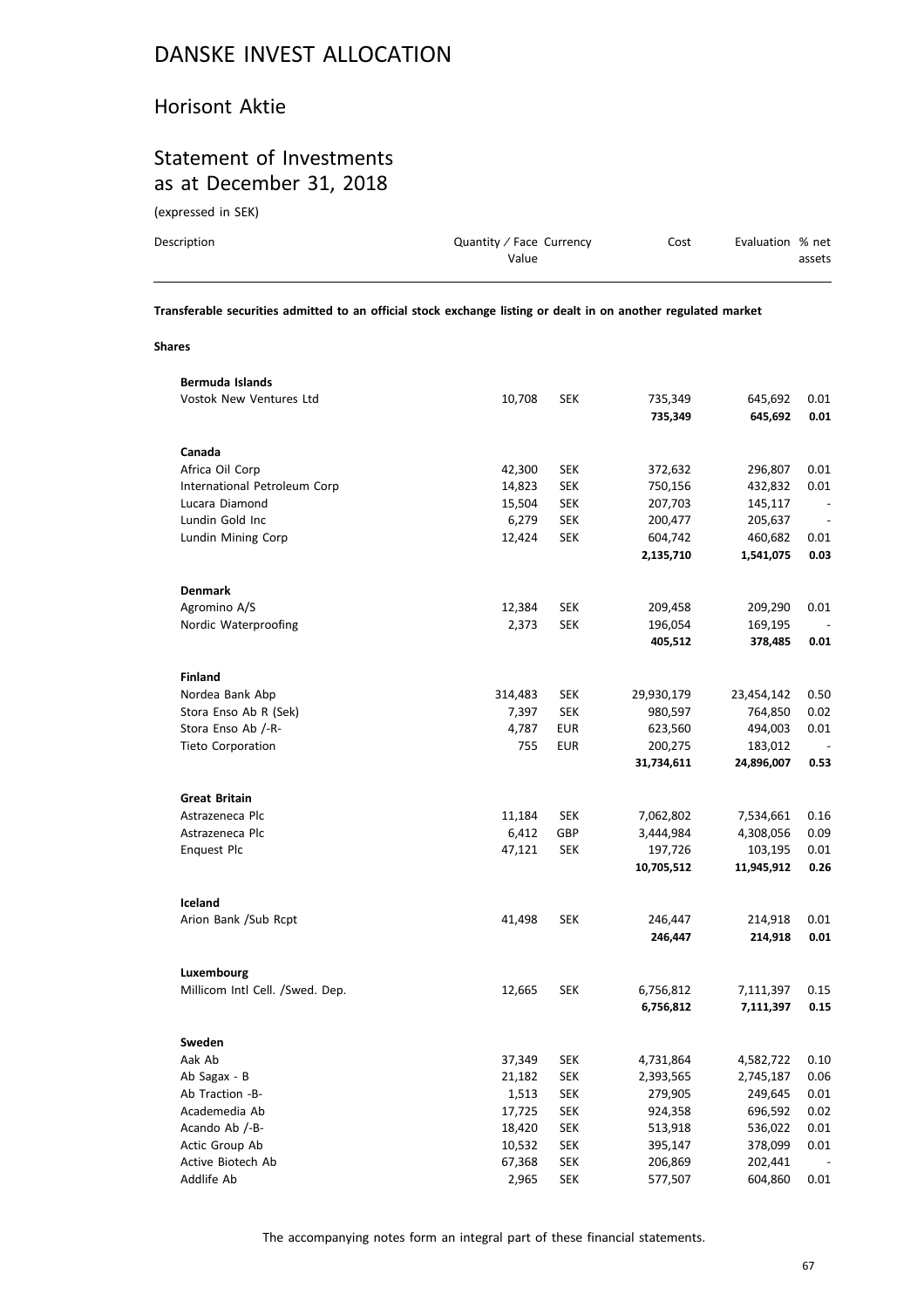#### Horisont Aktie

#### Statement of Investments as at December 31, 2018

(expressed in SEK)

| Description | Quantity / Face Currency | Cost | Evaluation % net |        |
|-------------|--------------------------|------|------------------|--------|
|             | Value                    |      |                  | assets |

**Transferable securities admitted to an official stock exchange listing or dealt in on another regulated market**

**Shares**

| Bermuda Islands                 |         |            |            |            |                          |
|---------------------------------|---------|------------|------------|------------|--------------------------|
| <b>Vostok New Ventures Ltd</b>  | 10,708  | SEK        | 735,349    | 645,692    | 0.01                     |
|                                 |         |            | 735,349    | 645,692    | 0.01                     |
|                                 |         |            |            |            |                          |
| Canada                          |         |            |            |            |                          |
| Africa Oil Corp                 | 42,300  | <b>SEK</b> | 372,632    | 296,807    | 0.01                     |
| International Petroleum Corp    | 14,823  | <b>SEK</b> | 750,156    | 432,832    | 0.01                     |
| Lucara Diamond                  | 15,504  | <b>SEK</b> | 207,703    | 145,117    |                          |
| Lundin Gold Inc                 | 6,279   | <b>SEK</b> | 200,477    | 205,637    | $\overline{\phantom{a}}$ |
| Lundin Mining Corp              | 12,424  | <b>SEK</b> | 604,742    | 460,682    | 0.01                     |
|                                 |         |            | 2,135,710  | 1,541,075  | 0.03                     |
|                                 |         |            |            |            |                          |
| <b>Denmark</b>                  |         |            |            |            |                          |
| Agromino A/S                    | 12,384  | <b>SEK</b> | 209,458    | 209,290    | 0.01                     |
| Nordic Waterproofing            | 2,373   | <b>SEK</b> | 196,054    | 169,195    |                          |
|                                 |         |            | 405,512    | 378,485    | 0.01                     |
|                                 |         |            |            |            |                          |
| <b>Finland</b>                  |         |            |            |            |                          |
| Nordea Bank Abp                 | 314,483 | <b>SEK</b> | 29,930,179 | 23,454,142 | 0.50                     |
| Stora Enso Ab R (Sek)           | 7,397   | <b>SEK</b> | 980,597    | 764,850    | 0.02                     |
| Stora Enso Ab /-R-              | 4,787   | <b>EUR</b> | 623,560    | 494,003    | 0.01                     |
| Tieto Corporation               | 755     | <b>EUR</b> | 200,275    | 183,012    |                          |
|                                 |         |            | 31,734,611 | 24,896,007 | 0.53                     |
|                                 |         |            |            |            |                          |
| <b>Great Britain</b>            |         |            |            |            |                          |
| Astrazeneca Plc                 | 11,184  | SEK        | 7,062,802  | 7,534,661  | 0.16                     |
| Astrazeneca Plc                 | 6,412   | GBP        | 3,444,984  | 4,308,056  | 0.09                     |
| <b>Enquest Plc</b>              | 47,121  | <b>SEK</b> | 197,726    | 103,195    | 0.01                     |
|                                 |         |            | 10,705,512 | 11,945,912 | 0.26                     |
|                                 |         |            |            |            |                          |
| Iceland                         |         |            |            |            |                          |
| Arion Bank /Sub Rcpt            | 41,498  | <b>SEK</b> | 246,447    | 214,918    | 0.01                     |
|                                 |         |            | 246,447    | 214,918    | 0.01                     |
|                                 |         |            |            |            |                          |
| Luxembourg                      |         |            |            |            |                          |
| Millicom Intl Cell. /Swed. Dep. | 12,665  | <b>SEK</b> | 6,756,812  | 7,111,397  | 0.15                     |
|                                 |         |            | 6,756,812  | 7,111,397  | 0.15                     |
|                                 |         |            |            |            |                          |
| Sweden                          |         |            |            |            |                          |
| Aak Ab                          | 37,349  | <b>SEK</b> | 4,731,864  | 4,582,722  | 0.10                     |
| Ab Sagax - B                    | 21,182  | <b>SEK</b> | 2,393,565  | 2,745,187  | 0.06                     |
| Ab Traction -B-                 | 1,513   | <b>SEK</b> | 279,905    | 249,645    | 0.01                     |
| Academedia Ab                   | 17,725  | <b>SEK</b> | 924,358    | 696,592    | 0.02                     |
| Acando Ab /-B-                  | 18,420  | <b>SEK</b> | 513,918    | 536,022    | 0.01                     |
| Actic Group Ab                  | 10,532  | <b>SEK</b> | 395,147    | 378,099    | 0.01                     |
| Active Biotech Ab               | 67,368  | <b>SEK</b> | 206,869    | 202,441    |                          |
| Addlife Ab                      | 2,965   | SEK        | 577,507    | 604,860    | 0.01                     |
|                                 |         |            |            |            |                          |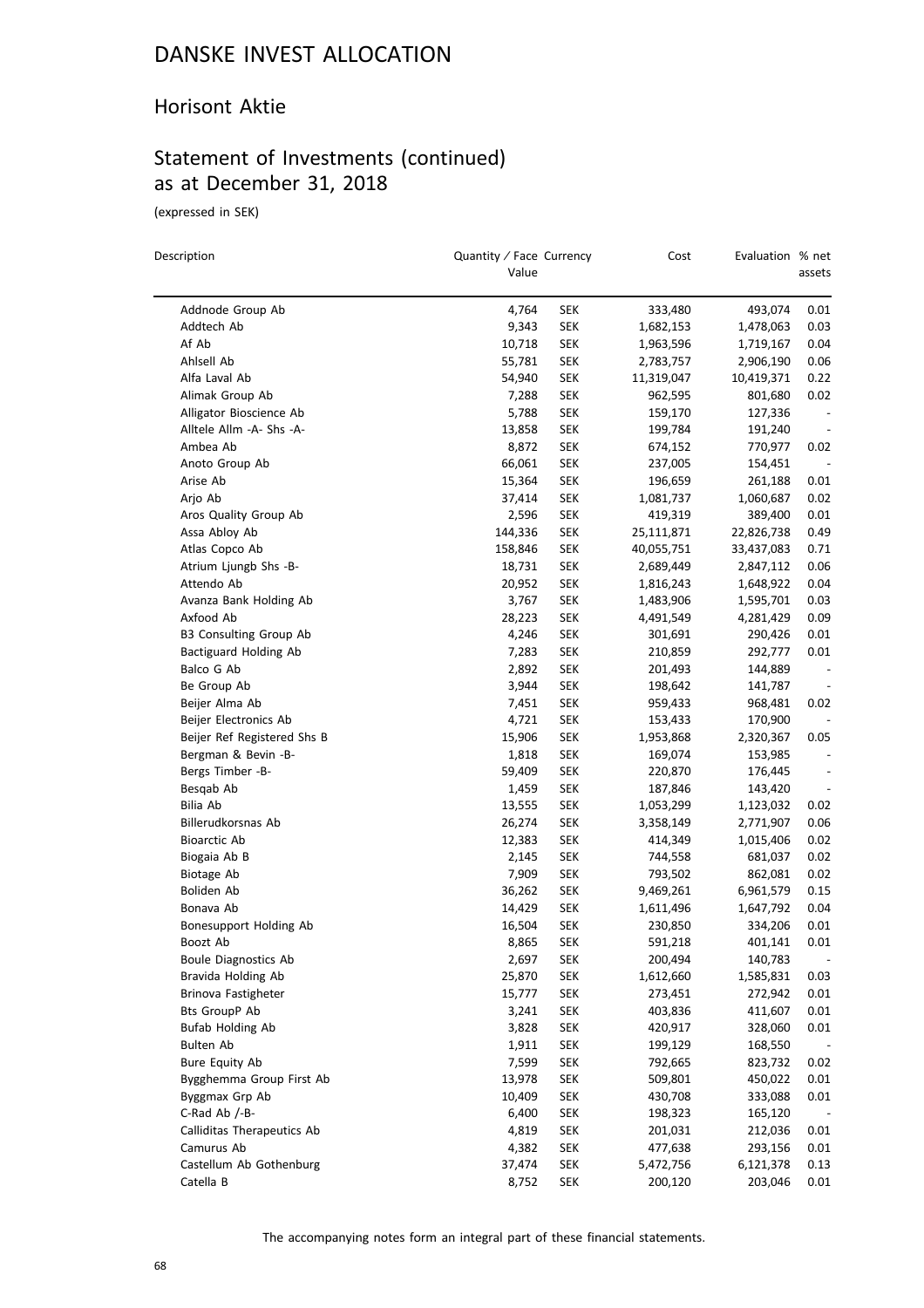#### Horisont Aktie

### Statement of Investments (continued) as at December 31, 2018

(expressed in SEK)

 $\overline{\phantom{0}}$ 

| Description                               | Quantity / Face Currency<br>Value |            | Cost       | Evaluation % net   | assets                       |
|-------------------------------------------|-----------------------------------|------------|------------|--------------------|------------------------------|
| Addnode Group Ab                          | 4,764                             | SEK        | 333,480    | 493,074            | 0.01                         |
| Addtech Ab                                | 9,343                             | SEK        | 1,682,153  | 1,478,063          | 0.03                         |
| Af Ab                                     | 10,718                            | <b>SEK</b> | 1,963,596  | 1,719,167          | 0.04                         |
| Ahlsell Ab                                | 55,781                            | SEK        | 2,783,757  | 2,906,190          | 0.06                         |
| Alfa Laval Ab                             | 54,940                            | SEK        | 11,319,047 | 10,419,371         | 0.22                         |
| Alimak Group Ab                           | 7,288                             | SEK        | 962,595    | 801,680            | 0.02                         |
| Alligator Bioscience Ab                   | 5,788                             | <b>SEK</b> | 159,170    | 127,336            |                              |
| Alltele Allm -A- Shs -A-                  | 13,858                            | SEK        | 199,784    | 191,240            |                              |
| Ambea Ab                                  | 8,872                             | SEK        | 674,152    | 770,977            | 0.02                         |
| Anoto Group Ab                            | 66,061                            | <b>SEK</b> | 237,005    | 154,451            |                              |
| Arise Ab                                  | 15,364                            | SEK        | 196,659    | 261,188            | 0.01                         |
| Arjo Ab                                   | 37,414                            | <b>SEK</b> | 1,081,737  | 1,060,687          | 0.02                         |
| Aros Quality Group Ab                     | 2,596                             | <b>SEK</b> | 419,319    | 389,400            | 0.01                         |
| Assa Abloy Ab                             | 144,336                           | SEK        | 25,111,871 | 22,826,738         | 0.49                         |
| Atlas Copco Ab                            | 158,846                           | <b>SEK</b> | 40,055,751 | 33,437,083         | 0.71                         |
| Atrium Ljungb Shs -B-                     | 18,731                            | <b>SEK</b> | 2,689,449  | 2,847,112          | 0.06                         |
| Attendo Ab                                | 20,952                            | SEK        | 1,816,243  | 1,648,922          | 0.04                         |
| Avanza Bank Holding Ab                    | 3,767                             | <b>SEK</b> | 1,483,906  | 1,595,701          | 0.03                         |
| Axfood Ab                                 | 28,223                            | <b>SEK</b> | 4,491,549  | 4,281,429          | 0.09                         |
| <b>B3 Consulting Group Ab</b>             | 4,246                             | SEK        | 301,691    | 290,426            | 0.01                         |
| Bactiguard Holding Ab                     | 7,283                             | SEK        | 210,859    | 292,777            | 0.01                         |
| Balco G Ab                                | 2,892                             | <b>SEK</b> | 201,493    | 144,889            | $\overline{\phantom{a}}$     |
| Be Group Ab                               | 3,944                             | SEK        | 198,642    | 141,787            |                              |
| Beijer Alma Ab                            | 7,451                             | <b>SEK</b> | 959,433    | 968,481            | 0.02                         |
| Beijer Electronics Ab                     | 4,721                             | <b>SEK</b> | 153,433    | 170,900            |                              |
| Beijer Ref Registered Shs B               | 15,906                            | SEK        | 1,953,868  | 2,320,367          | 0.05                         |
| Bergman & Bevin -B-                       | 1,818                             | SEK        | 169,074    | 153,985            |                              |
| Bergs Timber -B-                          | 59,409                            | <b>SEK</b> | 220,870    |                    | $\overline{a}$               |
| Besqab Ab                                 | 1,459                             | SEK        | 187,846    | 176,445<br>143,420 | $\qquad \qquad \blacksquare$ |
| Bilia Ab                                  | 13,555                            | <b>SEK</b> |            |                    | 0.02                         |
|                                           |                                   |            | 1,053,299  | 1,123,032          | 0.06                         |
| Billerudkorsnas Ab                        | 26,274                            | <b>SEK</b> | 3,358,149  | 2,771,907          |                              |
| <b>Bioarctic Ab</b><br>Biogaia Ab B       | 12,383                            | SEK<br>SEK | 414,349    | 1,015,406          | 0.02<br>0.02                 |
|                                           | 2,145                             |            | 744,558    | 681,037            |                              |
| Biotage Ab<br>Boliden Ab                  | 7,909                             | <b>SEK</b> | 793,502    | 862,081            | 0.02                         |
| Bonava Ab                                 | 36,262                            | <b>SEK</b> | 9,469,261  | 6,961,579          | 0.15<br>0.04                 |
|                                           | 14,429                            | <b>SEK</b> | 1,611,496  | 1,647,792          | 0.01                         |
| Bonesupport Holding Ab                    | 16,504                            | <b>SEK</b> | 230,850    | 334,206            |                              |
| Boozt Ab<br><b>Boule Diagnostics Ab</b>   | 8,865<br>2,697                    | <b>SEK</b> | 591,218    | 401,141            | 0.01                         |
|                                           |                                   | <b>SEK</b> | 200,494    | 140,783            | $\overline{\phantom{a}}$     |
| Bravida Holding Ab<br>Brinova Fastigheter | 25,870                            | <b>SEK</b> | 1,612,660  | 1,585,831          | 0.03                         |
|                                           | 15,777                            | <b>SEK</b> | 273,451    | 272,942            | 0.01                         |
| <b>Bts GroupP Ab</b>                      | 3,241                             | <b>SEK</b> | 403,836    | 411,607            | 0.01                         |
| Bufab Holding Ab                          | 3,828                             | <b>SEK</b> | 420,917    | 328,060            | 0.01                         |
| Bulten Ab                                 | 1,911                             | <b>SEK</b> | 199,129    | 168,550            |                              |
| <b>Bure Equity Ab</b>                     | 7,599                             | <b>SEK</b> | 792,665    | 823,732            | 0.02                         |
| Bygghemma Group First Ab                  | 13,978                            | <b>SEK</b> | 509,801    | 450,022            | 0.01                         |
| Byggmax Grp Ab                            | 10,409                            | <b>SEK</b> | 430,708    | 333,088            | 0.01                         |
| C-Rad Ab /-B-                             | 6,400                             | <b>SEK</b> | 198,323    | 165,120            |                              |
| Calliditas Therapeutics Ab                | 4,819                             | <b>SEK</b> | 201,031    | 212,036            | 0.01                         |
| Camurus Ab                                | 4,382                             | <b>SEK</b> | 477,638    | 293,156            | 0.01                         |
| Castellum Ab Gothenburg                   | 37,474                            | <b>SEK</b> | 5,472,756  | 6,121,378          | 0.13                         |
| Catella B                                 | 8,752                             | <b>SEK</b> | 200,120    | 203,046            | 0.01                         |

The accompanying notes form an integral part of these financial statements.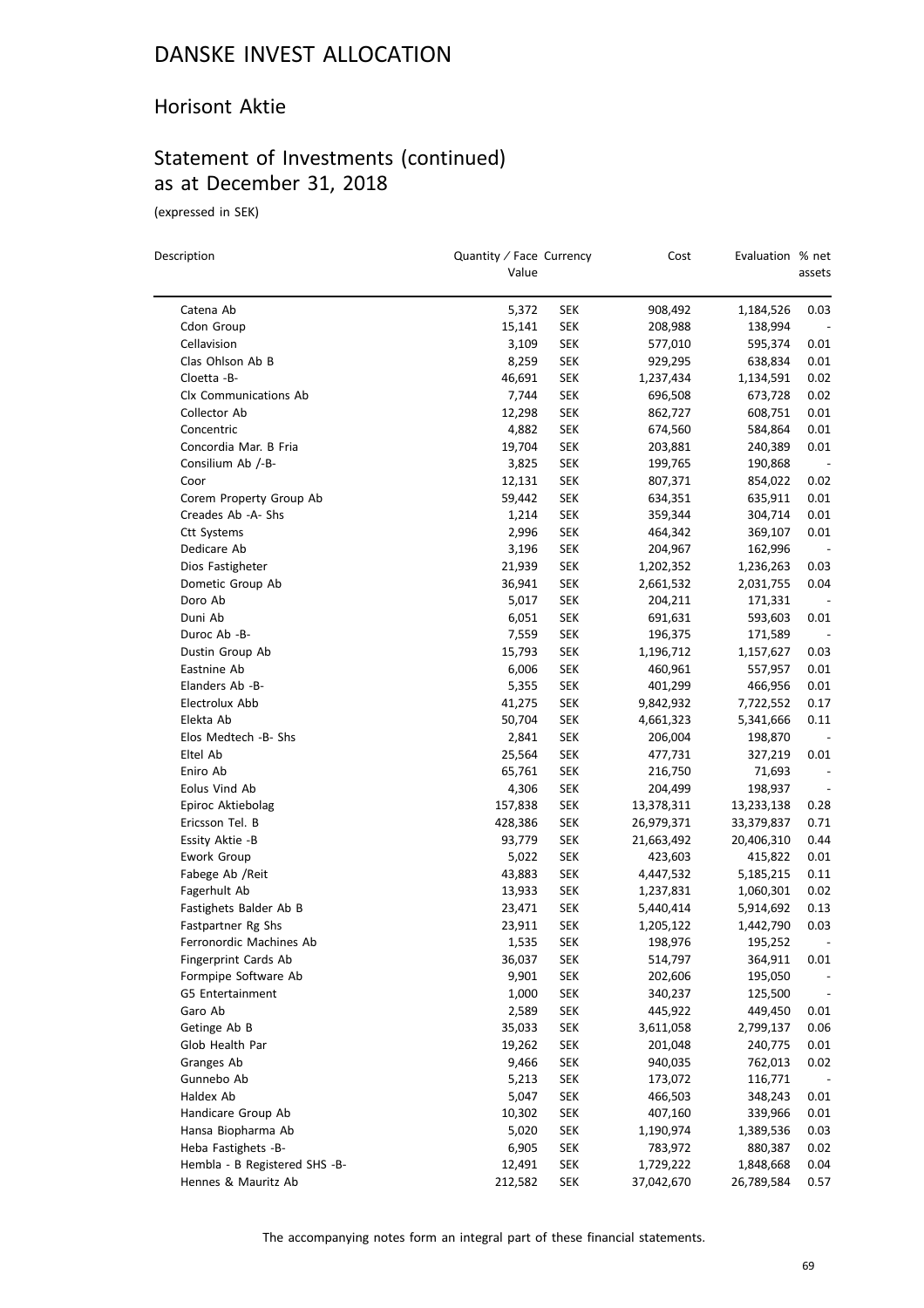#### Horisont Aktie

### Statement of Investments (continued) as at December 31, 2018

(expressed in SEK)

 $\equiv$ 

| Description                                          | Quantity / Face Currency<br>Value |                          | Cost                 | Evaluation % net   | assets                   |
|------------------------------------------------------|-----------------------------------|--------------------------|----------------------|--------------------|--------------------------|
| Catena Ab                                            | 5,372                             | SEK                      | 908,492              | 1,184,526          | 0.03                     |
|                                                      |                                   |                          |                      |                    |                          |
| Cdon Group<br>Cellavision                            | 15,141                            | SEK<br>SEK               | 208,988<br>577,010   | 138,994<br>595,374 | 0.01                     |
| Clas Ohlson Ab B                                     | 3,109<br>8,259                    | SEK                      | 929,295              | 638,834            | 0.01                     |
| Cloetta -B-                                          |                                   |                          |                      |                    | 0.02                     |
| Clx Communications Ab                                | 46,691<br>7,744                   | <b>SEK</b><br><b>SEK</b> | 1,237,434<br>696,508 | 1,134,591          | 0.02                     |
| Collector Ab                                         | 12,298                            | <b>SEK</b>               | 862,727              | 673,728<br>608,751 | 0.01                     |
| Concentric                                           |                                   |                          |                      |                    | 0.01                     |
| Concordia Mar. B Fria                                | 4,882<br>19,704                   | <b>SEK</b><br><b>SEK</b> | 674,560              | 584,864            | 0.01                     |
| Consilium Ab /-B-                                    |                                   |                          | 203,881              | 240,389            | $\overline{\phantom{a}}$ |
|                                                      | 3,825                             | SEK                      | 199,765              | 190,868            |                          |
| Coor                                                 | 12,131                            | SEK                      | 807,371              | 854,022            | 0.02                     |
| Corem Property Group Ab<br>Creades Ab -A- Shs        | 59,442                            | <b>SEK</b>               | 634,351              | 635,911            | 0.01<br>0.01             |
|                                                      | 1,214                             | <b>SEK</b>               | 359,344              | 304,714            | 0.01                     |
| <b>Ctt Systems</b>                                   | 2,996                             | <b>SEK</b>               | 464,342              | 369,107            |                          |
| Dedicare Ab                                          | 3,196                             | <b>SEK</b>               | 204,967              | 162,996            |                          |
| Dios Fastigheter                                     | 21,939                            | SEK                      | 1,202,352            | 1,236,263          | 0.03                     |
| Dometic Group Ab                                     | 36,941                            | <b>SEK</b>               | 2,661,532            | 2,031,755          | 0.04                     |
| Doro Ab                                              | 5,017                             | <b>SEK</b>               | 204,211              | 171,331            |                          |
| Duni Ab                                              | 6,051                             | <b>SEK</b>               | 691,631              | 593,603            | 0.01                     |
| Duroc Ab -B-                                         | 7,559                             | <b>SEK</b>               | 196,375              | 171,589            |                          |
| Dustin Group Ab                                      | 15,793                            | <b>SEK</b>               | 1,196,712            | 1,157,627          | 0.03                     |
| Eastnine Ab                                          | 6,006                             | SEK                      | 460,961              | 557,957            | 0.01                     |
| Elanders Ab -B-                                      | 5,355                             | SEK                      | 401,299              | 466,956            | 0.01                     |
| Electrolux Abb                                       | 41,275                            | <b>SEK</b>               | 9,842,932            | 7,722,552          | 0.17                     |
| Elekta Ab                                            | 50,704                            | <b>SEK</b>               | 4,661,323            | 5,341,666          | 0.11                     |
| Elos Medtech -B- Shs                                 | 2,841                             | <b>SEK</b>               | 206,004              | 198,870            |                          |
| Eltel Ab                                             | 25,564                            | <b>SEK</b>               | 477,731              | 327,219            | 0.01                     |
| Eniro Ab                                             | 65,761                            | <b>SEK</b>               | 216,750              | 71,693             |                          |
| Eolus Vind Ab                                        | 4,306                             | SEK                      | 204,499              | 198,937            |                          |
| Epiroc Aktiebolag                                    | 157,838                           | <b>SEK</b>               | 13,378,311           | 13,233,138         | 0.28                     |
| Ericsson Tel. B                                      | 428,386                           | <b>SEK</b>               | 26,979,371           | 33,379,837         | 0.71                     |
| Essity Aktie -B                                      | 93,779                            | <b>SEK</b>               | 21,663,492           | 20,406,310         | 0.44                     |
| Ework Group                                          | 5,022                             | <b>SEK</b>               | 423,603              | 415,822            | 0.01                     |
| Fabege Ab / Reit                                     | 43,883                            | SEK                      | 4,447,532            | 5,185,215          | 0.11                     |
| Fagerhult Ab<br>Fastighets Balder Ab B               | 13,933                            | <b>SEK</b>               | 1,237,831            | 1,060,301          | 0.02                     |
|                                                      | 23,471                            | SEK                      | 5,440,414            | 5,914,692          | 0.13                     |
| Fastpartner Rg Shs                                   | 23,911                            | SEK                      | 1,205,122            | 1,442,790          | 0.03                     |
| Ferronordic Machines Ab                              | 1,535                             | SEK                      | 198,976              | 195,252            |                          |
| Fingerprint Cards Ab                                 | 36,037                            | <b>SEK</b>               | 514,797              | 364,911            | 0.01                     |
| Formpipe Software Ab                                 | 9,901                             | <b>SEK</b>               | 202,606              | 195,050            |                          |
| G5 Entertainment                                     | 1,000                             | <b>SEK</b>               | 340,237              | 125,500            |                          |
| Garo Ab                                              | 2,589                             | <b>SEK</b>               | 445,922              | 449,450            | 0.01                     |
| Getinge Ab B<br>Glob Health Par                      | 35,033                            | <b>SEK</b>               | 3,611,058            | 2,799,137          | 0.06                     |
|                                                      | 19,262                            | <b>SEK</b>               | 201,048              | 240,775            | 0.01                     |
| Granges Ab                                           | 9,466                             | <b>SEK</b>               | 940,035              | 762,013            | 0.02                     |
| Gunnebo Ab                                           | 5,213                             | <b>SEK</b>               | 173,072              | 116,771            |                          |
| Haldex Ab                                            | 5,047                             | <b>SEK</b>               | 466,503              | 348,243            | 0.01                     |
| Handicare Group Ab                                   | 10,302                            | <b>SEK</b>               | 407,160              | 339,966            | 0.01                     |
| Hansa Biopharma Ab                                   | 5,020                             | <b>SEK</b>               | 1,190,974            | 1,389,536          | 0.03                     |
| Heba Fastighets -B-                                  | 6,905                             | <b>SEK</b>               | 783,972              | 880,387            | 0.02                     |
| Hembla - B Registered SHS -B-<br>Hennes & Mauritz Ab | 12,491                            | <b>SEK</b>               | 1,729,222            | 1,848,668          | 0.04                     |
|                                                      | 212,582                           | <b>SEK</b>               | 37,042,670           | 26,789,584         | 0.57                     |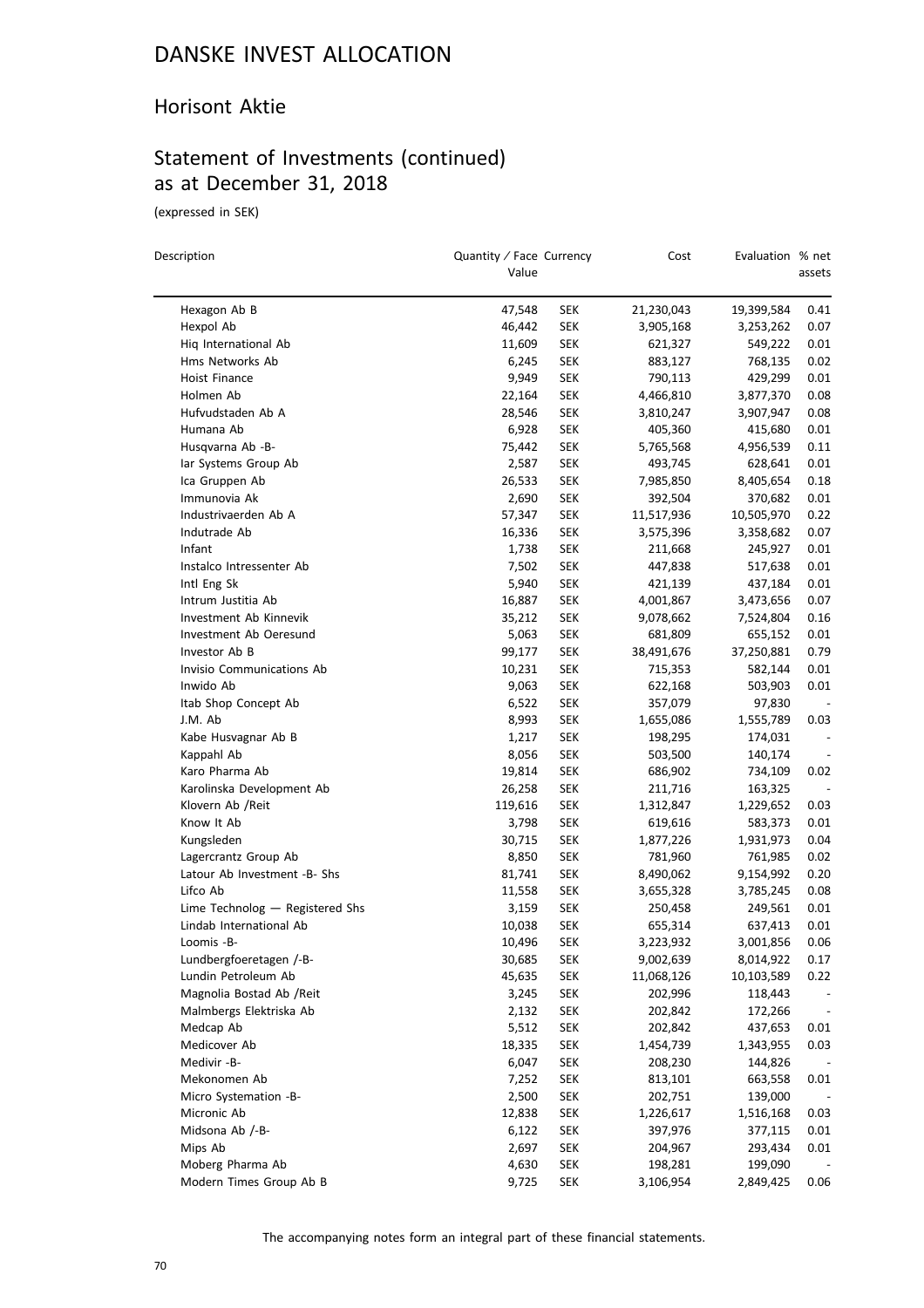#### Horisont Aktie

### Statement of Investments (continued) as at December 31, 2018

(expressed in SEK)

| Description                                 | Quantity / Face Currency<br>Value |                          | Cost                 | Evaluation % net   | assets                   |
|---------------------------------------------|-----------------------------------|--------------------------|----------------------|--------------------|--------------------------|
| Hexagon Ab B                                | 47,548                            | <b>SEK</b>               | 21,230,043           | 19,399,584         | 0.41                     |
| Hexpol Ab                                   | 46,442                            | <b>SEK</b>               | 3,905,168            | 3,253,262          | 0.07                     |
| Hig International Ab                        | 11,609                            | <b>SEK</b>               | 621,327              | 549,222            | 0.01                     |
| Hms Networks Ab                             | 6,245                             | <b>SEK</b>               | 883,127              | 768,135            | 0.02                     |
| Hoist Finance                               | 9,949                             | <b>SEK</b>               | 790,113              | 429,299            | 0.01                     |
| Holmen Ab                                   | 22,164                            | <b>SEK</b>               | 4,466,810            | 3,877,370          | 0.08                     |
| Hufvudstaden Ab A                           | 28,546                            | <b>SEK</b>               | 3,810,247            | 3,907,947          | 0.08                     |
| Humana Ab                                   | 6,928                             | <b>SEK</b>               | 405,360              | 415,680            | 0.01                     |
| Husqvarna Ab -B-                            | 75,442                            | <b>SEK</b>               | 5,765,568            | 4,956,539          | 0.11                     |
| lar Systems Group Ab                        | 2,587                             | <b>SEK</b>               | 493,745              | 628,641            | 0.01                     |
| Ica Gruppen Ab                              | 26,533                            | <b>SEK</b>               | 7,985,850            | 8,405,654          | 0.18                     |
| Immunovia Ak                                | 2,690                             | <b>SEK</b>               | 392,504              | 370,682            | 0.01                     |
| Industrivaerden Ab A                        | 57,347                            | <b>SEK</b>               | 11,517,936           | 10,505,970         | 0.22                     |
| Indutrade Ab                                | 16,336                            | <b>SEK</b>               | 3,575,396            | 3,358,682          | 0.07                     |
| Infant                                      | 1,738                             | <b>SEK</b>               | 211,668              | 245,927            | 0.01                     |
| Instalco Intressenter Ab                    | 7,502                             | <b>SEK</b>               | 447,838              | 517,638            | 0.01                     |
| Intl Eng Sk                                 | 5,940                             | <b>SEK</b>               | 421,139              | 437,184            | 0.01                     |
| Intrum Justitia Ab                          | 16,887                            | <b>SEK</b>               | 4,001,867            | 3,473,656          | 0.07                     |
| Investment Ab Kinnevik                      | 35,212                            | <b>SEK</b>               | 9,078,662            | 7,524,804          | 0.16                     |
| Investment Ab Oeresund                      | 5,063                             | <b>SEK</b>               | 681,809              | 655,152            | 0.01                     |
| Investor Ab B                               | 99,177                            | <b>SEK</b>               | 38,491,676           | 37,250,881         | 0.79                     |
| Invisio Communications Ab                   | 10,231                            | <b>SEK</b>               | 715,353              | 582,144            | 0.01                     |
| Inwido Ab                                   | 9,063                             | <b>SEK</b>               | 622,168              | 503,903            | 0.01                     |
| Itab Shop Concept Ab                        | 6,522                             | <b>SEK</b>               | 357,079              | 97,830             | $\overline{\phantom{a}}$ |
| J.M. Ab                                     | 8,993                             | <b>SEK</b>               | 1,655,086            | 1,555,789          | 0.03                     |
| Kabe Husvagnar Ab B                         | 1,217                             | <b>SEK</b>               | 198,295              | 174,031            |                          |
| Kappahl Ab                                  | 8,056                             | <b>SEK</b>               | 503,500              | 140,174            |                          |
| Karo Pharma Ab                              | 19,814                            | <b>SEK</b>               | 686,902              | 734,109            | 0.02                     |
| Karolinska Development Ab                   | 26,258                            | <b>SEK</b>               | 211,716              | 163,325            | $\overline{\phantom{a}}$ |
| Klovern Ab /Reit                            |                                   | <b>SEK</b>               |                      | 1,229,652          | 0.03                     |
| Know It Ab                                  | 119,616<br>3,798                  | <b>SEK</b>               | 1,312,847<br>619,616 | 583,373            | 0.01                     |
| Kungsleden                                  | 30,715                            | <b>SEK</b>               | 1,877,226            | 1,931,973          | 0.04                     |
| Lagercrantz Group Ab                        | 8,850                             | <b>SEK</b>               | 781,960              | 761,985            | 0.02                     |
| Latour Ab Investment -B- Shs                | 81,741                            | <b>SEK</b>               | 8,490,062            | 9,154,992          | 0.20                     |
| Lifco Ab                                    | 11,558                            | <b>SEK</b>               | 3,655,328            | 3,785,245          | 0.08                     |
| Lime Technolog - Registered Shs             | 3,159                             | <b>SEK</b>               | 250,458              | 249,561            | 0.01                     |
| Lindab International Ab                     | 10,038                            | <b>SEK</b>               | 655,314              | 637,413            | 0.01                     |
|                                             | 10,496                            | <b>SEK</b>               | 3,223,932            | 3,001,856          | 0.06                     |
| Loomis -B-<br>Lundbergfoeretagen /-B-       | 30,685                            | <b>SEK</b>               | 9,002,639            | 8,014,922          | 0.17                     |
| Lundin Petroleum Ab                         | 45,635                            | <b>SEK</b>               | 11,068,126           | 10,103,589         | 0.22                     |
| Magnolia Bostad Ab / Reit                   | 3,245                             | <b>SEK</b>               | 202,996              | 118,443            |                          |
| Malmbergs Elektriska Ab                     |                                   | <b>SEK</b>               |                      | 172,266            |                          |
| Medcap Ab                                   | 2,132                             |                          | 202,842<br>202,842   | 437,653            |                          |
| Medicover Ab                                | 5,512                             | <b>SEK</b>               |                      |                    | 0.01                     |
| Medivir -B-                                 | 18,335<br>6,047                   | <b>SEK</b><br><b>SEK</b> | 1,454,739<br>208,230 | 1,343,955          | 0.03                     |
|                                             |                                   |                          |                      | 144,826            |                          |
| Mekonomen Ab                                | 7,252                             | <b>SEK</b>               | 813,101              | 663,558            | 0.01                     |
| Micro Systemation -B-                       | 2,500                             | <b>SEK</b>               | 202,751              | 139,000            |                          |
| Micronic Ab<br>Midsona Ab /-B-              | 12,838                            | <b>SEK</b>               | 1,226,617            | 1,516,168          | 0.03                     |
|                                             | 6,122                             | <b>SEK</b>               | 397,976              | 377,115<br>293,434 | 0.01                     |
| Mips Ab                                     | 2,697                             | <b>SEK</b>               | 204,967              |                    | 0.01                     |
| Moberg Pharma Ab<br>Modern Times Group Ab B | 4,630                             | <b>SEK</b>               | 198,281              | 199,090            |                          |
|                                             | 9,725                             | <b>SEK</b>               | 3,106,954            | 2,849,425          | 0.06                     |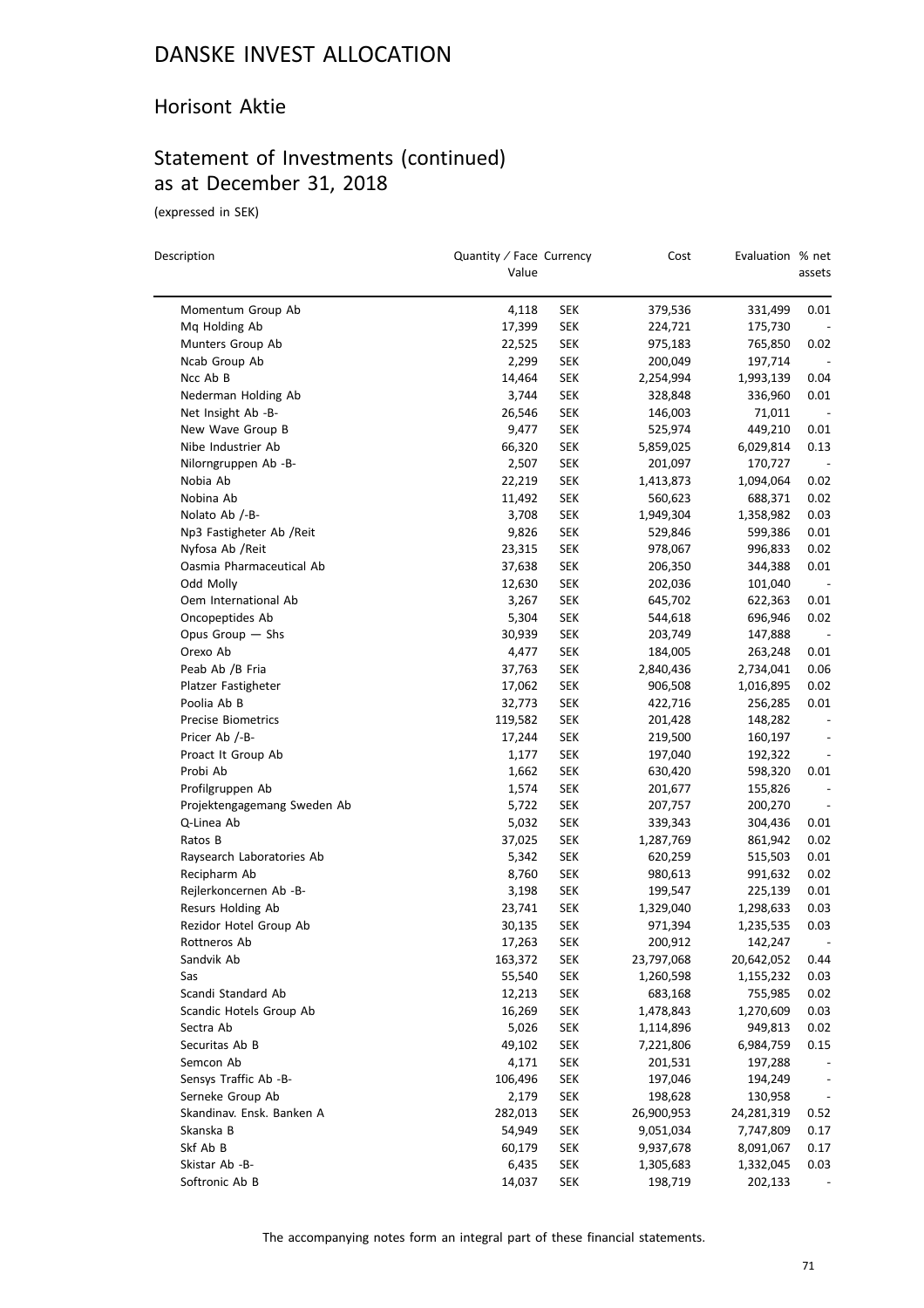#### Horisont Aktie

### Statement of Investments (continued) as at December 31, 2018

(expressed in SEK)

| Description                 | Quantity / Face Currency<br>Value |            | Cost       | Evaluation % net | assets                   |
|-----------------------------|-----------------------------------|------------|------------|------------------|--------------------------|
| Momentum Group Ab           | 4,118                             | <b>SEK</b> | 379,536    | 331,499          | 0.01                     |
| Mq Holding Ab               | 17,399                            | <b>SEK</b> | 224,721    | 175,730          |                          |
| Munters Group Ab            | 22,525                            | <b>SEK</b> | 975,183    | 765,850          | 0.02                     |
| Ncab Group Ab               | 2,299                             | <b>SEK</b> | 200,049    | 197,714          |                          |
| Ncc Ab B                    | 14,464                            | <b>SEK</b> | 2,254,994  | 1,993,139        | 0.04                     |
| Nederman Holding Ab         | 3,744                             | <b>SEK</b> | 328,848    | 336,960          | 0.01                     |
| Net Insight Ab -B-          | 26,546                            | <b>SEK</b> | 146,003    | 71,011           |                          |
| New Wave Group B            | 9,477                             | <b>SEK</b> | 525,974    | 449,210          | 0.01                     |
| Nibe Industrier Ab          | 66,320                            | <b>SEK</b> | 5,859,025  | 6,029,814        | 0.13                     |
| Nilorngruppen Ab -B-        | 2,507                             | <b>SEK</b> | 201,097    | 170,727          |                          |
| Nobia Ab                    | 22,219                            | <b>SEK</b> | 1,413,873  | 1,094,064        | 0.02                     |
| Nobina Ab                   | 11,492                            | <b>SEK</b> | 560,623    | 688,371          | 0.02                     |
| Nolato Ab /-B-              | 3,708                             | <b>SEK</b> | 1,949,304  | 1,358,982        | 0.03                     |
| Np3 Fastigheter Ab /Reit    | 9,826                             | <b>SEK</b> | 529,846    | 599,386          | 0.01                     |
| Nyfosa Ab / Reit            | 23,315                            | <b>SEK</b> | 978,067    | 996,833          | 0.02                     |
| Oasmia Pharmaceutical Ab    | 37,638                            | <b>SEK</b> | 206,350    | 344,388          | 0.01                     |
| Odd Molly                   | 12,630                            | <b>SEK</b> | 202,036    | 101,040          |                          |
| Oem International Ab        | 3,267                             | <b>SEK</b> | 645,702    | 622,363          | 0.01                     |
| Oncopeptides Ab             | 5,304                             | <b>SEK</b> | 544,618    | 696,946          | 0.02                     |
| Opus Group $-$ Shs          | 30,939                            | <b>SEK</b> | 203,749    | 147,888          |                          |
| Orexo Ab                    | 4,477                             | <b>SEK</b> | 184,005    | 263,248          | 0.01                     |
| Peab Ab /B Fria             | 37,763                            | <b>SEK</b> | 2,840,436  | 2,734,041        | 0.06                     |
| Platzer Fastigheter         | 17,062                            | <b>SEK</b> | 906,508    | 1,016,895        | 0.02                     |
| Poolia Ab B                 | 32,773                            | <b>SEK</b> | 422,716    | 256,285          | 0.01                     |
| <b>Precise Biometrics</b>   | 119,582                           | <b>SEK</b> | 201,428    | 148,282          | $\overline{\phantom{a}}$ |
| Pricer Ab /-B-              | 17,244                            | <b>SEK</b> | 219,500    | 160,197          |                          |
| Proact It Group Ab          | 1,177                             | <b>SEK</b> | 197,040    | 192,322          |                          |
| Probi Ab                    | 1,662                             | <b>SEK</b> | 630,420    | 598,320          | 0.01                     |
| Profilgruppen Ab            | 1,574                             | <b>SEK</b> | 201,677    | 155,826          |                          |
| Projektengagemang Sweden Ab | 5,722                             | <b>SEK</b> | 207,757    | 200,270          | $\overline{\phantom{a}}$ |
| Q-Linea Ab                  | 5,032                             | <b>SEK</b> | 339,343    | 304,436          | 0.01                     |
| Ratos B                     | 37,025                            | <b>SEK</b> | 1,287,769  | 861,942          | 0.02                     |
| Raysearch Laboratories Ab   | 5,342                             | <b>SEK</b> | 620,259    | 515,503          | 0.01                     |
| Recipharm Ab                | 8,760                             | <b>SEK</b> | 980,613    | 991,632          | 0.02                     |
| Rejlerkoncernen Ab -B-      | 3,198                             | <b>SEK</b> | 199,547    | 225,139          | 0.01                     |
| Resurs Holding Ab           | 23,741                            | <b>SEK</b> | 1,329,040  | 1,298,633        | 0.03                     |
| Rezidor Hotel Group Ab      | 30,135                            | <b>SEK</b> | 971,394    | 1,235,535        | 0.03                     |
| Rottneros Ab                | 17,263                            | SEK        | 200,912    | 142,247          |                          |
| Sandvik Ab                  | 163,372                           | <b>SEK</b> | 23,797,068 | 20,642,052       | 0.44                     |
| Sas                         | 55,540                            | <b>SEK</b> | 1,260,598  | 1,155,232        | 0.03                     |
| Scandi Standard Ab          | 12,213                            | <b>SEK</b> | 683,168    | 755,985          | 0.02                     |
| Scandic Hotels Group Ab     | 16,269                            | <b>SEK</b> | 1,478,843  | 1,270,609        | 0.03                     |
| Sectra Ab                   | 5,026                             | <b>SEK</b> | 1,114,896  | 949,813          | 0.02                     |
| Securitas Ab B              | 49,102                            | <b>SEK</b> | 7,221,806  | 6,984,759        | 0.15                     |
| Semcon Ab                   | 4,171                             | <b>SEK</b> | 201,531    | 197,288          |                          |
| Sensys Traffic Ab -B-       | 106,496                           | <b>SEK</b> | 197,046    | 194,249          | $\overline{\phantom{a}}$ |
| Serneke Group Ab            | 2,179                             | <b>SEK</b> | 198,628    | 130,958          | $\overline{\phantom{a}}$ |
| Skandinav. Ensk. Banken A   | 282,013                           | <b>SEK</b> | 26,900,953 | 24,281,319       | 0.52                     |
| Skanska B                   | 54,949                            | <b>SEK</b> | 9,051,034  | 7,747,809        | 0.17                     |
| Skf Ab B                    | 60,179                            | <b>SEK</b> | 9,937,678  | 8,091,067        | 0.17                     |
| Skistar Ab -B-              | 6,435                             | <b>SEK</b> | 1,305,683  | 1,332,045        | 0.03                     |
| Softronic Ab B              | 14,037                            | <b>SEK</b> | 198,719    | 202,133          |                          |

The accompanying notes form an integral part of these financial statements.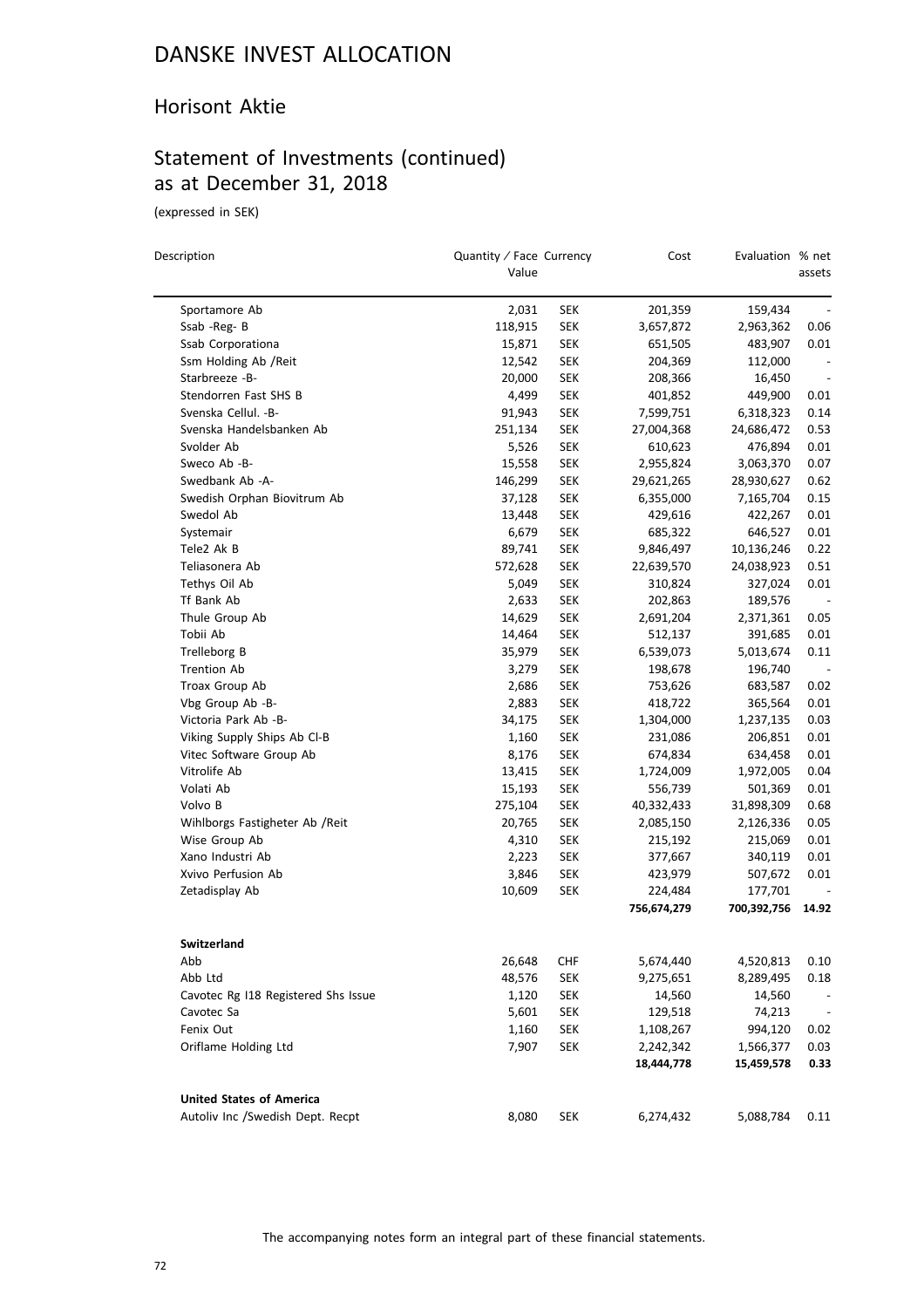#### Horisont Aktie

### Statement of Investments (continued) as at December 31, 2018

(expressed in SEK)

| Description                         | Quantity / Face Currency<br>Value |            | Cost        | Evaluation % net | assets                   |
|-------------------------------------|-----------------------------------|------------|-------------|------------------|--------------------------|
| Sportamore Ab                       | 2,031                             | SEK        | 201,359     | 159,434          |                          |
| Ssab -Reg-B                         | 118,915                           | <b>SEK</b> | 3,657,872   | 2,963,362        | 0.06                     |
| Ssab Corporationa                   | 15,871                            | <b>SEK</b> | 651,505     | 483,907          | 0.01                     |
| Ssm Holding Ab / Reit               | 12,542                            | <b>SEK</b> | 204,369     | 112,000          | $\overline{\phantom{a}}$ |
| Starbreeze -B-                      | 20,000                            | <b>SEK</b> | 208,366     | 16,450           | $\overline{\phantom{a}}$ |
| Stendorren Fast SHS B               | 4,499                             | <b>SEK</b> | 401,852     | 449,900          | 0.01                     |
| Svenska Cellul. - B-                | 91,943                            | SEK        | 7,599,751   | 6,318,323        | 0.14                     |
| Svenska Handelsbanken Ab            | 251,134                           | <b>SEK</b> | 27,004,368  | 24,686,472       | 0.53                     |
| Svolder Ab                          | 5,526                             | <b>SEK</b> | 610,623     | 476,894          | 0.01                     |
| Sweco Ab -B-                        | 15,558                            | <b>SEK</b> | 2,955,824   | 3,063,370        | 0.07                     |
| Swedbank Ab -A-                     | 146,299                           | <b>SEK</b> | 29,621,265  | 28,930,627       | 0.62                     |
| Swedish Orphan Biovitrum Ab         | 37,128                            | <b>SEK</b> | 6,355,000   | 7,165,704        | 0.15                     |
| Swedol Ab                           | 13,448                            | <b>SEK</b> | 429,616     | 422,267          | 0.01                     |
| Systemair                           | 6,679                             | <b>SEK</b> | 685,322     | 646,527          | 0.01                     |
| Tele2 Ak B                          | 89,741                            | <b>SEK</b> | 9,846,497   | 10,136,246       | 0.22                     |
| Teliasonera Ab                      | 572,628                           | <b>SEK</b> | 22,639,570  | 24,038,923       | 0.51                     |
| Tethys Oil Ab                       | 5,049                             | <b>SEK</b> | 310,824     | 327,024          | 0.01                     |
| Tf Bank Ab                          | 2,633                             | <b>SEK</b> | 202,863     | 189,576          | $\sim$                   |
| Thule Group Ab                      | 14,629                            | <b>SEK</b> | 2,691,204   | 2,371,361        | 0.05                     |
| Tobii Ab                            | 14,464                            | <b>SEK</b> | 512,137     | 391,685          | 0.01                     |
| Trelleborg B                        | 35,979                            | <b>SEK</b> | 6,539,073   | 5,013,674        | 0.11                     |
| <b>Trention Ab</b>                  | 3,279                             | <b>SEK</b> | 198,678     | 196,740          |                          |
| Troax Group Ab                      | 2,686                             | <b>SEK</b> | 753,626     | 683,587          | 0.02                     |
| Vbg Group Ab -B-                    | 2,883                             | <b>SEK</b> | 418,722     | 365,564          | 0.01                     |
| Victoria Park Ab -B-                | 34,175                            | <b>SEK</b> | 1,304,000   | 1,237,135        | 0.03                     |
| Viking Supply Ships Ab Cl-B         | 1,160                             | <b>SEK</b> | 231,086     | 206,851          | 0.01                     |
| Vitec Software Group Ab             | 8,176                             | <b>SEK</b> | 674,834     | 634,458          | 0.01                     |
| Vitrolife Ab                        | 13,415                            | <b>SEK</b> | 1,724,009   | 1,972,005        | 0.04                     |
| Volati Ab                           | 15,193                            | <b>SEK</b> | 556,739     | 501,369          | 0.01                     |
| Volvo B                             | 275,104                           | <b>SEK</b> | 40,332,433  | 31,898,309       | 0.68                     |
| Wihlborgs Fastigheter Ab / Reit     | 20,765                            | <b>SEK</b> | 2,085,150   | 2,126,336        | 0.05                     |
| Wise Group Ab                       | 4,310                             | SEK        | 215,192     | 215,069          | 0.01                     |
| Xano Industri Ab                    | 2,223                             | <b>SEK</b> | 377,667     | 340,119          | 0.01                     |
| Xvivo Perfusion Ab                  | 3,846                             | <b>SEK</b> | 423,979     | 507,672          | 0.01                     |
| Zetadisplay Ab                      | 10,609                            | <b>SEK</b> | 224,484     | 177,701          |                          |
|                                     |                                   |            | 756,674,279 | 700,392,756      | 14.92                    |
| Switzerland                         |                                   |            |             |                  |                          |
| Abb                                 | 26,648                            | CHF        | 5,674,440   | 4,520,813        | 0.10                     |
| Abb Ltd                             | 48,576                            | <b>SEK</b> | 9,275,651   | 8,289,495        | 0.18                     |
| Cavotec Rg I18 Registered Shs Issue | 1,120                             | <b>SEK</b> | 14,560      | 14,560           |                          |
| Cavotec Sa                          | 5,601                             | <b>SEK</b> | 129,518     | 74,213           |                          |
| Fenix Out                           | 1,160                             | <b>SEK</b> | 1,108,267   | 994,120          | 0.02                     |
| Oriflame Holding Ltd                | 7,907                             | <b>SEK</b> | 2,242,342   | 1,566,377        | 0.03                     |
|                                     |                                   |            | 18,444,778  | 15,459,578       | 0.33                     |
| <b>United States of America</b>     |                                   |            |             |                  |                          |
| Autoliv Inc /Swedish Dept. Recpt    | 8,080                             | SEK        | 6,274,432   | 5,088,784        | 0.11                     |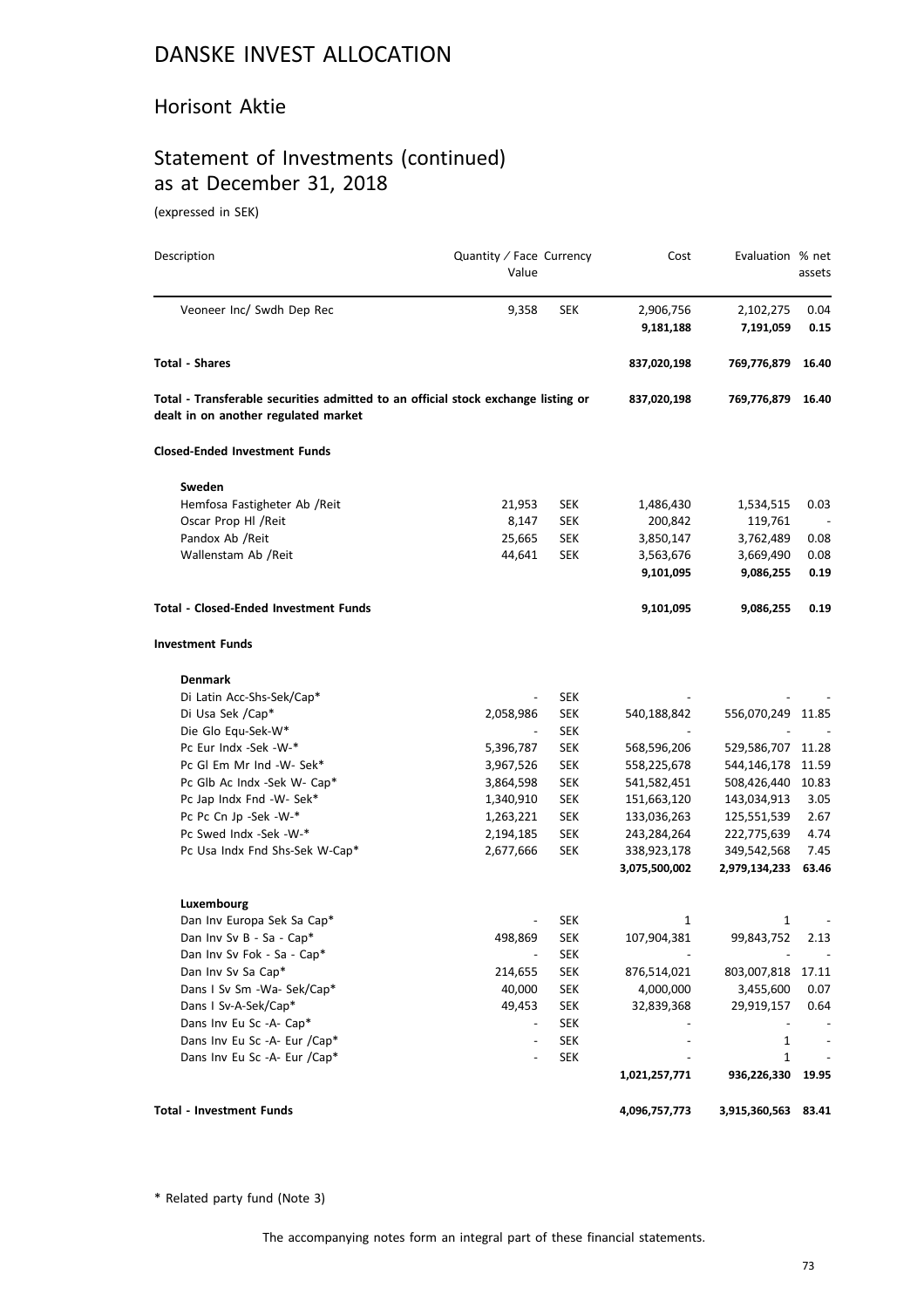#### Horisont Aktie

# Statement of Investments (continued) as at December 31, 2018

(expressed in SEK)

| Description                                                                                                               | Quantity / Face Currency<br>Value |            | Cost          | Evaluation % net  | assets |
|---------------------------------------------------------------------------------------------------------------------------|-----------------------------------|------------|---------------|-------------------|--------|
| Veoneer Inc/ Swdh Dep Rec                                                                                                 | 9,358                             | <b>SEK</b> | 2,906,756     | 2,102,275         | 0.04   |
|                                                                                                                           |                                   |            | 9,181,188     | 7,191,059         | 0.15   |
| <b>Total - Shares</b>                                                                                                     |                                   |            | 837,020,198   | 769,776,879       | 16.40  |
| Total - Transferable securities admitted to an official stock exchange listing or<br>dealt in on another regulated market |                                   |            | 837,020,198   | 769,776,879       | 16.40  |
| <b>Closed-Ended Investment Funds</b>                                                                                      |                                   |            |               |                   |        |
| Sweden                                                                                                                    |                                   |            |               |                   |        |
| Hemfosa Fastigheter Ab / Reit                                                                                             | 21,953                            | SEK        | 1,486,430     | 1,534,515         | 0.03   |
| Oscar Prop Hl / Reit                                                                                                      | 8,147                             | SEK        | 200,842       | 119,761           |        |
| Pandox Ab / Reit                                                                                                          | 25,665                            | <b>SEK</b> | 3,850,147     | 3,762,489         | 0.08   |
| Wallenstam Ab /Reit                                                                                                       | 44,641                            | SEK        | 3,563,676     | 3,669,490         | 0.08   |
|                                                                                                                           |                                   |            | 9,101,095     | 9,086,255         | 0.19   |
| Total - Closed-Ended Investment Funds                                                                                     |                                   |            | 9,101,095     | 9,086,255         | 0.19   |
| <b>Investment Funds</b>                                                                                                   |                                   |            |               |                   |        |
| <b>Denmark</b>                                                                                                            |                                   |            |               |                   |        |
| Di Latin Acc-Shs-Sek/Cap*                                                                                                 | $\overline{\phantom{a}}$          | <b>SEK</b> |               |                   |        |
| Di Usa Sek /Cap*                                                                                                          | 2,058,986                         | SEK        | 540,188,842   | 556,070,249 11.85 |        |
| Die Glo Equ-Sek-W*                                                                                                        | $\overline{\phantom{a}}$          | SEK        |               |                   |        |
| Pc Eur Indx -Sek -W-*                                                                                                     | 5,396,787                         | <b>SEK</b> | 568,596,206   | 529,586,707 11.28 |        |
| Pc Gl Em Mr Ind -W- Sek*                                                                                                  | 3,967,526                         | SEK        | 558,225,678   | 544,146,178 11.59 |        |
| Pc Glb Ac Indx -Sek W- Cap*                                                                                               | 3,864,598                         | SEK        | 541,582,451   | 508,426,440 10.83 |        |
| Pc Jap Indx Fnd -W- Sek*                                                                                                  | 1,340,910                         | SEK        | 151,663,120   | 143,034,913       | 3.05   |
| Pc Pc Cn Jp -Sek -W-*                                                                                                     | 1,263,221                         | SEK        | 133,036,263   | 125,551,539       | 2.67   |
| Pc Swed Indx -Sek -W-*                                                                                                    | 2,194,185                         | SEK        | 243,284,264   | 222,775,639       | 4.74   |
| Pc Usa Indx Fnd Shs-Sek W-Cap*                                                                                            | 2,677,666                         | <b>SEK</b> | 338,923,178   | 349,542,568       | 7.45   |
|                                                                                                                           |                                   |            | 3,075,500,002 | 2,979,134,233     | 63.46  |
| Luxembourg                                                                                                                |                                   |            |               |                   |        |
| Dan Inv Europa Sek Sa Cap*                                                                                                |                                   | <b>SEK</b> | 1             | 1                 |        |
| Dan Inv Sv B - Sa - Cap*                                                                                                  | 498,869                           | <b>SEK</b> | 107,904,381   | 99,843,752        | 2.13   |
| Dan Inv Sv Fok - Sa - Cap*                                                                                                | $\overline{\phantom{a}}$          | <b>SEK</b> |               |                   |        |
| Dan Inv Sv Sa Cap*                                                                                                        | 214,655                           | <b>SEK</b> | 876,514,021   | 803,007,818       | 17.11  |
| Dans I Sv Sm -Wa- Sek/Cap*                                                                                                | 40,000                            | <b>SEK</b> | 4,000,000     | 3,455,600         | 0.07   |
| Dans I Sv-A-Sek/Cap*                                                                                                      | 49,453                            | <b>SEK</b> | 32,839,368    | 29,919,157        | 0.64   |
| Dans Inv Eu Sc -A- Cap*                                                                                                   | $\overline{\phantom{a}}$          | <b>SEK</b> |               |                   |        |
| Dans Inv Eu Sc -A- Eur /Cap*                                                                                              |                                   | <b>SEK</b> |               | 1                 |        |
| Dans Inv Eu Sc -A- Eur /Cap*                                                                                              |                                   | <b>SEK</b> |               | 1                 |        |
|                                                                                                                           |                                   |            | 1,021,257,771 | 936,226,330       | 19.95  |
| Total - Investment Funds                                                                                                  |                                   |            | 4,096,757,773 | 3,915,360,563     | 83.41  |

\* Related party fund (Note 3)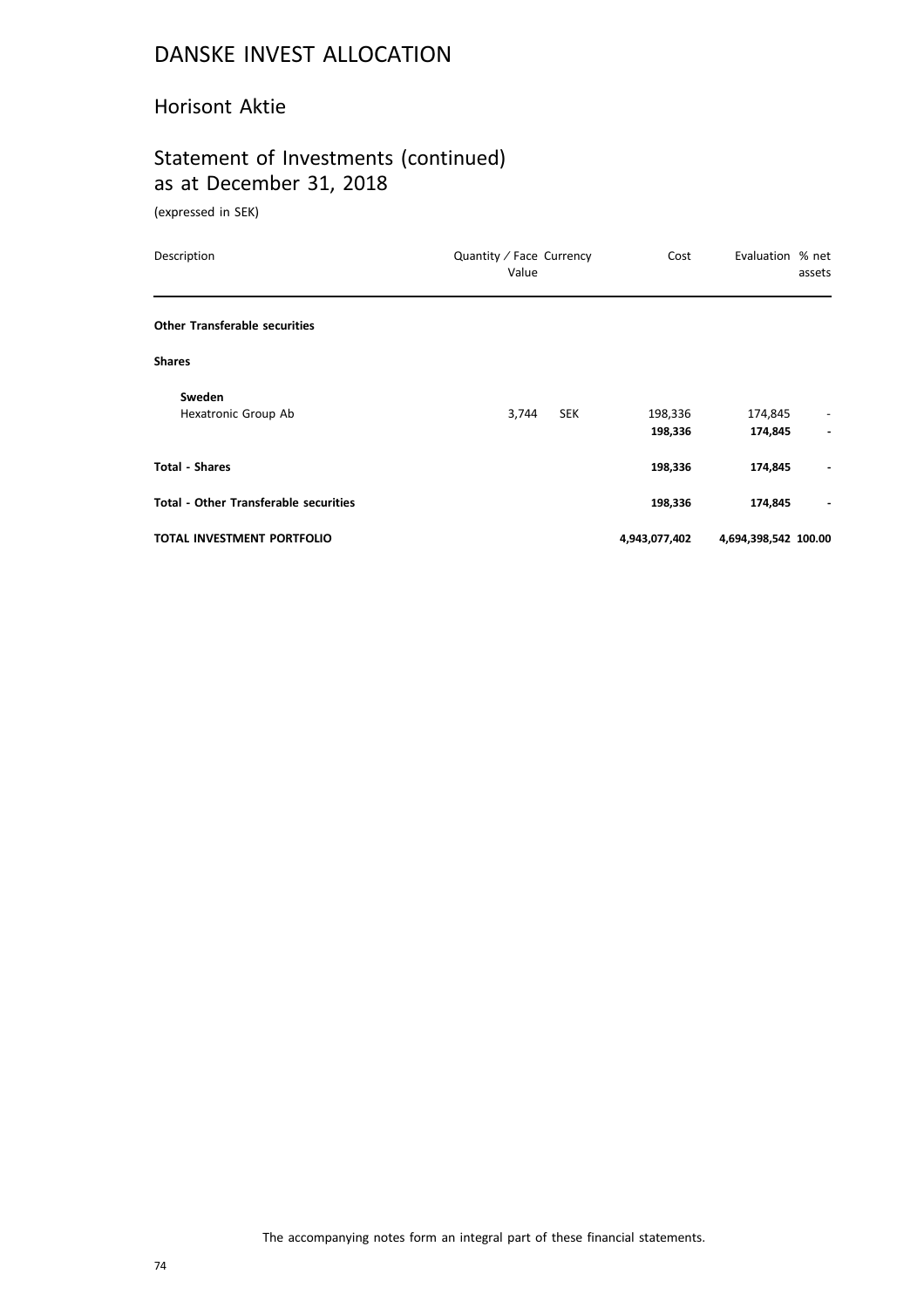#### Horisont Aktie

# Statement of Investments (continued) as at December 31, 2018

(expressed in SEK)

| Description                                  | Quantity / Face Currency<br>Value | Cost          | Evaluation % net     | assets                       |
|----------------------------------------------|-----------------------------------|---------------|----------------------|------------------------------|
| <b>Other Transferable securities</b>         |                                   |               |                      |                              |
| <b>Shares</b>                                |                                   |               |                      |                              |
| Sweden                                       |                                   |               |                      |                              |
| Hexatronic Group Ab                          | 3,744<br><b>SEK</b>               | 198,336       | 174,845              | $\overline{\phantom{a}}$     |
|                                              |                                   | 198,336       | 174,845              |                              |
| <b>Total - Shares</b>                        |                                   | 198,336       | 174,845              |                              |
| <b>Total - Other Transferable securities</b> |                                   | 198,336       | 174,845              | $\qquad \qquad \blacksquare$ |
| TOTAL INVESTMENT PORTFOLIO                   |                                   | 4,943,077,402 | 4,694,398,542 100.00 |                              |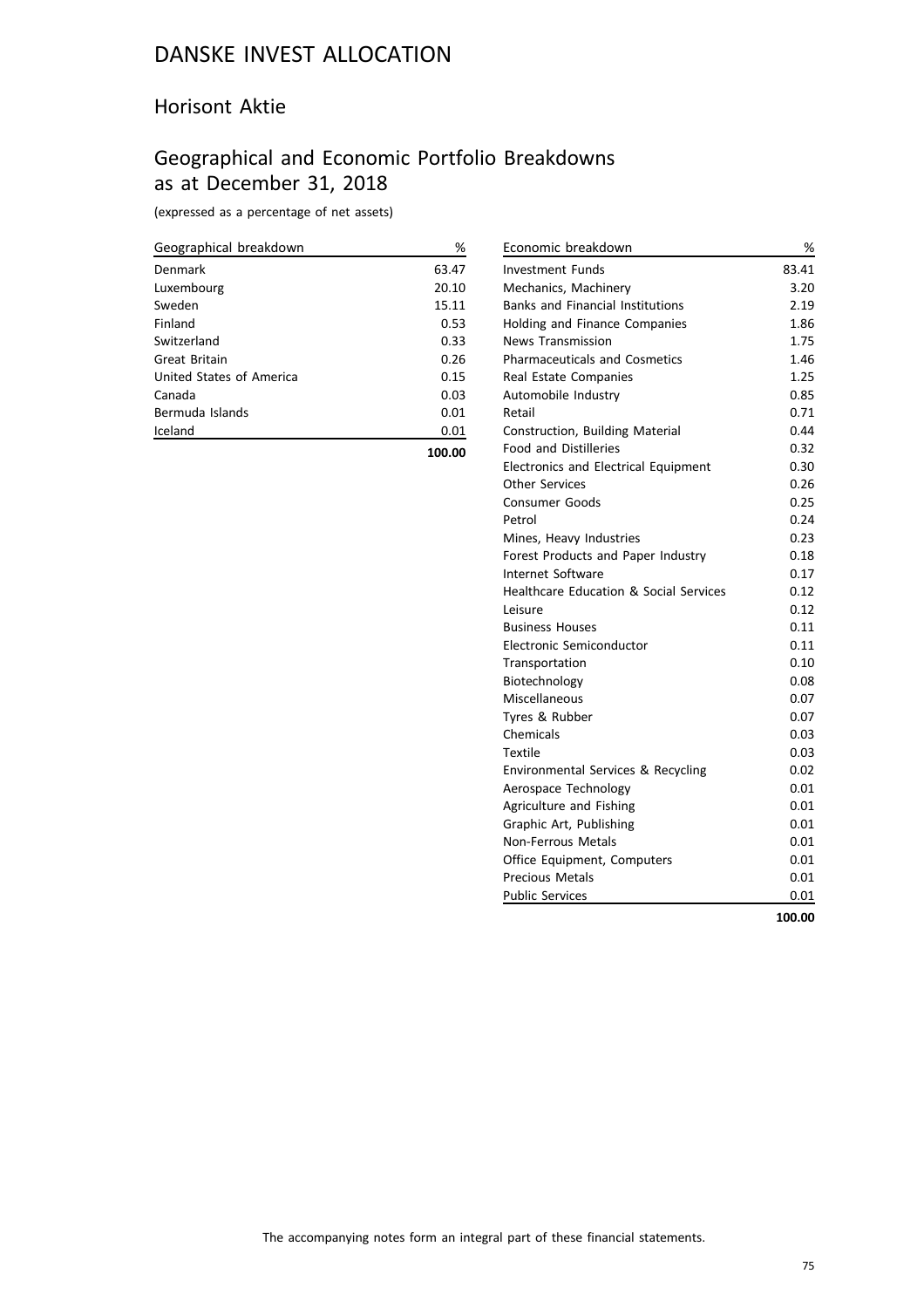#### Horisont Aktie

## Geographical and Economic Portfolio Breakdowns as at December 31, 2018

(expressed as a percentage of net assets)

| Geographical breakdown   | %     |
|--------------------------|-------|
| Denmark                  | 63.47 |
| Luxembourg               | 20.10 |
| Sweden                   | 15.11 |
| Finland                  | 0.53  |
| Switzerland              | 0.33  |
| Great Britain            | 0.26  |
| United States of America | 0.15  |
| Canada                   | 0.03  |
| Bermuda Islands          | 0.01  |
| Iceland                  | 0.01  |
|                          |       |

**100.00**

| Retail<br>Construction, Building Material   | 0.71<br>0.44 |
|---------------------------------------------|--------------|
|                                             |              |
| <b>Food and Distilleries</b>                | 0.32         |
| <b>Electronics and Electrical Equipment</b> | 0.30         |
| <b>Other Services</b>                       | 0.26<br>0.25 |
| <b>Consumer Goods</b><br>Petrol             | 0.24         |
| Mines, Heavy Industries                     | 0.23         |
| Forest Products and Paper Industry          | 0.18         |
| Internet Software                           | 0.17         |
| Healthcare Education & Social Services      | 0.12         |
| Leisure                                     | 0.12         |
| <b>Business Houses</b>                      | 0.11         |
| Electronic Semiconductor                    | 0.11         |
| Transportation                              | 0.10         |
| Biotechnology                               | 0.08         |
| Miscellaneous                               | 0.07         |
| Tyres & Rubber                              | 0.07         |
| Chemicals                                   | 0.03         |
| <b>Textile</b>                              | 0.03         |
| Environmental Services & Recycling          | 0.02         |
| Aerospace Technology                        | 0.01         |
| Agriculture and Fishing                     | 0.01         |
| Graphic Art, Publishing                     | 0.01         |
| <b>Non-Ferrous Metals</b>                   | 0.01         |
| Office Equipment, Computers                 | 0.01         |
| <b>Precious Metals</b>                      | 0.01         |
| <b>Public Services</b>                      | 0.01         |
|                                             | 100.00       |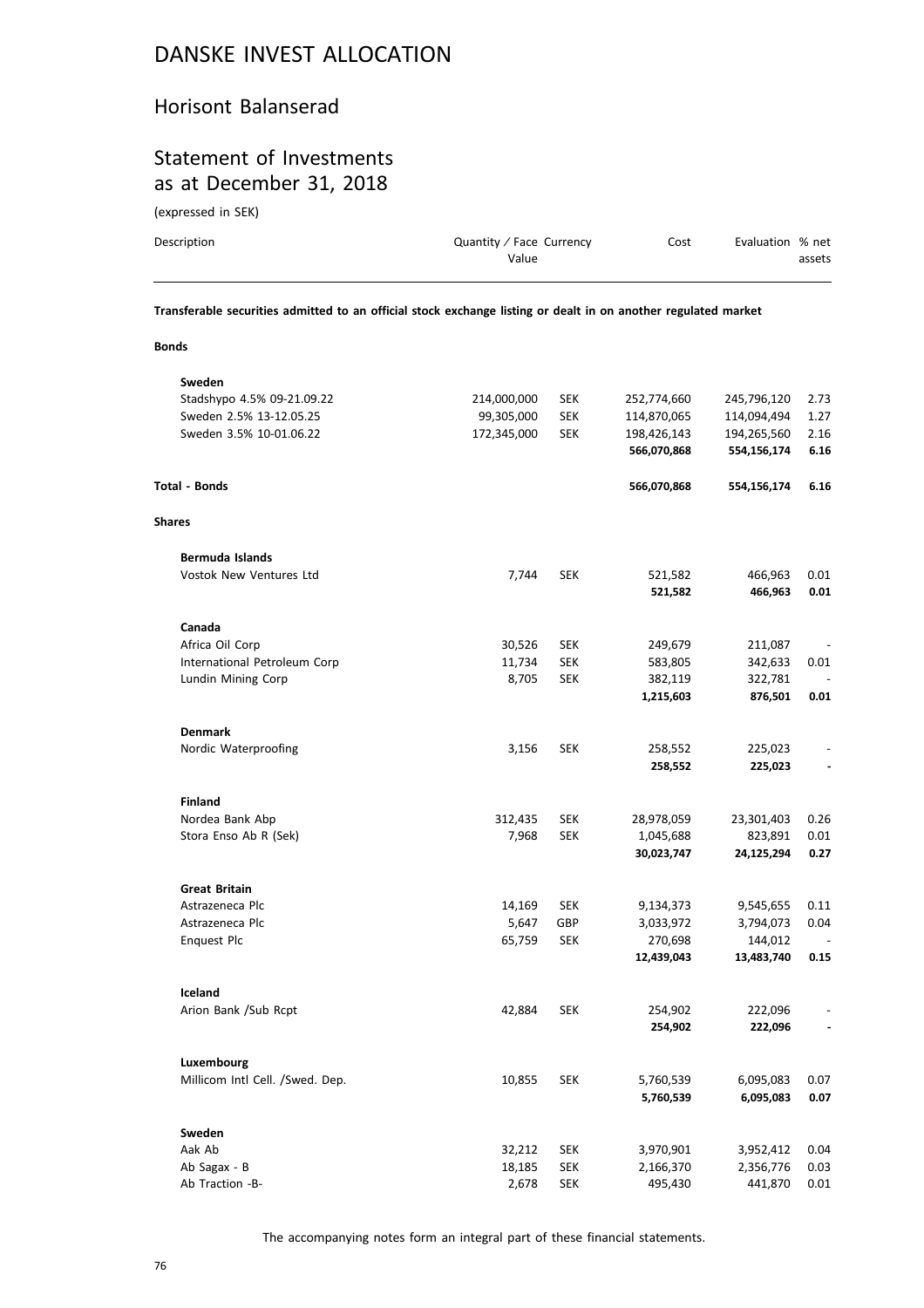#### Horisont Balanserad

### Statement of Investments as at December 31, 2018

(expressed in SEK)

| Description | Quantity / Face Currency<br>Value                                                                              | Cost | Evaluation % net | assets |
|-------------|----------------------------------------------------------------------------------------------------------------|------|------------------|--------|
|             | Transferable securities admitted to an official stock exchange listing or dealt in on another regulated market |      |                  |        |

**Bonds**

| Sweden                          |             |            |             |             |                          |
|---------------------------------|-------------|------------|-------------|-------------|--------------------------|
| Stadshypo 4.5% 09-21.09.22      | 214,000,000 | <b>SEK</b> | 252,774,660 | 245,796,120 | 2.73                     |
| Sweden 2.5% 13-12.05.25         | 99,305,000  | <b>SEK</b> | 114,870,065 | 114,094,494 | 1.27                     |
| Sweden 3.5% 10-01.06.22         | 172,345,000 | <b>SEK</b> | 198,426,143 | 194,265,560 | 2.16                     |
|                                 |             |            | 566,070,868 | 554,156,174 | 6.16                     |
| <b>Total - Bonds</b>            |             |            | 566,070,868 | 554,156,174 | 6.16                     |
| <b>Shares</b>                   |             |            |             |             |                          |
| Bermuda Islands                 |             |            |             |             |                          |
| Vostok New Ventures Ltd         | 7,744       | <b>SEK</b> | 521,582     | 466,963     | 0.01                     |
|                                 |             |            | 521,582     | 466,963     | 0.01                     |
| Canada                          |             |            |             |             |                          |
| Africa Oil Corp                 | 30,526      | <b>SEK</b> | 249,679     | 211,087     |                          |
| International Petroleum Corp    | 11,734      | <b>SEK</b> | 583,805     | 342,633     | 0.01                     |
| Lundin Mining Corp              | 8,705       | <b>SEK</b> | 382,119     | 322,781     |                          |
|                                 |             |            | 1,215,603   | 876,501     | 0.01                     |
| <b>Denmark</b>                  |             |            |             |             |                          |
| Nordic Waterproofing            | 3,156       | <b>SEK</b> | 258,552     | 225,023     |                          |
|                                 |             |            | 258,552     | 225,023     |                          |
| <b>Finland</b>                  |             |            |             |             |                          |
| Nordea Bank Abp                 | 312,435     | <b>SEK</b> | 28,978,059  | 23,301,403  | 0.26                     |
| Stora Enso Ab R (Sek)           | 7,968       | <b>SEK</b> | 1,045,688   | 823,891     | 0.01                     |
|                                 |             |            | 30,023,747  | 24,125,294  | 0.27                     |
| <b>Great Britain</b>            |             |            |             |             |                          |
| Astrazeneca Plc                 | 14,169      | <b>SEK</b> | 9,134,373   | 9,545,655   | 0.11                     |
| Astrazeneca Plc                 | 5,647       | GBP        | 3,033,972   | 3,794,073   | 0.04                     |
| <b>Enquest Plc</b>              | 65,759      | <b>SEK</b> | 270,698     | 144,012     |                          |
|                                 |             |            | 12,439,043  | 13,483,740  | 0.15                     |
| Iceland                         |             |            |             |             |                          |
| Arion Bank /Sub Rcpt            | 42,884      | <b>SEK</b> | 254,902     | 222,096     |                          |
|                                 |             |            | 254,902     | 222,096     | $\overline{\phantom{a}}$ |
| Luxembourg                      |             |            |             |             |                          |
| Millicom Intl Cell. /Swed. Dep. | 10,855      | <b>SEK</b> | 5,760,539   | 6,095,083   | 0.07                     |
|                                 |             |            | 5,760,539   | 6,095,083   | 0.07                     |
| Sweden                          |             |            |             |             |                          |
| Aak Ab                          | 32,212      | <b>SEK</b> | 3,970,901   | 3,952,412   | 0.04                     |
| Ab Sagax - B                    | 18,185      | <b>SEK</b> | 2,166,370   | 2,356,776   | 0.03                     |
| Ab Traction -B-                 | 2,678       | <b>SEK</b> | 495,430     | 441,870     | 0.01                     |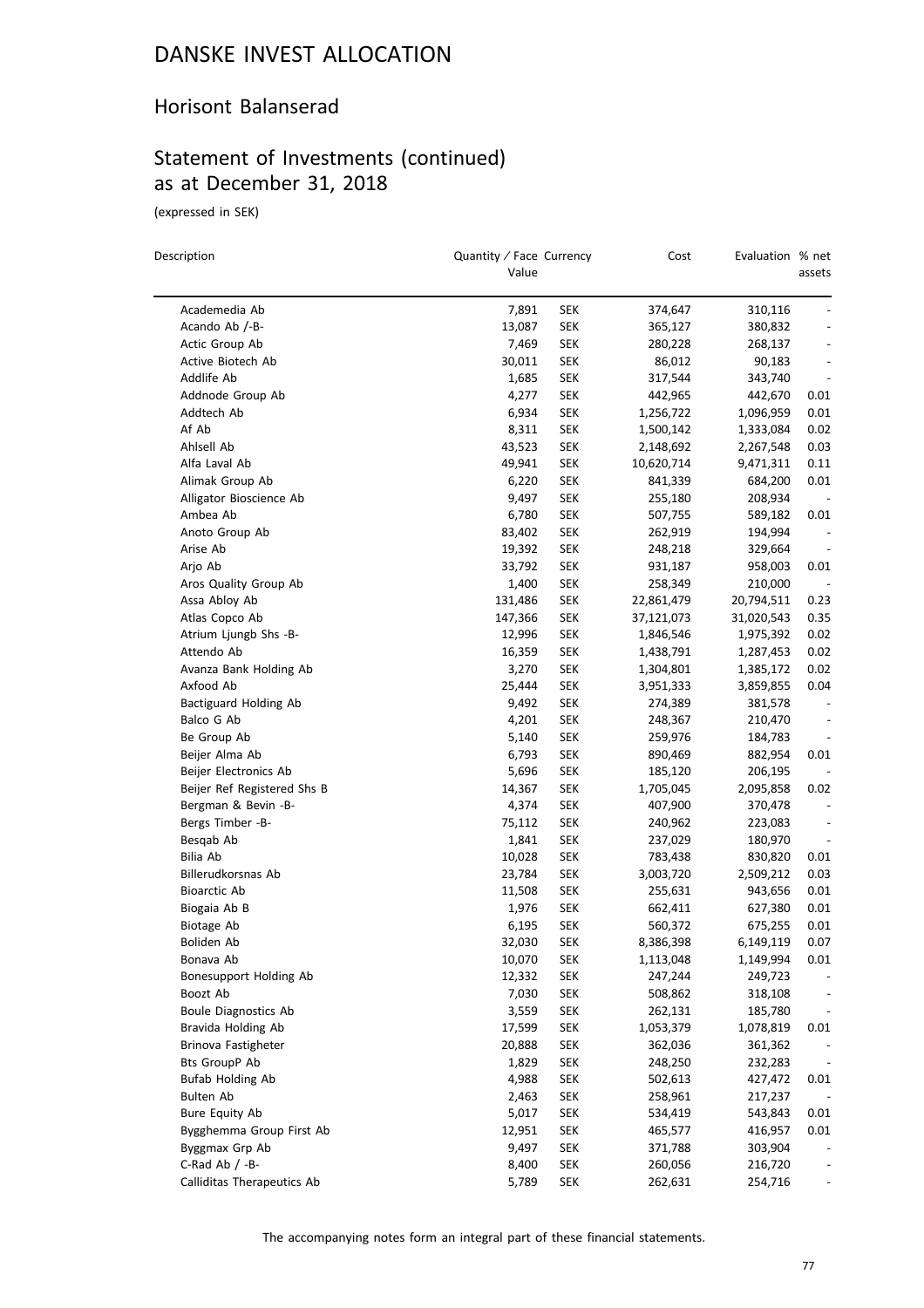#### Horisont Balanserad

## Statement of Investments (continued) as at December 31, 2018

(expressed in SEK)

 $\equiv$ 

| Description                 | Quantity / Face Currency<br>Value |            | Cost       | Evaluation % net | assets                       |
|-----------------------------|-----------------------------------|------------|------------|------------------|------------------------------|
| Academedia Ab               | 7,891                             | <b>SEK</b> | 374,647    | 310,116          |                              |
| Acando Ab /-B-              | 13,087                            | SEK        | 365,127    | 380,832          |                              |
| Actic Group Ab              | 7,469                             | SEK        | 280,228    | 268,137          |                              |
| Active Biotech Ab           | 30,011                            | <b>SEK</b> | 86,012     | 90,183           | $\qquad \qquad \blacksquare$ |
| Addlife Ab                  | 1,685                             | SEK        | 317,544    | 343,740          | $\qquad \qquad \blacksquare$ |
| Addnode Group Ab            | 4,277                             | SEK        | 442,965    | 442,670          | 0.01                         |
| Addtech Ab                  | 6,934                             | SEK        | 1,256,722  | 1,096,959        | 0.01                         |
| Af Ab                       | 8,311                             | SEK        | 1,500,142  | 1,333,084        | 0.02                         |
| Ahlsell Ab                  | 43,523                            | SEK        | 2,148,692  | 2,267,548        | 0.03                         |
| Alfa Laval Ab               | 49,941                            | SEK        | 10,620,714 | 9,471,311        | 0.11                         |
| Alimak Group Ab             | 6,220                             | SEK        | 841,339    | 684,200          | 0.01                         |
| Alligator Bioscience Ab     | 9,497                             | SEK        | 255,180    | 208,934          | $\overline{\phantom{a}}$     |
| Ambea Ab                    | 6,780                             | <b>SEK</b> | 507,755    | 589,182          | 0.01                         |
| Anoto Group Ab              | 83,402                            | SEK        | 262,919    | 194,994          |                              |
| Arise Ab                    | 19,392                            | <b>SEK</b> | 248,218    | 329,664          |                              |
| Arjo Ab                     | 33,792                            | SEK        | 931,187    | 958,003          | 0.01                         |
| Aros Quality Group Ab       | 1,400                             | SEK        | 258,349    | 210,000          |                              |
| Assa Abloy Ab               | 131,486                           | <b>SEK</b> | 22,861,479 | 20,794,511       | 0.23                         |
| Atlas Copco Ab              | 147,366                           | SEK        | 37,121,073 | 31,020,543       | 0.35                         |
| Atrium Ljungb Shs -B-       | 12,996                            | SEK        | 1,846,546  | 1,975,392        | 0.02                         |
| Attendo Ab                  | 16,359                            | SEK        | 1,438,791  | 1,287,453        | 0.02                         |
| Avanza Bank Holding Ab      | 3,270                             | <b>SEK</b> | 1,304,801  | 1,385,172        | 0.02                         |
| Axfood Ab                   | 25,444                            | SEK        | 3,951,333  | 3,859,855        | 0.04                         |
| Bactiguard Holding Ab       | 9,492                             | SEK        | 274,389    | 381,578          | $\overline{\phantom{a}}$     |
| Balco G Ab                  | 4,201                             | <b>SEK</b> | 248,367    | 210,470          |                              |
| Be Group Ab                 | 5,140                             | SEK        | 259,976    | 184,783          |                              |
| Beijer Alma Ab              | 6,793                             | SEK        | 890,469    | 882,954          | 0.01                         |
| Beijer Electronics Ab       | 5,696                             | <b>SEK</b> | 185,120    | 206,195          |                              |
| Beijer Ref Registered Shs B | 14,367                            | <b>SEK</b> | 1,705,045  | 2,095,858        | 0.02                         |
| Bergman & Bevin -B-         | 4,374                             | <b>SEK</b> | 407,900    | 370,478          |                              |
| Bergs Timber -B-            | 75,112                            | <b>SEK</b> | 240,962    | 223,083          | $\overline{\phantom{m}}$     |
| Besqab Ab                   | 1,841                             | <b>SEK</b> | 237,029    | 180,970          |                              |
| Bilia Ab                    | 10,028                            | SEK        | 783,438    | 830,820          | 0.01                         |
| Billerudkorsnas Ab          | 23,784                            | <b>SEK</b> | 3,003,720  | 2,509,212        | 0.03                         |
| <b>Bioarctic Ab</b>         | 11,508                            | <b>SEK</b> | 255,631    | 943,656          | 0.01                         |
| Biogaia Ab B                | 1,976                             | <b>SEK</b> | 662,411    | 627,380          | 0.01                         |
| Biotage Ab                  | 6,195                             | SEK        | 560,372    | 675,255          | 0.01                         |
| Boliden Ab                  | 32,030                            | <b>SEK</b> | 8,386,398  | 6,149,119        | 0.07                         |
| Bonava Ab                   | 10,070                            | <b>SEK</b> | 1,113,048  | 1,149,994        | 0.01                         |
| Bonesupport Holding Ab      | 12,332                            | <b>SEK</b> | 247,244    | 249,723          |                              |
| Boozt Ab                    | 7,030                             | <b>SEK</b> | 508,862    | 318,108          |                              |
| <b>Boule Diagnostics Ab</b> | 3,559                             | <b>SEK</b> | 262,131    | 185,780          |                              |
| Bravida Holding Ab          | 17,599                            | <b>SEK</b> | 1,053,379  | 1,078,819        | 0.01                         |
| Brinova Fastigheter         | 20,888                            | <b>SEK</b> | 362,036    | 361,362          |                              |
| Bts GroupP Ab               | 1,829                             | <b>SEK</b> | 248,250    | 232,283          |                              |
| <b>Bufab Holding Ab</b>     | 4,988                             | <b>SEK</b> | 502,613    | 427,472          |                              |
| Bulten Ab                   | 2,463                             | <b>SEK</b> | 258,961    | 217,237          | 0.01                         |
| Bure Equity Ab              | 5,017                             | <b>SEK</b> | 534,419    | 543,843          | 0.01                         |
| Bygghemma Group First Ab    | 12,951                            | <b>SEK</b> | 465,577    | 416,957          | 0.01                         |
| Byggmax Grp Ab              | 9,497                             | <b>SEK</b> | 371,788    | 303,904          |                              |
| C-Rad Ab $/$ -B-            | 8,400                             | <b>SEK</b> | 260,056    | 216,720          |                              |
| Calliditas Therapeutics Ab  | 5,789                             | <b>SEK</b> | 262,631    | 254,716          |                              |
|                             |                                   |            |            |                  |                              |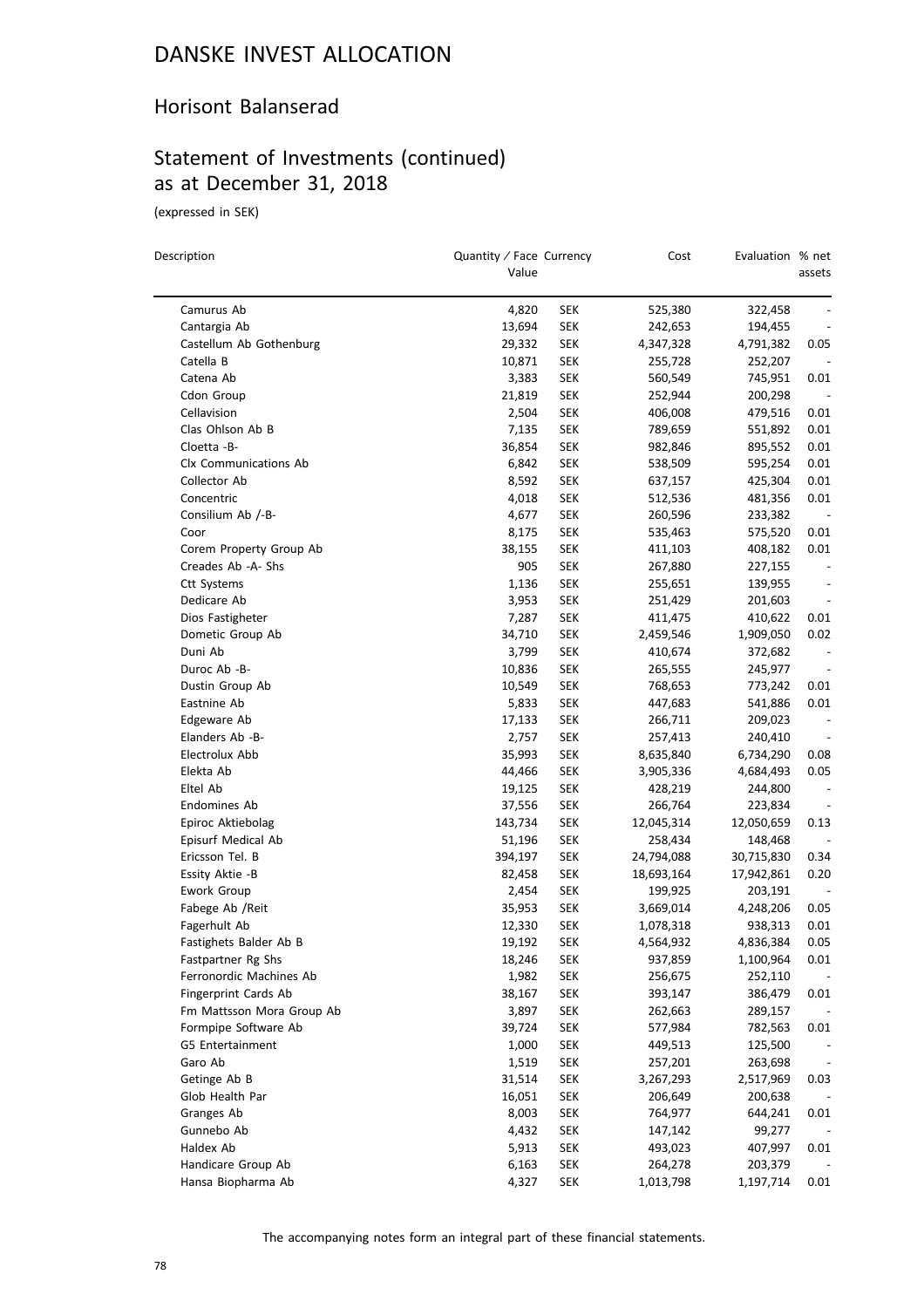#### Horisont Balanserad

## Statement of Investments (continued) as at December 31, 2018

(expressed in SEK)

| Camurus Ab<br>4,820<br>SEK<br>525,380<br>322,458<br>13,694<br>Cantargia Ab<br><b>SEK</b><br>242,653<br>194,455<br>Castellum Ab Gothenburg<br>0.05<br>29,332<br><b>SEK</b><br>4,347,328<br>4,791,382<br>Catella B<br>10,871<br><b>SEK</b><br>255,728<br>252,207<br>3,383<br>Catena Ab<br><b>SEK</b><br>560,549<br>745,951<br>0.01<br>Cdon Group<br>21,819<br><b>SEK</b><br>252,944<br>200,298<br>$\overline{\phantom{a}}$<br>Cellavision<br>2,504<br><b>SEK</b><br>406,008<br>479,516<br>0.01<br>Clas Ohlson Ab B<br>0.01<br>7,135<br><b>SEK</b><br>789,659<br>551,892<br>Cloetta -B-<br>36,854<br>0.01<br><b>SEK</b><br>982,846<br>895,552<br>0.01<br>Clx Communications Ab<br>6,842<br><b>SEK</b><br>538,509<br>595,254<br>Collector Ab<br>8,592<br><b>SEK</b><br>0.01<br>637,157<br>425,304<br><b>SEK</b><br>0.01<br>Concentric<br>4,018<br>512,536<br>481,356<br>Consilium Ab /-B-<br>4,677<br><b>SEK</b><br>260,596<br>233,382<br>$\overline{\phantom{a}}$<br>Coor<br>8,175<br><b>SEK</b><br>535,463<br>575,520<br>0.01<br><b>SEK</b><br>0.01<br>Corem Property Group Ab<br>38,155<br>408,182<br>411,103<br>Creades Ab -A- Shs<br>905<br><b>SEK</b><br>267,880<br>227,155<br>$\overline{\phantom{a}}$<br>Ctt Systems<br>1,136<br><b>SEK</b><br>255,651<br>139,955<br>$\overline{\phantom{a}}$<br>Dedicare Ab<br>3,953<br><b>SEK</b><br>251,429<br>201,603<br>$\overline{\phantom{a}}$<br>Dios Fastigheter<br>7,287<br>SEK<br>411,475<br>410,622<br>0.01<br>0.02<br>Dometic Group Ab<br>34,710<br><b>SEK</b><br>2,459,546<br>1,909,050<br><b>SEK</b><br>Duni Ab<br>3,799<br>410,674<br>372,682<br>Duroc Ab -B-<br>10,836<br><b>SEK</b><br>265,555<br>245,977<br>$\overline{\phantom{a}}$<br>10,549<br><b>SEK</b><br>Dustin Group Ab<br>768,653<br>773,242<br>0.01<br><b>SEK</b><br>Eastnine Ab<br>5,833<br>447,683<br>0.01<br>541,886<br>Edgeware Ab<br>17,133<br><b>SEK</b><br>266,711<br>209,023<br>$\overline{\phantom{a}}$<br>Elanders Ab -B-<br>2,757<br><b>SEK</b><br>257,413<br>240,410<br>Electrolux Abb<br><b>SEK</b><br>0.08<br>35,993<br>8,635,840<br>6,734,290<br>0.05<br>Elekta Ab<br>44,466<br><b>SEK</b><br>3,905,336<br>4,684,493<br>Eltel Ab<br>19,125<br><b>SEK</b><br>428,219<br>244,800<br>$\overline{\phantom{a}}$<br>Endomines Ab<br>37,556<br><b>SEK</b><br>223,834<br>266,764<br>$\overline{\phantom{a}}$<br>Epiroc Aktiebolag<br>143,734<br>SEK<br>12,045,314<br>12,050,659<br>0.13<br>Episurf Medical Ab<br>51,196<br><b>SEK</b><br>258,434<br>148,468<br>Ericsson Tel. B<br>0.34<br>394,197<br><b>SEK</b><br>24,794,088<br>30,715,830<br>Essity Aktie -B<br><b>SEK</b><br>0.20<br>82,458<br>18,693,164<br>17,942,861<br>Ework Group<br>2,454<br>SEK<br>199,925<br>203,191<br>Fabege Ab / Reit<br>35,953<br><b>SEK</b><br>0.05<br>3,669,014<br>4,248,206<br>0.01<br>Fagerhult Ab<br>12,330<br><b>SEK</b><br>938,313<br>1,078,318<br>Fastighets Balder Ab B<br>19,192<br><b>SEK</b><br>4,836,384<br>0.05<br>4,564,932<br>Fastpartner Rg Shs<br>18,246<br><b>SEK</b><br>937,859<br>0.01<br>1,100,964<br>Ferronordic Machines Ab<br><b>SEK</b><br>1,982<br>256,675<br>252,110<br>Fingerprint Cards Ab<br><b>SEK</b><br>38,167<br>393,147<br>386,479<br>0.01<br>Fm Mattsson Mora Group Ab<br>3,897<br><b>SEK</b><br>262,663<br>289,157<br>Formpipe Software Ab<br>39,724<br><b>SEK</b><br>577,984<br>782,563<br>0.01<br>G5 Entertainment<br>1,000<br><b>SEK</b><br>449,513<br>125,500<br>Garo Ab<br>1,519<br><b>SEK</b><br>257,201<br>263,698<br>Getinge Ab B<br>31,514<br><b>SEK</b><br>3,267,293<br>2,517,969<br>0.03<br>16,051<br>Glob Health Par<br><b>SEK</b><br>206,649<br>200,638<br>Granges Ab<br>8,003<br><b>SEK</b><br>764,977<br>644,241<br>0.01<br>Gunnebo Ab<br>4,432<br><b>SEK</b><br>147,142<br>99,277<br>Haldex Ab<br>5,913<br><b>SEK</b><br>493,023<br>407,997<br>0.01<br>Handicare Group Ab<br>6,163<br><b>SEK</b><br>203,379<br>264,278<br>Hansa Biopharma Ab<br>4,327<br><b>SEK</b><br>1,013,798<br>1,197,714<br>0.01 | Description | Quantity / Face Currency<br>Value | Cost | Evaluation % net | assets |
|--------------------------------------------------------------------------------------------------------------------------------------------------------------------------------------------------------------------------------------------------------------------------------------------------------------------------------------------------------------------------------------------------------------------------------------------------------------------------------------------------------------------------------------------------------------------------------------------------------------------------------------------------------------------------------------------------------------------------------------------------------------------------------------------------------------------------------------------------------------------------------------------------------------------------------------------------------------------------------------------------------------------------------------------------------------------------------------------------------------------------------------------------------------------------------------------------------------------------------------------------------------------------------------------------------------------------------------------------------------------------------------------------------------------------------------------------------------------------------------------------------------------------------------------------------------------------------------------------------------------------------------------------------------------------------------------------------------------------------------------------------------------------------------------------------------------------------------------------------------------------------------------------------------------------------------------------------------------------------------------------------------------------------------------------------------------------------------------------------------------------------------------------------------------------------------------------------------------------------------------------------------------------------------------------------------------------------------------------------------------------------------------------------------------------------------------------------------------------------------------------------------------------------------------------------------------------------------------------------------------------------------------------------------------------------------------------------------------------------------------------------------------------------------------------------------------------------------------------------------------------------------------------------------------------------------------------------------------------------------------------------------------------------------------------------------------------------------------------------------------------------------------------------------------------------------------------------------------------------------------------------------------------------------------------------------------------------------------------------------------------------------------------------------------------------------------------------------------------------------------------------------------------------------------------------------------------------------------------------------------------------------------------------------------------------------------------------------------------------------------------------------------------------------------------------------------------------------------------------------------------------------------------------------------------------------------------------------------|-------------|-----------------------------------|------|------------------|--------|
|                                                                                                                                                                                                                                                                                                                                                                                                                                                                                                                                                                                                                                                                                                                                                                                                                                                                                                                                                                                                                                                                                                                                                                                                                                                                                                                                                                                                                                                                                                                                                                                                                                                                                                                                                                                                                                                                                                                                                                                                                                                                                                                                                                                                                                                                                                                                                                                                                                                                                                                                                                                                                                                                                                                                                                                                                                                                                                                                                                                                                                                                                                                                                                                                                                                                                                                                                                                                                                                                                                                                                                                                                                                                                                                                                                                                                                                                                                                                                                    |             |                                   |      |                  |        |
|                                                                                                                                                                                                                                                                                                                                                                                                                                                                                                                                                                                                                                                                                                                                                                                                                                                                                                                                                                                                                                                                                                                                                                                                                                                                                                                                                                                                                                                                                                                                                                                                                                                                                                                                                                                                                                                                                                                                                                                                                                                                                                                                                                                                                                                                                                                                                                                                                                                                                                                                                                                                                                                                                                                                                                                                                                                                                                                                                                                                                                                                                                                                                                                                                                                                                                                                                                                                                                                                                                                                                                                                                                                                                                                                                                                                                                                                                                                                                                    |             |                                   |      |                  |        |
|                                                                                                                                                                                                                                                                                                                                                                                                                                                                                                                                                                                                                                                                                                                                                                                                                                                                                                                                                                                                                                                                                                                                                                                                                                                                                                                                                                                                                                                                                                                                                                                                                                                                                                                                                                                                                                                                                                                                                                                                                                                                                                                                                                                                                                                                                                                                                                                                                                                                                                                                                                                                                                                                                                                                                                                                                                                                                                                                                                                                                                                                                                                                                                                                                                                                                                                                                                                                                                                                                                                                                                                                                                                                                                                                                                                                                                                                                                                                                                    |             |                                   |      |                  |        |
|                                                                                                                                                                                                                                                                                                                                                                                                                                                                                                                                                                                                                                                                                                                                                                                                                                                                                                                                                                                                                                                                                                                                                                                                                                                                                                                                                                                                                                                                                                                                                                                                                                                                                                                                                                                                                                                                                                                                                                                                                                                                                                                                                                                                                                                                                                                                                                                                                                                                                                                                                                                                                                                                                                                                                                                                                                                                                                                                                                                                                                                                                                                                                                                                                                                                                                                                                                                                                                                                                                                                                                                                                                                                                                                                                                                                                                                                                                                                                                    |             |                                   |      |                  |        |
|                                                                                                                                                                                                                                                                                                                                                                                                                                                                                                                                                                                                                                                                                                                                                                                                                                                                                                                                                                                                                                                                                                                                                                                                                                                                                                                                                                                                                                                                                                                                                                                                                                                                                                                                                                                                                                                                                                                                                                                                                                                                                                                                                                                                                                                                                                                                                                                                                                                                                                                                                                                                                                                                                                                                                                                                                                                                                                                                                                                                                                                                                                                                                                                                                                                                                                                                                                                                                                                                                                                                                                                                                                                                                                                                                                                                                                                                                                                                                                    |             |                                   |      |                  |        |
|                                                                                                                                                                                                                                                                                                                                                                                                                                                                                                                                                                                                                                                                                                                                                                                                                                                                                                                                                                                                                                                                                                                                                                                                                                                                                                                                                                                                                                                                                                                                                                                                                                                                                                                                                                                                                                                                                                                                                                                                                                                                                                                                                                                                                                                                                                                                                                                                                                                                                                                                                                                                                                                                                                                                                                                                                                                                                                                                                                                                                                                                                                                                                                                                                                                                                                                                                                                                                                                                                                                                                                                                                                                                                                                                                                                                                                                                                                                                                                    |             |                                   |      |                  |        |
|                                                                                                                                                                                                                                                                                                                                                                                                                                                                                                                                                                                                                                                                                                                                                                                                                                                                                                                                                                                                                                                                                                                                                                                                                                                                                                                                                                                                                                                                                                                                                                                                                                                                                                                                                                                                                                                                                                                                                                                                                                                                                                                                                                                                                                                                                                                                                                                                                                                                                                                                                                                                                                                                                                                                                                                                                                                                                                                                                                                                                                                                                                                                                                                                                                                                                                                                                                                                                                                                                                                                                                                                                                                                                                                                                                                                                                                                                                                                                                    |             |                                   |      |                  |        |
|                                                                                                                                                                                                                                                                                                                                                                                                                                                                                                                                                                                                                                                                                                                                                                                                                                                                                                                                                                                                                                                                                                                                                                                                                                                                                                                                                                                                                                                                                                                                                                                                                                                                                                                                                                                                                                                                                                                                                                                                                                                                                                                                                                                                                                                                                                                                                                                                                                                                                                                                                                                                                                                                                                                                                                                                                                                                                                                                                                                                                                                                                                                                                                                                                                                                                                                                                                                                                                                                                                                                                                                                                                                                                                                                                                                                                                                                                                                                                                    |             |                                   |      |                  |        |
|                                                                                                                                                                                                                                                                                                                                                                                                                                                                                                                                                                                                                                                                                                                                                                                                                                                                                                                                                                                                                                                                                                                                                                                                                                                                                                                                                                                                                                                                                                                                                                                                                                                                                                                                                                                                                                                                                                                                                                                                                                                                                                                                                                                                                                                                                                                                                                                                                                                                                                                                                                                                                                                                                                                                                                                                                                                                                                                                                                                                                                                                                                                                                                                                                                                                                                                                                                                                                                                                                                                                                                                                                                                                                                                                                                                                                                                                                                                                                                    |             |                                   |      |                  |        |
|                                                                                                                                                                                                                                                                                                                                                                                                                                                                                                                                                                                                                                                                                                                                                                                                                                                                                                                                                                                                                                                                                                                                                                                                                                                                                                                                                                                                                                                                                                                                                                                                                                                                                                                                                                                                                                                                                                                                                                                                                                                                                                                                                                                                                                                                                                                                                                                                                                                                                                                                                                                                                                                                                                                                                                                                                                                                                                                                                                                                                                                                                                                                                                                                                                                                                                                                                                                                                                                                                                                                                                                                                                                                                                                                                                                                                                                                                                                                                                    |             |                                   |      |                  |        |
|                                                                                                                                                                                                                                                                                                                                                                                                                                                                                                                                                                                                                                                                                                                                                                                                                                                                                                                                                                                                                                                                                                                                                                                                                                                                                                                                                                                                                                                                                                                                                                                                                                                                                                                                                                                                                                                                                                                                                                                                                                                                                                                                                                                                                                                                                                                                                                                                                                                                                                                                                                                                                                                                                                                                                                                                                                                                                                                                                                                                                                                                                                                                                                                                                                                                                                                                                                                                                                                                                                                                                                                                                                                                                                                                                                                                                                                                                                                                                                    |             |                                   |      |                  |        |
|                                                                                                                                                                                                                                                                                                                                                                                                                                                                                                                                                                                                                                                                                                                                                                                                                                                                                                                                                                                                                                                                                                                                                                                                                                                                                                                                                                                                                                                                                                                                                                                                                                                                                                                                                                                                                                                                                                                                                                                                                                                                                                                                                                                                                                                                                                                                                                                                                                                                                                                                                                                                                                                                                                                                                                                                                                                                                                                                                                                                                                                                                                                                                                                                                                                                                                                                                                                                                                                                                                                                                                                                                                                                                                                                                                                                                                                                                                                                                                    |             |                                   |      |                  |        |
|                                                                                                                                                                                                                                                                                                                                                                                                                                                                                                                                                                                                                                                                                                                                                                                                                                                                                                                                                                                                                                                                                                                                                                                                                                                                                                                                                                                                                                                                                                                                                                                                                                                                                                                                                                                                                                                                                                                                                                                                                                                                                                                                                                                                                                                                                                                                                                                                                                                                                                                                                                                                                                                                                                                                                                                                                                                                                                                                                                                                                                                                                                                                                                                                                                                                                                                                                                                                                                                                                                                                                                                                                                                                                                                                                                                                                                                                                                                                                                    |             |                                   |      |                  |        |
|                                                                                                                                                                                                                                                                                                                                                                                                                                                                                                                                                                                                                                                                                                                                                                                                                                                                                                                                                                                                                                                                                                                                                                                                                                                                                                                                                                                                                                                                                                                                                                                                                                                                                                                                                                                                                                                                                                                                                                                                                                                                                                                                                                                                                                                                                                                                                                                                                                                                                                                                                                                                                                                                                                                                                                                                                                                                                                                                                                                                                                                                                                                                                                                                                                                                                                                                                                                                                                                                                                                                                                                                                                                                                                                                                                                                                                                                                                                                                                    |             |                                   |      |                  |        |
|                                                                                                                                                                                                                                                                                                                                                                                                                                                                                                                                                                                                                                                                                                                                                                                                                                                                                                                                                                                                                                                                                                                                                                                                                                                                                                                                                                                                                                                                                                                                                                                                                                                                                                                                                                                                                                                                                                                                                                                                                                                                                                                                                                                                                                                                                                                                                                                                                                                                                                                                                                                                                                                                                                                                                                                                                                                                                                                                                                                                                                                                                                                                                                                                                                                                                                                                                                                                                                                                                                                                                                                                                                                                                                                                                                                                                                                                                                                                                                    |             |                                   |      |                  |        |
|                                                                                                                                                                                                                                                                                                                                                                                                                                                                                                                                                                                                                                                                                                                                                                                                                                                                                                                                                                                                                                                                                                                                                                                                                                                                                                                                                                                                                                                                                                                                                                                                                                                                                                                                                                                                                                                                                                                                                                                                                                                                                                                                                                                                                                                                                                                                                                                                                                                                                                                                                                                                                                                                                                                                                                                                                                                                                                                                                                                                                                                                                                                                                                                                                                                                                                                                                                                                                                                                                                                                                                                                                                                                                                                                                                                                                                                                                                                                                                    |             |                                   |      |                  |        |
|                                                                                                                                                                                                                                                                                                                                                                                                                                                                                                                                                                                                                                                                                                                                                                                                                                                                                                                                                                                                                                                                                                                                                                                                                                                                                                                                                                                                                                                                                                                                                                                                                                                                                                                                                                                                                                                                                                                                                                                                                                                                                                                                                                                                                                                                                                                                                                                                                                                                                                                                                                                                                                                                                                                                                                                                                                                                                                                                                                                                                                                                                                                                                                                                                                                                                                                                                                                                                                                                                                                                                                                                                                                                                                                                                                                                                                                                                                                                                                    |             |                                   |      |                  |        |
|                                                                                                                                                                                                                                                                                                                                                                                                                                                                                                                                                                                                                                                                                                                                                                                                                                                                                                                                                                                                                                                                                                                                                                                                                                                                                                                                                                                                                                                                                                                                                                                                                                                                                                                                                                                                                                                                                                                                                                                                                                                                                                                                                                                                                                                                                                                                                                                                                                                                                                                                                                                                                                                                                                                                                                                                                                                                                                                                                                                                                                                                                                                                                                                                                                                                                                                                                                                                                                                                                                                                                                                                                                                                                                                                                                                                                                                                                                                                                                    |             |                                   |      |                  |        |
|                                                                                                                                                                                                                                                                                                                                                                                                                                                                                                                                                                                                                                                                                                                                                                                                                                                                                                                                                                                                                                                                                                                                                                                                                                                                                                                                                                                                                                                                                                                                                                                                                                                                                                                                                                                                                                                                                                                                                                                                                                                                                                                                                                                                                                                                                                                                                                                                                                                                                                                                                                                                                                                                                                                                                                                                                                                                                                                                                                                                                                                                                                                                                                                                                                                                                                                                                                                                                                                                                                                                                                                                                                                                                                                                                                                                                                                                                                                                                                    |             |                                   |      |                  |        |
|                                                                                                                                                                                                                                                                                                                                                                                                                                                                                                                                                                                                                                                                                                                                                                                                                                                                                                                                                                                                                                                                                                                                                                                                                                                                                                                                                                                                                                                                                                                                                                                                                                                                                                                                                                                                                                                                                                                                                                                                                                                                                                                                                                                                                                                                                                                                                                                                                                                                                                                                                                                                                                                                                                                                                                                                                                                                                                                                                                                                                                                                                                                                                                                                                                                                                                                                                                                                                                                                                                                                                                                                                                                                                                                                                                                                                                                                                                                                                                    |             |                                   |      |                  |        |
|                                                                                                                                                                                                                                                                                                                                                                                                                                                                                                                                                                                                                                                                                                                                                                                                                                                                                                                                                                                                                                                                                                                                                                                                                                                                                                                                                                                                                                                                                                                                                                                                                                                                                                                                                                                                                                                                                                                                                                                                                                                                                                                                                                                                                                                                                                                                                                                                                                                                                                                                                                                                                                                                                                                                                                                                                                                                                                                                                                                                                                                                                                                                                                                                                                                                                                                                                                                                                                                                                                                                                                                                                                                                                                                                                                                                                                                                                                                                                                    |             |                                   |      |                  |        |
|                                                                                                                                                                                                                                                                                                                                                                                                                                                                                                                                                                                                                                                                                                                                                                                                                                                                                                                                                                                                                                                                                                                                                                                                                                                                                                                                                                                                                                                                                                                                                                                                                                                                                                                                                                                                                                                                                                                                                                                                                                                                                                                                                                                                                                                                                                                                                                                                                                                                                                                                                                                                                                                                                                                                                                                                                                                                                                                                                                                                                                                                                                                                                                                                                                                                                                                                                                                                                                                                                                                                                                                                                                                                                                                                                                                                                                                                                                                                                                    |             |                                   |      |                  |        |
|                                                                                                                                                                                                                                                                                                                                                                                                                                                                                                                                                                                                                                                                                                                                                                                                                                                                                                                                                                                                                                                                                                                                                                                                                                                                                                                                                                                                                                                                                                                                                                                                                                                                                                                                                                                                                                                                                                                                                                                                                                                                                                                                                                                                                                                                                                                                                                                                                                                                                                                                                                                                                                                                                                                                                                                                                                                                                                                                                                                                                                                                                                                                                                                                                                                                                                                                                                                                                                                                                                                                                                                                                                                                                                                                                                                                                                                                                                                                                                    |             |                                   |      |                  |        |
|                                                                                                                                                                                                                                                                                                                                                                                                                                                                                                                                                                                                                                                                                                                                                                                                                                                                                                                                                                                                                                                                                                                                                                                                                                                                                                                                                                                                                                                                                                                                                                                                                                                                                                                                                                                                                                                                                                                                                                                                                                                                                                                                                                                                                                                                                                                                                                                                                                                                                                                                                                                                                                                                                                                                                                                                                                                                                                                                                                                                                                                                                                                                                                                                                                                                                                                                                                                                                                                                                                                                                                                                                                                                                                                                                                                                                                                                                                                                                                    |             |                                   |      |                  |        |
|                                                                                                                                                                                                                                                                                                                                                                                                                                                                                                                                                                                                                                                                                                                                                                                                                                                                                                                                                                                                                                                                                                                                                                                                                                                                                                                                                                                                                                                                                                                                                                                                                                                                                                                                                                                                                                                                                                                                                                                                                                                                                                                                                                                                                                                                                                                                                                                                                                                                                                                                                                                                                                                                                                                                                                                                                                                                                                                                                                                                                                                                                                                                                                                                                                                                                                                                                                                                                                                                                                                                                                                                                                                                                                                                                                                                                                                                                                                                                                    |             |                                   |      |                  |        |
|                                                                                                                                                                                                                                                                                                                                                                                                                                                                                                                                                                                                                                                                                                                                                                                                                                                                                                                                                                                                                                                                                                                                                                                                                                                                                                                                                                                                                                                                                                                                                                                                                                                                                                                                                                                                                                                                                                                                                                                                                                                                                                                                                                                                                                                                                                                                                                                                                                                                                                                                                                                                                                                                                                                                                                                                                                                                                                                                                                                                                                                                                                                                                                                                                                                                                                                                                                                                                                                                                                                                                                                                                                                                                                                                                                                                                                                                                                                                                                    |             |                                   |      |                  |        |
|                                                                                                                                                                                                                                                                                                                                                                                                                                                                                                                                                                                                                                                                                                                                                                                                                                                                                                                                                                                                                                                                                                                                                                                                                                                                                                                                                                                                                                                                                                                                                                                                                                                                                                                                                                                                                                                                                                                                                                                                                                                                                                                                                                                                                                                                                                                                                                                                                                                                                                                                                                                                                                                                                                                                                                                                                                                                                                                                                                                                                                                                                                                                                                                                                                                                                                                                                                                                                                                                                                                                                                                                                                                                                                                                                                                                                                                                                                                                                                    |             |                                   |      |                  |        |
|                                                                                                                                                                                                                                                                                                                                                                                                                                                                                                                                                                                                                                                                                                                                                                                                                                                                                                                                                                                                                                                                                                                                                                                                                                                                                                                                                                                                                                                                                                                                                                                                                                                                                                                                                                                                                                                                                                                                                                                                                                                                                                                                                                                                                                                                                                                                                                                                                                                                                                                                                                                                                                                                                                                                                                                                                                                                                                                                                                                                                                                                                                                                                                                                                                                                                                                                                                                                                                                                                                                                                                                                                                                                                                                                                                                                                                                                                                                                                                    |             |                                   |      |                  |        |
|                                                                                                                                                                                                                                                                                                                                                                                                                                                                                                                                                                                                                                                                                                                                                                                                                                                                                                                                                                                                                                                                                                                                                                                                                                                                                                                                                                                                                                                                                                                                                                                                                                                                                                                                                                                                                                                                                                                                                                                                                                                                                                                                                                                                                                                                                                                                                                                                                                                                                                                                                                                                                                                                                                                                                                                                                                                                                                                                                                                                                                                                                                                                                                                                                                                                                                                                                                                                                                                                                                                                                                                                                                                                                                                                                                                                                                                                                                                                                                    |             |                                   |      |                  |        |
|                                                                                                                                                                                                                                                                                                                                                                                                                                                                                                                                                                                                                                                                                                                                                                                                                                                                                                                                                                                                                                                                                                                                                                                                                                                                                                                                                                                                                                                                                                                                                                                                                                                                                                                                                                                                                                                                                                                                                                                                                                                                                                                                                                                                                                                                                                                                                                                                                                                                                                                                                                                                                                                                                                                                                                                                                                                                                                                                                                                                                                                                                                                                                                                                                                                                                                                                                                                                                                                                                                                                                                                                                                                                                                                                                                                                                                                                                                                                                                    |             |                                   |      |                  |        |
|                                                                                                                                                                                                                                                                                                                                                                                                                                                                                                                                                                                                                                                                                                                                                                                                                                                                                                                                                                                                                                                                                                                                                                                                                                                                                                                                                                                                                                                                                                                                                                                                                                                                                                                                                                                                                                                                                                                                                                                                                                                                                                                                                                                                                                                                                                                                                                                                                                                                                                                                                                                                                                                                                                                                                                                                                                                                                                                                                                                                                                                                                                                                                                                                                                                                                                                                                                                                                                                                                                                                                                                                                                                                                                                                                                                                                                                                                                                                                                    |             |                                   |      |                  |        |
|                                                                                                                                                                                                                                                                                                                                                                                                                                                                                                                                                                                                                                                                                                                                                                                                                                                                                                                                                                                                                                                                                                                                                                                                                                                                                                                                                                                                                                                                                                                                                                                                                                                                                                                                                                                                                                                                                                                                                                                                                                                                                                                                                                                                                                                                                                                                                                                                                                                                                                                                                                                                                                                                                                                                                                                                                                                                                                                                                                                                                                                                                                                                                                                                                                                                                                                                                                                                                                                                                                                                                                                                                                                                                                                                                                                                                                                                                                                                                                    |             |                                   |      |                  |        |
|                                                                                                                                                                                                                                                                                                                                                                                                                                                                                                                                                                                                                                                                                                                                                                                                                                                                                                                                                                                                                                                                                                                                                                                                                                                                                                                                                                                                                                                                                                                                                                                                                                                                                                                                                                                                                                                                                                                                                                                                                                                                                                                                                                                                                                                                                                                                                                                                                                                                                                                                                                                                                                                                                                                                                                                                                                                                                                                                                                                                                                                                                                                                                                                                                                                                                                                                                                                                                                                                                                                                                                                                                                                                                                                                                                                                                                                                                                                                                                    |             |                                   |      |                  |        |
|                                                                                                                                                                                                                                                                                                                                                                                                                                                                                                                                                                                                                                                                                                                                                                                                                                                                                                                                                                                                                                                                                                                                                                                                                                                                                                                                                                                                                                                                                                                                                                                                                                                                                                                                                                                                                                                                                                                                                                                                                                                                                                                                                                                                                                                                                                                                                                                                                                                                                                                                                                                                                                                                                                                                                                                                                                                                                                                                                                                                                                                                                                                                                                                                                                                                                                                                                                                                                                                                                                                                                                                                                                                                                                                                                                                                                                                                                                                                                                    |             |                                   |      |                  |        |
|                                                                                                                                                                                                                                                                                                                                                                                                                                                                                                                                                                                                                                                                                                                                                                                                                                                                                                                                                                                                                                                                                                                                                                                                                                                                                                                                                                                                                                                                                                                                                                                                                                                                                                                                                                                                                                                                                                                                                                                                                                                                                                                                                                                                                                                                                                                                                                                                                                                                                                                                                                                                                                                                                                                                                                                                                                                                                                                                                                                                                                                                                                                                                                                                                                                                                                                                                                                                                                                                                                                                                                                                                                                                                                                                                                                                                                                                                                                                                                    |             |                                   |      |                  |        |
|                                                                                                                                                                                                                                                                                                                                                                                                                                                                                                                                                                                                                                                                                                                                                                                                                                                                                                                                                                                                                                                                                                                                                                                                                                                                                                                                                                                                                                                                                                                                                                                                                                                                                                                                                                                                                                                                                                                                                                                                                                                                                                                                                                                                                                                                                                                                                                                                                                                                                                                                                                                                                                                                                                                                                                                                                                                                                                                                                                                                                                                                                                                                                                                                                                                                                                                                                                                                                                                                                                                                                                                                                                                                                                                                                                                                                                                                                                                                                                    |             |                                   |      |                  |        |
|                                                                                                                                                                                                                                                                                                                                                                                                                                                                                                                                                                                                                                                                                                                                                                                                                                                                                                                                                                                                                                                                                                                                                                                                                                                                                                                                                                                                                                                                                                                                                                                                                                                                                                                                                                                                                                                                                                                                                                                                                                                                                                                                                                                                                                                                                                                                                                                                                                                                                                                                                                                                                                                                                                                                                                                                                                                                                                                                                                                                                                                                                                                                                                                                                                                                                                                                                                                                                                                                                                                                                                                                                                                                                                                                                                                                                                                                                                                                                                    |             |                                   |      |                  |        |
|                                                                                                                                                                                                                                                                                                                                                                                                                                                                                                                                                                                                                                                                                                                                                                                                                                                                                                                                                                                                                                                                                                                                                                                                                                                                                                                                                                                                                                                                                                                                                                                                                                                                                                                                                                                                                                                                                                                                                                                                                                                                                                                                                                                                                                                                                                                                                                                                                                                                                                                                                                                                                                                                                                                                                                                                                                                                                                                                                                                                                                                                                                                                                                                                                                                                                                                                                                                                                                                                                                                                                                                                                                                                                                                                                                                                                                                                                                                                                                    |             |                                   |      |                  |        |
|                                                                                                                                                                                                                                                                                                                                                                                                                                                                                                                                                                                                                                                                                                                                                                                                                                                                                                                                                                                                                                                                                                                                                                                                                                                                                                                                                                                                                                                                                                                                                                                                                                                                                                                                                                                                                                                                                                                                                                                                                                                                                                                                                                                                                                                                                                                                                                                                                                                                                                                                                                                                                                                                                                                                                                                                                                                                                                                                                                                                                                                                                                                                                                                                                                                                                                                                                                                                                                                                                                                                                                                                                                                                                                                                                                                                                                                                                                                                                                    |             |                                   |      |                  |        |
|                                                                                                                                                                                                                                                                                                                                                                                                                                                                                                                                                                                                                                                                                                                                                                                                                                                                                                                                                                                                                                                                                                                                                                                                                                                                                                                                                                                                                                                                                                                                                                                                                                                                                                                                                                                                                                                                                                                                                                                                                                                                                                                                                                                                                                                                                                                                                                                                                                                                                                                                                                                                                                                                                                                                                                                                                                                                                                                                                                                                                                                                                                                                                                                                                                                                                                                                                                                                                                                                                                                                                                                                                                                                                                                                                                                                                                                                                                                                                                    |             |                                   |      |                  |        |
|                                                                                                                                                                                                                                                                                                                                                                                                                                                                                                                                                                                                                                                                                                                                                                                                                                                                                                                                                                                                                                                                                                                                                                                                                                                                                                                                                                                                                                                                                                                                                                                                                                                                                                                                                                                                                                                                                                                                                                                                                                                                                                                                                                                                                                                                                                                                                                                                                                                                                                                                                                                                                                                                                                                                                                                                                                                                                                                                                                                                                                                                                                                                                                                                                                                                                                                                                                                                                                                                                                                                                                                                                                                                                                                                                                                                                                                                                                                                                                    |             |                                   |      |                  |        |
|                                                                                                                                                                                                                                                                                                                                                                                                                                                                                                                                                                                                                                                                                                                                                                                                                                                                                                                                                                                                                                                                                                                                                                                                                                                                                                                                                                                                                                                                                                                                                                                                                                                                                                                                                                                                                                                                                                                                                                                                                                                                                                                                                                                                                                                                                                                                                                                                                                                                                                                                                                                                                                                                                                                                                                                                                                                                                                                                                                                                                                                                                                                                                                                                                                                                                                                                                                                                                                                                                                                                                                                                                                                                                                                                                                                                                                                                                                                                                                    |             |                                   |      |                  |        |
|                                                                                                                                                                                                                                                                                                                                                                                                                                                                                                                                                                                                                                                                                                                                                                                                                                                                                                                                                                                                                                                                                                                                                                                                                                                                                                                                                                                                                                                                                                                                                                                                                                                                                                                                                                                                                                                                                                                                                                                                                                                                                                                                                                                                                                                                                                                                                                                                                                                                                                                                                                                                                                                                                                                                                                                                                                                                                                                                                                                                                                                                                                                                                                                                                                                                                                                                                                                                                                                                                                                                                                                                                                                                                                                                                                                                                                                                                                                                                                    |             |                                   |      |                  |        |
|                                                                                                                                                                                                                                                                                                                                                                                                                                                                                                                                                                                                                                                                                                                                                                                                                                                                                                                                                                                                                                                                                                                                                                                                                                                                                                                                                                                                                                                                                                                                                                                                                                                                                                                                                                                                                                                                                                                                                                                                                                                                                                                                                                                                                                                                                                                                                                                                                                                                                                                                                                                                                                                                                                                                                                                                                                                                                                                                                                                                                                                                                                                                                                                                                                                                                                                                                                                                                                                                                                                                                                                                                                                                                                                                                                                                                                                                                                                                                                    |             |                                   |      |                  |        |
|                                                                                                                                                                                                                                                                                                                                                                                                                                                                                                                                                                                                                                                                                                                                                                                                                                                                                                                                                                                                                                                                                                                                                                                                                                                                                                                                                                                                                                                                                                                                                                                                                                                                                                                                                                                                                                                                                                                                                                                                                                                                                                                                                                                                                                                                                                                                                                                                                                                                                                                                                                                                                                                                                                                                                                                                                                                                                                                                                                                                                                                                                                                                                                                                                                                                                                                                                                                                                                                                                                                                                                                                                                                                                                                                                                                                                                                                                                                                                                    |             |                                   |      |                  |        |
|                                                                                                                                                                                                                                                                                                                                                                                                                                                                                                                                                                                                                                                                                                                                                                                                                                                                                                                                                                                                                                                                                                                                                                                                                                                                                                                                                                                                                                                                                                                                                                                                                                                                                                                                                                                                                                                                                                                                                                                                                                                                                                                                                                                                                                                                                                                                                                                                                                                                                                                                                                                                                                                                                                                                                                                                                                                                                                                                                                                                                                                                                                                                                                                                                                                                                                                                                                                                                                                                                                                                                                                                                                                                                                                                                                                                                                                                                                                                                                    |             |                                   |      |                  |        |
|                                                                                                                                                                                                                                                                                                                                                                                                                                                                                                                                                                                                                                                                                                                                                                                                                                                                                                                                                                                                                                                                                                                                                                                                                                                                                                                                                                                                                                                                                                                                                                                                                                                                                                                                                                                                                                                                                                                                                                                                                                                                                                                                                                                                                                                                                                                                                                                                                                                                                                                                                                                                                                                                                                                                                                                                                                                                                                                                                                                                                                                                                                                                                                                                                                                                                                                                                                                                                                                                                                                                                                                                                                                                                                                                                                                                                                                                                                                                                                    |             |                                   |      |                  |        |
|                                                                                                                                                                                                                                                                                                                                                                                                                                                                                                                                                                                                                                                                                                                                                                                                                                                                                                                                                                                                                                                                                                                                                                                                                                                                                                                                                                                                                                                                                                                                                                                                                                                                                                                                                                                                                                                                                                                                                                                                                                                                                                                                                                                                                                                                                                                                                                                                                                                                                                                                                                                                                                                                                                                                                                                                                                                                                                                                                                                                                                                                                                                                                                                                                                                                                                                                                                                                                                                                                                                                                                                                                                                                                                                                                                                                                                                                                                                                                                    |             |                                   |      |                  |        |
|                                                                                                                                                                                                                                                                                                                                                                                                                                                                                                                                                                                                                                                                                                                                                                                                                                                                                                                                                                                                                                                                                                                                                                                                                                                                                                                                                                                                                                                                                                                                                                                                                                                                                                                                                                                                                                                                                                                                                                                                                                                                                                                                                                                                                                                                                                                                                                                                                                                                                                                                                                                                                                                                                                                                                                                                                                                                                                                                                                                                                                                                                                                                                                                                                                                                                                                                                                                                                                                                                                                                                                                                                                                                                                                                                                                                                                                                                                                                                                    |             |                                   |      |                  |        |
|                                                                                                                                                                                                                                                                                                                                                                                                                                                                                                                                                                                                                                                                                                                                                                                                                                                                                                                                                                                                                                                                                                                                                                                                                                                                                                                                                                                                                                                                                                                                                                                                                                                                                                                                                                                                                                                                                                                                                                                                                                                                                                                                                                                                                                                                                                                                                                                                                                                                                                                                                                                                                                                                                                                                                                                                                                                                                                                                                                                                                                                                                                                                                                                                                                                                                                                                                                                                                                                                                                                                                                                                                                                                                                                                                                                                                                                                                                                                                                    |             |                                   |      |                  |        |
|                                                                                                                                                                                                                                                                                                                                                                                                                                                                                                                                                                                                                                                                                                                                                                                                                                                                                                                                                                                                                                                                                                                                                                                                                                                                                                                                                                                                                                                                                                                                                                                                                                                                                                                                                                                                                                                                                                                                                                                                                                                                                                                                                                                                                                                                                                                                                                                                                                                                                                                                                                                                                                                                                                                                                                                                                                                                                                                                                                                                                                                                                                                                                                                                                                                                                                                                                                                                                                                                                                                                                                                                                                                                                                                                                                                                                                                                                                                                                                    |             |                                   |      |                  |        |
|                                                                                                                                                                                                                                                                                                                                                                                                                                                                                                                                                                                                                                                                                                                                                                                                                                                                                                                                                                                                                                                                                                                                                                                                                                                                                                                                                                                                                                                                                                                                                                                                                                                                                                                                                                                                                                                                                                                                                                                                                                                                                                                                                                                                                                                                                                                                                                                                                                                                                                                                                                                                                                                                                                                                                                                                                                                                                                                                                                                                                                                                                                                                                                                                                                                                                                                                                                                                                                                                                                                                                                                                                                                                                                                                                                                                                                                                                                                                                                    |             |                                   |      |                  |        |
|                                                                                                                                                                                                                                                                                                                                                                                                                                                                                                                                                                                                                                                                                                                                                                                                                                                                                                                                                                                                                                                                                                                                                                                                                                                                                                                                                                                                                                                                                                                                                                                                                                                                                                                                                                                                                                                                                                                                                                                                                                                                                                                                                                                                                                                                                                                                                                                                                                                                                                                                                                                                                                                                                                                                                                                                                                                                                                                                                                                                                                                                                                                                                                                                                                                                                                                                                                                                                                                                                                                                                                                                                                                                                                                                                                                                                                                                                                                                                                    |             |                                   |      |                  |        |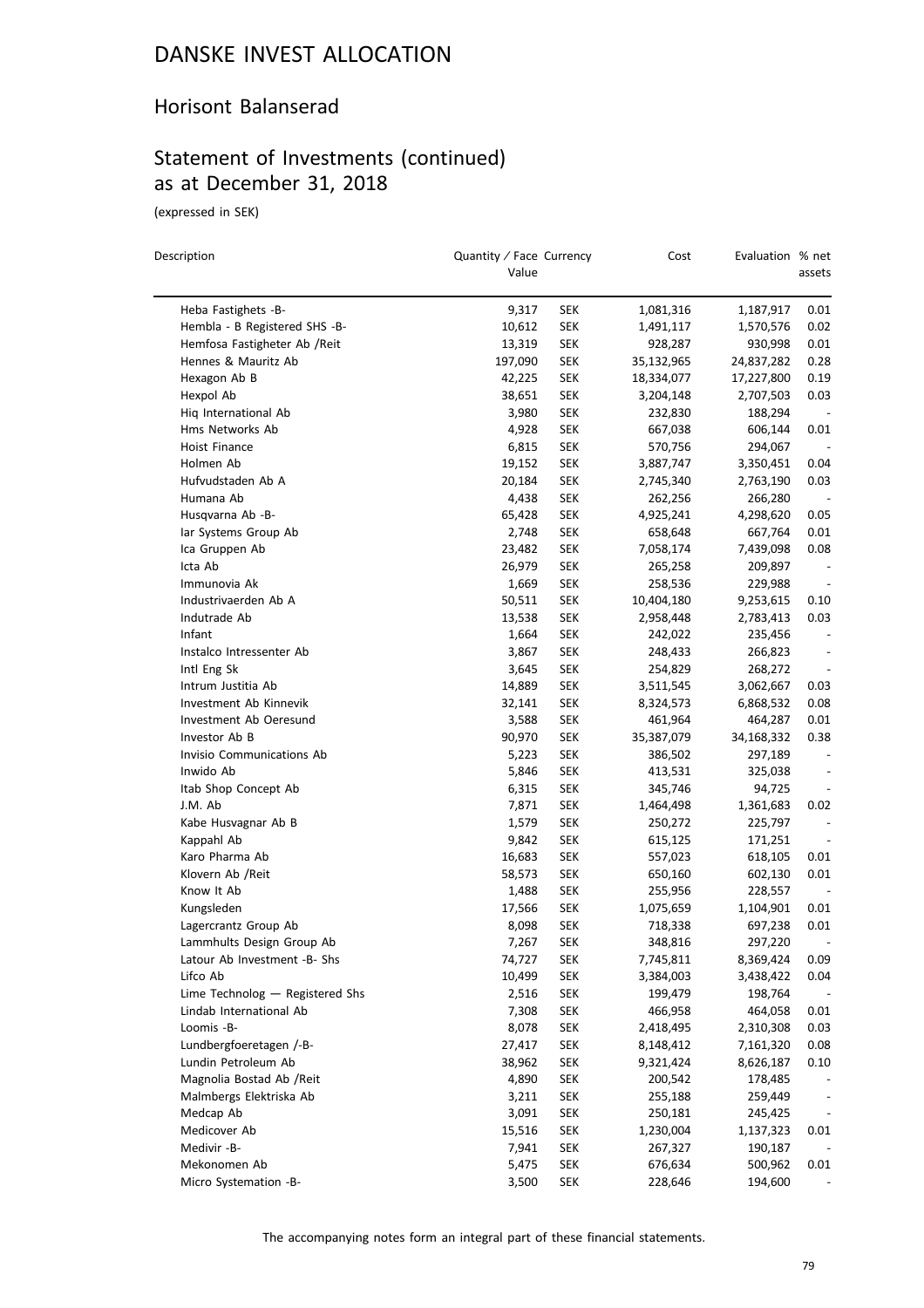#### Horisont Balanserad

### Statement of Investments (continued) as at December 31, 2018

(expressed in SEK)

| Description                     | Quantity / Face Currency<br>Value |            | Cost       | Evaluation % net | assets                   |
|---------------------------------|-----------------------------------|------------|------------|------------------|--------------------------|
| Heba Fastighets -B-             | 9,317                             | <b>SEK</b> | 1,081,316  | 1,187,917        | 0.01                     |
| Hembla - B Registered SHS -B-   | 10,612                            | <b>SEK</b> | 1,491,117  | 1,570,576        | 0.02                     |
| Hemfosa Fastigheter Ab / Reit   | 13,319                            | <b>SEK</b> | 928,287    | 930,998          | 0.01                     |
| Hennes & Mauritz Ab             | 197,090                           | <b>SEK</b> | 35,132,965 | 24,837,282       | 0.28                     |
| Hexagon Ab B                    | 42,225                            | <b>SEK</b> | 18,334,077 | 17,227,800       | 0.19                     |
| Hexpol Ab                       | 38,651                            | <b>SEK</b> | 3,204,148  | 2,707,503        | 0.03                     |
| Hiq International Ab            | 3,980                             | <b>SEK</b> | 232,830    | 188,294          |                          |
| Hms Networks Ab                 | 4,928                             | <b>SEK</b> | 667,038    | 606,144          | 0.01                     |
| Hoist Finance                   | 6,815                             | <b>SEK</b> | 570,756    | 294,067          |                          |
| Holmen Ab                       | 19,152                            | <b>SEK</b> | 3,887,747  | 3,350,451        | 0.04                     |
| Hufvudstaden Ab A               | 20,184                            | <b>SEK</b> | 2,745,340  | 2,763,190        | 0.03                     |
| Humana Ab                       | 4,438                             | <b>SEK</b> | 262,256    | 266,280          | $\overline{\phantom{a}}$ |
| Husqvarna Ab -B-                | 65,428                            | <b>SEK</b> | 4,925,241  | 4,298,620        | 0.05                     |
| lar Systems Group Ab            | 2,748                             | <b>SEK</b> | 658,648    | 667,764          | 0.01                     |
| Ica Gruppen Ab                  | 23,482                            | <b>SEK</b> | 7,058,174  | 7,439,098        | 0.08                     |
| Icta Ab                         | 26,979                            | <b>SEK</b> | 265,258    | 209,897          |                          |
| Immunovia Ak                    | 1,669                             | <b>SEK</b> | 258,536    | 229,988          |                          |
| Industrivaerden Ab A            | 50,511                            | <b>SEK</b> | 10,404,180 | 9,253,615        | 0.10                     |
| Indutrade Ab                    | 13,538                            | <b>SEK</b> | 2,958,448  | 2,783,413        | 0.03                     |
| Infant                          | 1,664                             | <b>SEK</b> | 242,022    | 235,456          |                          |
| Instalco Intressenter Ab        | 3,867                             | <b>SEK</b> | 248,433    | 266,823          |                          |
| Intl Eng Sk                     | 3,645                             | <b>SEK</b> | 254,829    | 268,272          | $\overline{a}$           |
| Intrum Justitia Ab              | 14,889                            | <b>SEK</b> | 3,511,545  | 3,062,667        | 0.03                     |
| Investment Ab Kinnevik          | 32,141                            | <b>SEK</b> | 8,324,573  | 6,868,532        | 0.08                     |
| Investment Ab Oeresund          | 3,588                             | <b>SEK</b> | 461,964    | 464,287          | 0.01                     |
| Investor Ab B                   | 90,970                            | <b>SEK</b> | 35,387,079 | 34,168,332       | 0.38                     |
| Invisio Communications Ab       | 5,223                             | <b>SEK</b> | 386,502    | 297,189          |                          |
| Inwido Ab                       | 5,846                             | <b>SEK</b> | 413,531    | 325,038          |                          |
| Itab Shop Concept Ab            | 6,315                             | <b>SEK</b> | 345,746    | 94,725           |                          |
| J.M. Ab                         | 7,871                             | <b>SEK</b> | 1,464,498  | 1,361,683        | 0.02                     |
| Kabe Husvagnar Ab B             | 1,579                             | <b>SEK</b> | 250,272    | 225,797          | $\overline{\phantom{a}}$ |
| Kappahl Ab                      | 9,842                             | <b>SEK</b> | 615,125    | 171,251          |                          |
| Karo Pharma Ab                  | 16,683                            | <b>SEK</b> | 557,023    | 618,105          | 0.01                     |
| Klovern Ab /Reit                | 58,573                            | <b>SEK</b> | 650,160    | 602,130          | 0.01                     |
| Know It Ab                      | 1,488                             | <b>SEK</b> | 255,956    | 228,557          |                          |
| Kungsleden                      | 17,566                            | <b>SEK</b> | 1,075,659  | 1,104,901        | 0.01                     |
| Lagercrantz Group Ab            | 8,098                             | <b>SEK</b> | 718,338    | 697,238          | 0.01                     |
| Lammhults Design Group Ab       | 7,267                             | <b>SEK</b> | 348,816    | 297,220          |                          |
| Latour Ab Investment -B- Shs    | 74,727                            | <b>SEK</b> | 7,745,811  | 8,369,424        | 0.09                     |
| Lifco Ab                        | 10,499                            | <b>SEK</b> | 3,384,003  | 3,438,422        | 0.04                     |
| Lime Technolog - Registered Shs | 2,516                             | <b>SEK</b> | 199,479    | 198,764          |                          |
| Lindab International Ab         | 7,308                             | <b>SEK</b> | 466,958    | 464,058          | 0.01                     |
| Loomis -B-                      | 8,078                             | <b>SEK</b> | 2,418,495  | 2,310,308        | 0.03                     |
| Lundbergfoeretagen /-B-         | 27,417                            | <b>SEK</b> | 8,148,412  | 7,161,320        | 0.08                     |
| Lundin Petroleum Ab             | 38,962                            | <b>SEK</b> | 9,321,424  | 8,626,187        | 0.10                     |
| Magnolia Bostad Ab / Reit       | 4,890                             | <b>SEK</b> | 200,542    | 178,485          |                          |
| Malmbergs Elektriska Ab         |                                   |            |            |                  |                          |
|                                 | 3,211                             | <b>SEK</b> | 255,188    | 259,449          |                          |
| Medcap Ab<br>Medicover Ab       | 3,091                             | <b>SEK</b> | 250,181    | 245,425          | $\overline{\phantom{a}}$ |
| Medivir -B-                     | 15,516                            | <b>SEK</b> | 1,230,004  | 1,137,323        | 0.01                     |
|                                 | 7,941                             | <b>SEK</b> | 267,327    | 190,187          |                          |
| Mekonomen Ab                    | 5,475                             | <b>SEK</b> | 676,634    | 500,962          | 0.01                     |
| Micro Systemation -B-           | 3,500                             | <b>SEK</b> | 228,646    | 194,600          |                          |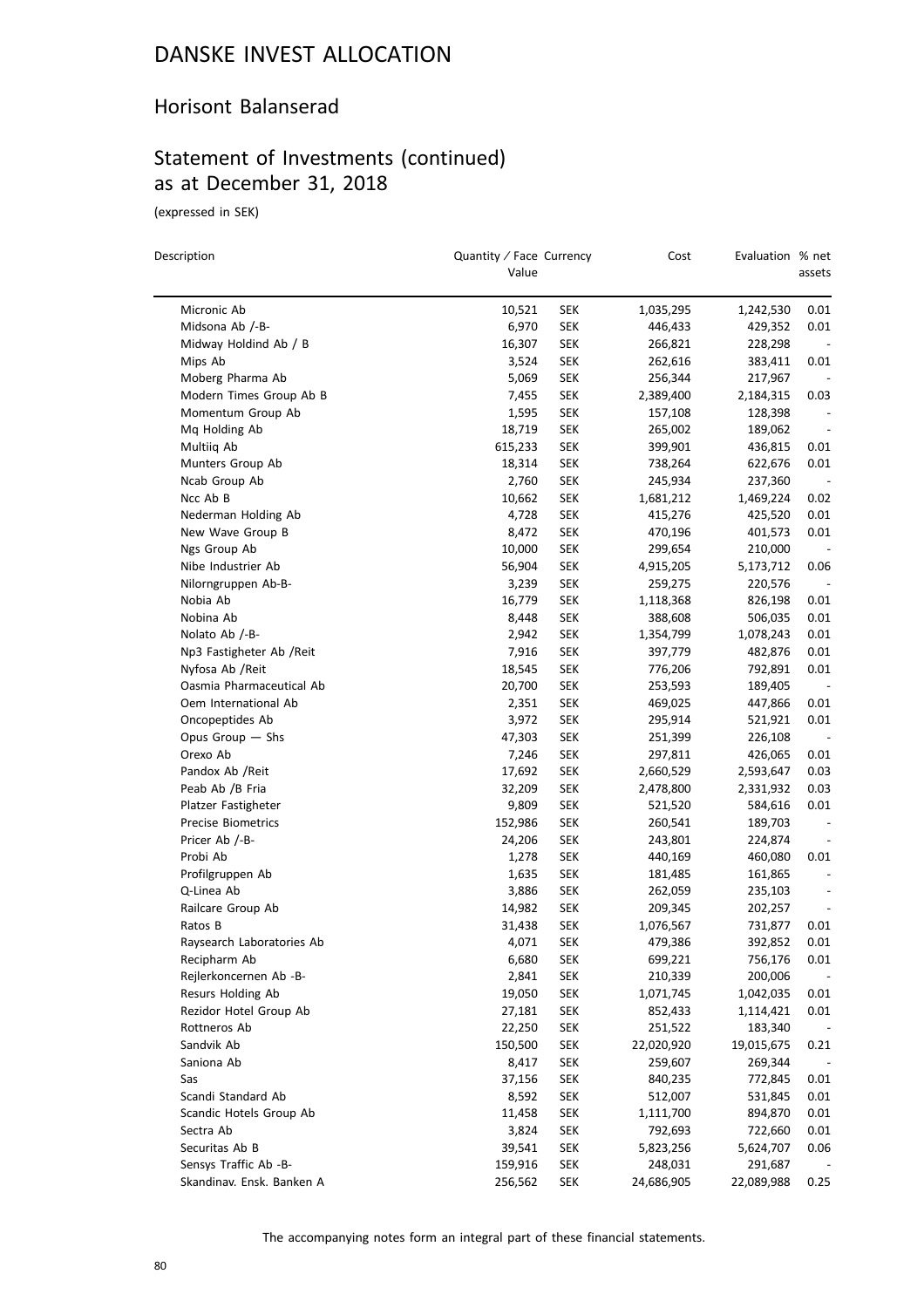#### Horisont Balanserad

## Statement of Investments (continued) as at December 31, 2018

(expressed in SEK)

 $\overline{\phantom{0}}$ 

| Description                                 | Quantity / Face Currency<br>Value |                   | Cost                 | Evaluation % net     | assets |
|---------------------------------------------|-----------------------------------|-------------------|----------------------|----------------------|--------|
|                                             |                                   |                   |                      |                      |        |
| Micronic Ab                                 | 10,521                            | SEK               | 1,035,295            | 1,242,530            | 0.01   |
| Midsona Ab /-B-                             | 6,970                             | SEK               | 446,433              | 429,352              | 0.01   |
| Midway Holdind Ab / B                       | 16,307                            | SEK               | 266,821<br>262,616   | 228,298              |        |
| Mips Ab                                     | 3,524                             | SEK               |                      | 383,411              | 0.01   |
| Moberg Pharma Ab<br>Modern Times Group Ab B | 5,069<br>7,455                    | SEK<br><b>SEK</b> | 256,344<br>2,389,400 | 217,967              | 0.03   |
| Momentum Group Ab                           | 1,595                             | <b>SEK</b>        | 157,108              | 2,184,315<br>128,398 |        |
| Mq Holding Ab                               | 18,719                            | SEK               | 265,002              | 189,062              |        |
| Multiiq Ab                                  | 615,233                           | SEK               | 399,901              | 436,815              | 0.01   |
| Munters Group Ab                            | 18,314                            | <b>SEK</b>        | 738,264              | 622,676              | 0.01   |
| Ncab Group Ab                               | 2,760                             | <b>SEK</b>        | 245,934              | 237,360              |        |
| Ncc Ab B                                    | 10,662                            | <b>SEK</b>        | 1,681,212            | 1,469,224            | 0.02   |
| Nederman Holding Ab                         | 4,728                             | <b>SEK</b>        | 415,276              | 425,520              | 0.01   |
| New Wave Group B                            | 8,472                             | SEK               | 470,196              | 401,573              | 0.01   |
| Ngs Group Ab                                | 10,000                            | SEK               | 299,654              | 210,000              |        |
| Nibe Industrier Ab                          | 56,904                            | <b>SEK</b>        | 4,915,205            | 5,173,712            | 0.06   |
| Nilorngruppen Ab-B-                         | 3,239                             | SEK               | 259,275              | 220,576              |        |
| Nobia Ab                                    | 16,779                            | <b>SEK</b>        | 1,118,368            | 826,198              | 0.01   |
| Nobina Ab                                   | 8,448                             | <b>SEK</b>        | 388,608              | 506,035              | 0.01   |
| Nolato Ab /-B-                              | 2,942                             | SEK               | 1,354,799            | 1,078,243            | 0.01   |
| Np3 Fastigheter Ab /Reit                    | 7,916                             | SEK               | 397,779              | 482,876              | 0.01   |
| Nyfosa Ab / Reit                            | 18,545                            | <b>SEK</b>        | 776,206              | 792,891              | 0.01   |
| Oasmia Pharmaceutical Ab                    | 20,700                            | <b>SEK</b>        | 253,593              | 189,405              |        |
| Oem International Ab                        | 2,351                             | <b>SEK</b>        | 469,025              | 447,866              | 0.01   |
| Oncopeptides Ab                             | 3,972                             | <b>SEK</b>        | 295,914              | 521,921              | 0.01   |
| Opus Group - Shs                            | 47,303                            | <b>SEK</b>        | 251,399              | 226,108              |        |
| Orexo Ab                                    | 7,246                             | SEK               | 297,811              | 426,065              | 0.01   |
| Pandox Ab / Reit                            | 17,692                            | <b>SEK</b>        | 2,660,529            | 2,593,647            | 0.03   |
| Peab Ab /B Fria                             | 32,209                            | SEK               | 2,478,800            | 2,331,932            | 0.03   |
| Platzer Fastigheter                         | 9,809                             | <b>SEK</b>        | 521,520              | 584,616              | 0.01   |
| <b>Precise Biometrics</b>                   | 152,986                           | <b>SEK</b>        | 260,541              | 189,703              |        |
| Pricer Ab /-B-                              | 24,206                            | SEK               | 243,801              | 224,874              |        |
| Probi Ab                                    | 1,278                             | SEK               | 440,169              | 460,080              | 0.01   |
| Profilgruppen Ab                            | 1,635                             | <b>SEK</b>        | 181,485              | 161,865              |        |
| Q-Linea Ab                                  | 3,886                             | <b>SEK</b>        | 262,059              | 235,103              |        |
| Railcare Group Ab                           | 14,982                            | <b>SEK</b>        | 209,345              | 202,257              |        |
| Ratos B                                     | 31,438                            | <b>SEK</b>        | 1,076,567            | 731,877              | 0.01   |
| Raysearch Laboratories Ab                   | 4,071                             | <b>SEK</b>        | 479,386              | 392,852              | 0.01   |
| Recipharm Ab                                | 6,680                             | <b>SEK</b>        | 699,221              | 756,176              | 0.01   |
| Rejlerkoncernen Ab -B-                      | 2,841                             | <b>SEK</b>        | 210,339              | 200,006              |        |
| Resurs Holding Ab                           | 19,050                            | <b>SEK</b>        | 1,071,745            | 1,042,035            | 0.01   |
| Rezidor Hotel Group Ab                      | 27,181                            | <b>SEK</b>        | 852,433              | 1,114,421            | 0.01   |
| Rottneros Ab                                | 22,250                            | <b>SEK</b>        | 251,522              | 183,340              |        |
| Sandvik Ab                                  | 150,500                           | <b>SEK</b>        | 22,020,920           | 19,015,675           | 0.21   |
| Saniona Ab                                  | 8,417                             | <b>SEK</b>        | 259,607              | 269,344              |        |
| Sas                                         | 37,156                            | <b>SEK</b>        | 840,235              | 772,845              | 0.01   |
| Scandi Standard Ab                          | 8,592                             | <b>SEK</b>        | 512,007              | 531,845              | 0.01   |
| Scandic Hotels Group Ab                     | 11,458                            | <b>SEK</b>        | 1,111,700            | 894,870              | 0.01   |
| Sectra Ab                                   | 3,824                             | <b>SEK</b>        | 792,693              | 722,660              | 0.01   |
| Securitas Ab B                              | 39,541                            | <b>SEK</b>        | 5,823,256            | 5,624,707            | 0.06   |
| Sensys Traffic Ab -B-                       | 159,916                           | <b>SEK</b>        | 248,031              | 291,687              |        |
| Skandinav. Ensk. Banken A                   | 256,562                           | <b>SEK</b>        | 24,686,905           | 22,089,988           | 0.25   |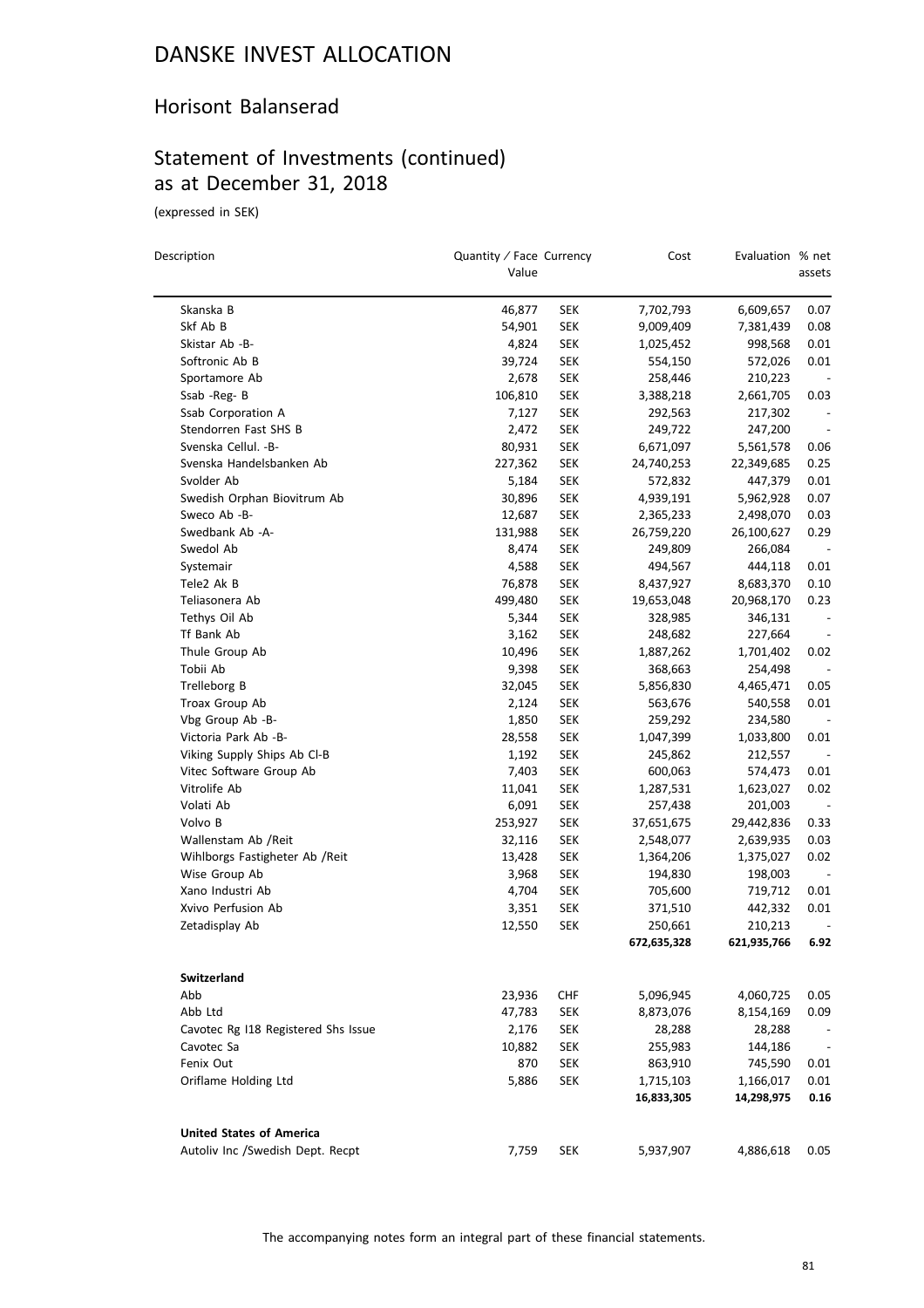#### Horisont Balanserad

# Statement of Investments (continued) as at December 31, 2018

(expressed in SEK)

 $\equiv$ 

| Description                         | Quantity / Face Currency<br>Value |            | Cost        | Evaluation % net | assets                   |
|-------------------------------------|-----------------------------------|------------|-------------|------------------|--------------------------|
|                                     |                                   |            |             |                  |                          |
| Skanska B                           | 46,877                            | SEK        | 7,702,793   | 6,609,657        | 0.07                     |
| Skf Ab B                            | 54,901                            | SEK        | 9,009,409   | 7,381,439        | 0.08                     |
| Skistar Ab -B-                      | 4,824                             | SEK        | 1,025,452   | 998,568          | 0.01                     |
| Softronic Ab B                      | 39,724                            | SEK        | 554,150     | 572,026          | 0.01                     |
| Sportamore Ab                       | 2,678                             | <b>SEK</b> | 258,446     | 210,223          |                          |
| Ssab -Reg- B                        | 106,810                           | <b>SEK</b> | 3,388,218   | 2,661,705        | 0.03                     |
| Ssab Corporation A                  | 7,127                             | <b>SEK</b> | 292,563     | 217,302          |                          |
| Stendorren Fast SHS B               | 2,472                             | <b>SEK</b> | 249,722     | 247,200          | $\overline{\phantom{a}}$ |
| Svenska Cellul. - B-                | 80,931                            | <b>SEK</b> | 6,671,097   | 5,561,578        | 0.06                     |
| Svenska Handelsbanken Ab            | 227,362                           | <b>SEK</b> | 24,740,253  | 22,349,685       | 0.25                     |
| Svolder Ab                          | 5,184                             | <b>SEK</b> | 572,832     | 447,379          | 0.01                     |
| Swedish Orphan Biovitrum Ab         | 30,896                            | <b>SEK</b> | 4,939,191   | 5,962,928        | 0.07                     |
| Sweco Ab -B-                        | 12,687                            | <b>SEK</b> | 2,365,233   | 2,498,070        | 0.03                     |
| Swedbank Ab -A-                     | 131,988                           | <b>SEK</b> | 26,759,220  | 26,100,627       | 0.29                     |
| Swedol Ab                           | 8,474                             | <b>SEK</b> | 249,809     | 266,084          |                          |
| Systemair                           | 4,588                             | <b>SEK</b> | 494,567     | 444,118          | 0.01                     |
| Tele2 Ak B                          | 76,878                            | <b>SEK</b> | 8,437,927   | 8,683,370        | 0.10                     |
| Teliasonera Ab                      | 499,480                           | <b>SEK</b> | 19,653,048  | 20,968,170       | 0.23                     |
| Tethys Oil Ab                       | 5,344                             | <b>SEK</b> | 328,985     | 346,131          | $\overline{\phantom{a}}$ |
| Tf Bank Ab                          | 3,162                             | <b>SEK</b> | 248,682     | 227,664          | $\overline{\phantom{a}}$ |
| Thule Group Ab                      | 10,496                            | <b>SEK</b> | 1,887,262   | 1,701,402        | 0.02                     |
| Tobii Ab                            | 9,398                             | <b>SEK</b> | 368,663     | 254,498          |                          |
| Trelleborg B                        | 32,045                            | <b>SEK</b> | 5,856,830   | 4,465,471        | 0.05                     |
| Troax Group Ab                      | 2,124                             | <b>SEK</b> | 563,676     | 540,558          | 0.01                     |
| Vbg Group Ab -B-                    | 1,850                             | <b>SEK</b> | 259,292     | 234,580          |                          |
| Victoria Park Ab -B-                | 28,558                            | <b>SEK</b> | 1,047,399   | 1,033,800        | 0.01                     |
| Viking Supply Ships Ab Cl-B         | 1,192                             | <b>SEK</b> | 245,862     | 212,557          |                          |
| Vitec Software Group Ab             | 7,403                             | <b>SEK</b> | 600,063     | 574,473          | 0.01                     |
| Vitrolife Ab                        | 11,041                            | <b>SEK</b> | 1,287,531   | 1,623,027        | 0.02                     |
| Volati Ab                           | 6,091                             | <b>SEK</b> | 257,438     | 201,003          |                          |
| Volvo B                             | 253,927                           | <b>SEK</b> | 37,651,675  | 29,442,836       | 0.33                     |
| Wallenstam Ab /Reit                 | 32,116                            | <b>SEK</b> | 2,548,077   | 2,639,935        | 0.03                     |
| Wihlborgs Fastigheter Ab / Reit     | 13,428                            | <b>SEK</b> | 1,364,206   | 1,375,027        | 0.02                     |
| Wise Group Ab                       | 3,968                             | <b>SEK</b> | 194,830     | 198,003          |                          |
| Xano Industri Ab                    | 4,704                             | <b>SEK</b> | 705,600     | 719,712          | 0.01                     |
| Xvivo Perfusion Ab                  | 3,351                             | <b>SEK</b> | 371,510     | 442,332          | 0.01                     |
| Zetadisplay Ab                      | 12,550                            | <b>SEK</b> | 250,661     | 210,213          |                          |
|                                     |                                   |            | 672,635,328 | 621,935,766      | 6.92                     |
| Switzerland                         |                                   |            |             |                  |                          |
| Abb                                 | 23,936                            | <b>CHF</b> | 5,096,945   | 4,060,725        | 0.05                     |
| Abb Ltd                             | 47,783                            | <b>SEK</b> | 8,873,076   | 8,154,169        | 0.09                     |
| Cavotec Rg I18 Registered Shs Issue | 2,176                             | <b>SEK</b> | 28,288      | 28,288           |                          |
| Cavotec Sa                          | 10,882                            | <b>SEK</b> | 255,983     | 144,186          |                          |
| Fenix Out                           | 870                               | SEK        | 863,910     | 745,590          | 0.01                     |
| Oriflame Holding Ltd                | 5,886                             | SEK        | 1,715,103   | 1,166,017        | 0.01                     |
|                                     |                                   |            | 16,833,305  | 14,298,975       | 0.16                     |
| <b>United States of America</b>     |                                   |            |             |                  |                          |
| Autoliv Inc /Swedish Dept. Recpt    | 7,759                             | SEK        | 5,937,907   | 4,886,618        | 0.05                     |
|                                     |                                   |            |             |                  |                          |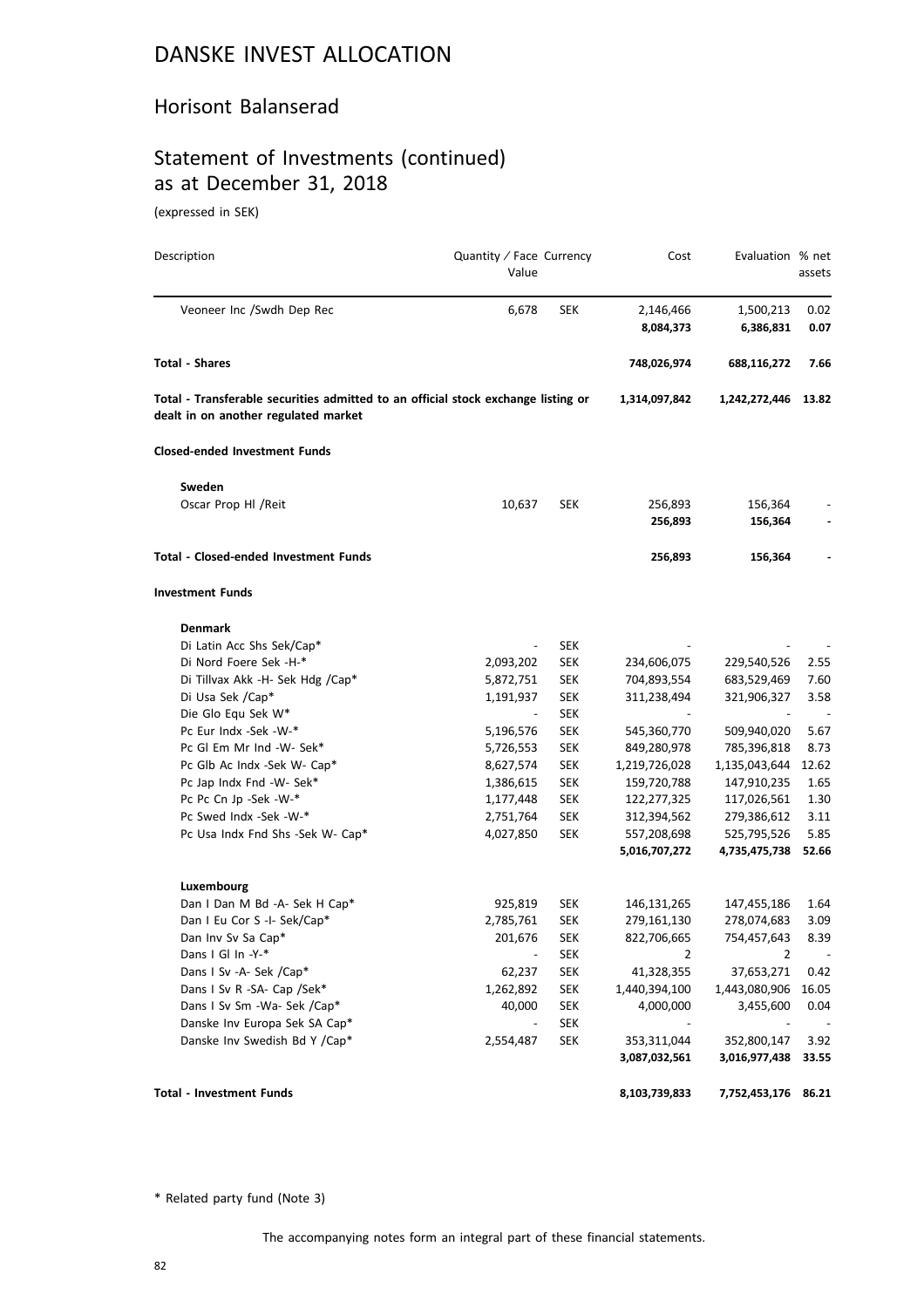#### Horisont Balanserad

## Statement of Investments (continued) as at December 31, 2018

(expressed in SEK)

| Description                                                                                                               | Quantity / Face Currency<br>Value |            | Cost           | Evaluation % net | assets                   |
|---------------------------------------------------------------------------------------------------------------------------|-----------------------------------|------------|----------------|------------------|--------------------------|
| Veoneer Inc /Swdh Dep Rec                                                                                                 | 6,678                             | <b>SEK</b> | 2,146,466      | 1,500,213        | 0.02                     |
|                                                                                                                           |                                   |            | 8,084,373      | 6,386,831        | 0.07                     |
| Total - Shares                                                                                                            |                                   |            | 748,026,974    | 688,116,272      | 7.66                     |
| Total - Transferable securities admitted to an official stock exchange listing or<br>dealt in on another regulated market |                                   |            | 1,314,097,842  | 1,242,272,446    | 13.82                    |
| <b>Closed-ended Investment Funds</b>                                                                                      |                                   |            |                |                  |                          |
| Sweden                                                                                                                    |                                   |            |                |                  |                          |
| Oscar Prop HI / Reit                                                                                                      | 10,637                            | <b>SEK</b> | 256,893        | 156,364          |                          |
|                                                                                                                           |                                   |            | 256,893        | 156,364          |                          |
| Total - Closed-ended Investment Funds                                                                                     |                                   |            | 256,893        | 156,364          |                          |
| <b>Investment Funds</b>                                                                                                   |                                   |            |                |                  |                          |
| <b>Denmark</b>                                                                                                            |                                   |            |                |                  |                          |
| Di Latin Acc Shs Sek/Cap*                                                                                                 |                                   | <b>SEK</b> |                |                  |                          |
| Di Nord Foere Sek -H-*                                                                                                    | 2,093,202                         | <b>SEK</b> | 234,606,075    | 229,540,526      | 2.55                     |
| Di Tillvax Akk -H- Sek Hdg /Cap*                                                                                          | 5,872,751                         | SEK        | 704,893,554    | 683,529,469      | 7.60                     |
| Di Usa Sek /Cap*                                                                                                          | 1,191,937                         | <b>SEK</b> | 311,238,494    | 321,906,327      | 3.58                     |
| Die Glo Equ Sek W*                                                                                                        | $\overline{\phantom{a}}$          | <b>SEK</b> |                |                  |                          |
| Pc Eur Indx -Sek -W-*                                                                                                     | 5,196,576                         | SEK        | 545,360,770    | 509,940,020      | 5.67                     |
| Pc Gl Em Mr Ind -W- Sek*                                                                                                  | 5,726,553                         | <b>SEK</b> | 849,280,978    | 785,396,818      | 8.73                     |
| Pc Glb Ac Indx -Sek W- Cap*                                                                                               | 8,627,574                         | <b>SEK</b> | 1,219,726,028  | 1,135,043,644    | 12.62                    |
| Pc Jap Indx Fnd -W- Sek*                                                                                                  | 1,386,615                         | SEK        | 159,720,788    | 147,910,235      | 1.65                     |
| Pc Pc Cn Jp -Sek -W-*                                                                                                     | 1,177,448                         | <b>SEK</b> | 122,277,325    | 117,026,561      | 1.30                     |
| Pc Swed Indx -Sek -W-*                                                                                                    | 2,751,764                         | SEK        | 312,394,562    | 279,386,612      | 3.11                     |
| Pc Usa Indx Fnd Shs -Sek W- Cap*                                                                                          | 4,027,850                         | <b>SEK</b> | 557,208,698    | 525,795,526      | 5.85                     |
|                                                                                                                           |                                   |            | 5,016,707,272  | 4,735,475,738    | 52.66                    |
| Luxembourg                                                                                                                |                                   |            |                |                  |                          |
| Dan I Dan M Bd -A- Sek H Cap*                                                                                             | 925,819                           | <b>SEK</b> | 146,131,265    | 147,455,186      | 1.64                     |
| Dan I Eu Cor S -I- Sek/Cap*                                                                                               | 2,785,761                         | <b>SEK</b> | 279,161,130    | 278,074,683      | 3.09                     |
| Dan Inv Sv Sa Cap*                                                                                                        | 201,676                           | SEK        | 822,706,665    | 754,457,643      | 8.39                     |
| Dans I GI In -Y-*                                                                                                         | $\overline{\phantom{a}}$          | <b>SEK</b> | $\overline{2}$ | $\overline{2}$   | $\overline{\phantom{a}}$ |
| Dans I Sv -A- Sek /Cap*                                                                                                   | 62,237                            | <b>SEK</b> | 41,328,355     | 37,653,271       | 0.42                     |
| Dans I Sv R -SA- Cap /Sek*                                                                                                | 1,262,892                         | <b>SEK</b> | 1,440,394,100  | 1,443,080,906    | 16.05                    |
| Dans I Sv Sm -Wa- Sek /Cap*                                                                                               | 40,000                            | <b>SEK</b> | 4,000,000      | 3,455,600        | 0.04                     |
| Danske Inv Europa Sek SA Cap*                                                                                             |                                   | <b>SEK</b> |                |                  |                          |
| Danske Inv Swedish Bd Y /Cap*                                                                                             | 2,554,487                         | SEK        | 353,311,044    | 352,800,147      | 3.92                     |
|                                                                                                                           |                                   |            | 3,087,032,561  | 3,016,977,438    | 33.55                    |
| <b>Total - Investment Funds</b>                                                                                           |                                   |            | 8,103,739,833  | 7,752,453,176    | 86.21                    |

\* Related party fund (Note 3)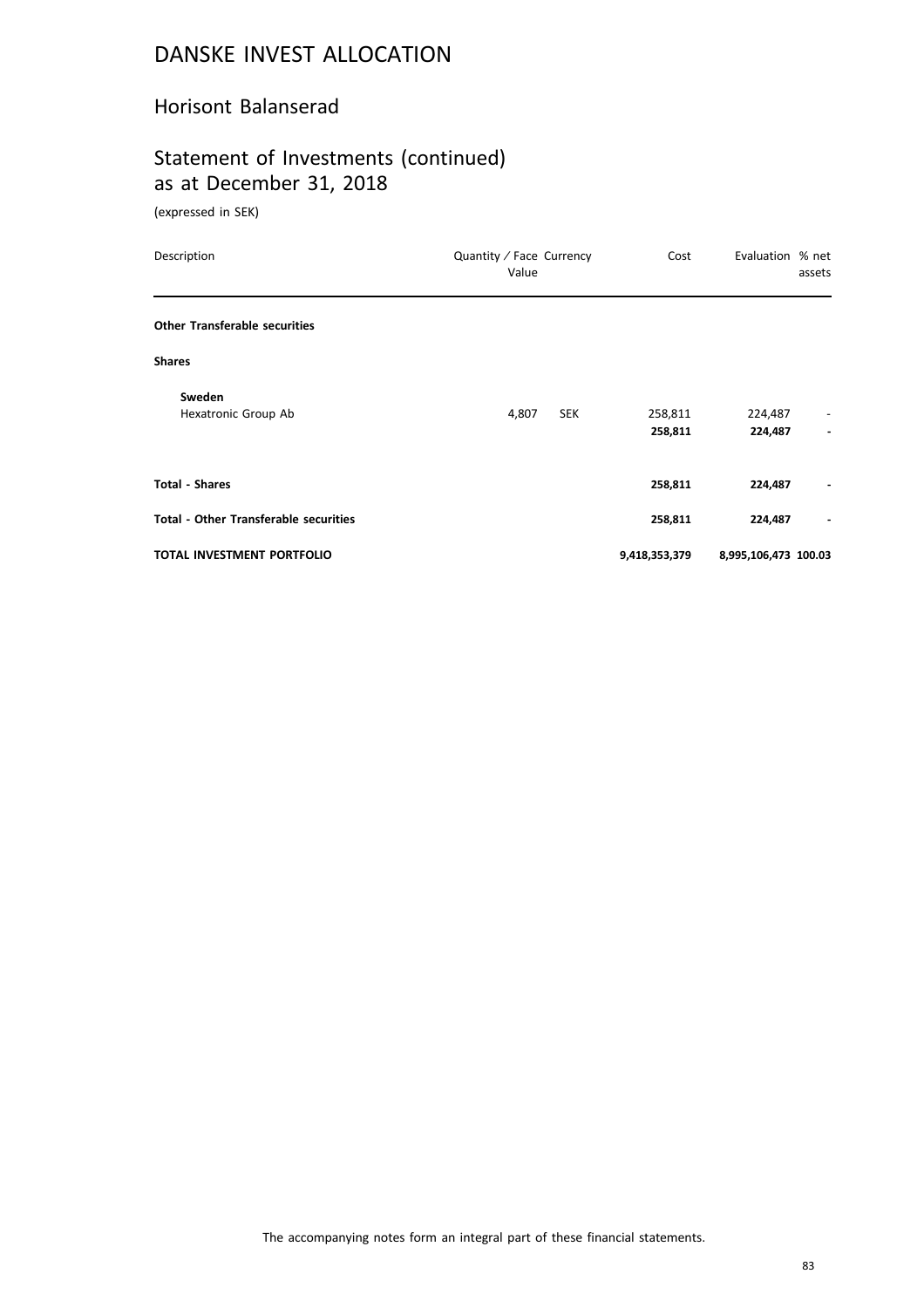#### Horisont Balanserad

# Statement of Investments (continued) as at December 31, 2018

(expressed in SEK)

| Description                                  | Quantity / Face Currency<br>Value | Cost               | Evaluation % net<br>assets                          |
|----------------------------------------------|-----------------------------------|--------------------|-----------------------------------------------------|
| <b>Other Transferable securities</b>         |                                   |                    |                                                     |
| <b>Shares</b>                                |                                   |                    |                                                     |
| Sweden<br>Hexatronic Group Ab                | 4,807<br><b>SEK</b>               | 258,811<br>258,811 | 224,487<br>-<br>224,487<br>$\overline{\phantom{a}}$ |
| <b>Total - Shares</b>                        |                                   | 258,811            | 224,487                                             |
| <b>Total - Other Transferable securities</b> |                                   | 258,811            | 224,487                                             |
| <b>TOTAL INVESTMENT PORTFOLIO</b>            |                                   | 9,418,353,379      | 8,995,106,473 100.03                                |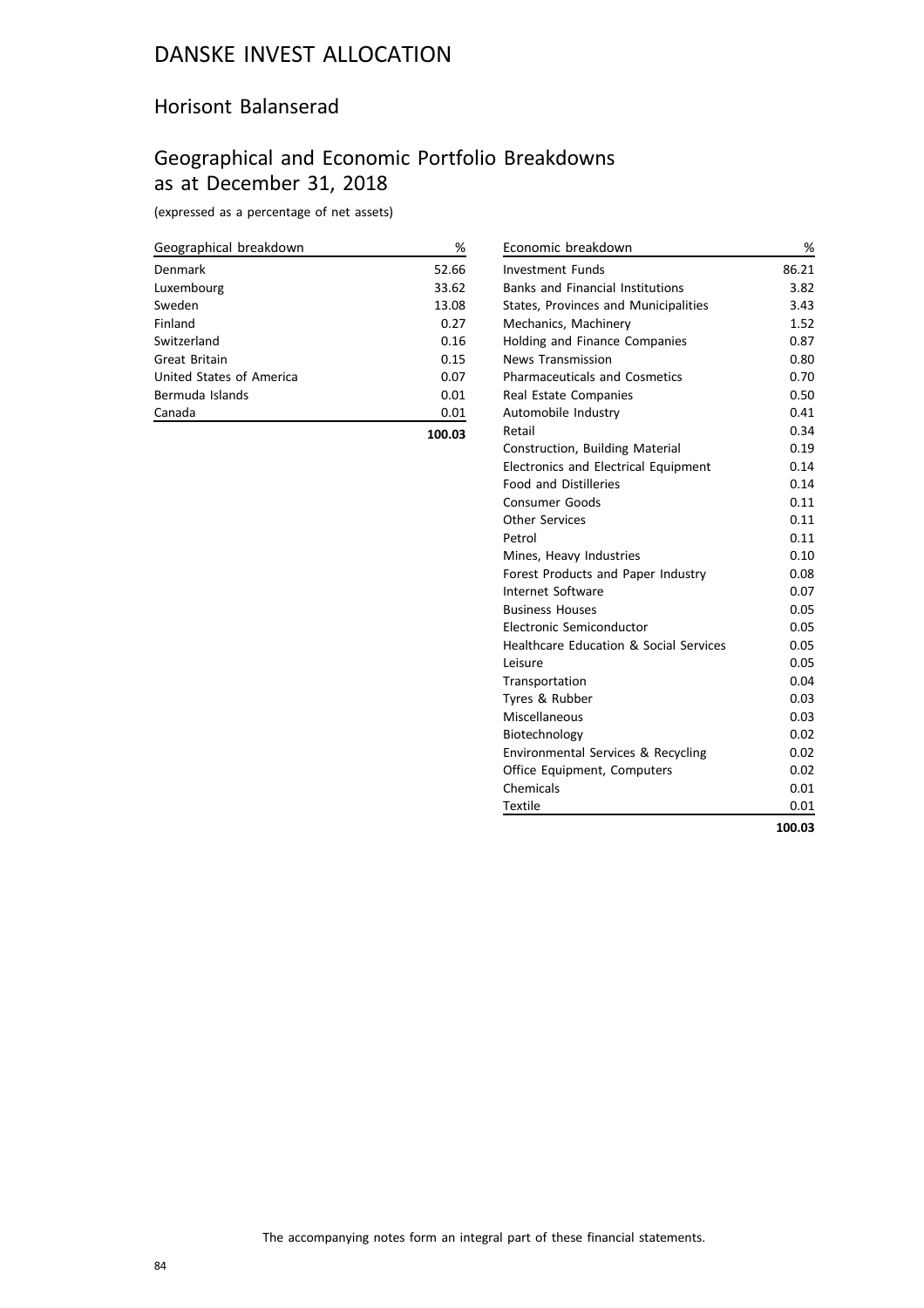#### Horisont Balanserad

## Geographical and Economic Portfolio Breakdowns as at December 31, 2018

(expressed as a percentage of net assets)

| Geographical breakdown   | %      |
|--------------------------|--------|
| Denmark                  | 52.66  |
| Luxembourg               | 33.62  |
| Sweden                   | 13.08  |
| Finland                  | 0.27   |
| Switzerland              | 0.16   |
| Great Britain            | 0.15   |
| United States of America | 0.07   |
| Bermuda Islands          | 0.01   |
| Canada                   | 0.01   |
|                          | 100.03 |

| Economic breakdown                          | %      |
|---------------------------------------------|--------|
| Investment Funds                            | 86.21  |
| <b>Banks and Financial Institutions</b>     | 3.82   |
| States, Provinces and Municipalities        | 3.43   |
| Mechanics, Machinery                        | 1.52   |
| Holding and Finance Companies               | 0.87   |
| <b>News Transmission</b>                    | 0.80   |
| <b>Pharmaceuticals and Cosmetics</b>        | 0.70   |
| Real Estate Companies                       | 0.50   |
| Automobile Industry                         | 0.41   |
| Retail                                      | 0.34   |
| Construction, Building Material             | 0.19   |
| <b>Electronics and Electrical Equipment</b> | 0.14   |
| <b>Food and Distilleries</b>                | 0.14   |
| <b>Consumer Goods</b>                       | 0.11   |
| <b>Other Services</b>                       | 0.11   |
| Petrol                                      | 0.11   |
| Mines, Heavy Industries                     | 0.10   |
| Forest Products and Paper Industry          | 0.08   |
| <b>Internet Software</b>                    | 0.07   |
| <b>Business Houses</b>                      | 0.05   |
| Electronic Semiconductor                    | 0.05   |
| Healthcare Education & Social Services      | 0.05   |
| Leisure                                     | 0.05   |
| Transportation                              | 0.04   |
| Tyres & Rubber                              | 0.03   |
| Miscellaneous                               | 0.03   |
| Biotechnology                               | 0.02   |
| Environmental Services & Recycling          | 0.02   |
| Office Equipment, Computers                 | 0.02   |
| Chemicals                                   | 0.01   |
| <b>Textile</b>                              | 0.01   |
|                                             | 100.03 |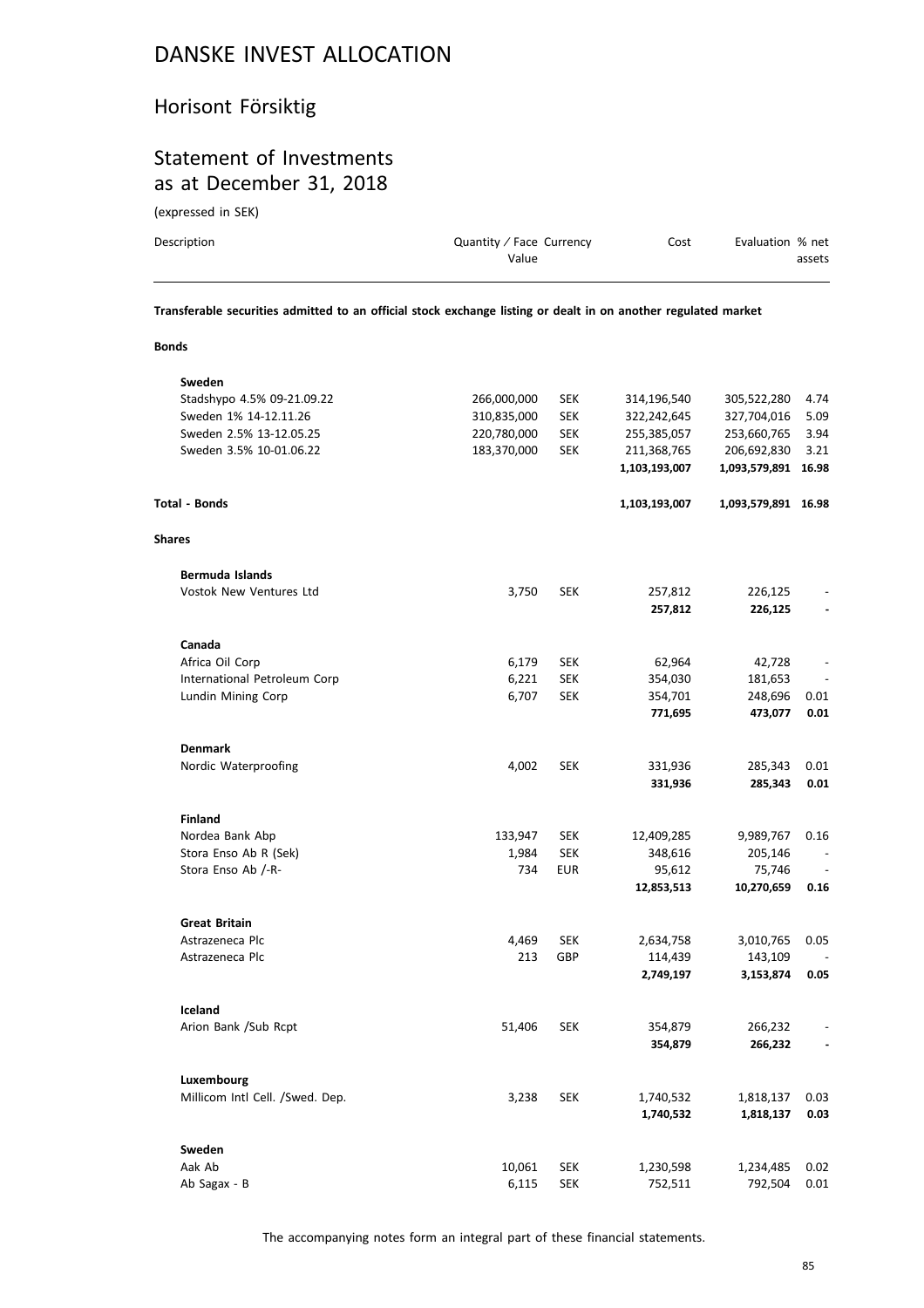### Horisont Försiktig

### Statement of Investments as at December 31, 2018

(expressed in SEK)

| Description | Quantity / Face Currency<br>Value | Cost | Evaluation % net<br>assets |
|-------------|-----------------------------------|------|----------------------------|
|             |                                   |      |                            |

**Transferable securities admitted to an official stock exchange listing or dealt in on another regulated market**

**Bonds**

| Sweden                          |             |            |               |                     |                          |
|---------------------------------|-------------|------------|---------------|---------------------|--------------------------|
| Stadshypo 4.5% 09-21.09.22      | 266,000,000 | <b>SEK</b> | 314,196,540   | 305,522,280         | 4.74                     |
| Sweden 1% 14-12.11.26           | 310,835,000 | <b>SEK</b> | 322,242,645   | 327,704,016         | 5.09                     |
| Sweden 2.5% 13-12.05.25         | 220,780,000 | <b>SEK</b> | 255,385,057   | 253,660,765         | 3.94                     |
| Sweden 3.5% 10-01.06.22         | 183,370,000 | <b>SEK</b> | 211,368,765   | 206,692,830         | 3.21                     |
|                                 |             |            | 1,103,193,007 | 1,093,579,891 16.98 |                          |
| <b>Total - Bonds</b>            |             |            | 1,103,193,007 | 1,093,579,891 16.98 |                          |
| <b>Shares</b>                   |             |            |               |                     |                          |
| Bermuda Islands                 |             |            |               |                     |                          |
| <b>Vostok New Ventures Ltd</b>  | 3,750       | <b>SEK</b> | 257,812       | 226,125             |                          |
|                                 |             |            | 257,812       | 226,125             |                          |
| Canada                          |             |            |               |                     |                          |
| Africa Oil Corp                 | 6,179       | <b>SEK</b> | 62,964        | 42,728              |                          |
| International Petroleum Corp    | 6,221       | <b>SEK</b> | 354,030       | 181,653             |                          |
| Lundin Mining Corp              | 6,707       | <b>SEK</b> | 354,701       | 248,696             | 0.01                     |
|                                 |             |            | 771,695       | 473,077             | 0.01                     |
| <b>Denmark</b>                  |             |            |               |                     |                          |
| Nordic Waterproofing            | 4,002       | <b>SEK</b> | 331,936       | 285,343             | 0.01                     |
|                                 |             |            | 331,936       | 285,343             | 0.01                     |
| <b>Finland</b>                  |             |            |               |                     |                          |
| Nordea Bank Abp                 | 133,947     | <b>SEK</b> | 12,409,285    | 9,989,767           | 0.16                     |
| Stora Enso Ab R (Sek)           | 1,984       | <b>SEK</b> | 348,616       | 205,146             |                          |
| Stora Enso Ab /-R-              | 734         | <b>EUR</b> | 95,612        | 75,746              |                          |
|                                 |             |            | 12,853,513    | 10,270,659          | 0.16                     |
| <b>Great Britain</b>            |             |            |               |                     |                          |
| Astrazeneca Plc                 | 4,469       | <b>SEK</b> | 2,634,758     | 3,010,765           | 0.05                     |
| Astrazeneca Plc                 | 213         | GBP        | 114,439       | 143,109             |                          |
|                                 |             |            | 2,749,197     | 3,153,874           | 0.05                     |
| Iceland                         |             |            |               |                     |                          |
| Arion Bank /Sub Rcpt            | 51,406      | <b>SEK</b> | 354,879       | 266,232             |                          |
|                                 |             |            | 354,879       | 266,232             | $\overline{\phantom{a}}$ |
| Luxembourg                      |             |            |               |                     |                          |
| Millicom Intl Cell. /Swed. Dep. | 3,238       | <b>SEK</b> | 1,740,532     | 1,818,137           | 0.03                     |
|                                 |             |            | 1,740,532     | 1,818,137           | 0.03                     |
| Sweden                          |             |            |               |                     |                          |
| Aak Ab                          | 10,061      | <b>SEK</b> | 1,230,598     | 1,234,485           | 0.02                     |
| Ab Sagax - B                    | 6,115       | <b>SEK</b> | 752,511       | 792,504             | 0.01                     |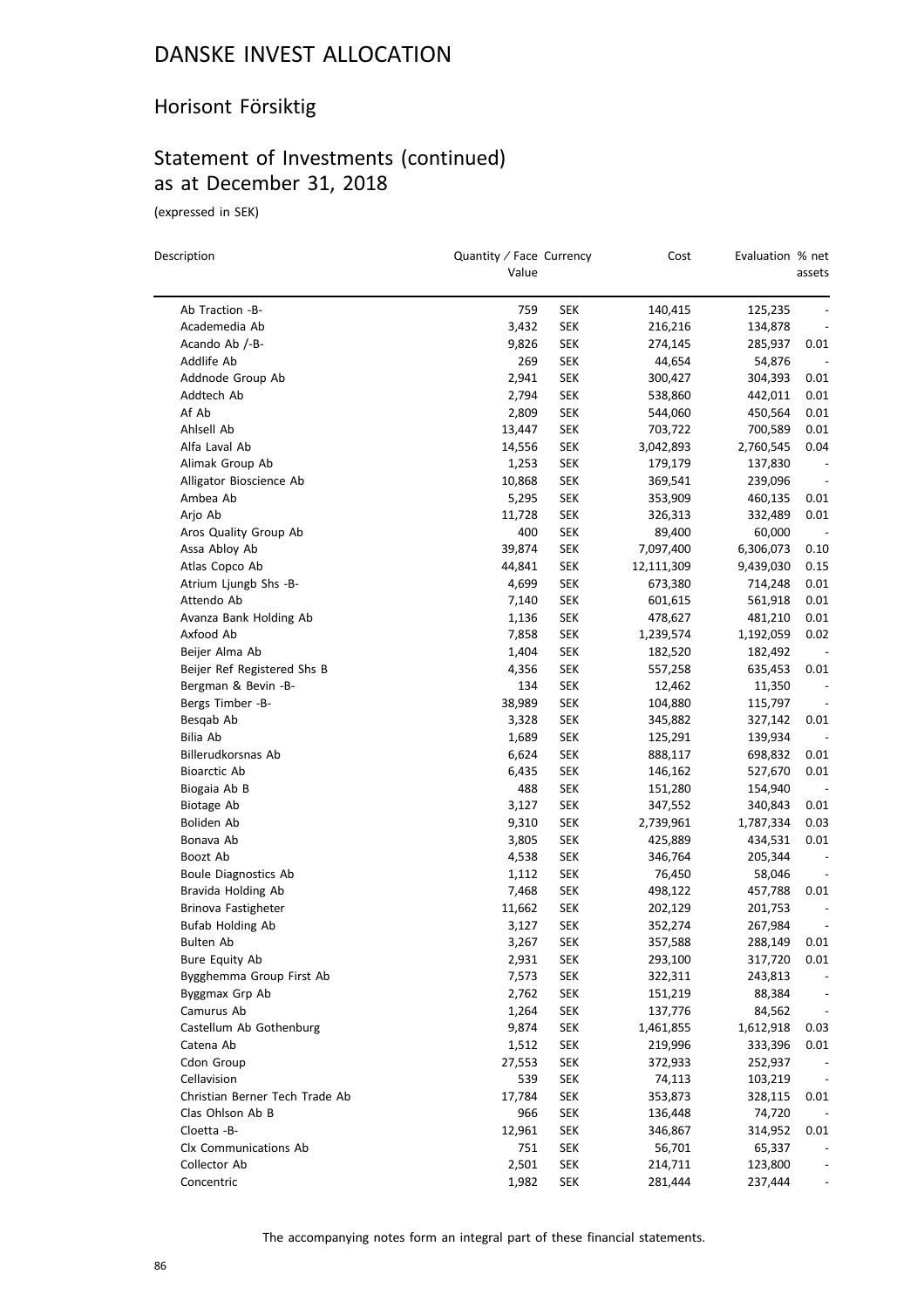### Horisont Försiktig

## Statement of Investments (continued) as at December 31, 2018

(expressed in SEK)

| Description                    | Quantity / Face Currency<br>Value |            | Cost       | Evaluation % net | assets |
|--------------------------------|-----------------------------------|------------|------------|------------------|--------|
|                                |                                   |            |            |                  |        |
| Ab Traction -B-                | 759                               | SEK        | 140,415    | 125,235          |        |
| Academedia Ab                  | 3,432                             | SEK        | 216,216    | 134,878          |        |
| Acando Ab /-B-                 | 9,826                             | <b>SEK</b> | 274,145    | 285,937          | 0.01   |
| Addlife Ab                     | 269                               | SEK        | 44,654     | 54,876           |        |
| Addnode Group Ab               | 2,941                             | SEK        | 300,427    | 304,393          | 0.01   |
| Addtech Ab                     | 2,794                             | <b>SEK</b> | 538,860    | 442,011          | 0.01   |
| Af Ab                          | 2,809                             | SEK        | 544,060    | 450,564          | 0.01   |
| Ahlsell Ab                     | 13,447                            | <b>SEK</b> | 703,722    | 700,589          | 0.01   |
| Alfa Laval Ab                  | 14,556                            | SEK        | 3,042,893  | 2,760,545        | 0.04   |
| Alimak Group Ab                | 1,253                             | SEK        | 179,179    | 137,830          |        |
| Alligator Bioscience Ab        | 10,868                            | SEK        | 369,541    | 239,096          |        |
| Ambea Ab                       | 5,295                             | <b>SEK</b> | 353,909    | 460,135          | 0.01   |
| Arjo Ab                        | 11,728                            | SEK        | 326,313    | 332,489          | 0.01   |
| Aros Quality Group Ab          | 400                               | SEK        | 89,400     | 60,000           |        |
| Assa Abloy Ab                  | 39,874                            | <b>SEK</b> | 7,097,400  | 6,306,073        | 0.10   |
| Atlas Copco Ab                 | 44,841                            | <b>SEK</b> | 12,111,309 | 9,439,030        | 0.15   |
| Atrium Ljungb Shs -B-          | 4,699                             | SEK        | 673,380    | 714,248          | 0.01   |
| Attendo Ab                     | 7,140                             | SEK        | 601,615    | 561,918          | 0.01   |
| Avanza Bank Holding Ab         | 1,136                             | <b>SEK</b> | 478,627    | 481,210          | 0.01   |
| Axfood Ab                      | 7,858                             | SEK        | 1,239,574  | 1,192,059        | 0.02   |
| Beijer Alma Ab                 | 1,404                             | SEK        | 182,520    | 182,492          |        |
| Beijer Ref Registered Shs B    | 4,356                             | SEK        | 557,258    | 635,453          | 0.01   |
| Bergman & Bevin -B-            | 134                               | SEK        | 12,462     | 11,350           |        |
| Bergs Timber -B-               | 38,989                            | SEK        | 104,880    | 115,797          |        |
| Besqab Ab                      | 3,328                             | SEK        | 345,882    | 327,142          | 0.01   |
| Bilia Ab                       | 1,689                             | SEK        | 125,291    | 139,934          |        |
| Billerudkorsnas Ab             | 6,624                             | SEK        | 888,117    | 698,832          | 0.01   |
| <b>Bioarctic Ab</b>            | 6,435                             | <b>SEK</b> | 146,162    | 527,670          | 0.01   |
| Biogaia Ab B                   | 488                               | SEK        | 151,280    | 154,940          |        |
| Biotage Ab                     | 3,127                             | SEK        | 347,552    | 340,843          | 0.01   |
| Boliden Ab                     | 9,310                             | <b>SEK</b> | 2,739,961  | 1,787,334        | 0.03   |
| Bonava Ab                      | 3,805                             | SEK        | 425,889    | 434,531          | 0.01   |
| Boozt Ab                       | 4,538                             | SEK        | 346,764    | 205,344          |        |
| Boule Diagnostics Ab           | 1,112                             | SEK        | 76,450     | 58,046           |        |
| Bravida Holding Ab             | 7,468                             | SEK        | 498,122    | 457,788          | 0.01   |
| Brinova Fastigheter            | 11,662                            | SEK        | 202,129    | 201,753          |        |
| <b>Bufab Holding Ab</b>        | 3,127                             | SEK        | 352,274    | 267,984          |        |
| Bulten Ab                      | 3,267                             | SEK        | 357,588    | 288,149          | 0.01   |
| Bure Equity Ab                 | 2,931                             | <b>SEK</b> | 293,100    | 317,720          | 0.01   |
| Bygghemma Group First Ab       | 7,573                             | <b>SEK</b> | 322,311    | 243,813          |        |
| Byggmax Grp Ab                 | 2,762                             | <b>SEK</b> | 151,219    | 88,384           |        |
| Camurus Ab                     | 1,264                             | <b>SEK</b> | 137,776    | 84,562           |        |
| Castellum Ab Gothenburg        | 9,874                             | <b>SEK</b> | 1,461,855  | 1,612,918        | 0.03   |
| Catena Ab                      | 1,512                             | <b>SEK</b> | 219,996    | 333,396          | 0.01   |
| Cdon Group                     | 27,553                            | <b>SEK</b> | 372,933    | 252,937          |        |
| Cellavision                    | 539                               | <b>SEK</b> | 74,113     | 103,219          |        |
| Christian Berner Tech Trade Ab | 17,784                            | <b>SEK</b> | 353,873    | 328,115          | 0.01   |
| Clas Ohlson Ab B               | 966                               | SEK        | 136,448    | 74,720           |        |
| Cloetta -B-                    | 12,961                            | <b>SEK</b> | 346,867    | 314,952          | 0.01   |
| Clx Communications Ab          | 751                               | <b>SEK</b> | 56,701     | 65,337           |        |
| Collector Ab                   | 2,501                             | SEK        | 214,711    | 123,800          |        |
| Concentric                     | 1,982                             | <b>SEK</b> | 281,444    | 237,444          |        |
|                                |                                   |            |            |                  |        |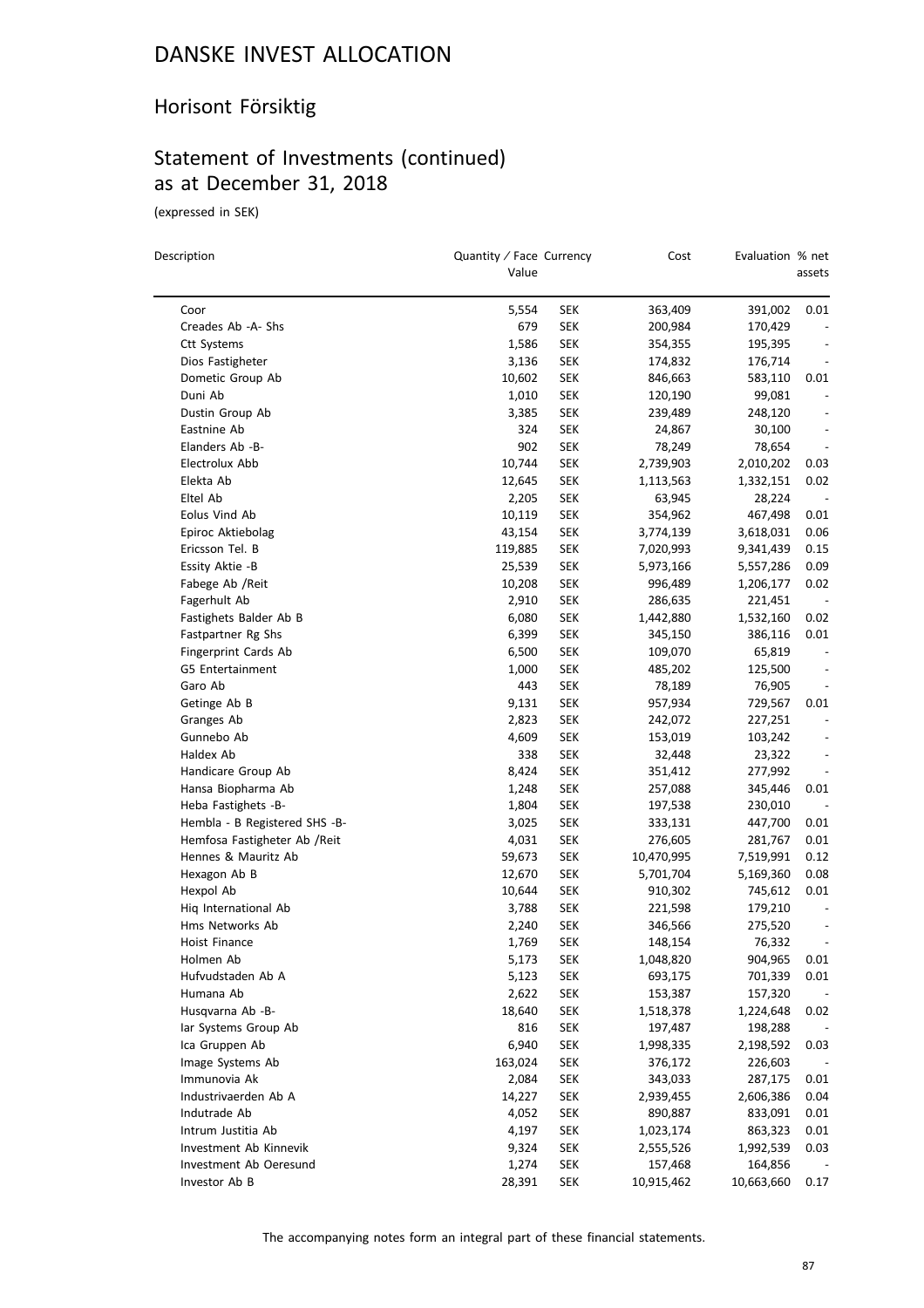### Horisont Försiktig

## Statement of Investments (continued) as at December 31, 2018

(expressed in SEK)

 $\equiv$ 

| Description                   | Quantity / Face Currency<br>Value |            | Cost       | Evaluation % net | assets                   |
|-------------------------------|-----------------------------------|------------|------------|------------------|--------------------------|
| Coor                          | 5,554                             | SEK        | 363,409    | 391,002          | 0.01                     |
| Creades Ab - A- Shs           | 679                               | <b>SEK</b> | 200,984    | 170,429          |                          |
| <b>Ctt Systems</b>            | 1,586                             | <b>SEK</b> | 354,355    | 195,395          |                          |
| Dios Fastigheter              | 3,136                             | SEK        | 174,832    | 176,714          | $\overline{a}$           |
| Dometic Group Ab              | 10,602                            | SEK        | 846,663    | 583,110          | 0.01                     |
| Duni Ab                       | 1,010                             | SEK        | 120,190    | 99,081           | $\overline{\phantom{a}}$ |
| Dustin Group Ab               | 3,385                             | <b>SEK</b> | 239,489    | 248,120          | $\overline{\phantom{a}}$ |
| Eastnine Ab                   | 324                               | SEK        | 24,867     | 30,100           |                          |
| Elanders Ab -B-               | 902                               | <b>SEK</b> | 78,249     | 78,654           |                          |
| Electrolux Abb                | 10,744                            | <b>SEK</b> | 2,739,903  | 2,010,202        | 0.03                     |
| Elekta Ab                     | 12,645                            | SEK        | 1,113,563  | 1,332,151        | 0.02                     |
| Eltel Ab                      | 2,205                             | SEK        | 63,945     | 28,224           | $\overline{\phantom{a}}$ |
| Eolus Vind Ab                 | 10,119                            | SEK        | 354,962    | 467,498          | 0.01                     |
| Epiroc Aktiebolag             | 43,154                            | <b>SEK</b> | 3,774,139  | 3,618,031        | 0.06                     |
| Ericsson Tel. B               | 119,885                           | <b>SEK</b> | 7,020,993  | 9,341,439        | 0.15                     |
| Essity Aktie -B               | 25,539                            | <b>SEK</b> | 5,973,166  | 5,557,286        | 0.09                     |
| Fabege Ab / Reit              | 10,208                            | SEK        | 996,489    | 1,206,177        | 0.02                     |
| Fagerhult Ab                  | 2,910                             | SEK        | 286,635    | 221,451          |                          |
| Fastighets Balder Ab B        | 6,080                             | SEK        | 1,442,880  | 1,532,160        | 0.02                     |
| Fastpartner Rg Shs            | 6,399                             | <b>SEK</b> | 345,150    | 386,116          | 0.01                     |
| Fingerprint Cards Ab          | 6,500                             | <b>SEK</b> | 109,070    | 65,819           |                          |
| <b>G5 Entertainment</b>       | 1,000                             | SEK        | 485,202    | 125,500          |                          |
| Garo Ab                       | 443                               | SEK        | 78,189     | 76,905           |                          |
| Getinge Ab B                  | 9,131                             | SEK        | 957,934    | 729,567          | 0.01                     |
| Granges Ab                    | 2,823                             | SEK        | 242,072    | 227,251          |                          |
| Gunnebo Ab                    | 4,609                             | <b>SEK</b> | 153,019    | 103,242          |                          |
| Haldex Ab                     | 338                               | <b>SEK</b> | 32,448     | 23,322           | $\overline{a}$           |
| Handicare Group Ab            | 8,424                             | <b>SEK</b> | 351,412    | 277,992          | $\overline{\phantom{a}}$ |
| Hansa Biopharma Ab            | 1,248                             | <b>SEK</b> | 257,088    | 345,446          | 0.01                     |
| Heba Fastighets -B-           | 1,804                             | SEK        | 197,538    | 230,010          | $\overline{\phantom{a}}$ |
| Hembla - B Registered SHS -B- | 3,025                             | SEK        | 333,131    | 447,700          | 0.01                     |
| Hemfosa Fastigheter Ab / Reit | 4,031                             | <b>SEK</b> | 276,605    | 281,767          | 0.01                     |
| Hennes & Mauritz Ab           | 59,673                            | <b>SEK</b> | 10,470,995 | 7,519,991        | 0.12                     |
| Hexagon Ab B                  | 12,670                            | SEK        | 5,701,704  | 5,169,360        | 0.08                     |
| Hexpol Ab                     | 10,644                            | SEK        | 910,302    | 745,612          | 0.01                     |
| Hiq International Ab          | 3,788                             | SEK        | 221,598    | 179,210          |                          |
| Hms Networks Ab               | 2,240                             | <b>SEK</b> | 346,566    | 275,520          | $\overline{\phantom{a}}$ |
| Hoist Finance                 | 1,769                             | <b>SEK</b> | 148,154    | 76,332           |                          |
| Holmen Ab                     | 5,173                             | <b>SEK</b> | 1,048,820  | 904,965          | 0.01                     |
| Hufvudstaden Ab A             | 5,123                             | <b>SEK</b> | 693,175    | 701,339          | 0.01                     |
| Humana Ab                     | 2,622                             | <b>SEK</b> | 153,387    | 157,320          |                          |
| Husqvarna Ab -B-              | 18,640                            | <b>SEK</b> | 1,518,378  | 1,224,648        | 0.02                     |
| lar Systems Group Ab          | 816                               | <b>SEK</b> | 197,487    | 198,288          |                          |
| Ica Gruppen Ab                | 6,940                             | <b>SEK</b> | 1,998,335  | 2,198,592        | 0.03                     |
| Image Systems Ab              | 163,024                           | <b>SEK</b> | 376,172    | 226,603          |                          |
| Immunovia Ak                  | 2,084                             | <b>SEK</b> | 343,033    | 287,175          | 0.01                     |
| Industrivaerden Ab A          | 14,227                            | <b>SEK</b> | 2,939,455  | 2,606,386        | 0.04                     |
| Indutrade Ab                  | 4,052                             | <b>SEK</b> | 890,887    | 833,091          | 0.01                     |
| Intrum Justitia Ab            | 4,197                             | <b>SEK</b> | 1,023,174  | 863,323          | 0.01                     |
| Investment Ab Kinnevik        | 9,324                             | <b>SEK</b> | 2,555,526  | 1,992,539        | 0.03                     |
| Investment Ab Oeresund        | 1,274                             | <b>SEK</b> | 157,468    | 164,856          |                          |
| Investor Ab B                 | 28,391                            | <b>SEK</b> | 10,915,462 | 10,663,660       | 0.17                     |
|                               |                                   |            |            |                  |                          |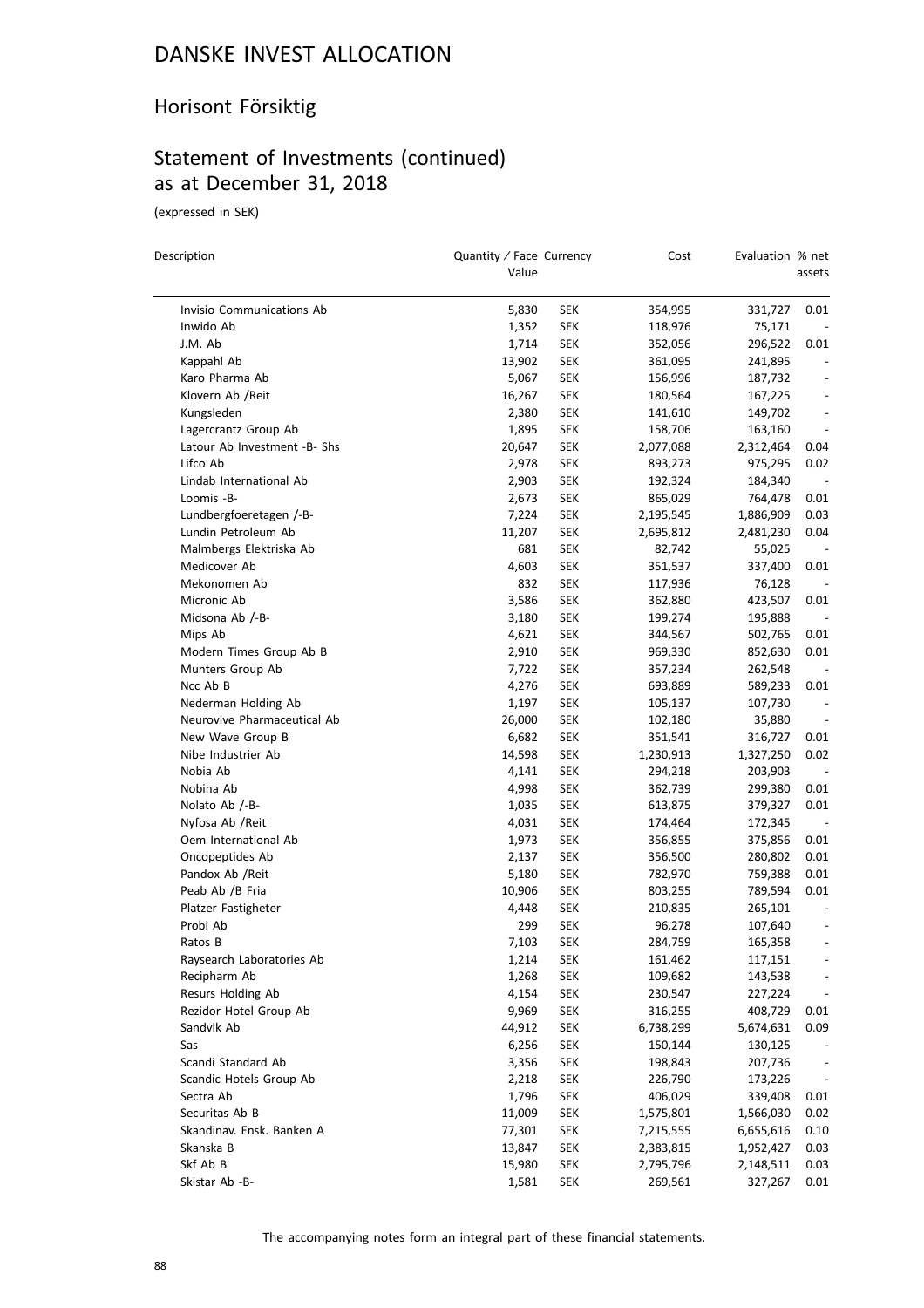### Horisont Försiktig

## Statement of Investments (continued) as at December 31, 2018

(expressed in SEK)

| Description                  | Quantity / Face Currency<br>Value |            | Cost      | Evaluation % net | assets                       |
|------------------------------|-----------------------------------|------------|-----------|------------------|------------------------------|
|                              |                                   |            |           |                  |                              |
| Invisio Communications Ab    | 5,830                             | SEK        | 354,995   | 331,727          | 0.01                         |
| Inwido Ab                    | 1,352                             | <b>SEK</b> | 118,976   | 75,171           |                              |
| J.M. Ab                      | 1,714                             | SEK        | 352,056   | 296,522          | 0.01                         |
| Kappahl Ab                   | 13,902                            | <b>SEK</b> | 361,095   | 241,895          | $\overline{\phantom{a}}$     |
| Karo Pharma Ab               | 5,067                             | <b>SEK</b> | 156,996   | 187,732          | $\overline{\phantom{a}}$     |
| Klovern Ab /Reit             | 16,267                            | SEK        | 180,564   | 167,225          | $\overline{\phantom{a}}$     |
| Kungsleden                   | 2,380                             | SEK        | 141,610   | 149,702          | $\overline{\phantom{a}}$     |
| Lagercrantz Group Ab         | 1,895                             | SEK        | 158,706   | 163,160          | $\overline{\phantom{a}}$     |
| Latour Ab Investment -B- Shs | 20,647                            | <b>SEK</b> | 2,077,088 | 2,312,464        | 0.04                         |
| Lifco Ab                     | 2,978                             | <b>SEK</b> | 893,273   | 975,295          | 0.02                         |
| Lindab International Ab      | 2,903                             | <b>SEK</b> | 192,324   | 184,340          |                              |
| Loomis -B-                   | 2,673                             | <b>SEK</b> | 865,029   | 764,478          | 0.01                         |
| Lundbergfoeretagen /-B-      | 7,224                             | <b>SEK</b> | 2,195,545 | 1,886,909        | 0.03                         |
| Lundin Petroleum Ab          | 11,207                            | <b>SEK</b> | 2,695,812 | 2,481,230        | 0.04                         |
| Malmbergs Elektriska Ab      | 681                               | <b>SEK</b> | 82,742    | 55,025           |                              |
| Medicover Ab                 | 4,603                             | <b>SEK</b> | 351,537   | 337,400          | 0.01                         |
| Mekonomen Ab                 | 832                               | SEK        | 117,936   | 76,128           |                              |
| Micronic Ab                  | 3,586                             | <b>SEK</b> | 362,880   | 423,507          | 0.01                         |
| Midsona Ab /-B-              | 3,180                             | SEK        | 199,274   | 195,888          | $\overline{\phantom{a}}$     |
| Mips Ab                      | 4,621                             | SEK        | 344,567   | 502,765          | 0.01                         |
| Modern Times Group Ab B      | 2,910                             | <b>SEK</b> | 969,330   | 852,630          | 0.01                         |
| Munters Group Ab             | 7,722                             | <b>SEK</b> | 357,234   | 262,548          |                              |
| Ncc Ab B                     | 4,276                             | <b>SEK</b> | 693,889   | 589,233          | 0.01                         |
| Nederman Holding Ab          | 1,197                             | SEK        | 105,137   | 107,730          | $\overline{\phantom{a}}$     |
| Neurovive Pharmaceutical Ab  | 26,000                            | <b>SEK</b> | 102,180   | 35,880           | $\overline{\phantom{a}}$     |
| New Wave Group B             | 6,682                             | <b>SEK</b> | 351,541   | 316,727          | 0.01                         |
| Nibe Industrier Ab           | 14,598                            | <b>SEK</b> | 1,230,913 | 1,327,250        | 0.02                         |
| Nobia Ab                     | 4,141                             | <b>SEK</b> | 294,218   | 203,903          | $\overline{\phantom{a}}$     |
| Nobina Ab                    | 4,998                             | SEK        | 362,739   | 299,380          | 0.01                         |
| Nolato Ab /-B-               | 1,035                             | SEK        | 613,875   | 379,327          | 0.01                         |
| Nyfosa Ab / Reit             | 4,031                             | <b>SEK</b> | 174,464   | 172,345          | $\sim$                       |
| Oem International Ab         | 1,973                             | SEK        | 356,855   | 375,856          | 0.01                         |
| Oncopeptides Ab              | 2,137                             | <b>SEK</b> | 356,500   | 280,802          | 0.01                         |
| Pandox Ab / Reit             | 5,180                             | <b>SEK</b> | 782,970   | 759,388          | 0.01                         |
| Peab Ab /B Fria              | 10,906                            | SEK        | 803,255   | 789,594          | 0.01                         |
| Platzer Fastigheter          | 4,448                             | <b>SEK</b> | 210,835   | 265,101          |                              |
| Probi Ab                     | 299                               | SEK        | 96,278    | 107,640          | $\qquad \qquad \blacksquare$ |
| Ratos B                      | 7,103                             | SEK        | 284,759   | 165,358          |                              |
| Raysearch Laboratories Ab    | 1,214                             | <b>SEK</b> | 161,462   | 117,151          |                              |
| Recipharm Ab                 | 1,268                             | <b>SEK</b> | 109,682   | 143,538          |                              |
| Resurs Holding Ab            | 4,154                             | <b>SEK</b> | 230,547   | 227,224          | $\overline{\phantom{a}}$     |
| Rezidor Hotel Group Ab       | 9,969                             | <b>SEK</b> | 316,255   | 408,729          | 0.01                         |
| Sandvik Ab                   | 44,912                            | <b>SEK</b> | 6,738,299 | 5,674,631        | 0.09                         |
| Sas                          | 6,256                             | <b>SEK</b> | 150,144   | 130,125          |                              |
| Scandi Standard Ab           | 3,356                             | <b>SEK</b> | 198,843   | 207,736          | $\overline{\phantom{a}}$     |
| Scandic Hotels Group Ab      | 2,218                             | <b>SEK</b> | 226,790   | 173,226          | $\overline{\phantom{a}}$     |
| Sectra Ab                    | 1,796                             | <b>SEK</b> | 406,029   | 339,408          | 0.01                         |
| Securitas Ab B               | 11,009                            |            |           |                  | 0.02                         |
| Skandinav. Ensk. Banken A    |                                   | <b>SEK</b> | 1,575,801 | 1,566,030        |                              |
|                              | 77,301<br>13,847                  | <b>SEK</b> | 7,215,555 | 6,655,616        | 0.10                         |
| Skanska B                    |                                   | <b>SEK</b> | 2,383,815 | 1,952,427        | 0.03                         |
| Skf Ab B                     | 15,980                            | <b>SEK</b> | 2,795,796 | 2,148,511        | 0.03                         |
| Skistar Ab - B-              | 1,581                             | <b>SEK</b> | 269,561   | 327,267          | 0.01                         |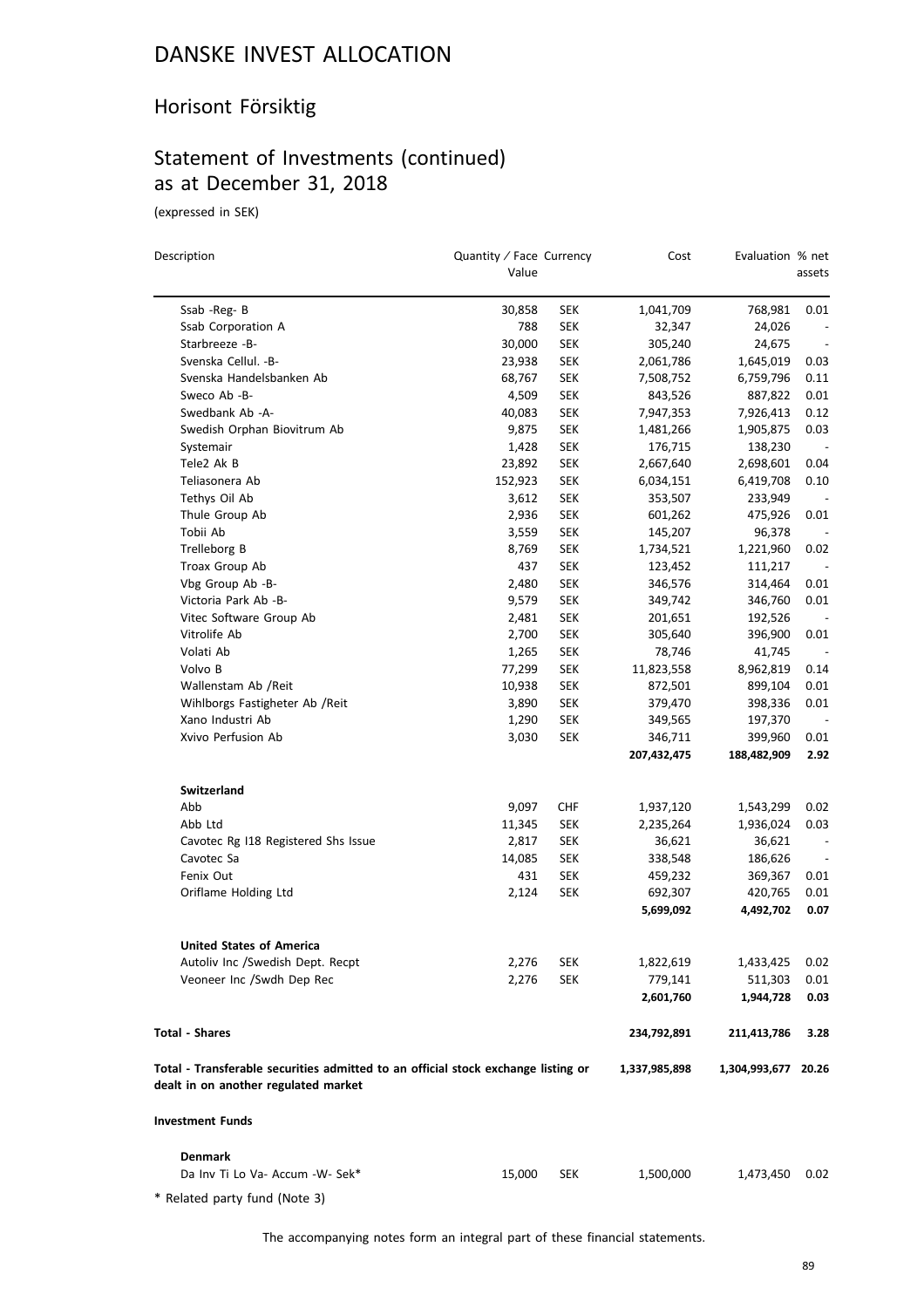### Horisont Försiktig

## Statement of Investments (continued) as at December 31, 2018

(expressed in SEK)

| Description                                                                                                               | Quantity / Face Currency<br>Value |            | Cost          | Evaluation % net    | assets                   |
|---------------------------------------------------------------------------------------------------------------------------|-----------------------------------|------------|---------------|---------------------|--------------------------|
|                                                                                                                           |                                   |            |               |                     |                          |
| Ssab - Reg-B                                                                                                              | 30,858                            | <b>SEK</b> | 1,041,709     | 768,981             | 0.01                     |
| Ssab Corporation A                                                                                                        | 788                               | <b>SEK</b> | 32,347        | 24,026              | $\overline{\phantom{a}}$ |
| Starbreeze -B-                                                                                                            | 30,000                            | <b>SEK</b> | 305,240       | 24,675              |                          |
| Svenska Cellul. - B-                                                                                                      | 23,938                            | <b>SEK</b> | 2,061,786     | 1,645,019           | 0.03                     |
| Svenska Handelsbanken Ab                                                                                                  | 68,767                            | <b>SEK</b> | 7,508,752     | 6,759,796           | 0.11                     |
| Sweco Ab -B-                                                                                                              | 4,509                             | <b>SEK</b> | 843,526       | 887,822             | 0.01                     |
| Swedbank Ab -A-                                                                                                           | 40,083                            | <b>SEK</b> | 7,947,353     | 7,926,413           | 0.12                     |
| Swedish Orphan Biovitrum Ab                                                                                               | 9,875                             | <b>SEK</b> | 1,481,266     | 1,905,875           | 0.03                     |
| Systemair                                                                                                                 | 1,428                             | <b>SEK</b> | 176,715       | 138,230             |                          |
| Tele2 Ak B                                                                                                                | 23,892                            | <b>SEK</b> | 2,667,640     | 2,698,601           | 0.04                     |
| Teliasonera Ab                                                                                                            | 152,923                           | <b>SEK</b> | 6,034,151     | 6,419,708           | 0.10                     |
| Tethys Oil Ab                                                                                                             | 3,612                             | <b>SEK</b> | 353,507       | 233,949             | $\overline{\phantom{a}}$ |
| Thule Group Ab                                                                                                            | 2,936                             | <b>SEK</b> | 601,262       | 475,926             | 0.01                     |
| Tobii Ab                                                                                                                  | 3,559                             | <b>SEK</b> | 145,207       | 96,378              | $\overline{\phantom{a}}$ |
| Trelleborg B                                                                                                              | 8,769                             | <b>SEK</b> | 1,734,521     | 1,221,960           | 0.02                     |
| Troax Group Ab                                                                                                            | 437                               | <b>SEK</b> | 123,452       | 111,217             |                          |
| Vbg Group Ab -B-                                                                                                          | 2,480                             | <b>SEK</b> | 346,576       | 314,464             | 0.01                     |
| Victoria Park Ab -B-                                                                                                      | 9,579                             | <b>SEK</b> | 349,742       | 346,760             | 0.01                     |
| Vitec Software Group Ab                                                                                                   | 2,481                             | <b>SEK</b> | 201,651       | 192,526             | $\sim$                   |
| Vitrolife Ab                                                                                                              | 2,700                             | <b>SEK</b> | 305,640       | 396,900             | 0.01                     |
| Volati Ab                                                                                                                 | 1,265                             | <b>SEK</b> | 78,746        | 41,745              |                          |
| Volvo B                                                                                                                   | 77,299                            | <b>SEK</b> | 11,823,558    | 8,962,819           | 0.14                     |
| Wallenstam Ab / Reit                                                                                                      | 10,938                            | <b>SEK</b> | 872,501       | 899,104             | 0.01                     |
| Wihlborgs Fastigheter Ab / Reit                                                                                           | 3,890                             | <b>SEK</b> | 379,470       | 398,336             | 0.01                     |
| Xano Industri Ab                                                                                                          | 1,290                             | <b>SEK</b> | 349,565       | 197,370             | $\sim$                   |
| Xvivo Perfusion Ab                                                                                                        | 3,030                             | <b>SEK</b> | 346,711       | 399,960             | 0.01                     |
|                                                                                                                           |                                   |            | 207,432,475   | 188,482,909         | 2.92                     |
| Switzerland                                                                                                               |                                   |            |               |                     |                          |
| Abb                                                                                                                       | 9,097                             | <b>CHF</b> | 1,937,120     | 1,543,299           | 0.02                     |
| Abb Ltd                                                                                                                   | 11,345                            | <b>SEK</b> | 2,235,264     | 1,936,024           | 0.03                     |
| Cavotec Rg I18 Registered Shs Issue                                                                                       | 2,817                             | <b>SEK</b> | 36,621        | 36,621              | $\overline{\phantom{a}}$ |
| Cavotec Sa                                                                                                                | 14,085                            | <b>SEK</b> | 338,548       | 186,626             | $\overline{\phantom{a}}$ |
| Fenix Out                                                                                                                 | 431                               | <b>SEK</b> | 459,232       | 369,367             | 0.01                     |
| Oriflame Holding Ltd                                                                                                      | 2,124                             | <b>SEK</b> | 692,307       | 420,765             | 0.01                     |
|                                                                                                                           |                                   |            | 5,699,092     | 4,492,702           | 0.07                     |
| <b>United States of America</b>                                                                                           |                                   |            |               |                     |                          |
| Autoliv Inc / Swedish Dept. Recpt                                                                                         | 2,276                             | <b>SEK</b> | 1,822,619     | 1,433,425           | 0.02                     |
| Veoneer Inc /Swdh Dep Rec                                                                                                 | 2,276                             | <b>SEK</b> | 779,141       | 511,303             | 0.01                     |
|                                                                                                                           |                                   |            | 2,601,760     | 1,944,728           | 0.03                     |
| <b>Total - Shares</b>                                                                                                     |                                   |            | 234,792,891   | 211,413,786         | 3.28                     |
| Total - Transferable securities admitted to an official stock exchange listing or<br>dealt in on another regulated market |                                   |            | 1,337,985,898 | 1,304,993,677 20.26 |                          |
| <b>Investment Funds</b>                                                                                                   |                                   |            |               |                     |                          |
| <b>Denmark</b>                                                                                                            |                                   |            |               |                     |                          |
| Da Inv Ti Lo Va- Accum -W- Sek*                                                                                           | 15,000                            | <b>SEK</b> | 1,500,000     | 1,473,450           | 0.02                     |
|                                                                                                                           |                                   |            |               |                     |                          |

\* Related party fund (Note 3)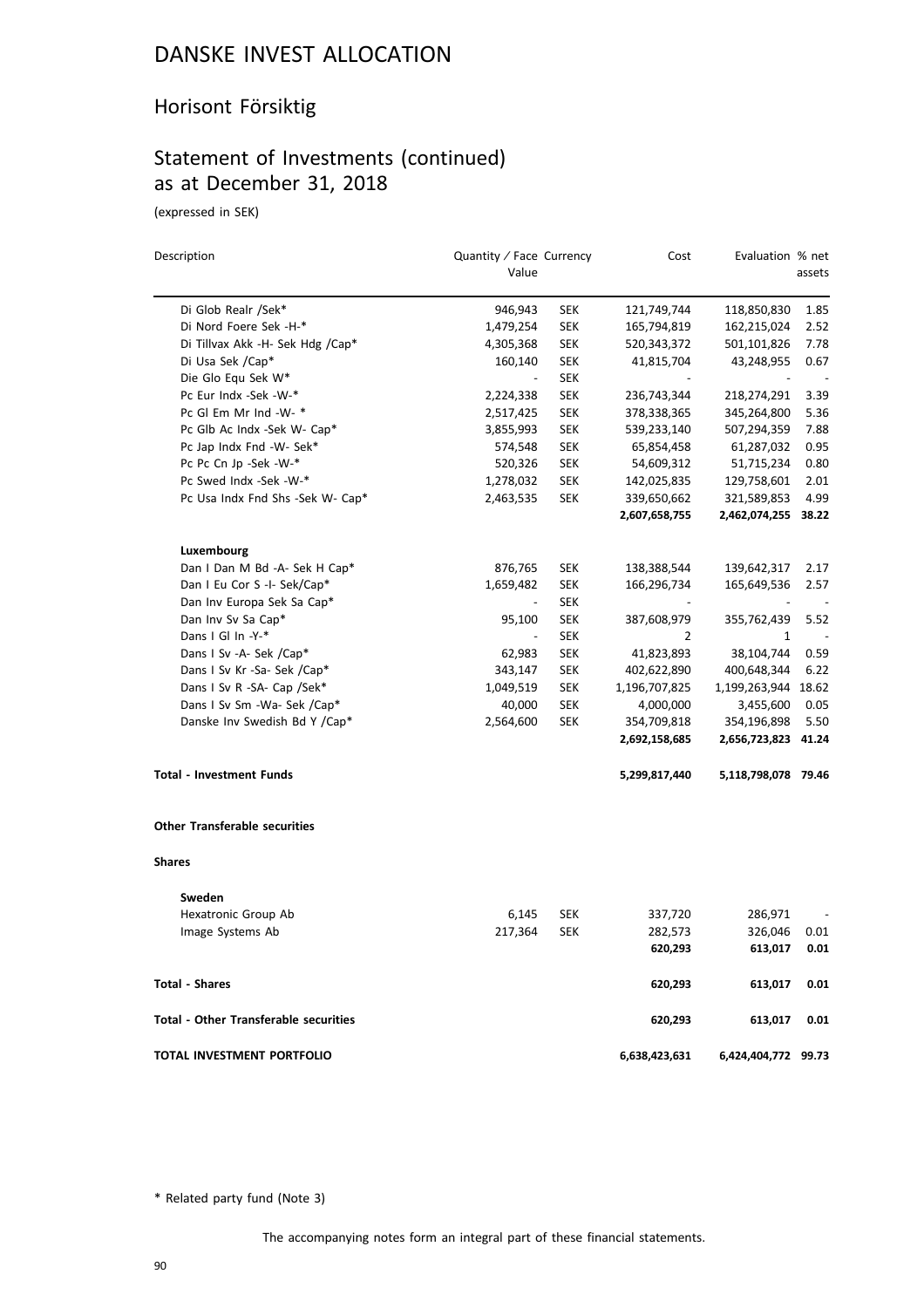### Horisont Försiktig

### Statement of Investments (continued) as at December 31, 2018

(expressed in SEK)

| Description                           | Quantity / Face Currency<br>Value |            | Cost          | Evaluation % net    | assets |
|---------------------------------------|-----------------------------------|------------|---------------|---------------------|--------|
| Di Glob Realr /Sek*                   | 946,943                           | <b>SEK</b> | 121,749,744   | 118,850,830         | 1.85   |
| Di Nord Foere Sek -H-*                | 1,479,254                         | <b>SEK</b> | 165,794,819   | 162,215,024         | 2.52   |
| Di Tillvax Akk -H- Sek Hdg /Cap*      | 4,305,368                         | <b>SEK</b> | 520,343,372   | 501,101,826         | 7.78   |
| Di Usa Sek /Cap*                      | 160,140                           | <b>SEK</b> | 41,815,704    | 43,248,955          | 0.67   |
| Die Glo Equ Sek W*                    |                                   | <b>SEK</b> |               |                     |        |
| Pc Eur Indx -Sek -W-*                 | 2,224,338                         | <b>SEK</b> | 236,743,344   | 218,274,291         | 3.39   |
| Pc Gl Em Mr Ind -W- *                 | 2,517,425                         | SEK        | 378,338,365   | 345,264,800         | 5.36   |
| Pc Glb Ac Indx -Sek W- Cap*           | 3,855,993                         | <b>SEK</b> | 539,233,140   | 507,294,359         | 7.88   |
| Pc Jap Indx Fnd -W- Sek*              | 574,548                           | <b>SEK</b> | 65,854,458    | 61,287,032          | 0.95   |
| Pc Pc Cn Jp -Sek -W-*                 | 520,326                           | <b>SEK</b> | 54,609,312    | 51,715,234          | 0.80   |
| Pc Swed Indx -Sek -W-*                | 1,278,032                         | <b>SEK</b> | 142,025,835   | 129,758,601         | 2.01   |
| Pc Usa Indx Fnd Shs -Sek W- Cap*      | 2,463,535                         | <b>SEK</b> | 339,650,662   | 321,589,853         | 4.99   |
|                                       |                                   |            | 2,607,658,755 | 2,462,074,255 38.22 |        |
| Luxembourg                            |                                   |            |               |                     |        |
| Dan I Dan M Bd -A- Sek H Cap*         | 876,765                           | <b>SEK</b> | 138,388,544   | 139,642,317         | 2.17   |
| Dan I Eu Cor S -I- Sek/Cap*           | 1,659,482                         | <b>SEK</b> | 166,296,734   | 165,649,536         | 2.57   |
| Dan Inv Europa Sek Sa Cap*            | $\overline{\phantom{a}}$          | <b>SEK</b> |               |                     |        |
| Dan Inv Sv Sa Cap*                    | 95,100                            | <b>SEK</b> | 387,608,979   | 355,762,439         | 5.52   |
| Dans I Gl In -Y-*                     | $\qquad \qquad \blacksquare$      | <b>SEK</b> | 2             | 1                   |        |
| Dans I Sv -A- Sek /Cap*               | 62,983                            | <b>SEK</b> | 41,823,893    | 38,104,744          | 0.59   |
| Dans I Sv Kr -Sa- Sek /Cap*           | 343,147                           | <b>SEK</b> | 402,622,890   | 400,648,344         | 6.22   |
| Dans I Sv R -SA- Cap /Sek*            | 1,049,519                         | <b>SEK</b> | 1,196,707,825 | 1,199,263,944       | 18.62  |
| Dans I Sv Sm -Wa- Sek /Cap*           | 40,000                            | <b>SEK</b> | 4,000,000     | 3,455,600           | 0.05   |
| Danske Inv Swedish Bd Y /Cap*         | 2,564,600                         | <b>SEK</b> | 354,709,818   | 354,196,898         | 5.50   |
|                                       |                                   |            | 2,692,158,685 | 2,656,723,823 41.24 |        |
| <b>Total - Investment Funds</b>       |                                   |            | 5,299,817,440 | 5,118,798,078 79.46 |        |
| <b>Other Transferable securities</b>  |                                   |            |               |                     |        |
| Shares                                |                                   |            |               |                     |        |
| Sweden                                |                                   |            |               |                     |        |
| Hexatronic Group Ab                   | 6,145                             | <b>SEK</b> | 337,720       | 286,971             |        |
| Image Systems Ab                      | 217,364                           | <b>SEK</b> | 282,573       | 326,046             | 0.01   |
|                                       |                                   |            | 620,293       | 613,017             | 0.01   |
| <b>Total - Shares</b>                 |                                   |            | 620,293       | 613,017             | 0.01   |
| Total - Other Transferable securities |                                   |            | 620,293       | 613,017             | 0.01   |
| TOTAL INVESTMENT PORTFOLIO            |                                   |            | 6,638,423,631 | 6,424,404,772 99.73 |        |

\* Related party fund (Note 3)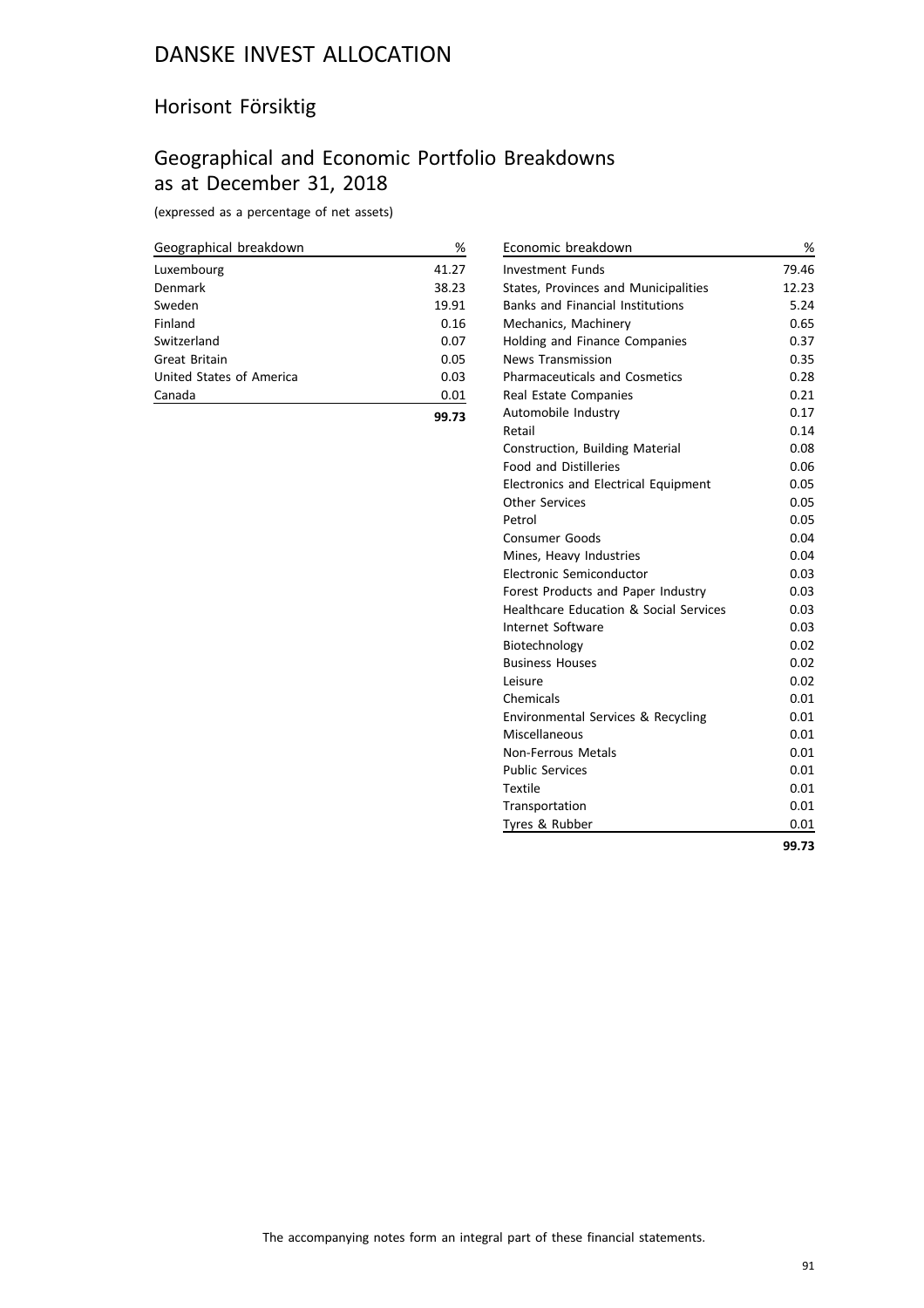### Horisont Försiktig

## Geographical and Economic Portfolio Breakdowns as at December 31, 2018

(expressed as a percentage of net assets)

| Geographical breakdown   | %     |
|--------------------------|-------|
| Luxembourg               | 41.27 |
| Denmark                  | 38.23 |
| Sweden                   | 19.91 |
| Finland                  | 0.16  |
| Switzerland              | 0.07  |
| Great Britain            | 0.05  |
| United States of America | 0.03  |
| Canada                   | 0.01  |
|                          | 99.73 |

| Economic breakdown                                | %     |
|---------------------------------------------------|-------|
| <b>Investment Funds</b>                           | 79.46 |
| States, Provinces and Municipalities              | 12.23 |
| <b>Banks and Financial Institutions</b>           | 5.24  |
| Mechanics, Machinery                              | 0.65  |
| Holding and Finance Companies                     | 0.37  |
| <b>News Transmission</b>                          | 0.35  |
| <b>Pharmaceuticals and Cosmetics</b>              | 0.28  |
| Real Estate Companies                             | 0.21  |
| Automobile Industry                               | 0.17  |
| Retail                                            | 0.14  |
| Construction, Building Material                   | 0.08  |
| <b>Food and Distilleries</b>                      | 0.06  |
| <b>Electronics and Electrical Equipment</b>       | 0.05  |
| <b>Other Services</b>                             | 0.05  |
| Petrol                                            | 0.05  |
| Consumer Goods                                    | 0.04  |
| Mines, Heavy Industries                           | 0.04  |
| Electronic Semiconductor                          | 0.03  |
| Forest Products and Paper Industry                | 0.03  |
| <b>Healthcare Education &amp; Social Services</b> | 0.03  |
| Internet Software                                 | 0.03  |
| Biotechnology                                     | 0.02  |
| <b>Business Houses</b>                            | 0.02  |
| Leisure                                           | 0.02  |
| Chemicals                                         | 0.01  |
| Environmental Services & Recycling                | 0.01  |
| Miscellaneous                                     | 0.01  |
| Non-Ferrous Metals                                | 0.01  |
| <b>Public Services</b>                            | 0.01  |
| Textile                                           | 0.01  |
| Transportation                                    | 0.01  |
| Tyres & Rubber                                    | 0.01  |
|                                                   | 99.73 |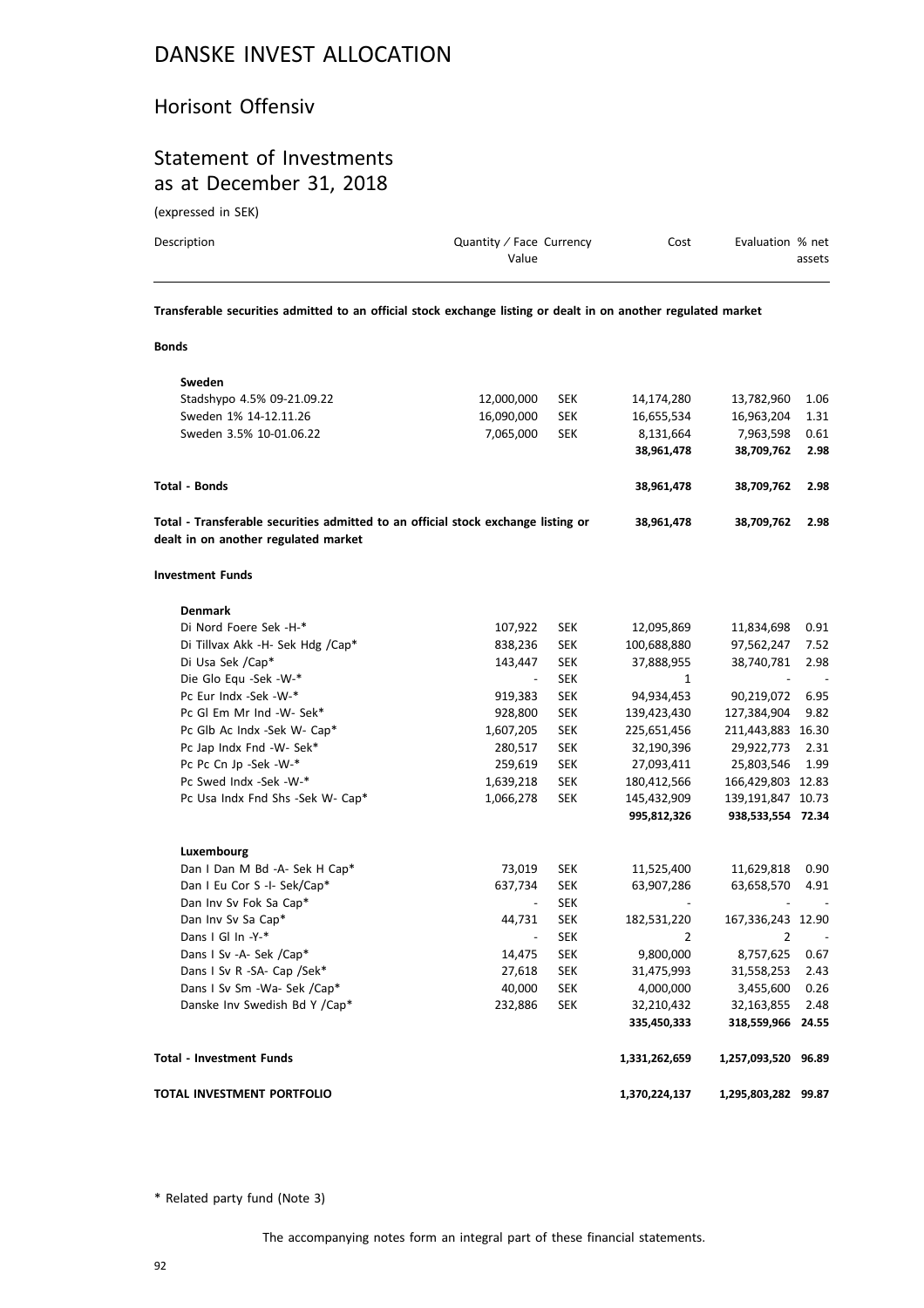#### Horisont Offensiv

#### Statement of Investments as at December 31, 2018

(expressed in SEK)

**Bonds**

| Description | Quantity / Face Currency<br>Value | Cost | Evaluation % net<br>assets |
|-------------|-----------------------------------|------|----------------------------|
|             |                                   |      |                            |

**Transferable securities admitted to an official stock exchange listing or dealt in on another regulated market**

| Sweden                                                                                                                    |                          |            |                |                     |      |
|---------------------------------------------------------------------------------------------------------------------------|--------------------------|------------|----------------|---------------------|------|
| Stadshypo 4.5% 09-21.09.22                                                                                                | 12,000,000               | <b>SEK</b> | 14,174,280     | 13,782,960          | 1.06 |
| Sweden 1% 14-12.11.26                                                                                                     | 16,090,000               | <b>SEK</b> | 16,655,534     | 16,963,204          | 1.31 |
| Sweden 3.5% 10-01.06.22                                                                                                   | 7,065,000                | <b>SEK</b> | 8,131,664      | 7,963,598           | 0.61 |
|                                                                                                                           |                          |            | 38,961,478     | 38,709,762          | 2.98 |
| Total - Bonds                                                                                                             |                          |            | 38,961,478     | 38,709,762          | 2.98 |
| Total - Transferable securities admitted to an official stock exchange listing or<br>dealt in on another regulated market |                          |            | 38,961,478     | 38,709,762          | 2.98 |
| <b>Investment Funds</b>                                                                                                   |                          |            |                |                     |      |
| <b>Denmark</b>                                                                                                            |                          |            |                |                     |      |
| Di Nord Foere Sek -H-*                                                                                                    | 107,922                  | <b>SEK</b> | 12,095,869     | 11,834,698          | 0.91 |
| Di Tillvax Akk -H- Sek Hdg /Cap*                                                                                          | 838,236                  | <b>SEK</b> | 100,688,880    | 97,562,247          | 7.52 |
| Di Usa Sek /Cap*                                                                                                          | 143,447                  | <b>SEK</b> | 37,888,955     | 38,740,781          | 2.98 |
| Die Glo Equ -Sek -W-*                                                                                                     | $\overline{\phantom{a}}$ | <b>SEK</b> | $\mathbf{1}$   |                     |      |
| Pc Eur Indx -Sek -W-*                                                                                                     | 919,383                  | <b>SEK</b> | 94,934,453     | 90,219,072          | 6.95 |
| Pc Gl Em Mr Ind -W- Sek*                                                                                                  | 928,800                  | <b>SEK</b> | 139,423,430    | 127,384,904         | 9.82 |
| Pc Glb Ac Indx -Sek W- Cap*                                                                                               | 1,607,205                | <b>SEK</b> | 225,651,456    | 211,443,883 16.30   |      |
| Pc Jap Indx Fnd -W- Sek*                                                                                                  | 280,517                  | <b>SEK</b> | 32,190,396     | 29,922,773          | 2.31 |
| Pc Pc Cn Jp -Sek -W-*                                                                                                     | 259,619                  | <b>SEK</b> | 27,093,411     | 25,803,546          | 1.99 |
| Pc Swed Indx -Sek -W-*                                                                                                    | 1,639,218                | <b>SEK</b> | 180,412,566    | 166,429,803 12.83   |      |
| Pc Usa Indx Fnd Shs -Sek W- Cap*                                                                                          | 1,066,278                | <b>SEK</b> | 145,432,909    | 139,191,847 10.73   |      |
|                                                                                                                           |                          |            | 995,812,326    | 938,533,554 72.34   |      |
| Luxembourg                                                                                                                |                          |            |                |                     |      |
| Dan I Dan M Bd -A- Sek H Cap*                                                                                             | 73,019                   | <b>SEK</b> | 11,525,400     | 11,629,818          | 0.90 |
| Dan I Eu Cor S -I- Sek/Cap*                                                                                               | 637,734                  | <b>SEK</b> | 63,907,286     | 63,658,570          | 4.91 |
| Dan Inv Sv Fok Sa Cap*                                                                                                    | $\overline{\phantom{a}}$ | <b>SEK</b> |                |                     |      |
| Dan Inv Sv Sa Cap*                                                                                                        | 44,731                   | <b>SEK</b> | 182,531,220    | 167,336,243 12.90   |      |
| Dans I Gl In -Y-*                                                                                                         | $\overline{\phantom{a}}$ | <b>SEK</b> | $\overline{2}$ | $\overline{2}$      |      |
| Dans I Sv -A- Sek /Cap*                                                                                                   | 14,475                   | <b>SEK</b> | 9,800,000      | 8,757,625           | 0.67 |
| Dans I Sv R -SA- Cap /Sek*                                                                                                | 27,618                   | <b>SEK</b> | 31,475,993     | 31,558,253          | 2.43 |
| Dans I Sv Sm -Wa- Sek /Cap*                                                                                               | 40,000                   | <b>SEK</b> | 4,000,000      | 3,455,600           | 0.26 |
| Danske Inv Swedish Bd Y /Cap*                                                                                             | 232,886                  | <b>SEK</b> | 32,210,432     | 32,163,855          | 2.48 |
|                                                                                                                           |                          |            | 335,450,333    | 318,559,966 24.55   |      |
| Total - Investment Funds                                                                                                  |                          |            | 1,331,262,659  | 1,257,093,520 96.89 |      |
| TOTAL INVESTMENT PORTFOLIO                                                                                                |                          |            | 1,370,224,137  | 1,295,803,282 99.87 |      |

\* Related party fund (Note 3)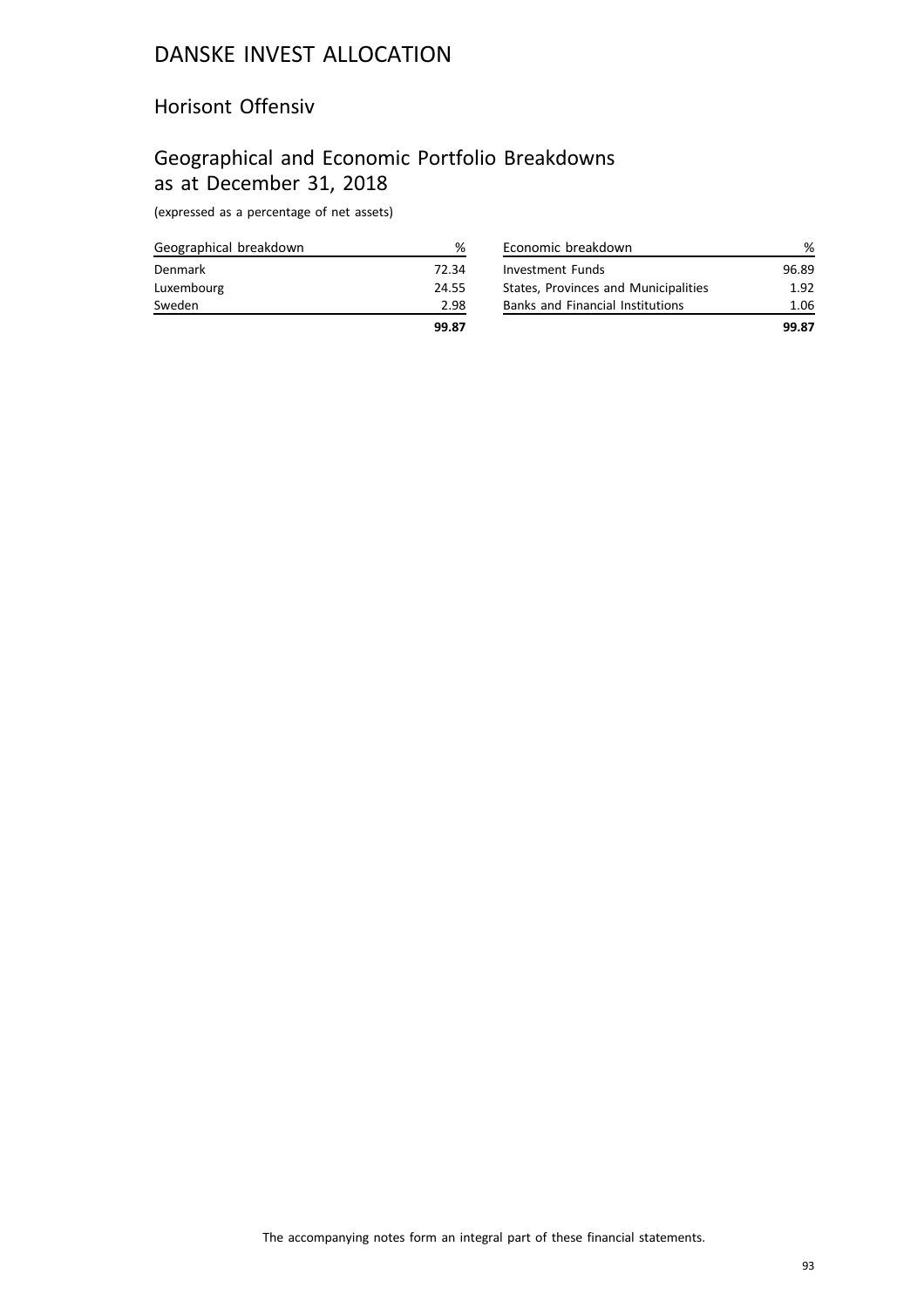#### Horisont Offensiv

# Geographical and Economic Portfolio Breakdowns as at December 31, 2018

| Geographical breakdown | ℅     |
|------------------------|-------|
| Denmark                | 72.34 |
| Luxembourg             | 24.55 |
| Sweden                 | 2.98  |
|                        | 99.87 |

| Economic breakdown                      |       |
|-----------------------------------------|-------|
| <b>Investment Funds</b>                 | 96.89 |
| States, Provinces and Municipalities    | 1.92  |
| <b>Banks and Financial Institutions</b> | 1.06  |
|                                         | 99.87 |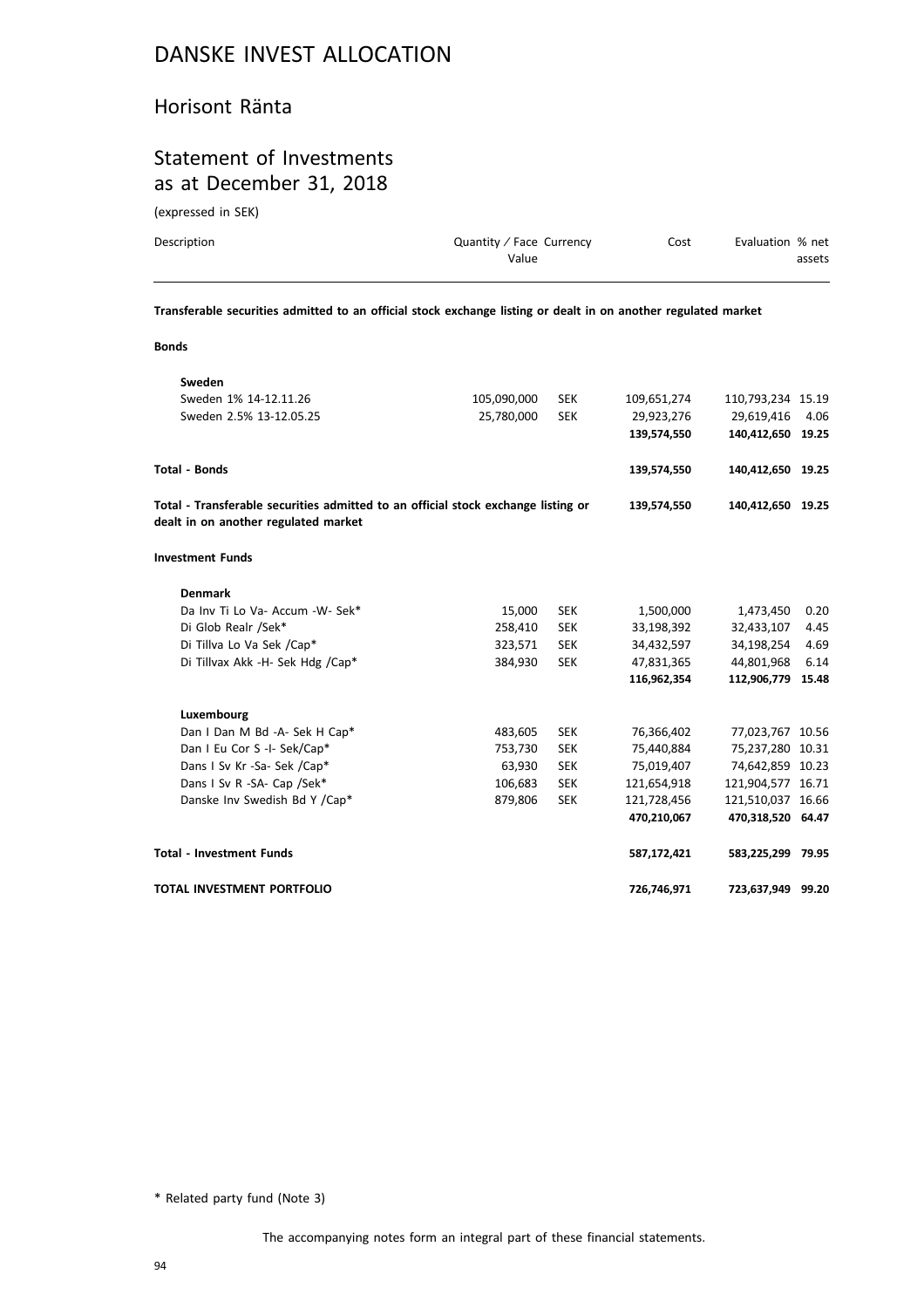#### Horisont Ränta

#### Statement of Investments as at December 31, 2018

(expressed in SEK)

| Description | Quantity / Face Currency<br>Value | Cost | Evaluation % net<br>assets |
|-------------|-----------------------------------|------|----------------------------|
|             |                                   |      |                            |

**Transferable securities admitted to an official stock exchange listing or dealt in on another regulated market**

| I  | $\sim$ |
|----|--------|
| ×  | ×      |
|    |        |
| v. | ۰.     |
|    |        |
|    |        |

| Sweden                                                                                                                    |             |            |             |                   |      |
|---------------------------------------------------------------------------------------------------------------------------|-------------|------------|-------------|-------------------|------|
| Sweden 1% 14-12.11.26                                                                                                     | 105,090,000 | <b>SEK</b> | 109,651,274 | 110,793,234 15.19 |      |
| Sweden 2.5% 13-12.05.25                                                                                                   | 25,780,000  | <b>SEK</b> | 29,923,276  | 29,619,416        | 4.06 |
|                                                                                                                           |             |            | 139,574,550 | 140,412,650 19.25 |      |
| Total - Bonds                                                                                                             |             |            | 139,574,550 | 140,412,650 19.25 |      |
| Total - Transferable securities admitted to an official stock exchange listing or<br>dealt in on another regulated market |             |            | 139,574,550 | 140,412,650 19.25 |      |
| <b>Investment Funds</b>                                                                                                   |             |            |             |                   |      |
| <b>Denmark</b>                                                                                                            |             |            |             |                   |      |
| Da Inv Ti Lo Va- Accum - W- Sek*                                                                                          | 15,000      | <b>SEK</b> | 1,500,000   | 1,473,450         | 0.20 |
| Di Glob Realr /Sek*                                                                                                       | 258,410     | <b>SEK</b> | 33,198,392  | 32,433,107        | 4.45 |
| Di Tillva Lo Va Sek /Cap*                                                                                                 | 323,571     | <b>SEK</b> | 34,432,597  | 34,198,254        | 4.69 |
| Di Tillvax Akk -H- Sek Hdg /Cap*                                                                                          | 384,930     | <b>SEK</b> | 47,831,365  | 44,801,968        | 6.14 |
|                                                                                                                           |             |            | 116,962,354 | 112,906,779 15.48 |      |
| Luxembourg                                                                                                                |             |            |             |                   |      |
| Dan I Dan M Bd -A- Sek H Cap*                                                                                             | 483,605     | <b>SEK</b> | 76,366,402  | 77,023,767 10.56  |      |
| Dan I Eu Cor S -I- Sek/Cap*                                                                                               | 753,730     | <b>SEK</b> | 75,440,884  | 75,237,280 10.31  |      |
| Dans I Sv Kr -Sa- Sek /Cap*                                                                                               | 63,930      | <b>SEK</b> | 75,019,407  | 74,642,859 10.23  |      |
| Dans I Sv R -SA- Cap /Sek*                                                                                                | 106,683     | <b>SEK</b> | 121,654,918 | 121,904,577 16.71 |      |
| Danske Inv Swedish Bd Y /Cap*                                                                                             | 879,806     | <b>SEK</b> | 121,728,456 | 121,510,037 16.66 |      |
|                                                                                                                           |             |            | 470,210,067 | 470,318,520 64.47 |      |
| <b>Total - Investment Funds</b>                                                                                           |             |            | 587,172,421 | 583,225,299 79.95 |      |
| TOTAL INVESTMENT PORTFOLIO                                                                                                |             |            | 726,746,971 | 723,637,949 99.20 |      |

\* Related party fund (Note 3)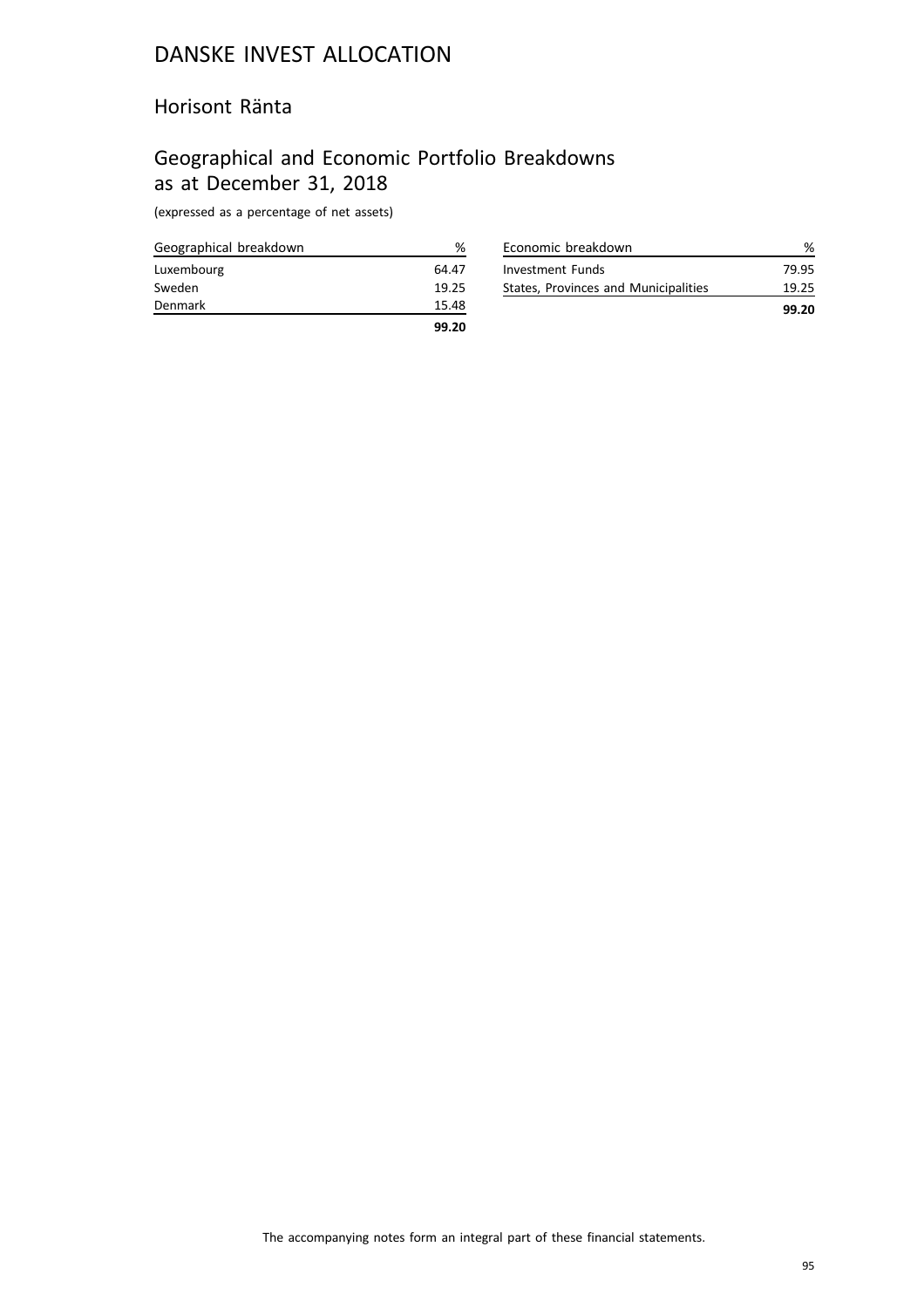#### Horisont Ränta

## Geographical and Economic Portfolio Breakdowns as at December 31, 2018

| Geographical breakdown | %     |
|------------------------|-------|
| Luxembourg             | 64.47 |
| Sweden                 | 19.25 |
| Denmark                | 15.48 |
|                        | 99.20 |

|                                      | 99.20 |
|--------------------------------------|-------|
| States, Provinces and Municipalities | 19.25 |
| Investment Funds                     | 79.95 |
| Economic breakdown                   |       |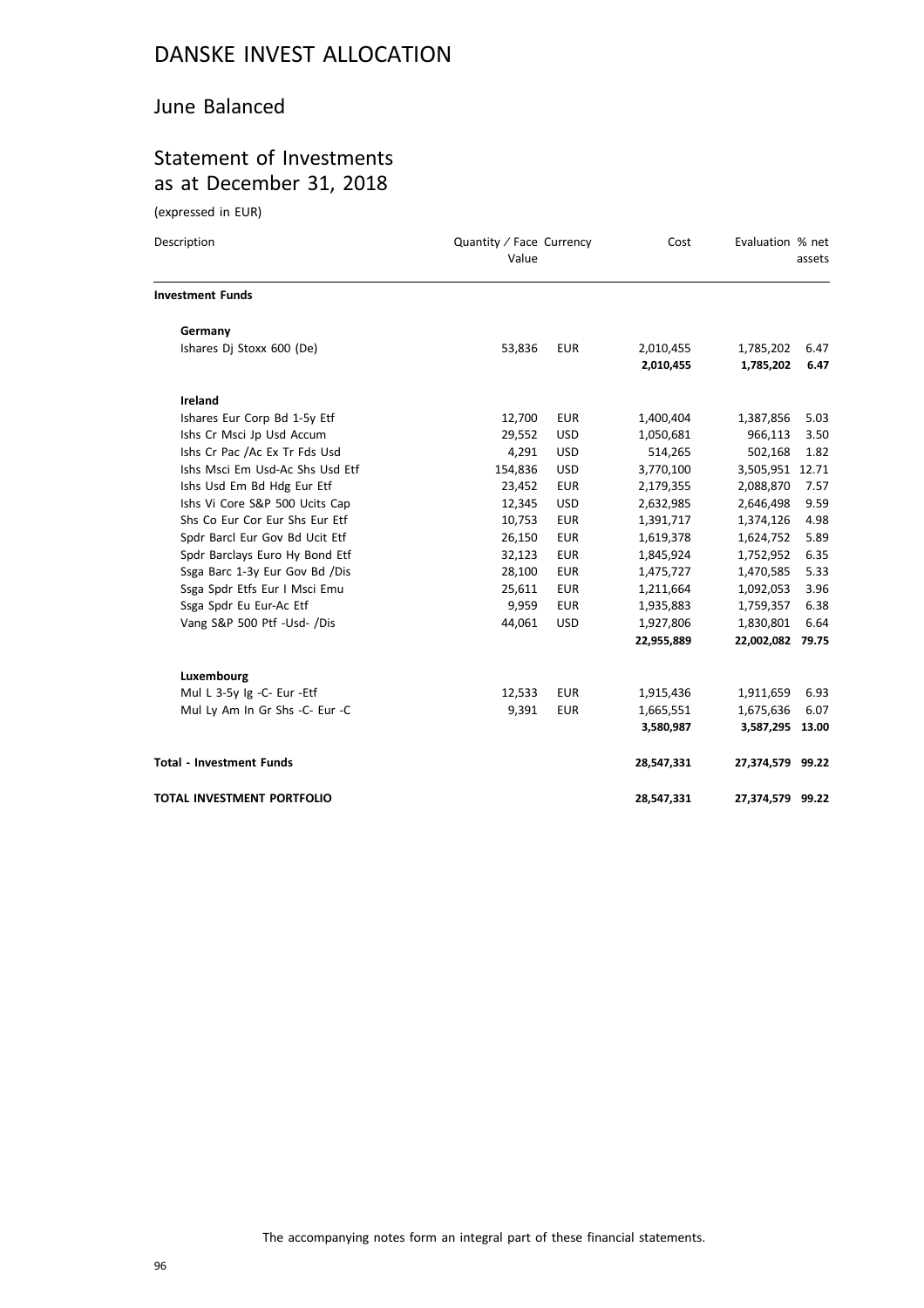#### June Balanced

### Statement of Investments as at December 31, 2018

(expressed in EUR)

| Description                     | Quantity / Face Currency<br>Value |            | Cost                   | Evaluation % net       | assets       |
|---------------------------------|-----------------------------------|------------|------------------------|------------------------|--------------|
| <b>Investment Funds</b>         |                                   |            |                        |                        |              |
| Germany                         |                                   |            |                        |                        |              |
| Ishares Dj Stoxx 600 (De)       | 53,836                            | <b>EUR</b> | 2,010,455<br>2,010,455 | 1,785,202<br>1,785,202 | 6.47<br>6.47 |
| Ireland                         |                                   |            |                        |                        |              |
| Ishares Eur Corp Bd 1-5y Etf    | 12,700                            | <b>EUR</b> | 1,400,404              | 1,387,856              | 5.03         |
| Ishs Cr Msci Jp Usd Accum       | 29,552                            | <b>USD</b> | 1,050,681              | 966,113                | 3.50         |
| Ishs Cr Pac /Ac Ex Tr Fds Usd   | 4,291                             | <b>USD</b> | 514,265                | 502,168                | 1.82         |
| Ishs Msci Em Usd-Ac Shs Usd Etf | 154,836                           | <b>USD</b> | 3,770,100              | 3,505,951 12.71        |              |
| Ishs Usd Em Bd Hdg Eur Etf      | 23,452                            | <b>EUR</b> | 2,179,355              | 2,088,870              | 7.57         |
| Ishs Vi Core S&P 500 Ucits Cap  | 12,345                            | <b>USD</b> | 2,632,985              | 2,646,498              | 9.59         |
| Shs Co Eur Cor Eur Shs Eur Etf  | 10,753                            | <b>EUR</b> | 1,391,717              | 1,374,126              | 4.98         |
| Spdr Barcl Eur Gov Bd Ucit Etf  | 26,150                            | <b>EUR</b> | 1,619,378              | 1,624,752              | 5.89         |
| Spdr Barclays Euro Hy Bond Etf  | 32,123                            | <b>EUR</b> | 1,845,924              | 1,752,952              | 6.35         |
| Ssga Barc 1-3y Eur Gov Bd /Dis  | 28,100                            | <b>EUR</b> | 1,475,727              | 1,470,585              | 5.33         |
| Ssga Spdr Etfs Eur I Msci Emu   | 25,611                            | <b>EUR</b> | 1,211,664              | 1,092,053              | 3.96         |
| Ssga Spdr Eu Eur-Ac Etf         | 9,959                             | <b>EUR</b> | 1,935,883              | 1,759,357              | 6.38         |
| Vang S&P 500 Ptf -Usd- /Dis     | 44,061                            | <b>USD</b> | 1,927,806              | 1,830,801              | 6.64         |
|                                 |                                   |            | 22,955,889             | 22,002,082 79.75       |              |
| Luxembourg                      |                                   |            |                        |                        |              |
| Mul L 3-5y Ig -C- Eur -Etf      | 12,533                            | <b>EUR</b> | 1,915,436              | 1,911,659              | 6.93         |
| Mul Ly Am In Gr Shs -C- Eur -C  | 9,391                             | <b>EUR</b> | 1,665,551              | 1,675,636              | 6.07         |
|                                 |                                   |            | 3,580,987              | 3,587,295 13.00        |              |
| <b>Total - Investment Funds</b> |                                   |            | 28,547,331             | 27,374,579 99.22       |              |
| TOTAL INVESTMENT PORTFOLIO      |                                   |            | 28,547,331             | 27,374,579 99.22       |              |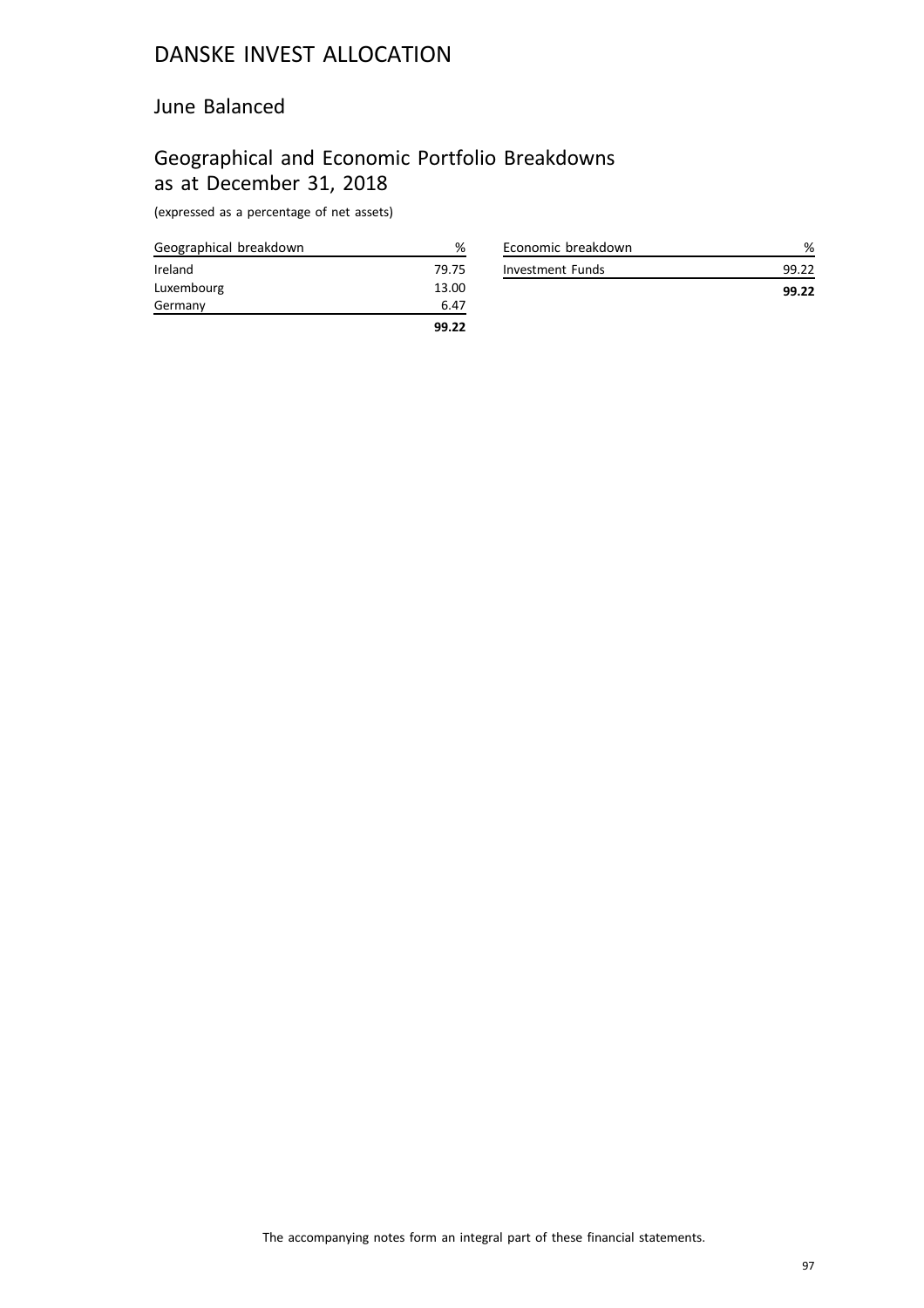#### June Balanced

## Geographical and Economic Portfolio Breakdowns as at December 31, 2018

| Geographical breakdown | ℅     |
|------------------------|-------|
| Ireland                | 79.75 |
| Luxembourg             | 13.00 |
| Germany                | 6.47  |
|                        | 99.22 |

| Economic breakdown |       |
|--------------------|-------|
| Investment Funds   | 99.22 |
|                    | 99.22 |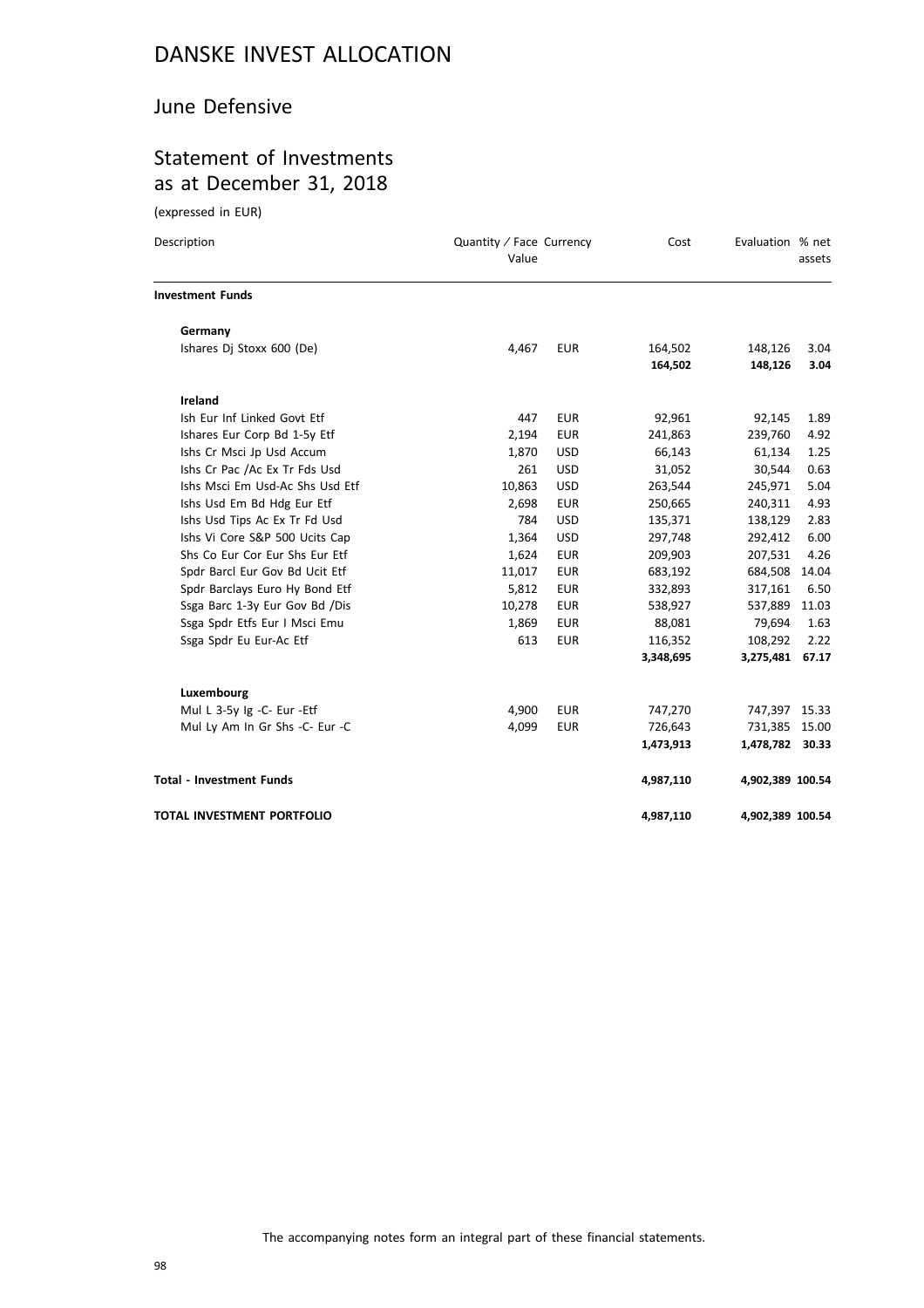#### June Defensive

### Statement of Investments as at December 31, 2018

(expressed in EUR)

| Description                     | Quantity / Face Currency<br>Value |            | Cost               | Evaluation % net   | assets       |
|---------------------------------|-----------------------------------|------------|--------------------|--------------------|--------------|
| <b>Investment Funds</b>         |                                   |            |                    |                    |              |
| Germany                         |                                   |            |                    |                    |              |
| Ishares Dj Stoxx 600 (De)       | 4,467                             | <b>EUR</b> | 164,502<br>164,502 | 148,126<br>148,126 | 3.04<br>3.04 |
|                                 |                                   |            |                    |                    |              |
| Ireland                         |                                   |            |                    |                    |              |
| Ish Eur Inf Linked Govt Etf     | 447                               | <b>EUR</b> | 92,961             | 92,145             | 1.89         |
| Ishares Eur Corp Bd 1-5y Etf    | 2,194                             | <b>EUR</b> | 241,863            | 239,760            | 4.92         |
| Ishs Cr Msci Jp Usd Accum       | 1,870                             | <b>USD</b> | 66,143             | 61,134             | 1.25         |
| Ishs Cr Pac /Ac Ex Tr Fds Usd   | 261                               | <b>USD</b> | 31,052             | 30,544             | 0.63         |
| Ishs Msci Em Usd-Ac Shs Usd Etf | 10,863                            | <b>USD</b> | 263,544            | 245,971            | 5.04         |
| Ishs Usd Em Bd Hdg Eur Etf      | 2,698                             | <b>EUR</b> | 250,665            | 240,311            | 4.93         |
| Ishs Usd Tips Ac Ex Tr Fd Usd   | 784                               | <b>USD</b> | 135,371            | 138,129            | 2.83         |
| Ishs Vi Core S&P 500 Ucits Cap  | 1,364                             | <b>USD</b> | 297,748            | 292,412            | 6.00         |
| Shs Co Eur Cor Eur Shs Eur Etf  | 1,624                             | <b>EUR</b> | 209,903            | 207,531            | 4.26         |
| Spdr Barcl Eur Gov Bd Ucit Etf  | 11,017                            | <b>EUR</b> | 683,192            | 684,508            | 14.04        |
| Spdr Barclays Euro Hy Bond Etf  | 5,812                             | <b>EUR</b> | 332,893            | 317,161            | 6.50         |
| Ssga Barc 1-3y Eur Gov Bd /Dis  | 10,278                            | <b>EUR</b> | 538,927            | 537,889            | 11.03        |
| Ssga Spdr Etfs Eur I Msci Emu   | 1,869                             | <b>EUR</b> | 88,081             | 79,694             | 1.63         |
| Ssga Spdr Eu Eur-Ac Etf         | 613                               | <b>EUR</b> | 116,352            | 108,292            | 2.22         |
|                                 |                                   |            | 3,348,695          | 3,275,481          | 67.17        |
| Luxembourg                      |                                   |            |                    |                    |              |
| Mul L 3-5y Ig -C- Eur -Etf      | 4,900                             | <b>EUR</b> | 747,270            | 747,397            | 15.33        |
| Mul Ly Am In Gr Shs -C- Eur -C  | 4,099                             | <b>EUR</b> | 726,643            | 731,385            | 15.00        |
|                                 |                                   |            | 1,473,913          | 1,478,782 30.33    |              |
| <b>Total - Investment Funds</b> |                                   |            | 4,987,110          | 4,902,389 100.54   |              |
| TOTAL INVESTMENT PORTFOLIO      |                                   |            | 4,987,110          | 4,902,389 100.54   |              |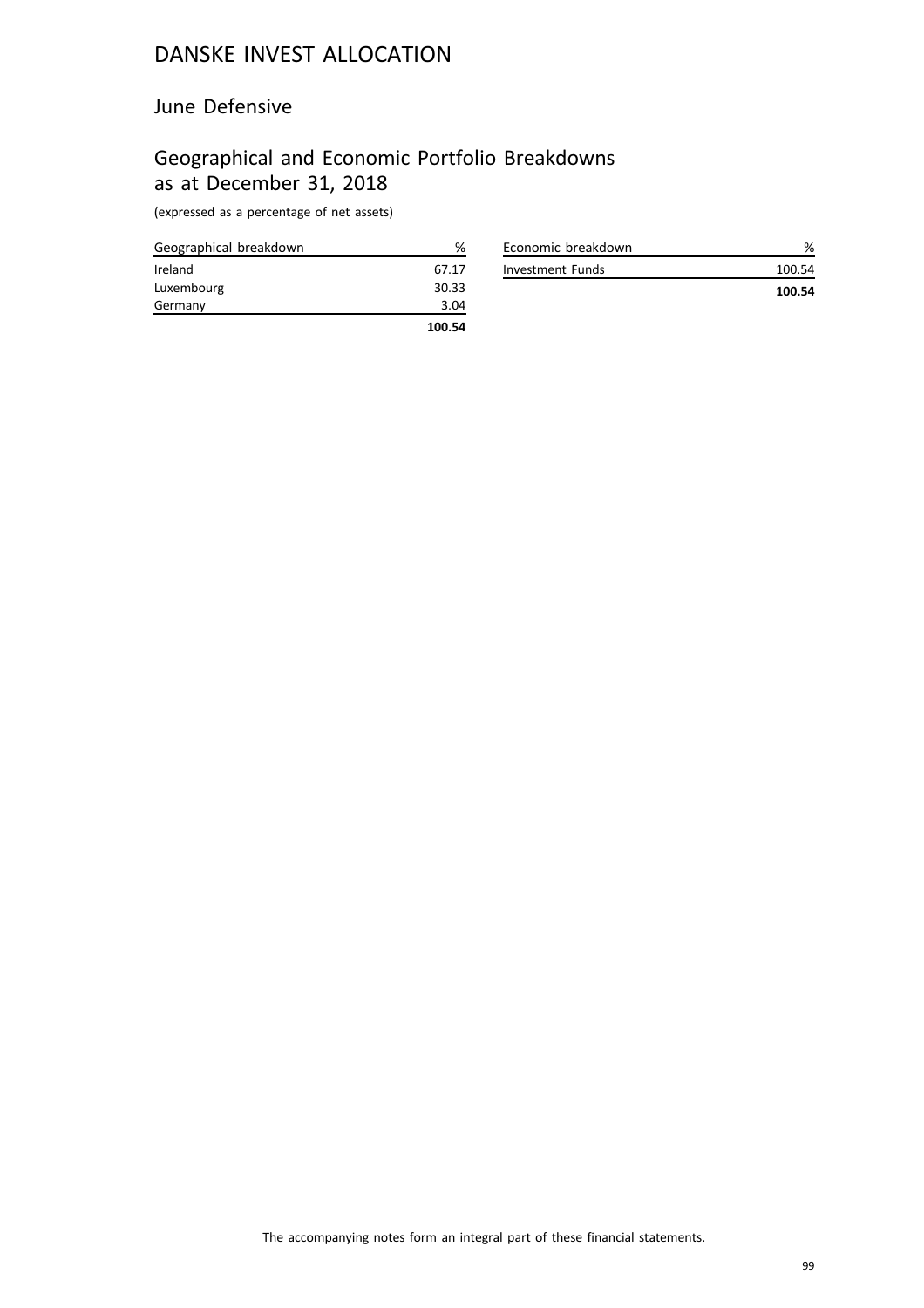#### June Defensive

## Geographical and Economic Portfolio Breakdowns as at December 31, 2018

| Geographical breakdown | %      |
|------------------------|--------|
| Ireland                | 67.17  |
| Luxembourg             | 30.33  |
| Germany                | 3.04   |
|                        | 100.54 |

| Economic breakdown |        |
|--------------------|--------|
| Investment Funds   | 100.54 |
|                    | 100.54 |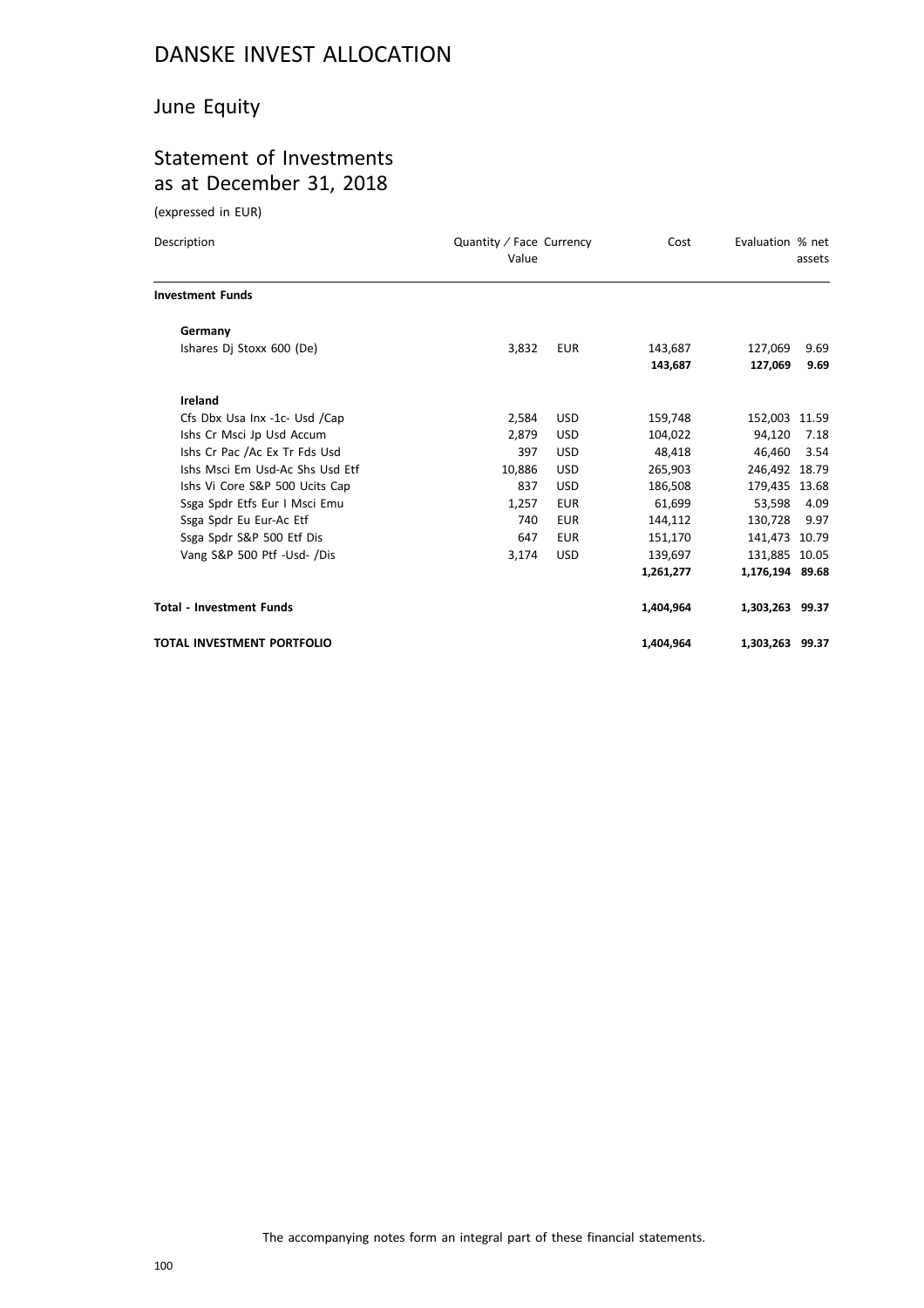### June Equity

### Statement of Investments as at December 31, 2018

(expressed in EUR)

| Description                     | Quantity / Face Currency<br>Value |            | Cost      | Evaluation % net | assets |
|---------------------------------|-----------------------------------|------------|-----------|------------------|--------|
| <b>Investment Funds</b>         |                                   |            |           |                  |        |
| Germany                         |                                   |            |           |                  |        |
| Ishares Dj Stoxx 600 (De)       | 3,832                             | <b>EUR</b> | 143,687   | 127,069          | 9.69   |
|                                 |                                   |            | 143,687   | 127,069          | 9.69   |
| Ireland                         |                                   |            |           |                  |        |
| Cfs Dbx Usa Inx -1c- Usd /Cap   | 2,584                             | <b>USD</b> | 159,748   | 152,003 11.59    |        |
| Ishs Cr Msci Jp Usd Accum       | 2,879                             | <b>USD</b> | 104,022   | 94,120           | 7.18   |
| Ishs Cr Pac /Ac Ex Tr Fds Usd   | 397                               | <b>USD</b> | 48,418    | 46.460           | 3.54   |
| Ishs Msci Em Usd-Ac Shs Usd Etf | 10.886                            | <b>USD</b> | 265,903   | 246,492 18.79    |        |
| Ishs Vi Core S&P 500 Ucits Cap  | 837                               | <b>USD</b> | 186,508   | 179,435 13.68    |        |
| Ssga Spdr Etfs Eur I Msci Emu   | 1,257                             | <b>EUR</b> | 61,699    | 53,598           | 4.09   |
| Ssga Spdr Eu Eur-Ac Etf         | 740                               | <b>EUR</b> | 144,112   | 130,728          | 9.97   |
| Ssga Spdr S&P 500 Etf Dis       | 647                               | <b>EUR</b> | 151,170   | 141,473 10.79    |        |
| Vang S&P 500 Ptf -Usd- /Dis     | 3,174                             | <b>USD</b> | 139,697   | 131,885 10.05    |        |
|                                 |                                   |            | 1,261,277 | 1,176,194 89.68  |        |
| <b>Total - Investment Funds</b> |                                   |            | 1,404,964 | 1,303,263 99.37  |        |
| TOTAL INVESTMENT PORTFOLIO      |                                   |            | 1,404,964 | 1,303,263 99.37  |        |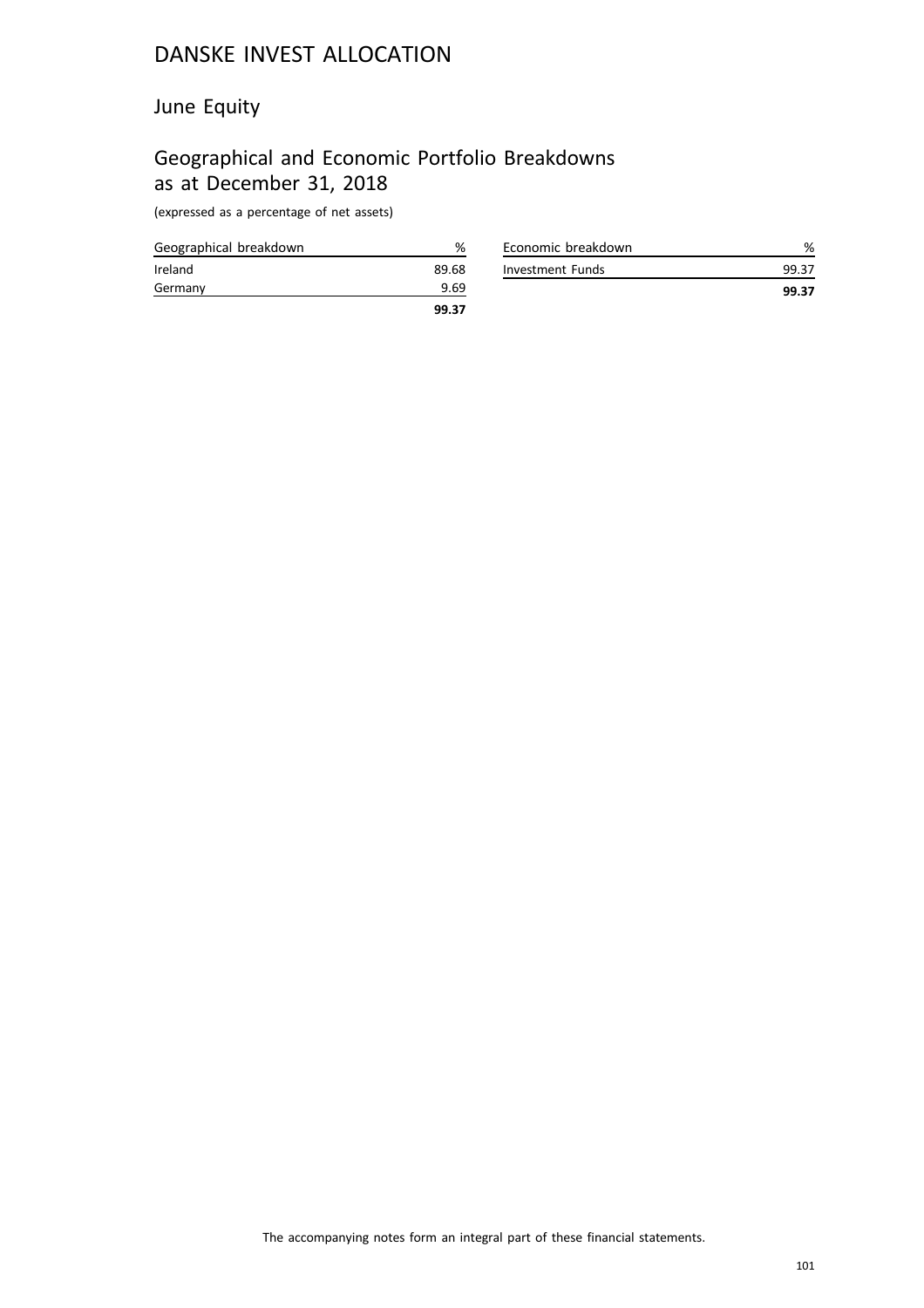### June Equity

# Geographical and Economic Portfolio Breakdowns as at December 31, 2018

|                        | 99.37 |
|------------------------|-------|
| Germany                | 9.69  |
| Ireland                | 89.68 |
| Geographical breakdown | %     |

| Economic breakdown |       |
|--------------------|-------|
| Investment Funds   | 99.37 |
|                    | 99.37 |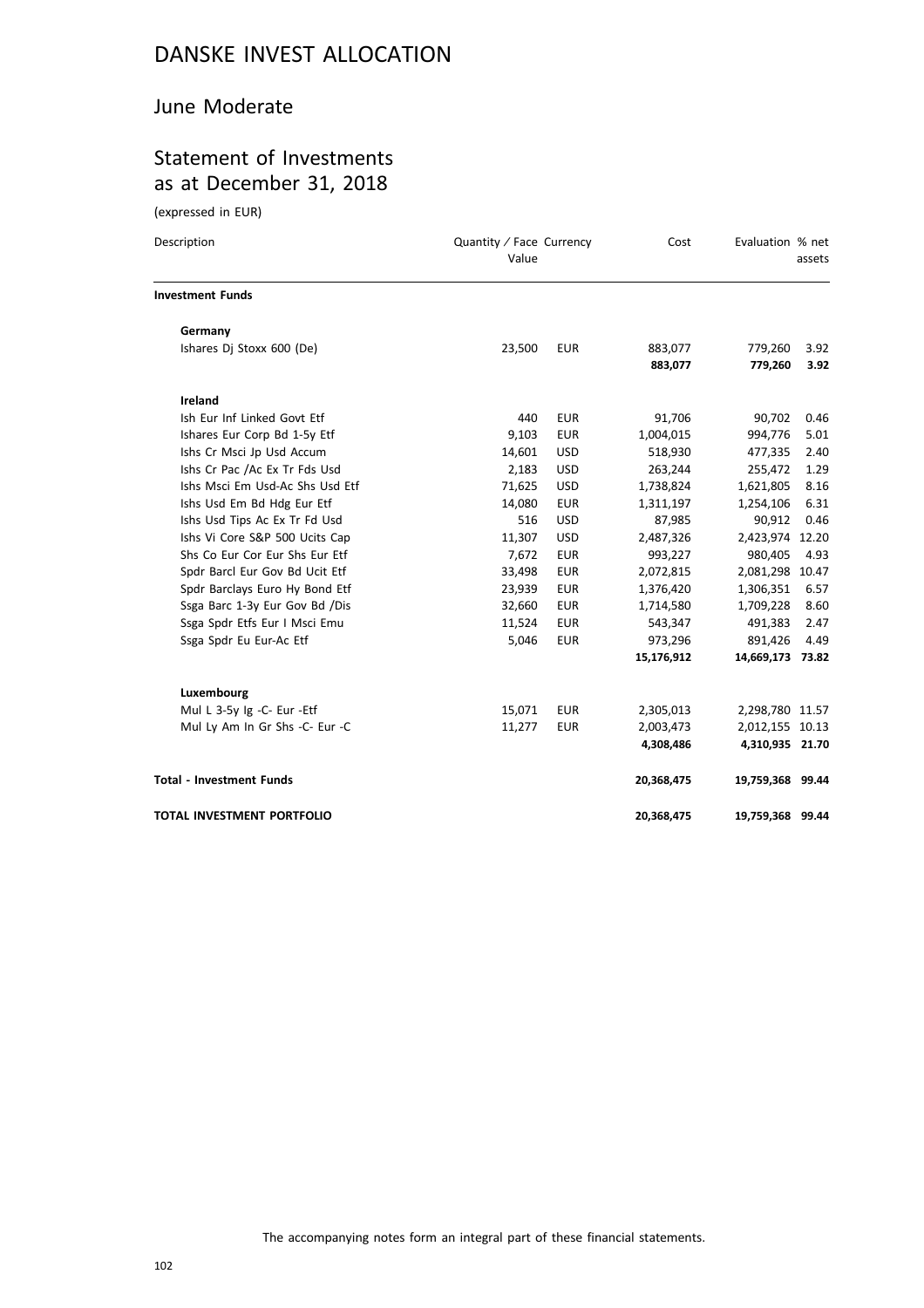#### June Moderate

### Statement of Investments as at December 31, 2018

(expressed in EUR)

| Description                     | Quantity / Face Currency<br>Value |            | Cost               | Evaluation % net   | assets       |
|---------------------------------|-----------------------------------|------------|--------------------|--------------------|--------------|
| <b>Investment Funds</b>         |                                   |            |                    |                    |              |
| Germany                         |                                   |            |                    |                    |              |
| Ishares Dj Stoxx 600 (De)       | 23,500                            | <b>EUR</b> | 883,077<br>883,077 | 779,260<br>779,260 | 3.92<br>3.92 |
| <b>Ireland</b>                  |                                   |            |                    |                    |              |
| Ish Eur Inf Linked Govt Etf     | 440                               | <b>EUR</b> | 91,706             | 90,702             | 0.46         |
| Ishares Eur Corp Bd 1-5y Etf    | 9,103                             | <b>EUR</b> | 1,004,015          | 994,776            | 5.01         |
| Ishs Cr Msci Jp Usd Accum       | 14,601                            | <b>USD</b> | 518,930            | 477,335            | 2.40         |
| Ishs Cr Pac /Ac Ex Tr Fds Usd   | 2,183                             | <b>USD</b> | 263,244            | 255,472            | 1.29         |
| Ishs Msci Em Usd-Ac Shs Usd Etf | 71,625                            | <b>USD</b> | 1,738,824          | 1,621,805          | 8.16         |
| Ishs Usd Em Bd Hdg Eur Etf      | 14,080                            | <b>EUR</b> | 1,311,197          | 1,254,106          | 6.31         |
| Ishs Usd Tips Ac Ex Tr Fd Usd   | 516                               | <b>USD</b> | 87,985             | 90,912             | 0.46         |
| Ishs Vi Core S&P 500 Ucits Cap  | 11,307                            | <b>USD</b> | 2,487,326          | 2,423,974 12.20    |              |
| Shs Co Eur Cor Eur Shs Eur Etf  | 7,672                             | <b>EUR</b> | 993,227            | 980,405            | 4.93         |
| Spdr Barcl Eur Gov Bd Ucit Etf  | 33,498                            | <b>EUR</b> | 2,072,815          | 2,081,298 10.47    |              |
| Spdr Barclays Euro Hy Bond Etf  | 23,939                            | <b>EUR</b> | 1,376,420          | 1,306,351          | 6.57         |
| Ssga Barc 1-3y Eur Gov Bd /Dis  | 32,660                            | <b>EUR</b> | 1,714,580          | 1,709,228          | 8.60         |
| Ssga Spdr Etfs Eur I Msci Emu   | 11,524                            | <b>EUR</b> | 543,347            | 491,383            | 2.47         |
| Ssga Spdr Eu Eur-Ac Etf         | 5,046                             | <b>EUR</b> | 973,296            | 891,426            | 4.49         |
|                                 |                                   |            | 15,176,912         | 14,669,173 73.82   |              |
| Luxembourg                      |                                   |            |                    |                    |              |
| Mul L 3-5y Ig -C- Eur -Etf      | 15,071                            | <b>EUR</b> | 2,305,013          | 2,298,780 11.57    |              |
| Mul Ly Am In Gr Shs -C- Eur -C  | 11,277                            | <b>EUR</b> | 2,003,473          | 2,012,155 10.13    |              |
|                                 |                                   |            | 4,308,486          | 4,310,935 21.70    |              |
| <b>Total - Investment Funds</b> |                                   |            | 20,368,475         | 19,759,368 99.44   |              |
| TOTAL INVESTMENT PORTFOLIO      |                                   |            | 20,368,475         | 19,759,368 99.44   |              |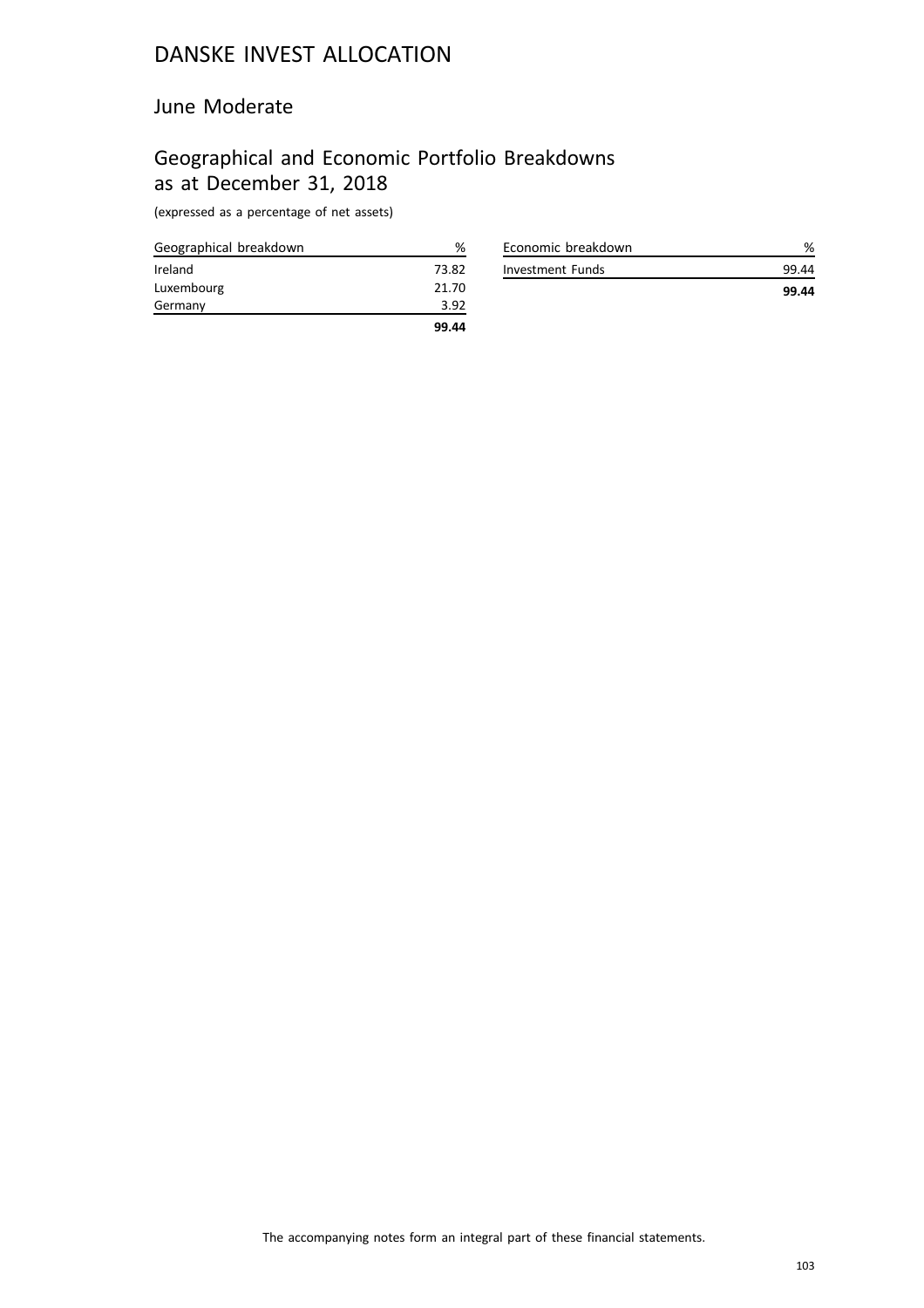#### June Moderate

## Geographical and Economic Portfolio Breakdowns as at December 31, 2018

| Geographical breakdown | %     |
|------------------------|-------|
| Ireland                | 73.82 |
| Luxembourg             | 21.70 |
| Germany                | 3.92  |
|                        | 99.44 |

| Economic breakdown | %     |
|--------------------|-------|
| Investment Funds   | 99.44 |
|                    | 99.44 |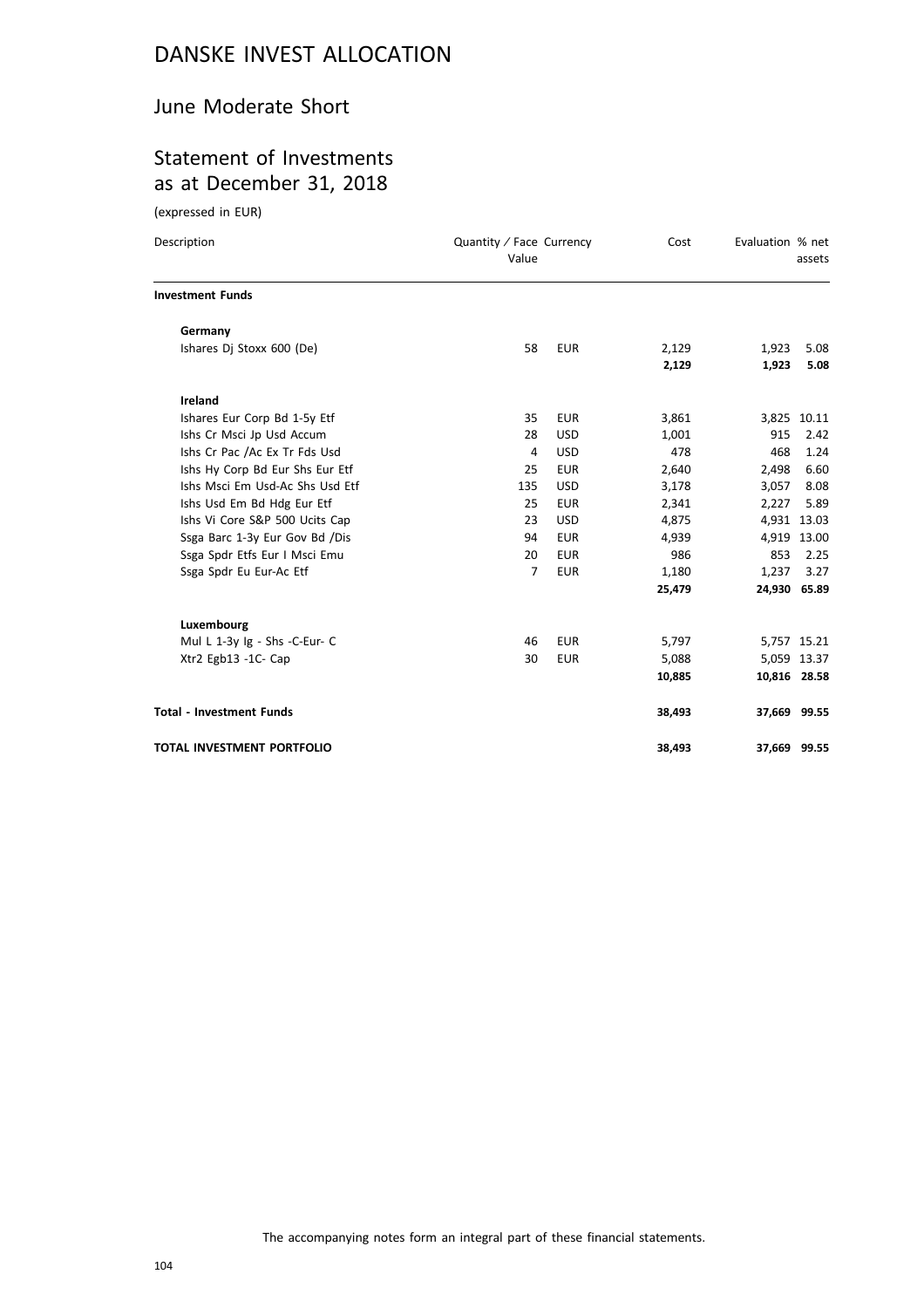#### June Moderate Short

#### Statement of Investments as at December 31, 2018

(expressed in EUR)

| Description                       | Quantity / Face Currency<br>Value |            | Cost   | Evaluation % net | assets       |
|-----------------------------------|-----------------------------------|------------|--------|------------------|--------------|
| <b>Investment Funds</b>           |                                   |            |        |                  |              |
| Germany                           |                                   |            |        |                  |              |
| Ishares Dj Stoxx 600 (De)         | 58                                | <b>EUR</b> | 2,129  | 1,923            | 5.08         |
|                                   |                                   |            | 2,129  | 1,923            | 5.08         |
| <b>Ireland</b>                    |                                   |            |        |                  |              |
| Ishares Eur Corp Bd 1-5y Etf      | 35                                | <b>EUR</b> | 3,861  |                  | 3,825 10.11  |
| Ishs Cr Msci Jp Usd Accum         | 28                                | <b>USD</b> | 1,001  | 915              | 2.42         |
| Ishs Cr Pac /Ac Ex Tr Fds Usd     | 4                                 | <b>USD</b> | 478    | 468              | 1.24         |
| Ishs Hy Corp Bd Eur Shs Eur Etf   | 25                                | <b>EUR</b> | 2,640  | 2,498            | 6.60         |
| Ishs Msci Em Usd-Ac Shs Usd Etf   | 135                               | <b>USD</b> | 3,178  | 3,057            | 8.08         |
| Ishs Usd Em Bd Hdg Eur Etf        | 25                                | <b>EUR</b> | 2,341  | 2,227            | 5.89         |
| Ishs Vi Core S&P 500 Ucits Cap    | 23                                | <b>USD</b> | 4,875  |                  | 4,931 13.03  |
| Ssga Barc 1-3y Eur Gov Bd /Dis    | 94                                | <b>EUR</b> | 4,939  |                  | 4,919 13.00  |
| Ssga Spdr Etfs Eur I Msci Emu     | 20                                | <b>EUR</b> | 986    | 853              | 2.25         |
| Ssga Spdr Eu Eur-Ac Etf           | 7                                 | <b>EUR</b> | 1,180  | 1,237            | 3.27         |
|                                   |                                   |            | 25,479 |                  | 24,930 65.89 |
| Luxembourg                        |                                   |            |        |                  |              |
| Mul L 1-3y Ig - Shs -C-Eur- C     | 46                                | <b>EUR</b> | 5,797  |                  | 5,757 15.21  |
| Xtr2 Egb13 -1C- Cap               | 30                                | <b>EUR</b> | 5,088  |                  | 5,059 13.37  |
|                                   |                                   |            | 10,885 |                  | 10,816 28.58 |
| <b>Total - Investment Funds</b>   |                                   |            | 38,493 |                  | 37,669 99.55 |
| <b>TOTAL INVESTMENT PORTFOLIO</b> |                                   |            | 38,493 |                  | 37,669 99.55 |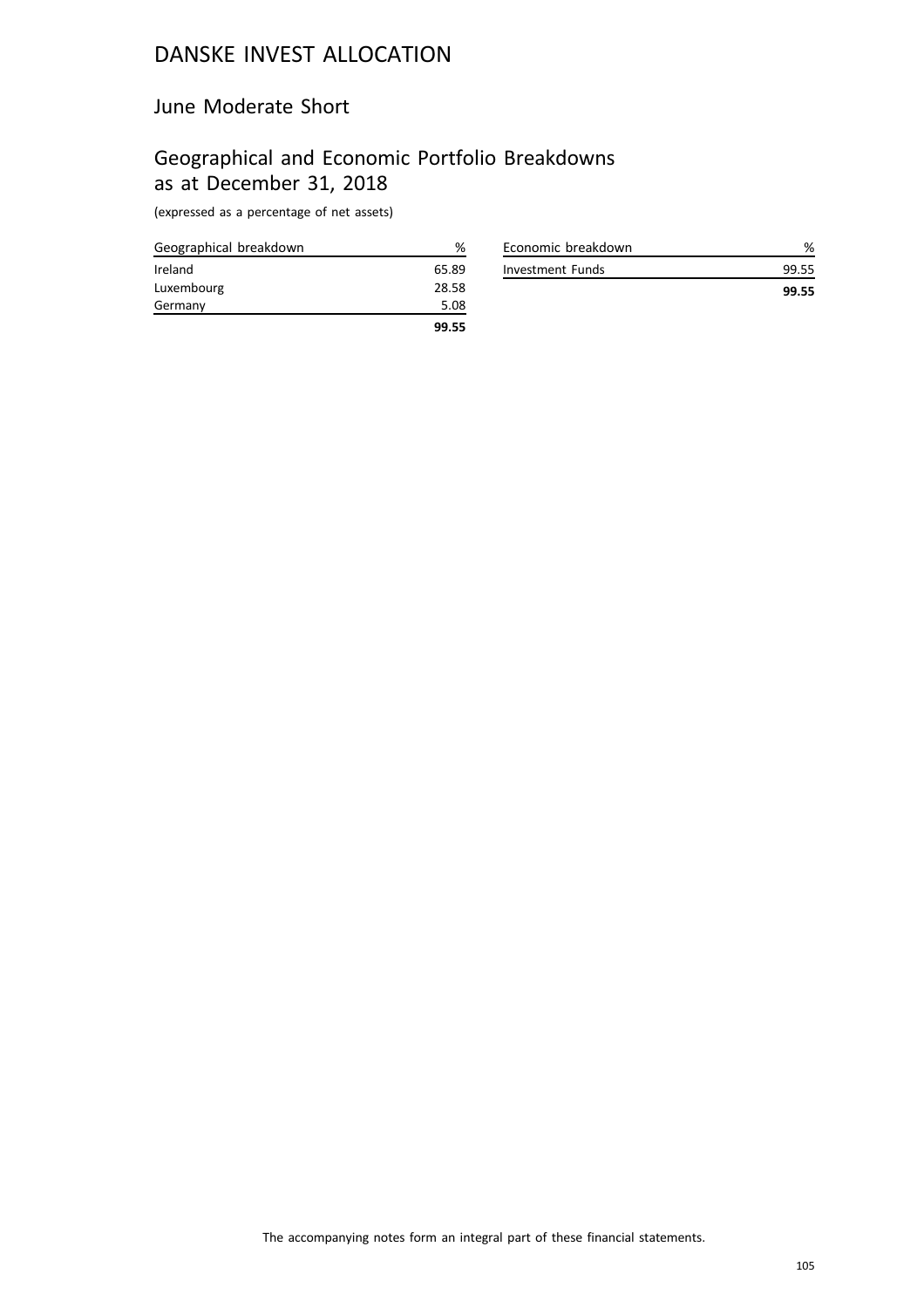#### June Moderate Short

# Geographical and Economic Portfolio Breakdowns as at December 31, 2018

| Geographical breakdown | %     |
|------------------------|-------|
| Ireland                | 65.89 |
| Luxembourg             | 28.58 |
| Germany                | 5.08  |
|                        | 99.55 |

| Economic breakdown |       |
|--------------------|-------|
| Investment Funds   | 99.55 |
|                    | 99.55 |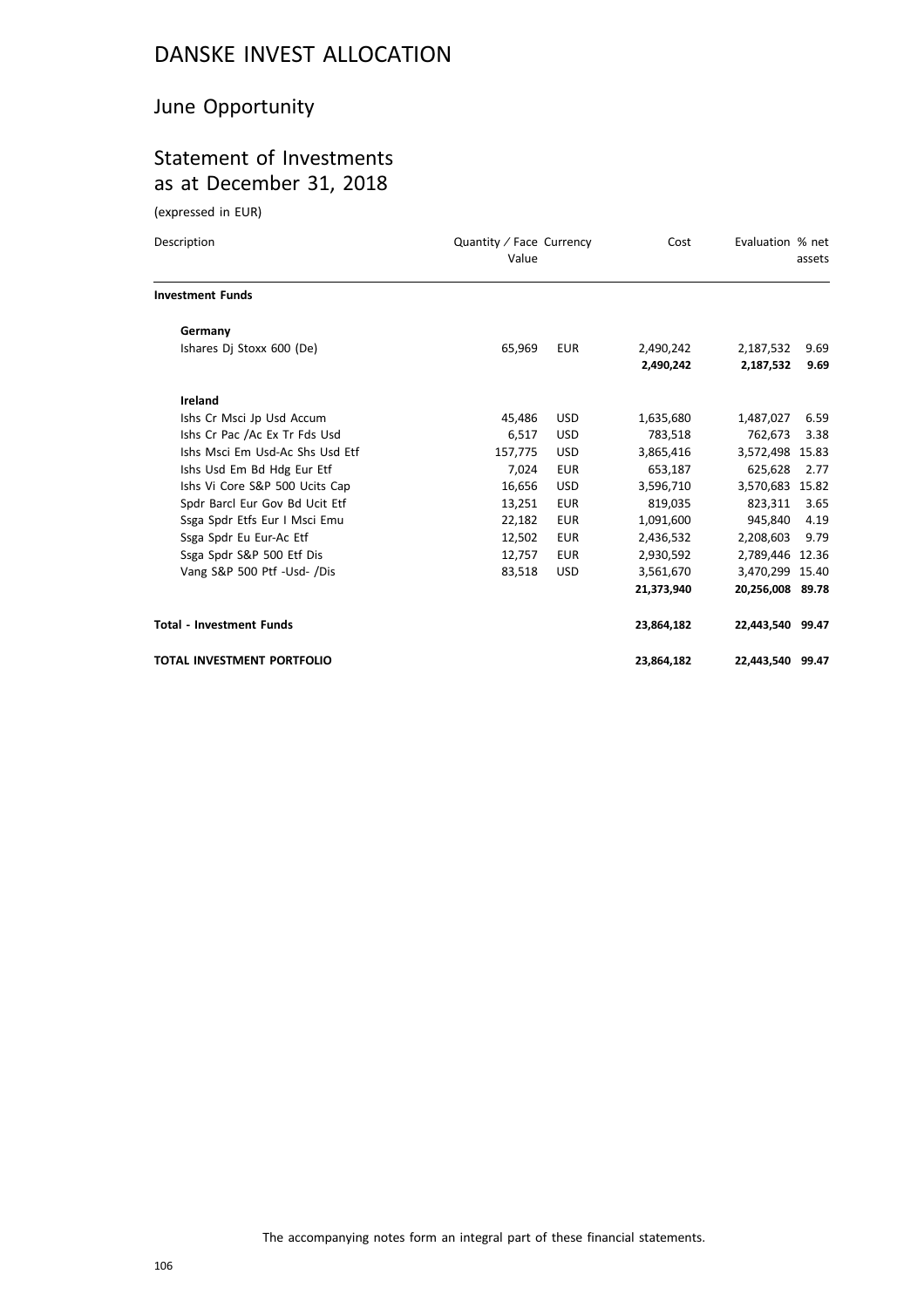### June Opportunity

### Statement of Investments as at December 31, 2018

(expressed in EUR)

| Description<br>Quantity / Face Currency<br>Value |         |            | Cost       | Evaluation % net | assets |
|--------------------------------------------------|---------|------------|------------|------------------|--------|
| <b>Investment Funds</b>                          |         |            |            |                  |        |
| Germany                                          |         |            |            |                  |        |
| Ishares Dj Stoxx 600 (De)                        | 65,969  | <b>EUR</b> | 2,490,242  | 2,187,532        | 9.69   |
|                                                  |         |            | 2,490,242  | 2,187,532        | 9.69   |
| Ireland                                          |         |            |            |                  |        |
| Ishs Cr Msci Jp Usd Accum                        | 45,486  | <b>USD</b> | 1,635,680  | 1,487,027        | 6.59   |
| Ishs Cr Pac /Ac Ex Tr Fds Usd                    | 6,517   | <b>USD</b> | 783,518    | 762,673          | 3.38   |
| Ishs Msci Em Usd-Ac Shs Usd Etf                  | 157,775 | <b>USD</b> | 3,865,416  | 3,572,498 15.83  |        |
| Ishs Usd Em Bd Hdg Eur Etf                       | 7,024   | <b>EUR</b> | 653,187    | 625,628          | 2.77   |
| Ishs Vi Core S&P 500 Ucits Cap                   | 16,656  | <b>USD</b> | 3,596,710  | 3,570,683 15.82  |        |
| Spdr Barcl Eur Gov Bd Ucit Etf                   | 13,251  | <b>EUR</b> | 819,035    | 823,311          | 3.65   |
| Ssga Spdr Etfs Eur I Msci Emu                    | 22,182  | <b>EUR</b> | 1,091,600  | 945,840          | 4.19   |
| Ssga Spdr Eu Eur-Ac Etf                          | 12,502  | <b>EUR</b> | 2,436,532  | 2,208,603        | 9.79   |
| Ssga Spdr S&P 500 Etf Dis                        | 12,757  | <b>EUR</b> | 2,930,592  | 2,789,446 12.36  |        |
| Vang S&P 500 Ptf -Usd- /Dis                      | 83,518  | <b>USD</b> | 3,561,670  | 3,470,299 15.40  |        |
|                                                  |         |            | 21,373,940 | 20,256,008 89.78 |        |
| <b>Total - Investment Funds</b>                  |         |            | 23,864,182 | 22,443,540 99.47 |        |
| TOTAL INVESTMENT PORTFOLIO                       |         |            | 23,864,182 | 22,443,540 99.47 |        |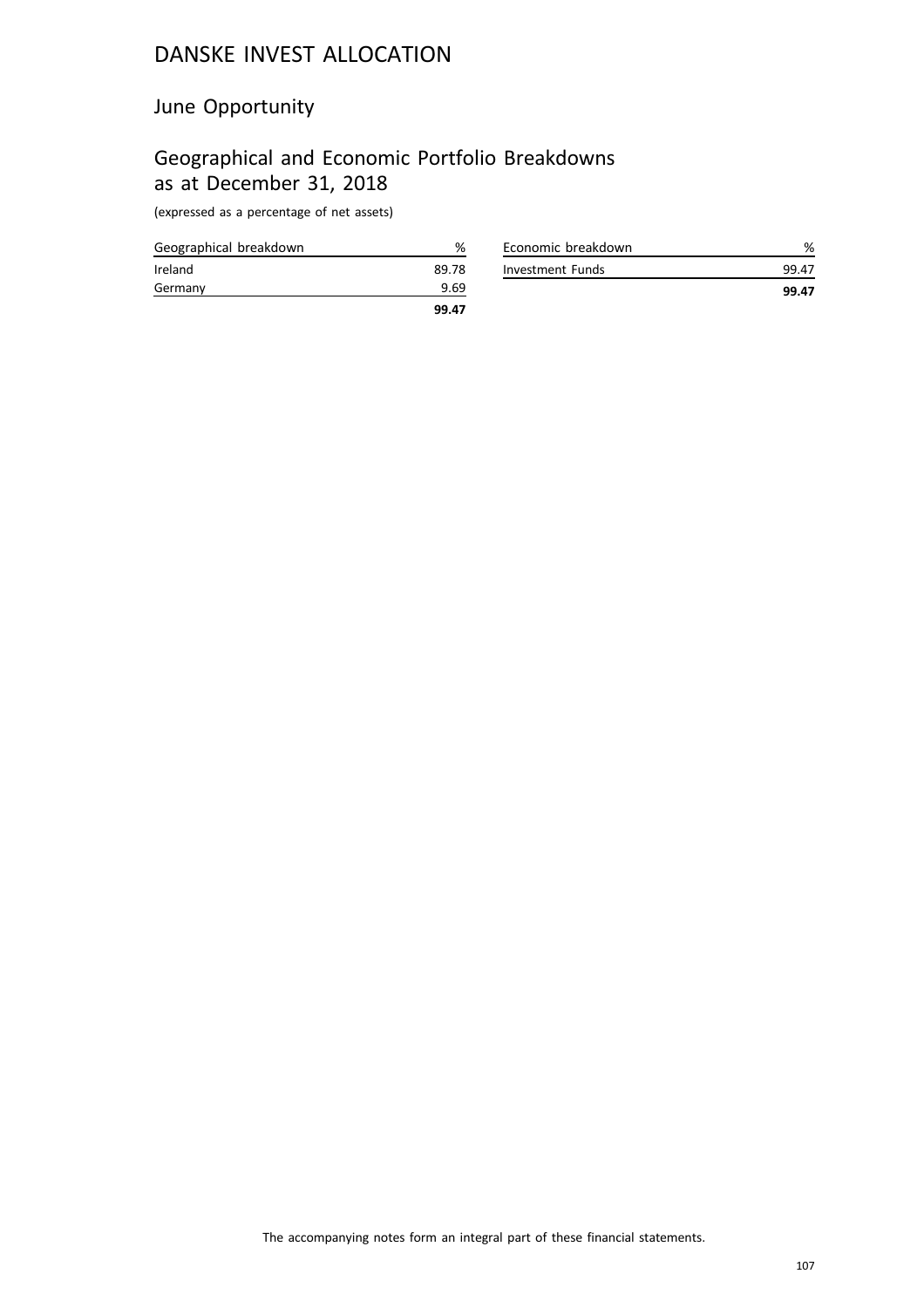#### June Opportunity

# Geographical and Economic Portfolio Breakdowns as at December 31, 2018

| Geographical breakdown | %     |
|------------------------|-------|
| Ireland                | 89.78 |
| Germany                | 9.69  |
|                        | 99.47 |

| Economic breakdown |       |
|--------------------|-------|
| Investment Funds   | 99.47 |
|                    | 99.47 |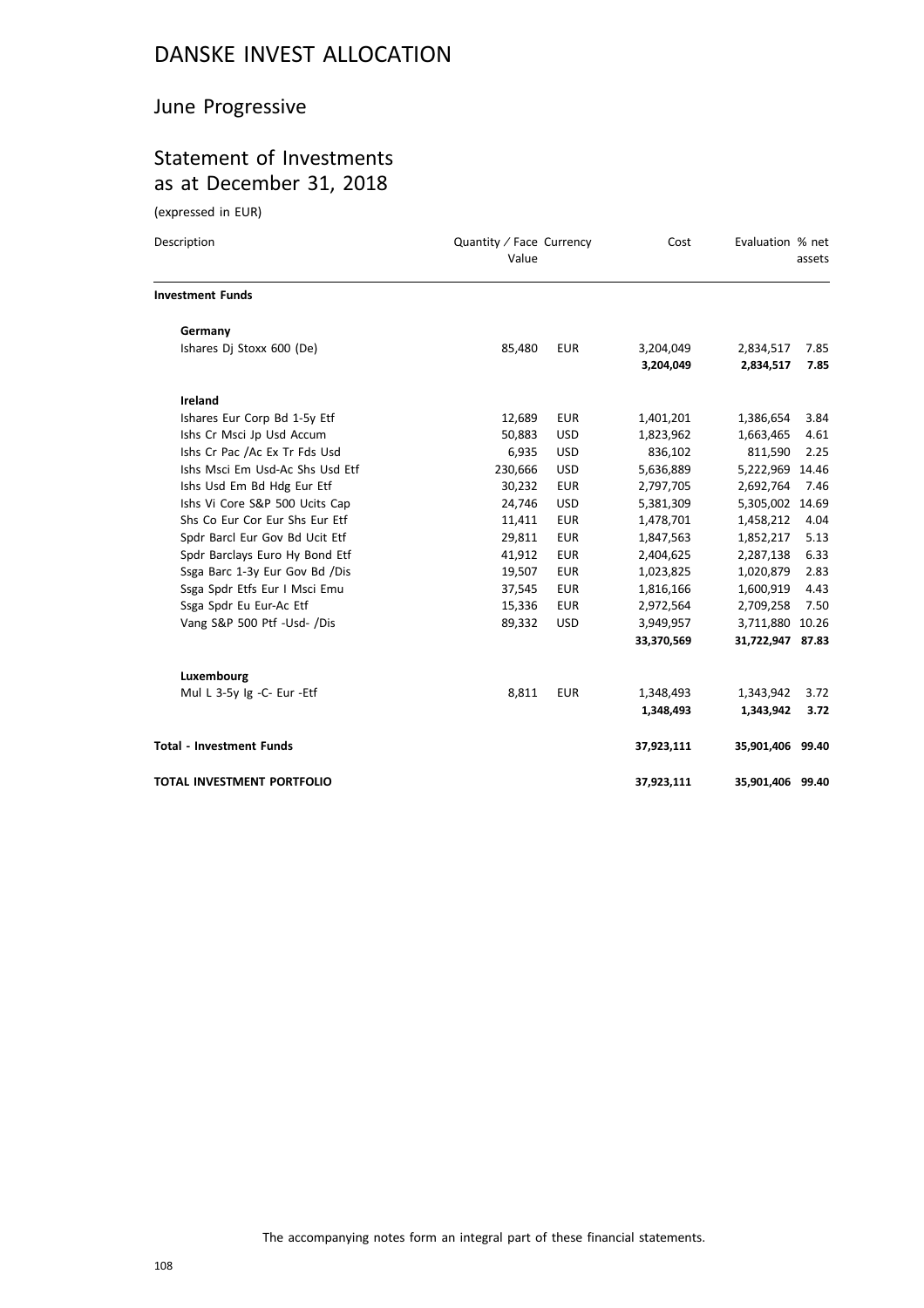### June Progressive

### Statement of Investments as at December 31, 2018

(expressed in EUR)

| Description                       | Quantity / Face Currency<br>Value |            | Cost       | Evaluation % net | assets |
|-----------------------------------|-----------------------------------|------------|------------|------------------|--------|
| <b>Investment Funds</b>           |                                   |            |            |                  |        |
| Germany                           |                                   |            |            |                  |        |
| Ishares Dj Stoxx 600 (De)         | 85,480                            | <b>EUR</b> | 3,204,049  | 2,834,517        | 7.85   |
|                                   |                                   |            | 3,204,049  | 2,834,517        | 7.85   |
| Ireland                           |                                   |            |            |                  |        |
| Ishares Eur Corp Bd 1-5y Etf      | 12,689                            | <b>EUR</b> | 1,401,201  | 1,386,654        | 3.84   |
| Ishs Cr Msci Jp Usd Accum         | 50,883                            | <b>USD</b> | 1,823,962  | 1,663,465        | 4.61   |
| Ishs Cr Pac /Ac Ex Tr Fds Usd     | 6,935                             | <b>USD</b> | 836,102    | 811,590          | 2.25   |
| Ishs Msci Em Usd-Ac Shs Usd Etf   | 230,666                           | <b>USD</b> | 5,636,889  | 5,222,969 14.46  |        |
| Ishs Usd Em Bd Hdg Eur Etf        | 30,232                            | <b>EUR</b> | 2,797,705  | 2,692,764        | 7.46   |
| Ishs Vi Core S&P 500 Ucits Cap    | 24,746                            | <b>USD</b> | 5,381,309  | 5,305,002 14.69  |        |
| Shs Co Eur Cor Eur Shs Eur Etf    | 11,411                            | <b>EUR</b> | 1,478,701  | 1,458,212        | 4.04   |
| Spdr Barcl Eur Gov Bd Ucit Etf    | 29,811                            | <b>EUR</b> | 1,847,563  | 1,852,217        | 5.13   |
| Spdr Barclays Euro Hy Bond Etf    | 41,912                            | <b>EUR</b> | 2,404,625  | 2,287,138        | 6.33   |
| Ssga Barc 1-3y Eur Gov Bd /Dis    | 19,507                            | <b>EUR</b> | 1,023,825  | 1,020,879        | 2.83   |
| Ssga Spdr Etfs Eur I Msci Emu     | 37,545                            | <b>EUR</b> | 1,816,166  | 1,600,919        | 4.43   |
| Ssga Spdr Eu Eur-Ac Etf           | 15,336                            | <b>EUR</b> | 2,972,564  | 2,709,258        | 7.50   |
| Vang S&P 500 Ptf -Usd- /Dis       | 89,332                            | <b>USD</b> | 3,949,957  | 3,711,880 10.26  |        |
|                                   |                                   |            | 33,370,569 | 31,722,947 87.83 |        |
| Luxembourg                        |                                   |            |            |                  |        |
| Mul L 3-5y Ig -C- Eur -Etf        | 8,811                             | <b>EUR</b> | 1,348,493  | 1,343,942        | 3.72   |
|                                   |                                   |            | 1,348,493  | 1,343,942        | 3.72   |
| <b>Total - Investment Funds</b>   |                                   |            | 37,923,111 | 35,901,406 99.40 |        |
| <b>TOTAL INVESTMENT PORTFOLIO</b> |                                   |            | 37,923,111 | 35,901,406 99.40 |        |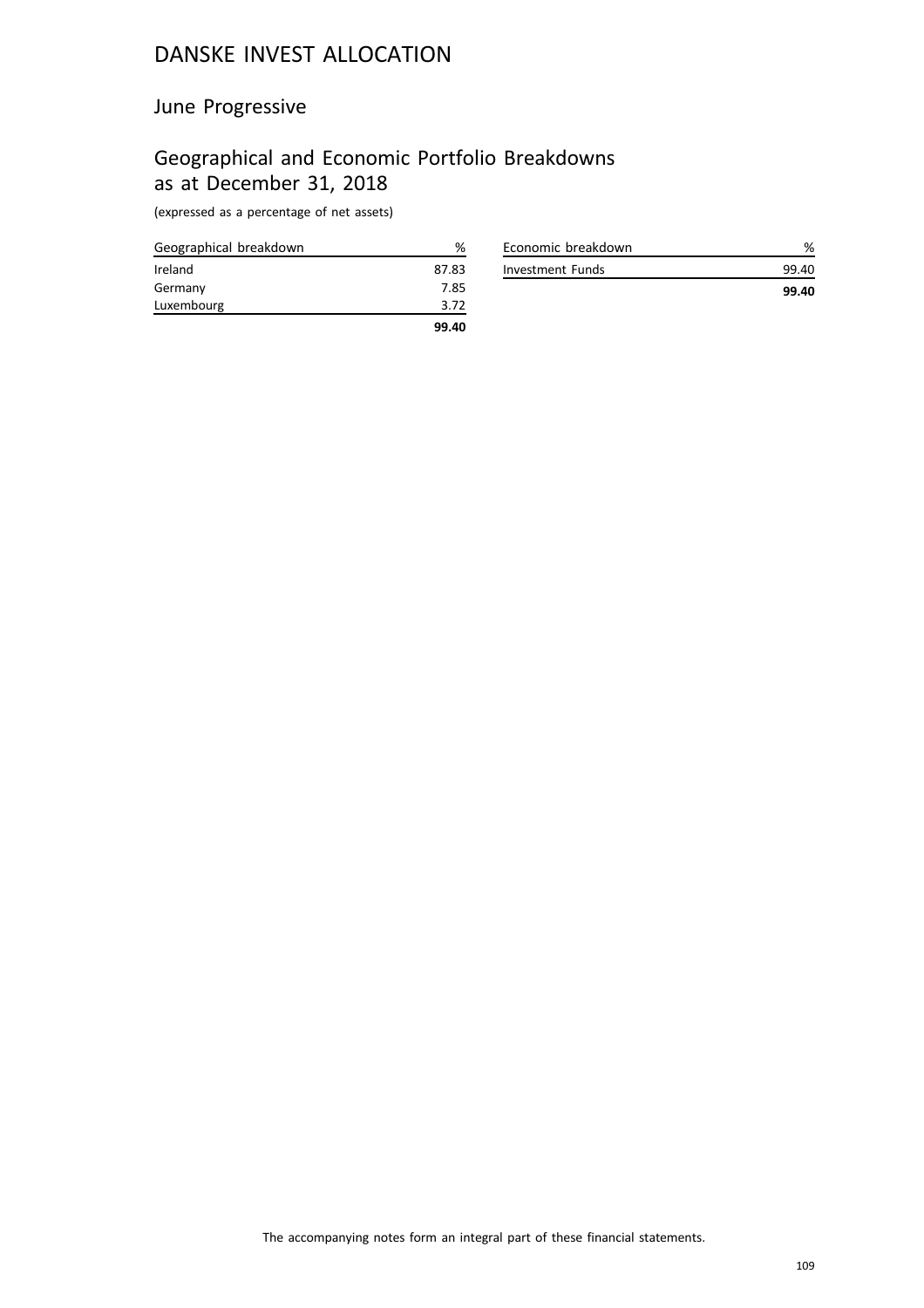# June Progressive

# Geographical and Economic Portfolio Breakdowns as at December 31, 2018

(expressed as a percentage of net assets)

| Geographical breakdown | %     |
|------------------------|-------|
| Ireland                | 87.83 |
| Germany                | 7.85  |
| Luxembourg             | 3.72  |
|                        | 99.40 |

| Economic breakdown |       |
|--------------------|-------|
| Investment Funds   | 99 40 |
|                    | 99.40 |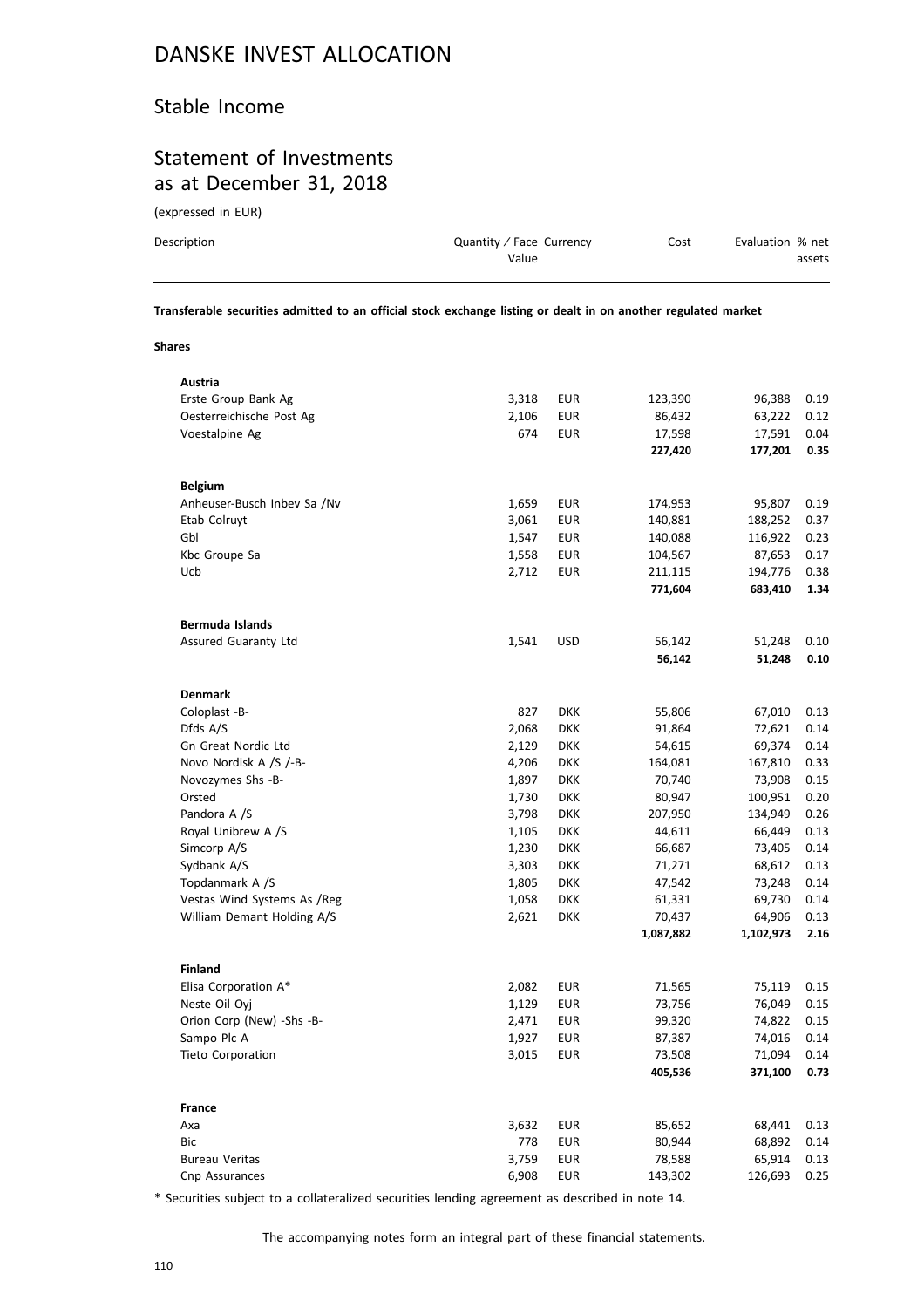## Stable Income

# Statement of Investments as at December 31, 2018

(expressed in EUR)

| Description | Quantity / Face Currency<br>Value | Cost | Evaluation % net<br>assets |
|-------------|-----------------------------------|------|----------------------------|
|             |                                   |      |                            |

**Transferable securities admitted to an official stock exchange listing or dealt in on another regulated market**

**Shares**

| Austria                     |       |            |           |           |      |
|-----------------------------|-------|------------|-----------|-----------|------|
| Erste Group Bank Ag         | 3,318 | <b>EUR</b> | 123,390   | 96,388    | 0.19 |
| Oesterreichische Post Ag    | 2,106 | <b>EUR</b> | 86,432    | 63,222    | 0.12 |
| Voestalpine Ag              | 674   | EUR        | 17,598    | 17,591    | 0.04 |
|                             |       |            | 227,420   | 177,201   | 0.35 |
|                             |       |            |           |           |      |
| <b>Belgium</b>              |       |            |           |           |      |
| Anheuser-Busch Inbev Sa /Nv | 1,659 | <b>EUR</b> | 174,953   | 95,807    | 0.19 |
| Etab Colruyt                | 3,061 | EUR        | 140,881   | 188,252   | 0.37 |
| Gbl                         | 1,547 | <b>EUR</b> | 140,088   | 116,922   | 0.23 |
| Kbc Groupe Sa               | 1,558 | <b>EUR</b> | 104,567   | 87,653    | 0.17 |
| Ucb                         | 2,712 | <b>EUR</b> | 211,115   | 194,776   | 0.38 |
|                             |       |            | 771,604   | 683,410   | 1.34 |
|                             |       |            |           |           |      |
| Bermuda Islands             |       |            |           |           |      |
| Assured Guaranty Ltd        | 1,541 | <b>USD</b> | 56,142    | 51,248    | 0.10 |
|                             |       |            | 56,142    | 51,248    | 0.10 |
|                             |       |            |           |           |      |
| Denmark                     |       |            |           |           |      |
| Coloplast -B-               | 827   | <b>DKK</b> | 55,806    | 67,010    | 0.13 |
| Dfds A/S                    | 2,068 | <b>DKK</b> | 91,864    | 72,621    | 0.14 |
| <b>Gn Great Nordic Ltd</b>  | 2,129 | <b>DKK</b> | 54,615    | 69,374    | 0.14 |
| Novo Nordisk A /S /-B-      | 4,206 | <b>DKK</b> | 164,081   | 167,810   | 0.33 |
| Novozymes Shs -B-           | 1,897 | <b>DKK</b> | 70,740    | 73,908    | 0.15 |
| Orsted                      | 1,730 | <b>DKK</b> | 80,947    | 100,951   | 0.20 |
| Pandora A /S                | 3,798 | <b>DKK</b> | 207,950   | 134,949   | 0.26 |
| Royal Unibrew A /S          | 1,105 | <b>DKK</b> | 44,611    | 66,449    | 0.13 |
| Simcorp A/S                 | 1,230 | <b>DKK</b> | 66,687    | 73,405    | 0.14 |
| Sydbank A/S                 | 3,303 | <b>DKK</b> | 71,271    | 68,612    | 0.13 |
| Topdanmark A /S             | 1,805 | <b>DKK</b> | 47,542    | 73,248    | 0.14 |
| Vestas Wind Systems As /Reg | 1,058 | <b>DKK</b> | 61,331    | 69,730    | 0.14 |
| William Demant Holding A/S  | 2,621 | <b>DKK</b> | 70,437    | 64,906    | 0.13 |
|                             |       |            | 1,087,882 | 1,102,973 | 2.16 |
|                             |       |            |           |           |      |
| Finland                     |       |            |           |           |      |
| Elisa Corporation A*        | 2,082 | EUR        | 71,565    | 75,119    | 0.15 |
| Neste Oil Oyj               | 1,129 | EUR        | 73,756    | 76,049    | 0.15 |
| Orion Corp (New) -Shs -B-   | 2,471 | EUR        | 99,320    | 74,822    | 0.15 |
| Sampo Plc A                 | 1,927 | <b>EUR</b> | 87,387    | 74,016    | 0.14 |
| <b>Tieto Corporation</b>    | 3,015 | <b>EUR</b> | 73,508    | 71,094    | 0.14 |
|                             |       |            | 405,536   | 371,100   | 0.73 |
|                             |       |            |           |           |      |
| France                      |       |            |           |           |      |
| Аха                         | 3,632 | <b>EUR</b> | 85,652    | 68,441    | 0.13 |
| Bic                         | 778   | <b>EUR</b> | 80,944    | 68,892    | 0.14 |
| <b>Bureau Veritas</b>       | 3,759 | <b>EUR</b> | 78,588    | 65,914    | 0.13 |
| Cnp Assurances              | 6,908 | <b>EUR</b> | 143,302   | 126,693   | 0.25 |
|                             |       |            |           |           |      |

\* Securities subject to a collateralized securities lending agreement as described in note 14.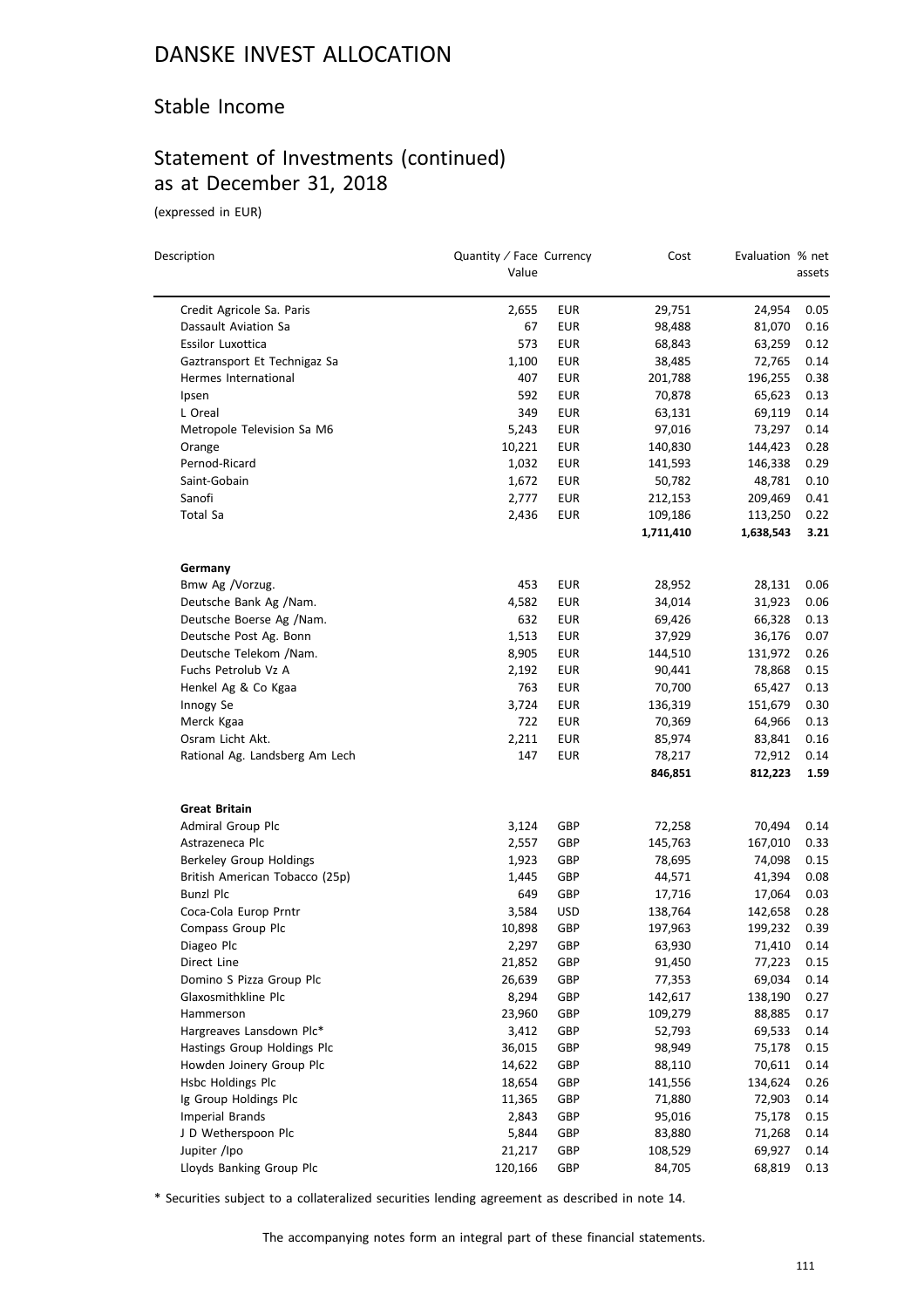## Stable Income

# Statement of Investments (continued) as at December 31, 2018

(expressed in EUR)

| Description                    | Quantity / Face Currency<br>Value |            | Cost      | Evaluation % net | assets |
|--------------------------------|-----------------------------------|------------|-----------|------------------|--------|
| Credit Agricole Sa. Paris      | 2,655                             | <b>EUR</b> | 29,751    | 24,954           | 0.05   |
| Dassault Aviation Sa           | 67                                | <b>EUR</b> | 98,488    | 81,070           | 0.16   |
| Essilor Luxottica              | 573                               | <b>EUR</b> | 68,843    | 63,259           | 0.12   |
| Gaztransport Et Technigaz Sa   | 1,100                             | <b>EUR</b> | 38,485    | 72,765           | 0.14   |
| Hermes International           | 407                               | <b>EUR</b> | 201,788   | 196,255          | 0.38   |
| Ipsen                          | 592                               | <b>EUR</b> | 70,878    | 65,623           | 0.13   |
| L Oreal                        | 349                               | <b>EUR</b> | 63,131    | 69,119           | 0.14   |
| Metropole Television Sa M6     | 5,243                             | <b>EUR</b> | 97,016    | 73,297           | 0.14   |
| Orange                         | 10,221                            | <b>EUR</b> | 140,830   | 144,423          | 0.28   |
| Pernod-Ricard                  | 1,032                             | <b>EUR</b> | 141,593   | 146,338          | 0.29   |
| Saint-Gobain                   | 1,672                             | <b>EUR</b> | 50,782    | 48,781           | 0.10   |
| Sanofi                         | 2,777                             | <b>EUR</b> | 212,153   | 209,469          | 0.41   |
| Total Sa                       | 2,436                             | <b>EUR</b> | 109,186   | 113,250          | 0.22   |
|                                |                                   |            | 1,711,410 | 1,638,543        | 3.21   |
| Germany                        |                                   |            |           |                  |        |
| Bmw Ag /Vorzug.                | 453                               | <b>EUR</b> | 28,952    | 28,131           | 0.06   |
| Deutsche Bank Ag /Nam.         | 4,582                             | <b>EUR</b> | 34,014    | 31,923           | 0.06   |
| Deutsche Boerse Ag /Nam.       | 632                               | <b>EUR</b> | 69,426    | 66,328           | 0.13   |
| Deutsche Post Ag. Bonn         | 1,513                             | <b>EUR</b> | 37,929    | 36,176           | 0.07   |
| Deutsche Telekom /Nam.         | 8,905                             | <b>EUR</b> | 144,510   | 131,972          | 0.26   |
| Fuchs Petrolub Vz A            | 2,192                             | <b>EUR</b> | 90,441    | 78,868           | 0.15   |
| Henkel Ag & Co Kgaa            | 763                               | <b>EUR</b> | 70,700    | 65,427           | 0.13   |
| Innogy Se                      | 3,724                             | <b>EUR</b> | 136,319   | 151,679          | 0.30   |
| Merck Kgaa                     | 722                               | <b>EUR</b> | 70,369    | 64,966           | 0.13   |
| Osram Licht Akt.               | 2,211                             | <b>EUR</b> | 85,974    | 83,841           | 0.16   |
| Rational Ag. Landsberg Am Lech | 147                               | <b>EUR</b> | 78,217    | 72,912           | 0.14   |
|                                |                                   |            | 846,851   | 812,223          | 1.59   |
| <b>Great Britain</b>           |                                   |            |           |                  |        |
| Admiral Group Plc              | 3,124                             | GBP        | 72,258    | 70,494           | 0.14   |
| Astrazeneca Plc                | 2,557                             | GBP        | 145,763   | 167,010          | 0.33   |
| Berkeley Group Holdings        | 1,923                             | GBP        | 78,695    | 74,098           | 0.15   |
| British American Tobacco (25p) | 1,445                             | GBP        | 44,571    | 41,394           | 0.08   |
| <b>Bunzl Plc</b>               | 649                               | GBP        | 17,716    | 17,064           | 0.03   |
| Coca-Cola Europ Prntr          | 3,584                             | <b>USD</b> | 138,764   | 142,658          | 0.28   |
| Compass Group Plc              | 10,898                            | GBP        | 197,963   | 199,232          | 0.39   |
| Diageo Plc                     | 2,297                             | GBP        | 63,930    | 71,410           | 0.14   |
| Direct Line                    | 21,852                            | GBP        | 91,450    | 77,223           | 0.15   |
| Domino S Pizza Group Plc       | 26,639                            | GBP        | 77,353    | 69,034           | 0.14   |
| Glaxosmithkline Plc            | 8,294                             | GBP        | 142,617   | 138,190          | 0.27   |
| Hammerson                      | 23,960                            | GBP        | 109,279   | 88,885           | 0.17   |
| Hargreaves Lansdown Plc*       | 3,412                             | GBP        | 52,793    | 69,533           | 0.14   |
| Hastings Group Holdings Plc    | 36,015                            | GBP        | 98,949    | 75,178           | 0.15   |
| Howden Joinery Group Plc       | 14,622                            | GBP        | 88,110    | 70,611           | 0.14   |
| Hsbc Holdings Plc              | 18,654                            | GBP        | 141,556   | 134,624          | 0.26   |
| Ig Group Holdings Plc          | 11,365                            | GBP        | 71,880    | 72,903           | 0.14   |
| Imperial Brands                | 2,843                             | GBP        | 95,016    | 75,178           | 0.15   |
| J D Wetherspoon Plc            | 5,844                             | GBP        | 83,880    | 71,268           | 0.14   |
| Jupiter /Ipo                   | 21,217                            | GBP        | 108,529   | 69,927           | 0.14   |
| Lloyds Banking Group Plc       | 120,166                           | GBP        | 84,705    | 68,819           | 0.13   |

\* Securities subject to a collateralized securities lending agreement as described in note 14.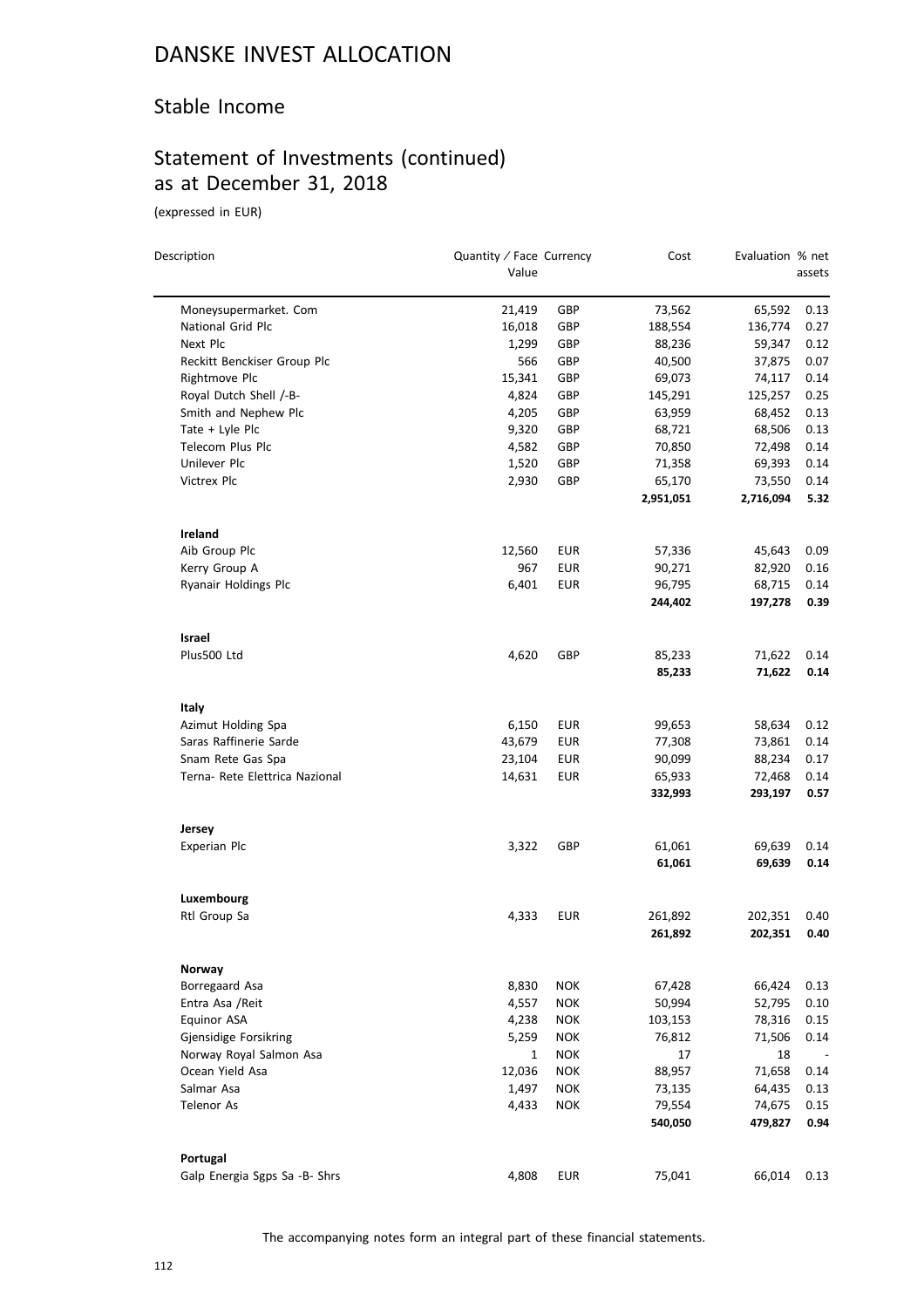## Stable Income

# Statement of Investments (continued) as at December 31, 2018

(expressed in EUR)

 $\equiv$ 

| Description                    | Quantity / Face Currency |            | Cost      | Evaluation % net |        |
|--------------------------------|--------------------------|------------|-----------|------------------|--------|
|                                | Value                    |            |           |                  | assets |
| Moneysupermarket. Com          | 21,419                   | GBP        | 73,562    | 65,592           | 0.13   |
| <b>National Grid Plc</b>       | 16,018                   | GBP        | 188,554   | 136,774          | 0.27   |
| Next Plc                       | 1,299                    | GBP        | 88,236    | 59,347           | 0.12   |
| Reckitt Benckiser Group Plc    | 566                      | GBP        | 40,500    | 37,875           | 0.07   |
| Rightmove Plc                  | 15,341                   | GBP        | 69,073    | 74,117           | 0.14   |
| Royal Dutch Shell /-B-         | 4,824                    | GBP        | 145,291   | 125,257          | 0.25   |
| Smith and Nephew Plc           | 4,205                    | GBP        | 63,959    | 68,452           | 0.13   |
| Tate + Lyle Plc                | 9,320                    | GBP        | 68,721    | 68,506           | 0.13   |
| Telecom Plus Plc               | 4,582                    | GBP        | 70,850    | 72,498           | 0.14   |
| Unilever Plc                   | 1,520                    | GBP        | 71,358    | 69,393           | 0.14   |
| Victrex Plc                    | 2,930                    | GBP        | 65,170    | 73,550           | 0.14   |
|                                |                          |            | 2,951,051 | 2,716,094        | 5.32   |
| Ireland                        |                          |            |           |                  |        |
| Aib Group Plc                  | 12,560                   | EUR        | 57,336    | 45,643           | 0.09   |
| Kerry Group A                  | 967                      | <b>EUR</b> | 90,271    | 82,920           | 0.16   |
| Ryanair Holdings Plc           | 6,401                    | <b>EUR</b> | 96,795    | 68,715           | 0.14   |
|                                |                          |            | 244,402   | 197,278          | 0.39   |
| Israel                         |                          |            |           |                  |        |
| Plus500 Ltd                    | 4,620                    | GBP        | 85,233    | 71,622           | 0.14   |
|                                |                          |            | 85,233    | 71,622           | 0.14   |
| Italy                          |                          |            |           |                  |        |
| Azimut Holding Spa             | 6,150                    | EUR        | 99,653    | 58,634           | 0.12   |
| Saras Raffinerie Sarde         | 43,679                   | <b>EUR</b> | 77,308    | 73,861           | 0.14   |
| Snam Rete Gas Spa              | 23,104                   | EUR        | 90,099    | 88,234           | 0.17   |
| Terna- Rete Elettrica Nazional | 14,631                   | <b>EUR</b> | 65,933    | 72,468           | 0.14   |
|                                |                          |            | 332,993   | 293,197          | 0.57   |
| Jersey                         |                          |            |           |                  |        |
| Experian Plc                   | 3,322                    | GBP        | 61,061    | 69,639           | 0.14   |
|                                |                          |            | 61,061    | 69,639           | 0.14   |
| Luxembourg                     |                          |            |           |                  |        |
| Rtl Group Sa                   | 4,333                    | EUR        | 261,892   | 202,351          | 0.40   |
|                                |                          |            | 261,892   | 202,351          | 0.40   |
| Norway                         |                          |            |           |                  |        |
| Borregaard Asa                 | 8,830                    | <b>NOK</b> | 67,428    | 66,424           | 0.13   |
| Entra Asa / Reit               | 4,557                    | <b>NOK</b> | 50,994    | 52,795           | 0.10   |
| Equinor ASA                    | 4,238                    | <b>NOK</b> | 103,153   | 78,316           | 0.15   |
| Gjensidige Forsikring          | 5,259                    | <b>NOK</b> | 76,812    | 71,506           | 0.14   |
| Norway Royal Salmon Asa        | $\mathbf{1}$             | <b>NOK</b> | 17        | 18               |        |
| Ocean Yield Asa                | 12,036                   | <b>NOK</b> | 88,957    | 71,658           | 0.14   |
| Salmar Asa                     | 1,497                    | <b>NOK</b> | 73,135    | 64,435           | 0.13   |
| <b>Telenor As</b>              | 4,433                    | <b>NOK</b> | 79,554    | 74,675           | 0.15   |
|                                |                          |            | 540,050   | 479,827          | 0.94   |
| Portugal                       |                          |            |           |                  |        |
| Galp Energia Sgps Sa -B- Shrs  | 4,808                    | EUR        | 75,041    | 66,014           | 0.13   |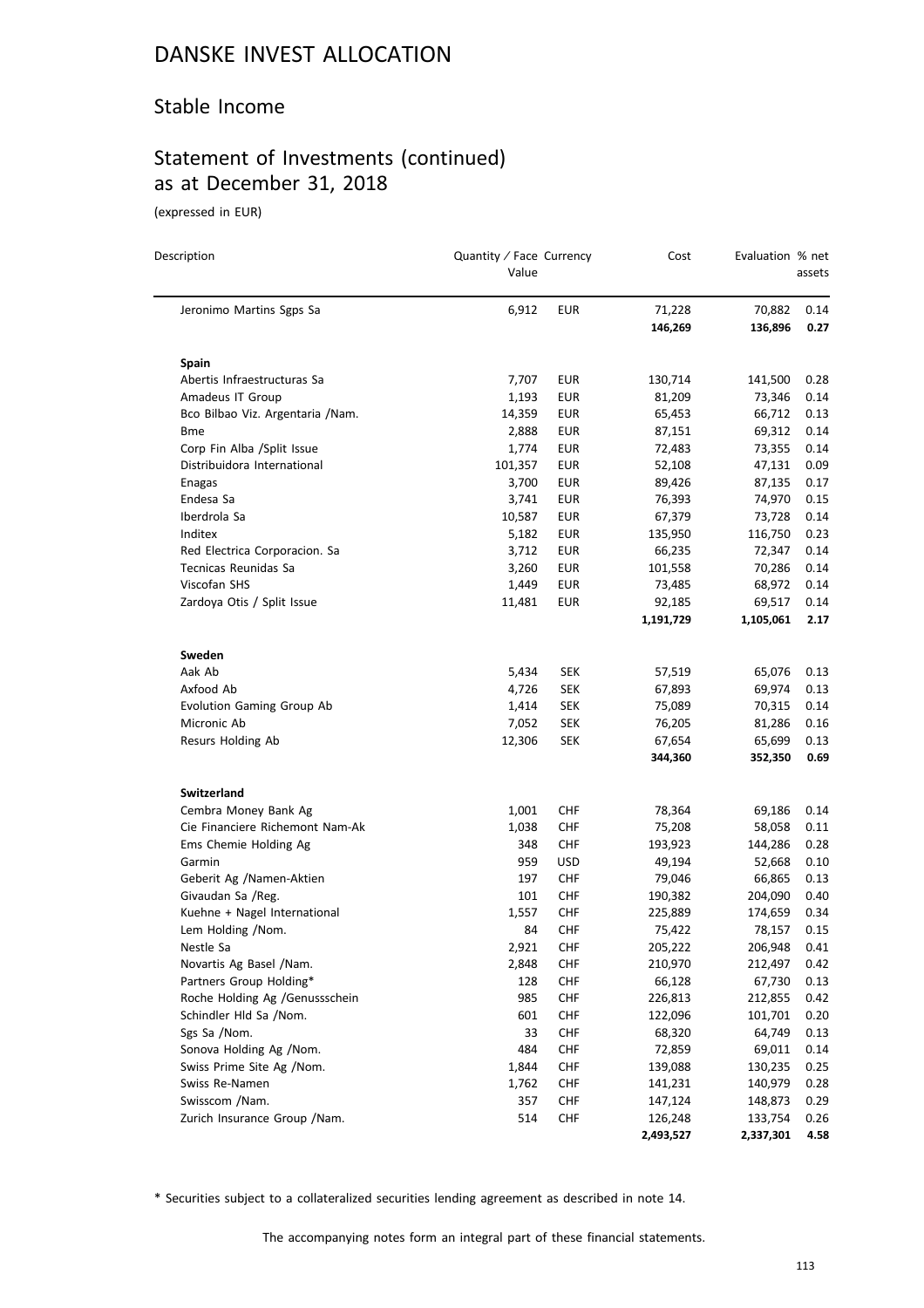## Stable Income

# Statement of Investments (continued) as at December 31, 2018

(expressed in EUR)

 $\overline{a}$ 

| Description                       | Quantity / Face Currency<br>Value |            | Cost      | Evaluation % net | assets   |
|-----------------------------------|-----------------------------------|------------|-----------|------------------|----------|
| Jeronimo Martins Sgps Sa          | 6,912                             | <b>EUR</b> | 71,228    | 70,882           | 0.14     |
|                                   |                                   |            | 146,269   | 136,896          | 0.27     |
| <b>Spain</b>                      |                                   |            |           |                  |          |
| Abertis Infraestructuras Sa       | 7,707                             | <b>EUR</b> | 130,714   | 141,500          | 0.28     |
| Amadeus IT Group                  | 1,193                             | <b>EUR</b> | 81,209    | 73,346           | 0.14     |
| Bco Bilbao Viz. Argentaria / Nam. | 14,359                            | <b>EUR</b> | 65,453    | 66,712           | 0.13     |
| <b>Bme</b>                        | 2,888                             | <b>EUR</b> | 87,151    | 69,312           | 0.14     |
| Corp Fin Alba /Split Issue        | 1,774                             | EUR        | 72,483    | 73,355           | 0.14     |
| Distribuidora International       | 101,357                           | <b>EUR</b> | 52,108    | 47,131           | 0.09     |
| Enagas                            | 3,700                             | EUR        | 89,426    | 87,135           | 0.17     |
| Endesa Sa                         | 3,741                             | <b>EUR</b> | 76,393    | 74,970           | 0.15     |
| Iberdrola Sa                      | 10,587                            | EUR        | 67,379    | 73,728           | 0.14     |
| Inditex                           | 5,182                             | EUR        | 135,950   | 116,750          | 0.23     |
| Red Electrica Corporacion. Sa     | 3,712                             | <b>EUR</b> | 66,235    | 72,347           | 0.14     |
| Tecnicas Reunidas Sa              | 3,260                             | EUR        | 101,558   | 70,286           | 0.14     |
| Viscofan SHS                      | 1,449                             | <b>EUR</b> | 73,485    | 68,972           | 0.14     |
| Zardoya Otis / Split Issue        | 11,481                            | EUR        | 92,185    | 69,517           | 0.14     |
|                                   |                                   |            | 1,191,729 | 1,105,061        | 2.17     |
| Sweden                            |                                   |            |           |                  |          |
| Aak Ab                            | 5,434                             | SEK        | 57,519    | 65,076           | 0.13     |
| Axfood Ab                         | 4,726                             | <b>SEK</b> | 67,893    | 69,974           | 0.13     |
| Evolution Gaming Group Ab         | 1,414                             | <b>SEK</b> | 75,089    | 70,315           | 0.14     |
| Micronic Ab                       | 7,052                             | <b>SEK</b> | 76,205    | 81,286           | 0.16     |
| Resurs Holding Ab                 | 12,306                            | <b>SEK</b> | 67,654    | 65,699           | 0.13     |
|                                   |                                   |            | 344,360   | 352,350          | 0.69     |
| <b>Switzerland</b>                |                                   |            |           |                  |          |
| Cembra Money Bank Ag              | 1,001                             | CHF        | 78,364    | 69,186           | 0.14     |
| Cie Financiere Richemont Nam-Ak   | 1,038                             | CHF        | 75,208    | 58,058           | 0.11     |
| Ems Chemie Holding Ag             | 348                               | <b>CHF</b> | 193,923   | 144,286          | 0.28     |
| Garmin                            | 959                               | <b>USD</b> | 49,194    | 52,668           | 0.10     |
| Geberit Ag /Namen-Aktien          | 197                               | <b>CHF</b> | 79,046    | 66,865           | 0.13     |
| Givaudan Sa /Reg.                 | 101                               | <b>CHF</b> | 190,382   | 204,090          | 0.40     |
| Kuehne + Nagel International      | 1,557                             | CHF        | 225,889   | 174,659          | 0.34     |
| Lem Holding /Nom.                 | 84                                | <b>CHF</b> | 75,422    | 78,157           | 0.15     |
| Nestle Sa                         | 2,921                             | <b>CHF</b> | 205,222   | 206,948          | $0.41\,$ |
| Novartis Ag Basel / Nam.          | 2,848                             | <b>CHF</b> | 210,970   | 212,497          | 0.42     |
| Partners Group Holding*           | 128                               | <b>CHF</b> | 66,128    | 67,730           | 0.13     |
| Roche Holding Ag /Genussschein    | 985                               | <b>CHF</b> | 226,813   | 212,855          | 0.42     |
| Schindler Hld Sa /Nom.            | 601                               | <b>CHF</b> | 122,096   | 101,701          | 0.20     |
| Sgs Sa /Nom.                      | 33                                | <b>CHF</b> | 68,320    | 64,749           | 0.13     |
| Sonova Holding Ag /Nom.           | 484                               | <b>CHF</b> | 72,859    | 69,011           | 0.14     |
| Swiss Prime Site Ag /Nom.         | 1,844                             | <b>CHF</b> | 139,088   | 130,235          | 0.25     |
| Swiss Re-Namen                    | 1,762                             | <b>CHF</b> | 141,231   | 140,979          | 0.28     |
| Swisscom /Nam.                    | 357                               | CHF        | 147,124   | 148,873          | 0.29     |
| Zurich Insurance Group / Nam.     | 514                               | <b>CHF</b> | 126,248   | 133,754          | 0.26     |
|                                   |                                   |            | 2,493,527 | 2,337,301        | 4.58     |

\* Securities subject to a collateralized securities lending agreement as described in note 14.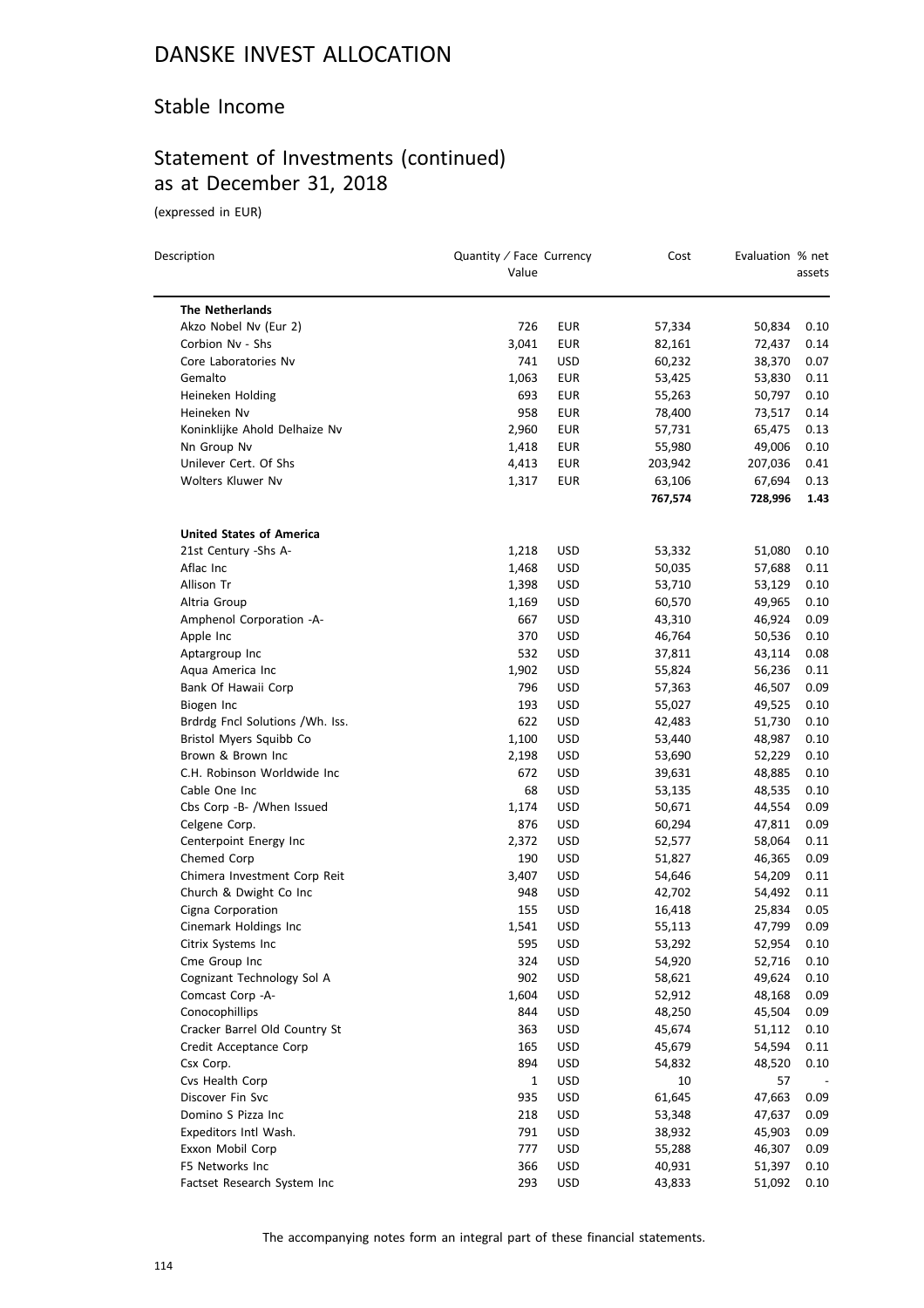## Stable Income

# Statement of Investments (continued) as at December 31, 2018

(expressed in EUR)

| Description                      | Quantity / Face Currency<br>Value |                          | Cost              | Evaluation % net  | assets       |
|----------------------------------|-----------------------------------|--------------------------|-------------------|-------------------|--------------|
| <b>The Netherlands</b>           |                                   |                          |                   |                   |              |
| Akzo Nobel Nv (Eur 2)            | 726                               |                          | 57,334            |                   |              |
| Corbion Nv - Shs                 |                                   | <b>EUR</b><br><b>EUR</b> |                   | 50,834<br>72,437  | 0.10         |
| Core Laboratories Nv             | 3,041<br>741                      | <b>USD</b>               | 82,161<br>60,232  | 38,370            | 0.14<br>0.07 |
|                                  |                                   |                          |                   |                   |              |
| Gemalto                          | 1,063<br>693                      | <b>EUR</b>               | 53,425            | 53,830            | 0.11         |
| Heineken Holding<br>Heineken Nv  | 958                               | <b>EUR</b>               | 55,263            | 50,797            | 0.10         |
|                                  |                                   | <b>EUR</b>               | 78,400            | 73,517            | 0.14         |
| Koninklijke Ahold Delhaize Nv    | 2,960                             | <b>EUR</b>               | 57,731            | 65,475<br>49,006  | 0.13         |
| Nn Group Nv                      | 1,418                             | <b>EUR</b>               | 55,980            |                   | 0.10         |
| Unilever Cert. Of Shs            | 4,413                             | <b>EUR</b>               | 203,942           | 207,036           | 0.41         |
| Wolters Kluwer Nv                | 1,317                             | <b>EUR</b>               | 63,106<br>767,574 | 67,694<br>728,996 | 0.13<br>1.43 |
| <b>United States of America</b>  |                                   |                          |                   |                   |              |
| 21st Century -Shs A-             | 1,218                             | USD                      | 53,332            | 51,080            | 0.10         |
| Aflac Inc                        | 1,468                             | <b>USD</b>               | 50,035            | 57,688            | 0.11         |
| Allison Tr                       | 1,398                             | <b>USD</b>               | 53,710            | 53,129            | 0.10         |
| Altria Group                     | 1,169                             | <b>USD</b>               | 60,570            | 49,965            | 0.10         |
| Amphenol Corporation -A-         | 667                               | <b>USD</b>               | 43,310            | 46,924            | 0.09         |
| Apple Inc                        | 370                               | <b>USD</b>               | 46,764            | 50,536            | 0.10         |
| Aptargroup Inc                   | 532                               | <b>USD</b>               | 37,811            | 43,114            | 0.08         |
| Aqua America Inc                 | 1,902                             | <b>USD</b>               | 55,824            | 56,236            | 0.11         |
| Bank Of Hawaii Corp              | 796                               | <b>USD</b>               | 57,363            | 46,507            | 0.09         |
| Biogen Inc                       | 193                               | <b>USD</b>               | 55,027            | 49,525            | 0.10         |
| Brdrdg Fncl Solutions / Wh. Iss. | 622                               | <b>USD</b>               | 42,483            | 51,730            | 0.10         |
| Bristol Myers Squibb Co          | 1,100                             | <b>USD</b>               | 53,440            | 48,987            | 0.10         |
| Brown & Brown Inc                | 2,198                             | <b>USD</b>               | 53,690            | 52,229            | 0.10         |
| C.H. Robinson Worldwide Inc      | 672                               | <b>USD</b>               | 39,631            | 48,885            | 0.10         |
| Cable One Inc                    | 68                                | <b>USD</b>               | 53,135            | 48,535            | 0.10         |
| Cbs Corp -B- /When Issued        | 1,174                             | <b>USD</b>               | 50,671            | 44,554            | 0.09         |
| Celgene Corp.                    | 876                               | <b>USD</b>               | 60,294            | 47,811            | 0.09         |
| Centerpoint Energy Inc           | 2,372                             | USD                      | 52,577            | 58,064            | 0.11         |
| Chemed Corp                      | 190                               | <b>USD</b>               | 51,827            | 46,365            | 0.09         |
| Chimera Investment Corp Reit     | 3,407                             | <b>USD</b>               | 54,646            | 54,209            | 0.11         |
| Church & Dwight Co Inc           | 948                               | <b>USD</b>               | 42,702            | 54,492            | 0.11         |
| Cigna Corporation                | 155                               | <b>USD</b>               | 16,418            | 25,834            | 0.05         |
| Cinemark Holdings Inc            | 1,541                             | <b>USD</b>               | 55,113            | 47,799            | 0.09         |
| Citrix Systems Inc               | 595                               | <b>USD</b>               | 53,292            | 52,954            | 0.10         |
| Cme Group Inc                    | 324                               | <b>USD</b>               | 54,920            | 52,716            | 0.10         |
| Cognizant Technology Sol A       | 902                               | USD                      | 58,621            | 49,624            | 0.10         |
| Comcast Corp -A-                 | 1,604                             | <b>USD</b>               | 52,912            | 48,168            | 0.09         |
| Conocophillips                   | 844                               | <b>USD</b>               | 48,250            | 45,504            | 0.09         |
| Cracker Barrel Old Country St    | 363                               | <b>USD</b>               | 45,674            | 51,112            | 0.10         |
| Credit Acceptance Corp           | 165                               | <b>USD</b>               | 45,679            | 54,594            | 0.11         |
| Csx Corp.                        | 894                               | <b>USD</b>               | 54,832            | 48,520            | 0.10         |
| Cvs Health Corp                  | 1                                 | <b>USD</b>               | 10                | 57                |              |
| Discover Fin Svc                 | 935                               | USD                      | 61,645            | 47,663            | 0.09         |
| Domino S Pizza Inc               | 218                               | <b>USD</b>               | 53,348            | 47,637            | 0.09         |
| Expeditors Intl Wash.            | 791                               | <b>USD</b>               | 38,932            | 45,903            | 0.09         |
| Exxon Mobil Corp                 | 777                               | <b>USD</b>               | 55,288            | 46,307            | 0.09         |
| F5 Networks Inc                  | 366                               | USD                      | 40,931            | 51,397            | 0.10         |
| Factset Research System Inc      | 293                               | <b>USD</b>               | 43,833            | 51,092            | 0.10         |
|                                  |                                   |                          |                   |                   |              |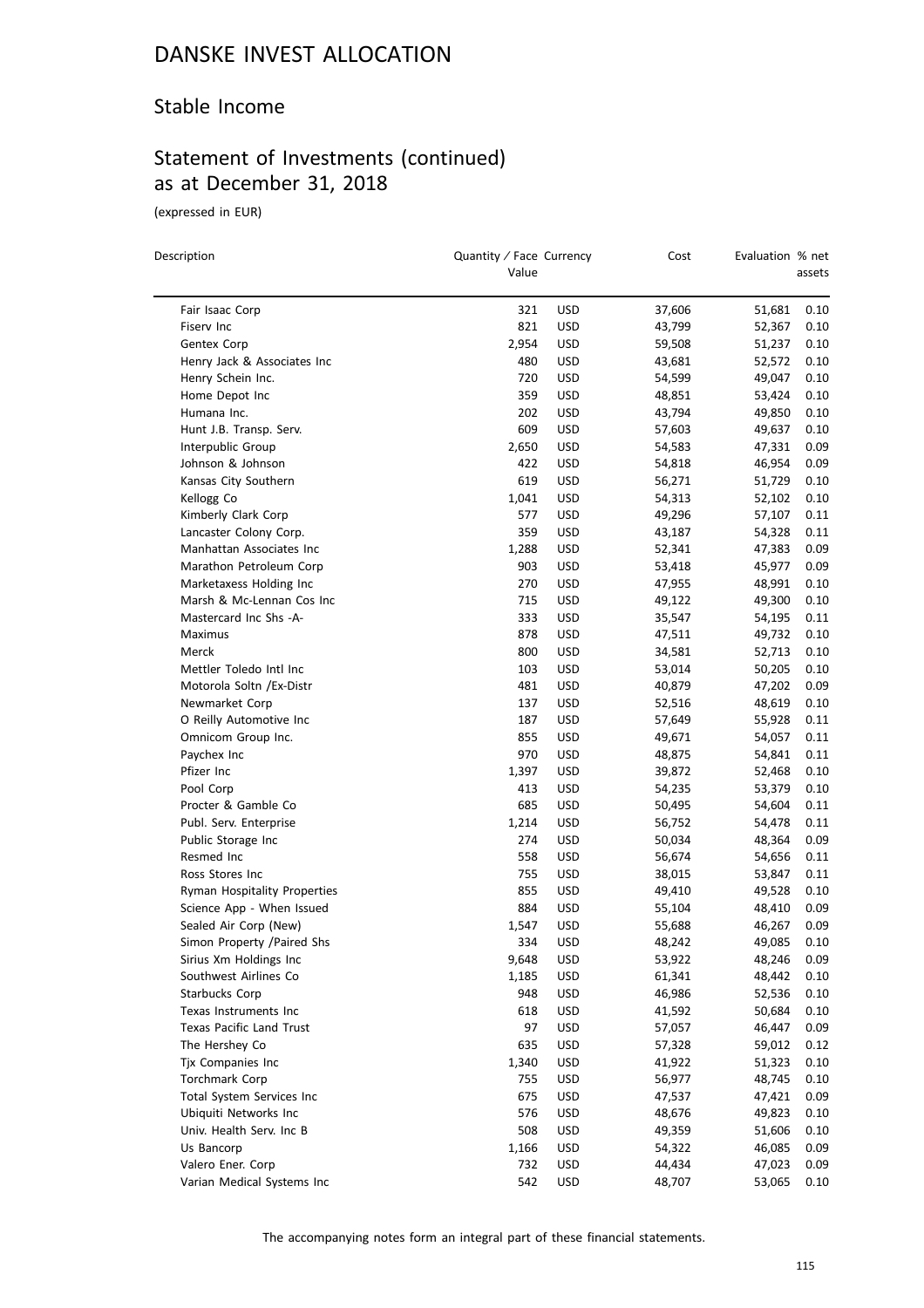## Stable Income

# Statement of Investments (continued) as at December 31, 2018

(expressed in EUR)

 $\overline{a}$ 

| Description                                               | Quantity / Face Currency<br>Value |                   | Cost             | Evaluation % net | assets       |
|-----------------------------------------------------------|-----------------------------------|-------------------|------------------|------------------|--------------|
| Fair Isaac Corp                                           | 321                               | <b>USD</b>        | 37,606           | 51,681           | 0.10         |
| Fiserv Inc                                                | 821                               | <b>USD</b>        | 43,799           | 52,367           | 0.10         |
| Gentex Corp                                               | 2,954                             | <b>USD</b>        | 59,508           | 51,237           | 0.10         |
| Henry Jack & Associates Inc                               | 480                               | USD               | 43,681           | 52,572           | 0.10         |
| Henry Schein Inc.                                         | 720                               | USD               | 54,599           | 49,047           | 0.10         |
| Home Depot Inc                                            | 359                               | <b>USD</b>        | 48,851           | 53,424           | 0.10         |
| Humana Inc.                                               | 202                               | <b>USD</b>        | 43,794           | 49,850           | 0.10         |
| Hunt J.B. Transp. Serv.                                   | 609                               | USD               | 57,603           | 49,637           | 0.10         |
| Interpublic Group                                         | 2,650                             | USD               | 54,583           | 47,331           | 0.09         |
| Johnson & Johnson                                         | 422                               | USD               | 54,818           | 46,954           | 0.09         |
| Kansas City Southern                                      | 619                               | USD               | 56,271           | 51,729           | 0.10         |
| Kellogg Co                                                | 1,041                             | <b>USD</b>        | 54,313           | 52,102           | 0.10         |
| Kimberly Clark Corp                                       | 577                               | <b>USD</b>        | 49,296           | 57,107           | 0.11         |
| Lancaster Colony Corp.                                    | 359                               | USD               | 43,187           | 54,328           | 0.11         |
| Manhattan Associates Inc                                  | 1,288                             | USD               | 52,341           | 47,383           | 0.09         |
| Marathon Petroleum Corp                                   | 903                               | USD               | 53,418           | 45,977           | 0.09         |
| Marketaxess Holding Inc                                   | 270                               | USD               | 47,955           | 48,991           | 0.10         |
| Marsh & Mc-Lennan Cos Inc                                 | 715                               | USD               | 49,122           | 49,300           | 0.10         |
| Mastercard Inc Shs -A-                                    | 333                               | USD               | 35,547           | 54,195           | 0.11         |
| Maximus                                                   | 878                               | <b>USD</b>        | 47,511           | 49,732           | 0.10         |
| Merck                                                     | 800                               | <b>USD</b>        | 34,581           | 52,713           | 0.10         |
| Mettler Toledo Intl Inc                                   | 103                               | <b>USD</b>        | 53,014           | 50,205           | 0.10         |
| Motorola Soltn / Ex-Distr                                 | 481                               | <b>USD</b>        | 40,879           | 47,202           | 0.09         |
| Newmarket Corp                                            | 137                               | <b>USD</b>        | 52,516           | 48,619           | 0.10         |
| O Reilly Automotive Inc                                   | 187                               | USD               | 57,649           | 55,928           | 0.11         |
| Omnicom Group Inc.                                        | 855                               | <b>USD</b>        |                  | 54,057           | 0.11         |
| Paychex Inc                                               | 970                               | <b>USD</b>        | 49,671<br>48,875 | 54,841           | 0.11         |
| Pfizer Inc                                                | 1,397                             | <b>USD</b>        |                  | 52,468           | 0.10         |
| Pool Corp                                                 | 413                               |                   | 39,872           | 53,379           | 0.10         |
| Procter & Gamble Co                                       | 685                               | USD<br><b>USD</b> | 54,235           | 54,604           | 0.11         |
|                                                           |                                   |                   | 50,495           |                  |              |
| Publ. Serv. Enterprise                                    | 1,214<br>274                      | USD               | 56,752           | 54,478           | 0.11         |
| Public Storage Inc<br>Resmed Inc                          | 558                               | USD<br><b>USD</b> | 50,034           | 48,364<br>54,656 | 0.09<br>0.11 |
|                                                           | 755                               |                   | 56,674           |                  |              |
| Ross Stores Inc                                           | 855                               | <b>USD</b>        | 38,015           | 53,847           | 0.11         |
| Ryman Hospitality Properties<br>Science App - When Issued | 884                               | USD               | 49,410           | 49,528           | 0.10         |
| Sealed Air Corp (New)                                     |                                   | USD               | 55,104           | 48,410<br>46,267 | 0.09         |
|                                                           | 1,547                             | USD               | 55,688           |                  | 0.09         |
| Simon Property /Paired Shs                                | 334                               | <b>USD</b>        | 48,242           | 49,085           | 0.10         |
| Sirius Xm Holdings Inc                                    | 9,648                             | <b>USD</b>        | 53,922           | 48,246           | 0.09         |
| Southwest Airlines Co<br>Starbucks Corp                   | 1,185<br>948                      | <b>USD</b>        | 61,341<br>46,986 | 48,442           | 0.10         |
|                                                           | 618                               | <b>USD</b>        |                  | 52,536           | 0.10         |
| Texas Instruments Inc                                     |                                   | <b>USD</b>        | 41,592           | 50,684           | 0.10         |
| Texas Pacific Land Trust                                  | 97                                | <b>USD</b>        | 57,057           | 46,447           | 0.09         |
| The Hershey Co<br>Tjx Companies Inc                       | 635                               | <b>USD</b>        | 57,328           | 59,012           | 0.12         |
|                                                           | 1,340                             | <b>USD</b>        | 41,922           | 51,323           | 0.10         |
| Torchmark Corp                                            | 755                               | <b>USD</b>        | 56,977           | 48,745           | 0.10         |
| Total System Services Inc                                 | 675                               | <b>USD</b>        | 47,537           | 47,421           | 0.09         |
| Ubiquiti Networks Inc                                     | 576                               | USD               | 48,676           | 49,823           | 0.10         |
| Univ. Health Serv. Inc B                                  | 508                               | USD               | 49,359           | 51,606           | 0.10         |
| Us Bancorp                                                | 1,166                             | <b>USD</b>        | 54,322           | 46,085           | 0.09         |
| Valero Ener. Corp                                         | 732                               | <b>USD</b>        | 44,434           | 47,023           | 0.09         |
| Varian Medical Systems Inc                                | 542                               | <b>USD</b>        | 48,707           | 53,065           | 0.10         |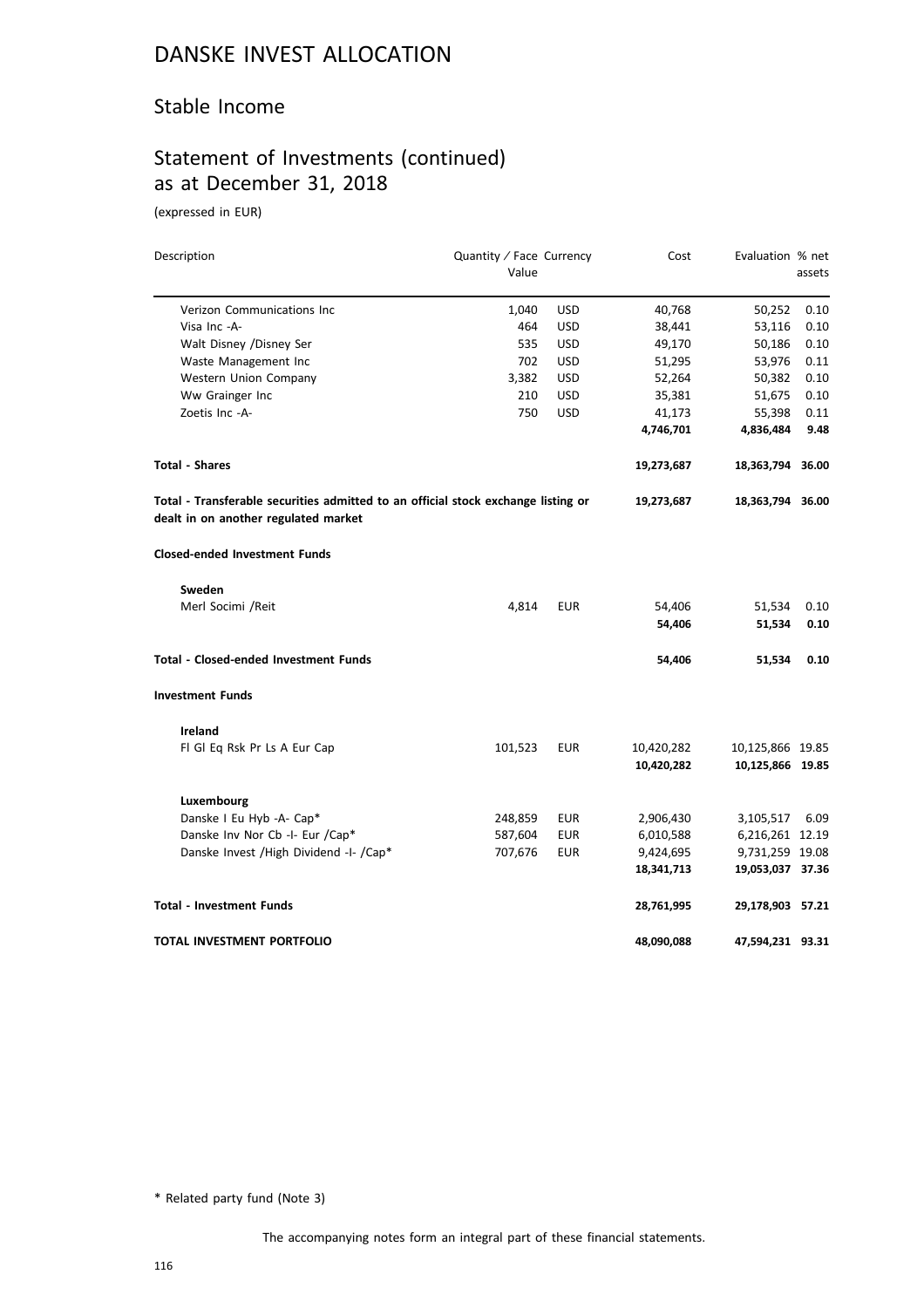## Stable Income

# Statement of Investments (continued) as at December 31, 2018

(expressed in EUR)

| Description                                                                                                               | Quantity / Face Currency |            | Cost       | Evaluation % net |        |
|---------------------------------------------------------------------------------------------------------------------------|--------------------------|------------|------------|------------------|--------|
|                                                                                                                           | Value                    |            |            |                  | assets |
| Verizon Communications Inc                                                                                                | 1,040                    | <b>USD</b> | 40,768     | 50,252           | 0.10   |
| Visa Inc -A-                                                                                                              | 464                      | <b>USD</b> | 38,441     | 53,116           | 0.10   |
| Walt Disney /Disney Ser                                                                                                   | 535                      | <b>USD</b> | 49,170     | 50,186           | 0.10   |
| Waste Management Inc                                                                                                      | 702                      | <b>USD</b> | 51,295     | 53,976           | 0.11   |
| Western Union Company                                                                                                     | 3,382                    | <b>USD</b> | 52,264     | 50,382           | 0.10   |
| Ww Grainger Inc                                                                                                           | 210                      | <b>USD</b> | 35,381     | 51,675           | 0.10   |
| Zoetis Inc -A-                                                                                                            | 750                      | <b>USD</b> | 41,173     | 55,398           | 0.11   |
|                                                                                                                           |                          |            | 4,746,701  | 4,836,484        | 9.48   |
| <b>Total - Shares</b>                                                                                                     |                          |            | 19,273,687 | 18,363,794 36.00 |        |
| Total - Transferable securities admitted to an official stock exchange listing or<br>dealt in on another regulated market |                          |            | 19,273,687 | 18,363,794 36.00 |        |
| <b>Closed-ended Investment Funds</b>                                                                                      |                          |            |            |                  |        |
| Sweden                                                                                                                    |                          |            |            |                  |        |
| Merl Socimi /Reit                                                                                                         | 4,814                    | <b>EUR</b> | 54,406     | 51,534           | 0.10   |
|                                                                                                                           |                          |            | 54,406     | 51,534           | 0.10   |
| <b>Total - Closed-ended Investment Funds</b>                                                                              |                          |            | 54,406     | 51,534           | 0.10   |
| <b>Investment Funds</b>                                                                                                   |                          |            |            |                  |        |
| <b>Ireland</b>                                                                                                            |                          |            |            |                  |        |
| FI GI Eq Rsk Pr Ls A Eur Cap                                                                                              | 101,523                  | <b>EUR</b> | 10,420,282 | 10,125,866 19.85 |        |
|                                                                                                                           |                          |            | 10,420,282 | 10,125,866 19.85 |        |
| Luxembourg                                                                                                                |                          |            |            |                  |        |
| Danske I Eu Hyb -A- Cap*                                                                                                  | 248,859                  | <b>EUR</b> | 2,906,430  | 3,105,517        | 6.09   |
| Danske Inv Nor Cb -I- Eur /Cap*                                                                                           | 587,604                  | <b>EUR</b> | 6,010,588  | 6,216,261 12.19  |        |
| Danske Invest / High Dividend -I- / Cap*                                                                                  | 707,676                  | <b>EUR</b> | 9,424,695  | 9,731,259 19.08  |        |
|                                                                                                                           |                          |            | 18,341,713 | 19,053,037 37.36 |        |
| <b>Total - Investment Funds</b>                                                                                           |                          |            | 28,761,995 | 29,178,903 57.21 |        |
| TOTAL INVESTMENT PORTFOLIO                                                                                                |                          |            | 48,090,088 | 47,594,231 93.31 |        |

\* Related party fund (Note 3)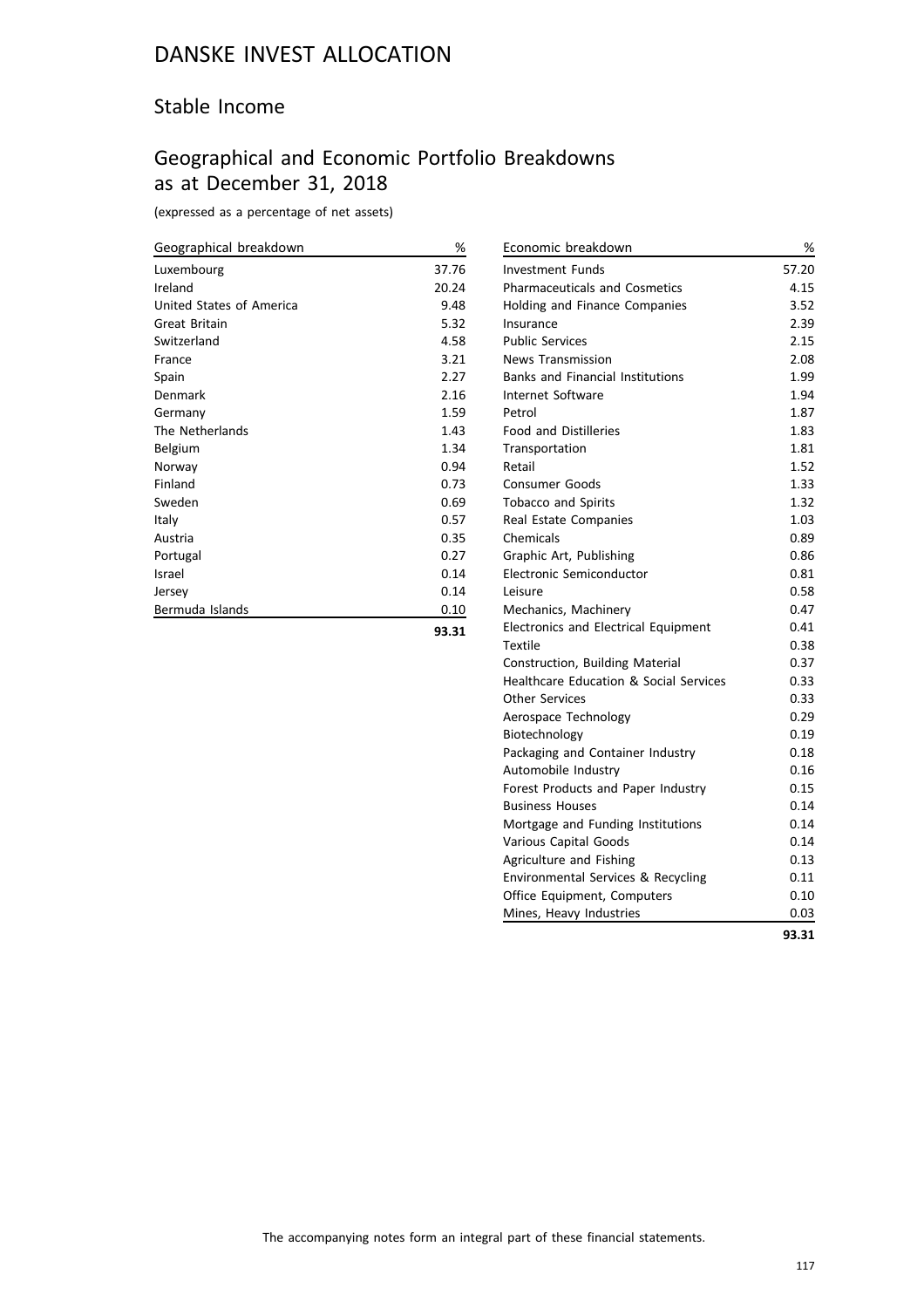## Stable Income

# Geographical and Economic Portfolio Breakdowns as at December 31, 2018

(expressed as a percentage of net assets)

| Geographical breakdown   | %     |
|--------------------------|-------|
| Luxembourg               | 37.76 |
| Ireland                  | 20.24 |
| United States of America | 9.48  |
| Great Britain            | 5.32  |
| Switzerland              | 4.58  |
| France                   | 3.21  |
| Spain                    | 2.27  |
| Denmark                  | 2.16  |
| Germany                  | 1.59  |
| The Netherlands          | 1.43  |
| Belgium                  | 1.34  |
| Norway                   | 0.94  |
| Finland                  | 0.73  |
| Sweden                   | 0.69  |
| Italy                    | 0.57  |
| Austria                  | 0.35  |
| Portugal                 | 0.27  |
| Israel                   | 0.14  |
| Jersey                   | 0.14  |
| Bermuda Islands          | 0.10  |
|                          |       |

**93.31**

| 57.20<br><b>Investment Funds</b><br><b>Pharmaceuticals and Cosmetics</b><br>4.15<br>3.52<br><b>Holding and Finance Companies</b><br>2.39<br>Insurance<br><b>Public Services</b><br>2.15<br><b>News Transmission</b><br>2.08<br><b>Banks and Financial Institutions</b><br>1.99<br><b>Internet Software</b><br>1.94<br>Petrol<br>1.87<br><b>Food and Distilleries</b><br>1.83<br>1.81<br>Transportation<br>1.52<br>Retail<br>1.33<br><b>Consumer Goods</b><br>1.32<br><b>Tobacco and Spirits</b><br>1.03<br>Real Estate Companies<br>Chemicals<br>0.89<br>Graphic Art, Publishing<br>0.86<br>Electronic Semiconductor<br>0.81<br>0.58<br>Leisure<br>0.47<br>Mechanics, Machinery<br>Electronics and Electrical Equipment<br>0.41<br>0.38<br>Textile<br>0.37<br>Construction, Building Material<br><b>Healthcare Education &amp; Social Services</b><br>0.33<br><b>Other Services</b><br>0.33<br>0.29<br>Aerospace Technology<br>0.19<br>Biotechnology<br>0.18<br>Packaging and Container Industry<br>0.16<br>Automobile Industry<br>Forest Products and Paper Industry<br>0.15<br><b>Business Houses</b><br>0.14<br>0.14<br>Mortgage and Funding Institutions<br>0.14<br>Various Capital Goods<br>0.13<br>Agriculture and Fishing<br>Environmental Services & Recycling<br>0.11<br>0.10<br>Office Equipment, Computers<br>Mines, Heavy Industries<br>0.03<br>93.31 |                    |   |
|-------------------------------------------------------------------------------------------------------------------------------------------------------------------------------------------------------------------------------------------------------------------------------------------------------------------------------------------------------------------------------------------------------------------------------------------------------------------------------------------------------------------------------------------------------------------------------------------------------------------------------------------------------------------------------------------------------------------------------------------------------------------------------------------------------------------------------------------------------------------------------------------------------------------------------------------------------------------------------------------------------------------------------------------------------------------------------------------------------------------------------------------------------------------------------------------------------------------------------------------------------------------------------------------------------------------------------------------------------------------|--------------------|---|
|                                                                                                                                                                                                                                                                                                                                                                                                                                                                                                                                                                                                                                                                                                                                                                                                                                                                                                                                                                                                                                                                                                                                                                                                                                                                                                                                                                   | Economic breakdown | % |
|                                                                                                                                                                                                                                                                                                                                                                                                                                                                                                                                                                                                                                                                                                                                                                                                                                                                                                                                                                                                                                                                                                                                                                                                                                                                                                                                                                   |                    |   |
|                                                                                                                                                                                                                                                                                                                                                                                                                                                                                                                                                                                                                                                                                                                                                                                                                                                                                                                                                                                                                                                                                                                                                                                                                                                                                                                                                                   |                    |   |
|                                                                                                                                                                                                                                                                                                                                                                                                                                                                                                                                                                                                                                                                                                                                                                                                                                                                                                                                                                                                                                                                                                                                                                                                                                                                                                                                                                   |                    |   |
|                                                                                                                                                                                                                                                                                                                                                                                                                                                                                                                                                                                                                                                                                                                                                                                                                                                                                                                                                                                                                                                                                                                                                                                                                                                                                                                                                                   |                    |   |
|                                                                                                                                                                                                                                                                                                                                                                                                                                                                                                                                                                                                                                                                                                                                                                                                                                                                                                                                                                                                                                                                                                                                                                                                                                                                                                                                                                   |                    |   |
|                                                                                                                                                                                                                                                                                                                                                                                                                                                                                                                                                                                                                                                                                                                                                                                                                                                                                                                                                                                                                                                                                                                                                                                                                                                                                                                                                                   |                    |   |
|                                                                                                                                                                                                                                                                                                                                                                                                                                                                                                                                                                                                                                                                                                                                                                                                                                                                                                                                                                                                                                                                                                                                                                                                                                                                                                                                                                   |                    |   |
|                                                                                                                                                                                                                                                                                                                                                                                                                                                                                                                                                                                                                                                                                                                                                                                                                                                                                                                                                                                                                                                                                                                                                                                                                                                                                                                                                                   |                    |   |
|                                                                                                                                                                                                                                                                                                                                                                                                                                                                                                                                                                                                                                                                                                                                                                                                                                                                                                                                                                                                                                                                                                                                                                                                                                                                                                                                                                   |                    |   |
|                                                                                                                                                                                                                                                                                                                                                                                                                                                                                                                                                                                                                                                                                                                                                                                                                                                                                                                                                                                                                                                                                                                                                                                                                                                                                                                                                                   |                    |   |
|                                                                                                                                                                                                                                                                                                                                                                                                                                                                                                                                                                                                                                                                                                                                                                                                                                                                                                                                                                                                                                                                                                                                                                                                                                                                                                                                                                   |                    |   |
|                                                                                                                                                                                                                                                                                                                                                                                                                                                                                                                                                                                                                                                                                                                                                                                                                                                                                                                                                                                                                                                                                                                                                                                                                                                                                                                                                                   |                    |   |
|                                                                                                                                                                                                                                                                                                                                                                                                                                                                                                                                                                                                                                                                                                                                                                                                                                                                                                                                                                                                                                                                                                                                                                                                                                                                                                                                                                   |                    |   |
|                                                                                                                                                                                                                                                                                                                                                                                                                                                                                                                                                                                                                                                                                                                                                                                                                                                                                                                                                                                                                                                                                                                                                                                                                                                                                                                                                                   |                    |   |
|                                                                                                                                                                                                                                                                                                                                                                                                                                                                                                                                                                                                                                                                                                                                                                                                                                                                                                                                                                                                                                                                                                                                                                                                                                                                                                                                                                   |                    |   |
|                                                                                                                                                                                                                                                                                                                                                                                                                                                                                                                                                                                                                                                                                                                                                                                                                                                                                                                                                                                                                                                                                                                                                                                                                                                                                                                                                                   |                    |   |
|                                                                                                                                                                                                                                                                                                                                                                                                                                                                                                                                                                                                                                                                                                                                                                                                                                                                                                                                                                                                                                                                                                                                                                                                                                                                                                                                                                   |                    |   |
|                                                                                                                                                                                                                                                                                                                                                                                                                                                                                                                                                                                                                                                                                                                                                                                                                                                                                                                                                                                                                                                                                                                                                                                                                                                                                                                                                                   |                    |   |
|                                                                                                                                                                                                                                                                                                                                                                                                                                                                                                                                                                                                                                                                                                                                                                                                                                                                                                                                                                                                                                                                                                                                                                                                                                                                                                                                                                   |                    |   |
|                                                                                                                                                                                                                                                                                                                                                                                                                                                                                                                                                                                                                                                                                                                                                                                                                                                                                                                                                                                                                                                                                                                                                                                                                                                                                                                                                                   |                    |   |
|                                                                                                                                                                                                                                                                                                                                                                                                                                                                                                                                                                                                                                                                                                                                                                                                                                                                                                                                                                                                                                                                                                                                                                                                                                                                                                                                                                   |                    |   |
|                                                                                                                                                                                                                                                                                                                                                                                                                                                                                                                                                                                                                                                                                                                                                                                                                                                                                                                                                                                                                                                                                                                                                                                                                                                                                                                                                                   |                    |   |
|                                                                                                                                                                                                                                                                                                                                                                                                                                                                                                                                                                                                                                                                                                                                                                                                                                                                                                                                                                                                                                                                                                                                                                                                                                                                                                                                                                   |                    |   |
|                                                                                                                                                                                                                                                                                                                                                                                                                                                                                                                                                                                                                                                                                                                                                                                                                                                                                                                                                                                                                                                                                                                                                                                                                                                                                                                                                                   |                    |   |
|                                                                                                                                                                                                                                                                                                                                                                                                                                                                                                                                                                                                                                                                                                                                                                                                                                                                                                                                                                                                                                                                                                                                                                                                                                                                                                                                                                   |                    |   |
|                                                                                                                                                                                                                                                                                                                                                                                                                                                                                                                                                                                                                                                                                                                                                                                                                                                                                                                                                                                                                                                                                                                                                                                                                                                                                                                                                                   |                    |   |
|                                                                                                                                                                                                                                                                                                                                                                                                                                                                                                                                                                                                                                                                                                                                                                                                                                                                                                                                                                                                                                                                                                                                                                                                                                                                                                                                                                   |                    |   |
|                                                                                                                                                                                                                                                                                                                                                                                                                                                                                                                                                                                                                                                                                                                                                                                                                                                                                                                                                                                                                                                                                                                                                                                                                                                                                                                                                                   |                    |   |
|                                                                                                                                                                                                                                                                                                                                                                                                                                                                                                                                                                                                                                                                                                                                                                                                                                                                                                                                                                                                                                                                                                                                                                                                                                                                                                                                                                   |                    |   |
|                                                                                                                                                                                                                                                                                                                                                                                                                                                                                                                                                                                                                                                                                                                                                                                                                                                                                                                                                                                                                                                                                                                                                                                                                                                                                                                                                                   |                    |   |
|                                                                                                                                                                                                                                                                                                                                                                                                                                                                                                                                                                                                                                                                                                                                                                                                                                                                                                                                                                                                                                                                                                                                                                                                                                                                                                                                                                   |                    |   |
|                                                                                                                                                                                                                                                                                                                                                                                                                                                                                                                                                                                                                                                                                                                                                                                                                                                                                                                                                                                                                                                                                                                                                                                                                                                                                                                                                                   |                    |   |
|                                                                                                                                                                                                                                                                                                                                                                                                                                                                                                                                                                                                                                                                                                                                                                                                                                                                                                                                                                                                                                                                                                                                                                                                                                                                                                                                                                   |                    |   |
|                                                                                                                                                                                                                                                                                                                                                                                                                                                                                                                                                                                                                                                                                                                                                                                                                                                                                                                                                                                                                                                                                                                                                                                                                                                                                                                                                                   |                    |   |
|                                                                                                                                                                                                                                                                                                                                                                                                                                                                                                                                                                                                                                                                                                                                                                                                                                                                                                                                                                                                                                                                                                                                                                                                                                                                                                                                                                   |                    |   |
|                                                                                                                                                                                                                                                                                                                                                                                                                                                                                                                                                                                                                                                                                                                                                                                                                                                                                                                                                                                                                                                                                                                                                                                                                                                                                                                                                                   |                    |   |
|                                                                                                                                                                                                                                                                                                                                                                                                                                                                                                                                                                                                                                                                                                                                                                                                                                                                                                                                                                                                                                                                                                                                                                                                                                                                                                                                                                   |                    |   |
|                                                                                                                                                                                                                                                                                                                                                                                                                                                                                                                                                                                                                                                                                                                                                                                                                                                                                                                                                                                                                                                                                                                                                                                                                                                                                                                                                                   |                    |   |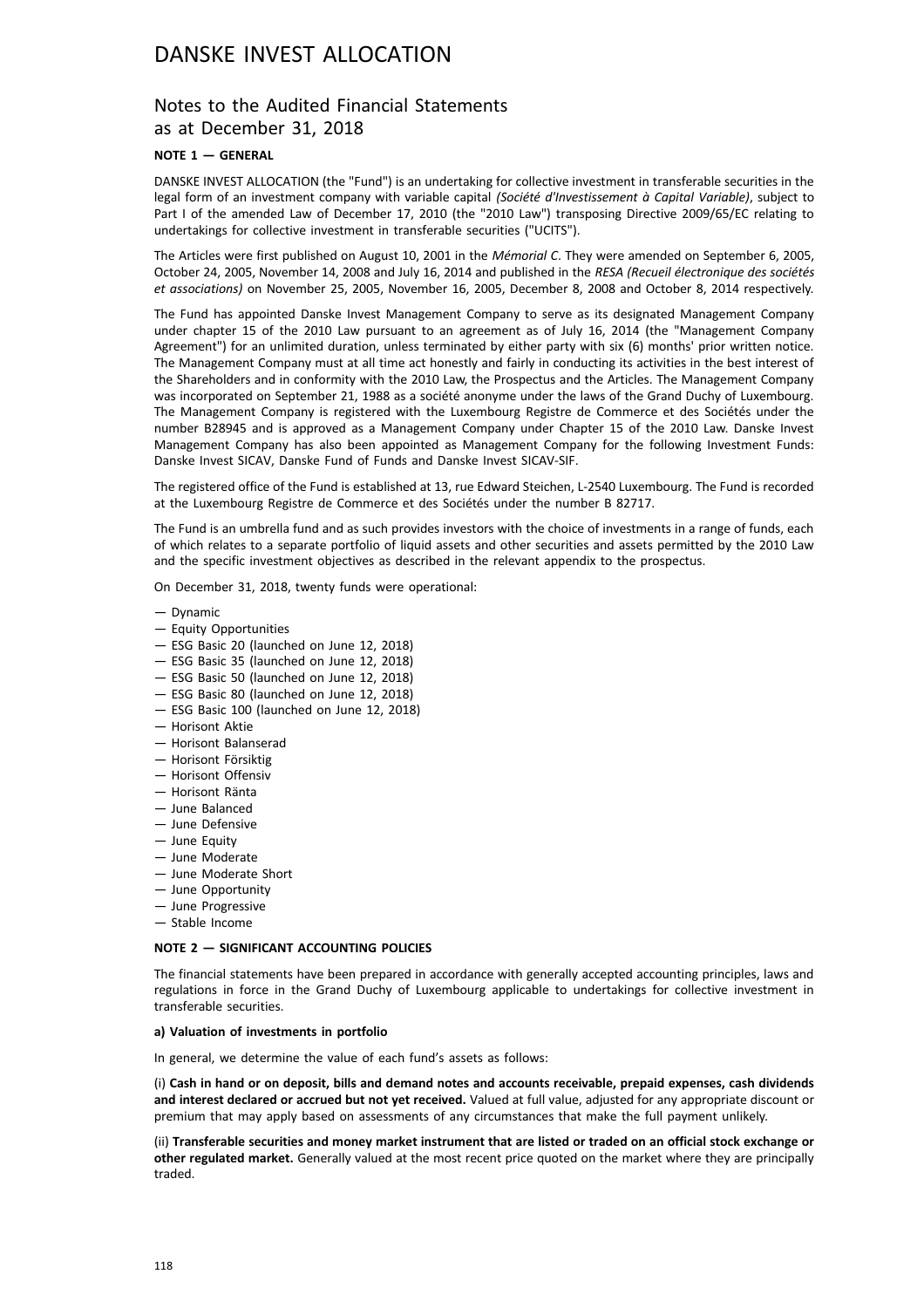## Notes to the Audited Financial Statements as at December 31, 2018

### **NOTE 1 — GENERAL**

DANSKE INVEST ALLOCATION (the "Fund") is an undertaking for collective investment in transferable securities in the legal form of an investment company with variable capital *(Société d'Investissement à Capital Variable)*, subject to Part I of the amended Law of December 17, 2010 (the "2010 Law") transposing Directive 2009/65/EC relating to undertakings for collective investment in transferable securities ("UCITS").

The Articles were first published on August 10, 2001 in the *Mémorial C*. They were amended on September 6, 2005, October 24, 2005, November 14, 2008 and July 16, 2014 and published in the *RESA (Recueil électronique des sociétés et associations)* on November 25, 2005, November 16, 2005, December 8, 2008 and October 8, 2014 respectively.

The Fund has appointed Danske Invest Management Company to serve as its designated Management Company under chapter 15 of the 2010 Law pursuant to an agreement as of July 16, 2014 (the "Management Company Agreement") for an unlimited duration, unless terminated by either party with six (6) months' prior written notice. The Management Company must at all time act honestly and fairly in conducting its activities in the best interest of the Shareholders and in conformity with the 2010 Law, the Prospectus and the Articles. The Management Company was incorporated on September 21, 1988 as a société anonyme under the laws of the Grand Duchy of Luxembourg. The Management Company is registered with the Luxembourg Registre de Commerce et des Sociétés under the number B28945 and is approved as a Management Company under Chapter 15 of the 2010 Law. Danske Invest Management Company has also been appointed as Management Company for the following Investment Funds: Danske Invest SICAV, Danske Fund of Funds and Danske Invest SICAV-SIF.

The registered office of the Fund is established at 13, rue Edward Steichen, L-2540 Luxembourg. The Fund is recorded at the Luxembourg Registre de Commerce et des Sociétés under the number B 82717.

The Fund is an umbrella fund and as such provides investors with the choice of investments in a range of funds, each of which relates to a separate portfolio of liquid assets and other securities and assets permitted by the 2010 Law and the specific investment objectives as described in the relevant appendix to the prospectus.

On December 31, 2018, twenty funds were operational:

- Dynamic
- Equity Opportunities
- ESG Basic 20 (launched on June 12, 2018)
- ESG Basic 35 (launched on June 12, 2018)
- ESG Basic 50 (launched on June 12, 2018)
- ESG Basic 80 (launched on June 12, 2018)
- ESG Basic 100 (launched on June 12, 2018)
- Horisont Aktie
- Horisont Balanserad
- Horisont Försiktig
- Horisont Offensiv
- Horisont Ränta
- June Balanced
- June Defensive
- June Equity
- June Moderate
- June Moderate Short
- June Opportunity
- June Progressive
- Stable Income

### **NOTE 2 — SIGNIFICANT ACCOUNTING POLICIES**

The financial statements have been prepared in accordance with generally accepted accounting principles, laws and regulations in force in the Grand Duchy of Luxembourg applicable to undertakings for collective investment in transferable securities.

#### **a) Valuation of investments in portfolio**

In general, we determine the value of each fund's assets as follows:

(i) **Cash in hand or on deposit, bills and demand notes and accounts receivable, prepaid expenses, cash dividends and interest declared or accrued but not yet received.** Valued at full value, adjusted for any appropriate discount or premium that may apply based on assessments of any circumstances that make the full payment unlikely.

(ii) **Transferable securities and money market instrument that are listed or traded on an official stock exchange or other regulated market.** Generally valued at the most recent price quoted on the market where they are principally traded.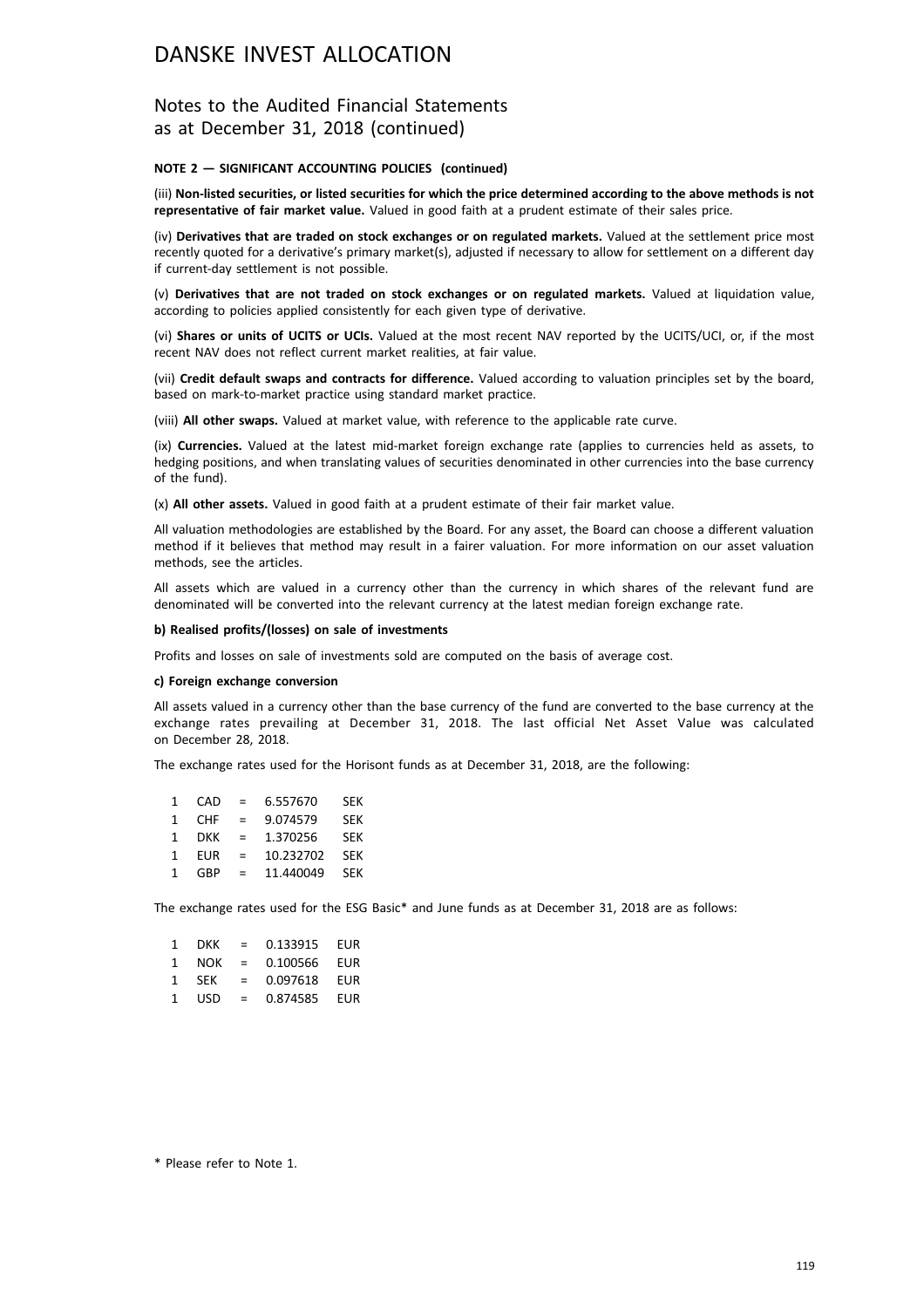## Notes to the Audited Financial Statements as at December 31, 2018 (continued)

#### **NOTE 2 — SIGNIFICANT ACCOUNTING POLICIES (continued)**

(iii) **Non-listed securities, or listed securities for which the price determined according to the above methods is not representative of fair market value.** Valued in good faith at a prudent estimate of their sales price.

(iv) **Derivatives that are traded on stock exchanges or on regulated markets.** Valued at the settlement price most recently quoted for a derivative's primary market(s), adjusted if necessary to allow for settlement on a different day if current-day settlement is not possible.

(v) **Derivatives that are not traded on stock exchanges or on regulated markets.** Valued at liquidation value, according to policies applied consistently for each given type of derivative.

(vi) **Shares or units of UCITS or UCIs.** Valued at the most recent NAV reported by the UCITS/UCI, or, if the most recent NAV does not reflect current market realities, at fair value.

(vii) **Credit default swaps and contracts for difference.** Valued according to valuation principles set by the board, based on mark-to-market practice using standard market practice.

(viii) **All other swaps.** Valued at market value, with reference to the applicable rate curve.

(ix) **Currencies.** Valued at the latest mid-market foreign exchange rate (applies to currencies held as assets, to hedging positions, and when translating values of securities denominated in other currencies into the base currency of the fund).

(x) **All other assets.** Valued in good faith at a prudent estimate of their fair market value.

All valuation methodologies are established by the Board. For any asset, the Board can choose a different valuation method if it believes that method may result in a fairer valuation. For more information on our asset valuation methods, see the articles.

All assets which are valued in a currency other than the currency in which shares of the relevant fund are denominated will be converted into the relevant currency at the latest median foreign exchange rate.

#### **b) Realised profits/(losses) on sale of investments**

Profits and losses on sale of investments sold are computed on the basis of average cost.

#### **c) Foreign exchange conversion**

All assets valued in a currency other than the base currency of the fund are converted to the base currency at the exchange rates prevailing at December 31, 2018. The last official Net Asset Value was calculated on December 28, 2018.

The exchange rates used for the Horisont funds as at December 31, 2018, are the following:

| 1. | CAD        | $=$ | 6.557670  | <b>SEK</b> |
|----|------------|-----|-----------|------------|
| 1. | <b>CHF</b> | $=$ | 9.074579  | <b>SEK</b> |
| 1  | <b>DKK</b> | $=$ | 1.370256  | <b>SFK</b> |
| 1  | <b>EUR</b> | $=$ | 10.232702 | <b>SEK</b> |
| 1  | GBP        | $=$ | 11.440049 | <b>SFK</b> |
|    |            |     |           |            |

The exchange rates used for the ESG Basic\* and June funds as at December 31, 2018 are as follows:

| $\mathbf{1}$ | DKK.       | $=$      | 0.133915 | EUR |
|--------------|------------|----------|----------|-----|
| 1            | NOK        | $\equiv$ | 0.100566 | EUR |
| 1            | <b>SFK</b> | $=$      | 0.097618 | FUR |
| 1            | USD        | $=$      | 0.874585 | EUR |

\* Please refer to Note 1.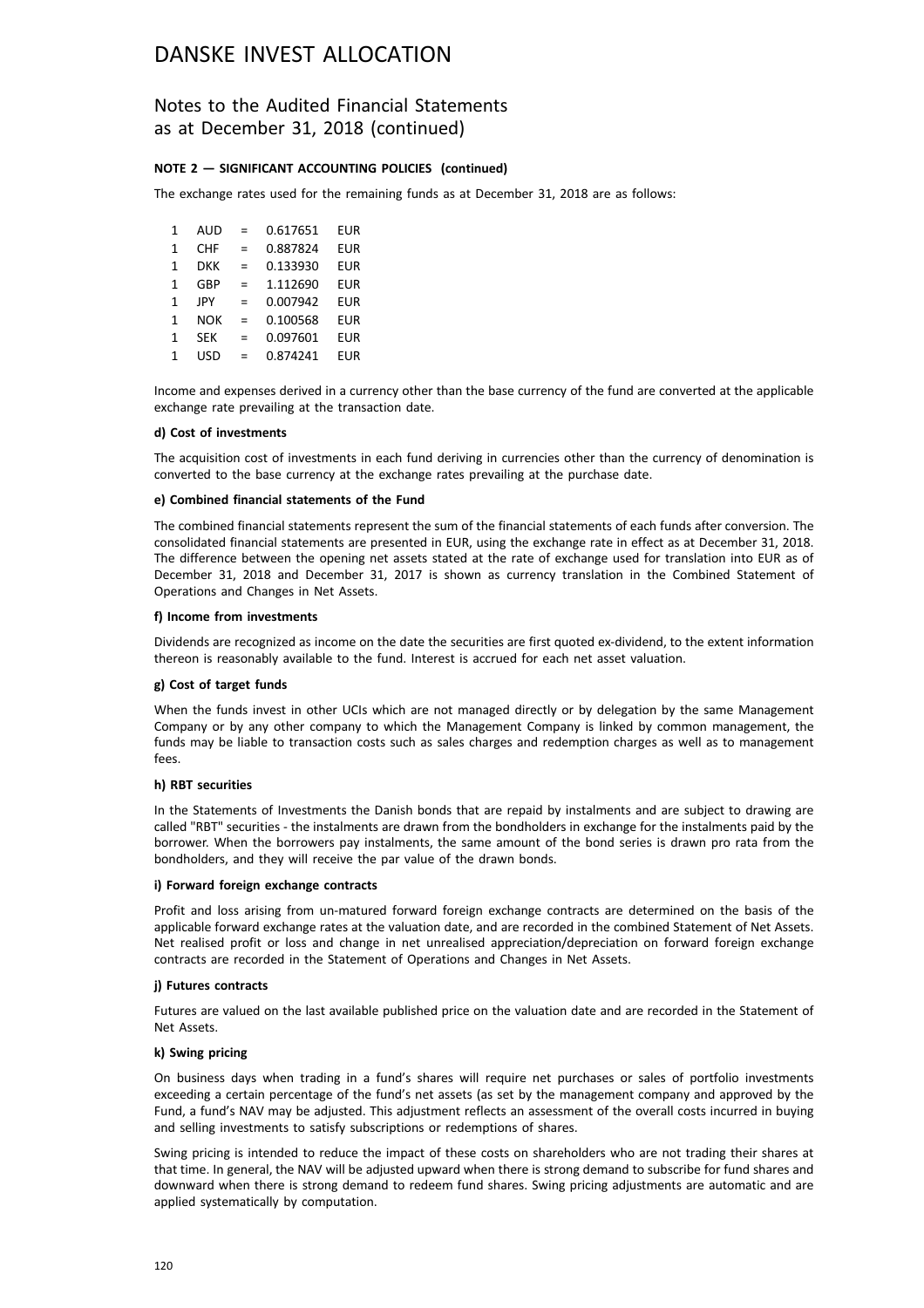## Notes to the Audited Financial Statements as at December 31, 2018 (continued)

### **NOTE 2 — SIGNIFICANT ACCOUNTING POLICIES (continued)**

The exchange rates used for the remaining funds as at December 31, 2018 are as follows:

1 AUD = 0.617651 EUR 1 CHF = 0.887824 EUR 1 DKK = 0.133930 EUR 1 GBP = 1.112690 EUR 1 JPY = 0.007942 EUR 1 NOK = 0.100568 EUR 1 SEK = 0.097601 EUR 1 USD = 0.874241 EUR

Income and expenses derived in a currency other than the base currency of the fund are converted at the applicable exchange rate prevailing at the transaction date.

#### **d) Cost of investments**

The acquisition cost of investments in each fund deriving in currencies other than the currency of denomination is converted to the base currency at the exchange rates prevailing at the purchase date.

#### **e) Combined financial statements of the Fund**

The combined financial statements represent the sum of the financial statements of each funds after conversion. The consolidated financial statements are presented in EUR, using the exchange rate in effect as at December 31, 2018. The difference between the opening net assets stated at the rate of exchange used for translation into EUR as of December 31, 2018 and December 31, 2017 is shown as currency translation in the Combined Statement of Operations and Changes in Net Assets.

#### **f) Income from investments**

Dividends are recognized as income on the date the securities are first quoted ex-dividend, to the extent information thereon is reasonably available to the fund. Interest is accrued for each net asset valuation.

### **g) Cost of target funds**

When the funds invest in other UCIs which are not managed directly or by delegation by the same Management Company or by any other company to which the Management Company is linked by common management, the funds may be liable to transaction costs such as sales charges and redemption charges as well as to management fees.

### **h) RBT securities**

In the Statements of Investments the Danish bonds that are repaid by instalments and are subject to drawing are called "RBT" securities - the instalments are drawn from the bondholders in exchange for the instalments paid by the borrower. When the borrowers pay instalments, the same amount of the bond series is drawn pro rata from the bondholders, and they will receive the par value of the drawn bonds.

#### **i) Forward foreign exchange contracts**

Profit and loss arising from un-matured forward foreign exchange contracts are determined on the basis of the applicable forward exchange rates at the valuation date, and are recorded in the combined Statement of Net Assets. Net realised profit or loss and change in net unrealised appreciation/depreciation on forward foreign exchange contracts are recorded in the Statement of Operations and Changes in Net Assets.

#### **j) Futures contracts**

Futures are valued on the last available published price on the valuation date and are recorded in the Statement of Net Assets.

### **k) Swing pricing**

On business days when trading in a fund's shares will require net purchases or sales of portfolio investments exceeding a certain percentage of the fund's net assets (as set by the management company and approved by the Fund, a fund's NAV may be adjusted. This adjustment reflects an assessment of the overall costs incurred in buying and selling investments to satisfy subscriptions or redemptions of shares.

Swing pricing is intended to reduce the impact of these costs on shareholders who are not trading their shares at that time. In general, the NAV will be adjusted upward when there is strong demand to subscribe for fund shares and downward when there is strong demand to redeem fund shares. Swing pricing adjustments are automatic and are applied systematically by computation.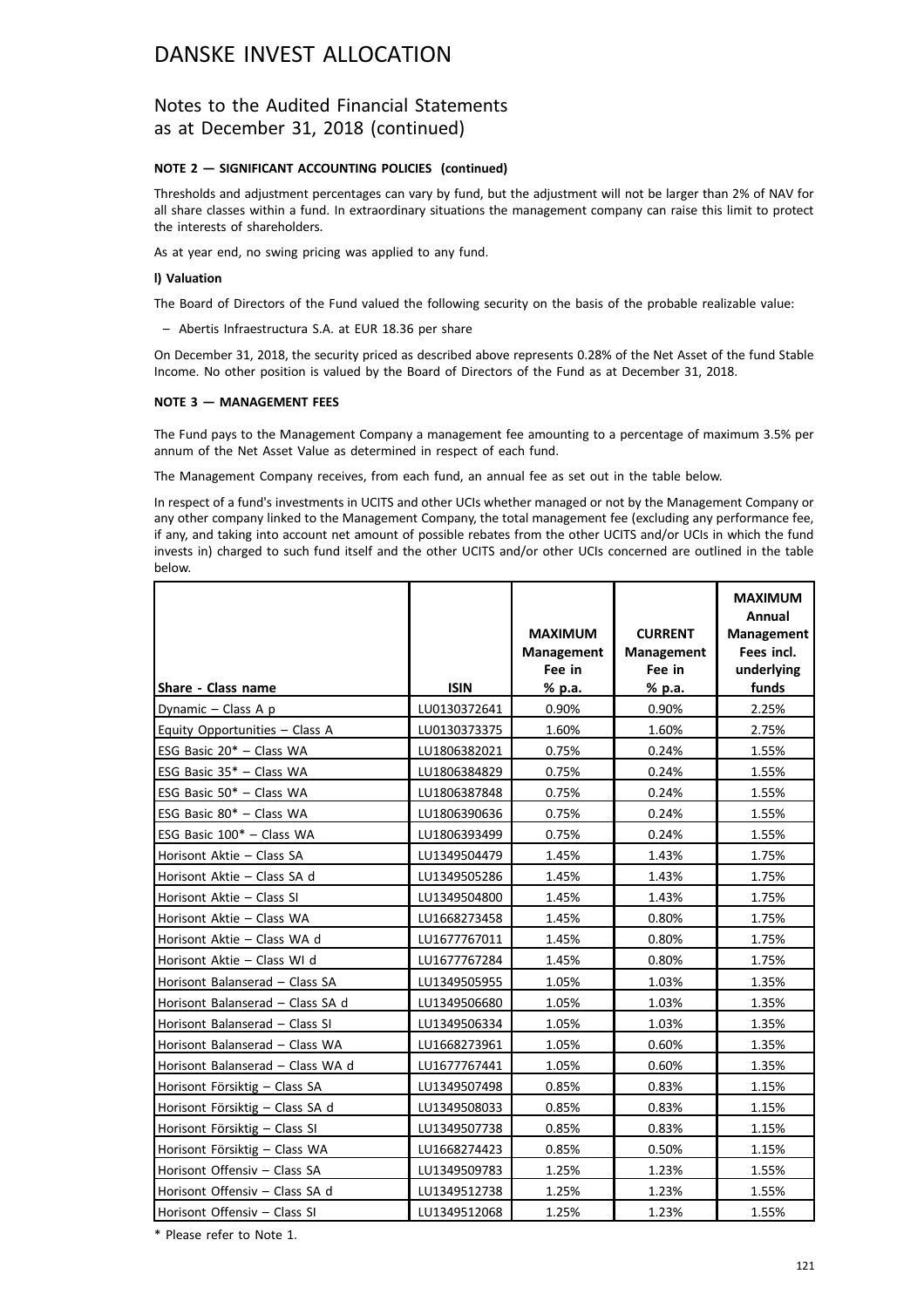## Notes to the Audited Financial Statements as at December 31, 2018 (continued)

### **NOTE 2 — SIGNIFICANT ACCOUNTING POLICIES (continued)**

Thresholds and adjustment percentages can vary by fund, but the adjustment will not be larger than 2% of NAV for all share classes within a fund. In extraordinary situations the management company can raise this limit to protect the interests of shareholders.

As at year end, no swing pricing was applied to any fund.

#### **l) Valuation**

The Board of Directors of the Fund valued the following security on the basis of the probable realizable value:

– Abertis Infraestructura S.A. at EUR 18.36 per share

On December 31, 2018, the security priced as described above represents 0.28% of the Net Asset of the fund Stable Income. No other position is valued by the Board of Directors of the Fund as at December 31, 2018.

### **NOTE 3 — MANAGEMENT FEES**

The Fund pays to the Management Company a management fee amounting to a percentage of maximum 3.5% per annum of the Net Asset Value as determined in respect of each fund.

The Management Company receives, from each fund, an annual fee as set out in the table below.

In respect of a fund's investments in UCITS and other UCIs whether managed or not by the Management Company or any other company linked to the Management Company, the total management fee (excluding any performance fee, if any, and taking into account net amount of possible rebates from the other UCITS and/or UCIs in which the fund invests in) charged to such fund itself and the other UCITS and/or other UCIs concerned are outlined in the table below.

|                                  |              | <b>MAXIMUM</b><br><b>Management</b><br>Fee in | <b>CURRENT</b><br><b>Management</b><br>Fee in | <b>MAXIMUM</b><br>Annual<br><b>Management</b><br>Fees incl.<br>underlying |
|----------------------------------|--------------|-----------------------------------------------|-----------------------------------------------|---------------------------------------------------------------------------|
| Share - Class name               | <b>ISIN</b>  | % p.a.                                        | % p.a.                                        | funds                                                                     |
| Dynamic - Class A p              | LU0130372641 | 0.90%                                         | 0.90%                                         | 2.25%                                                                     |
| Equity Opportunities - Class A   | LU0130373375 | 1.60%                                         | 1.60%                                         | 2.75%                                                                     |
| ESG Basic 20* - Class WA         | LU1806382021 | 0.75%                                         | 0.24%                                         | 1.55%                                                                     |
| ESG Basic 35* - Class WA         | LU1806384829 | 0.75%                                         | 0.24%                                         | 1.55%                                                                     |
| ESG Basic $50^*$ - Class WA      | LU1806387848 | 0.75%                                         | 0.24%                                         | 1.55%                                                                     |
| ESG Basic $80^*$ - Class WA      | LU1806390636 | 0.75%                                         | 0.24%                                         | 1.55%                                                                     |
| ESG Basic 100* - Class WA        | LU1806393499 | 0.75%                                         | 0.24%                                         | 1.55%                                                                     |
| Horisont Aktie - Class SA        | LU1349504479 | 1.45%                                         | 1.43%                                         | 1.75%                                                                     |
| Horisont Aktie - Class SA d      | LU1349505286 | 1.45%                                         | 1.43%                                         | 1.75%                                                                     |
| Horisont Aktie - Class SI        | LU1349504800 | 1.45%                                         | 1.43%                                         | 1.75%                                                                     |
| Horisont Aktie - Class WA        | LU1668273458 | 1.45%                                         | 0.80%                                         | 1.75%                                                                     |
| Horisont Aktie - Class WA d      | LU1677767011 | 1.45%                                         | 0.80%                                         | 1.75%                                                                     |
| Horisont Aktie - Class WI d      | LU1677767284 | 1.45%                                         | 0.80%                                         | 1.75%                                                                     |
| Horisont Balanserad - Class SA   | LU1349505955 | 1.05%                                         | 1.03%                                         | 1.35%                                                                     |
| Horisont Balanserad - Class SA d | LU1349506680 | 1.05%                                         | 1.03%                                         | 1.35%                                                                     |
| Horisont Balanserad - Class SI   | LU1349506334 | 1.05%                                         | 1.03%                                         | 1.35%                                                                     |
| Horisont Balanserad - Class WA   | LU1668273961 | 1.05%                                         | 0.60%                                         | 1.35%                                                                     |
| Horisont Balanserad - Class WA d | LU1677767441 | 1.05%                                         | 0.60%                                         | 1.35%                                                                     |
| Horisont Försiktig - Class SA    | LU1349507498 | 0.85%                                         | 0.83%                                         | 1.15%                                                                     |
| Horisont Försiktig - Class SA d  | LU1349508033 | 0.85%                                         | 0.83%                                         | 1.15%                                                                     |
| Horisont Försiktig - Class SI    | LU1349507738 | 0.85%                                         | 0.83%                                         | 1.15%                                                                     |
| Horisont Försiktig - Class WA    | LU1668274423 | 0.85%                                         | 0.50%                                         | 1.15%                                                                     |
| Horisont Offensiv - Class SA     | LU1349509783 | 1.25%                                         | 1.23%                                         | 1.55%                                                                     |
| Horisont Offensiv - Class SA d   | LU1349512738 | 1.25%                                         | 1.23%                                         | 1.55%                                                                     |
| Horisont Offensiv - Class SI     | LU1349512068 | 1.25%                                         | 1.23%                                         | 1.55%                                                                     |

\* Please refer to Note 1.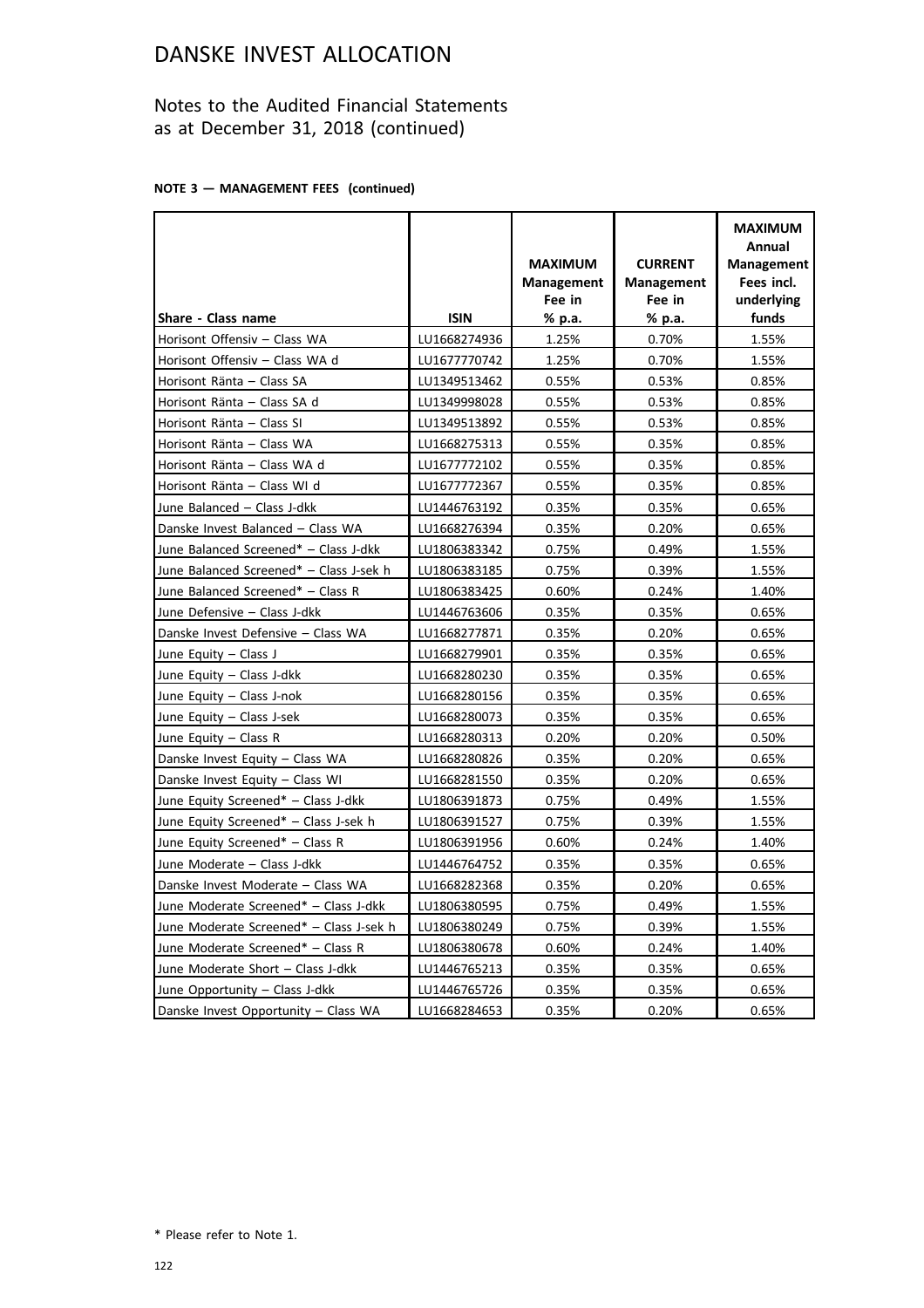## Notes to the Audited Financial Statements as at December 31, 2018 (continued)

## **NOTE 3 — MANAGEMENT FEES (continued)**

|                                         |              | <b>MAXIMUM</b><br><b>Management</b><br>Fee in | <b>CURRENT</b><br><b>Management</b><br>Fee in | <b>MAXIMUM</b><br>Annual<br><b>Management</b><br>Fees incl.<br>underlying |
|-----------------------------------------|--------------|-----------------------------------------------|-----------------------------------------------|---------------------------------------------------------------------------|
| Share - Class name                      | <b>ISIN</b>  | % p.a.                                        | % p.a.                                        | funds                                                                     |
| Horisont Offensiv - Class WA            | LU1668274936 | 1.25%                                         | 0.70%                                         | 1.55%                                                                     |
| Horisont Offensiv - Class WA d          | LU1677770742 | 1.25%                                         | 0.70%                                         | 1.55%                                                                     |
| Horisont Ränta - Class SA               | LU1349513462 | 0.55%                                         | 0.53%                                         | 0.85%                                                                     |
| Horisont Ränta - Class SA d             | LU1349998028 | 0.55%                                         | 0.53%                                         | 0.85%                                                                     |
| Horisont Ränta - Class SI               | LU1349513892 | 0.55%                                         | 0.53%                                         | 0.85%                                                                     |
| Horisont Ränta - Class WA               | LU1668275313 | 0.55%                                         | 0.35%                                         | 0.85%                                                                     |
| Horisont Ränta - Class WA d             | LU1677772102 | 0.55%                                         | 0.35%                                         | 0.85%                                                                     |
| Horisont Ränta - Class WI d             | LU1677772367 | 0.55%                                         | 0.35%                                         | 0.85%                                                                     |
| June Balanced - Class J-dkk             | LU1446763192 | 0.35%                                         | 0.35%                                         | 0.65%                                                                     |
| Danske Invest Balanced - Class WA       | LU1668276394 | 0.35%                                         | 0.20%                                         | 0.65%                                                                     |
| June Balanced Screened* - Class J-dkk   | LU1806383342 | 0.75%                                         | 0.49%                                         | 1.55%                                                                     |
| June Balanced Screened* - Class J-sek h | LU1806383185 | 0.75%                                         | 0.39%                                         | 1.55%                                                                     |
| June Balanced Screened* - Class R       | LU1806383425 | 0.60%                                         | 0.24%                                         | 1.40%                                                                     |
| June Defensive - Class J-dkk            | LU1446763606 | 0.35%                                         | 0.35%                                         | 0.65%                                                                     |
| Danske Invest Defensive - Class WA      | LU1668277871 | 0.35%                                         | 0.20%                                         | 0.65%                                                                     |
| June Equity - Class J                   | LU1668279901 | 0.35%                                         | 0.35%                                         | 0.65%                                                                     |
| June Equity - Class J-dkk               | LU1668280230 | 0.35%                                         | 0.35%                                         | 0.65%                                                                     |
| June Equity - Class J-nok               | LU1668280156 | 0.35%                                         | 0.35%                                         | 0.65%                                                                     |
| June Equity - Class J-sek               | LU1668280073 | 0.35%                                         | 0.35%                                         | 0.65%                                                                     |
| June Equity $-$ Class R                 | LU1668280313 | 0.20%                                         | 0.20%                                         | 0.50%                                                                     |
| Danske Invest Equity - Class WA         | LU1668280826 | 0.35%                                         | 0.20%                                         | 0.65%                                                                     |
| Danske Invest Equity - Class WI         | LU1668281550 | 0.35%                                         | 0.20%                                         | 0.65%                                                                     |
| June Equity Screened* - Class J-dkk     | LU1806391873 | 0.75%                                         | 0.49%                                         | 1.55%                                                                     |
| June Equity Screened* - Class J-sek h   | LU1806391527 | 0.75%                                         | 0.39%                                         | 1.55%                                                                     |
| June Equity Screened* - Class R         | LU1806391956 | 0.60%                                         | 0.24%                                         | 1.40%                                                                     |
| June Moderate - Class J-dkk             | LU1446764752 | 0.35%                                         | 0.35%                                         | 0.65%                                                                     |
| Danske Invest Moderate - Class WA       | LU1668282368 | 0.35%                                         | 0.20%                                         | 0.65%                                                                     |
| June Moderate Screened* - Class J-dkk   | LU1806380595 | 0.75%                                         | 0.49%                                         | 1.55%                                                                     |
| June Moderate Screened* - Class J-sek h | LU1806380249 | 0.75%                                         | 0.39%                                         | 1.55%                                                                     |
| June Moderate Screened* - Class R       | LU1806380678 | 0.60%                                         | 0.24%                                         | 1.40%                                                                     |
| June Moderate Short - Class J-dkk       | LU1446765213 | 0.35%                                         | 0.35%                                         | 0.65%                                                                     |
| June Opportunity - Class J-dkk          | LU1446765726 | 0.35%                                         | 0.35%                                         | 0.65%                                                                     |
| Danske Invest Opportunity - Class WA    | LU1668284653 | 0.35%                                         | 0.20%                                         | 0.65%                                                                     |

\* Please refer to Note 1.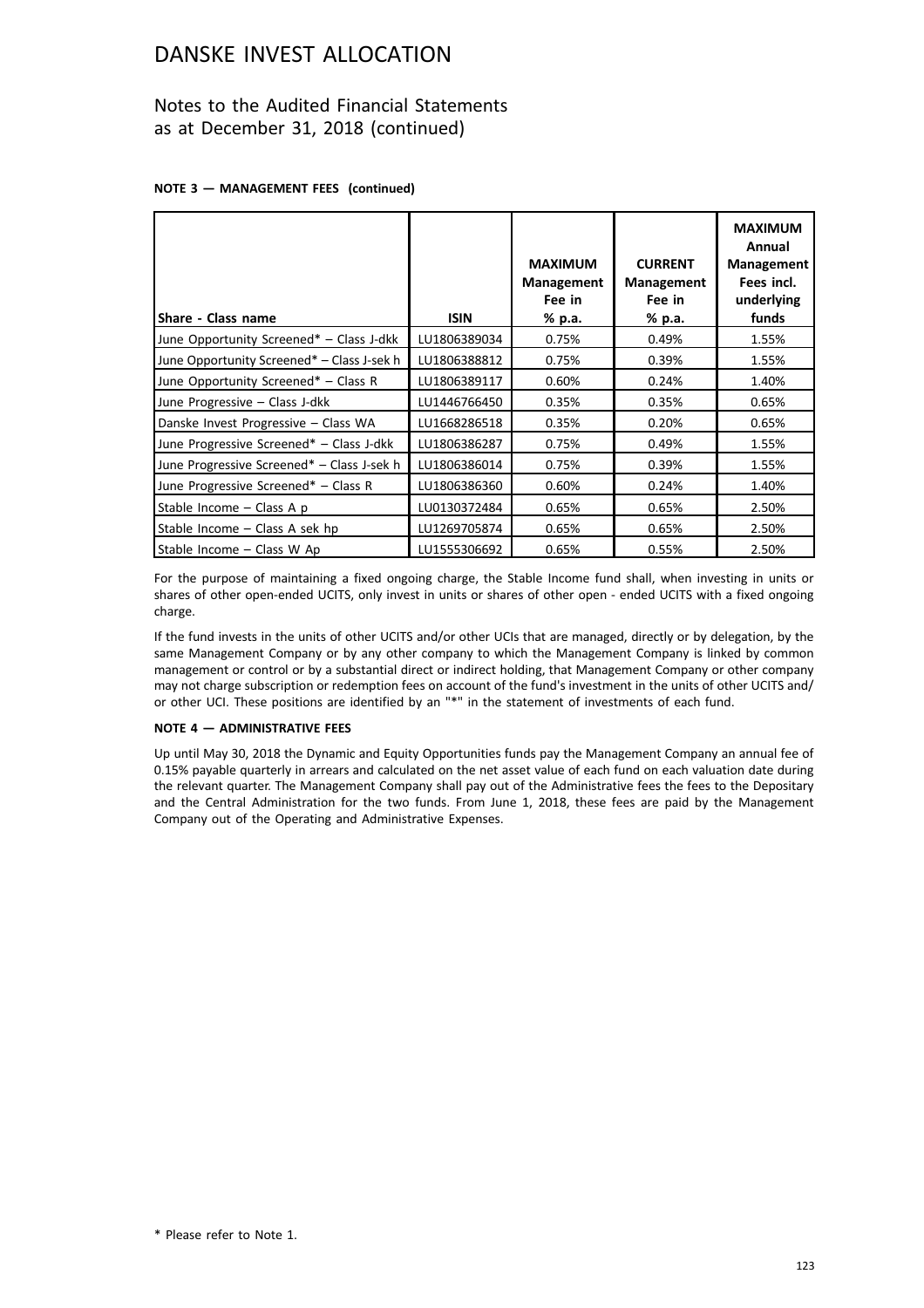## Notes to the Audited Financial Statements as at December 31, 2018 (continued)

## **NOTE 3 — MANAGEMENT FEES (continued)**

|                                            |              | <b>MAXIMUM</b><br><b>Management</b><br>Fee in | <b>CURRENT</b><br><b>Management</b><br>Fee in | <b>MAXIMUM</b><br>Annual<br><b>Management</b><br>Fees incl.<br>underlying |
|--------------------------------------------|--------------|-----------------------------------------------|-----------------------------------------------|---------------------------------------------------------------------------|
| Share - Class name                         | <b>ISIN</b>  | % p.a.                                        | % p.a.                                        | funds                                                                     |
| June Opportunity Screened* - Class J-dkk   | LU1806389034 | 0.75%                                         | 0.49%                                         | 1.55%                                                                     |
| June Opportunity Screened* - Class J-sek h | LU1806388812 | 0.75%                                         | 0.39%                                         | 1.55%                                                                     |
| June Opportunity Screened* - Class R       | LU1806389117 | 0.60%                                         | 0.24%                                         | 1.40%                                                                     |
| June Progressive - Class J-dkk             | LU1446766450 | 0.35%                                         | 0.35%                                         | 0.65%                                                                     |
| Danske Invest Progressive - Class WA       | LU1668286518 | 0.35%                                         | 0.20%                                         | 0.65%                                                                     |
| June Progressive Screened* - Class J-dkk   | LU1806386287 | 0.75%                                         | 0.49%                                         | 1.55%                                                                     |
| June Progressive Screened* - Class J-sek h | LU1806386014 | 0.75%                                         | 0.39%                                         | 1.55%                                                                     |
| June Progressive Screened* - Class R       | LU1806386360 | 0.60%                                         | 0.24%                                         | 1.40%                                                                     |
| Stable Income - Class A p                  | LU0130372484 | 0.65%                                         | 0.65%                                         | 2.50%                                                                     |
| Stable Income - Class A sek hp             | LU1269705874 | 0.65%                                         | 0.65%                                         | 2.50%                                                                     |
| Stable Income - Class W Ap                 | LU1555306692 | 0.65%                                         | 0.55%                                         | 2.50%                                                                     |

For the purpose of maintaining a fixed ongoing charge, the Stable Income fund shall, when investing in units or shares of other open-ended UCITS, only invest in units or shares of other open - ended UCITS with a fixed ongoing charge.

If the fund invests in the units of other UCITS and/or other UCIs that are managed, directly or by delegation, by the same Management Company or by any other company to which the Management Company is linked by common management or control or by a substantial direct or indirect holding, that Management Company or other company may not charge subscription or redemption fees on account of the fund's investment in the units of other UCITS and/ or other UCI. These positions are identified by an "\*" in the statement of investments of each fund.

### **NOTE 4 — ADMINISTRATIVE FEES**

Up until May 30, 2018 the Dynamic and Equity Opportunities funds pay the Management Company an annual fee of 0.15% payable quarterly in arrears and calculated on the net asset value of each fund on each valuation date during the relevant quarter. The Management Company shall pay out of the Administrative fees the fees to the Depositary and the Central Administration for the two funds. From June 1, 2018, these fees are paid by the Management Company out of the Operating and Administrative Expenses.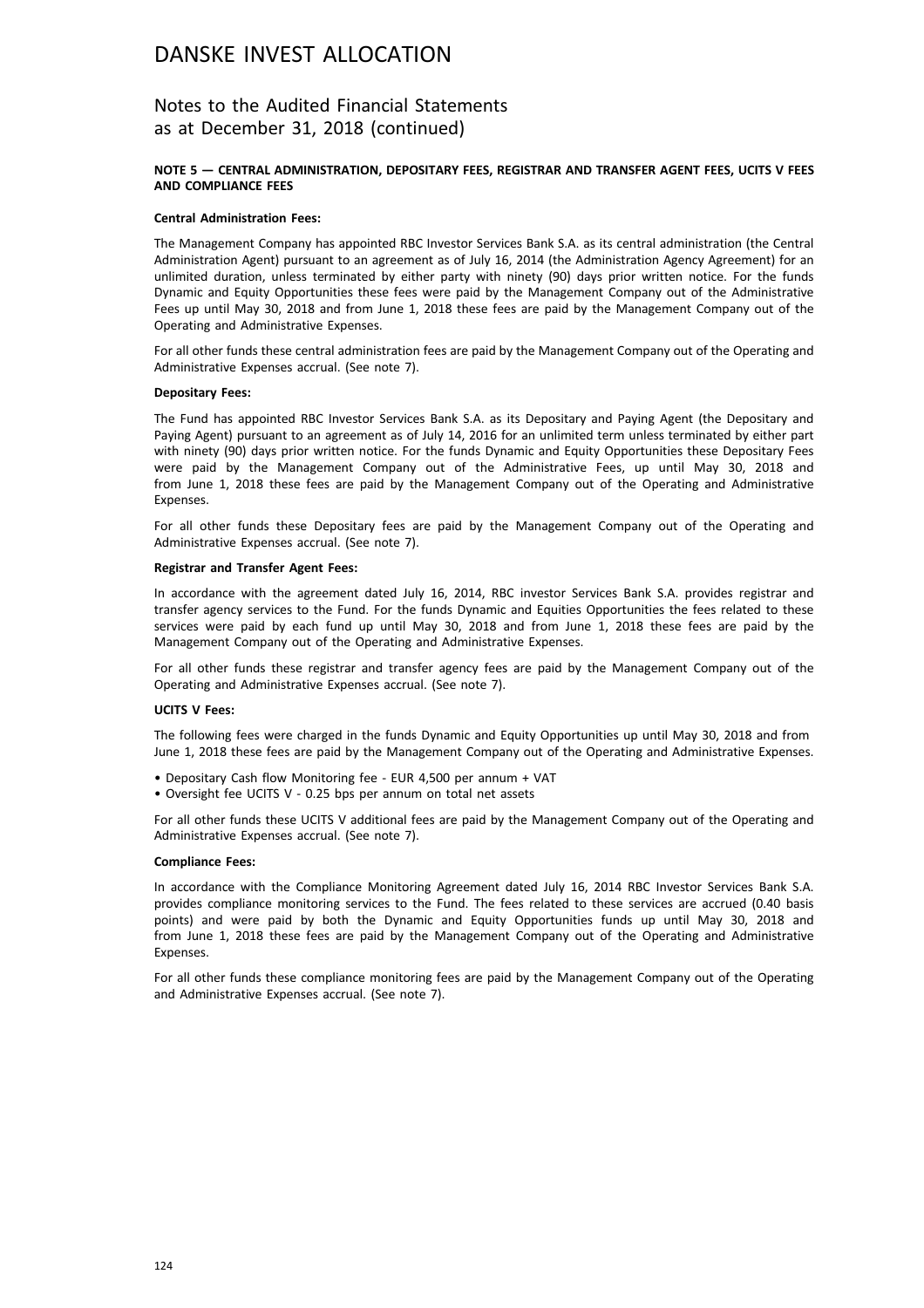## Notes to the Audited Financial Statements as at December 31, 2018 (continued)

#### **NOTE 5 — CENTRAL ADMINISTRATION, DEPOSITARY FEES, REGISTRAR AND TRANSFER AGENT FEES, UCITS V FEES AND COMPLIANCE FEES**

#### **Central Administration Fees:**

The Management Company has appointed RBC Investor Services Bank S.A. as its central administration (the Central Administration Agent) pursuant to an agreement as of July 16, 2014 (the Administration Agency Agreement) for an unlimited duration, unless terminated by either party with ninety (90) days prior written notice. For the funds Dynamic and Equity Opportunities these fees were paid by the Management Company out of the Administrative Fees up until May 30, 2018 and from June 1, 2018 these fees are paid by the Management Company out of the Operating and Administrative Expenses.

For all other funds these central administration fees are paid by the Management Company out of the Operating and Administrative Expenses accrual. (See note 7).

#### **Depositary Fees:**

The Fund has appointed RBC Investor Services Bank S.A. as its Depositary and Paying Agent (the Depositary and Paying Agent) pursuant to an agreement as of July 14, 2016 for an unlimited term unless terminated by either part with ninety (90) days prior written notice. For the funds Dynamic and Equity Opportunities these Depositary Fees were paid by the Management Company out of the Administrative Fees, up until May 30, 2018 and from June 1, 2018 these fees are paid by the Management Company out of the Operating and Administrative Expenses.

For all other funds these Depositary fees are paid by the Management Company out of the Operating and Administrative Expenses accrual. (See note 7).

#### **Registrar and Transfer Agent Fees:**

In accordance with the agreement dated July 16, 2014, RBC investor Services Bank S.A. provides registrar and transfer agency services to the Fund. For the funds Dynamic and Equities Opportunities the fees related to these services were paid by each fund up until May 30, 2018 and from June 1, 2018 these fees are paid by the Management Company out of the Operating and Administrative Expenses.

For all other funds these registrar and transfer agency fees are paid by the Management Company out of the Operating and Administrative Expenses accrual. (See note 7).

#### **UCITS V Fees:**

The following fees were charged in the funds Dynamic and Equity Opportunities up until May 30, 2018 and from June 1, 2018 these fees are paid by the Management Company out of the Operating and Administrative Expenses.

- Depositary Cash flow Monitoring fee EUR 4,500 per annum + VAT
- Oversight fee UCITS V 0.25 bps per annum on total net assets

For all other funds these UCITS V additional fees are paid by the Management Company out of the Operating and Administrative Expenses accrual. (See note 7).

#### **Compliance Fees:**

In accordance with the Compliance Monitoring Agreement dated July 16, 2014 RBC Investor Services Bank S.A. provides compliance monitoring services to the Fund. The fees related to these services are accrued (0.40 basis points) and were paid by both the Dynamic and Equity Opportunities funds up until May 30, 2018 and from June 1, 2018 these fees are paid by the Management Company out of the Operating and Administrative Expenses.

For all other funds these compliance monitoring fees are paid by the Management Company out of the Operating and Administrative Expenses accrual. (See note 7).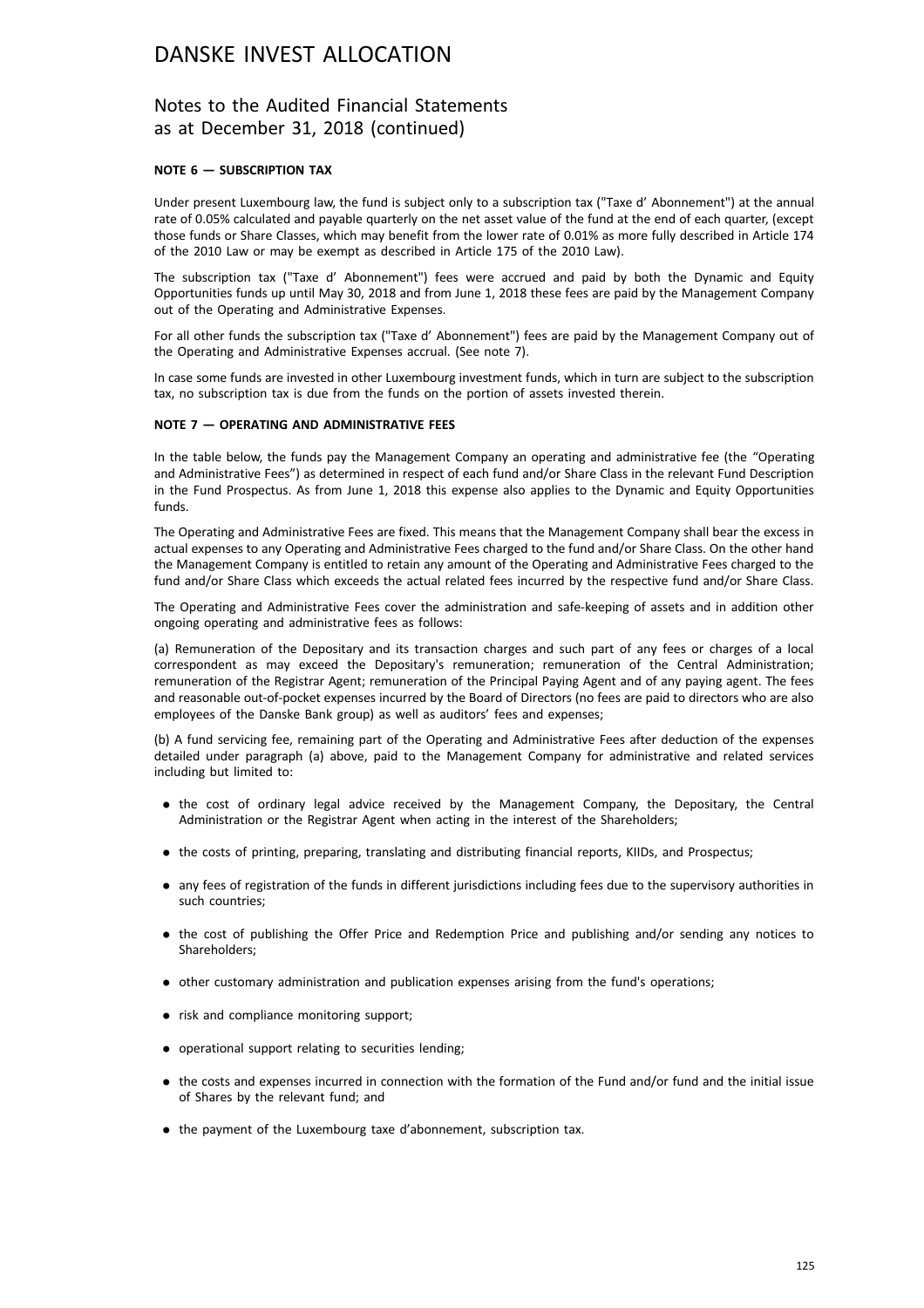## Notes to the Audited Financial Statements as at December 31, 2018 (continued)

#### **NOTE 6 — SUBSCRIPTION TAX**

Under present Luxembourg law, the fund is subject only to a subscription tax ("Taxe d' Abonnement") at the annual rate of 0.05% calculated and payable quarterly on the net asset value of the fund at the end of each quarter, (except those funds or Share Classes, which may benefit from the lower rate of 0.01% as more fully described in Article 174 of the 2010 Law or may be exempt as described in Article 175 of the 2010 Law).

The subscription tax ("Taxe d' Abonnement") fees were accrued and paid by both the Dynamic and Equity Opportunities funds up until May 30, 2018 and from June 1, 2018 these fees are paid by the Management Company out of the Operating and Administrative Expenses.

For all other funds the subscription tax ("Taxe d' Abonnement") fees are paid by the Management Company out of the Operating and Administrative Expenses accrual. (See note 7).

In case some funds are invested in other Luxembourg investment funds, which in turn are subject to the subscription tax, no subscription tax is due from the funds on the portion of assets invested therein.

#### **NOTE 7 — OPERATING AND ADMINISTRATIVE FEES**

In the table below, the funds pay the Management Company an operating and administrative fee (the "Operating and Administrative Fees") as determined in respect of each fund and/or Share Class in the relevant Fund Description in the Fund Prospectus. As from June 1, 2018 this expense also applies to the Dynamic and Equity Opportunities funds.

The Operating and Administrative Fees are fixed. This means that the Management Company shall bear the excess in actual expenses to any Operating and Administrative Fees charged to the fund and/or Share Class. On the other hand the Management Company is entitled to retain any amount of the Operating and Administrative Fees charged to the fund and/or Share Class which exceeds the actual related fees incurred by the respective fund and/or Share Class.

The Operating and Administrative Fees cover the administration and safe-keeping of assets and in addition other ongoing operating and administrative fees as follows:

(a) Remuneration of the Depositary and its transaction charges and such part of any fees or charges of a local correspondent as may exceed the Depositary's remuneration; remuneration of the Central Administration; remuneration of the Registrar Agent; remuneration of the Principal Paying Agent and of any paying agent. The fees and reasonable out-of-pocket expenses incurred by the Board of Directors (no fees are paid to directors who are also employees of the Danske Bank group) as well as auditors' fees and expenses;

(b) A fund servicing fee, remaining part of the Operating and Administrative Fees after deduction of the expenses detailed under paragraph (a) above, paid to the Management Company for administrative and related services including but limited to:

- . the cost of ordinary legal advice received by the Management Company, the Depositary, the Central Administration or the Registrar Agent when acting in the interest of the Shareholders;
- . the costs of printing, preparing, translating and distributing financial reports, KIIDs, and Prospectus;
- . any fees of registration of the funds in different jurisdictions including fees due to the supervisory authorities in such countries;
- . the cost of publishing the Offer Price and Redemption Price and publishing and/or sending any notices to Shareholders;
- . other customary administration and publication expenses arising from the fund's operations;
- risk and compliance monitoring support;
- . operational support relating to securities lending;
- . the costs and expenses incurred in connection with the formation of the Fund and/or fund and the initial issue of Shares by the relevant fund; and
- . the payment of the Luxembourg taxe d'abonnement, subscription tax.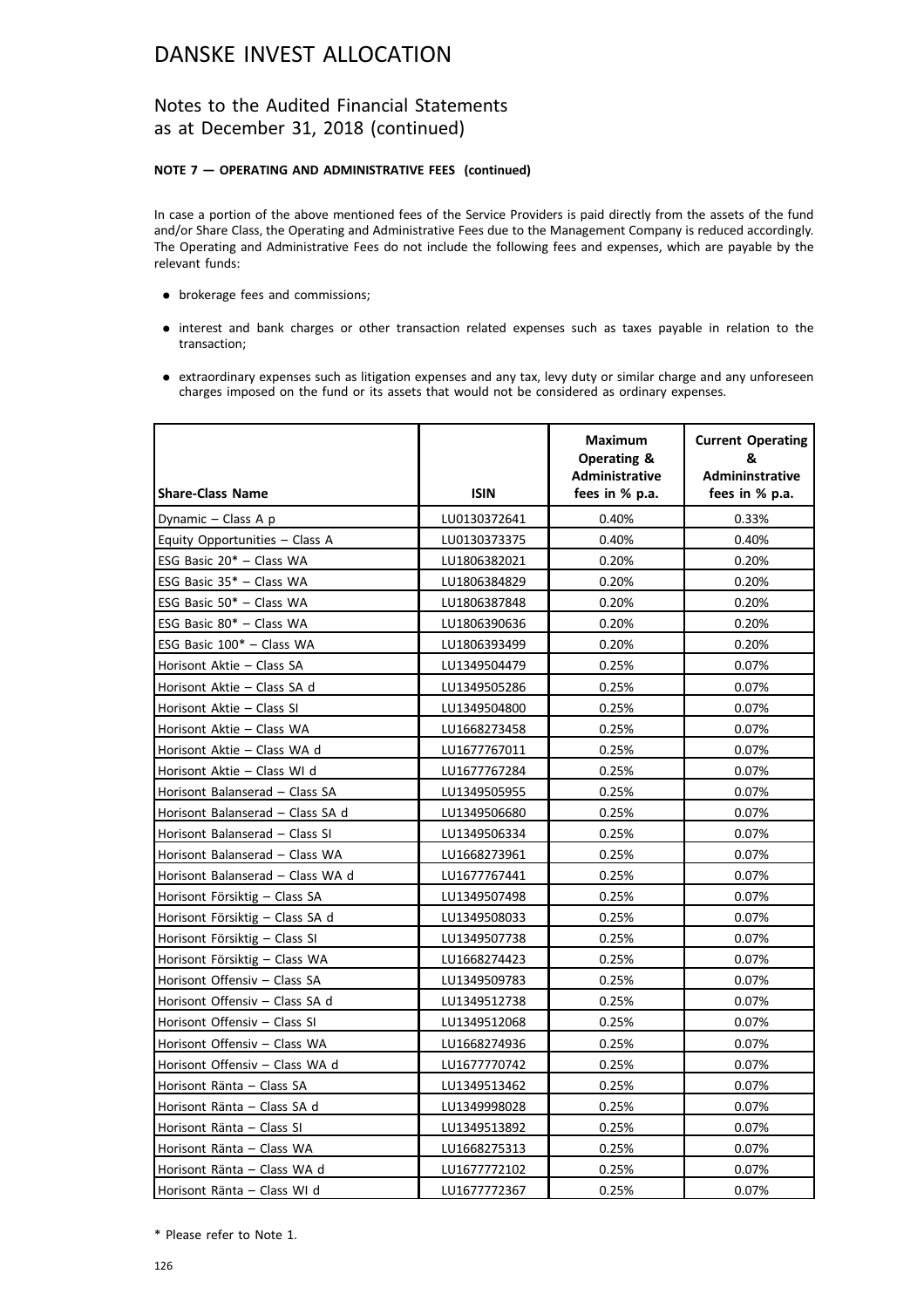## Notes to the Audited Financial Statements as at December 31, 2018 (continued)

### **NOTE 7 — OPERATING AND ADMINISTRATIVE FEES (continued)**

In case a portion of the above mentioned fees of the Service Providers is paid directly from the assets of the fund and/or Share Class, the Operating and Administrative Fees due to the Management Company is reduced accordingly. The Operating and Administrative Fees do not include the following fees and expenses, which are payable by the relevant funds:

- . brokerage fees and commissions;
- . interest and bank charges or other transaction related expenses such as taxes payable in relation to the transaction;
- . extraordinary expenses such as litigation expenses and any tax, levy duty or similar charge and any unforeseen charges imposed on the fund or its assets that would not be considered as ordinary expenses.

| <b>Share-Class Name</b>          | <b>ISIN</b>  | Maximum<br>Operating &<br><b>Administrative</b><br>fees in % p.a. | <b>Current Operating</b><br>&<br>Admininstrative<br>fees in % p.a. |
|----------------------------------|--------------|-------------------------------------------------------------------|--------------------------------------------------------------------|
| Dynamic - Class A p              | LU0130372641 | 0.40%                                                             | 0.33%                                                              |
| Equity Opportunities - Class A   | LU0130373375 | 0.40%                                                             | 0.40%                                                              |
| ESG Basic 20* - Class WA         | LU1806382021 | 0.20%                                                             | 0.20%                                                              |
| ESG Basic 35* - Class WA         | LU1806384829 | 0.20%                                                             | 0.20%                                                              |
| ESG Basic 50* - Class WA         | LU1806387848 | 0.20%                                                             | 0.20%                                                              |
| ESG Basic 80* - Class WA         | LU1806390636 | 0.20%                                                             | 0.20%                                                              |
| ESG Basic 100* - Class WA        | LU1806393499 | 0.20%                                                             | 0.20%                                                              |
| Horisont Aktie - Class SA        | LU1349504479 | 0.25%                                                             | 0.07%                                                              |
| Horisont Aktie - Class SA d      | LU1349505286 | 0.25%                                                             | 0.07%                                                              |
| Horisont Aktie - Class SI        | LU1349504800 | 0.25%                                                             | 0.07%                                                              |
| Horisont Aktie - Class WA        | LU1668273458 | 0.25%                                                             | 0.07%                                                              |
| Horisont Aktie - Class WA d      | LU1677767011 | 0.25%                                                             | 0.07%                                                              |
| Horisont Aktie - Class WI d      | LU1677767284 | 0.25%                                                             | 0.07%                                                              |
| Horisont Balanserad - Class SA   | LU1349505955 | 0.25%                                                             | 0.07%                                                              |
| Horisont Balanserad - Class SA d | LU1349506680 | 0.25%                                                             | 0.07%                                                              |
| Horisont Balanserad - Class SI   | LU1349506334 | 0.25%                                                             | 0.07%                                                              |
| Horisont Balanserad - Class WA   | LU1668273961 | 0.25%                                                             | 0.07%                                                              |
| Horisont Balanserad - Class WA d | LU1677767441 | 0.25%                                                             | 0.07%                                                              |
| Horisont Försiktig - Class SA    | LU1349507498 | 0.25%                                                             | 0.07%                                                              |
| Horisont Försiktig - Class SA d  | LU1349508033 | 0.25%                                                             | 0.07%                                                              |
| Horisont Försiktig - Class SI    | LU1349507738 | 0.25%                                                             | 0.07%                                                              |
| Horisont Försiktig - Class WA    | LU1668274423 | 0.25%                                                             | 0.07%                                                              |
| Horisont Offensiv - Class SA     | LU1349509783 | 0.25%                                                             | 0.07%                                                              |
| Horisont Offensiv - Class SA d   | LU1349512738 | 0.25%                                                             | 0.07%                                                              |
| Horisont Offensiv - Class SI     | LU1349512068 | 0.25%                                                             | 0.07%                                                              |
| Horisont Offensiv - Class WA     | LU1668274936 | 0.25%                                                             | 0.07%                                                              |
| Horisont Offensiv - Class WA d   | LU1677770742 | 0.25%                                                             | 0.07%                                                              |
| Horisont Ränta - Class SA        | LU1349513462 | 0.25%                                                             | 0.07%                                                              |
| Horisont Ränta - Class SA d      | LU1349998028 | 0.25%                                                             | 0.07%                                                              |
| Horisont Ränta - Class SI        | LU1349513892 | 0.25%                                                             | 0.07%                                                              |
| Horisont Ränta - Class WA        | LU1668275313 | 0.25%                                                             | 0.07%                                                              |
| Horisont Ränta - Class WA d      | LU1677772102 | 0.25%                                                             | 0.07%                                                              |
| Horisont Ränta - Class WI d      | LU1677772367 | 0.25%                                                             | 0.07%                                                              |

\* Please refer to Note 1.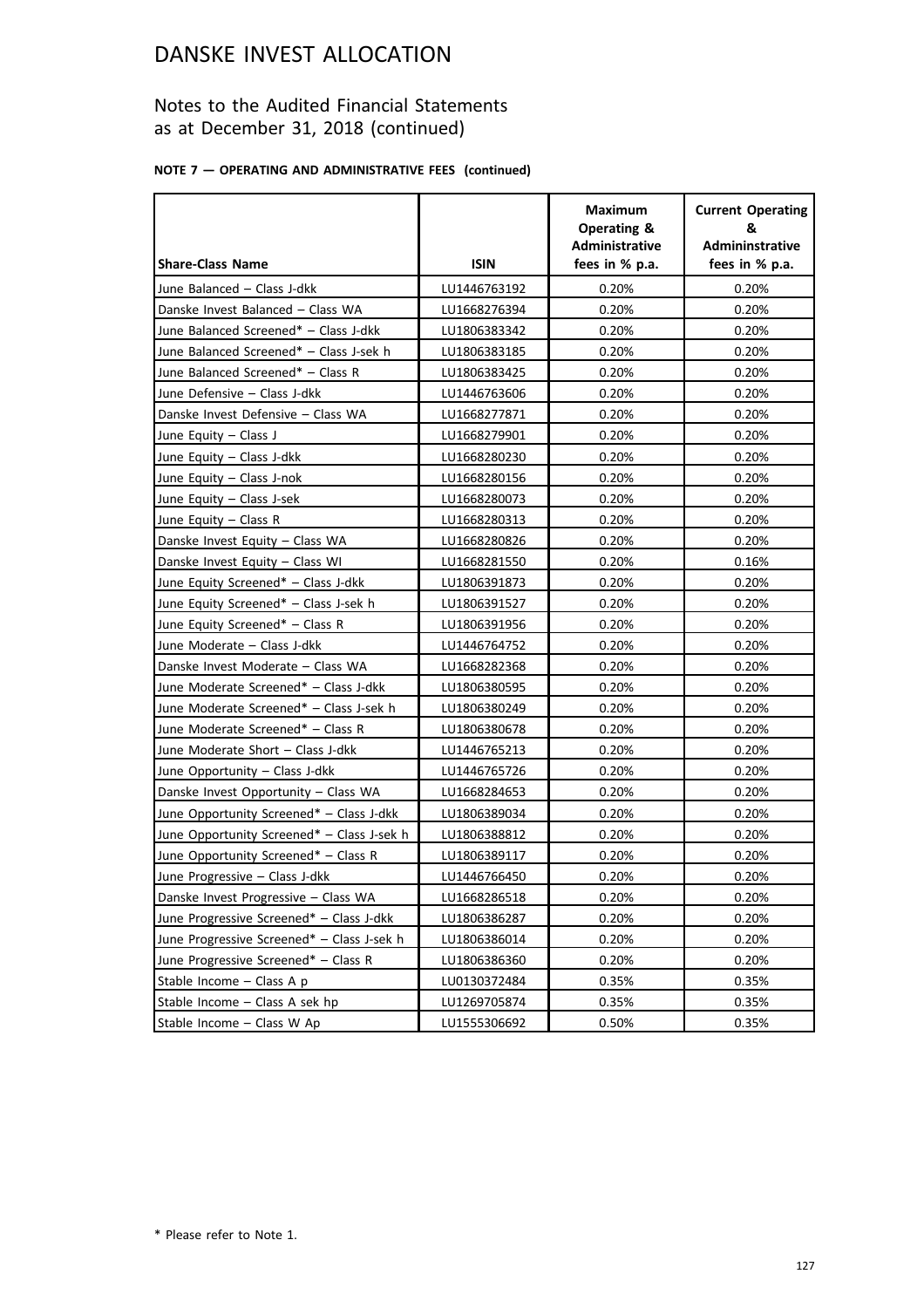## Notes to the Audited Financial Statements as at December 31, 2018 (continued)

## **NOTE 7 — OPERATING AND ADMINISTRATIVE FEES (continued)**

| <b>Share-Class Name</b>                    | <b>ISIN</b>  | <b>Maximum</b><br><b>Operating &amp;</b><br><b>Administrative</b><br>fees in % p.a. | <b>Current Operating</b><br>&<br><b>Admininstrative</b><br>fees in % p.a. |
|--------------------------------------------|--------------|-------------------------------------------------------------------------------------|---------------------------------------------------------------------------|
| June Balanced - Class J-dkk                | LU1446763192 | 0.20%                                                                               | 0.20%                                                                     |
| Danske Invest Balanced - Class WA          | LU1668276394 | 0.20%                                                                               | 0.20%                                                                     |
| June Balanced Screened* - Class J-dkk      | LU1806383342 | 0.20%                                                                               | 0.20%                                                                     |
| June Balanced Screened* - Class J-sek h    | LU1806383185 | 0.20%                                                                               | 0.20%                                                                     |
| June Balanced Screened* - Class R          | LU1806383425 | 0.20%                                                                               | 0.20%                                                                     |
| June Defensive - Class J-dkk               | LU1446763606 | 0.20%                                                                               | 0.20%                                                                     |
| Danske Invest Defensive - Class WA         | LU1668277871 | 0.20%                                                                               | 0.20%                                                                     |
| June Equity - Class J                      | LU1668279901 | 0.20%                                                                               | 0.20%                                                                     |
| June Equity - Class J-dkk                  | LU1668280230 | 0.20%                                                                               | 0.20%                                                                     |
| June Equity - Class J-nok                  | LU1668280156 | 0.20%                                                                               | 0.20%                                                                     |
| June Equity - Class J-sek                  | LU1668280073 | 0.20%                                                                               | 0.20%                                                                     |
| June Equity $-$ Class R                    | LU1668280313 | 0.20%                                                                               | 0.20%                                                                     |
| Danske Invest Equity - Class WA            | LU1668280826 | 0.20%                                                                               | 0.20%                                                                     |
| Danske Invest Equity - Class WI            | LU1668281550 | 0.20%                                                                               | 0.16%                                                                     |
| June Equity Screened* - Class J-dkk        | LU1806391873 | 0.20%                                                                               | 0.20%                                                                     |
| June Equity Screened* - Class J-sek h      | LU1806391527 | 0.20%                                                                               | 0.20%                                                                     |
| June Equity Screened* - Class R            | LU1806391956 | 0.20%                                                                               | 0.20%                                                                     |
| June Moderate - Class J-dkk                | LU1446764752 | 0.20%                                                                               | 0.20%                                                                     |
| Danske Invest Moderate - Class WA          | LU1668282368 | 0.20%                                                                               | 0.20%                                                                     |
| June Moderate Screened* - Class J-dkk      | LU1806380595 | 0.20%                                                                               | 0.20%                                                                     |
| June Moderate Screened* - Class J-sek h    | LU1806380249 | 0.20%                                                                               | 0.20%                                                                     |
| June Moderate Screened* - Class R          | LU1806380678 | 0.20%                                                                               | 0.20%                                                                     |
| June Moderate Short - Class J-dkk          | LU1446765213 | 0.20%                                                                               | 0.20%                                                                     |
| June Opportunity - Class J-dkk             | LU1446765726 | 0.20%                                                                               | 0.20%                                                                     |
| Danske Invest Opportunity - Class WA       | LU1668284653 | 0.20%                                                                               | 0.20%                                                                     |
| June Opportunity Screened* - Class J-dkk   | LU1806389034 | 0.20%                                                                               | 0.20%                                                                     |
| June Opportunity Screened* - Class J-sek h | LU1806388812 | 0.20%                                                                               | 0.20%                                                                     |
| June Opportunity Screened* - Class R       | LU1806389117 | 0.20%                                                                               | 0.20%                                                                     |
| June Progressive - Class J-dkk             | LU1446766450 | 0.20%                                                                               | 0.20%                                                                     |
| Danske Invest Progressive - Class WA       | LU1668286518 | 0.20%                                                                               | 0.20%                                                                     |
| June Progressive Screened* - Class J-dkk   | LU1806386287 | 0.20%                                                                               | 0.20%                                                                     |
| June Progressive Screened* - Class J-sek h | LU1806386014 | 0.20%                                                                               | 0.20%                                                                     |
| June Progressive Screened* - Class R       | LU1806386360 | 0.20%                                                                               | 0.20%                                                                     |
| Stable Income - Class A p                  | LU0130372484 | 0.35%                                                                               | 0.35%                                                                     |
| Stable Income - Class A sek hp             | LU1269705874 | 0.35%                                                                               | 0.35%                                                                     |
| Stable Income - Class W Ap                 | LU1555306692 | 0.50%                                                                               | 0.35%                                                                     |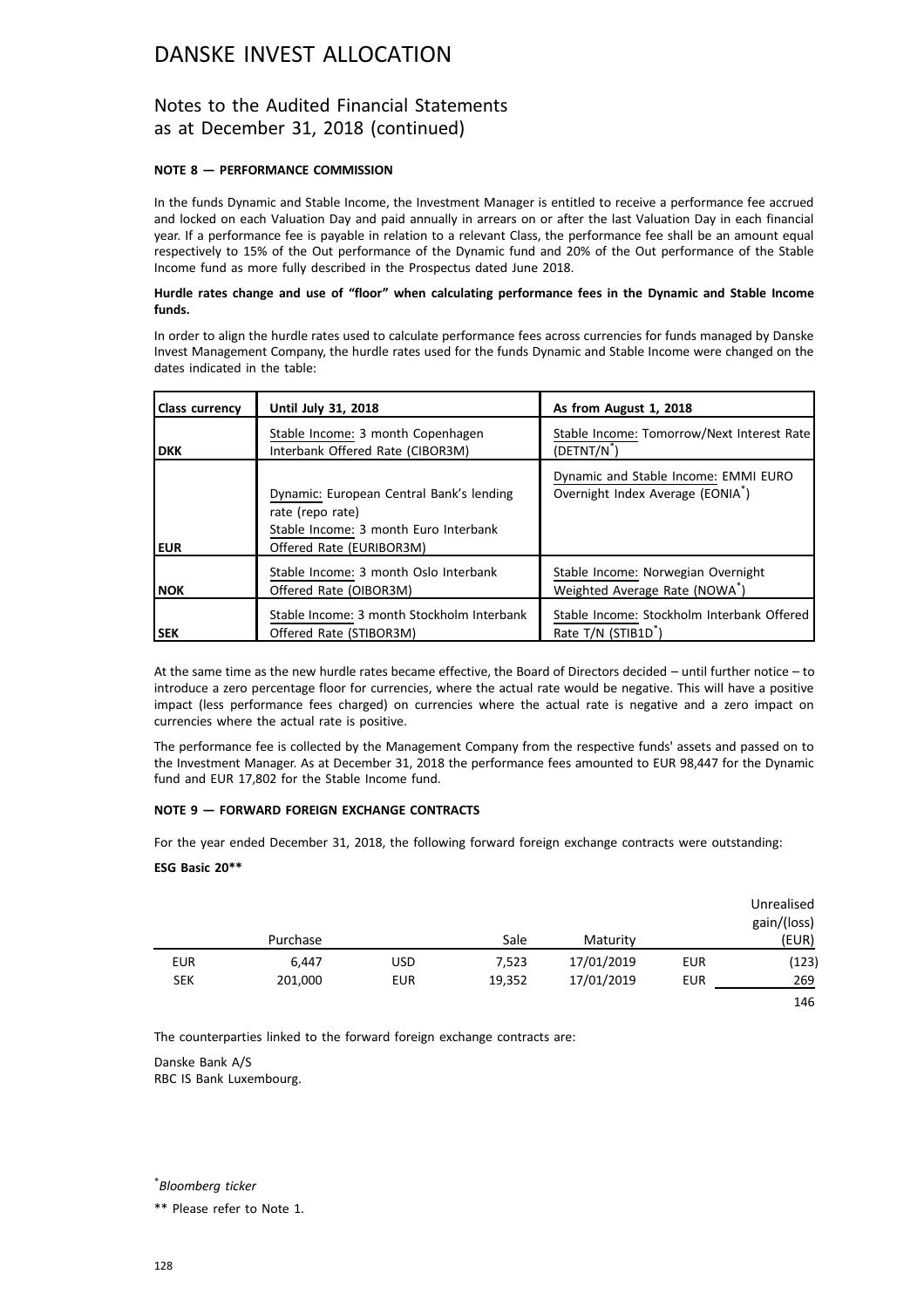## Notes to the Audited Financial Statements as at December 31, 2018 (continued)

### **NOTE 8 — PERFORMANCE COMMISSION**

In the funds Dynamic and Stable Income, the Investment Manager is entitled to receive a performance fee accrued and locked on each Valuation Day and paid annually in arrears on or after the last Valuation Day in each financial year. If a performance fee is payable in relation to a relevant Class, the performance fee shall be an amount equal respectively to 15% of the Out performance of the Dynamic fund and 20% of the Out performance of the Stable Income fund as more fully described in the Prospectus dated June 2018.

#### **Hurdle rates change and use of "floor" when calculating performance fees in the Dynamic and Stable Income funds.**

In order to align the hurdle rates used to calculate performance fees across currencies for funds managed by Danske Invest Management Company, the hurdle rates used for the funds Dynamic and Stable Income were changed on the dates indicated in the table:

| <b>Class currency</b> | Until July 31, 2018                                                                                                               | As from August 1, 2018                                                                                                         |
|-----------------------|-----------------------------------------------------------------------------------------------------------------------------------|--------------------------------------------------------------------------------------------------------------------------------|
| <b>DKK</b>            | Stable Income: 3 month Copenhagen<br>Interbank Offered Rate (CIBOR3M)                                                             | Stable Income: Tomorrow/Next Interest Rate<br>(DETNT/N <sup>*</sup>                                                            |
| <b>EUR</b>            | Dynamic: European Central Bank's lending<br>rate (repo rate)<br>Stable Income: 3 month Euro Interbank<br>Offered Rate (EURIBOR3M) | Dynamic and Stable Income: EMMI EURO<br>Overnight Index Average (EONIA <sup>*</sup> )                                          |
| <b>NOK</b>            | Stable Income: 3 month Oslo Interbank<br>Offered Rate (OIBOR3M)<br>Stable Income: 3 month Stockholm Interbank                     | Stable Income: Norwegian Overnight<br>Weighted Average Rate (NOWA <sup>*</sup> )<br>Stable Income: Stockholm Interbank Offered |
| l SEK                 | Offered Rate (STIBOR3M)                                                                                                           | Rate T/N (STIB1D <sup>*</sup> )                                                                                                |

At the same time as the new hurdle rates became effective, the Board of Directors decided – until further notice – to introduce a zero percentage floor for currencies, where the actual rate would be negative. This will have a positive impact (less performance fees charged) on currencies where the actual rate is negative and a zero impact on currencies where the actual rate is positive.

The performance fee is collected by the Management Company from the respective funds' assets and passed on to the Investment Manager. As at December 31, 2018 the performance fees amounted to EUR 98,447 for the Dynamic fund and EUR 17,802 for the Stable Income fund.

### **NOTE 9 — FORWARD FOREIGN EXCHANGE CONTRACTS**

For the year ended December 31, 2018, the following forward foreign exchange contracts were outstanding:

#### **ESG Basic 20\*\***

| Unrealised<br>gain/(loss) |     |            |        |            |          |            |
|---------------------------|-----|------------|--------|------------|----------|------------|
| (EUR)                     |     | Maturity   | Sale   |            | Purchase |            |
| (123)                     | EUR | 17/01/2019 | 7,523  | <b>USD</b> | 6.447    | <b>EUR</b> |
| 269                       | EUR | 17/01/2019 | 19,352 | <b>EUR</b> | 201,000  | <b>SEK</b> |
| 146                       |     |            |        |            |          |            |

The counterparties linked to the forward foreign exchange contracts are:

Danske Bank A/S RBC IS Bank Luxembourg.

\* *Bloomberg ticker*

\*\* Please refer to Note 1.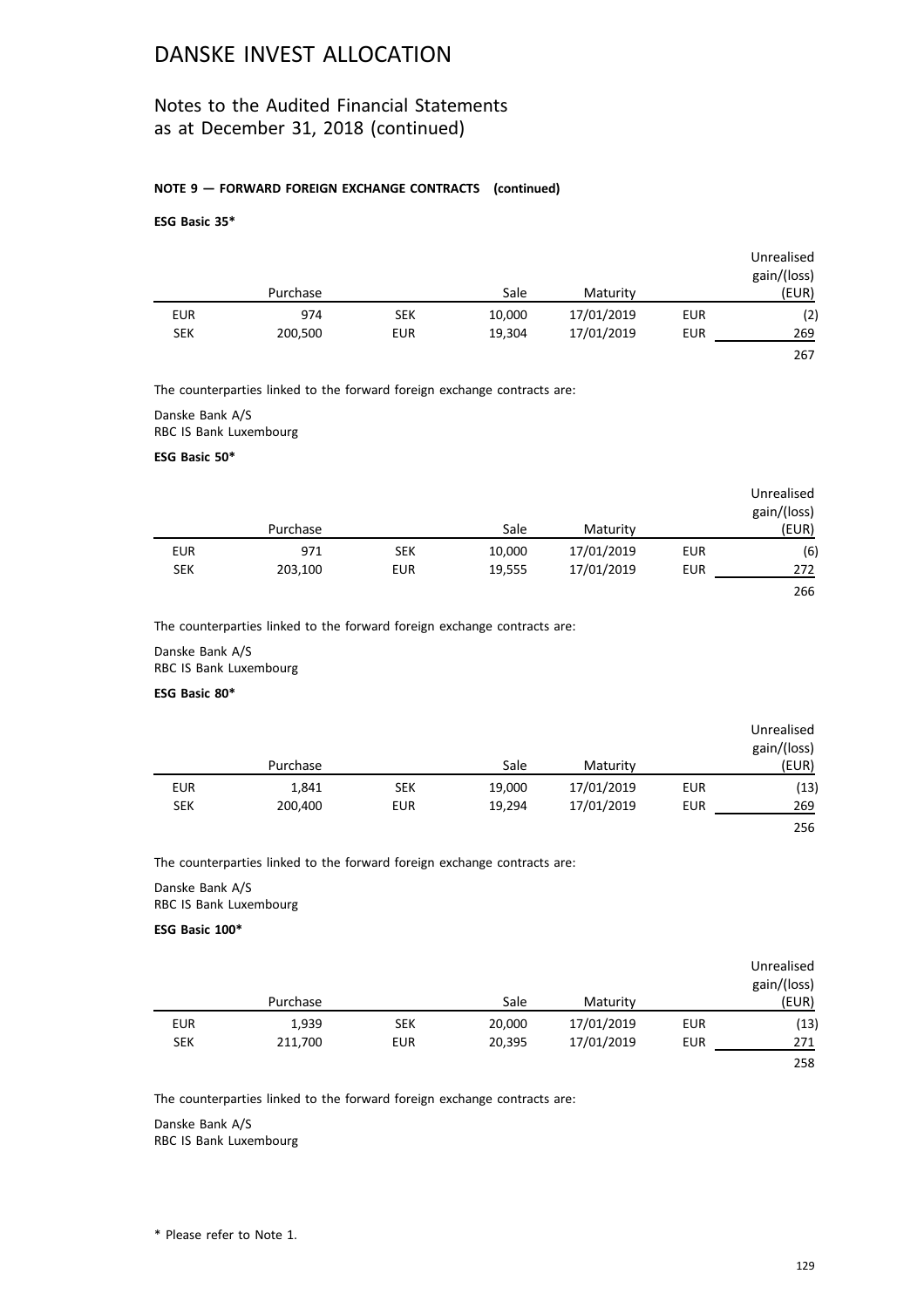## Notes to the Audited Financial Statements as at December 31, 2018 (continued)

### **NOTE 9 — FORWARD FOREIGN EXCHANGE CONTRACTS (continued)**

### **ESG Basic 35\***

|            |          |            |        |            |            | Unrealised<br>gain/(loss) |
|------------|----------|------------|--------|------------|------------|---------------------------|
|            | Purchase |            | Sale   | Maturity   |            | (EUR)                     |
| <b>EUR</b> | 974      | <b>SEK</b> | 10,000 | 17/01/2019 | <b>EUR</b> | (2)                       |
| <b>SEK</b> | 200,500  | <b>EUR</b> | 19,304 | 17/01/2019 | <b>EUR</b> | 269                       |
|            |          |            |        |            |            | 267                       |

The counterparties linked to the forward foreign exchange contracts are:

### Danske Bank A/S RBC IS Bank Luxembourg

#### **ESG Basic 50\***

|            |          |            |        |            |     | Unrealised<br>gain/(loss) |
|------------|----------|------------|--------|------------|-----|---------------------------|
|            | Purchase |            | Sale   | Maturity   |     | (EUR)                     |
| <b>EUR</b> | 971      | <b>SEK</b> | 10,000 | 17/01/2019 | EUR | (6)                       |
| <b>SEK</b> | 203,100  | <b>EUR</b> | 19,555 | 17/01/2019 | EUR | 272                       |
|            |          |            |        |            |     | 266                       |

The counterparties linked to the forward foreign exchange contracts are:

Danske Bank A/S RBC IS Bank Luxembourg

#### **ESG Basic 80\***

|            |          |            |        |            |            | Unrealised<br>gain/(loss) |
|------------|----------|------------|--------|------------|------------|---------------------------|
|            | Purchase |            | Sale   | Maturity   |            | (EUR)                     |
| <b>EUR</b> | 1,841    | <b>SEK</b> | 19,000 | 17/01/2019 | <b>EUR</b> | (13)                      |
| <b>SEK</b> | 200,400  | <b>EUR</b> | 19,294 | 17/01/2019 | <b>EUR</b> | 269                       |
|            |          |            |        |            |            | 256                       |

The counterparties linked to the forward foreign exchange contracts are:

Danske Bank A/S RBC IS Bank Luxembourg

### **ESG Basic 100\***

| Unrealised<br>gain/(loss) |     |            |        |            |          |            |
|---------------------------|-----|------------|--------|------------|----------|------------|
| (EUR)                     |     | Maturity   | Sale   |            | Purchase |            |
| (13)                      | EUR | 17/01/2019 | 20,000 | <b>SEK</b> | 1,939    | <b>EUR</b> |
| 271                       | EUR | 17/01/2019 | 20,395 | <b>EUR</b> | 211,700  | <b>SEK</b> |
| 258                       |     |            |        |            |          |            |

The counterparties linked to the forward foreign exchange contracts are:

Danske Bank A/S RBC IS Bank Luxembourg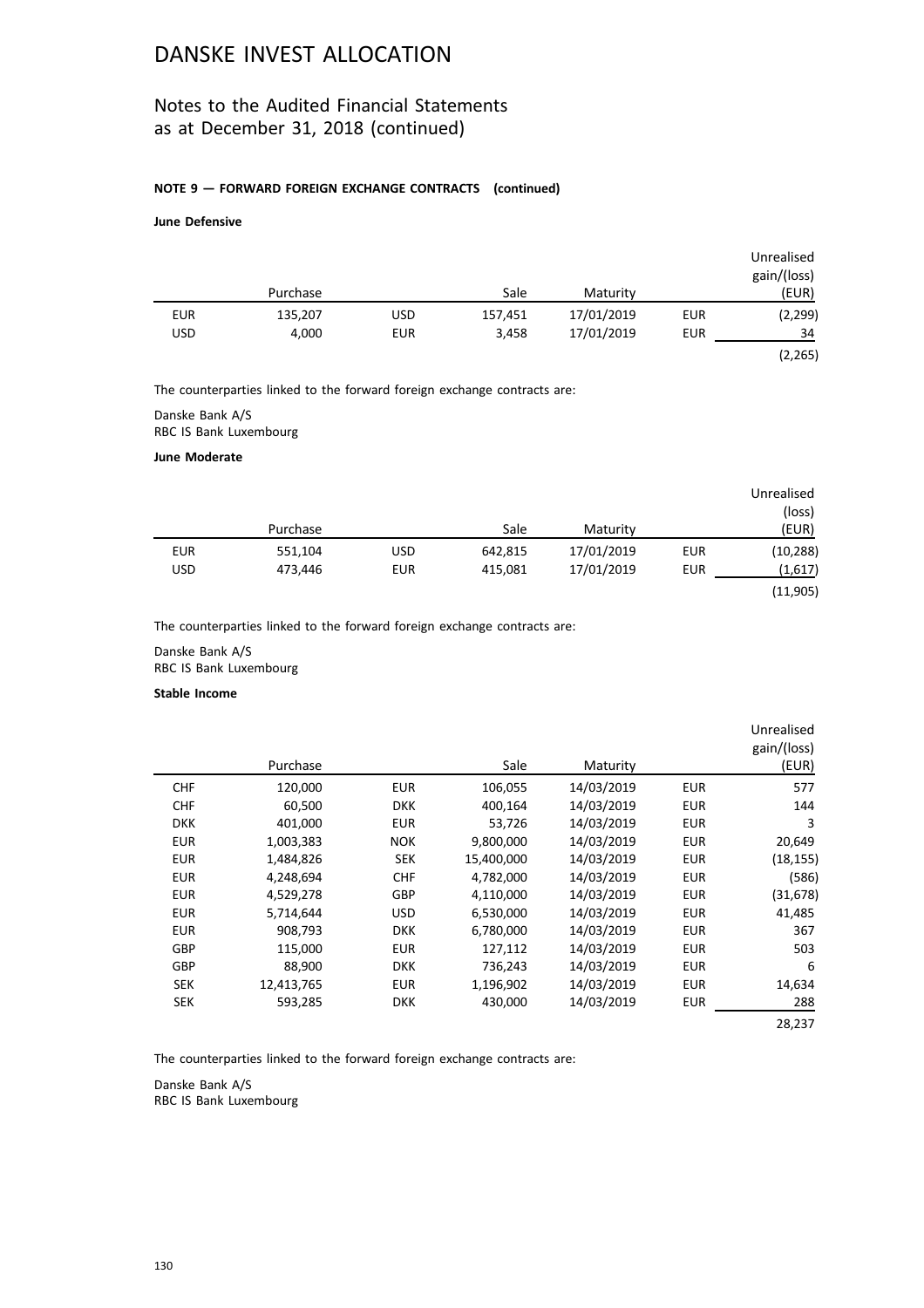## Notes to the Audited Financial Statements as at December 31, 2018 (continued)

### **NOTE 9 — FORWARD FOREIGN EXCHANGE CONTRACTS (continued)**

### **June Defensive**

|            |          |            |         |            |            | Unrealised<br>gain/(loss) |
|------------|----------|------------|---------|------------|------------|---------------------------|
|            | Purchase |            | Sale    | Maturity   |            | (EUR)                     |
| <b>EUR</b> | 135,207  | <b>USD</b> | 157,451 | 17/01/2019 | <b>EUR</b> | (2,299)                   |
| <b>USD</b> | 4,000    | <b>EUR</b> | 3,458   | 17/01/2019 | <b>EUR</b> | 34                        |
|            |          |            |         |            |            | (2, 265)                  |

The counterparties linked to the forward foreign exchange contracts are:

Danske Bank A/S RBC IS Bank Luxembourg

#### **June Moderate**

| Unrealised |     |            |         |            |          |            |
|------------|-----|------------|---------|------------|----------|------------|
| (loss)     |     |            |         |            |          |            |
| (EUR)      |     | Maturity   | Sale    |            | Purchase |            |
| (10, 288)  | EUR | 17/01/2019 | 642,815 | USD        | 551,104  | <b>EUR</b> |
| (1,617)    | EUR | 17/01/2019 | 415,081 | <b>EUR</b> | 473,446  | <b>USD</b> |
| (11, 905)  |     |            |         |            |          |            |

The counterparties linked to the forward foreign exchange contracts are:

Danske Bank A/S RBC IS Bank Luxembourg

#### **Stable Income**

|            |            |            |            |            |            | Unrealised<br>gain/(loss) |
|------------|------------|------------|------------|------------|------------|---------------------------|
|            | Purchase   |            | Sale       | Maturity   |            | (EUR)                     |
| <b>CHF</b> | 120,000    | <b>EUR</b> | 106,055    | 14/03/2019 | <b>EUR</b> | 577                       |
| <b>CHF</b> | 60,500     | <b>DKK</b> | 400,164    | 14/03/2019 | <b>EUR</b> | 144                       |
| <b>DKK</b> | 401,000    | <b>EUR</b> | 53,726     | 14/03/2019 | <b>EUR</b> | 3                         |
| <b>EUR</b> | 1,003,383  | <b>NOK</b> | 9,800,000  | 14/03/2019 | <b>EUR</b> | 20,649                    |
| <b>EUR</b> | 1,484,826  | SEK        | 15,400,000 | 14/03/2019 | <b>EUR</b> | (18, 155)                 |
| <b>EUR</b> | 4,248,694  | <b>CHF</b> | 4,782,000  | 14/03/2019 | <b>EUR</b> | (586)                     |
| <b>EUR</b> | 4,529,278  | <b>GBP</b> | 4,110,000  | 14/03/2019 | <b>EUR</b> | (31, 678)                 |
| <b>EUR</b> | 5,714,644  | <b>USD</b> | 6,530,000  | 14/03/2019 | <b>EUR</b> | 41,485                    |
| <b>EUR</b> | 908,793    | <b>DKK</b> | 6,780,000  | 14/03/2019 | <b>EUR</b> | 367                       |
| <b>GBP</b> | 115,000    | <b>EUR</b> | 127,112    | 14/03/2019 | <b>EUR</b> | 503                       |
| <b>GBP</b> | 88,900     | <b>DKK</b> | 736,243    | 14/03/2019 | <b>EUR</b> | 6                         |
| <b>SEK</b> | 12,413,765 | <b>EUR</b> | 1,196,902  | 14/03/2019 | <b>EUR</b> | 14,634                    |
| <b>SEK</b> | 593,285    | <b>DKK</b> | 430,000    | 14/03/2019 | <b>EUR</b> | 288                       |
|            |            |            |            |            |            | 28,237                    |

The counterparties linked to the forward foreign exchange contracts are:

Danske Bank A/S RBC IS Bank Luxembourg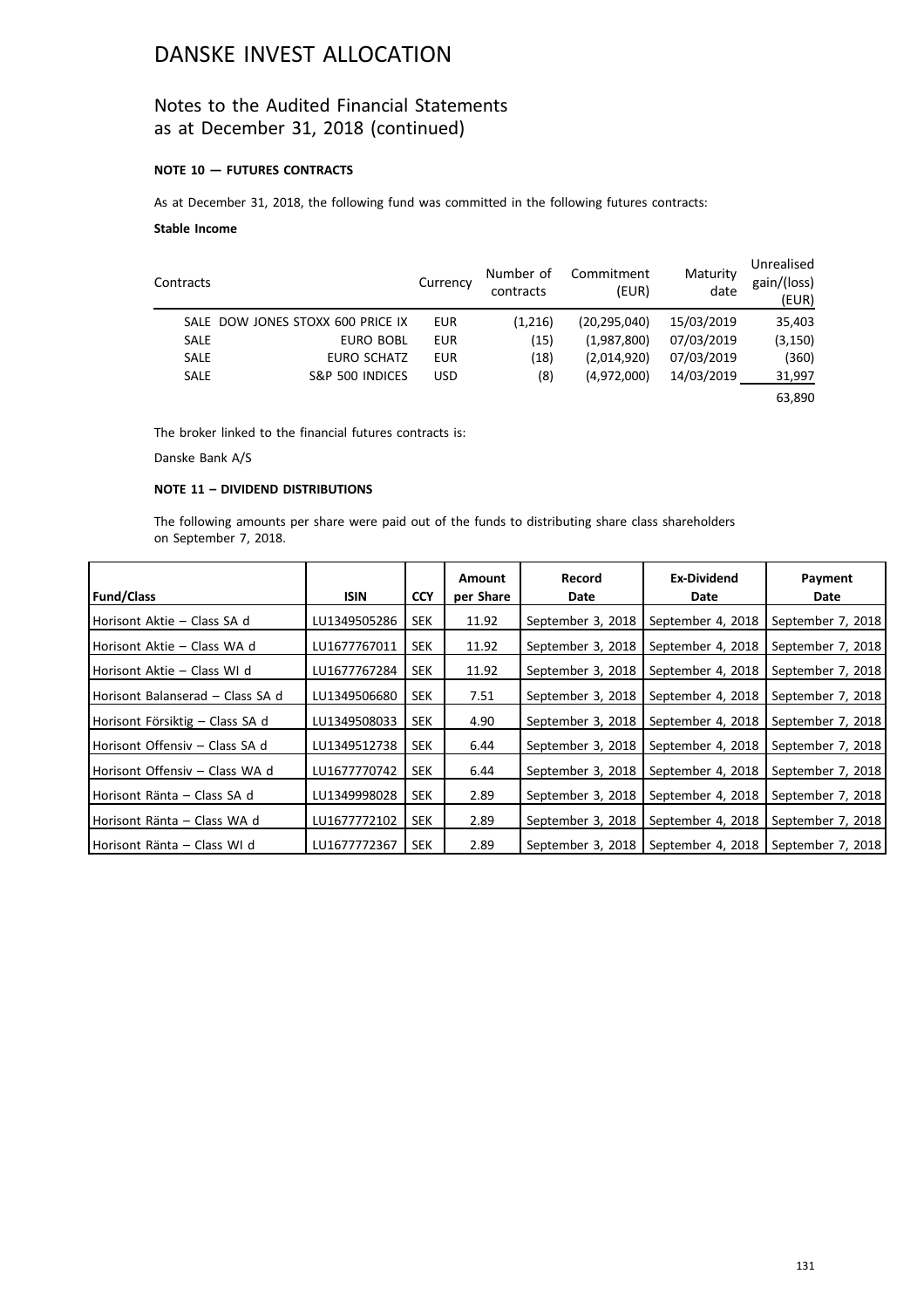## Notes to the Audited Financial Statements as at December 31, 2018 (continued)

### **NOTE 10 — FUTURES CONTRACTS**

As at December 31, 2018, the following fund was committed in the following futures contracts:

### **Stable Income**

| Contracts   |                                   | Currency   | Number of<br>contracts | Commitment<br>(EUR) | Maturity<br>date | Unrealised<br>gain/(loss)<br>(EUR) |
|-------------|-----------------------------------|------------|------------------------|---------------------|------------------|------------------------------------|
|             | SALE DOW JONES STOXX 600 PRICE IX | <b>EUR</b> | (1,216)                | (20.295.040)        | 15/03/2019       | 35,403                             |
| <b>SALE</b> | EURO BOBL                         | <b>EUR</b> | (15)                   | (1,987,800)         | 07/03/2019       | (3, 150)                           |
| <b>SALE</b> | <b>EURO SCHATZ</b>                | <b>EUR</b> | (18)                   | (2,014,920)         | 07/03/2019       | (360)                              |
| <b>SALE</b> | S&P 500 INDICES                   | <b>USD</b> | (8)                    | (4,972,000)         | 14/03/2019       | 31,997                             |
|             |                                   |            |                        |                     |                  | 63,890                             |

The broker linked to the financial futures contracts is:

Danske Bank A/S

## **NOTE 11 – DIVIDEND DISTRIBUTIONS**

The following amounts per share were paid out of the funds to distributing share class shareholders on September 7, 2018.

|                                  |              |            | Amount    | Record            | <b>Ex-Dividend</b>                                        | Payment           |
|----------------------------------|--------------|------------|-----------|-------------------|-----------------------------------------------------------|-------------------|
| <b>Fund/Class</b>                | <b>ISIN</b>  | <b>CCY</b> | per Share | Date              | Date                                                      | Date              |
| Horisont Aktie – Class SA d      | LU1349505286 | <b>SEK</b> | 11.92     | September 3, 2018 | September 4, 2018                                         | September 7, 2018 |
| Horisont Aktie – Class WA d      | LU1677767011 | <b>SEK</b> | 11.92     | September 3, 2018 | September 4, 2018                                         | September 7, 2018 |
| l Horisont Aktie – Class WI d    | LU1677767284 | <b>SEK</b> | 11.92     | September 3, 2018 | September 4, 2018                                         | September 7, 2018 |
| Horisont Balanserad – Class SA d | LU1349506680 | <b>SEK</b> | 7.51      | September 3, 2018 | September 4, 2018                                         | September 7, 2018 |
| Horisont Försiktig – Class SA d  | LU1349508033 | <b>SEK</b> | 4.90      | September 3, 2018 | September 4, 2018                                         | September 7, 2018 |
| l Horisont Offensiv – Class SA d | LU1349512738 | <b>SEK</b> | 6.44      | September 3, 2018 | September 4, 2018                                         | September 7, 2018 |
| l Horisont Offensiv – Class WA d | LU1677770742 | <b>SEK</b> | 6.44      | September 3, 2018 | September 4, 2018                                         | September 7, 2018 |
| Horisont Ränta – Class SA d      | LU1349998028 | <b>SEK</b> | 2.89      | September 3, 2018 | September 4, 2018                                         | September 7, 2018 |
| l Horisont Ränta – Class WA d    | LU1677772102 | <b>SEK</b> | 2.89      | September 3, 2018 | September 4, 2018                                         | September 7, 2018 |
| Horisont Ränta - Class WI d      | LU1677772367 | <b>SEK</b> | 2.89      |                   | September 3, 2018   September 4, 2018   September 7, 2018 |                   |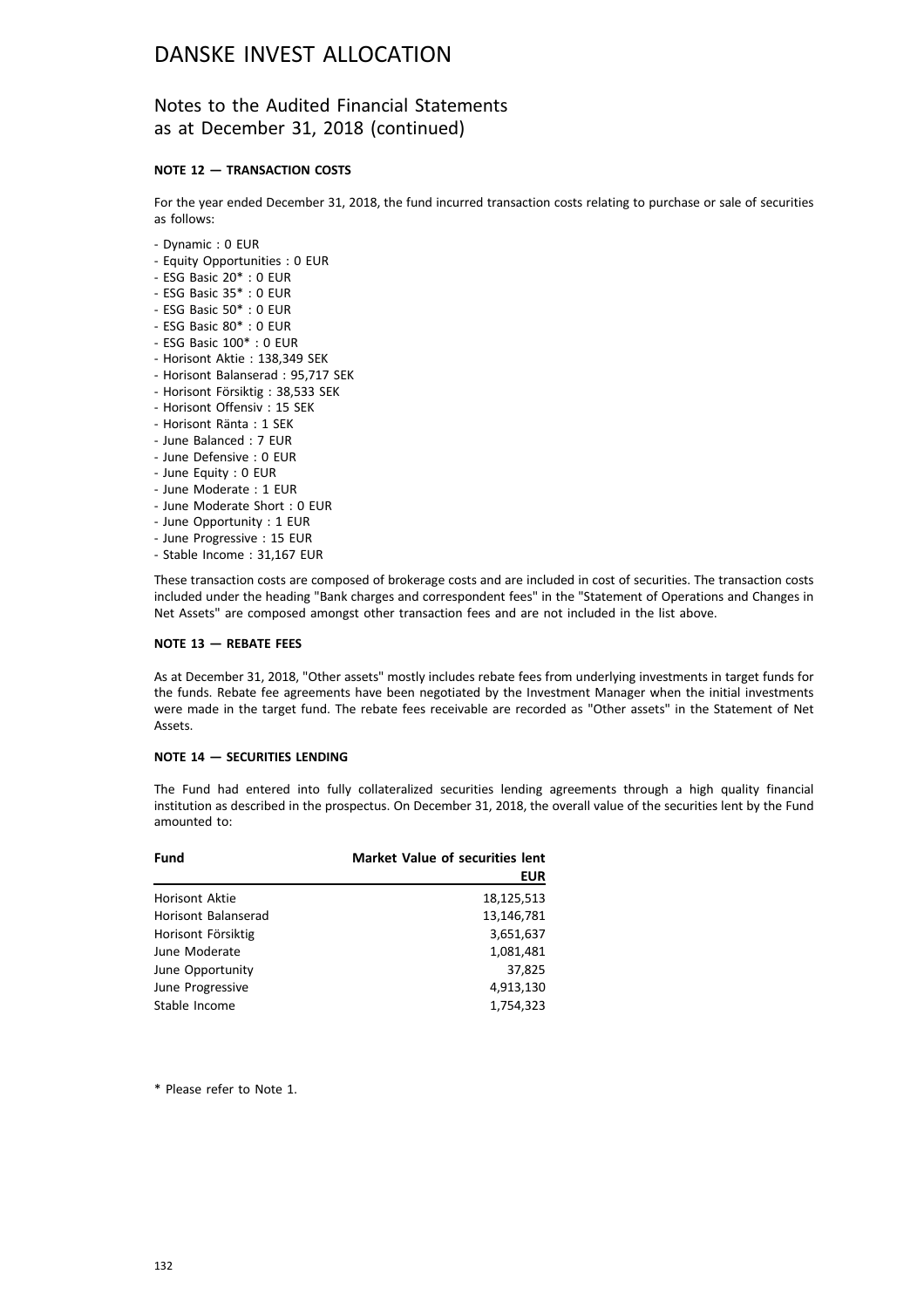## Notes to the Audited Financial Statements as at December 31, 2018 (continued)

### **NOTE 12 — TRANSACTION COSTS**

For the year ended December 31, 2018, the fund incurred transaction costs relating to purchase or sale of securities as follows:

- Dynamic : 0 EUR
- Equity Opportunities : 0 EUR
- ESG Basic 20\* : 0 EUR
- ESG Basic 35\* : 0 EUR
- ESG Basic 50\* : 0 EUR
- ESG Basic 80\* : 0 EUR
- ESG Basic 100\* : 0 EUR
- Horisont Aktie : 138,349 SEK
- Horisont Balanserad : 95,717 SEK
- Horisont Försiktig : 38,533 SEK
- Horisont Offensiv : 15 SEK
- Horisont Ränta : 1 SEK
- June Balanced : 7 EUR
- June Defensive : 0 EUR
- June Equity : 0 EUR
- June Moderate : 1 EUR
- June Moderate Short : 0 EUR
- June Opportunity : 1 EUR
- June Progressive : 15 EUR
- Stable Income : 31,167 EUR

These transaction costs are composed of brokerage costs and are included in cost of securities. The transaction costs included under the heading "Bank charges and correspondent fees" in the "Statement of Operations and Changes in Net Assets" are composed amongst other transaction fees and are not included in the list above.

#### **NOTE 13 — REBATE FEES**

As at December 31, 2018, "Other assets" mostly includes rebate fees from underlying investments in target funds for the funds. Rebate fee agreements have been negotiated by the Investment Manager when the initial investments were made in the target fund. The rebate fees receivable are recorded as "Other assets" in the Statement of Net Assets.

### **NOTE 14 — SECURITIES LENDING**

The Fund had entered into fully collateralized securities lending agreements through a high quality financial institution as described in the prospectus. On December 31, 2018, the overall value of the securities lent by the Fund amounted to:

| Fund                  | <b>Market Value of securities lent</b><br><b>EUR</b> |
|-----------------------|------------------------------------------------------|
| <b>Horisont Aktie</b> | 18,125,513                                           |
| Horisont Balanserad   | 13,146,781                                           |
| Horisont Försiktig    | 3,651,637                                            |
| June Moderate         | 1,081,481                                            |
| June Opportunity      | 37,825                                               |
| June Progressive      | 4,913,130                                            |
| Stable Income         | 1,754,323                                            |

\* Please refer to Note 1.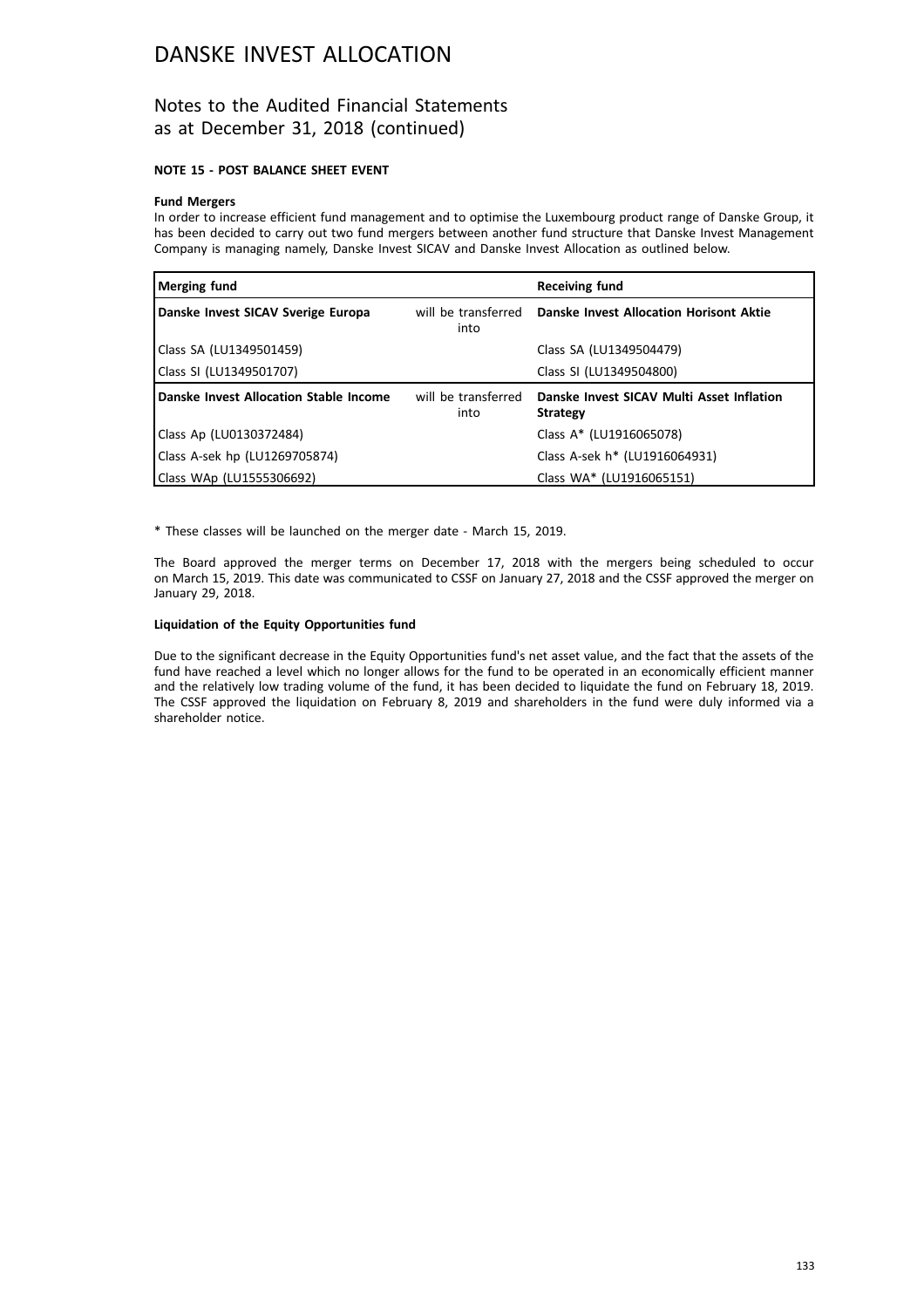## Notes to the Audited Financial Statements as at December 31, 2018 (continued)

### **NOTE 15 - POST BALANCE SHEET EVENT**

### **Fund Mergers**

In order to increase efficient fund management and to optimise the Luxembourg product range of Danske Group, it has been decided to carry out two fund mergers between another fund structure that Danske Invest Management Company is managing namely, Danske Invest SICAV and Danske Invest Allocation as outlined below.

| Merging fund                           |                             | <b>Receiving fund</b>                                        |
|----------------------------------------|-----------------------------|--------------------------------------------------------------|
| Danske Invest SICAV Sverige Europa     | will be transferred<br>into | Danske Invest Allocation Horisont Aktie                      |
| Class SA (LU1349501459)                |                             | Class SA (LU1349504479)                                      |
| Class SI (LU1349501707)                |                             | Class SI (LU1349504800)                                      |
| Danske Invest Allocation Stable Income | will be transferred<br>into | Danske Invest SICAV Multi Asset Inflation<br><b>Strategy</b> |
| Class Ap (LU0130372484)                |                             | Class A* (LU1916065078)                                      |
| Class A-sek hp (LU1269705874)          |                             | Class A-sek h* (LU1916064931)                                |
| Class WAp (LU1555306692)               |                             | Class WA* (LU1916065151)                                     |

\* These classes will be launched on the merger date - March 15, 2019.

The Board approved the merger terms on December 17, 2018 with the mergers being scheduled to occur on March 15, 2019. This date was communicated to CSSF on January 27, 2018 and the CSSF approved the merger on January 29, 2018.

#### **Liquidation of the Equity Opportunities fund**

Due to the significant decrease in the Equity Opportunities fund's net asset value, and the fact that the assets of the fund have reached a level which no longer allows for the fund to be operated in an economically efficient manner and the relatively low trading volume of the fund, it has been decided to liquidate the fund on February 18, 2019. The CSSF approved the liquidation on February 8, 2019 and shareholders in the fund were duly informed via a shareholder notice.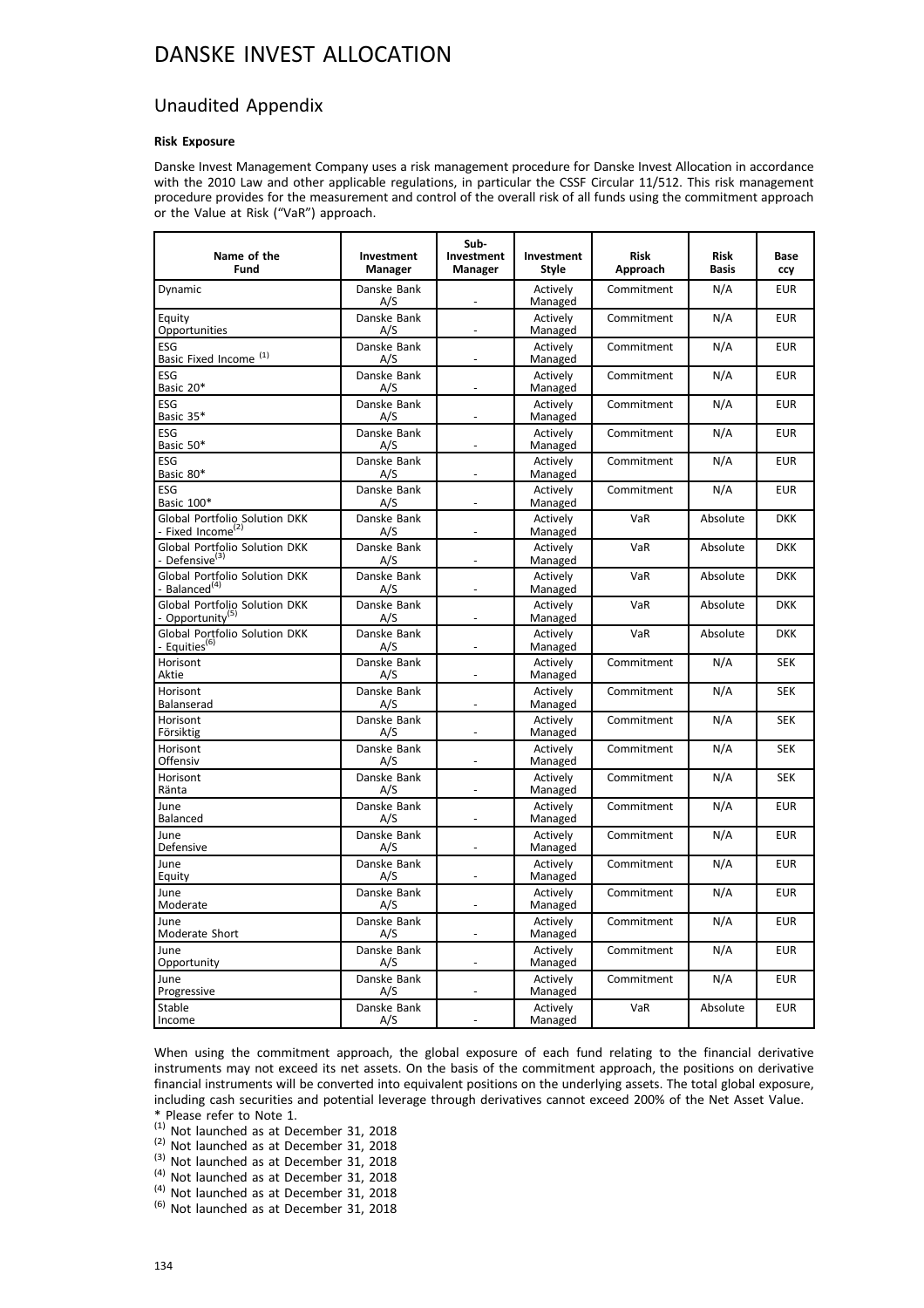## Unaudited Appendix

### **Risk Exposure**

Danske Invest Management Company uses a risk management procedure for Danske Invest Allocation in accordance with the 2010 Law and other applicable regulations, in particular the CSSF Circular 11/512. This risk management procedure provides for the measurement and control of the overall risk of all funds using the commitment approach or the Value at Risk ("VaR") approach.

| Name of the<br>Fund                                          | Investment<br><b>Manager</b> | Sub-<br>Investment<br><b>Manager</b> | Investment<br><b>Style</b> | Risk<br>Approach | Risk<br><b>Basis</b> | <b>Base</b><br>ccv |
|--------------------------------------------------------------|------------------------------|--------------------------------------|----------------------------|------------------|----------------------|--------------------|
| Dynamic                                                      | Danske Bank<br>A/S           |                                      | Actively<br>Managed        | Commitment       | N/A                  | <b>EUR</b>         |
| Equity<br>Opportunities                                      | Danske Bank<br>A/S           | ÷,                                   | Actively<br>Managed        | Commitment       | N/A                  | <b>EUR</b>         |
| ESG<br>Basic Fixed Income <sup>(1)</sup>                     | Danske Bank<br>A/S           |                                      | Actively<br>Managed        | Commitment       | N/A                  | <b>EUR</b>         |
| ESG<br>Basic 20*                                             | Danske Bank<br>A/S           | ÷                                    | Actively<br>Managed        | Commitment       | N/A                  | <b>EUR</b>         |
| ESG<br>Basic 35*                                             | Danske Bank<br>A/S           | $\overline{a}$                       | Actively<br>Managed        | Commitment       | N/A                  | <b>EUR</b>         |
| ESG<br>Basic 50*                                             | Danske Bank<br>A/S           | L,                                   | Actively<br>Managed        | Commitment       | N/A                  | <b>EUR</b>         |
| ESG<br>Basic 80*                                             | Danske Bank<br>A/S           | L.                                   | Actively<br>Managed        | Commitment       | N/A                  | <b>EUR</b>         |
| ESG<br>Basic 100*                                            | Danske Bank<br>A/S           |                                      | Actively<br>Managed        | Commitment       | N/A                  | <b>EUR</b>         |
| Global Portfolio Solution DKK<br>Fixed Income <sup>(2)</sup> | Danske Bank<br>A/S           | ä,                                   | Actively<br>Managed        | VaR              | Absolute             | <b>DKK</b>         |
| Global Portfolio Solution DKK<br>Defensive <sup>(3)</sup>    | Danske Bank<br>A/S           |                                      | Actively<br>Managed        | VaR              | Absolute             | <b>DKK</b>         |
| Global Portfolio Solution DKK<br>Balanced <sup>(4</sup>      | Danske Bank<br>A/S           | ÷                                    | Actively<br>Managed        | VaR              | Absolute             | <b>DKK</b>         |
| Global Portfolio Solution DKK<br>Opportunity <sup>(5)</sup>  | Danske Bank<br>A/S           | L.                                   | Actively<br>Managed        | VaR              | Absolute             | <b>DKK</b>         |
| Global Portfolio Solution DKK<br>- Equities <sup>(6)</sup>   | Danske Bank<br>A/S           |                                      | Actively<br>Managed        | VaR              | Absolute             | <b>DKK</b>         |
| Horisont<br>Aktie                                            | Danske Bank<br>A/S           |                                      | Actively<br>Managed        | Commitment       | N/A                  | <b>SEK</b>         |
| Horisont<br>Balanserad                                       | Danske Bank<br>A/S           | L.                                   | Actively<br>Managed        | Commitment       | N/A                  | <b>SEK</b>         |
| Horisont<br>Försiktig                                        | Danske Bank<br>A/S           | ÷.                                   | Actively<br>Managed        | Commitment       | N/A                  | <b>SEK</b>         |
| Horisont<br>Offensiv                                         | Danske Bank<br>A/S           |                                      | Actively<br>Managed        | Commitment       | N/A                  | <b>SEK</b>         |
| Horisont<br>Ränta                                            | Danske Bank<br>A/S           | L,                                   | Actively<br>Managed        | Commitment       | N/A                  | <b>SEK</b>         |
| June<br>Balanced                                             | Danske Bank<br>A/S           | L.                                   | Actively<br>Managed        | Commitment       | N/A                  | <b>EUR</b>         |
| June<br>Defensive                                            | Danske Bank<br>A/S           |                                      | Actively<br>Managed        | Commitment       | N/A                  | <b>EUR</b>         |
| June<br>Equity                                               | Danske Bank<br>A/S           | ä,                                   | Actively<br>Managed        | Commitment       | N/A                  | <b>EUR</b>         |
| June<br>Moderate                                             | Danske Bank<br>A/S           |                                      | Actively<br>Managed        | Commitment       | N/A                  | <b>EUR</b>         |
| June<br>Moderate Short                                       | Danske Bank<br>A/S           | ÷.                                   | Actively<br>Managed        | Commitment       | N/A                  | <b>EUR</b>         |
| June<br>Opportunity                                          | Danske Bank<br>A/S           | L.                                   | Actively<br>Managed        | Commitment       | N/A                  | <b>EUR</b>         |
| June<br>Progressive                                          | Danske Bank<br>A/S           | $\blacksquare$                       | Actively<br>Managed        | Commitment       | N/A                  | <b>EUR</b>         |
| Stable<br>Income                                             | Danske Bank<br>A/S           |                                      | Actively<br>Managed        | VaR              | Absolute             | <b>EUR</b>         |

When using the commitment approach, the global exposure of each fund relating to the financial derivative instruments may not exceed its net assets. On the basis of the commitment approach, the positions on derivative financial instruments will be converted into equivalent positions on the underlying assets. The total global exposure, including cash securities and potential leverage through derivatives cannot exceed 200% of the Net Asset Value. \* Please refer to Note 1.

(1) Not launched as at December 31, 2018

(2) Not launched as at December 31, 2018

<sup>(3)</sup> Not launched as at December 31, 2018

<sup>(4)</sup> Not launched as at December 31, 2018

(4) Not launched as at December 31, 2018

(6) Not launched as at December 31, 2018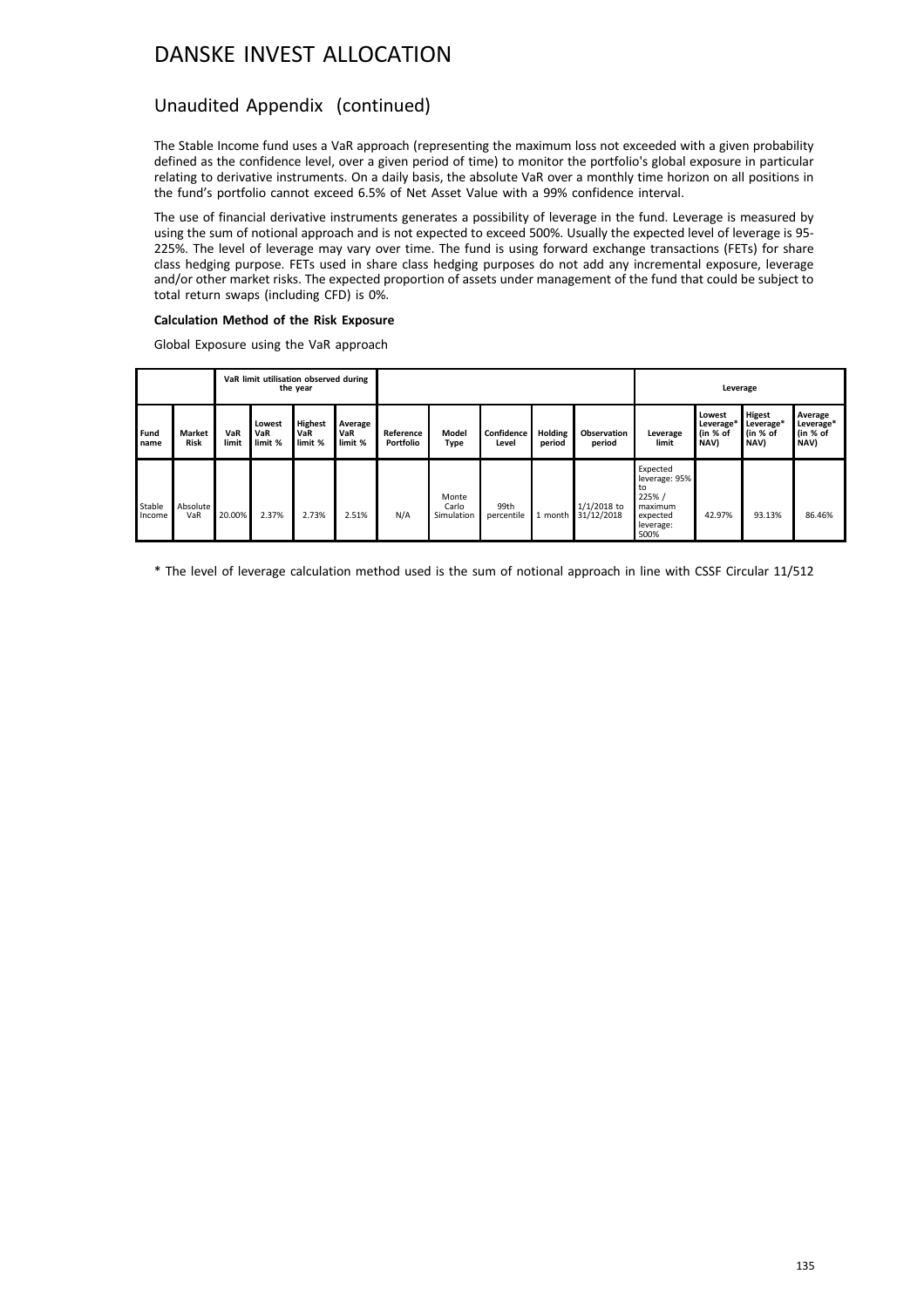## Unaudited Appendix (continued)

The Stable Income fund uses a VaR approach (representing the maximum loss not exceeded with a given probability defined as the confidence level, over a given period of time) to monitor the portfolio's global exposure in particular relating to derivative instruments. On a daily basis, the absolute VaR over a monthly time horizon on all positions in the fund's portfolio cannot exceed 6.5% of Net Asset Value with a 99% confidence interval.

The use of financial derivative instruments generates a possibility of leverage in the fund. Leverage is measured by using the sum of notional approach and is not expected to exceed 500%. Usually the expected level of leverage is 95- 225%. The level of leverage may vary over time. The fund is using forward exchange transactions (FETs) for share class hedging purpose. FETs used in share class hedging purposes do not add any incremental exposure, leverage and/or other market risks. The expected proportion of assets under management of the fund that could be subject to total return swaps (including CFD) is 0%.

### **Calculation Method of the Risk Exposure**

Global Exposure using the VaR approach

|                  |                              | VaR limit utilisation observed during<br>the year |                          |                                  |                           |                        |                              |                     | Leverage          |                              |                                                                                       |                                         |                                         |                                          |
|------------------|------------------------------|---------------------------------------------------|--------------------------|----------------------------------|---------------------------|------------------------|------------------------------|---------------------|-------------------|------------------------------|---------------------------------------------------------------------------------------|-----------------------------------------|-----------------------------------------|------------------------------------------|
| Fund<br>name     | <b>Market</b><br><b>Risk</b> | VaR<br>limit                                      | Lowest<br>VaR<br>limit % | <b>Highest</b><br>VaR<br>limit % | Average<br>VaR<br>limit % | Reference<br>Portfolio | Model<br><b>Type</b>         | Confidence<br>Level | Holding<br>period | <b>Observation</b><br>period | Leverage<br>limit                                                                     | Lowest<br>Leverage*<br>(in % of<br>NAV) | Higest<br>Leverage*<br>(in % of<br>NAV) | Average<br>Leverage*<br>(in % of<br>NAV) |
| Stable<br>Income | Absolute<br>VaR              | 20.00%                                            | 2.37%                    | 2.73%                            | 2.51%                     | N/A                    | Monte<br>Carlo<br>Simulation | 99th<br>percentile  | i month           | $1/1/2018$ to<br>31/12/2018  | Expected<br>leverage: 95%<br>to<br>225% /<br>maximum<br>expected<br>leverage:<br>500% | 42.97%                                  | 93.13%                                  | 86.46%                                   |

\* The level of leverage calculation method used is the sum of notional approach in line with CSSF Circular 11/512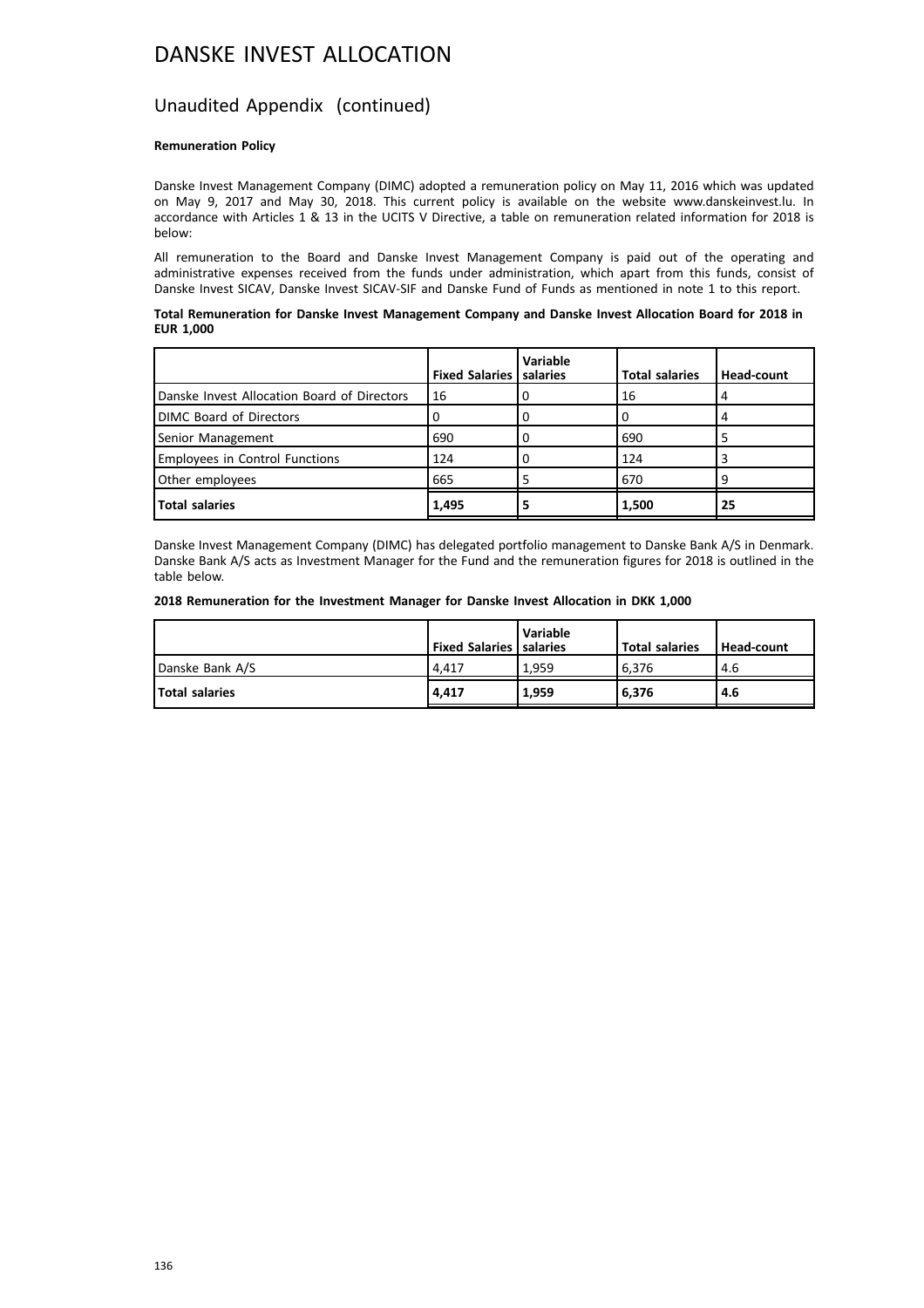## Unaudited Appendix (continued)

#### **Remuneration Policy**

Danske Invest Management Company (DIMC) adopted a remuneration policy on May 11, 2016 which was updated on May 9, 2017 and May 30, 2018. This current policy is available on the website www.danskeinvest.lu. In accordance with Articles 1 & 13 in the UCITS V Directive, a table on remuneration related information for 2018 is below:

All remuneration to the Board and Danske Invest Management Company is paid out of the operating and administrative expenses received from the funds under administration, which apart from this funds, consist of Danske Invest SICAV, Danske Invest SICAV-SIF and Danske Fund of Funds as mentioned in note 1 to this report.

#### **Total Remuneration for Danske Invest Management Company and Danske Invest Allocation Board for 2018 in EUR 1,000**

|                                             | <b>Fixed Salaries   salaries</b> | <b>Variable</b> | <b>Total salaries</b> | Head-count |
|---------------------------------------------|----------------------------------|-----------------|-----------------------|------------|
| Danske Invest Allocation Board of Directors | 16                               |                 | 16                    | 4          |
| <b>DIMC Board of Directors</b>              | U                                | U               |                       | 4          |
| Senior Management                           | 690                              |                 | 690                   |            |
| <b>Employees in Control Functions</b>       | 124                              | o               | 124                   |            |
| Other employees                             | 665                              |                 | 670                   | 9          |
| <b>Total salaries</b>                       | 1,495                            |                 | 1,500                 | 25         |

Danske Invest Management Company (DIMC) has delegated portfolio management to Danske Bank A/S in Denmark. Danske Bank A/S acts as Investment Manager for the Fund and the remuneration figures for 2018 is outlined in the table below.

#### **2018 Remuneration for the Investment Manager for Danske Invest Allocation in DKK 1,000**

|                       | <b>Fixed Salaries   salaries</b> | <b>Variable</b> | <b>Total salaries</b> | Head-count |
|-----------------------|----------------------------------|-----------------|-----------------------|------------|
| Danske Bank A/S       | 4.417                            | 1.959           | 6.376                 | 4.6        |
| <b>Total salaries</b> | 4.417                            | 1.959           | 16.376                | 4.6        |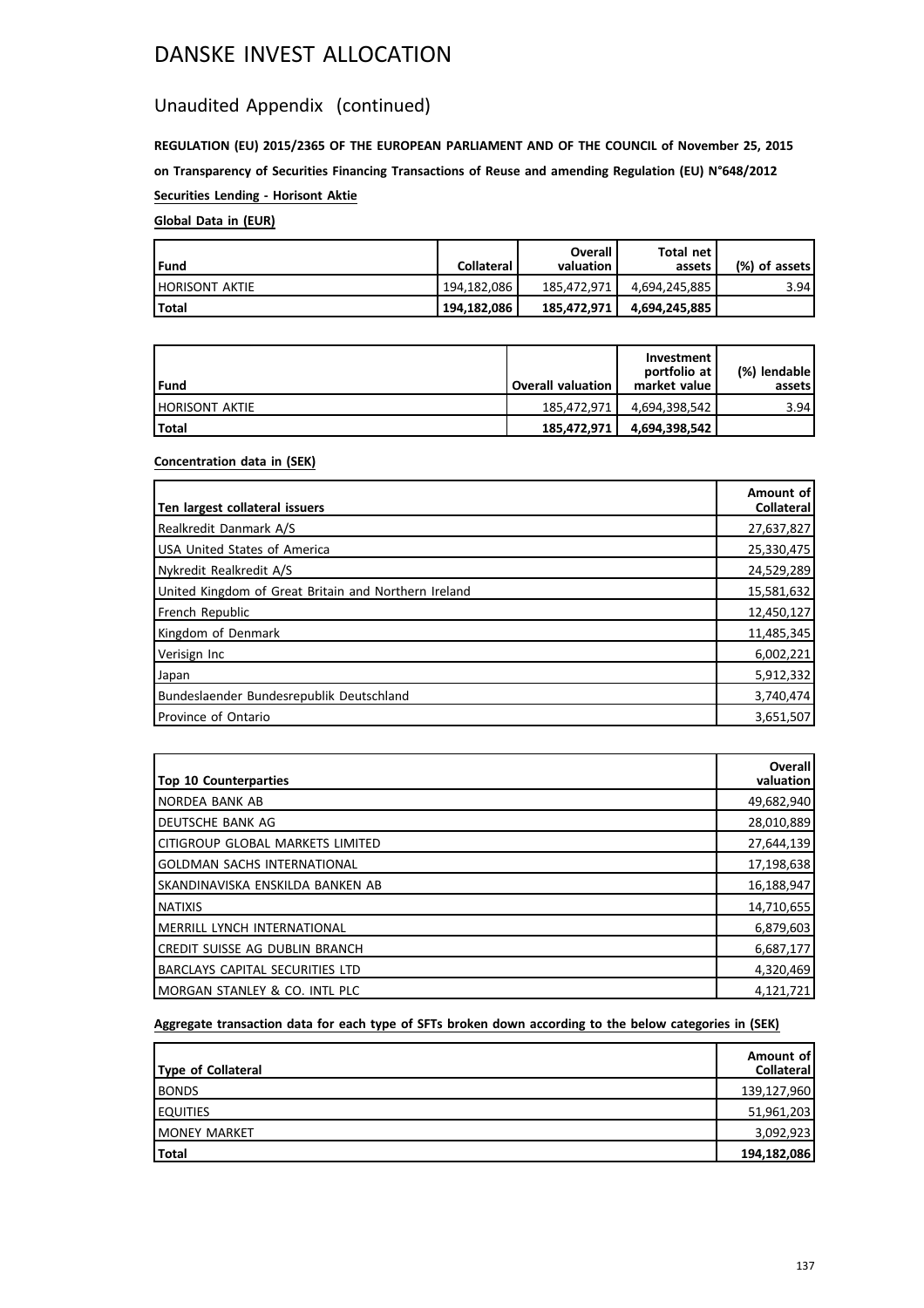## Unaudited Appendix (continued)

**REGULATION (EU) 2015/2365 OF THE EUROPEAN PARLIAMENT AND OF THE COUNCIL of November 25, 2015 on Transparency of Securities Financing Transactions of Reuse and amending Regulation (EU) N°648/2012 Securities Lending - Horisont Aktie**

## **Global Data in (EUR)**

| l Fund                 | <b>Collateral</b> | Overall<br>valuation | Total net<br>assets | (%) of assets! |
|------------------------|-------------------|----------------------|---------------------|----------------|
| <b>IHORISONT AKTIE</b> | 194,182,086       | 185.472.971          |                     | 3.94           |
| Total                  | 194,182,086       | 185,472,971          | 4,694,245,885       |                |

| Fund             | <b>Overall valuation</b> | Investment<br>portfolio at<br>market value | (%) lendable  <br>assets l |
|------------------|--------------------------|--------------------------------------------|----------------------------|
| I HORISONT AKTIE | 185.472.971              | 4.694.398.542                              | 3.94                       |
| l Total          | 185.472.971              | 4,694,398,542                              |                            |

## **Concentration data in (SEK)**

| Ten largest collateral issuers                       | Amount of<br><b>Collateral</b> |
|------------------------------------------------------|--------------------------------|
| Realkredit Danmark A/S                               | 27,637,827                     |
| <b>USA United States of America</b>                  | 25,330,475                     |
| Nykredit Realkredit A/S                              | 24,529,289                     |
| United Kingdom of Great Britain and Northern Ireland | 15,581,632                     |
| French Republic                                      | 12,450,127                     |
| Kingdom of Denmark                                   | 11,485,345                     |
| Verisign Inc                                         | 6,002,221                      |
| Japan                                                | 5,912,332                      |
| Bundeslaender Bundesrepublik Deutschland             | 3,740,474                      |
| Province of Ontario                                  | 3,651,507                      |

| <b>Top 10 Counterparties</b>      | Overall<br>valuation |
|-----------------------------------|----------------------|
| INORDEA BANK AB                   | 49,682,940           |
| I DEUTSCHE BANK AG                | 28,010,889           |
| lcitigroup global markets limited | 27,644,139           |
| GOLDMAN SACHS INTERNATIONAL       | 17,198,638           |
| Iskandinaviska enskilda banken ab | 16,188,947           |
| <b>INATIXIS</b>                   | 14,710,655           |
| I MERRILL LYNCH INTERNATIONAL     | 6,879,603            |
| ICREDIT SUISSE AG DUBLIN BRANCH   | 6,687,177            |
| BARCLAYS CAPITAL SECURITIES LTD   | 4,320,469            |
| IMORGAN STANLEY & CO. INTL PLC    | 4,121,721            |

## **Aggregate transaction data for each type of SFTs broken down according to the below categories in (SEK)**

| Type of Collateral   | Amount of<br>Collateral |
|----------------------|-------------------------|
| <b>BONDS</b>         | 139,127,960             |
| <b>EQUITIES</b>      | 51,961,203              |
| <b>IMONEY MARKET</b> | 3,092,923               |
| Total                | 194,182,086             |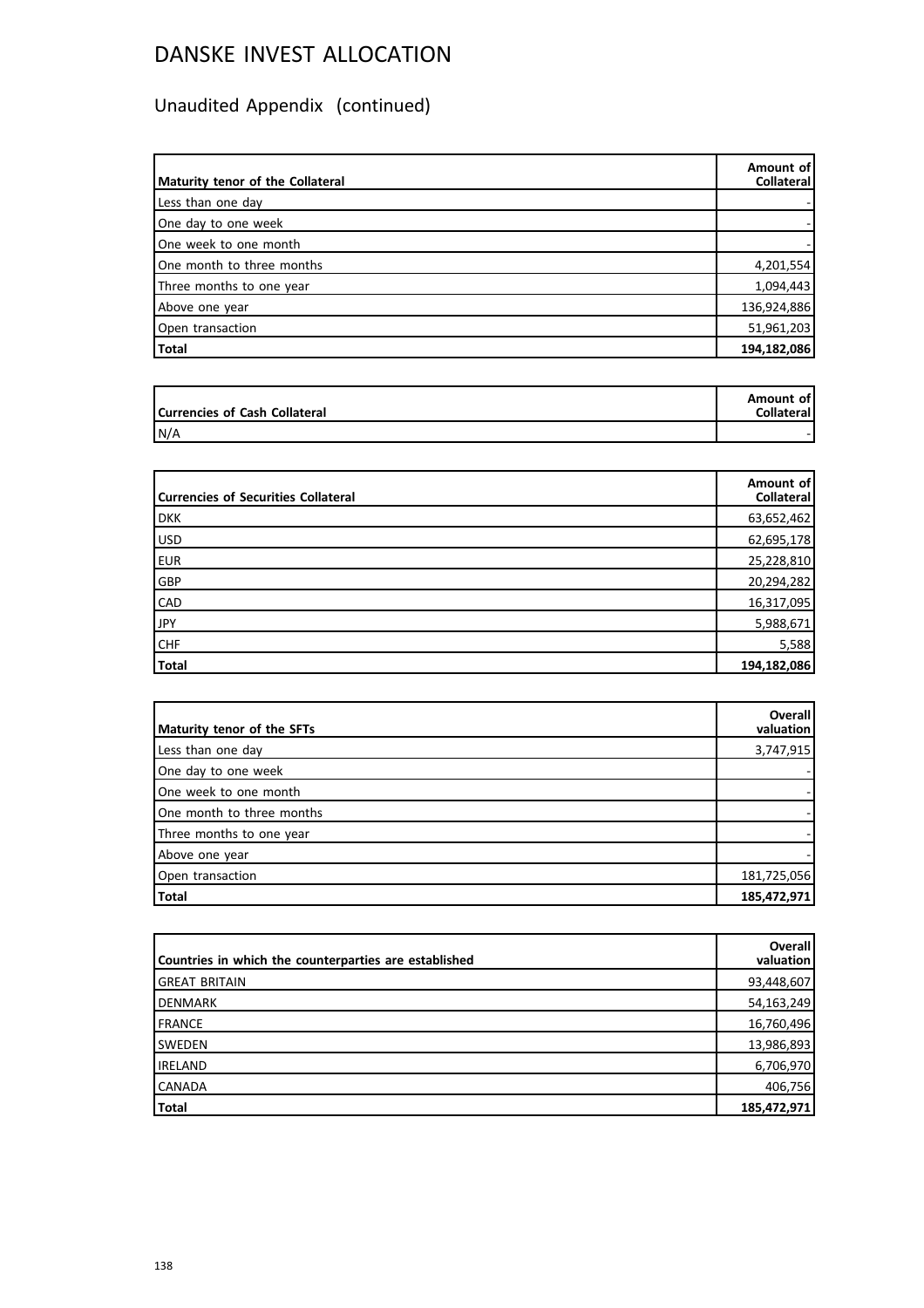# Unaudited Appendix (continued)

| Maturity tenor of the Collateral | Amount of<br><b>Collateral</b> |
|----------------------------------|--------------------------------|
| Less than one day                |                                |
| One day to one week              |                                |
| One week to one month            |                                |
| One month to three months        | 4,201,554                      |
| Three months to one year         | 1,094,443                      |
| Above one year                   | 136,924,886                    |
| Open transaction                 | 51,961,203                     |
| Total                            | 194,182,086                    |

| Currencies of Cash Collateral | Amount of<br>Collateral |
|-------------------------------|-------------------------|
| N/A                           |                         |

| <b>Currencies of Securities Collateral</b> | Amount of<br>Collateral |
|--------------------------------------------|-------------------------|
| <b>DKK</b>                                 | 63,652,462              |
| USD                                        | 62,695,178              |
| <b>EUR</b>                                 | 25,228,810              |
| GBP                                        | 20,294,282              |
| <b>CAD</b>                                 | 16,317,095              |
| <b>JPY</b>                                 | 5,988,671               |
| <b>CHF</b>                                 | 5,588                   |
| Total                                      | 194,182,086             |

| Maturity tenor of the SFTs | <b>Overall</b><br>valuation |
|----------------------------|-----------------------------|
| Less than one day          | 3,747,915                   |
| One day to one week        |                             |
| One week to one month      |                             |
| One month to three months  |                             |
| Three months to one year   |                             |
| Above one year             |                             |
| Open transaction           | 181,725,056                 |
| Total                      | 185,472,971                 |

| Countries in which the counterparties are established | <b>Overall</b><br>valuation |
|-------------------------------------------------------|-----------------------------|
| <b>GREAT BRITAIN</b>                                  | 93,448,607                  |
| DENMARK                                               | 54,163,249                  |
| FRANCE                                                | 16,760,496                  |
| <b>SWEDEN</b>                                         | 13,986,893                  |
| <b>IRELAND</b>                                        | 6,706,970                   |
| <b>CANADA</b>                                         | 406,756                     |
| <b>Total</b>                                          | 185,472,971                 |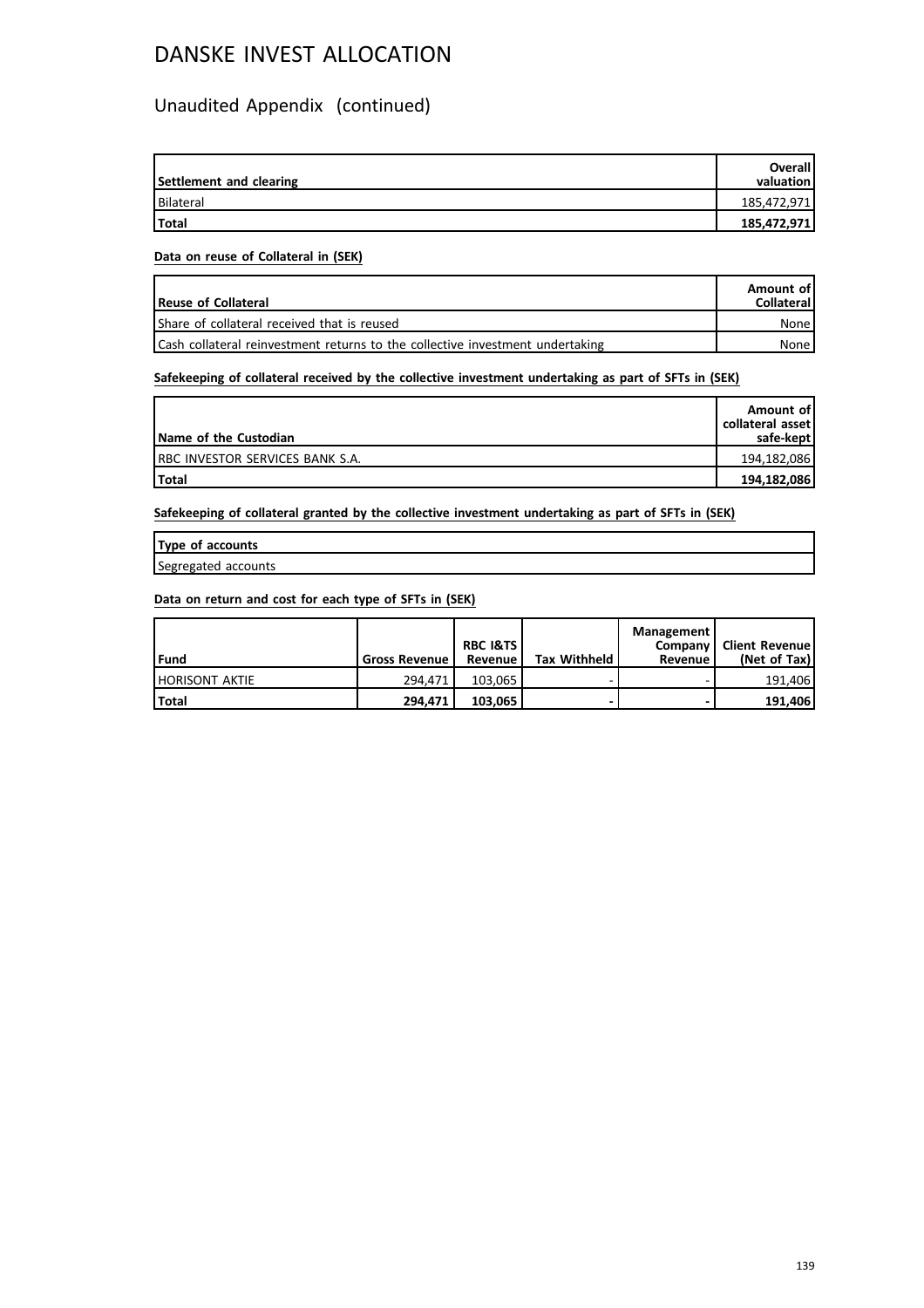## Unaudited Appendix (continued)

| Settlement and clearing | <b>Overall</b><br>valuation |
|-------------------------|-----------------------------|
| Bilateral               | 185,472,971                 |
| <b>Total</b>            | 185,472,971                 |

### **Data on reuse of Collateral in (SEK)**

| Reuse of Collateral                                                           | Amount of<br>Collateral |
|-------------------------------------------------------------------------------|-------------------------|
| Share of collateral received that is reused                                   | None i                  |
| Cash collateral reinvestment returns to the collective investment undertaking | None l                  |

## **Safekeeping of collateral received by the collective investment undertaking as part of SFTs in (SEK)**

| Name of the Custodian                   | Amount of<br>collateral asset l<br>safe-kept |
|-----------------------------------------|----------------------------------------------|
| <b>IRBC INVESTOR SERVICES BANK S.A.</b> | 194,182,086                                  |
| <b>Total</b>                            | 194,182,086                                  |

**Safekeeping of collateral granted by the collective investment undertaking as part of SFTs in (SEK)**

| Type of accounts    |  |
|---------------------|--|
| Segregated accounts |  |

## **Data on return and cost for each type of SFTs in (SEK)**

| l Fund                | <b>Gross Revenue</b> | <b>RBC I&amp;TS</b><br>Revenue | <b>Tax Withheld</b> | Management<br>Company I<br>Revenue | <b>Client Revenue!</b><br>(Net of Tax) |
|-----------------------|----------------------|--------------------------------|---------------------|------------------------------------|----------------------------------------|
| <b>HORISONT AKTIE</b> | 294.471              | 103.065                        |                     |                                    | 191.406                                |
| Total                 | 294.471              | 103.065                        |                     | -                                  | 191.406                                |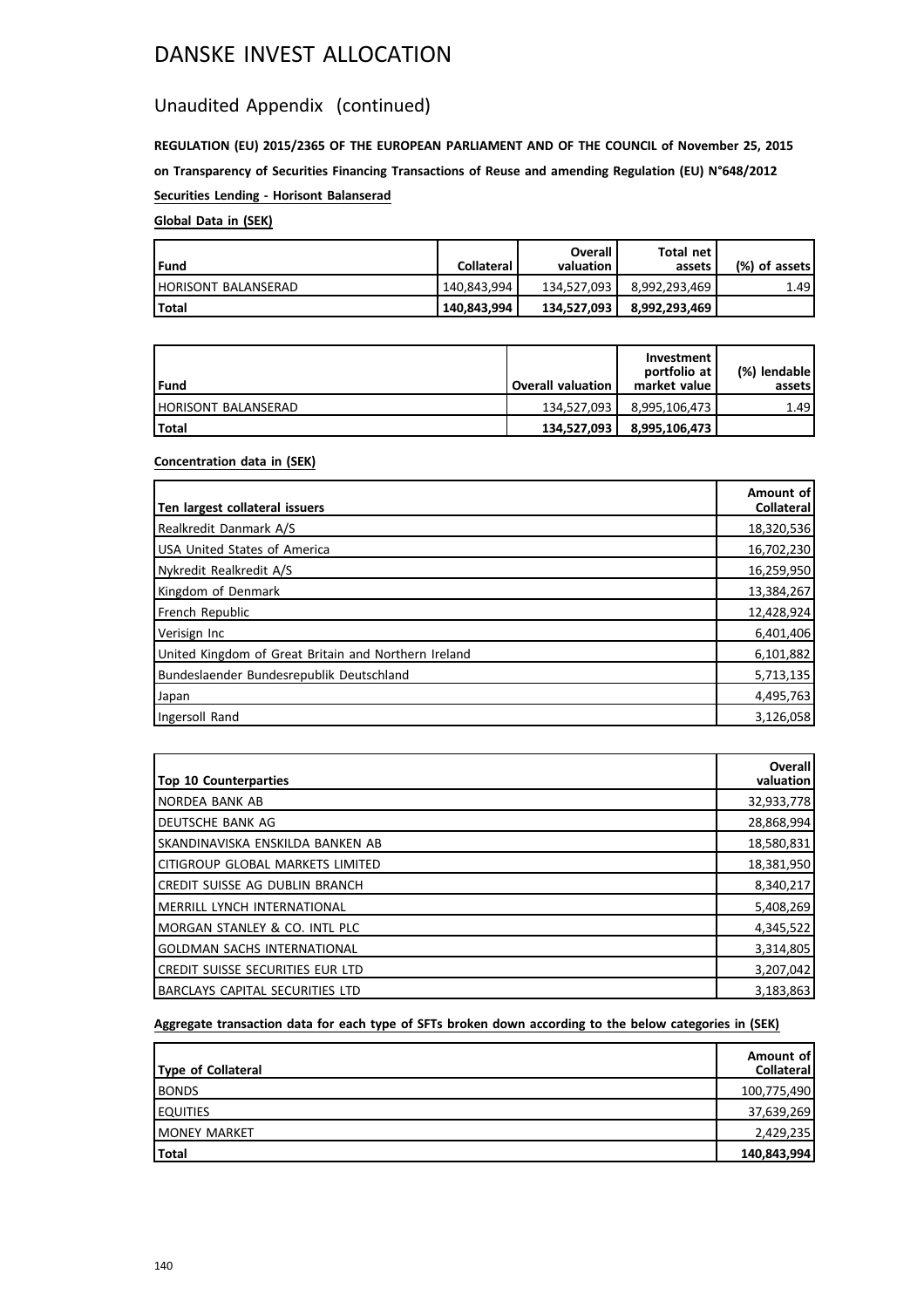## Unaudited Appendix (continued)

**REGULATION (EU) 2015/2365 OF THE EUROPEAN PARLIAMENT AND OF THE COUNCIL of November 25, 2015 on Transparency of Securities Financing Transactions of Reuse and amending Regulation (EU) N°648/2012 Securities Lending - Horisont Balanserad**

## **Global Data in (SEK)**

| Fund                | <b>Collateral</b> | Overall<br>valuation | Total net l<br>assets | (%) of assets! |
|---------------------|-------------------|----------------------|-----------------------|----------------|
| HORISONT BALANSERAD | 140.843.994       | 134.527.093          | 8.992.293.469         | 1.49           |
| l Total             | 140.843.994       | 134,527,093          | ˈ 8,992,293,469       |                |

| l Fund                     | <b>Overall valuation</b> | Investment<br>portfolio at<br>market value | (%) lendable l<br>assets |
|----------------------------|--------------------------|--------------------------------------------|--------------------------|
| <b>HORISONT BALANSERAD</b> | 134.527.093              | 8.995.106.473                              | 1.49                     |
| Total                      | 134.527.093              | 8,995,106,473                              |                          |

## **Concentration data in (SEK)**

| Ten largest collateral issuers                       | Amount of<br><b>Collateral</b> |
|------------------------------------------------------|--------------------------------|
| Realkredit Danmark A/S                               | 18,320,536                     |
| USA United States of America                         | 16,702,230                     |
| Nykredit Realkredit A/S                              | 16,259,950                     |
| Kingdom of Denmark                                   | 13,384,267                     |
| French Republic                                      | 12,428,924                     |
| Verisign Inc                                         | 6,401,406                      |
| United Kingdom of Great Britain and Northern Ireland | 6,101,882                      |
| Bundeslaender Bundesrepublik Deutschland             | 5,713,135                      |
| Japan                                                | 4,495,763                      |
| Ingersoll Rand                                       | 3,126,058                      |

| <b>Top 10 Counterparties</b>       | Overall<br>valuation |
|------------------------------------|----------------------|
| INORDEA BANK AB                    | 32,933,778           |
| I DEUTSCHE BANK AG                 | 28,868,994           |
| Iskandinaviska enskilda banken ab  | 18,580,831           |
| lcitigroup global markets limited  | 18,381,950           |
| ICREDIT SUISSE AG DUBLIN BRANCH    | 8,340,217            |
| IMERRILL LYNCH INTERNATIONAL       | 5,408,269            |
| IMORGAN STANLEY & CO. INTL PLC     | 4,345,522            |
| <b>GOLDMAN SACHS INTERNATIONAL</b> | 3,314,805            |
| CREDIT SUISSE SECURITIES EUR LTD   | 3,207,042            |
| IBARCLAYS CAPITAL SECURITIES LTD   | 3,183,863            |

## **Aggregate transaction data for each type of SFTs broken down according to the below categories in (SEK)**

| Type of Collateral   | Amount of<br>Collateral |
|----------------------|-------------------------|
| <b>BONDS</b>         | 100,775,490             |
| <b>LEQUITIES</b>     | 37,639,269              |
| <b>IMONEY MARKET</b> | 2,429,235               |
| Total                | 140,843,994             |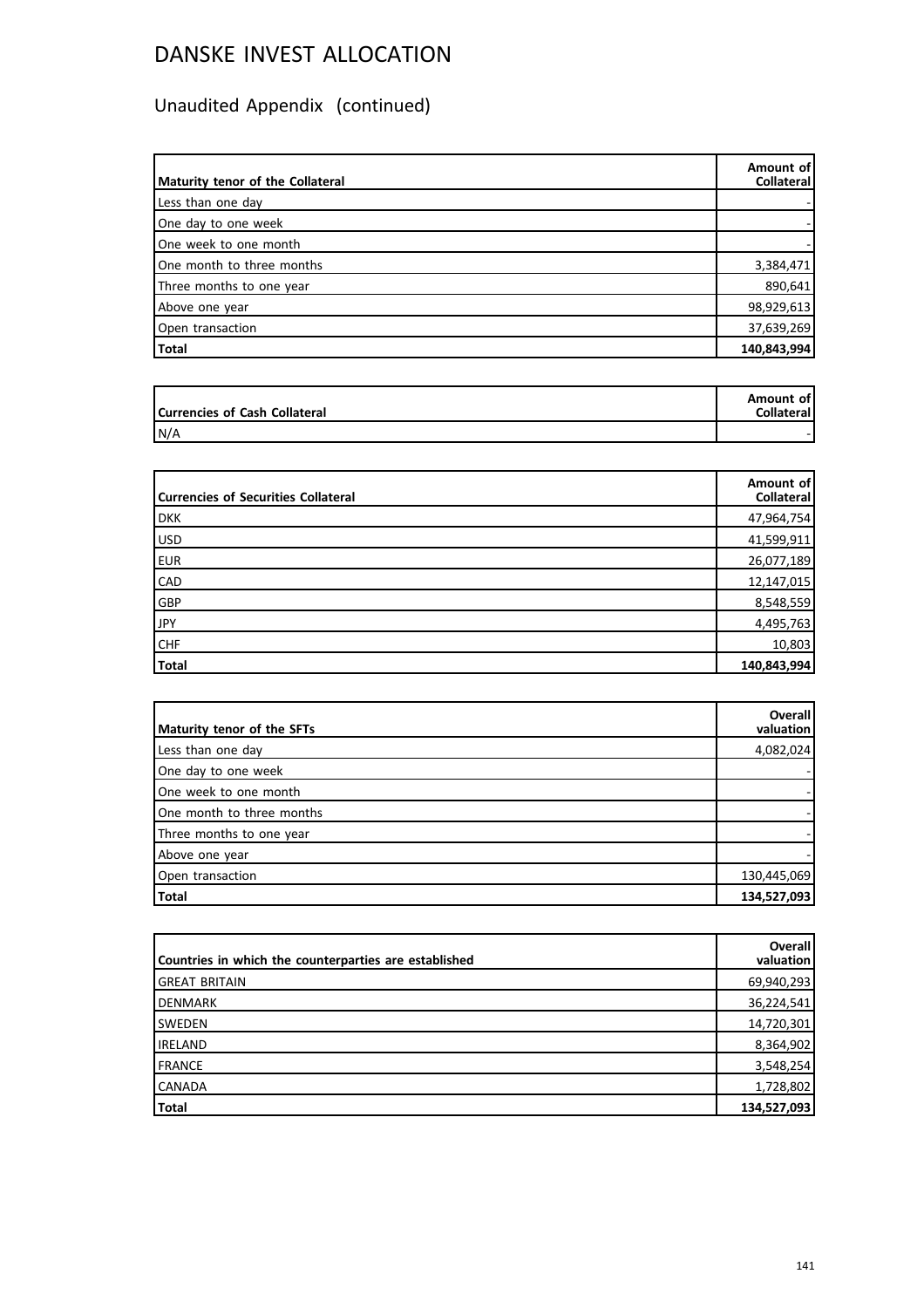# Unaudited Appendix (continued)

| Maturity tenor of the Collateral | Amount of<br>Collateral |
|----------------------------------|-------------------------|
| Less than one day                |                         |
| One day to one week              |                         |
| One week to one month            |                         |
| One month to three months        | 3,384,471               |
| Three months to one year         | 890,641                 |
| Above one year                   | 98,929,613              |
| Open transaction                 | 37,639,269              |
| Total                            | 140,843,994             |

| Currencies of Cash Collateral | Amount of<br><b>Collateral</b> |
|-------------------------------|--------------------------------|
| N/A                           |                                |

| <b>Currencies of Securities Collateral</b> | Amount of<br>Collateral |
|--------------------------------------------|-------------------------|
| <b>DKK</b>                                 | 47,964,754              |
| USD                                        | 41,599,911              |
| <b>EUR</b>                                 | 26,077,189              |
| <b>CAD</b>                                 | 12,147,015              |
| GBP                                        | 8,548,559               |
| <b>JPY</b>                                 | 4,495,763               |
| <b>CHF</b>                                 | 10,803                  |
| Total                                      | 140,843,994             |

| Maturity tenor of the SFTs | <b>Overall</b><br>valuation |
|----------------------------|-----------------------------|
| Less than one day          | 4,082,024                   |
| One day to one week        |                             |
| One week to one month      |                             |
| One month to three months  |                             |
| Three months to one year   |                             |
| Above one year             |                             |
| Open transaction           | 130,445,069                 |
| Total                      | 134,527,093                 |

| Countries in which the counterparties are established | <b>Overall</b><br>valuation |
|-------------------------------------------------------|-----------------------------|
| <b>GREAT BRITAIN</b>                                  | 69,940,293                  |
| <b>DENMARK</b>                                        | 36,224,541                  |
| <b>SWEDEN</b>                                         | 14,720,301                  |
| <b>IRELAND</b>                                        | 8,364,902                   |
| FRANCE                                                | 3,548,254                   |
| <b>CANADA</b>                                         | 1,728,802                   |
| Total                                                 | 134,527,093                 |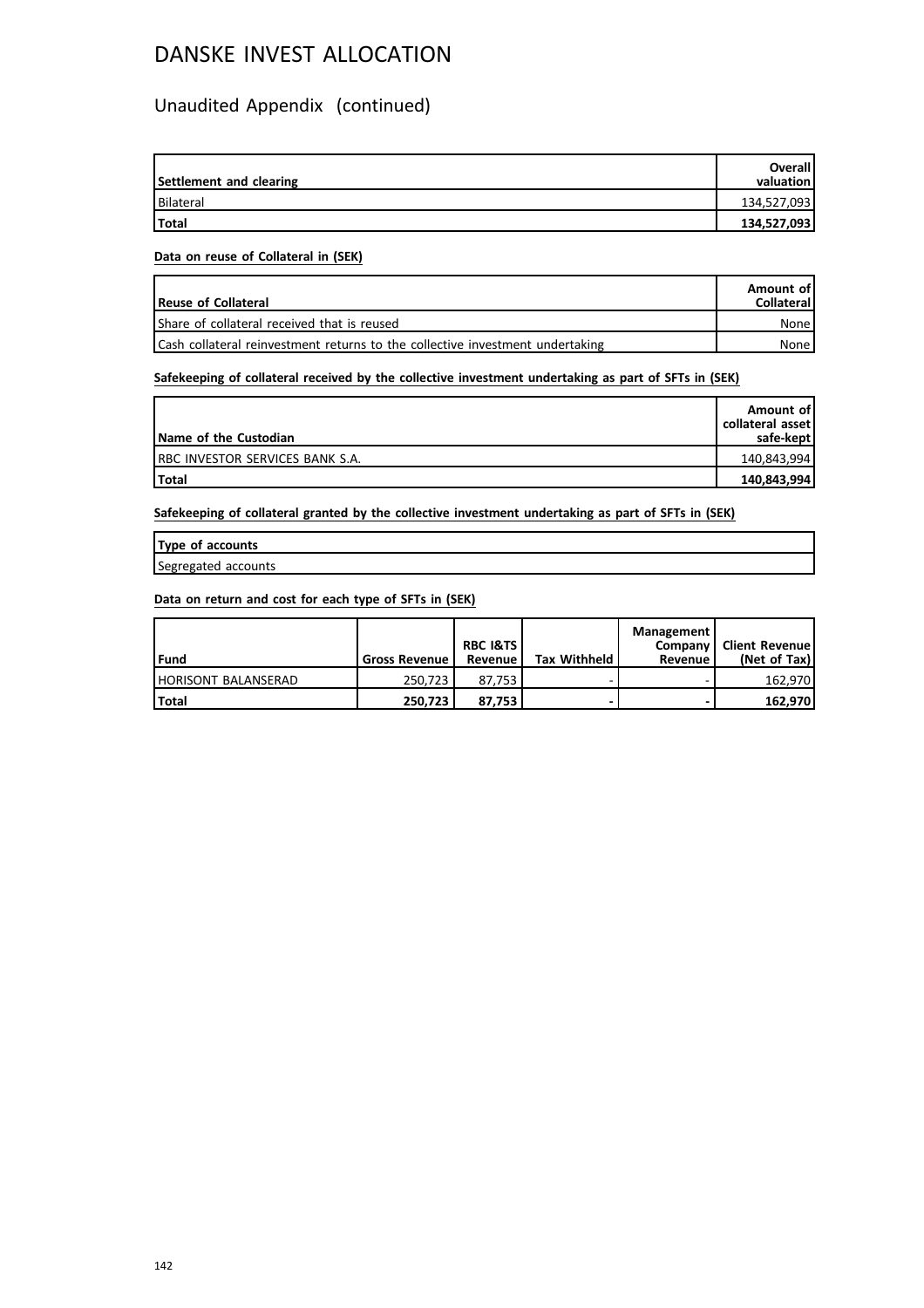## Unaudited Appendix (continued)

| Settlement and clearing | <b>Overall</b><br>valuation |
|-------------------------|-----------------------------|
| Bilateral               | 134,527,093                 |
| <b>Total</b>            | 134,527,093                 |

### **Data on reuse of Collateral in (SEK)**

| Reuse of Collateral                                                           | Amount of<br><b>Collateral</b> |
|-------------------------------------------------------------------------------|--------------------------------|
| Share of collateral received that is reused                                   | None                           |
| Cash collateral reinvestment returns to the collective investment undertaking | None l                         |

## **Safekeeping of collateral received by the collective investment undertaking as part of SFTs in (SEK)**

| Name of the Custodian            | Amount of<br>collateral asset<br>safe-kept l |
|----------------------------------|----------------------------------------------|
| IRBC INVESTOR SERVICES BANK S.A. | 140,843,994                                  |
| <b>Total</b>                     | 140,843,994                                  |

**Safekeeping of collateral granted by the collective investment undertaking as part of SFTs in (SEK)**

| Type of accounts    |  |
|---------------------|--|
| Segregated accounts |  |

### **Data on return and cost for each type of SFTs in (SEK)**

| l Fund                     | <b>Gross Revenue</b> | <b>RBC I&amp;TS</b><br>Revenue | <b>Tax Withheld</b> | Management<br>Company I<br>Revenue | Client Revenue!<br>(Net of Tax) |
|----------------------------|----------------------|--------------------------------|---------------------|------------------------------------|---------------------------------|
| <b>HORISONT BALANSERAD</b> | 250.723              | 87.753                         |                     |                                    | 162.970                         |
| <b>Total</b>               | 250.723              | 87.753                         |                     |                                    | 162.970                         |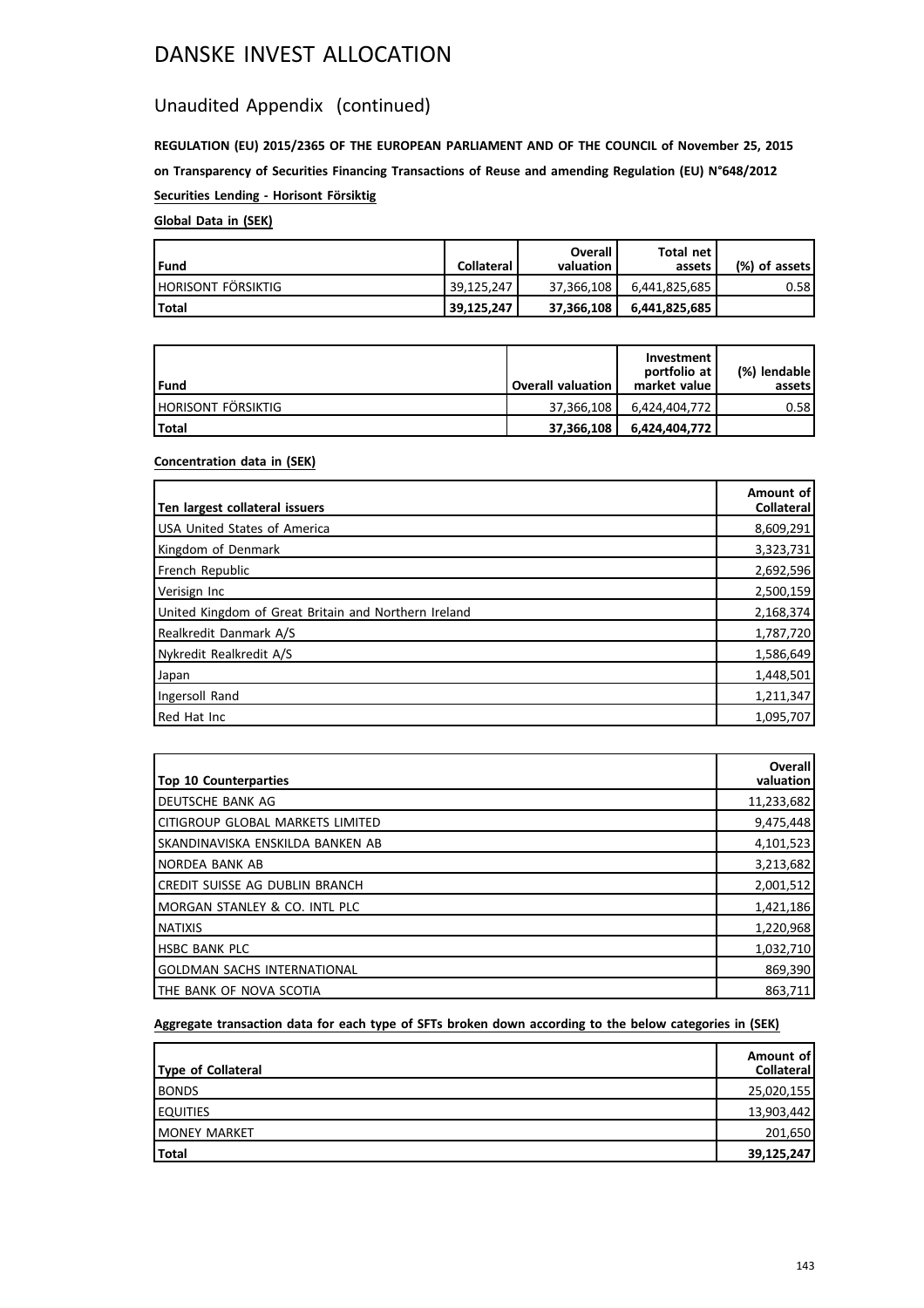## Unaudited Appendix (continued)

**REGULATION (EU) 2015/2365 OF THE EUROPEAN PARLIAMENT AND OF THE COUNCIL of November 25, 2015 on Transparency of Securities Financing Transactions of Reuse and amending Regulation (EU) N°648/2012 Securities Lending - Horisont Försiktig**

## **Global Data in (SEK)**

| Fund                 | <b>Collateral</b> | Overall<br>valuation | Total net<br>assets | (%) of assets! |
|----------------------|-------------------|----------------------|---------------------|----------------|
| i horisont försiktig | 39.125.247        | 37.366.108           |                     | 0.58           |
| Total                | 39,125,247        | 37.366.108           | 6,441,825,685       |                |

| Fund                      | Overall valuation | Investment<br>portfolio at<br>market value | (%) lendable l<br>assets l |
|---------------------------|-------------------|--------------------------------------------|----------------------------|
| <b>HORISONT FÖRSIKTIG</b> | 37.366.108        | 6.424.404.772                              | 0.58                       |
| l Total                   | 37,366,108        | 6.424.404.772                              |                            |

## **Concentration data in (SEK)**

| Ten largest collateral issuers                       | Amount of<br><b>Collateral</b> |
|------------------------------------------------------|--------------------------------|
| USA United States of America                         | 8,609,291                      |
| Kingdom of Denmark                                   | 3,323,731                      |
| French Republic                                      | 2,692,596                      |
| Verisign Inc                                         | 2,500,159                      |
| United Kingdom of Great Britain and Northern Ireland | 2,168,374                      |
| Realkredit Danmark A/S                               | 1,787,720                      |
| Nykredit Realkredit A/S                              | 1,586,649                      |
| Japan                                                | 1,448,501                      |
| Ingersoll Rand                                       | 1,211,347                      |
| Red Hat Inc                                          | 1,095,707                      |

| <b>Top 10 Counterparties</b>       | Overall<br>valuation |
|------------------------------------|----------------------|
| I DEUTSCHE BANK AG                 | 11,233,682           |
| lcitigroup global markets limited  | 9,475,448            |
| ISKANDINAVISKA ENSKILDA BANKEN AB  | 4,101,523            |
| INORDEA BANK AB                    | 3,213,682            |
| ICREDIT SUISSE AG DUBLIN BRANCH    | 2,001,512            |
| IMORGAN STANLEY & CO. INTL PLC     | 1,421,186            |
| <b>INATIXIS</b>                    | 1,220,968            |
| <b>HSBC BANK PLC</b>               | 1,032,710            |
| <b>GOLDMAN SACHS INTERNATIONAL</b> | 869,390              |
| ITHE BANK OF NOVA SCOTIA           | 863,711              |

## **Aggregate transaction data for each type of SFTs broken down according to the below categories in (SEK)**

| Type of Collateral   | Amount of<br>Collateral |
|----------------------|-------------------------|
| <b>BONDS</b>         | 25,020,155              |
| <b>LEQUITIES</b>     | 13,903,442              |
| <b>IMONEY MARKET</b> | 201,650                 |
| Total                | 39,125,247              |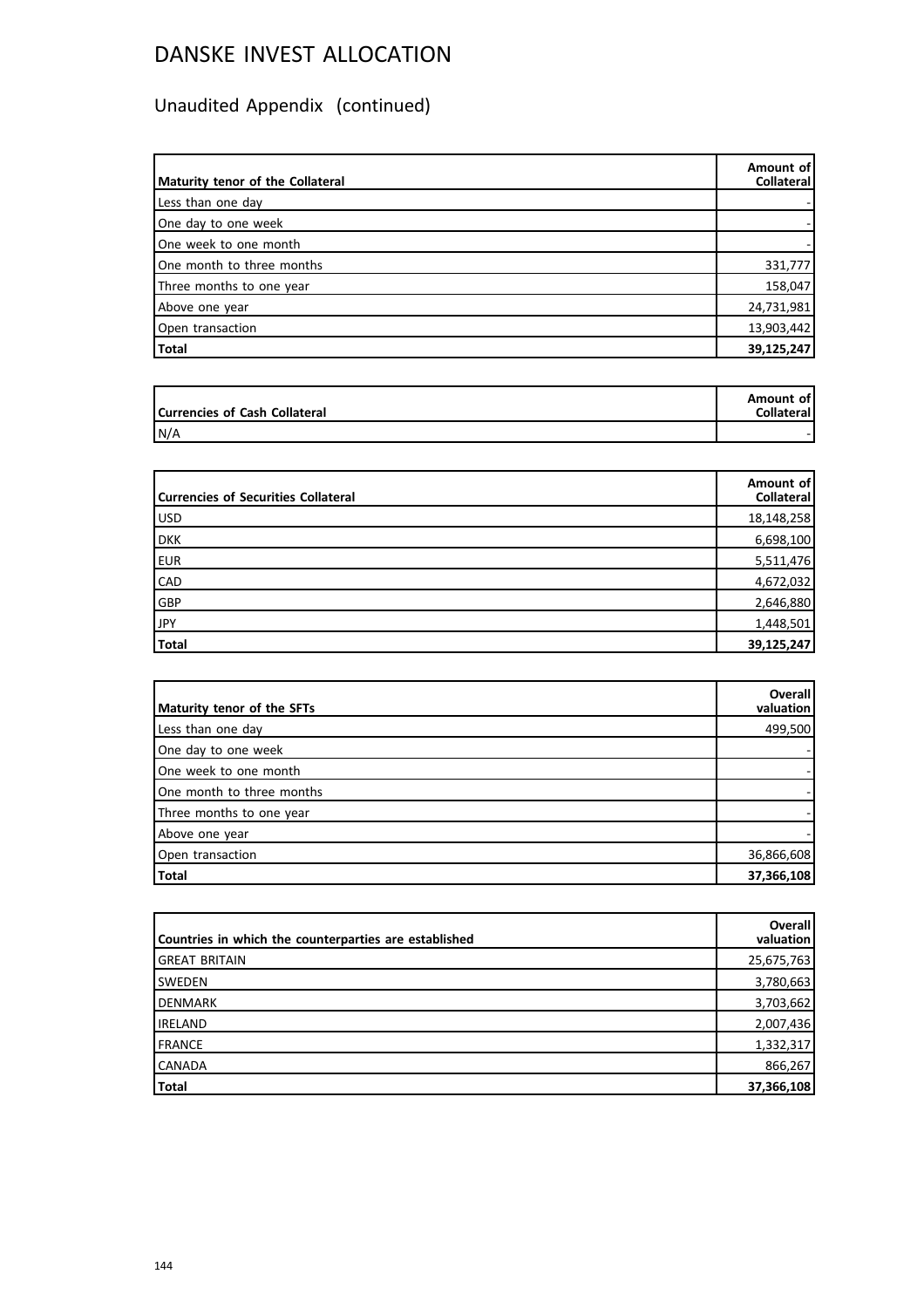# Unaudited Appendix (continued)

| Maturity tenor of the Collateral | Amount of<br>Collateral |
|----------------------------------|-------------------------|
| Less than one day                |                         |
| One day to one week              |                         |
| One week to one month            |                         |
| One month to three months        | 331,777                 |
| Three months to one year         | 158,047                 |
| Above one year                   | 24,731,981              |
| Open transaction                 | 13,903,442              |
| Total                            | 39,125,247              |

| Currencies of Cash Collateral | Amount of<br><b>Collateral</b> |
|-------------------------------|--------------------------------|
| N/A                           |                                |

| <b>Currencies of Securities Collateral</b> | Amount of<br>Collateral |
|--------------------------------------------|-------------------------|
| USD                                        | 18,148,258              |
| <b>DKK</b>                                 | 6,698,100               |
| <b>EUR</b>                                 | 5,511,476               |
| <b>CAD</b>                                 | 4,672,032               |
| GBP                                        | 2,646,880               |
| JPY                                        | 1,448,501               |
| Total                                      | 39,125,247              |

| Maturity tenor of the SFTs | <b>Overall</b><br>valuation |
|----------------------------|-----------------------------|
|                            |                             |
| Less than one day          | 499,500                     |
| One day to one week        |                             |
| One week to one month      |                             |
| One month to three months  |                             |
| Three months to one year   |                             |
| Above one year             |                             |
| Open transaction           | 36,866,608                  |
| Total                      | 37,366,108                  |

| Countries in which the counterparties are established | Overall<br>valuation |
|-------------------------------------------------------|----------------------|
| <b>GREAT BRITAIN</b>                                  | 25,675,763           |
| <b>SWEDEN</b>                                         | 3,780,663            |
| DENMARK                                               | 3,703,662            |
| <b>IRELAND</b>                                        | 2,007,436            |
| <b>FRANCE</b>                                         | 1,332,317            |
| <b>CANADA</b>                                         | 866,267              |
| Total                                                 | 37,366,108           |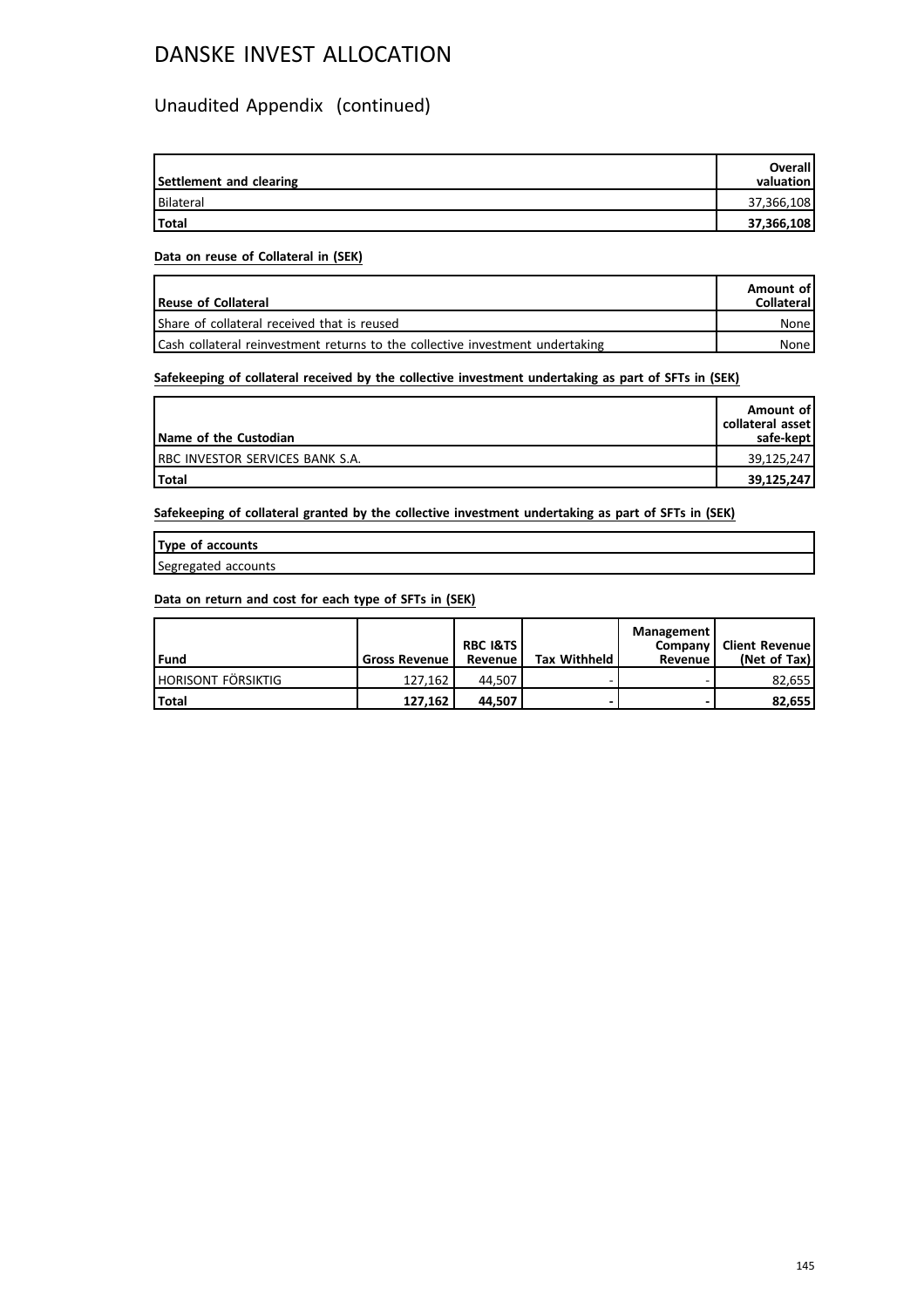### Unaudited Appendix (continued)

| Settlement and clearing | <b>Overall</b><br>valuation |
|-------------------------|-----------------------------|
| Bilateral               | 37,366,108                  |
| <b>Total</b>            | 37,366,108                  |

#### **Data on reuse of Collateral in (SEK)**

| Reuse of Collateral                                                           | Amount of<br><b>Collateral</b> |
|-------------------------------------------------------------------------------|--------------------------------|
| Share of collateral received that is reused                                   | None l                         |
| Cash collateral reinvestment returns to the collective investment undertaking | None l                         |

### **Safekeeping of collateral received by the collective investment undertaking as part of SFTs in (SEK)**

| Name of the Custodian            | Amount of<br>collateral asset<br>safe-kept |
|----------------------------------|--------------------------------------------|
| IRBC INVESTOR SERVICES BANK S.A. | 39,125,247                                 |
| <b>Total</b>                     | 39,125,247                                 |

**Safekeeping of collateral granted by the collective investment undertaking as part of SFTs in (SEK)**

| Type of accounts    |  |
|---------------------|--|
| Segregated accounts |  |

| l Fund                    | <b>Gross Revenue</b> | <b>RBC I&amp;TS</b><br>Revenue | <b>Tax Withheld</b> | Management<br>Revenue | Company   Client Revenue<br>(Net of Tax) |
|---------------------------|----------------------|--------------------------------|---------------------|-----------------------|------------------------------------------|
| <b>HORISONT FÖRSIKTIG</b> | 127.162              | 44.507                         |                     |                       | 82.655                                   |
| <b>Total</b>              | 127.162              | 44.507                         |                     |                       | 82.655                                   |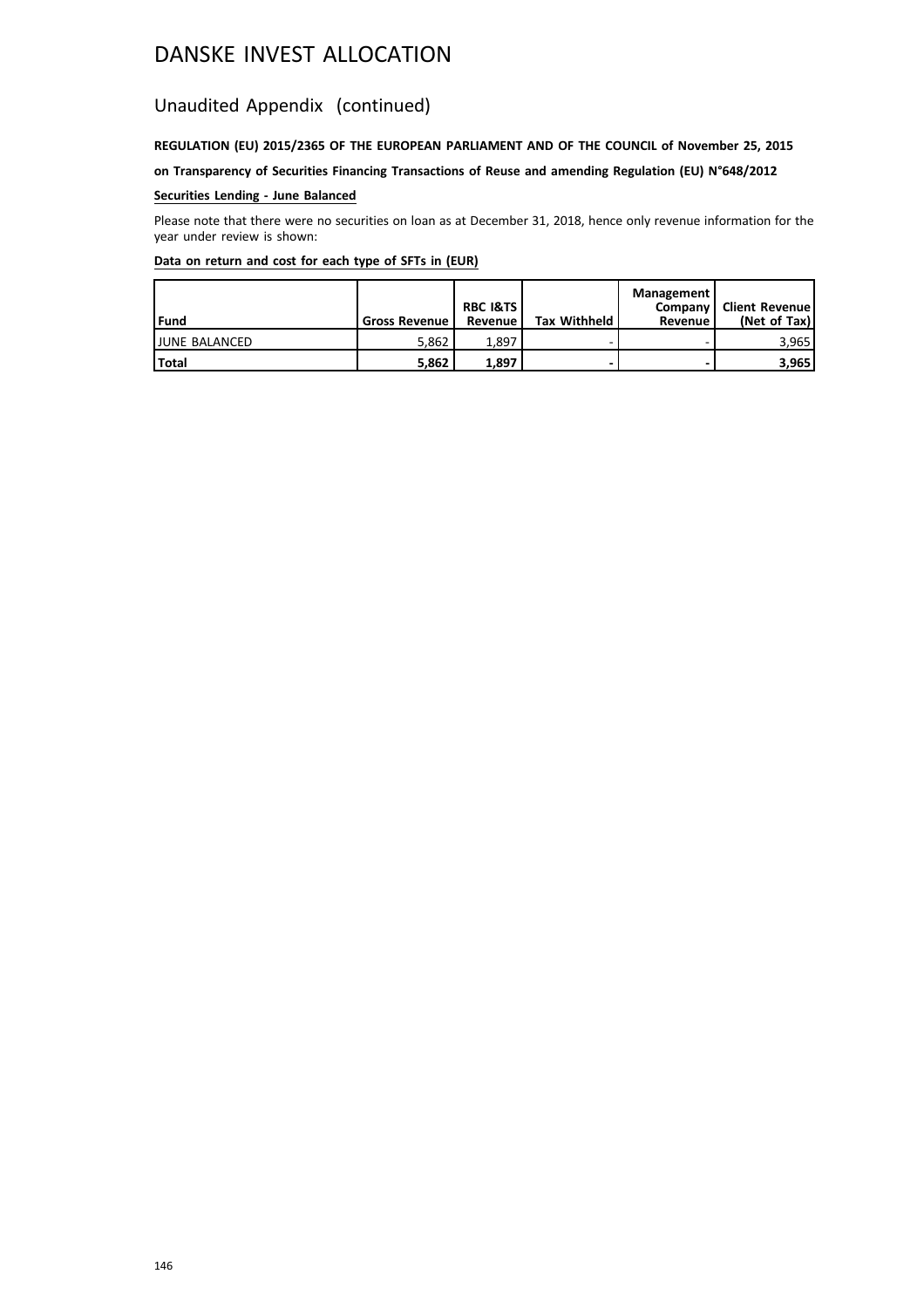### Unaudited Appendix (continued)

### **REGULATION (EU) 2015/2365 OF THE EUROPEAN PARLIAMENT AND OF THE COUNCIL of November 25, 2015**

**on Transparency of Securities Financing Transactions of Reuse and amending Regulation (EU) N°648/2012**

### **Securities Lending - June Balanced**

Please note that there were no securities on loan as at December 31, 2018, hence only revenue information for the year under review is shown:

| l Fund               | <b>Gross Revenue</b> | <b>RBC I&amp;TS</b><br>Revenue | <b>Tax Withheld</b> | Management<br>Company<br>Revenue | <b>Client Revenue</b><br>(Net of Tax) |
|----------------------|----------------------|--------------------------------|---------------------|----------------------------------|---------------------------------------|
| <b>JUNE BALANCED</b> | 5.862                | 1.897                          |                     |                                  | 3,965                                 |
| <b>Total</b>         | 5.862                | 1.897                          |                     |                                  | 3,965                                 |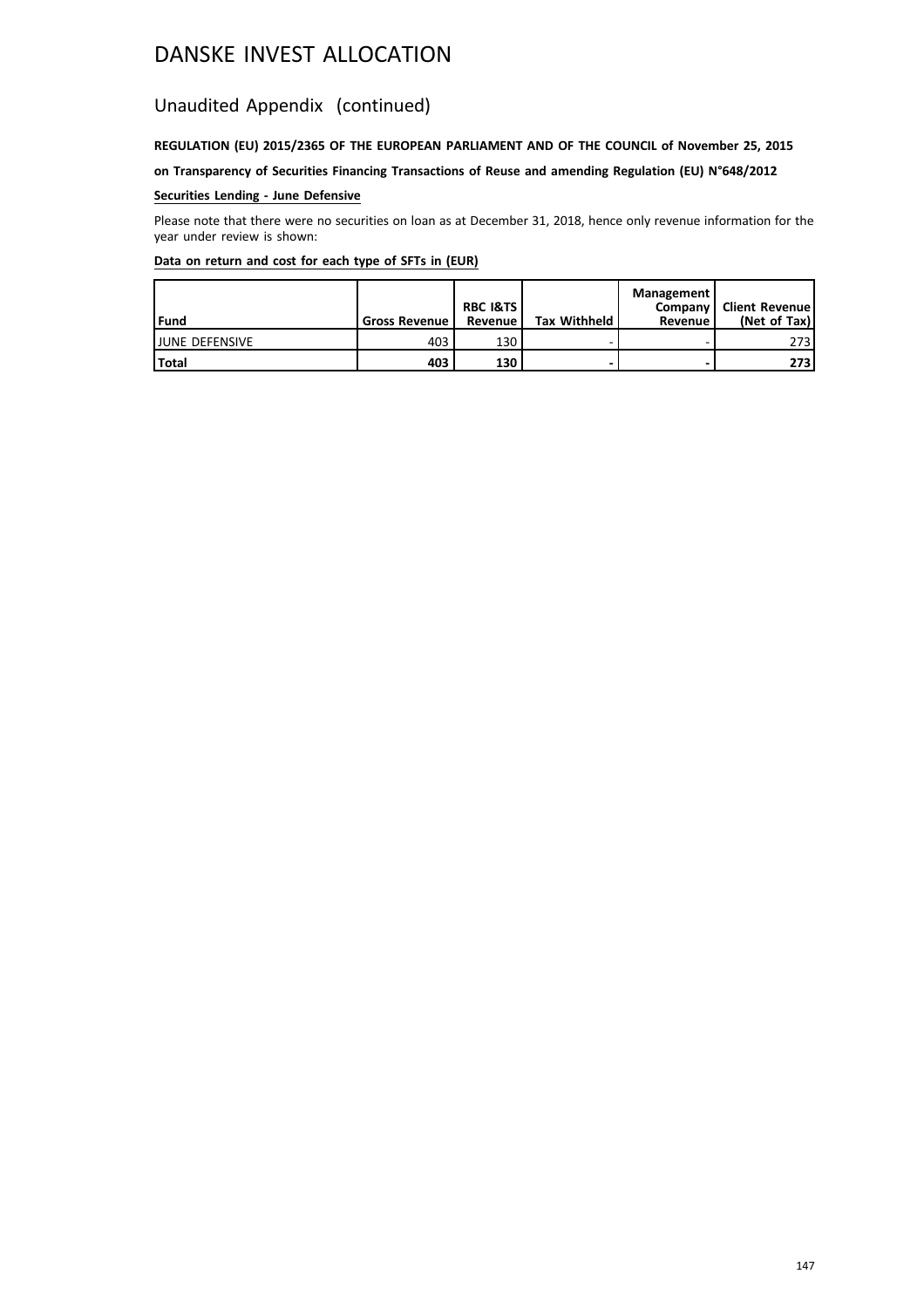### Unaudited Appendix (continued)

### **REGULATION (EU) 2015/2365 OF THE EUROPEAN PARLIAMENT AND OF THE COUNCIL of November 25, 2015**

**on Transparency of Securities Financing Transactions of Reuse and amending Regulation (EU) N°648/2012**

### **Securities Lending - June Defensive**

Please note that there were no securities on loan as at December 31, 2018, hence only revenue information for the year under review is shown:

| l Fund                 | <b>Gross Revenue</b> | <b>RBC I&amp;TS</b><br>Revenue | <b>Tax Withheld</b> | Management<br>Revenue | Company   Client Revenue<br>(Net of Tax) |
|------------------------|----------------------|--------------------------------|---------------------|-----------------------|------------------------------------------|
| <b>IJUNE DEFENSIVE</b> | 403                  | 130                            |                     |                       | 273                                      |
| Total                  | 403                  | 130                            |                     | -                     | 273                                      |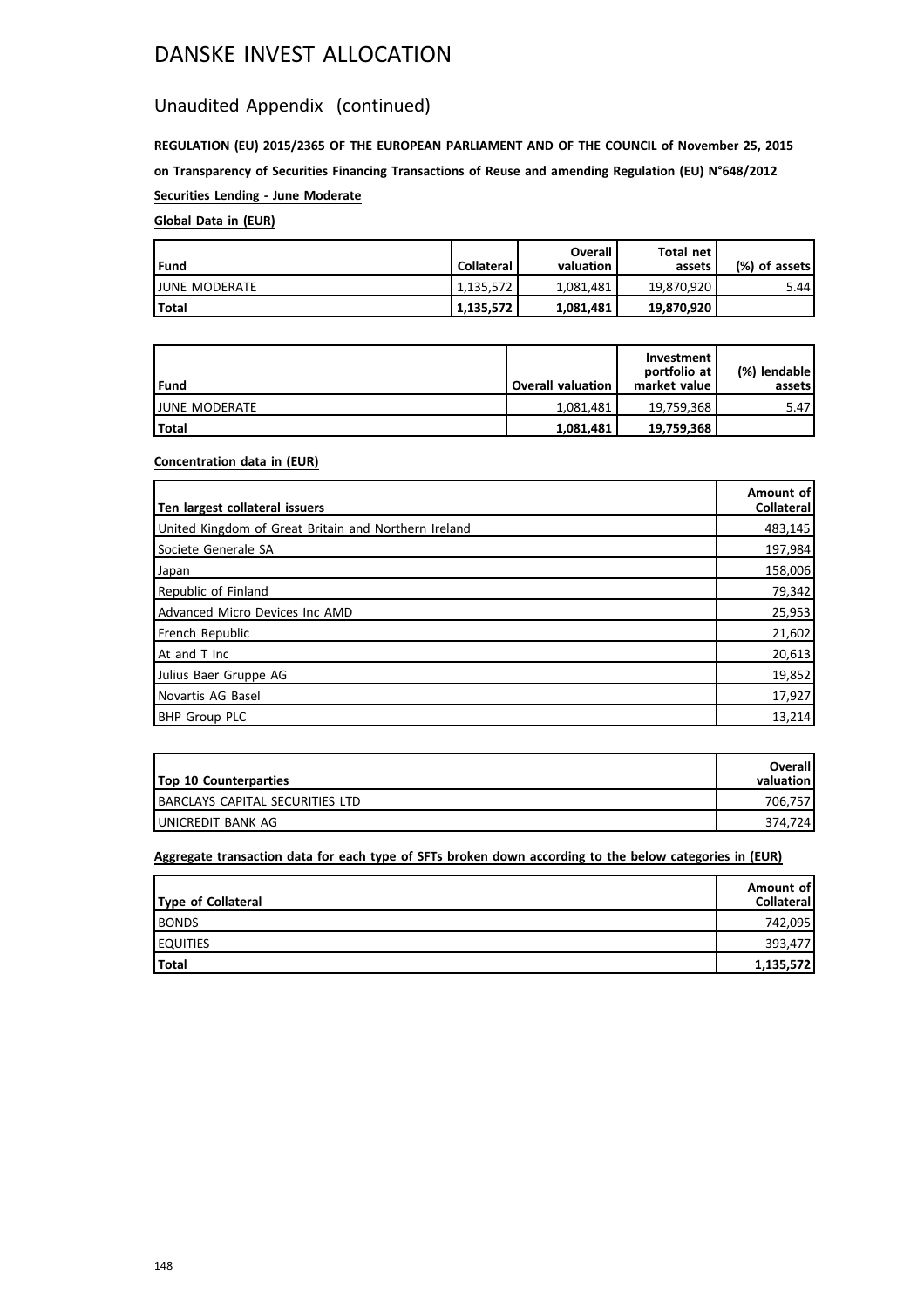### Unaudited Appendix (continued)

**REGULATION (EU) 2015/2365 OF THE EUROPEAN PARLIAMENT AND OF THE COUNCIL of November 25, 2015 on Transparency of Securities Financing Transactions of Reuse and amending Regulation (EU) N°648/2012 Securities Lending - June Moderate**

### **Global Data in (EUR)**

| l Fund                | <b>Collateral</b> | Overall<br>valuation | Total net<br>assets | (%) of assets! |
|-----------------------|-------------------|----------------------|---------------------|----------------|
| <b>IJUNE MODERATE</b> | 1.135.572         | 1.081.481            | 19.870.920          | 5.44           |
| <b>Total</b>          | 1,135,572         | 1,081,481            | 19,870,920          |                |

| Fund                  | <b>Overall valuation</b> | Investment<br>portfolio at<br>market value | (%) lendable<br>assets l |
|-----------------------|--------------------------|--------------------------------------------|--------------------------|
| <b>IJUNE MODERATE</b> | 1.081.481                | 19.759.368                                 | 5.47                     |
| <b>Total</b>          | 1,081,481                | 19,759,368                                 |                          |

### **Concentration data in (EUR)**

| Ten largest collateral issuers                       | Amount of<br>Collateral |
|------------------------------------------------------|-------------------------|
| United Kingdom of Great Britain and Northern Ireland | 483,145                 |
| Societe Generale SA                                  | 197,984                 |
| Japan                                                | 158,006                 |
| Republic of Finland                                  | 79,342                  |
| Advanced Micro Devices Inc AMD                       | 25,953                  |
| French Republic                                      | 21,602                  |
| At and T Inc                                         | 20,613                  |
| Julius Baer Gruppe AG                                | 19,852                  |
| Novartis AG Basel                                    | 17,927                  |
| <b>BHP Group PLC</b>                                 | 13,214                  |

| <b>Top 10 Counterparties</b>     | Overall<br>valuation |
|----------------------------------|----------------------|
| IBARCLAYS CAPITAL SECURITIES LTD | 706.757              |
| IUNICREDIT BANK AG               | 374.724              |

| Type of Collateral | Amount of<br><b>Collateral</b> |
|--------------------|--------------------------------|
| <b>BONDS</b>       | 742,095                        |
| <b>EQUITIES</b>    | 393,477                        |
| Total              | 1,135,572                      |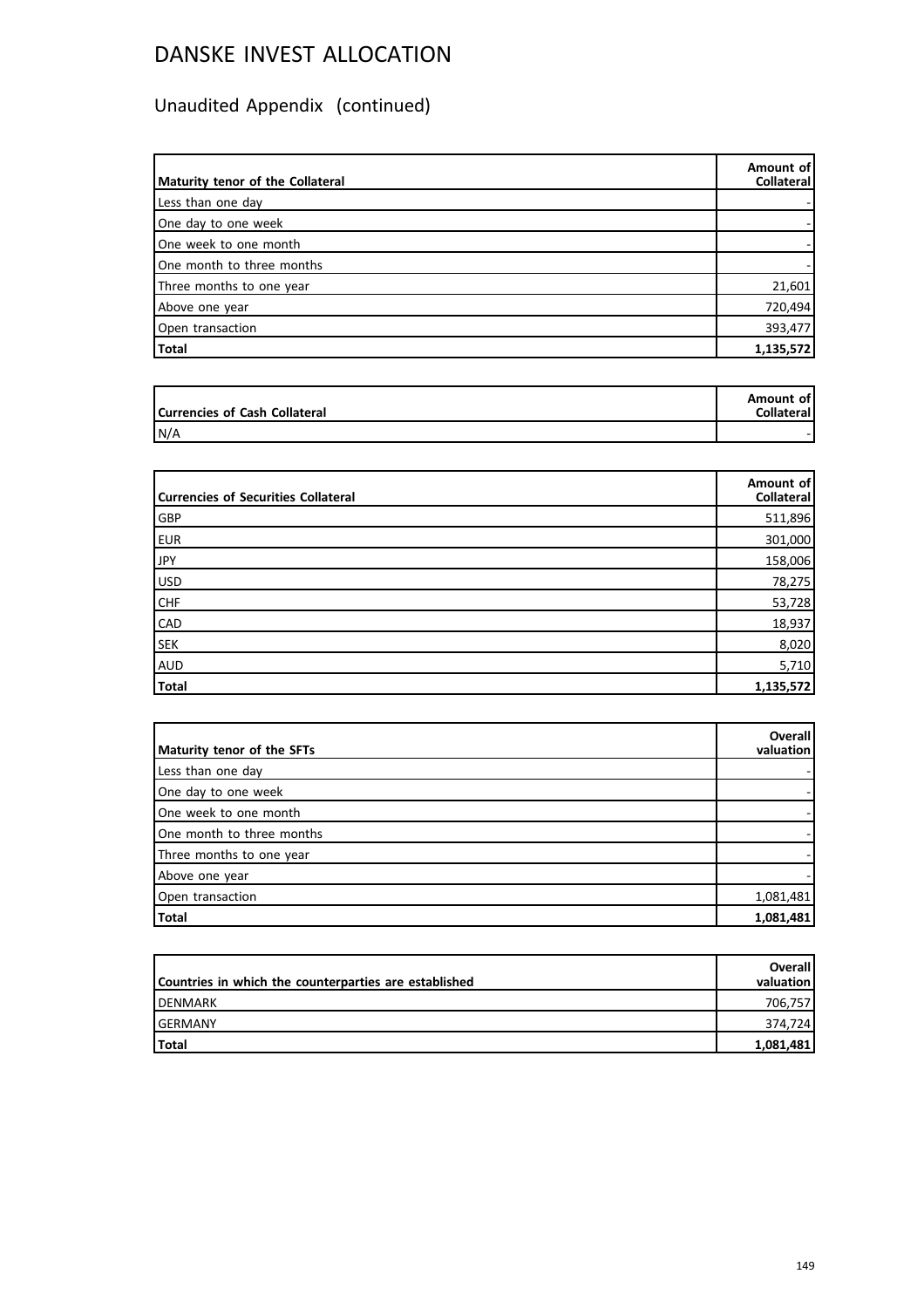| Maturity tenor of the Collateral | Amount of<br><b>Collateral</b> |
|----------------------------------|--------------------------------|
| Less than one day                |                                |
| One day to one week              |                                |
| One week to one month            |                                |
| One month to three months        |                                |
| Three months to one year         | 21,601                         |
| Above one year                   | 720,494                        |
| Open transaction                 | 393,477                        |
| Total                            | 1,135,572                      |

| Currencies of Cash Collateral | Amount of<br><b>Collateral</b> |
|-------------------------------|--------------------------------|
| N/A                           |                                |

| <b>Currencies of Securities Collateral</b> | Amount of<br><b>Collateral</b> |
|--------------------------------------------|--------------------------------|
| GBP                                        | 511,896                        |
| <b>EUR</b>                                 | 301,000                        |
| <b>JPY</b>                                 | 158,006                        |
| USD                                        | 78,275                         |
| <b>CHF</b>                                 | 53,728                         |
| CAD                                        | 18,937                         |
| <b>SEK</b>                                 | 8,020                          |
| AUD                                        | 5,710                          |
| <b>Total</b>                               | 1,135,572                      |

| Maturity tenor of the SFTs | Overall<br>valuation |
|----------------------------|----------------------|
| Less than one day          |                      |
| One day to one week        |                      |
| One week to one month      |                      |
| One month to three months  |                      |
| Three months to one year   |                      |
| Above one year             |                      |
| Open transaction           | 1,081,481            |
| Total                      | 1,081,481            |

| Countries in which the counterparties are established | <b>Overall</b><br>valuation l |
|-------------------------------------------------------|-------------------------------|
| <b>IDENMARK</b>                                       | 706,757                       |
| <b>GERMANY</b>                                        | 374.7241                      |
| <b>Total</b>                                          | 1,081,481                     |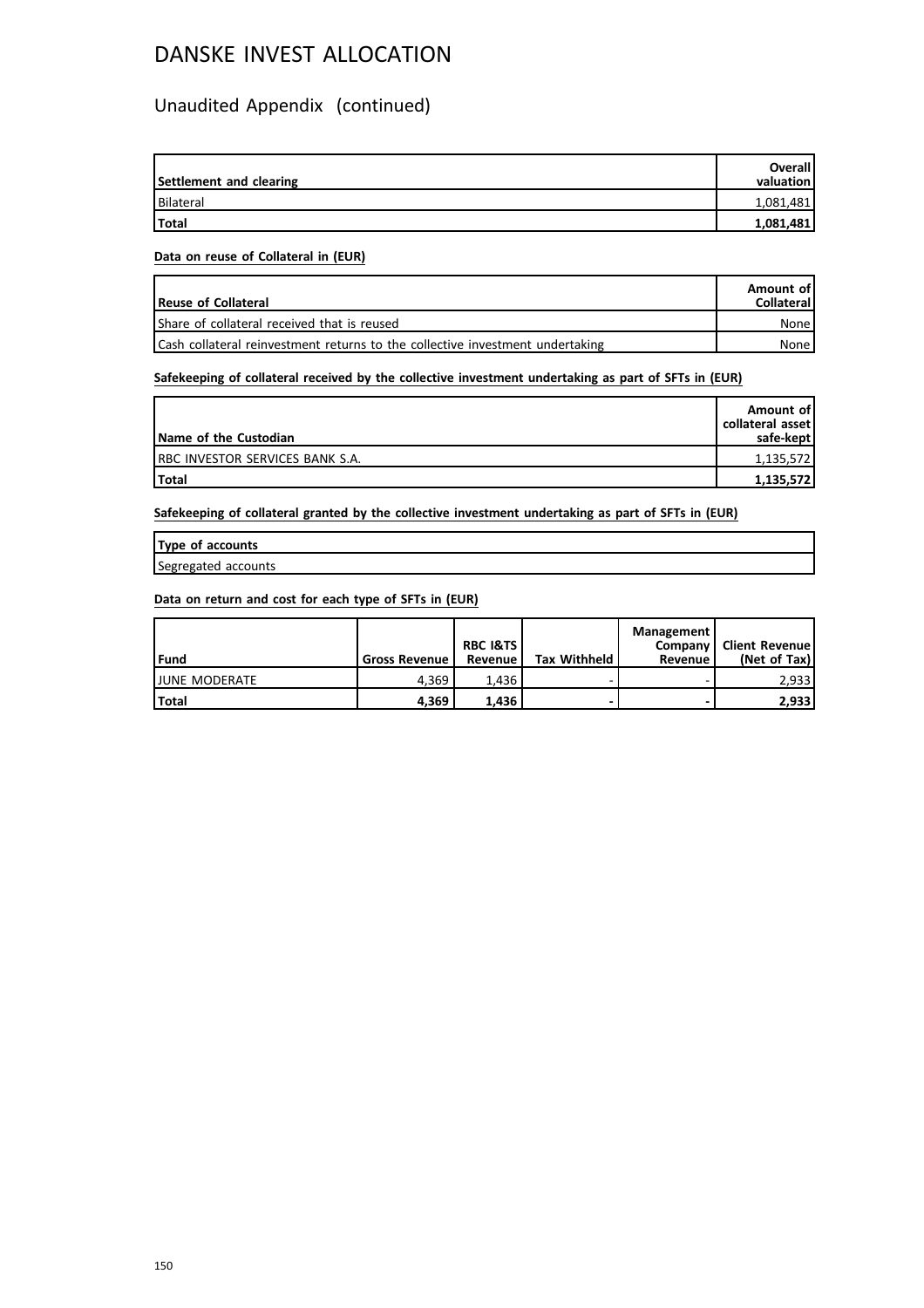### Unaudited Appendix (continued)

| Settlement and clearing | <b>Overall</b><br>valuation |
|-------------------------|-----------------------------|
| <b>Bilateral</b>        | 1,081,481                   |
| <b>Total</b>            | 1,081,481                   |

#### **Data on reuse of Collateral in (EUR)**

| <b>Reuse of Collateral</b>                                                    | Amount of<br><b>Collateral</b> |
|-------------------------------------------------------------------------------|--------------------------------|
| Share of collateral received that is reused                                   | None                           |
| Cash collateral reinvestment returns to the collective investment undertaking | None l                         |

### **Safekeeping of collateral received by the collective investment undertaking as part of SFTs in (EUR)**

| Name of the Custodian            | Amount of<br>collateral asset<br>safe-kept |
|----------------------------------|--------------------------------------------|
| IRBC INVESTOR SERVICES BANK S.A. | 1,135,572                                  |
| <b>Total</b>                     | 1,135,572                                  |

**Safekeeping of collateral granted by the collective investment undertaking as part of SFTs in (EUR)**

| Type of accounts    |  |
|---------------------|--|
| Segregated accounts |  |

| Fund                  | <b>Gross Revenue</b> | <b>RBC I&amp;TS</b><br>Revenue | <b>Tax Withheld</b> | <b>Management</b><br>Company<br>Revenue | Client Revenue<br>(Net of Tax) |
|-----------------------|----------------------|--------------------------------|---------------------|-----------------------------------------|--------------------------------|
| <b>IJUNE MODERATE</b> | 4.369                | 1.436                          |                     |                                         | 2,933                          |
| <b>Total</b>          | 4.369                | 1.436                          |                     |                                         | 2,933                          |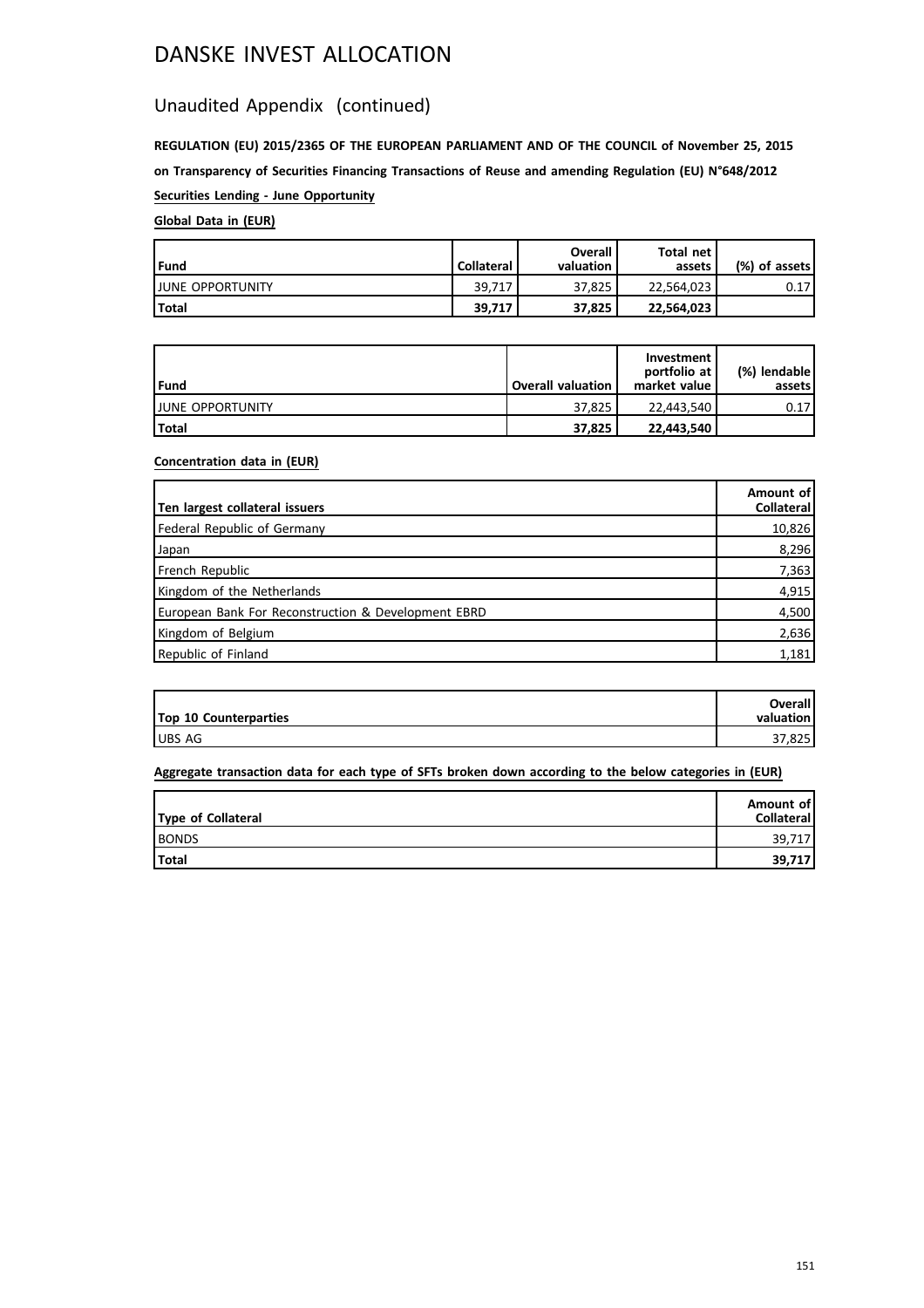### Unaudited Appendix (continued)

**REGULATION (EU) 2015/2365 OF THE EUROPEAN PARLIAMENT AND OF THE COUNCIL of November 25, 2015 on Transparency of Securities Financing Transactions of Reuse and amending Regulation (EU) N°648/2012 Securities Lending - June Opportunity**

### **Global Data in (EUR)**

| l Fund                   | <b>Collateral</b> | Overall<br>valuation | Total net<br>assets | (%) of assets! |
|--------------------------|-------------------|----------------------|---------------------|----------------|
| <b>IJUNE OPPORTUNITY</b> | 39.717            | 37.825               | 22.564.023          | 0.17           |
| Total                    | 39.717            | 37.825               | 22,564,023          |                |

| Fund                     | <b>Overall valuation</b> | Investment<br>portfolio at<br>market value | (%) lendable l<br>assets l |
|--------------------------|--------------------------|--------------------------------------------|----------------------------|
| <b>IJUNE OPPORTUNITY</b> | 37.825                   | 22.443.540                                 | 0.17                       |
| l Total                  | 37.825                   | 22,443,540                                 |                            |

### **Concentration data in (EUR)**

| Ten largest collateral issuers                      | Amount of<br>Collateral |
|-----------------------------------------------------|-------------------------|
| Federal Republic of Germany                         | 10,826                  |
| Japan                                               | 8,296                   |
| French Republic                                     | 7,363                   |
| Kingdom of the Netherlands                          | 4,915                   |
| European Bank For Reconstruction & Development EBRD | 4,500                   |
| Kingdom of Belgium                                  | 2,636                   |
| Republic of Finland                                 | 1,181                   |

| <b>Top 10 Counterparties</b> | <b>Overall</b><br>valuation l |
|------------------------------|-------------------------------|
| <b>UBS AG</b>                | 37.825                        |

| Type of Collateral | Amount of<br>Collateral |
|--------------------|-------------------------|
| <b>BONDS</b>       | 39.717                  |
| Total              | 39,717                  |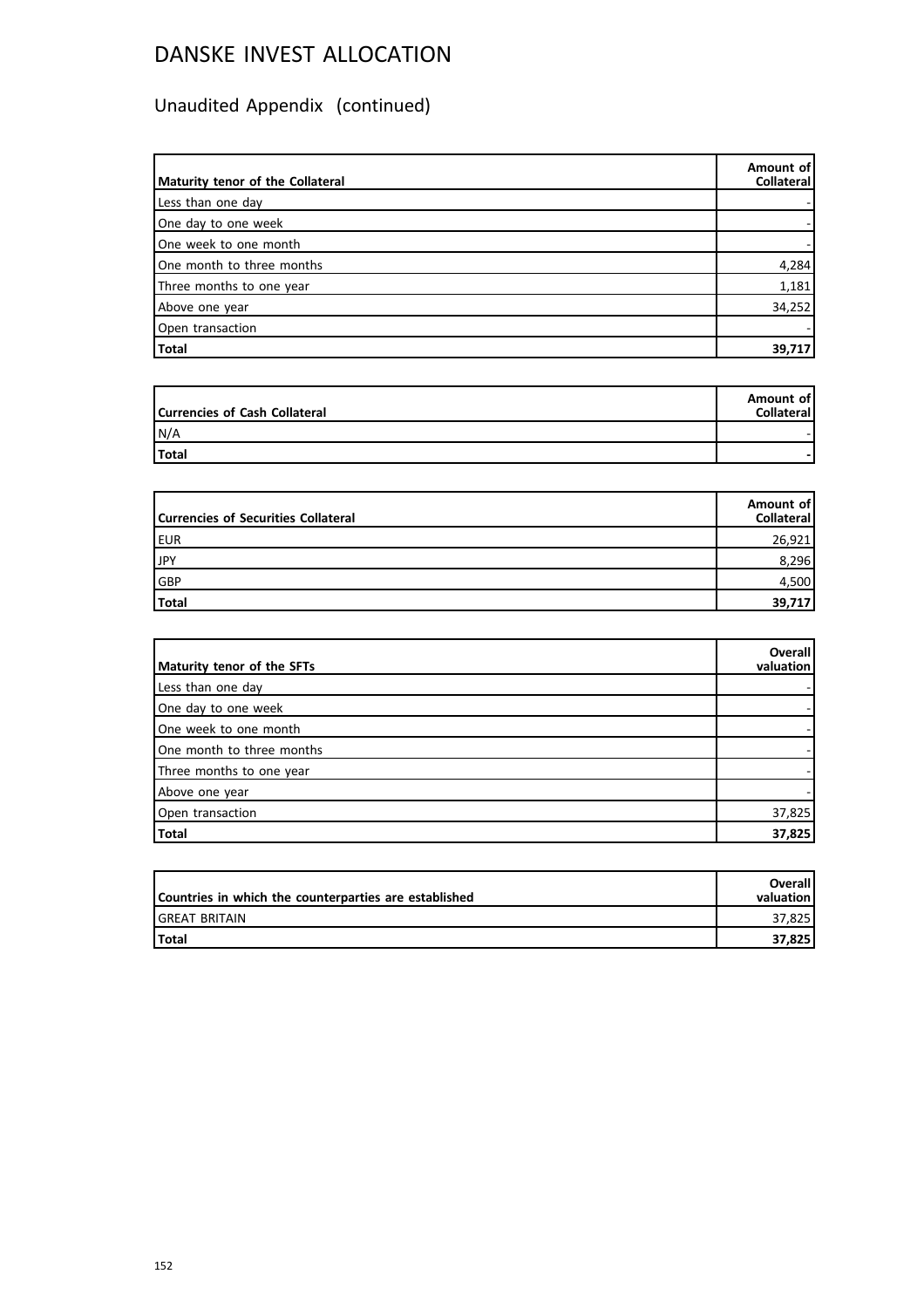| Maturity tenor of the Collateral | Amount of<br>Collateral |
|----------------------------------|-------------------------|
| Less than one day                |                         |
| One day to one week              |                         |
| One week to one month            |                         |
| One month to three months        | 4,284                   |
| Three months to one year         | 1,181                   |
| Above one year                   | 34,252                  |
| Open transaction                 |                         |
| Total                            | 39,717                  |

| Currencies of Cash Collateral | Amount of<br><b>Collateral</b> |
|-------------------------------|--------------------------------|
| N/A                           |                                |
| Total                         |                                |

| Currencies of Securities Collateral | Amount of<br>Collateral |
|-------------------------------------|-------------------------|
| EUR                                 | 26,921                  |
| JPY                                 | 8,296                   |
| GBP                                 | 4,500                   |
| Total                               | 39,717                  |

| Maturity tenor of the SFTs | <b>Overall</b><br>valuation |
|----------------------------|-----------------------------|
| Less than one day          |                             |
| One day to one week        |                             |
| One week to one month      |                             |
| One month to three months  |                             |
| Three months to one year   |                             |
| Above one year             |                             |
| Open transaction           | 37,825                      |
| Total                      | 37,825                      |

| Countries in which the counterparties are established | <b>Overall</b><br>valuation |
|-------------------------------------------------------|-----------------------------|
| IGREAT BRITAIN                                        | 37.825                      |
| l Total                                               | 37.825                      |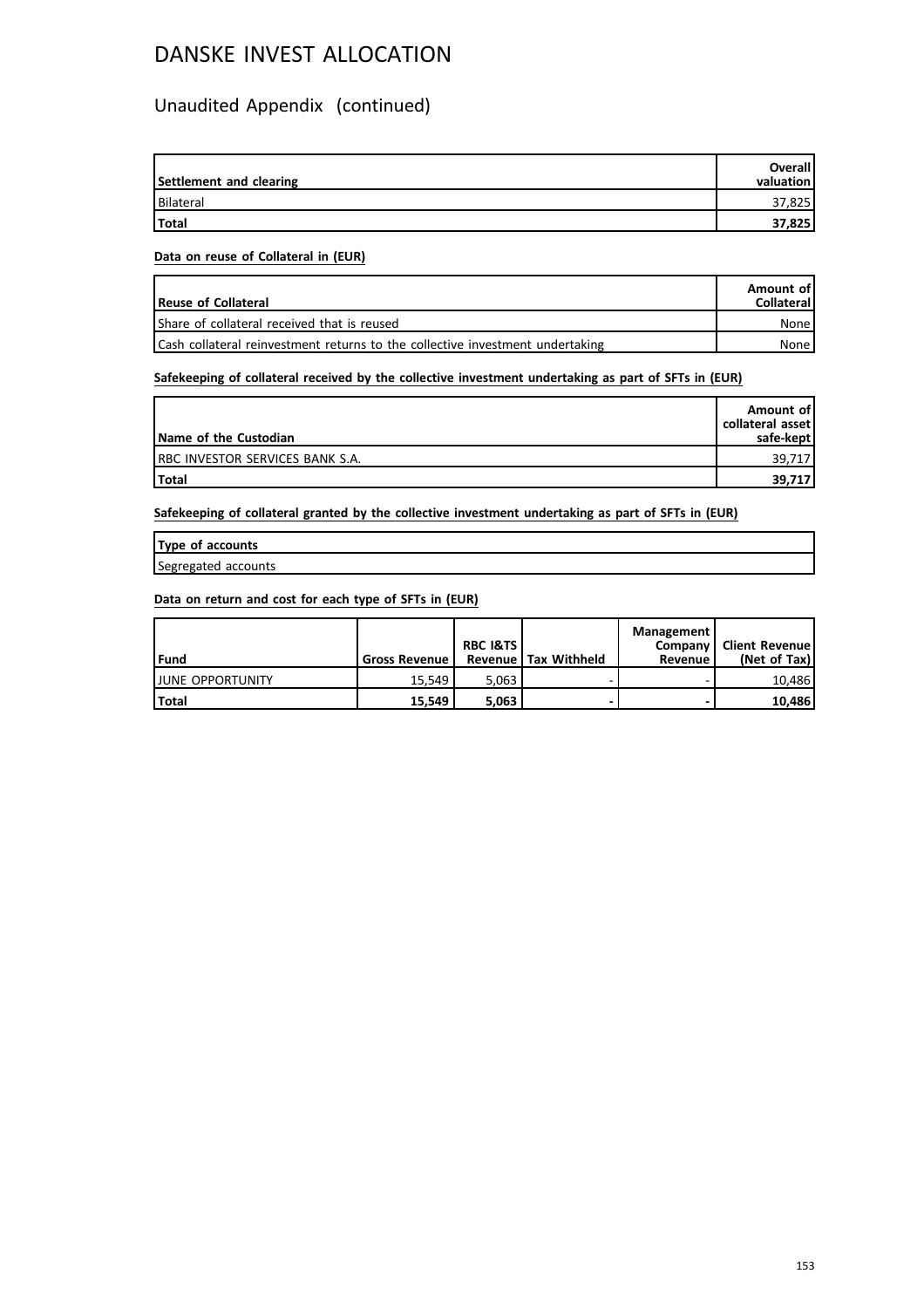### Unaudited Appendix (continued)

| Settlement and clearing | Overall<br>valuation |
|-------------------------|----------------------|
| Bilateral               | 37,825               |
| Total                   | 37,825               |

#### **Data on reuse of Collateral in (EUR)**

| <b>Reuse of Collateral</b>                                                    | Amount of<br><b>Collateral</b> |
|-------------------------------------------------------------------------------|--------------------------------|
| Share of collateral received that is reused                                   | None                           |
| Cash collateral reinvestment returns to the collective investment undertaking | None l                         |

### **Safekeeping of collateral received by the collective investment undertaking as part of SFTs in (EUR)**

| Name of the Custodian            | Amount of<br>collateral asset<br>safe-kept |
|----------------------------------|--------------------------------------------|
| IRBC INVESTOR SERVICES BANK S.A. | 39,717                                     |
| <b>Total</b>                     | 39,717                                     |

**Safekeeping of collateral granted by the collective investment undertaking as part of SFTs in (EUR)**

| Type of accounts    |  |
|---------------------|--|
| Segregated accounts |  |

| l Fund                   | <b>Gross Revenue</b> | <b>RBC I&amp;TS</b> | Revenue   Tax Withheld | Management<br>Company I<br>Revenue | <b>Client Revenue!</b><br>(Net of Tax) |
|--------------------------|----------------------|---------------------|------------------------|------------------------------------|----------------------------------------|
| <b>IJUNE OPPORTUNITY</b> | 15.549               | 5.063               |                        |                                    | 10.486                                 |
| Total                    | 15.549               | 5.063               |                        | -                                  | 10.486                                 |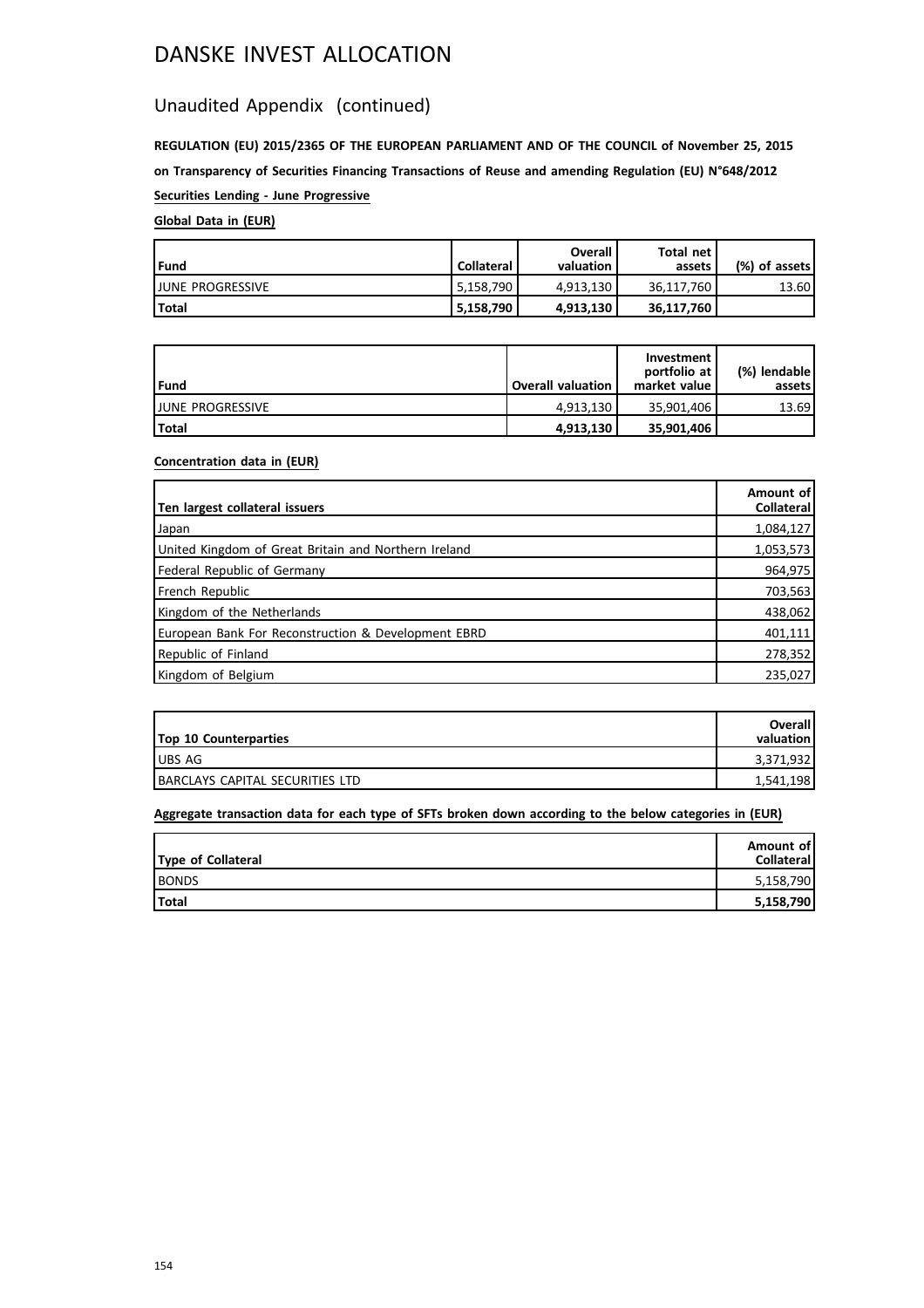### Unaudited Appendix (continued)

**REGULATION (EU) 2015/2365 OF THE EUROPEAN PARLIAMENT AND OF THE COUNCIL of November 25, 2015 on Transparency of Securities Financing Transactions of Reuse and amending Regulation (EU) N°648/2012 Securities Lending - June Progressive**

### **Global Data in (EUR)**

| Fund                     | <b>Collateral</b> | Overall<br>valuation | Total net<br>assets | (%) of assets! |
|--------------------------|-------------------|----------------------|---------------------|----------------|
| <b>LIUNE PROGRESSIVE</b> | $5,158,790$ i     | 4.913.130            | 36.117.760          | 13.60          |
| l Total                  | 5.158.790         | 4.913.130            | 36,117,760          |                |

| l Fund                   | <b>Overall valuation</b> | Investment<br>portfolio at<br>market value | (%) lendable l<br>assets |
|--------------------------|--------------------------|--------------------------------------------|--------------------------|
| <b>IJUNE PROGRESSIVE</b> | 4.913.130                | 35.901.406                                 | 13.69                    |
| <b>Total</b>             | 4,913,130                | 35,901,406                                 |                          |

### **Concentration data in (EUR)**

| Ten largest collateral issuers                       | Amount of<br>Collateral |
|------------------------------------------------------|-------------------------|
| Japan                                                | 1,084,127               |
| United Kingdom of Great Britain and Northern Ireland | 1,053,573               |
| Federal Republic of Germany                          | 964,975                 |
| French Republic                                      | 703,563                 |
| Kingdom of the Netherlands                           | 438,062                 |
| European Bank For Reconstruction & Development EBRD  | 401,111                 |
| Republic of Finland                                  | 278,352                 |
| Kingdom of Belgium                                   | 235,027                 |

| <b>Top 10 Counterparties</b>    | Overall<br>valuation |
|---------------------------------|----------------------|
| <b>UBS AG</b>                   | 3,371,932            |
| BARCLAYS CAPITAL SECURITIES LTD | 1,541,198            |

| Type of Collateral | Amount of<br><b>Collateral</b> |
|--------------------|--------------------------------|
| <b>BONDS</b>       | 5,158,790                      |
| Total              | 5,158,790                      |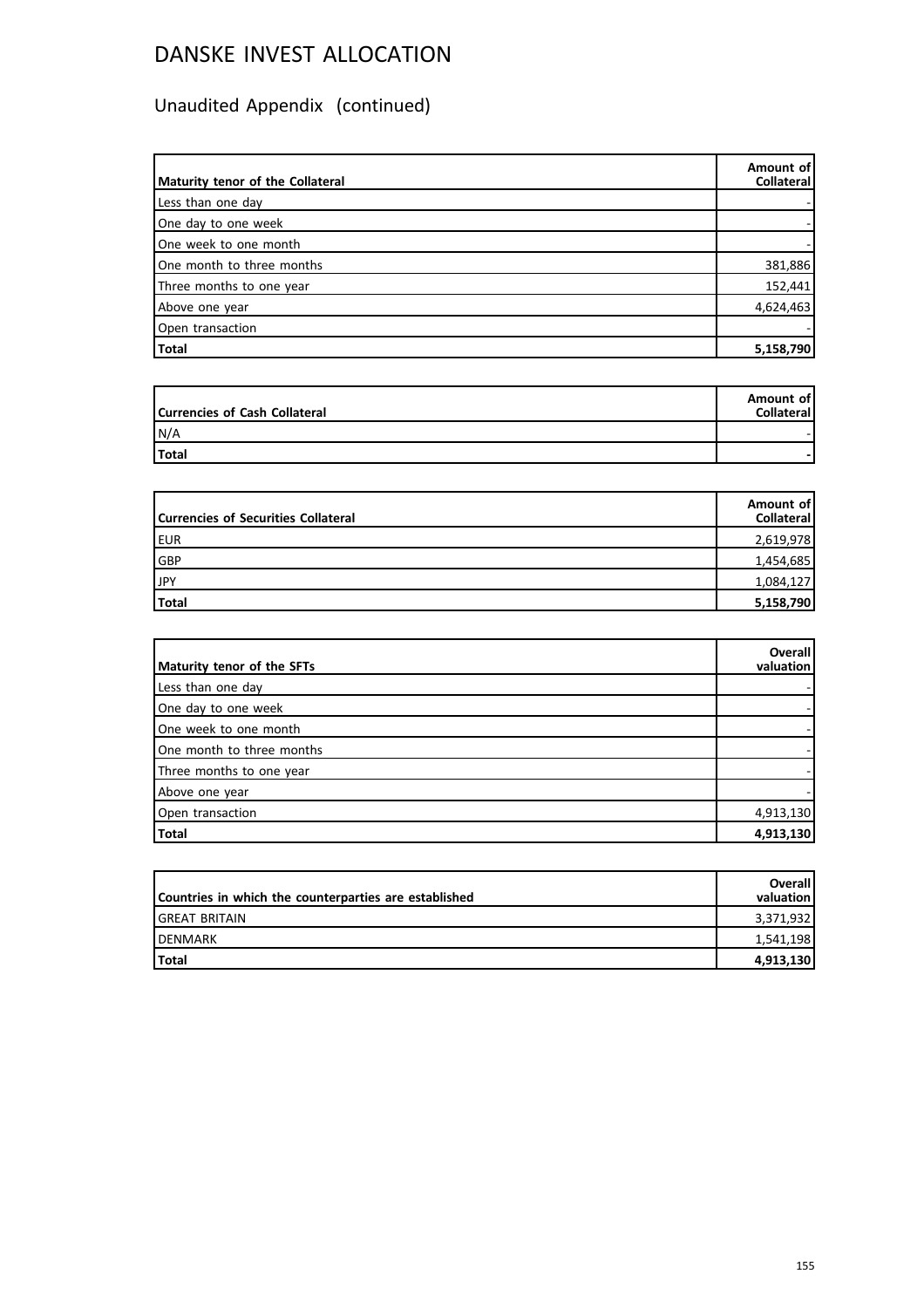| Maturity tenor of the Collateral | Amount of<br>Collateral |
|----------------------------------|-------------------------|
| Less than one day                |                         |
| One day to one week              |                         |
| One week to one month            |                         |
| One month to three months        | 381,886                 |
| Three months to one year         | 152,441                 |
| Above one year                   | 4,624,463               |
| Open transaction                 |                         |
| Total                            | 5,158,790               |

| Currencies of Cash Collateral | Amount of<br><b>Collateral</b> |
|-------------------------------|--------------------------------|
| N/A                           |                                |
| Total                         |                                |

| Currencies of Securities Collateral | Amount of<br>Collateral |
|-------------------------------------|-------------------------|
| EUR                                 | 2,619,978               |
| GBP                                 | 1,454,685               |
| JPY                                 | 1,084,127               |
| Total                               | 5,158,790               |

| Maturity tenor of the SFTs | <b>Overall</b><br>valuation |
|----------------------------|-----------------------------|
| Less than one day          |                             |
| One day to one week        |                             |
| One week to one month      |                             |
| One month to three months  |                             |
| Three months to one year   |                             |
| Above one year             |                             |
| Open transaction           | 4,913,130                   |
| Total                      | 4,913,130                   |

| Countries in which the counterparties are established | <b>Overall</b><br>valuation |
|-------------------------------------------------------|-----------------------------|
| IGREAT BRITAIN                                        | 3,371,932                   |
| <b>IDENMARK</b>                                       | 1.541.198                   |
| <b>Total</b>                                          | 4,913,130                   |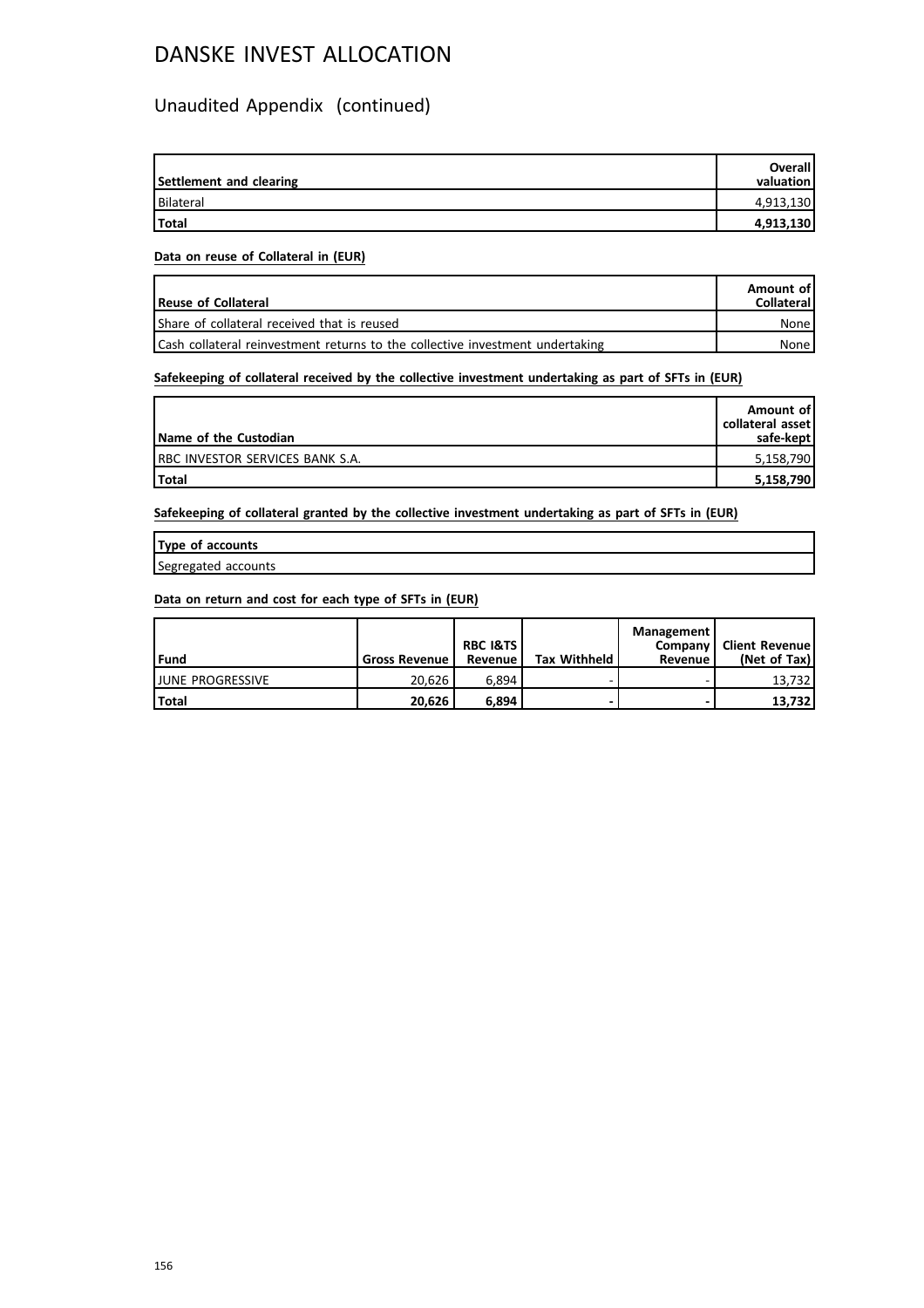### Unaudited Appendix (continued)

| Settlement and clearing | <b>Overall</b><br>valuation |
|-------------------------|-----------------------------|
| Bilateral               | 4,913,130                   |
| <b>Total</b>            | 4,913,130                   |

#### **Data on reuse of Collateral in (EUR)**

| <b>Reuse of Collateral</b>                                                    | Amount of<br><b>Collateral</b> |
|-------------------------------------------------------------------------------|--------------------------------|
| Share of collateral received that is reused                                   | None                           |
| Cash collateral reinvestment returns to the collective investment undertaking | None l                         |

### **Safekeeping of collateral received by the collective investment undertaking as part of SFTs in (EUR)**

| Name of the Custodian                   | Amount of<br>collateral asset<br>safe-kept |
|-----------------------------------------|--------------------------------------------|
| <b>IRBC INVESTOR SERVICES BANK S.A.</b> | 5,158,790                                  |
| <b>Total</b>                            | 5,158,790                                  |

**Safekeeping of collateral granted by the collective investment undertaking as part of SFTs in (EUR)**

| Type of accounts    |  |
|---------------------|--|
| Segregated accounts |  |

| l Fund                   | <b>Gross Revenue</b> | <b>RBC I&amp;TS</b><br>Revenue | <b>Tax Withheld</b> | Management<br>Company I<br>Revenue | Client Revenue!<br>(Net of Tax) |
|--------------------------|----------------------|--------------------------------|---------------------|------------------------------------|---------------------------------|
| <b>IJUNE PROGRESSIVE</b> | 20.626               | 6.894                          |                     |                                    | 13.732                          |
| Total                    | 20.626               | 6.894                          |                     | -                                  | 13.732                          |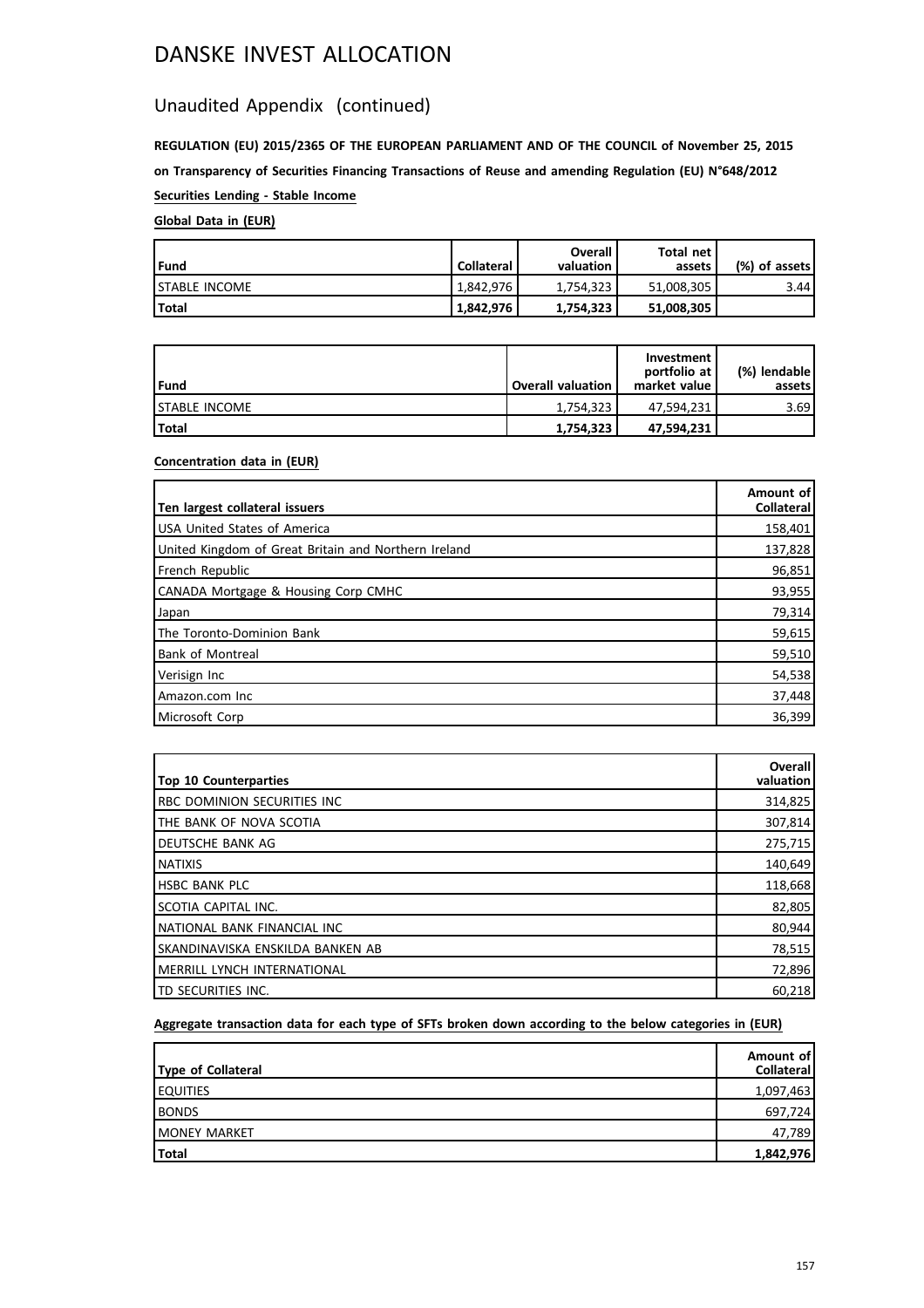### Unaudited Appendix (continued)

**REGULATION (EU) 2015/2365 OF THE EUROPEAN PARLIAMENT AND OF THE COUNCIL of November 25, 2015 on Transparency of Securities Financing Transactions of Reuse and amending Regulation (EU) N°648/2012 Securities Lending - Stable Income**

### **Global Data in (EUR)**

| l Fund                | <b>Collateral</b> | Overall<br>valuation | Total net<br>assets | (%) of assets! |
|-----------------------|-------------------|----------------------|---------------------|----------------|
| <b>ISTABLE INCOME</b> | 1.842.976         | 1.754.323            | 51,008,305          | 3.44           |
| Total                 | 1,842,976         | 1,754,323            | 51,008,305          |                |

| Fund                  | <b>Overall valuation</b> | Investment<br>portfolio at<br>market value | (%) lendable l<br>assets |
|-----------------------|--------------------------|--------------------------------------------|--------------------------|
| <b>ISTABLE INCOME</b> | 1.754.323                | 47.594.231                                 | 3.69                     |
| l Total               | 1,754,323                | 47,594,231                                 |                          |

### **Concentration data in (EUR)**

| Ten largest collateral issuers                       | Amount of<br><b>Collateral</b> |
|------------------------------------------------------|--------------------------------|
| <b>USA United States of America</b>                  | 158,401                        |
| United Kingdom of Great Britain and Northern Ireland | 137,828                        |
| French Republic                                      | 96,851                         |
| CANADA Mortgage & Housing Corp CMHC                  | 93,955                         |
| Japan                                                | 79,314                         |
| The Toronto-Dominion Bank                            | 59,615                         |
| <b>Bank of Montreal</b>                              | 59,510                         |
| Verisign Inc                                         | 54,538                         |
| Amazon.com Inc                                       | 37,448                         |
| Microsoft Corp                                       | 36,399                         |

| <b>Top 10 Counterparties</b>       | <b>Overall</b><br>valuation |
|------------------------------------|-----------------------------|
| RBC DOMINION SECURITIES INC        | 314,825                     |
| THE BANK OF NOVA SCOTIA            | 307,814                     |
| DEUTSCHE BANK AG                   | 275,715                     |
| <b>NATIXIS</b>                     | 140,649                     |
| <b>HSBC BANK PLC</b>               | 118,668                     |
| SCOTIA CAPITAL INC.                | 82,805                      |
| NATIONAL BANK FINANCIAL INC        | 80,944                      |
| SKANDINAVISKA ENSKILDA BANKEN AB   | 78,515                      |
| <b>MERRILL LYNCH INTERNATIONAL</b> | 72,896                      |
| ITD SECURITIES INC.                | 60,218                      |

| Type of Collateral   | Amount of<br>Collateral |
|----------------------|-------------------------|
| <b>EQUITIES</b>      | 1,097,463               |
| <b>BONDS</b>         | 697,724                 |
| <b>IMONEY MARKET</b> | 47,789                  |
| Total                | 1,842,976               |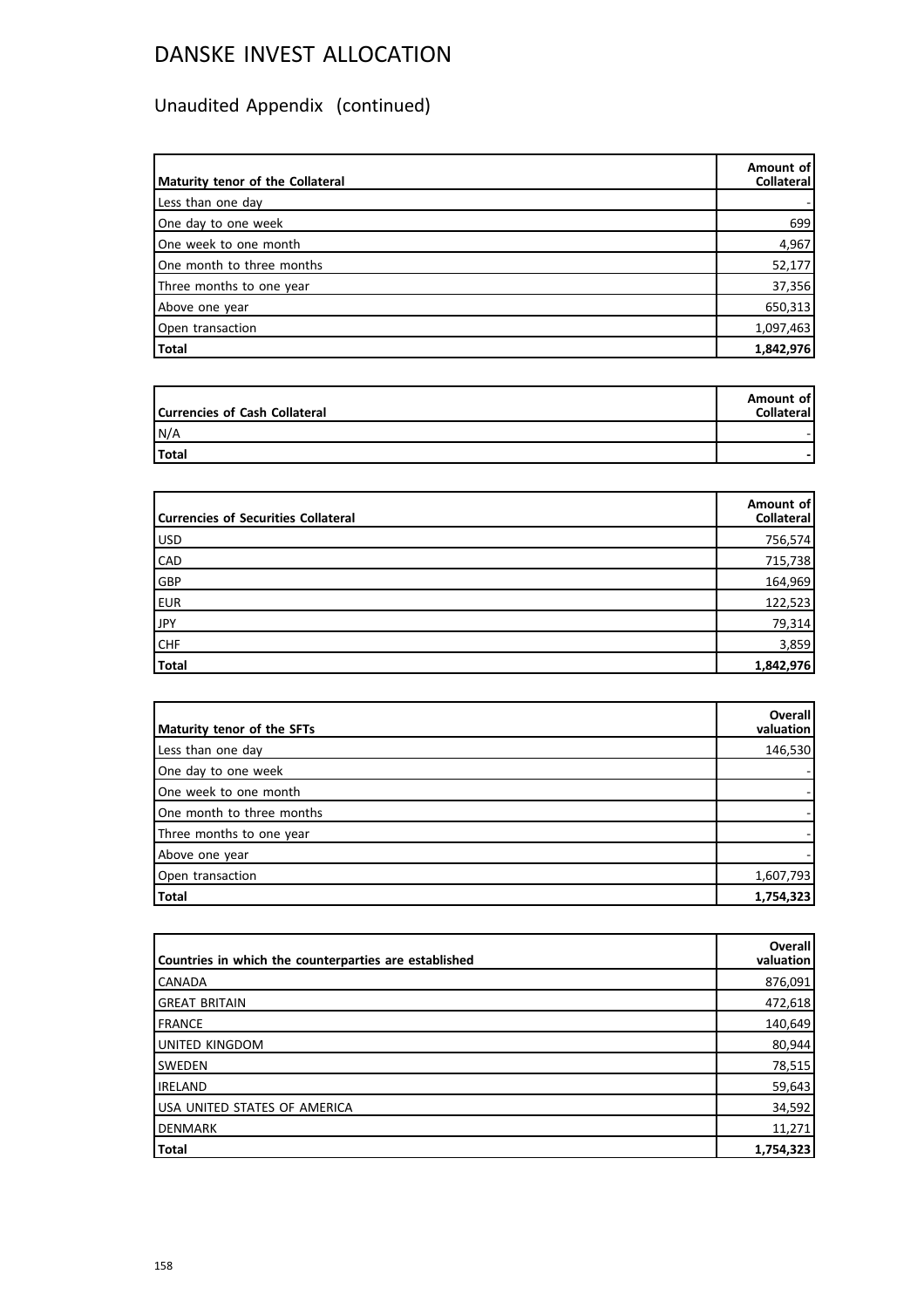| Maturity tenor of the Collateral | Amount of<br>Collateral |
|----------------------------------|-------------------------|
| Less than one day                |                         |
| One day to one week              | 699                     |
| One week to one month            | 4,967                   |
| One month to three months        | 52,177                  |
| Three months to one year         | 37,356                  |
| Above one year                   | 650,313                 |
| Open transaction                 | 1,097,463               |
| Total                            | 1,842,976               |

| Currencies of Cash Collateral | Amount of<br><b>Collateral</b> |
|-------------------------------|--------------------------------|
| N/A                           |                                |
| Total                         |                                |

| Currencies of Securities Collateral | Amount of<br>Collateral |
|-------------------------------------|-------------------------|
| USD                                 | 756,574                 |
| <b>CAD</b>                          | 715,738                 |
| GBP                                 | 164,969                 |
| EUR                                 | 122,523                 |
| JPY                                 | 79,314                  |
| CHF                                 | 3,859                   |
| Total                               | 1,842,976               |

| Maturity tenor of the SFTs | <b>Overall</b><br>valuation |
|----------------------------|-----------------------------|
|                            |                             |
| Less than one day          | 146,530                     |
| One day to one week        |                             |
| One week to one month      |                             |
| One month to three months  |                             |
| Three months to one year   |                             |
| Above one year             |                             |
| Open transaction           | 1,607,793                   |
| Total                      | 1,754,323                   |

| Countries in which the counterparties are established | <b>Overall</b><br>valuation |
|-------------------------------------------------------|-----------------------------|
| <b>CANADA</b>                                         | 876,091                     |
| <b>GREAT BRITAIN</b>                                  | 472,618                     |
| FRANCE                                                | 140,649                     |
| UNITED KINGDOM                                        | 80,944                      |
| <b>SWEDEN</b>                                         | 78,515                      |
| <b>IRELAND</b>                                        | 59,643                      |
| USA UNITED STATES OF AMERICA                          | 34,592                      |
| DENMARK                                               | 11,271                      |
| <b>Total</b>                                          | 1,754,323                   |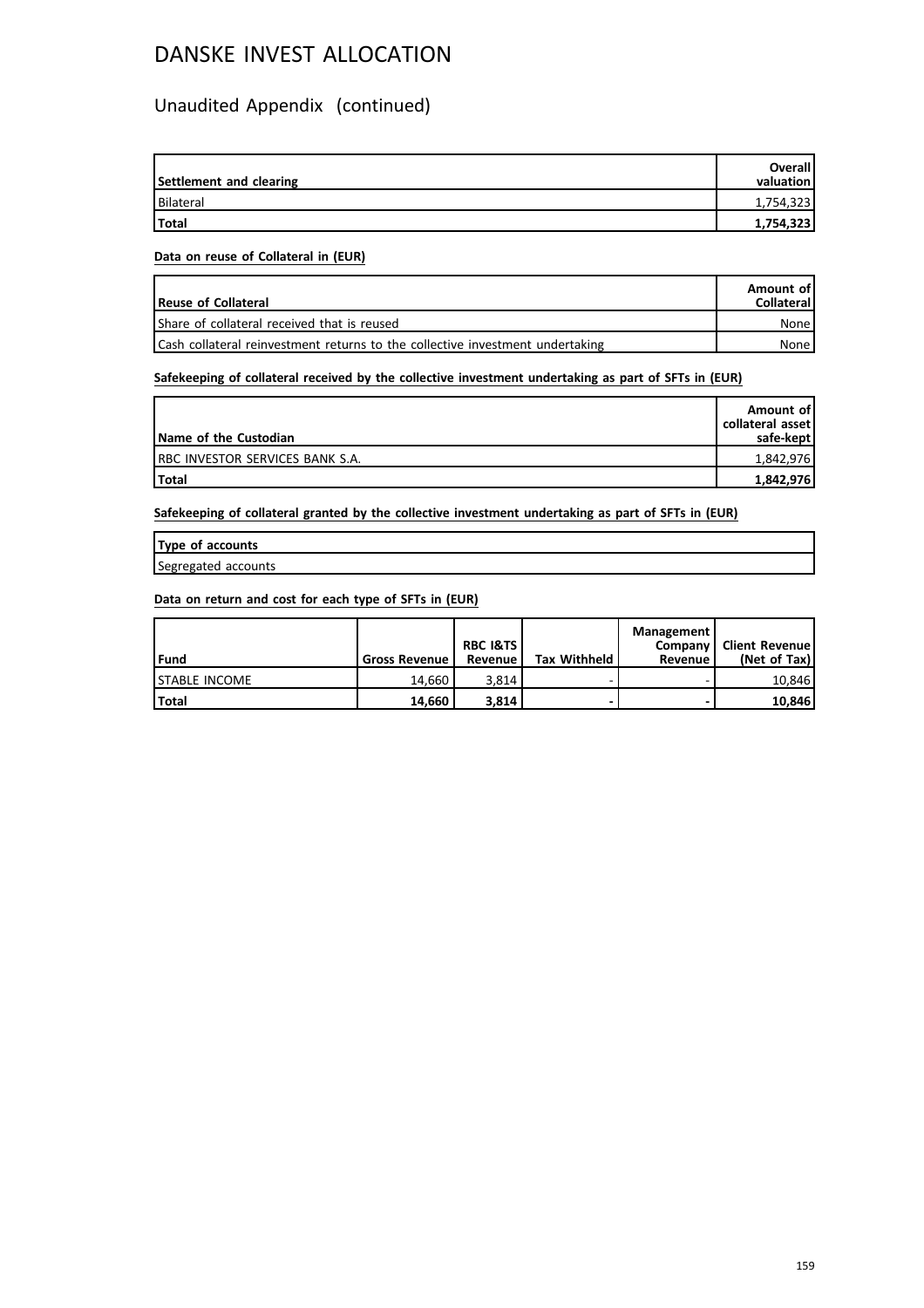### Unaudited Appendix (continued)

| Settlement and clearing | <b>Overall</b><br>valuation |
|-------------------------|-----------------------------|
| Bilateral               | 1,754,323                   |
| Total                   | 1,754,323                   |

#### **Data on reuse of Collateral in (EUR)**

| <b>Reuse of Collateral</b>                                                    | Amount of<br><b>Collateral</b> |
|-------------------------------------------------------------------------------|--------------------------------|
| Share of collateral received that is reused                                   | None l                         |
| Cash collateral reinvestment returns to the collective investment undertaking | None l                         |

### **Safekeeping of collateral received by the collective investment undertaking as part of SFTs in (EUR)**

| Name of the Custodian                   | Amount of<br>collateral asset<br>safe-kept |
|-----------------------------------------|--------------------------------------------|
| <b>IRBC INVESTOR SERVICES BANK S.A.</b> | 1,842,976                                  |
| Total                                   | 1,842,976                                  |

**Safekeeping of collateral granted by the collective investment undertaking as part of SFTs in (EUR)**

| Type of accounts    |  |
|---------------------|--|
| Segregated accounts |  |

| l Fund                | <b>Gross Revenue</b> | <b>RBC I&amp;TS</b><br>Revenue | <b>Tax Withheld</b> | Management<br>Company  <br>Revenue | Client Revenue!<br>(Net of Tax) |
|-----------------------|----------------------|--------------------------------|---------------------|------------------------------------|---------------------------------|
| <b>ISTABLE INCOME</b> | 14.660               | 3.814                          |                     |                                    | 10.846                          |
| <b>Total</b>          | 14.660               | 3.814                          |                     |                                    | 10.846                          |